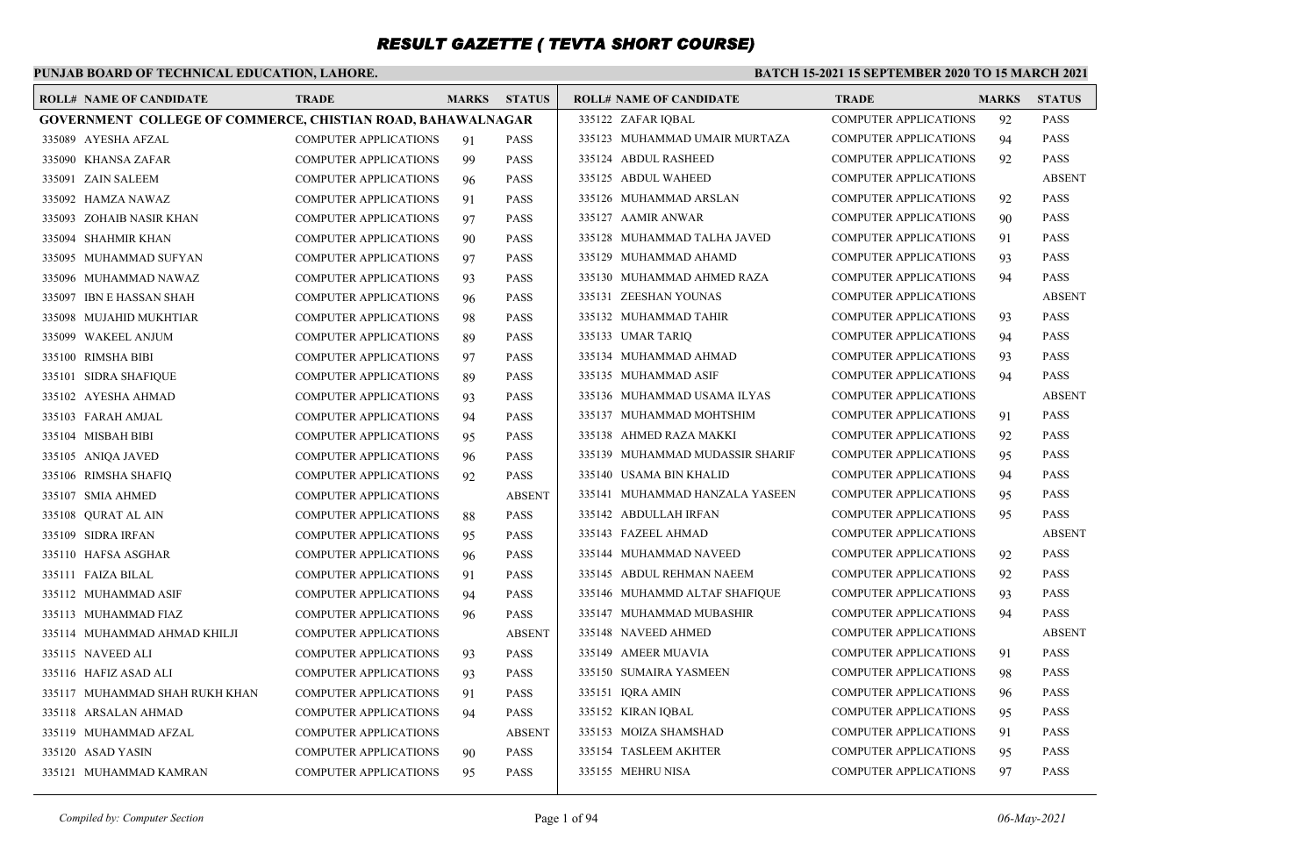### **PUNJAB BOARD OF TECHNICAL EDUCATION, LAHORE.**

#### **BATCH 15-2021 15 SEPTEMBER 2020 TO 15 MARCH 2021**

| <b>ROLL# NAME OF CANDIDATE</b>                                     | <b>TRADE</b>                 | <b>MARKS</b> | <b>STATUS</b> | <b>ROLL# NAME OF CANDIDATE</b>  | <b>TRADE</b>                 | <b>MARKS</b> | <b>STATUS</b> |
|--------------------------------------------------------------------|------------------------------|--------------|---------------|---------------------------------|------------------------------|--------------|---------------|
| <b>GOVERNMENT COLLEGE OF COMMERCE, CHISTIAN ROAD, BAHAWALNAGAR</b> |                              |              |               | 335122 ZAFAR IQBAL              | <b>COMPUTER APPLICATIONS</b> | 92           | <b>PASS</b>   |
| 335089 AYESHA AFZAL                                                | <b>COMPUTER APPLICATIONS</b> | 91           | <b>PASS</b>   | 335123 MUHAMMAD UMAIR MURTAZA   | <b>COMPUTER APPLICATIONS</b> | 94           | <b>PASS</b>   |
| 335090 KHANSA ZAFAR                                                | <b>COMPUTER APPLICATIONS</b> | 99           | <b>PASS</b>   | 335124 ABDUL RASHEED            | <b>COMPUTER APPLICATIONS</b> | 92           | <b>PASS</b>   |
| 335091 ZAIN SALEEM                                                 | <b>COMPUTER APPLICATIONS</b> | 96           | <b>PASS</b>   | 335125 ABDUL WAHEED             | <b>COMPUTER APPLICATIONS</b> |              | <b>ABSENT</b> |
| 335092 HAMZA NAWAZ                                                 | <b>COMPUTER APPLICATIONS</b> | 91           | <b>PASS</b>   | 335126 MUHAMMAD ARSLAN          | <b>COMPUTER APPLICATIONS</b> | 92           | <b>PASS</b>   |
| 335093 ZOHAIB NASIR KHAN                                           | <b>COMPUTER APPLICATIONS</b> | 97           | <b>PASS</b>   | 335127 AAMIR ANWAR              | <b>COMPUTER APPLICATIONS</b> | 90           | <b>PASS</b>   |
| 335094 SHAHMIR KHAN                                                | <b>COMPUTER APPLICATIONS</b> | 90           | <b>PASS</b>   | 335128 MUHAMMAD TALHA JAVED     | <b>COMPUTER APPLICATIONS</b> | 91           | <b>PASS</b>   |
| 335095 MUHAMMAD SUFYAN                                             | <b>COMPUTER APPLICATIONS</b> | 97           | <b>PASS</b>   | 335129 MUHAMMAD AHAMD           | COMPUTER APPLICATIONS        | 93           | <b>PASS</b>   |
| 335096 MUHAMMAD NAWAZ                                              | <b>COMPUTER APPLICATIONS</b> | 93           | <b>PASS</b>   | 335130 MUHAMMAD AHMED RAZA      | <b>COMPUTER APPLICATIONS</b> | 94           | <b>PASS</b>   |
| 335097 IBN E HASSAN SHAH                                           | <b>COMPUTER APPLICATIONS</b> | 96           | PASS          | 335131 ZEESHAN YOUNAS           | <b>COMPUTER APPLICATIONS</b> |              | <b>ABSENT</b> |
| 335098 MUJAHID MUKHTIAR                                            | <b>COMPUTER APPLICATIONS</b> | 98           | PASS          | 335132 MUHAMMAD TAHIR           | <b>COMPUTER APPLICATIONS</b> | 93           | <b>PASS</b>   |
| 335099 WAKEEL ANJUM                                                | <b>COMPUTER APPLICATIONS</b> | 89           | <b>PASS</b>   | 335133 UMAR TARIQ               | <b>COMPUTER APPLICATIONS</b> | 94           | <b>PASS</b>   |
| 335100 RIMSHA BIBI                                                 | <b>COMPUTER APPLICATIONS</b> | 97           | PASS          | 335134 MUHAMMAD AHMAD           | <b>COMPUTER APPLICATIONS</b> | 93           | <b>PASS</b>   |
| 335101 SIDRA SHAFIQUE                                              | <b>COMPUTER APPLICATIONS</b> | 89           | <b>PASS</b>   | 335135 MUHAMMAD ASIF            | <b>COMPUTER APPLICATIONS</b> | 94           | <b>PASS</b>   |
| 335102 AYESHA AHMAD                                                | <b>COMPUTER APPLICATIONS</b> | 93           | <b>PASS</b>   | 335136 MUHAMMAD USAMA ILYAS     | <b>COMPUTER APPLICATIONS</b> |              | <b>ABSENT</b> |
| 335103 FARAH AMJAL                                                 | <b>COMPUTER APPLICATIONS</b> | 94           | <b>PASS</b>   | 335137 MUHAMMAD MOHTSHIM        | <b>COMPUTER APPLICATIONS</b> | 91           | <b>PASS</b>   |
| 335104 MISBAH BIBI                                                 | COMPUTER APPLICATIONS        | 95           | <b>PASS</b>   | 335138 AHMED RAZA MAKKI         | <b>COMPUTER APPLICATIONS</b> | 92           | <b>PASS</b>   |
| 335105 ANIQA JAVED                                                 | <b>COMPUTER APPLICATIONS</b> | 96           | PASS          | 335139 MUHAMMAD MUDASSIR SHARIF | <b>COMPUTER APPLICATIONS</b> | 95           | <b>PASS</b>   |
| 335106 RIMSHA SHAFIQ                                               | <b>COMPUTER APPLICATIONS</b> | 92           | <b>PASS</b>   | 335140 USAMA BIN KHALID         | <b>COMPUTER APPLICATIONS</b> | 94           | <b>PASS</b>   |
| 335107 SMIA AHMED                                                  | <b>COMPUTER APPLICATIONS</b> |              | <b>ABSENT</b> | 335141 MUHAMMAD HANZALA YASEEN  | <b>COMPUTER APPLICATIONS</b> | 95           | <b>PASS</b>   |
| 335108 QURAT AL AIN                                                | <b>COMPUTER APPLICATIONS</b> | 88           | <b>PASS</b>   | 335142 ABDULLAH IRFAN           | <b>COMPUTER APPLICATIONS</b> | 95           | <b>PASS</b>   |
| 335109 SIDRA IRFAN                                                 | <b>COMPUTER APPLICATIONS</b> | 95           | PASS          | 335143 FAZEEL AHMAD             | <b>COMPUTER APPLICATIONS</b> |              | <b>ABSENT</b> |
| 335110 HAFSA ASGHAR                                                | <b>COMPUTER APPLICATIONS</b> | 96           | <b>PASS</b>   | 335144 MUHAMMAD NAVEED          | <b>COMPUTER APPLICATIONS</b> | 92           | <b>PASS</b>   |
| 335111 FAIZA BILAL                                                 | <b>COMPUTER APPLICATIONS</b> | 91           | <b>PASS</b>   | 335145 ABDUL REHMAN NAEEM       | <b>COMPUTER APPLICATIONS</b> | 92           | <b>PASS</b>   |
| 335112 MUHAMMAD ASIF                                               | COMPUTER APPLICATIONS        | 94           | <b>PASS</b>   | 335146 MUHAMMD ALTAF SHAFIQUE   | <b>COMPUTER APPLICATIONS</b> | 93           | <b>PASS</b>   |
| 335113 MUHAMMAD FIAZ                                               | <b>COMPUTER APPLICATIONS</b> | 96           | PASS          | 335147 MUHAMMAD MUBASHIR        | <b>COMPUTER APPLICATIONS</b> | 94           | <b>PASS</b>   |
| 335114 MUHAMMAD AHMAD KHILJI                                       | <b>COMPUTER APPLICATIONS</b> |              | <b>ABSENT</b> | 335148 NAVEED AHMED             | <b>COMPUTER APPLICATIONS</b> |              | <b>ABSENT</b> |
| 335115 NAVEED ALI                                                  | <b>COMPUTER APPLICATIONS</b> | 93           | <b>PASS</b>   | 335149 AMEER MUAVIA             | <b>COMPUTER APPLICATIONS</b> | 91           | <b>PASS</b>   |
| 335116 HAFIZ ASAD ALI                                              | <b>COMPUTER APPLICATIONS</b> | 93           | <b>PASS</b>   | 335150 SUMAIRA YASMEEN          | <b>COMPUTER APPLICATIONS</b> | 98           | <b>PASS</b>   |
| 335117 MUHAMMAD SHAH RUKH KHAN                                     | <b>COMPUTER APPLICATIONS</b> | 91           | PASS          | 335151 IQRA AMIN                | <b>COMPUTER APPLICATIONS</b> | 96           | <b>PASS</b>   |
| 335118 ARSALAN AHMAD                                               | <b>COMPUTER APPLICATIONS</b> | 94           | <b>PASS</b>   | 335152 KIRAN IOBAL              | <b>COMPUTER APPLICATIONS</b> | 95           | <b>PASS</b>   |
| 335119 MUHAMMAD AFZAL                                              | <b>COMPUTER APPLICATIONS</b> |              | <b>ABSENT</b> | 335153 MOIZA SHAMSHAD           | <b>COMPUTER APPLICATIONS</b> | 91           | <b>PASS</b>   |
| 335120 ASAD YASIN                                                  | <b>COMPUTER APPLICATIONS</b> | 90           | <b>PASS</b>   | 335154 TASLEEM AKHTER           | <b>COMPUTER APPLICATIONS</b> | 95           | <b>PASS</b>   |
| 335121 MUHAMMAD KAMRAN                                             | <b>COMPUTER APPLICATIONS</b> | 95           | <b>PASS</b>   | 335155 MEHRU NISA               | <b>COMPUTER APPLICATIONS</b> | 97           | <b>PASS</b>   |
|                                                                    |                              |              |               |                                 |                              |              |               |

*Compiled by: Computer Section* Page 1 of 94 *06-May-2021*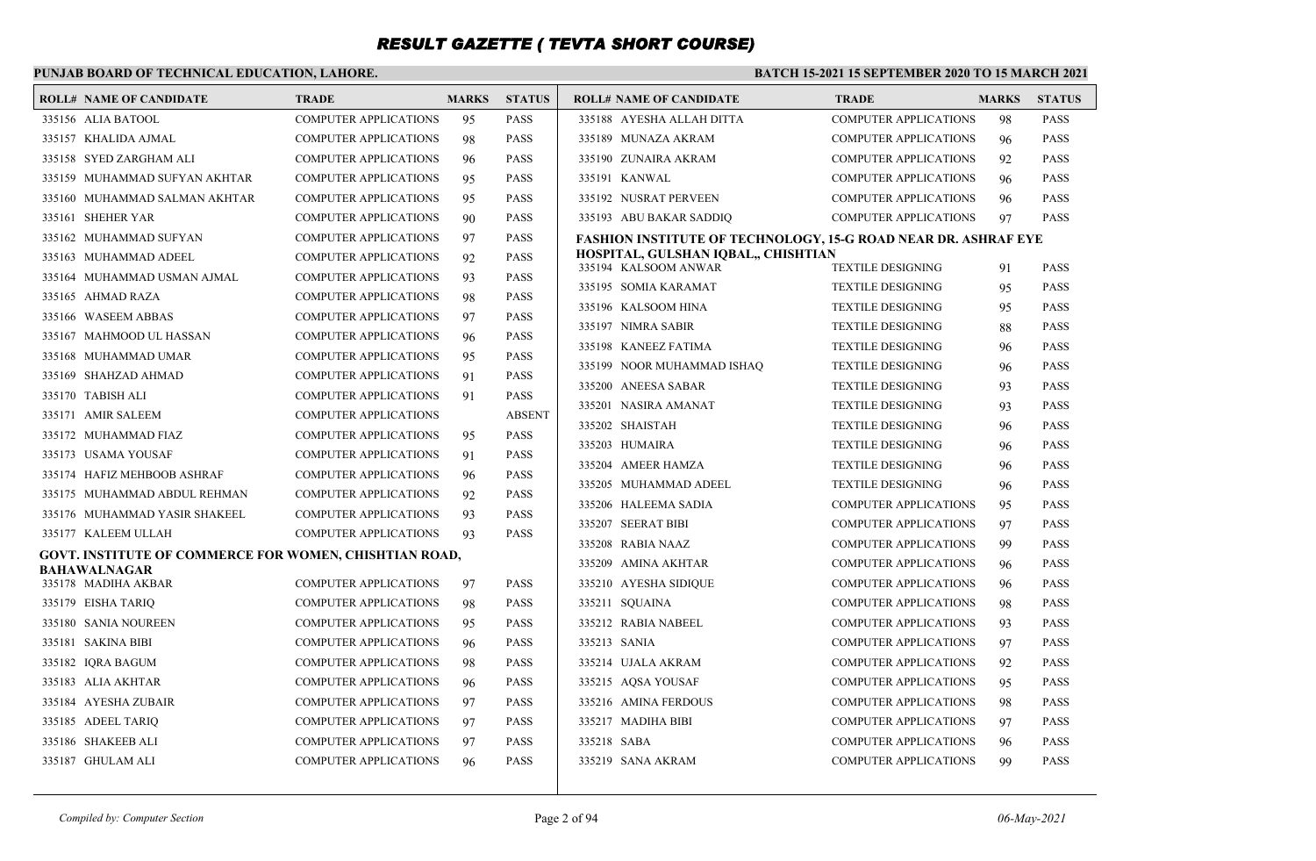### **PUNJAB BOARD OF TECHNICAL EDUCATION, LAHORE.**

| <b>ROLL# NAME OF CANDIDATE</b>                         | <b>TRADE</b>                 | <b>MARKS</b> | <b>STATUS</b> | ROLL# NAME OF CANDIDATE                                        | <b>TRADE</b>                 | <b>MARKS</b> | <b>STATUS</b> |
|--------------------------------------------------------|------------------------------|--------------|---------------|----------------------------------------------------------------|------------------------------|--------------|---------------|
| 335156 ALIA BATOOL                                     | <b>COMPUTER APPLICATIONS</b> | 95           | <b>PASS</b>   | 335188 AYESHA ALLAH DITTA                                      | <b>COMPUTER APPLICATIONS</b> | 98           | <b>PASS</b>   |
| 335157 KHALIDA AJMAL                                   | <b>COMPUTER APPLICATIONS</b> | 98           | <b>PASS</b>   | 335189 MUNAZA AKRAM                                            | <b>COMPUTER APPLICATIONS</b> | 96           | <b>PASS</b>   |
| 335158 SYED ZARGHAM ALI                                | <b>COMPUTER APPLICATIONS</b> | 96           | <b>PASS</b>   | 335190 ZUNAIRA AKRAM                                           | <b>COMPUTER APPLICATIONS</b> | 92           | <b>PASS</b>   |
| 335159 MUHAMMAD SUFYAN AKHTAR                          | <b>COMPUTER APPLICATIONS</b> | 95           | <b>PASS</b>   | 335191 KANWAL                                                  | <b>COMPUTER APPLICATIONS</b> | 96           | <b>PASS</b>   |
| 335160 MUHAMMAD SALMAN AKHTAR                          | <b>COMPUTER APPLICATIONS</b> | 95           | <b>PASS</b>   | 335192 NUSRAT PERVEEN                                          | <b>COMPUTER APPLICATIONS</b> | 96           | <b>PASS</b>   |
| 335161 SHEHER YAR                                      | <b>COMPUTER APPLICATIONS</b> | 90           | <b>PASS</b>   | 335193 ABU BAKAR SADDIQ                                        | <b>COMPUTER APPLICATIONS</b> | 97           | <b>PASS</b>   |
| 335162 MUHAMMAD SUFYAN                                 | <b>COMPUTER APPLICATIONS</b> | 97           | <b>PASS</b>   | FASHION INSTITUTE OF TECHNOLOGY, 15-G ROAD NEAR DR. ASHRAF EYE |                              |              |               |
| 335163 MUHAMMAD ADEEL                                  | <b>COMPUTER APPLICATIONS</b> | 92           | <b>PASS</b>   | HOSPITAL, GULSHAN IQBAL,, CHISHTIAN<br>335194 KALSOOM ANWAR    | <b>TEXTILE DESIGNING</b>     | 91           | <b>PASS</b>   |
| 335164 MUHAMMAD USMAN AJMAL                            | <b>COMPUTER APPLICATIONS</b> | 93           | <b>PASS</b>   | 335195 SOMIA KARAMAT                                           | <b>TEXTILE DESIGNING</b>     | 95           | <b>PASS</b>   |
| 335165 AHMAD RAZA                                      | <b>COMPUTER APPLICATIONS</b> | 98           | <b>PASS</b>   | 335196 KALSOOM HINA                                            | <b>TEXTILE DESIGNING</b>     | 95           | <b>PASS</b>   |
| 335166 WASEEM ABBAS                                    | <b>COMPUTER APPLICATIONS</b> | 97           | <b>PASS</b>   | 335197 NIMRA SABIR                                             | <b>TEXTILE DESIGNING</b>     | 88           | <b>PASS</b>   |
| 335167 MAHMOOD UL HASSAN                               | <b>COMPUTER APPLICATIONS</b> | 96           | <b>PASS</b>   | 335198 KANEEZ FATIMA                                           | <b>TEXTILE DESIGNING</b>     | 96           | <b>PASS</b>   |
| 335168 MUHAMMAD UMAR                                   | <b>COMPUTER APPLICATIONS</b> | 95           | <b>PASS</b>   | 335199 NOOR MUHAMMAD ISHAQ                                     | <b>TEXTILE DESIGNING</b>     | 96           | <b>PASS</b>   |
| 335169 SHAHZAD AHMAD                                   | <b>COMPUTER APPLICATIONS</b> | 91           | <b>PASS</b>   | 335200 ANEESA SABAR                                            | <b>TEXTILE DESIGNING</b>     | 93           | <b>PASS</b>   |
| 335170 TABISH ALI                                      | <b>COMPUTER APPLICATIONS</b> | 91           | <b>PASS</b>   | 335201 NASIRA AMANAT                                           | <b>TEXTILE DESIGNING</b>     | 93           | <b>PASS</b>   |
| 335171 AMIR SALEEM                                     | <b>COMPUTER APPLICATIONS</b> |              | <b>ABSENT</b> | 335202 SHAISTAH                                                | <b>TEXTILE DESIGNING</b>     | 96           | <b>PASS</b>   |
| 335172 MUHAMMAD FIAZ                                   | <b>COMPUTER APPLICATIONS</b> | 95           | <b>PASS</b>   | 335203 HUMAIRA                                                 | <b>TEXTILE DESIGNING</b>     | 96           | <b>PASS</b>   |
| 335173 USAMA YOUSAF                                    | <b>COMPUTER APPLICATIONS</b> | 91           | <b>PASS</b>   | 335204 AMEER HAMZA                                             | <b>TEXTILE DESIGNING</b>     | 96           | <b>PASS</b>   |
| 335174 HAFIZ MEHBOOB ASHRAF                            | <b>COMPUTER APPLICATIONS</b> | 96           | <b>PASS</b>   | 335205 MUHAMMAD ADEEL                                          | <b>TEXTILE DESIGNING</b>     | 96           | <b>PASS</b>   |
| 335175 MUHAMMAD ABDUL REHMAN                           | <b>COMPUTER APPLICATIONS</b> | 92           | <b>PASS</b>   | 335206 HALEEMA SADIA                                           | <b>COMPUTER APPLICATIONS</b> | 95           | <b>PASS</b>   |
| 335176 MUHAMMAD YASIR SHAKEEL                          | <b>COMPUTER APPLICATIONS</b> | 93           | <b>PASS</b>   | 335207 SEERAT BIBI                                             | <b>COMPUTER APPLICATIONS</b> | 97           | <b>PASS</b>   |
| 335177 KALEEM ULLAH                                    | <b>COMPUTER APPLICATIONS</b> | 93           | <b>PASS</b>   | 335208 RABIA NAAZ                                              | <b>COMPUTER APPLICATIONS</b> | 99           | <b>PASS</b>   |
| GOVT. INSTITUTE OF COMMERCE FOR WOMEN, CHISHTIAN ROAD, |                              |              |               | 335209 AMINA AKHTAR                                            | <b>COMPUTER APPLICATIONS</b> | 96           | <b>PASS</b>   |
| <b>BAHAWALNAGAR</b><br>335178 MADIHA AKBAR             | <b>COMPUTER APPLICATIONS</b> | 97           | <b>PASS</b>   | 335210 AYESHA SIDIQUE                                          | <b>COMPUTER APPLICATIONS</b> | 96           | <b>PASS</b>   |
| 335179 EISHA TARIQ                                     | <b>COMPUTER APPLICATIONS</b> | 98           | <b>PASS</b>   | 335211 SQUAINA                                                 | <b>COMPUTER APPLICATIONS</b> | 98           | <b>PASS</b>   |
| 335180 SANIA NOUREEN                                   | <b>COMPUTER APPLICATIONS</b> | 95           | <b>PASS</b>   | 335212 RABIA NABEEL                                            | <b>COMPUTER APPLICATIONS</b> | 93           | <b>PASS</b>   |
| 335181 SAKINA BIBI                                     | <b>COMPUTER APPLICATIONS</b> | 96           | <b>PASS</b>   | 335213 SANIA                                                   | <b>COMPUTER APPLICATIONS</b> | 97           | <b>PASS</b>   |
| 335182 IQRA BAGUM                                      | <b>COMPUTER APPLICATIONS</b> | 98           | <b>PASS</b>   | 335214 UJALA AKRAM                                             | <b>COMPUTER APPLICATIONS</b> | 92           | <b>PASS</b>   |
| 335183 ALIA AKHTAR                                     | <b>COMPUTER APPLICATIONS</b> | 96           | <b>PASS</b>   | 335215 AQSA YOUSAF                                             | <b>COMPUTER APPLICATIONS</b> | 95           | <b>PASS</b>   |
| 335184 AYESHA ZUBAIR                                   | <b>COMPUTER APPLICATIONS</b> | 97           | <b>PASS</b>   | 335216 AMINA FERDOUS                                           | <b>COMPUTER APPLICATIONS</b> | 98           | <b>PASS</b>   |
| 335185 ADEEL TARIQ                                     | <b>COMPUTER APPLICATIONS</b> | 97           | <b>PASS</b>   | 335217 MADIHA BIBI                                             | <b>COMPUTER APPLICATIONS</b> | 97           | <b>PASS</b>   |
| 335186 SHAKEEB ALI                                     | <b>COMPUTER APPLICATIONS</b> | 97           | <b>PASS</b>   | 335218 SABA                                                    | COMPUTER APPLICATIONS        | 96           | <b>PASS</b>   |
| 335187 GHULAM ALI                                      | <b>COMPUTER APPLICATIONS</b> | 96           | <b>PASS</b>   | 335219 SANA AKRAM                                              | <b>COMPUTER APPLICATIONS</b> | 99           | <b>PASS</b>   |
|                                                        |                              |              |               |                                                                |                              |              |               |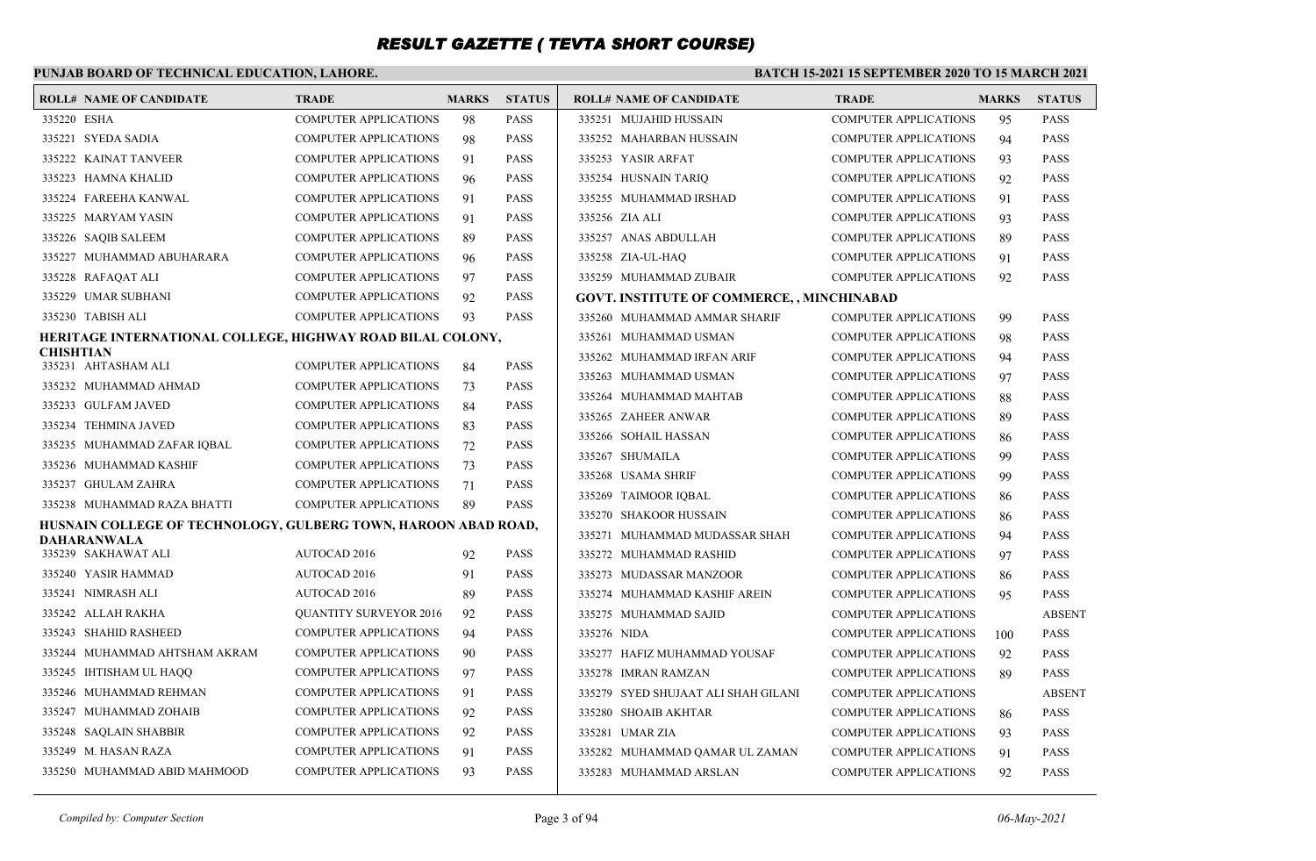### **PUNJAB BOARD OF TECHNICAL EDUCATION, LAHORE.**

#### **BATCH 15-2021 15 SEPTEMBER 2020 TO 15 MARCH 2021**

| <b>ROLL# NAME OF CANDIDATE</b>                                 | TRADE                         | <b>MARKS</b> | <b>STATUS</b> | <b>ROLL# NAME OF CANDIDATE</b>                    | <b>TRADE</b>                 | <b>MARKS</b> | <b>STATUS</b> |
|----------------------------------------------------------------|-------------------------------|--------------|---------------|---------------------------------------------------|------------------------------|--------------|---------------|
| 335220 ESHA                                                    | COMPUTER APPLICATIONS         | 98           | <b>PASS</b>   | 335251 MUJAHID HUSSAIN                            | <b>COMPUTER APPLICATIONS</b> | 95           | <b>PASS</b>   |
| 335221 SYEDA SADIA                                             | <b>COMPUTER APPLICATIONS</b>  | 98           | <b>PASS</b>   | 335252 MAHARBAN HUSSAIN                           | <b>COMPUTER APPLICATIONS</b> | 94           | <b>PASS</b>   |
| 335222 KAINAT TANVEER                                          | <b>COMPUTER APPLICATIONS</b>  | 91           | <b>PASS</b>   | 335253 YASIR ARFAT                                | <b>COMPUTER APPLICATIONS</b> | 93           | <b>PASS</b>   |
| 335223 HAMNA KHALID                                            | <b>COMPUTER APPLICATIONS</b>  | 96           | <b>PASS</b>   | 335254 HUSNAIN TARIO                              | <b>COMPUTER APPLICATIONS</b> | 92           | <b>PASS</b>   |
| 335224 FAREEHA KANWAL                                          | <b>COMPUTER APPLICATIONS</b>  | 91           | <b>PASS</b>   | 335255 MUHAMMAD IRSHAD                            | <b>COMPUTER APPLICATIONS</b> | 91           | <b>PASS</b>   |
| 335225 MARYAM YASIN                                            | <b>COMPUTER APPLICATIONS</b>  | 91           | <b>PASS</b>   | 335256 ZIA ALI                                    | <b>COMPUTER APPLICATIONS</b> | 93           | <b>PASS</b>   |
| 335226 SAQIB SALEEM                                            | <b>COMPUTER APPLICATIONS</b>  | 89           | <b>PASS</b>   | 335257 ANAS ABDULLAH                              | <b>COMPUTER APPLICATIONS</b> | 89           | <b>PASS</b>   |
| 335227 MUHAMMAD ABUHARARA                                      | <b>COMPUTER APPLICATIONS</b>  | 96           | <b>PASS</b>   | 335258 ZIA-UL-HAQ                                 | <b>COMPUTER APPLICATIONS</b> | 91           | <b>PASS</b>   |
| 335228 RAFAQAT ALI                                             | <b>COMPUTER APPLICATIONS</b>  | 97           | <b>PASS</b>   | 335259 MUHAMMAD ZUBAIR                            | <b>COMPUTER APPLICATIONS</b> | 92           | <b>PASS</b>   |
| 335229 UMAR SUBHANI                                            | <b>COMPUTER APPLICATIONS</b>  | 92           | <b>PASS</b>   | <b>GOVT. INSTITUTE OF COMMERCE, , MINCHINABAD</b> |                              |              |               |
| 335230 TABISH ALI                                              | <b>COMPUTER APPLICATIONS</b>  | 93           | <b>PASS</b>   | 335260 MUHAMMAD AMMAR SHARIF                      | COMPUTER APPLICATIONS        | 99           | <b>PASS</b>   |
| HERITAGE INTERNATIONAL COLLEGE, HIGHWAY ROAD BILAL COLONY,     |                               |              |               | 335261 MUHAMMAD USMAN                             | <b>COMPUTER APPLICATIONS</b> | 98           | <b>PASS</b>   |
| <b>CHISHTIAN</b><br>335231 AHTASHAM ALI                        | <b>COMPUTER APPLICATIONS</b>  | 84           | <b>PASS</b>   | 335262 MUHAMMAD IRFAN ARIF                        | <b>COMPUTER APPLICATIONS</b> | 94           | <b>PASS</b>   |
| 335232 MUHAMMAD AHMAD                                          | <b>COMPUTER APPLICATIONS</b>  | 73           | <b>PASS</b>   | 335263 MUHAMMAD USMAN                             | <b>COMPUTER APPLICATIONS</b> | 97           | <b>PASS</b>   |
| 335233 GULFAM JAVED                                            | <b>COMPUTER APPLICATIONS</b>  | 84           | <b>PASS</b>   | 335264 MUHAMMAD MAHTAB                            | <b>COMPUTER APPLICATIONS</b> | 88           | <b>PASS</b>   |
| 335234 TEHMINA JAVED                                           | <b>COMPUTER APPLICATIONS</b>  | 83           | <b>PASS</b>   | 335265 ZAHEER ANWAR                               | <b>COMPUTER APPLICATIONS</b> | 89           | <b>PASS</b>   |
| 335235 MUHAMMAD ZAFAR IQBAL                                    | <b>COMPUTER APPLICATIONS</b>  | 72           | <b>PASS</b>   | 335266 SOHAIL HASSAN                              | <b>COMPUTER APPLICATIONS</b> | 86           | <b>PASS</b>   |
| 335236 MUHAMMAD KASHIF                                         | <b>COMPUTER APPLICATIONS</b>  | 73           | <b>PASS</b>   | 335267 SHUMAILA                                   | <b>COMPUTER APPLICATIONS</b> | 99           | <b>PASS</b>   |
| 335237 GHULAM ZAHRA                                            | <b>COMPUTER APPLICATIONS</b>  | 71           | <b>PASS</b>   | 335268 USAMA SHRIF                                | <b>COMPUTER APPLICATIONS</b> | 99           | <b>PASS</b>   |
| 335238 MUHAMMAD RAZA BHATTI                                    | <b>COMPUTER APPLICATIONS</b>  | 89           | <b>PASS</b>   | 335269 TAIMOOR IQBAL                              | <b>COMPUTER APPLICATIONS</b> | 86           | <b>PASS</b>   |
| HUSNAIN COLLEGE OF TECHNOLOGY, GULBERG TOWN, HAROON ABAD ROAD, |                               |              |               | 335270 SHAKOOR HUSSAIN                            | <b>COMPUTER APPLICATIONS</b> | 86           | <b>PASS</b>   |
| <b>DAHARANWALA</b>                                             |                               |              |               | 335271 MUHAMMAD MUDASSAR SHAH                     | <b>COMPUTER APPLICATIONS</b> | 94           | <b>PASS</b>   |
| 335239 SAKHAWAT ALI                                            | AUTOCAD 2016                  | 92           | <b>PASS</b>   | 335272 MUHAMMAD RASHID                            | <b>COMPUTER APPLICATIONS</b> | 97           | <b>PASS</b>   |
| 335240 YASIR HAMMAD                                            | <b>AUTOCAD 2016</b>           | 91           | <b>PASS</b>   | 335273 MUDASSAR MANZOOR                           | COMPUTER APPLICATIONS        | 86           | <b>PASS</b>   |
| 335241 NIMRASH ALI                                             | <b>AUTOCAD 2016</b>           | 89           | <b>PASS</b>   | 335274 MUHAMMAD KASHIF AREIN                      | <b>COMPUTER APPLICATIONS</b> | 95           | <b>PASS</b>   |
| 335242 ALLAH RAKHA                                             | <b>QUANTITY SURVEYOR 2016</b> | 92           | <b>PASS</b>   | 335275 MUHAMMAD SAJID                             | <b>COMPUTER APPLICATIONS</b> |              | <b>ABSENT</b> |
| 335243 SHAHID RASHEED                                          | <b>COMPUTER APPLICATIONS</b>  | 94           | <b>PASS</b>   | 335276 NIDA                                       | <b>COMPUTER APPLICATIONS</b> | 100          | <b>PASS</b>   |
| 335244 MUHAMMAD AHTSHAM AKRAM                                  | <b>COMPUTER APPLICATIONS</b>  | 90           | <b>PASS</b>   | 335277 HAFIZ MUHAMMAD YOUSAF                      | <b>COMPUTER APPLICATIONS</b> | 92           | <b>PASS</b>   |
| 335245 IHTISHAM UL HAQQ                                        | <b>COMPUTER APPLICATIONS</b>  | 97           | <b>PASS</b>   | 335278 IMRAN RAMZAN                               | <b>COMPUTER APPLICATIONS</b> | 89           | <b>PASS</b>   |
| 335246 MUHAMMAD REHMAN                                         | <b>COMPUTER APPLICATIONS</b>  | 91           | <b>PASS</b>   | 335279 SYED SHUJAAT ALI SHAH GILANI               | <b>COMPUTER APPLICATIONS</b> |              | <b>ABSENT</b> |
| 335247 MUHAMMAD ZOHAIB                                         | <b>COMPUTER APPLICATIONS</b>  | 92           | <b>PASS</b>   | 335280 SHOAIB AKHTAR                              | <b>COMPUTER APPLICATIONS</b> | 86           | <b>PASS</b>   |
| 335248 SAQLAIN SHABBIR                                         | <b>COMPUTER APPLICATIONS</b>  | 92           | <b>PASS</b>   | 335281 UMAR ZIA                                   | <b>COMPUTER APPLICATIONS</b> | 93           | <b>PASS</b>   |
| 335249 M. HASAN RAZA                                           | <b>COMPUTER APPLICATIONS</b>  | 91           | <b>PASS</b>   | 335282 MUHAMMAD QAMAR UL ZAMAN                    | <b>COMPUTER APPLICATIONS</b> | 91           | <b>PASS</b>   |
| 335250 MUHAMMAD ABID MAHMOOD                                   | <b>COMPUTER APPLICATIONS</b>  | 93           | <b>PASS</b>   | 335283 MUHAMMAD ARSLAN                            | <b>COMPUTER APPLICATIONS</b> | 92           | <b>PASS</b>   |
|                                                                |                               |              |               |                                                   |                              |              |               |

*Compiled by: Computer Section* Page 3 of 94 *06-May-2021*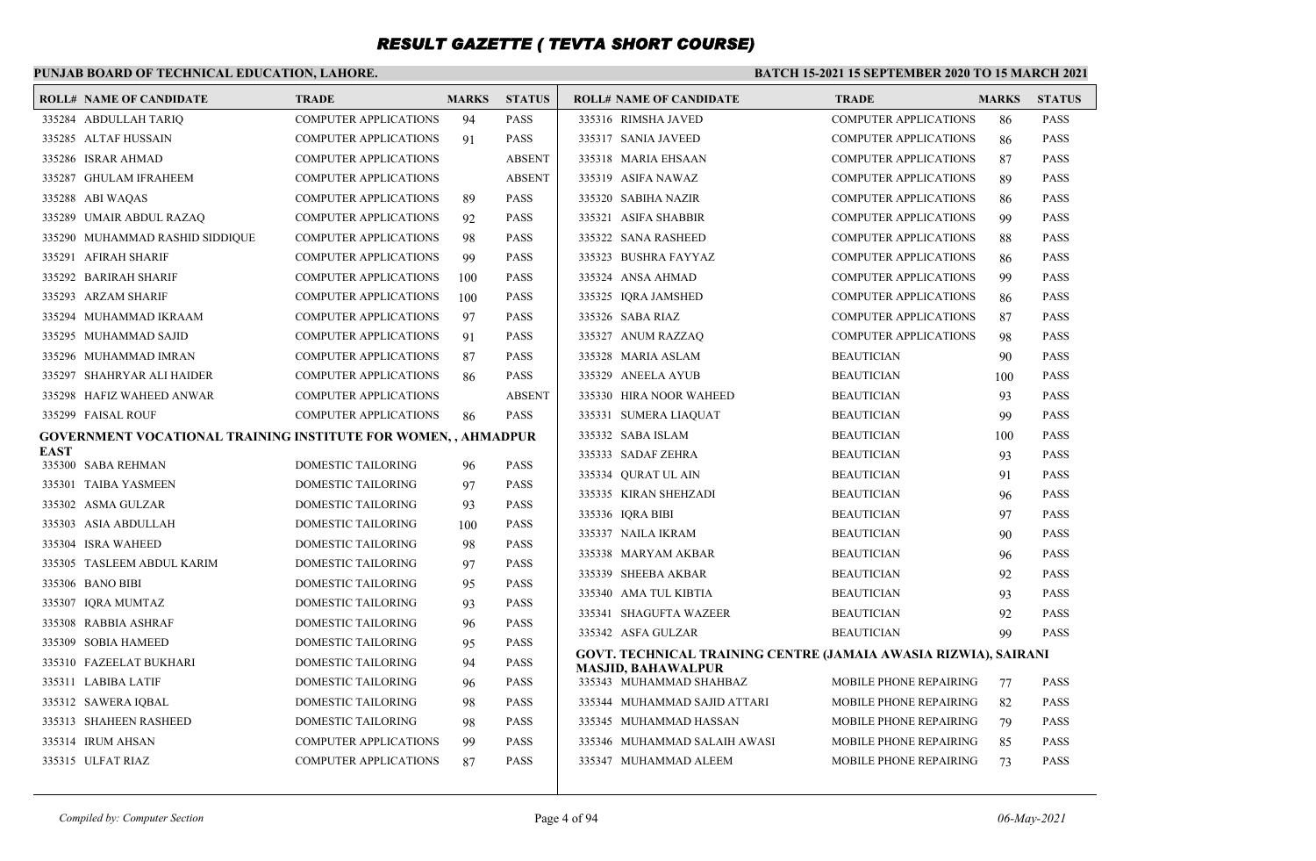### **PUNJAB BOARD OF TECHNICAL EDUCATION, LAHORE.**

| <b>ROLL# NAME OF CANDIDATE</b>                                        | <b>TRADE</b>                 | <b>MARKS</b> | <b>STATUS</b> | <b>ROLL# NAME OF CANDIDATE</b>                                  | <b>TRADE</b>                  | <b>MARKS</b> | <b>STATUS</b> |
|-----------------------------------------------------------------------|------------------------------|--------------|---------------|-----------------------------------------------------------------|-------------------------------|--------------|---------------|
| 335284 ABDULLAH TARIQ                                                 | <b>COMPUTER APPLICATIONS</b> | 94           | PASS          | 335316 RIMSHA JAVED                                             | <b>COMPUTER APPLICATIONS</b>  | 86           | PASS          |
| 335285 ALTAF HUSSAIN                                                  | COMPUTER APPLICATIONS        | 91           | <b>PASS</b>   | 335317 SANIA JAVEED                                             | <b>COMPUTER APPLICATIONS</b>  | 86           | <b>PASS</b>   |
| 335286 ISRAR AHMAD                                                    | <b>COMPUTER APPLICATIONS</b> |              | <b>ABSENT</b> | 335318 MARIA EHSAAN                                             | <b>COMPUTER APPLICATIONS</b>  | 87           | PASS          |
| 335287 GHULAM IFRAHEEM                                                | <b>COMPUTER APPLICATIONS</b> |              | <b>ABSENT</b> | 335319 ASIFA NAWAZ                                              | <b>COMPUTER APPLICATIONS</b>  | 89           | PASS          |
| 335288 ABI WAQAS                                                      | <b>COMPUTER APPLICATIONS</b> | 89           | <b>PASS</b>   | 335320 SABIHA NAZIR                                             | <b>COMPUTER APPLICATIONS</b>  | 86           | PASS          |
| 335289 UMAIR ABDUL RAZAQ                                              | <b>COMPUTER APPLICATIONS</b> | 92           | PASS          | 335321 ASIFA SHABBIR                                            | <b>COMPUTER APPLICATIONS</b>  | 99           | PASS          |
| 335290 MUHAMMAD RASHID SIDDIQUE                                       | <b>COMPUTER APPLICATIONS</b> | 98           | PASS          | 335322 SANA RASHEED                                             | <b>COMPUTER APPLICATIONS</b>  | 88           | PASS          |
| 335291 AFIRAH SHARIF                                                  | <b>COMPUTER APPLICATIONS</b> | 99           | PASS          | 335323 BUSHRA FAYYAZ                                            | <b>COMPUTER APPLICATIONS</b>  | 86           | PASS          |
| 335292 BARIRAH SHARIF                                                 | COMPUTER APPLICATIONS        | 100          | <b>PASS</b>   | 335324 ANSA AHMAD                                               | <b>COMPUTER APPLICATIONS</b>  | 99           | <b>PASS</b>   |
| 335293 ARZAM SHARIF                                                   | <b>COMPUTER APPLICATIONS</b> | 100          | PASS          | 335325 IQRA JAMSHED                                             | <b>COMPUTER APPLICATIONS</b>  | 86           | <b>PASS</b>   |
| 335294 MUHAMMAD IKRAAM                                                | <b>COMPUTER APPLICATIONS</b> | 97           | <b>PASS</b>   | 335326 SABA RIAZ                                                | <b>COMPUTER APPLICATIONS</b>  | 87           | <b>PASS</b>   |
| 335295 MUHAMMAD SAJID                                                 | <b>COMPUTER APPLICATIONS</b> | 91           | PASS          | 335327 ANUM RAZZAQ                                              | <b>COMPUTER APPLICATIONS</b>  | 98           | PASS          |
| 335296 MUHAMMAD IMRAN                                                 | <b>COMPUTER APPLICATIONS</b> | 87           | <b>PASS</b>   | 335328 MARIA ASLAM                                              | <b>BEAUTICIAN</b>             | 90           | <b>PASS</b>   |
| 335297 SHAHRYAR ALI HAIDER                                            | <b>COMPUTER APPLICATIONS</b> | 86           | PASS          | 335329 ANEELA AYUB                                              | <b>BEAUTICIAN</b>             | 100          | <b>PASS</b>   |
| 335298 HAFIZ WAHEED ANWAR                                             | <b>COMPUTER APPLICATIONS</b> |              | <b>ABSENT</b> | 335330 HIRA NOOR WAHEED                                         | <b>BEAUTICIAN</b>             | 93           | <b>PASS</b>   |
| 335299 FAISAL ROUF                                                    | <b>COMPUTER APPLICATIONS</b> | 86           | PASS          | 335331 SUMERA LIAQUAT                                           | <b>BEAUTICIAN</b>             | 99           | <b>PASS</b>   |
| <b>GOVERNMENT VOCATIONAL TRAINING INSTITUTE FOR WOMEN, , AHMADPUR</b> |                              |              |               | 335332 SABA ISLAM                                               | <b>BEAUTICIAN</b>             | 100          | <b>PASS</b>   |
| <b>EAST</b><br>335300 SABA REHMAN                                     | DOMESTIC TAILORING           | 96           | <b>PASS</b>   | 335333 SADAF ZEHRA                                              | <b>BEAUTICIAN</b>             | 93           | <b>PASS</b>   |
| 335301 TAIBA YASMEEN                                                  | DOMESTIC TAILORING           | 97           | PASS          | 335334 QURAT UL AIN                                             | <b>BEAUTICIAN</b>             | 91           | <b>PASS</b>   |
| 335302 ASMA GULZAR                                                    | DOMESTIC TAILORING           | 93           | PASS          | 335335 KIRAN SHEHZADI                                           | <b>BEAUTICIAN</b>             | 96           | <b>PASS</b>   |
| 335303 ASIA ABDULLAH                                                  | DOMESTIC TAILORING           | 100          | PASS          | 335336 IQRA BIBI                                                | <b>BEAUTICIAN</b>             | 97           | <b>PASS</b>   |
| 335304 ISRA WAHEED                                                    | DOMESTIC TAILORING           | 98           | PASS          | 335337 NAILA IKRAM                                              | <b>BEAUTICIAN</b>             | 90           | <b>PASS</b>   |
| 335305 TASLEEM ABDUL KARIM                                            | DOMESTIC TAILORING           | 97           | <b>PASS</b>   | 335338 MARYAM AKBAR                                             | <b>BEAUTICIAN</b>             | 96           | <b>PASS</b>   |
| 335306 BANO BIBI                                                      | DOMESTIC TAILORING           | 95           | PASS          | 335339 SHEEBA AKBAR                                             | <b>BEAUTICIAN</b>             | 92           | <b>PASS</b>   |
| 335307 IORA MUMTAZ                                                    | DOMESTIC TAILORING           | 93           | <b>PASS</b>   | 335340 AMA TUL KIBTIA                                           | <b>BEAUTICIAN</b>             | 93           | PASS          |
| 335308 RABBIA ASHRAF                                                  | DOMESTIC TAILORING           | 96           | PASS          | 335341 SHAGUFTA WAZEER                                          | <b>BEAUTICIAN</b>             | 92           | <b>PASS</b>   |
| 335309 SOBIA HAMEED                                                   | DOMESTIC TAILORING           | 95           | PASS          | 335342 ASFA GULZAR                                              | <b>BEAUTICIAN</b>             | 99           | <b>PASS</b>   |
| 335310 FAZEELAT BUKHARI                                               | DOMESTIC TAILORING           | 94           | PASS          | GOVT. TECHNICAL TRAINING CENTRE (JAMAIA AWASIA RIZWIA), SAIRANI |                               |              |               |
| 335311 LABIBA LATIF                                                   | <b>DOMESTIC TAILORING</b>    | 96           | PASS          | <b>MASJID, BAHAWALPUR</b><br>335343 MUHAMMAD SHAHBAZ            | <b>MOBILE PHONE REPAIRING</b> | 77           | <b>PASS</b>   |
| 335312 SAWERA IQBAL                                                   | <b>DOMESTIC TAILORING</b>    | 98           | <b>PASS</b>   | 335344 MUHAMMAD SAJID ATTARI                                    | MOBILE PHONE REPAIRING        | 82           | <b>PASS</b>   |
| 335313 SHAHEEN RASHEED                                                | DOMESTIC TAILORING           | 98           | PASS          | 335345 MUHAMMAD HASSAN                                          | <b>MOBILE PHONE REPAIRING</b> | 79           | <b>PASS</b>   |
| 335314 IRUM AHSAN                                                     | <b>COMPUTER APPLICATIONS</b> | 99           | PASS          | 335346 MUHAMMAD SALAIH AWASI                                    | MOBILE PHONE REPAIRING        | 85           | <b>PASS</b>   |
| 335315 ULFAT RIAZ                                                     | <b>COMPUTER APPLICATIONS</b> | 87           | PASS          | 335347 MUHAMMAD ALEEM                                           | MOBILE PHONE REPAIRING        | 73           | <b>PASS</b>   |
|                                                                       |                              |              |               |                                                                 |                               |              |               |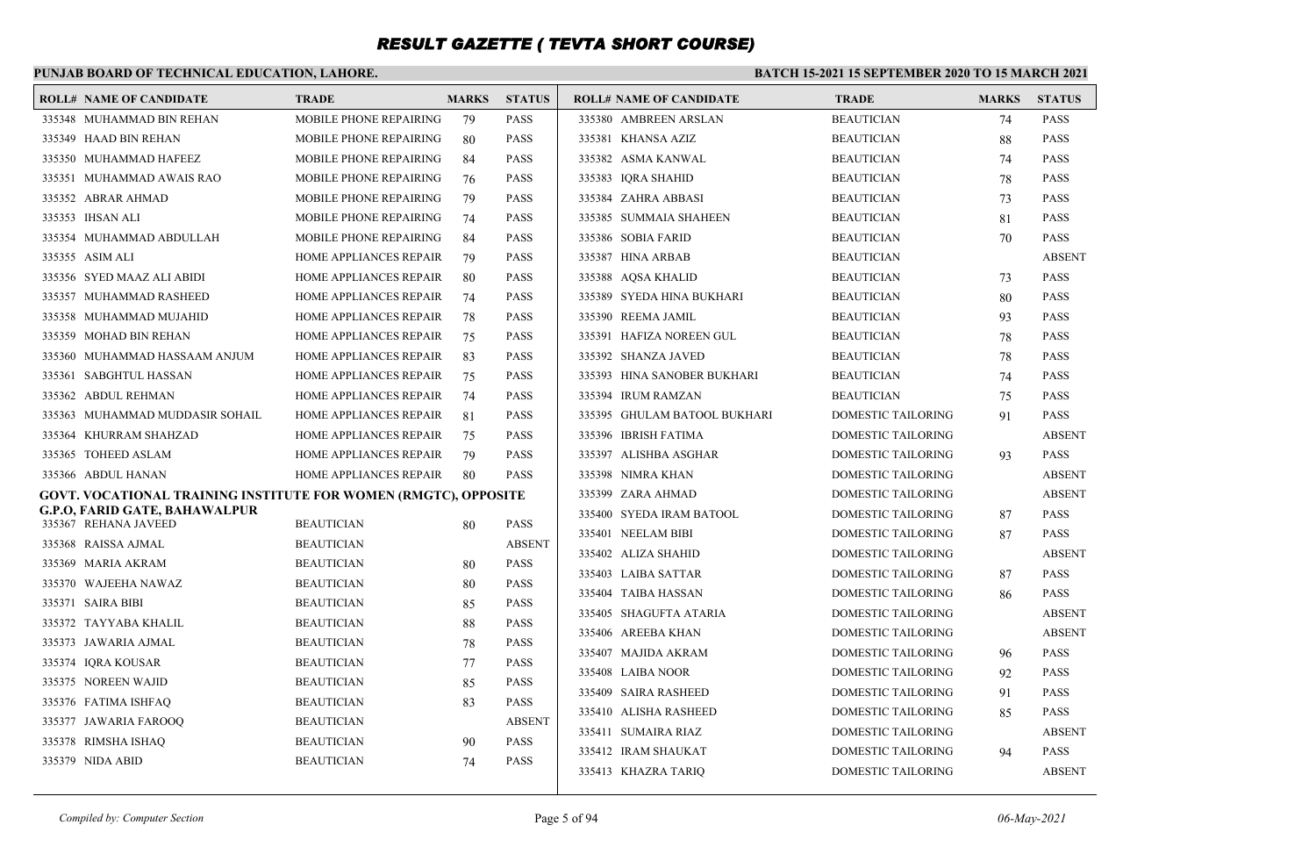## **PUNJAB BOARD OF TECHNICAL EDUCATION, LAHORE.**

| <b>ROLL# NAME OF CANDIDATE</b>                                         | <b>TRADE</b>                  | <b>MARKS</b> | <b>STATUS</b> | <b>ROLL# NAME OF CANDIDATE</b> | <b>TRADE</b>              | <b>MARKS</b> | <b>STATUS</b> |
|------------------------------------------------------------------------|-------------------------------|--------------|---------------|--------------------------------|---------------------------|--------------|---------------|
| 335348 MUHAMMAD BIN REHAN                                              | MOBILE PHONE REPAIRING        | 79           | PASS          | 335380 AMBREEN ARSLAN          | <b>BEAUTICIAN</b>         | 74           | PASS          |
| 335349 HAAD BIN REHAN                                                  | MOBILE PHONE REPAIRING        | 80           | <b>PASS</b>   | 335381 KHANSA AZIZ             | <b>BEAUTICIAN</b>         | 88           | <b>PASS</b>   |
| 335350 MUHAMMAD HAFEEZ                                                 | <b>MOBILE PHONE REPAIRING</b> | 84           | <b>PASS</b>   | 335382 ASMA KANWAL             | <b>BEAUTICIAN</b>         | 74           | <b>PASS</b>   |
| 335351 MUHAMMAD AWAIS RAO                                              | MOBILE PHONE REPAIRING        | 76           | <b>PASS</b>   | 335383 IQRA SHAHID             | <b>BEAUTICIAN</b>         | 78           | PASS          |
| 335352 ABRAR AHMAD                                                     | MOBILE PHONE REPAIRING        | 79           | <b>PASS</b>   | 335384 ZAHRA ABBASI            | <b>BEAUTICIAN</b>         | 73           | <b>PASS</b>   |
| 335353 IHSAN ALI                                                       | <b>MOBILE PHONE REPAIRING</b> | 74           | PASS          | 335385 SUMMAIA SHAHEEN         | <b>BEAUTICIAN</b>         | 81           | PASS          |
| 335354 MUHAMMAD ABDULLAH                                               | MOBILE PHONE REPAIRING        | 84           | PASS          | 335386 SOBIA FARID             | <b>BEAUTICIAN</b>         | 70           | PASS          |
| 335355 ASIM ALI                                                        | <b>HOME APPLIANCES REPAIR</b> | 79           | PASS          | 335387 HINA ARBAB              | <b>BEAUTICIAN</b>         |              | <b>ABSENT</b> |
| 335356 SYED MAAZ ALI ABIDI                                             | HOME APPLIANCES REPAIR        | 80           | PASS          | 335388 AQSA KHALID             | <b>BEAUTICIAN</b>         | 73           | PASS          |
| 335357 MUHAMMAD RASHEED                                                | HOME APPLIANCES REPAIR        | 74           | PASS          | 335389 SYEDA HINA BUKHARI      | <b>BEAUTICIAN</b>         | 80           | PASS          |
| 335358 MUHAMMAD MUJAHID                                                | HOME APPLIANCES REPAIR        | 78           | <b>PASS</b>   | 335390 REEMA JAMIL             | <b>BEAUTICIAN</b>         | 93           | <b>PASS</b>   |
| 335359 MOHAD BIN REHAN                                                 | HOME APPLIANCES REPAIR        | 75           | PASS          | 335391 HAFIZA NOREEN GUL       | <b>BEAUTICIAN</b>         | 78           | PASS          |
| 335360 MUHAMMAD HASSAAM ANJUM                                          | <b>HOME APPLIANCES REPAIR</b> | 83           | <b>PASS</b>   | 335392 SHANZA JAVED            | <b>BEAUTICIAN</b>         | 78           | <b>PASS</b>   |
| 335361 SABGHTUL HASSAN                                                 | HOME APPLIANCES REPAIR        | 75           | <b>PASS</b>   | 335393 HINA SANOBER BUKHARI    | <b>BEAUTICIAN</b>         | 74           | <b>PASS</b>   |
| 335362 ABDUL REHMAN                                                    | HOME APPLIANCES REPAIR        | 74           | <b>PASS</b>   | 335394 IRUM RAMZAN             | <b>BEAUTICIAN</b>         | 75           | PASS          |
| 335363 MUHAMMAD MUDDASIR SOHAIL                                        | <b>HOME APPLIANCES REPAIR</b> | 81           | <b>PASS</b>   | 335395 GHULAM BATOOL BUKHARI   | <b>DOMESTIC TAILORING</b> | 91           | <b>PASS</b>   |
| 335364 KHURRAM SHAHZAD                                                 | HOME APPLIANCES REPAIR        | 75           | <b>PASS</b>   | 335396 IBRISH FATIMA           | <b>DOMESTIC TAILORING</b> |              | <b>ABSENT</b> |
| 335365 TOHEED ASLAM                                                    | <b>HOME APPLIANCES REPAIR</b> | 79           | <b>PASS</b>   | 335397 ALISHBA ASGHAR          | DOMESTIC TAILORING        | 93           | <b>PASS</b>   |
| 335366 ABDUL HANAN                                                     | HOME APPLIANCES REPAIR        | 80           | <b>PASS</b>   | 335398 NIMRA KHAN              | <b>DOMESTIC TAILORING</b> |              | <b>ABSENT</b> |
| <b>GOVT. VOCATIONAL TRAINING INSTITUTE FOR WOMEN (RMGTC), OPPOSITE</b> |                               |              |               | 335399 ZARA AHMAD              | <b>DOMESTIC TAILORING</b> |              | <b>ABSENT</b> |
| G.P.O, FARID GATE, BAHAWALPUR                                          |                               |              |               | 335400 SYEDA IRAM BATOOL       | <b>DOMESTIC TAILORING</b> | 87           | <b>PASS</b>   |
| 335367 REHANA JAVEED                                                   | <b>BEAUTICIAN</b>             | 80           | <b>PASS</b>   | 335401 NEELAM BIBI             | <b>DOMESTIC TAILORING</b> | 87           | <b>PASS</b>   |
| 335368 RAISSA AJMAL                                                    | <b>BEAUTICIAN</b>             |              | <b>ABSENT</b> | 335402 ALIZA SHAHID            | <b>DOMESTIC TAILORING</b> |              | <b>ABSENT</b> |
| 335369 MARIA AKRAM                                                     | <b>BEAUTICIAN</b>             | 80           | <b>PASS</b>   | 335403 LAIBA SATTAR            | <b>DOMESTIC TAILORING</b> | 87           | <b>PASS</b>   |
| 335370 WAJEEHA NAWAZ                                                   | <b>BEAUTICIAN</b>             | 80           | <b>PASS</b>   | 335404 TAIBA HASSAN            | <b>DOMESTIC TAILORING</b> | 86           | <b>PASS</b>   |
| 335371 SAIRA BIBI                                                      | <b>BEAUTICIAN</b>             | 85           | <b>PASS</b>   | 335405 SHAGUFTA ATARIA         | <b>DOMESTIC TAILORING</b> |              | <b>ABSENT</b> |
| 335372 TAYYABA KHALIL                                                  | <b>BEAUTICIAN</b>             | 88           | <b>PASS</b>   | 335406 AREEBA KHAN             | <b>DOMESTIC TAILORING</b> |              | <b>ABSENT</b> |
| 335373 JAWARIA AJMAL                                                   | <b>BEAUTICIAN</b>             | 78           | <b>PASS</b>   | 335407 MAJIDA AKRAM            | DOMESTIC TAILORING        | 96           | <b>PASS</b>   |
| 335374 IORA KOUSAR                                                     | <b>BEAUTICIAN</b>             | 77           | <b>PASS</b>   | 335408 LAIBA NOOR              | <b>DOMESTIC TAILORING</b> | 92           | <b>PASS</b>   |
| 335375 NOREEN WAJID                                                    | <b>BEAUTICIAN</b>             | 85           | <b>PASS</b>   | 335409 SAIRA RASHEED           | <b>DOMESTIC TAILORING</b> | 91           | <b>PASS</b>   |
| 335376 FATIMA ISHFAQ                                                   | <b>BEAUTICIAN</b>             | 83           | PASS          | 335410 ALISHA RASHEED          | <b>DOMESTIC TAILORING</b> | 85           | <b>PASS</b>   |
| 335377 JAWARIA FAROOQ                                                  | <b>BEAUTICIAN</b>             |              | <b>ABSENT</b> | 335411 SUMAIRA RIAZ            | <b>DOMESTIC TAILORING</b> |              | <b>ABSENT</b> |
| 335378 RIMSHA ISHAQ                                                    | <b>BEAUTICIAN</b>             | 90           | <b>PASS</b>   | 335412 IRAM SHAUKAT            | <b>DOMESTIC TAILORING</b> | 94           | <b>PASS</b>   |
| 335379 NIDA ABID                                                       | <b>BEAUTICIAN</b>             | 74           | PASS          | 335413 KHAZRA TARIO            | <b>DOMESTIC TAILORING</b> |              | <b>ABSENT</b> |
|                                                                        |                               |              |               |                                |                           |              |               |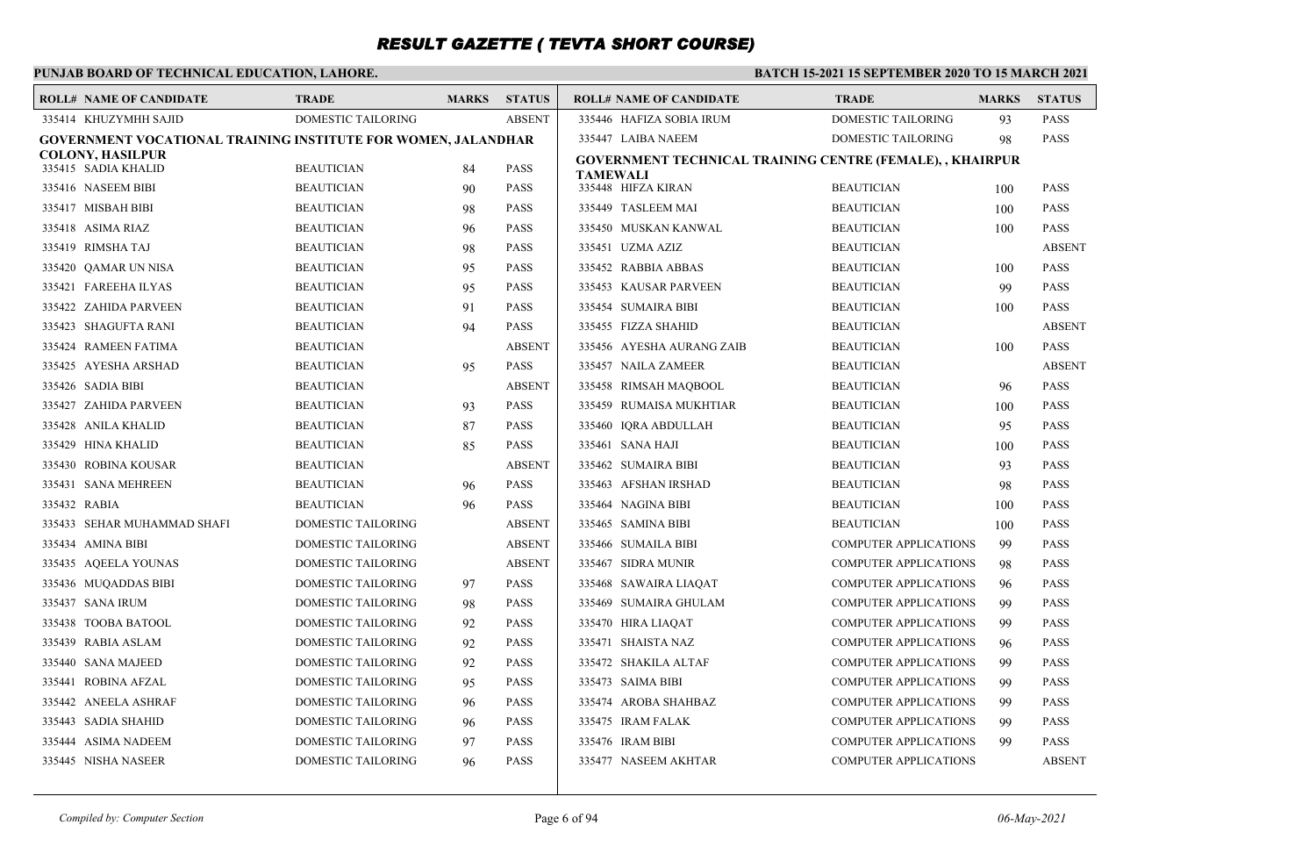### **PUNJAB BOARD OF TECHNICAL EDUCATION, LAHORE.**

| <b>ROLL# NAME OF CANDIDATE</b>                                | <b>TRADE</b>              | <b>MARKS</b> | <b>STATUS</b> | <b>ROLL# NAME OF CANDIDATE</b>                            | <b>TRADE</b>                 | <b>MARKS</b> | <b>STATUS</b> |
|---------------------------------------------------------------|---------------------------|--------------|---------------|-----------------------------------------------------------|------------------------------|--------------|---------------|
| 335414 KHUZYMHH SAJID                                         | DOMESTIC TAILORING        |              | <b>ABSENT</b> | 335446 HAFIZA SOBIA IRUM                                  | <b>DOMESTIC TAILORING</b>    | 93           | <b>PASS</b>   |
| GOVERNMENT VOCATIONAL TRAINING INSTITUTE FOR WOMEN, JALANDHAR |                           |              |               | 335447 LAIBA NAEEM                                        | DOMESTIC TAILORING           | 98           | <b>PASS</b>   |
| COLONY, HASILPUR<br>335415 SADIA KHALID                       | <b>BEAUTICIAN</b>         | 84           | <b>PASS</b>   | GOVERNMENT TECHNICAL TRAINING CENTRE (FEMALE), , KHAIRPUR |                              |              |               |
| 335416 NASEEM BIBI                                            | <b>BEAUTICIAN</b>         | 90           | <b>PASS</b>   | TAMEWALI<br>335448 HIFZA KIRAN                            | <b>BEAUTICIAN</b>            | 100          | <b>PASS</b>   |
| 335417 MISBAH BIBI                                            | <b>BEAUTICIAN</b>         | 98           | <b>PASS</b>   | 335449 TASLEEM MAI                                        | <b>BEAUTICIAN</b>            | 100          | <b>PASS</b>   |
| 335418 ASIMA RIAZ                                             | <b>BEAUTICIAN</b>         | 96           | <b>PASS</b>   | 335450 MUSKAN KANWAL                                      | <b>BEAUTICIAN</b>            | 100          | <b>PASS</b>   |
| 335419 RIMSHA TAJ                                             | <b>BEAUTICIAN</b>         | 98           | <b>PASS</b>   | 335451 UZMA AZIZ                                          | <b>BEAUTICIAN</b>            |              | <b>ABSENT</b> |
| 335420 QAMAR UN NISA                                          | <b>BEAUTICIAN</b>         | 95           | <b>PASS</b>   | 335452 RABBIA ABBAS                                       | <b>BEAUTICIAN</b>            | 100          | <b>PASS</b>   |
| 335421 FAREEHA ILYAS                                          | <b>BEAUTICIAN</b>         | 95           | <b>PASS</b>   | 335453 KAUSAR PARVEEN                                     | <b>BEAUTICIAN</b>            | 99           | <b>PASS</b>   |
| 335422 ZAHIDA PARVEEN                                         | <b>BEAUTICIAN</b>         | 91           | <b>PASS</b>   | 335454 SUMAIRA BIBI                                       | <b>BEAUTICIAN</b>            | 100          | <b>PASS</b>   |
| 335423 SHAGUFTA RANI                                          | <b>BEAUTICIAN</b>         | 94           | <b>PASS</b>   | 335455 FIZZA SHAHID                                       | <b>BEAUTICIAN</b>            |              | <b>ABSENT</b> |
| 335424 RAMEEN FATIMA                                          | <b>BEAUTICIAN</b>         |              | <b>ABSENT</b> | 335456 AYESHA AURANG ZAIB                                 | <b>BEAUTICIAN</b>            | 100          | <b>PASS</b>   |
| 335425 AYESHA ARSHAD                                          | <b>BEAUTICIAN</b>         | 95           | <b>PASS</b>   | 335457 NAILA ZAMEER                                       | <b>BEAUTICIAN</b>            |              | <b>ABSENT</b> |
| 335426 SADIA BIBI                                             | <b>BEAUTICIAN</b>         |              | <b>ABSENT</b> | 335458 RIMSAH MAOBOOL                                     | <b>BEAUTICIAN</b>            | 96           | <b>PASS</b>   |
| 335427 ZAHIDA PARVEEN                                         | <b>BEAUTICIAN</b>         | 93           | <b>PASS</b>   | 335459 RUMAISA MUKHTIAR                                   | <b>BEAUTICIAN</b>            | 100          | <b>PASS</b>   |
| 335428 ANILA KHALID                                           | <b>BEAUTICIAN</b>         | 87           | <b>PASS</b>   | 335460 IORA ABDULLAH                                      | <b>BEAUTICIAN</b>            | 95           | <b>PASS</b>   |
| 335429 HINA KHALID                                            | <b>BEAUTICIAN</b>         | 85           | <b>PASS</b>   | 335461 SANA HAJI                                          | <b>BEAUTICIAN</b>            | 100          | <b>PASS</b>   |
| 335430 ROBINA KOUSAR                                          | <b>BEAUTICIAN</b>         |              | <b>ABSENT</b> | 335462 SUMAIRA BIBI                                       | <b>BEAUTICIAN</b>            | 93           | <b>PASS</b>   |
| 335431 SANA MEHREEN                                           | <b>BEAUTICIAN</b>         | 96           | <b>PASS</b>   | 335463 AFSHAN IRSHAD                                      | <b>BEAUTICIAN</b>            | 98           | <b>PASS</b>   |
| 335432 RABIA                                                  | <b>BEAUTICIAN</b>         | 96           | <b>PASS</b>   | 335464 NAGINA BIBI                                        | <b>BEAUTICIAN</b>            | 100          | <b>PASS</b>   |
| 335433 SEHAR MUHAMMAD SHAFI                                   | <b>DOMESTIC TAILORING</b> |              | <b>ABSENT</b> | 335465 SAMINA BIBI                                        | <b>BEAUTICIAN</b>            | 100          | <b>PASS</b>   |
| 335434 AMINA BIBI                                             | DOMESTIC TAILORING        |              | <b>ABSENT</b> | 335466 SUMAILA BIBI                                       | COMPUTER APPLICATIONS        | 99           | <b>PASS</b>   |
| 335435 AQEELA YOUNAS                                          | <b>DOMESTIC TAILORING</b> |              | <b>ABSENT</b> | 335467 SIDRA MUNIR                                        | <b>COMPUTER APPLICATIONS</b> | 98           | <b>PASS</b>   |
| 335436 MUQADDAS BIBI                                          | DOMESTIC TAILORING        | 97           | <b>PASS</b>   | 335468 SAWAIRA LIAQAT                                     | <b>COMPUTER APPLICATIONS</b> | 96           | <b>PASS</b>   |
| 335437 SANA IRUM                                              | <b>DOMESTIC TAILORING</b> | 98           | <b>PASS</b>   | 335469 SUMAIRA GHULAM                                     | <b>COMPUTER APPLICATIONS</b> | 99           | <b>PASS</b>   |
| 335438 TOOBA BATOOL                                           | DOMESTIC TAILORING        | 92           | <b>PASS</b>   | 335470 HIRA LIAQAT                                        | <b>COMPUTER APPLICATIONS</b> | 99           | <b>PASS</b>   |
| 335439 RABIA ASLAM                                            | <b>DOMESTIC TAILORING</b> | 92           | <b>PASS</b>   | 335471 SHAISTA NAZ                                        | <b>COMPUTER APPLICATIONS</b> | 96           | <b>PASS</b>   |
| 335440 SANA MAJEED                                            | DOMESTIC TAILORING        | 92           | <b>PASS</b>   | 335472 SHAKILA ALTAF                                      | <b>COMPUTER APPLICATIONS</b> | 99           | <b>PASS</b>   |
| 335441 ROBINA AFZAL                                           | <b>DOMESTIC TAILORING</b> | 95           | <b>PASS</b>   | 335473 SAIMA BIBI                                         | <b>COMPUTER APPLICATIONS</b> | 99           | <b>PASS</b>   |
| 335442 ANEELA ASHRAF                                          | <b>DOMESTIC TAILORING</b> | 96           | <b>PASS</b>   | 335474 AROBA SHAHBAZ                                      | <b>COMPUTER APPLICATIONS</b> | 99           | <b>PASS</b>   |
| 335443 SADIA SHAHID                                           | <b>DOMESTIC TAILORING</b> | 96           | <b>PASS</b>   | 335475 IRAM FALAK                                         | <b>COMPUTER APPLICATIONS</b> | 99           | <b>PASS</b>   |
| 335444 ASIMA NADEEM                                           | <b>DOMESTIC TAILORING</b> | 97           | <b>PASS</b>   | 335476 IRAM BIBI                                          | <b>COMPUTER APPLICATIONS</b> | 99           | <b>PASS</b>   |
| 335445 NISHA NASEER                                           | <b>DOMESTIC TAILORING</b> | 96           | <b>PASS</b>   | 335477 NASEEM AKHTAR                                      | <b>COMPUTER APPLICATIONS</b> |              | <b>ABSENT</b> |
|                                                               |                           |              |               |                                                           |                              |              |               |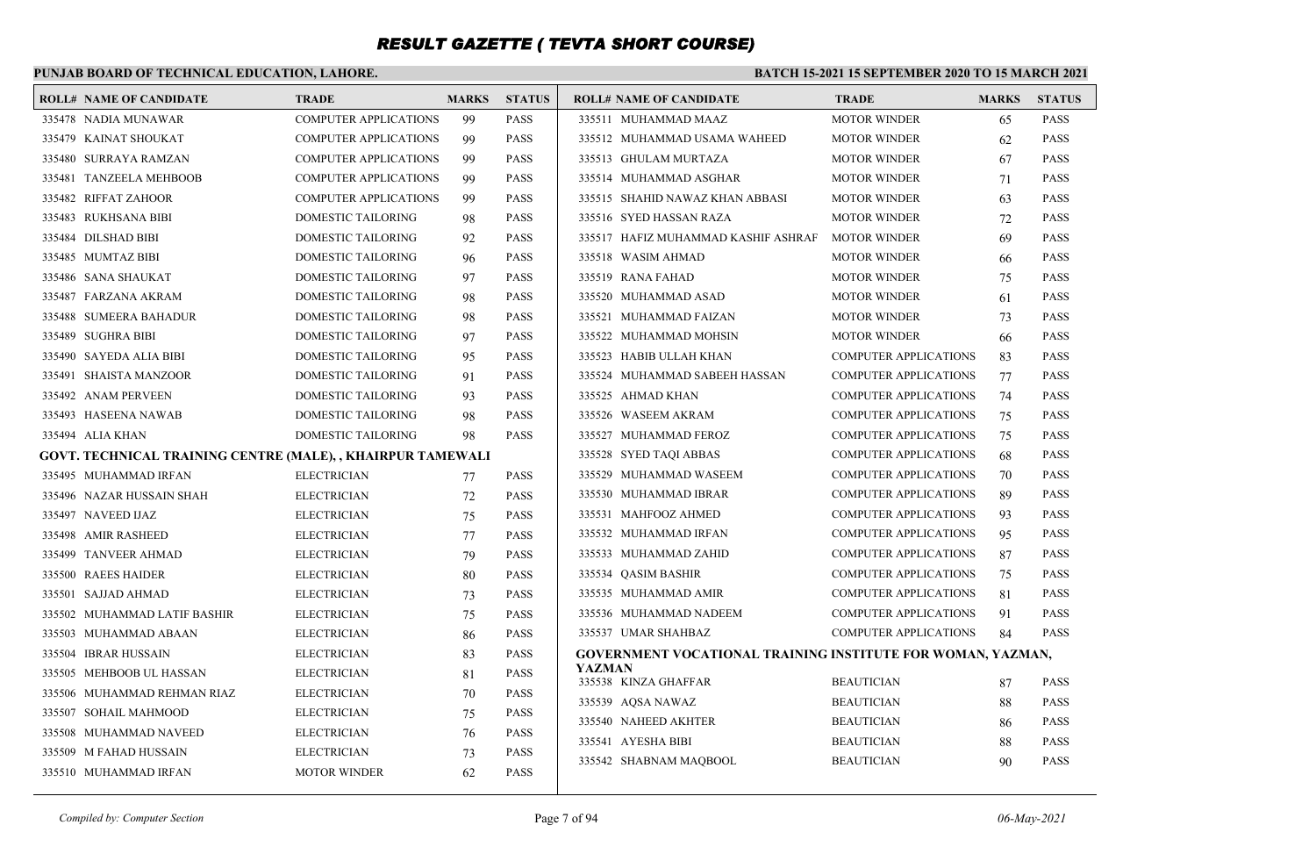### **PUNJAB BOARD OF TECHNICAL EDUCATION, LAHORE.**

| <b>ROLL# NAME OF CANDIDATE</b>                              | <b>TRADE</b>                 | <b>MARKS</b> | <b>STATUS</b> | <b>ROLL# NAME OF CANDIDATE</b>                              | <b>TRADE</b>                 | <b>MARKS</b> | <b>STATUS</b> |
|-------------------------------------------------------------|------------------------------|--------------|---------------|-------------------------------------------------------------|------------------------------|--------------|---------------|
| 335478 NADIA MUNAWAR                                        | <b>COMPUTER APPLICATIONS</b> | 99           | <b>PASS</b>   | 335511 MUHAMMAD MAAZ                                        | <b>MOTOR WINDER</b>          | 65           | <b>PASS</b>   |
| 335479 KAINAT SHOUKAT                                       | <b>COMPUTER APPLICATIONS</b> | 99           | <b>PASS</b>   | 335512 MUHAMMAD USAMA WAHEED                                | <b>MOTOR WINDER</b>          | 62           | <b>PASS</b>   |
| 335480 SURRAYA RAMZAN                                       | <b>COMPUTER APPLICATIONS</b> | 99           | <b>PASS</b>   | 335513 GHULAM MURTAZA                                       | <b>MOTOR WINDER</b>          | 67           | <b>PASS</b>   |
| 335481 TANZEELA MEHBOOB                                     | COMPUTER APPLICATIONS        | 99           | <b>PASS</b>   | 335514 MUHAMMAD ASGHAR                                      | <b>MOTOR WINDER</b>          | 71           | <b>PASS</b>   |
| 335482 RIFFAT ZAHOOR                                        | <b>COMPUTER APPLICATIONS</b> | 99           | <b>PASS</b>   | 335515 SHAHID NAWAZ KHAN ABBASI                             | <b>MOTOR WINDER</b>          | 63           | <b>PASS</b>   |
| 335483 RUKHSANA BIBI                                        | DOMESTIC TAILORING           | 98           | <b>PASS</b>   | 335516 SYED HASSAN RAZA                                     | <b>MOTOR WINDER</b>          | 72           | <b>PASS</b>   |
| 335484 DILSHAD BIBI                                         | DOMESTIC TAILORING           | 92           | <b>PASS</b>   | 335517 HAFIZ MUHAMMAD KASHIF ASHRAF                         | <b>MOTOR WINDER</b>          | 69           | <b>PASS</b>   |
| 335485 MUMTAZ BIBI                                          | DOMESTIC TAILORING           | 96           | <b>PASS</b>   | 335518 WASIM AHMAD                                          | <b>MOTOR WINDER</b>          | 66           | <b>PASS</b>   |
| 335486 SANA SHAUKAT                                         | DOMESTIC TAILORING           | 97           | <b>PASS</b>   | 335519 RANA FAHAD                                           | <b>MOTOR WINDER</b>          | 75           | <b>PASS</b>   |
| 335487 FARZANA AKRAM                                        | DOMESTIC TAILORING           | 98           | <b>PASS</b>   | 335520 MUHAMMAD ASAD                                        | <b>MOTOR WINDER</b>          | 61           | <b>PASS</b>   |
| 335488 SUMEERA BAHADUR                                      | DOMESTIC TAILORING           | 98           | <b>PASS</b>   | 335521 MUHAMMAD FAIZAN                                      | <b>MOTOR WINDER</b>          | 73           | <b>PASS</b>   |
| 335489 SUGHRA BIBI                                          | DOMESTIC TAILORING           | 97           | <b>PASS</b>   | 335522 MUHAMMAD MOHSIN                                      | <b>MOTOR WINDER</b>          | 66           | <b>PASS</b>   |
| 335490 SAYEDA ALIA BIBI                                     | DOMESTIC TAILORING           | 95           | <b>PASS</b>   | 335523 HABIB ULLAH KHAN                                     | <b>COMPUTER APPLICATIONS</b> | 83           | <b>PASS</b>   |
| 335491 SHAISTA MANZOOR                                      | DOMESTIC TAILORING           | 91           | <b>PASS</b>   | 335524 MUHAMMAD SABEEH HASSAN                               | <b>COMPUTER APPLICATIONS</b> | 77           | <b>PASS</b>   |
| 335492 ANAM PERVEEN                                         | DOMESTIC TAILORING           | 93           | <b>PASS</b>   | 335525 AHMAD KHAN                                           | <b>COMPUTER APPLICATIONS</b> | 74           | <b>PASS</b>   |
| 335493 HASEENA NAWAB                                        | DOMESTIC TAILORING           | 98           | <b>PASS</b>   | 335526 WASEEM AKRAM                                         | <b>COMPUTER APPLICATIONS</b> | 75           | <b>PASS</b>   |
| 335494 ALIA KHAN                                            | DOMESTIC TAILORING           | 98           | <b>PASS</b>   | 335527 MUHAMMAD FEROZ                                       | <b>COMPUTER APPLICATIONS</b> | 75           | <b>PASS</b>   |
| GOVT. TECHNICAL TRAINING CENTRE (MALE), , KHAIRPUR TAMEWALI |                              |              |               | 335528 SYED TAOI ABBAS                                      | <b>COMPUTER APPLICATIONS</b> | 68           | <b>PASS</b>   |
| 335495 MUHAMMAD IRFAN                                       | <b>ELECTRICIAN</b>           | 77           | <b>PASS</b>   | 335529 MUHAMMAD WASEEM                                      | <b>COMPUTER APPLICATIONS</b> | 70           | <b>PASS</b>   |
| 335496 NAZAR HUSSAIN SHAH                                   | <b>ELECTRICIAN</b>           | 72           | <b>PASS</b>   | 335530 MUHAMMAD IBRAR                                       | <b>COMPUTER APPLICATIONS</b> | 89           | <b>PASS</b>   |
| 335497 NAVEED IJAZ                                          | <b>ELECTRICIAN</b>           | 75           | <b>PASS</b>   | 335531 MAHFOOZ AHMED                                        | <b>COMPUTER APPLICATIONS</b> | 93           | <b>PASS</b>   |
| 335498 AMIR RASHEED                                         | <b>ELECTRICIAN</b>           | 77           | <b>PASS</b>   | 335532 MUHAMMAD IRFAN                                       | <b>COMPUTER APPLICATIONS</b> | 95           | <b>PASS</b>   |
| 335499 TANVEER AHMAD                                        | <b>ELECTRICIAN</b>           | 79           | <b>PASS</b>   | 335533 MUHAMMAD ZAHID                                       | <b>COMPUTER APPLICATIONS</b> | 87           | <b>PASS</b>   |
| 335500 RAEES HAIDER                                         | <b>ELECTRICIAN</b>           | 80           | <b>PASS</b>   | 335534 QASIM BASHIR                                         | <b>COMPUTER APPLICATIONS</b> | 75           | <b>PASS</b>   |
| 335501 SAJJAD AHMAD                                         | <b>ELECTRICIAN</b>           | 73           | <b>PASS</b>   | 335535 MUHAMMAD AMIR                                        | COMPUTER APPLICATIONS        | 81           | <b>PASS</b>   |
| 335502 MUHAMMAD LATIF BASHIR                                | <b>ELECTRICIAN</b>           | 75           | <b>PASS</b>   | 335536 MUHAMMAD NADEEM                                      | <b>COMPUTER APPLICATIONS</b> | 91           | <b>PASS</b>   |
| 335503 MUHAMMAD ABAAN                                       | <b>ELECTRICIAN</b>           | 86           | <b>PASS</b>   | 335537 UMAR SHAHBAZ                                         | <b>COMPUTER APPLICATIONS</b> | 84           | <b>PASS</b>   |
| 335504 IBRAR HUSSAIN                                        | <b>ELECTRICIAN</b>           | 83           | <b>PASS</b>   | GOVERNMENT VOCATIONAL TRAINING INSTITUTE FOR WOMAN, YAZMAN, |                              |              |               |
| 335505 MEHBOOB UL HASSAN                                    | <b>ELECTRICIAN</b>           | 81           | <b>PASS</b>   | <b>YAZMAN</b><br>335538 KINZA GHAFFAR                       | <b>BEAUTICIAN</b>            | 87           | <b>PASS</b>   |
| 335506 MUHAMMAD REHMAN RIAZ                                 | <b>ELECTRICIAN</b>           | 70           | <b>PASS</b>   | 335539 AOSA NAWAZ                                           | <b>BEAUTICIAN</b>            | 88           | <b>PASS</b>   |
| 335507 SOHAIL MAHMOOD                                       | <b>ELECTRICIAN</b>           | 75           | <b>PASS</b>   | 335540 NAHEED AKHTER                                        | BEAUTICIAN                   | 86           | <b>PASS</b>   |
| 335508 MUHAMMAD NAVEED                                      | <b>ELECTRICIAN</b>           | 76           | <b>PASS</b>   | 335541 AYESHA BIBI                                          | <b>BEAUTICIAN</b>            | 88           | <b>PASS</b>   |
| 335509 M FAHAD HUSSAIN                                      | <b>ELECTRICIAN</b>           | 73           | <b>PASS</b>   | 335542 SHABNAM MAQBOOL                                      | <b>BEAUTICIAN</b>            | 90           | <b>PASS</b>   |
| 335510 MUHAMMAD IRFAN                                       | <b>MOTOR WINDER</b>          | 62           | <b>PASS</b>   |                                                             |                              |              |               |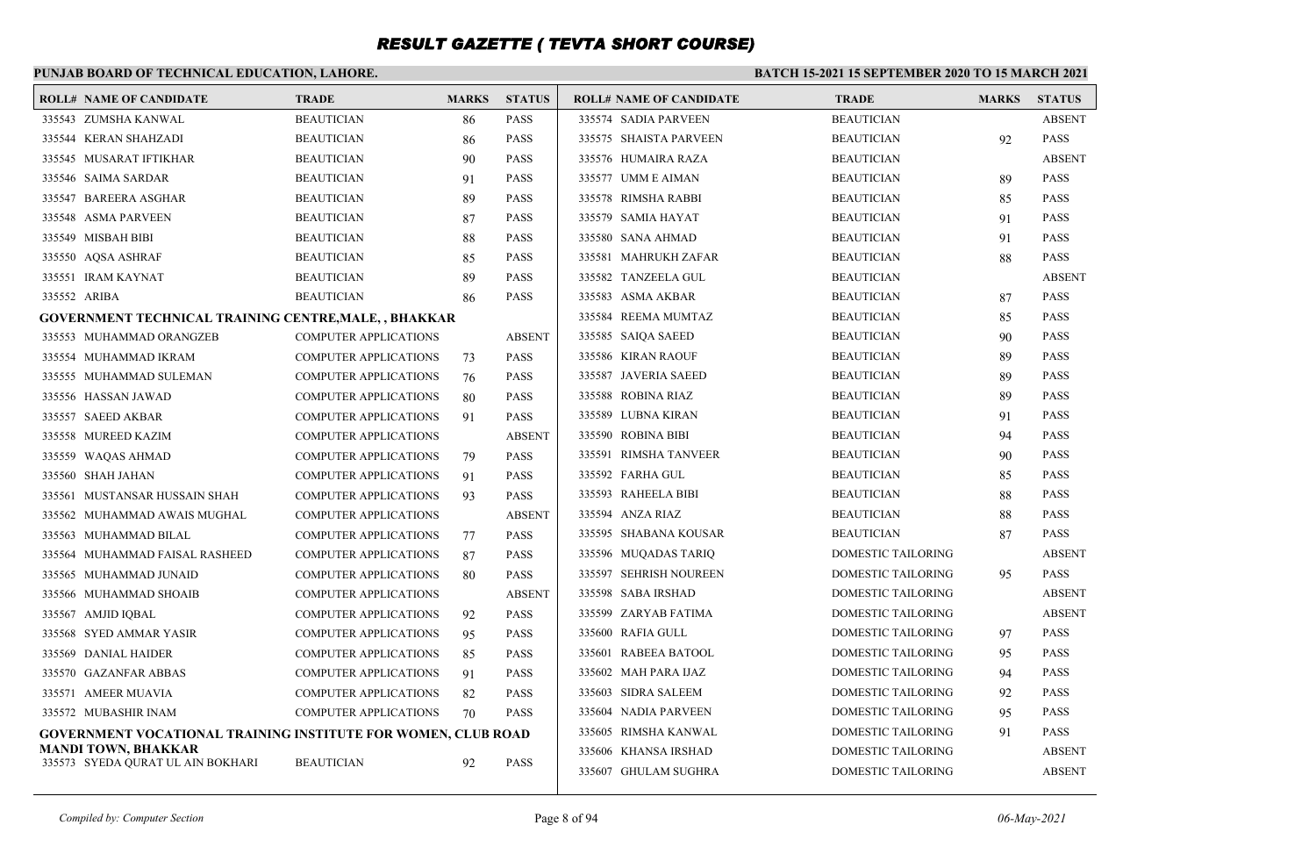#### **PUNJAB BOARD OF TECHNICAL EDUCATION, LAHORE. BATCH 15-2021 15 SEPTEMBER 2020 TO 15 MARCH 2021 ROLL# NAME OF CANDIDATE TRADE MARKS STATUS ROLL# NAME OF CANDIDATE TRADE MARKS STATUS** 335543 ZUMSHA KANWAL BEAUTICIAN 86 PASS 335544 KERAN SHAHZADI BEAUTICIAN 86 PASS 335545 MUSARAT IFTIKHAR BEAUTICIAN 90 PASS 335546 SAIMA SARDAR BEAUTICIAN 91 PASS 335547 BAREERA ASGHAR BEAUTICIAN 89 PASS 335548 ASMA PARVEEN BEAUTICIAN 87 PASS 335549 MISBAH BIBI BEAUTICIAN 88 PASS 335550 AQSA ASHRAF BEAUTICIAN 85 PASS 335551 IRAM KAYNAT BEAUTICIAN 89 PASS 335552 ARIBA BEAUTICIAN 86 PASS **GOVERNMENT TECHNICAL TRAINING CENTRE,MALE, , BHAKKAR** 335553 MUHAMMAD ORANGZEB COMPUTER APPLICATIONS ABSENT 335554 MUHAMMAD IKRAM COMPUTER APPLICATIONS 73 PASS 335555 MUHAMMAD SULEMAN COMPUTER APPLICATIONS 76 PASS 335556 HASSAN JAWAD COMPUTER APPLICATIONS 80 PASS 335557 SAEED AKBAR COMPUTER APPLICATIONS 91 PASS 335558 MUREED KAZIM COMPUTER APPLICATIONS ABSENT 335559 WAQAS AHMAD COMPUTER APPLICATIONS 79 PASS 335560 SHAH JAHAN COMPUTER APPLICATIONS 91 PASS 335561 MUSTANSAR HUSSAIN SHAH COMPUTER APPLICATIONS 93 PASS 335562 MUHAMMAD AWAIS MUGHAL COMPUTER APPLICATIONS ABSENT 335563 MUHAMMAD BILAL COMPUTER APPLICATIONS 77 PASS 335564 MUHAMMAD FAISAL RASHEED COMPUTER APPLICATIONS 87 PASS 335565 MUHAMMAD JUNAID COMPUTER APPLICATIONS 80 PASS 335566 MUHAMMAD SHOAIB COMPUTER APPLICATIONS ABSENT 335567 AMJID IQBAL COMPUTER APPLICATIONS 92 PASS 335568 SYED AMMAR YASIR COMPUTER APPLICATIONS 95 PASS 335569 DANIAL HAIDER COMPUTER APPLICATIONS 85 PASS 335570 GAZANFAR ABBAS COMPUTER APPLICATIONS 91 PASS 335571 AMEER MUAVIA COMPUTER APPLICATIONS 82 PASS 335572 MUBASHIR INAM COMPUTER APPLICATIONS 70 PASS **GOVERNMENT VOCATIONAL TRAINING INSTITUTE FOR WOMEN, CLUB ROAD MANDI TOWN, BHAKKAR** 335573 SYEDA QURAT UL AIN BOKHARI BEAUTICIAN 92 PASS 335574 SADIA PARVEEN BEAUTICIAN ABSENT 335575 SHAISTA PARVEEN BEAUTICIAN 92 PASS 335576 HUMAIRA RAZA BEAUTICIAN ABSENT 335577 UMM E AIMAN BEAUTICIAN BEAUTICIAN 89 PASS 335578 RIMSHA RABBI BEAUTICIAN 85 PASS 335579 SAMIA HAYAT BEAUTICIAN 91 PASS 335580 SANA AHMAD BEAUTICIAN 91 PASS 335581 MAHRUKH ZAFAR BEAUTICIAN 88 PASS 335582 TANZEELA GUL BEAUTICIAN ABSENT 335583 ASMA AKBAR BEAUTICIAN 87 PASS 335584 REEMA MUMTAZ BEAUTICIAN 85 PASS 335585 SAIQA SAEED BEAUTICIAN 90 PASS 335586 KIRAN RAOUF BEAUTICIAN 89 PASS 335587 JAVERIA SAEED BEAUTICIAN 89 PASS 335588 ROBINA RIAZ BEAUTICIAN 89 PASS 335589 LUBNA KIRAN BEAUTICIAN 91 PASS 335590 ROBINA BIBI BEAUTICIAN 94 PASS 335591 RIMSHA TANVEER BEAUTICIAN 90 PASS 335592 FARHA GUL BEAUTICIAN 85 PASS 335593 RAHEELA BIBI BEAUTICIAN 88 PASS 335594 ANZA RIAZ BEAUTICIAN 88 PASS 335595 SHABANA KOUSAR BEAUTICIAN 87 PASS 335596 MUQADAS TARIQ DOMESTIC TAILORING ABSENT 335597 SEHRISH NOUREEN DOMESTIC TAILORING 95 PASS 335598 SABA IRSHAD DOMESTIC TAILORING ABSENT 335599 ZARYAB FATIMA DOMESTIC TAILORING ABSENT 335600 RAFIA GULL DOMESTIC TAILORING 97 PASS 335601 RABEEA BATOOL DOMESTIC TAILORING 95 PASS 335602 MAH PARA IJAZ DOMESTIC TAILORING 94 PASS 335603 SIDRA SALEEM DOMESTIC TAILORING 92 PASS 335604 NADIA PARVEEN DOMESTIC TAILORING 95 PASS 335605 RIMSHA KANWAL DOMESTIC TAILORING 91 PASS 335606 KHANSA IRSHAD DOMESTIC TAILORING ABSENT 335607 GHULAM SUGHRA DOMESTIC TAILORING ABSENT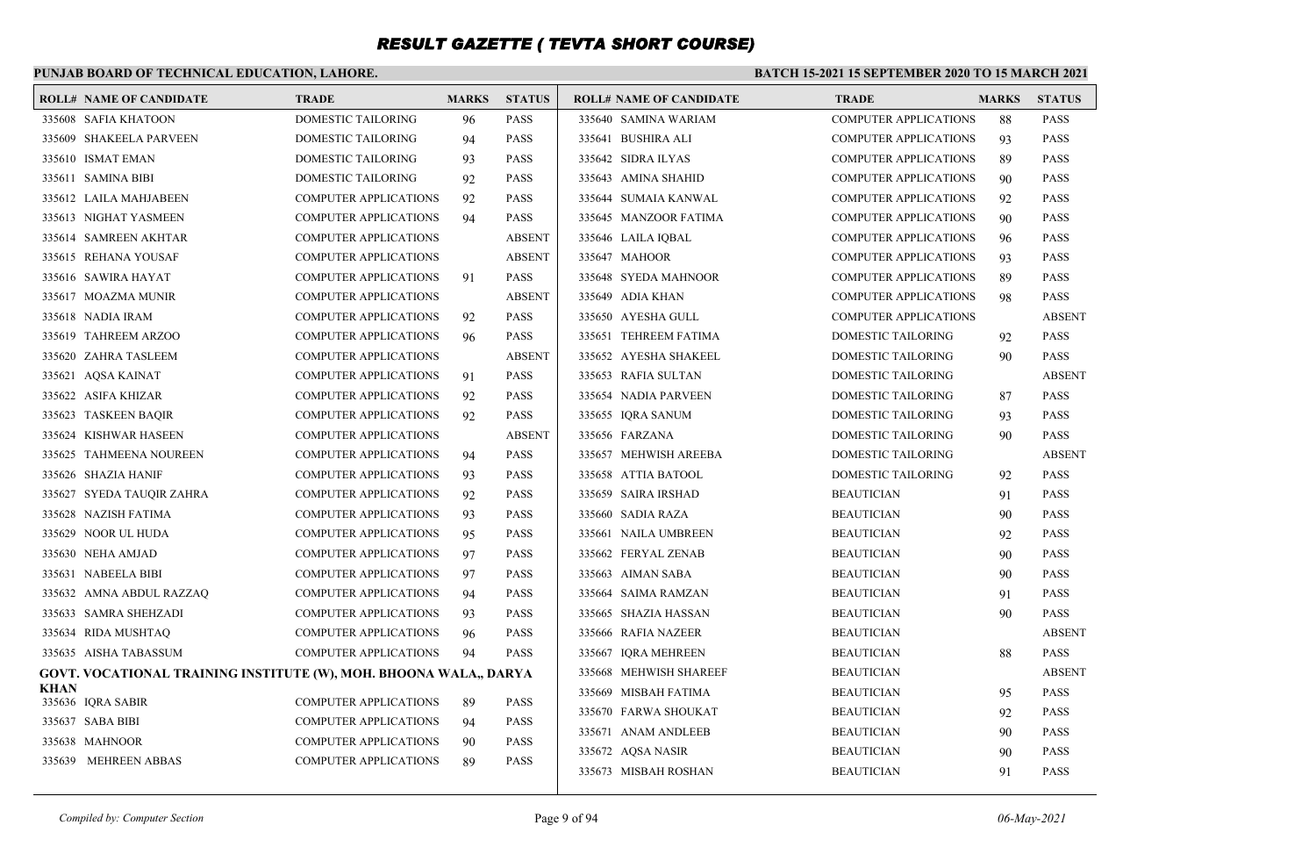### **PUNJAB BOARD OF TECHNICAL EDUCATION, LAHORE.**

|             | <b>ROLL# NAME OF CANDIDATE</b>                                    | <b>TRADE</b>                 | <b>MARKS</b> | <b>STATUS</b> | <b>ROLL# NAME OF CANDIDATE</b> | <b>TRADE</b>                 | <b>MARKS</b> | <b>STATUS</b> |
|-------------|-------------------------------------------------------------------|------------------------------|--------------|---------------|--------------------------------|------------------------------|--------------|---------------|
|             | 335608 SAFIA KHATOON                                              | DOMESTIC TAILORING           | 96           | <b>PASS</b>   | 335640 SAMINA WARIAM           | <b>COMPUTER APPLICATIONS</b> | 88           | <b>PASS</b>   |
|             | 335609 SHAKEELA PARVEEN                                           | DOMESTIC TAILORING           | 94           | <b>PASS</b>   | 335641 BUSHIRA ALI             | <b>COMPUTER APPLICATIONS</b> | 93           | <b>PASS</b>   |
|             | 335610 ISMAT EMAN                                                 | DOMESTIC TAILORING           | 93           | <b>PASS</b>   | 335642 SIDRA ILYAS             | <b>COMPUTER APPLICATIONS</b> | 89           | <b>PASS</b>   |
|             | 335611 SAMINA BIBI                                                | DOMESTIC TAILORING           | 92           | <b>PASS</b>   | 335643 AMINA SHAHID            | <b>COMPUTER APPLICATIONS</b> | 90           | <b>PASS</b>   |
|             | 335612 LAILA MAHJABEEN                                            | <b>COMPUTER APPLICATIONS</b> | 92           | <b>PASS</b>   | 335644 SUMAIA KANWAL           | <b>COMPUTER APPLICATIONS</b> | 92           | <b>PASS</b>   |
|             | 335613 NIGHAT YASMEEN                                             | <b>COMPUTER APPLICATIONS</b> | 94           | <b>PASS</b>   | 335645 MANZOOR FATIMA          | <b>COMPUTER APPLICATIONS</b> | 90           | <b>PASS</b>   |
|             | 335614 SAMREEN AKHTAR                                             | <b>COMPUTER APPLICATIONS</b> |              | <b>ABSENT</b> | 335646 LAILA IQBAL             | <b>COMPUTER APPLICATIONS</b> | 96           | <b>PASS</b>   |
|             | 335615 REHANA YOUSAF                                              | <b>COMPUTER APPLICATIONS</b> |              | <b>ABSENT</b> | 335647 MAHOOR                  | <b>COMPUTER APPLICATIONS</b> | 93           | <b>PASS</b>   |
|             | 335616 SAWIRA HAYAT                                               | <b>COMPUTER APPLICATIONS</b> | 91           | <b>PASS</b>   | 335648 SYEDA MAHNOOR           | <b>COMPUTER APPLICATIONS</b> | 89           | <b>PASS</b>   |
|             | 335617 MOAZMA MUNIR                                               | <b>COMPUTER APPLICATIONS</b> |              | <b>ABSENT</b> | 335649 ADIA KHAN               | COMPUTER APPLICATIONS        | 98           | <b>PASS</b>   |
|             | 335618 NADIA IRAM                                                 | <b>COMPUTER APPLICATIONS</b> | 92           | <b>PASS</b>   | 335650 AYESHA GULL             | <b>COMPUTER APPLICATIONS</b> |              | <b>ABSENT</b> |
|             | 335619 TAHREEM ARZOO                                              | <b>COMPUTER APPLICATIONS</b> | 96           | <b>PASS</b>   | 335651 TEHREEM FATIMA          | DOMESTIC TAILORING           | 92           | <b>PASS</b>   |
|             | 335620 ZAHRA TASLEEM                                              | <b>COMPUTER APPLICATIONS</b> |              | <b>ABSENT</b> | 335652 AYESHA SHAKEEL          | DOMESTIC TAILORING           | 90           | <b>PASS</b>   |
|             | 335621 AQSA KAINAT                                                | <b>COMPUTER APPLICATIONS</b> | 91           | <b>PASS</b>   | 335653 RAFIA SULTAN            | DOMESTIC TAILORING           |              | <b>ABSENT</b> |
|             | 335622 ASIFA KHIZAR                                               | <b>COMPUTER APPLICATIONS</b> | 92           | <b>PASS</b>   | 335654 NADIA PARVEEN           | DOMESTIC TAILORING           | 87           | <b>PASS</b>   |
|             | 335623 TASKEEN BAQIR                                              | <b>COMPUTER APPLICATIONS</b> | 92           | <b>PASS</b>   | 335655 IQRA SANUM              | DOMESTIC TAILORING           | 93           | <b>PASS</b>   |
|             | 335624 KISHWAR HASEEN                                             | COMPUTER APPLICATIONS        |              | <b>ABSENT</b> | 335656 FARZANA                 | DOMESTIC TAILORING           | 90           | <b>PASS</b>   |
|             | 335625 TAHMEENA NOUREEN                                           | <b>COMPUTER APPLICATIONS</b> | 94           | <b>PASS</b>   | 335657 MEHWISH AREEBA          | DOMESTIC TAILORING           |              | <b>ABSENT</b> |
|             | 335626 SHAZIA HANIF                                               | <b>COMPUTER APPLICATIONS</b> | 93           | <b>PASS</b>   | 335658 ATTIA BATOOL            | <b>DOMESTIC TAILORING</b>    | 92           | <b>PASS</b>   |
|             | 335627 SYEDA TAUQIR ZAHRA                                         | <b>COMPUTER APPLICATIONS</b> | 92           | <b>PASS</b>   | 335659 SAIRA IRSHAD            | <b>BEAUTICIAN</b>            | 91           | <b>PASS</b>   |
|             | 335628 NAZISH FATIMA                                              | <b>COMPUTER APPLICATIONS</b> | 93           | <b>PASS</b>   | 335660 SADIA RAZA              | <b>BEAUTICIAN</b>            | 90           | <b>PASS</b>   |
|             | 335629 NOOR UL HUDA                                               | <b>COMPUTER APPLICATIONS</b> | 95           | <b>PASS</b>   | 335661 NAILA UMBREEN           | <b>BEAUTICIAN</b>            | 92           | <b>PASS</b>   |
|             | 335630 NEHA AMJAD                                                 | <b>COMPUTER APPLICATIONS</b> | 97           | <b>PASS</b>   | 335662 FERYAL ZENAB            | <b>BEAUTICIAN</b>            | 90           | <b>PASS</b>   |
|             | 335631 NABEELA BIBI                                               | <b>COMPUTER APPLICATIONS</b> | 97           | <b>PASS</b>   | 335663 AIMAN SABA              | <b>BEAUTICIAN</b>            | 90           | <b>PASS</b>   |
|             | 335632 AMNA ABDUL RAZZAQ                                          | <b>COMPUTER APPLICATIONS</b> | 94           | <b>PASS</b>   | 335664 SAIMA RAMZAN            | <b>BEAUTICIAN</b>            | 91           | <b>PASS</b>   |
|             | 335633 SAMRA SHEHZADI                                             | <b>COMPUTER APPLICATIONS</b> | 93           | <b>PASS</b>   | 335665 SHAZIA HASSAN           | <b>BEAUTICIAN</b>            | 90           | <b>PASS</b>   |
|             | 335634 RIDA MUSHTAQ                                               | <b>COMPUTER APPLICATIONS</b> | 96           | <b>PASS</b>   | 335666 RAFIA NAZEER            | <b>BEAUTICIAN</b>            |              | <b>ABSENT</b> |
|             | 335635 AISHA TABASSUM                                             | <b>COMPUTER APPLICATIONS</b> | 94           | <b>PASS</b>   | 335667 IORA MEHREEN            | <b>BEAUTICIAN</b>            | 88           | <b>PASS</b>   |
|             | GOVT. VOCATIONAL TRAINING INSTITUTE (W), MOH. BHOONA WALA,, DARYA |                              |              |               | 335668 MEHWISH SHAREEF         | <b>BEAUTICIAN</b>            |              | <b>ABSENT</b> |
| <b>KHAN</b> | 335636 IQRA SABIR                                                 | <b>COMPUTER APPLICATIONS</b> | -89          | <b>PASS</b>   | 335669 MISBAH FATIMA           | <b>BEAUTICIAN</b>            | 95           | <b>PASS</b>   |
|             | 335637 SABA BIBI                                                  | <b>COMPUTER APPLICATIONS</b> | 94           | <b>PASS</b>   | 335670 FARWA SHOUKAT           | <b>BEAUTICIAN</b>            | 92           | <b>PASS</b>   |
|             | 335638 MAHNOOR                                                    | <b>COMPUTER APPLICATIONS</b> | 90           | <b>PASS</b>   | 335671 ANAM ANDLEEB            | <b>BEAUTICIAN</b>            | 90           | <b>PASS</b>   |
|             | 335639 MEHREEN ABBAS                                              | <b>COMPUTER APPLICATIONS</b> | 89           | <b>PASS</b>   | 335672 AQSA NASIR              | <b>BEAUTICIAN</b>            | 90           | <b>PASS</b>   |
|             |                                                                   |                              |              |               | 335673 MISBAH ROSHAN           | <b>BEAUTICIAN</b>            | 91           | <b>PASS</b>   |
|             |                                                                   |                              |              |               |                                |                              |              |               |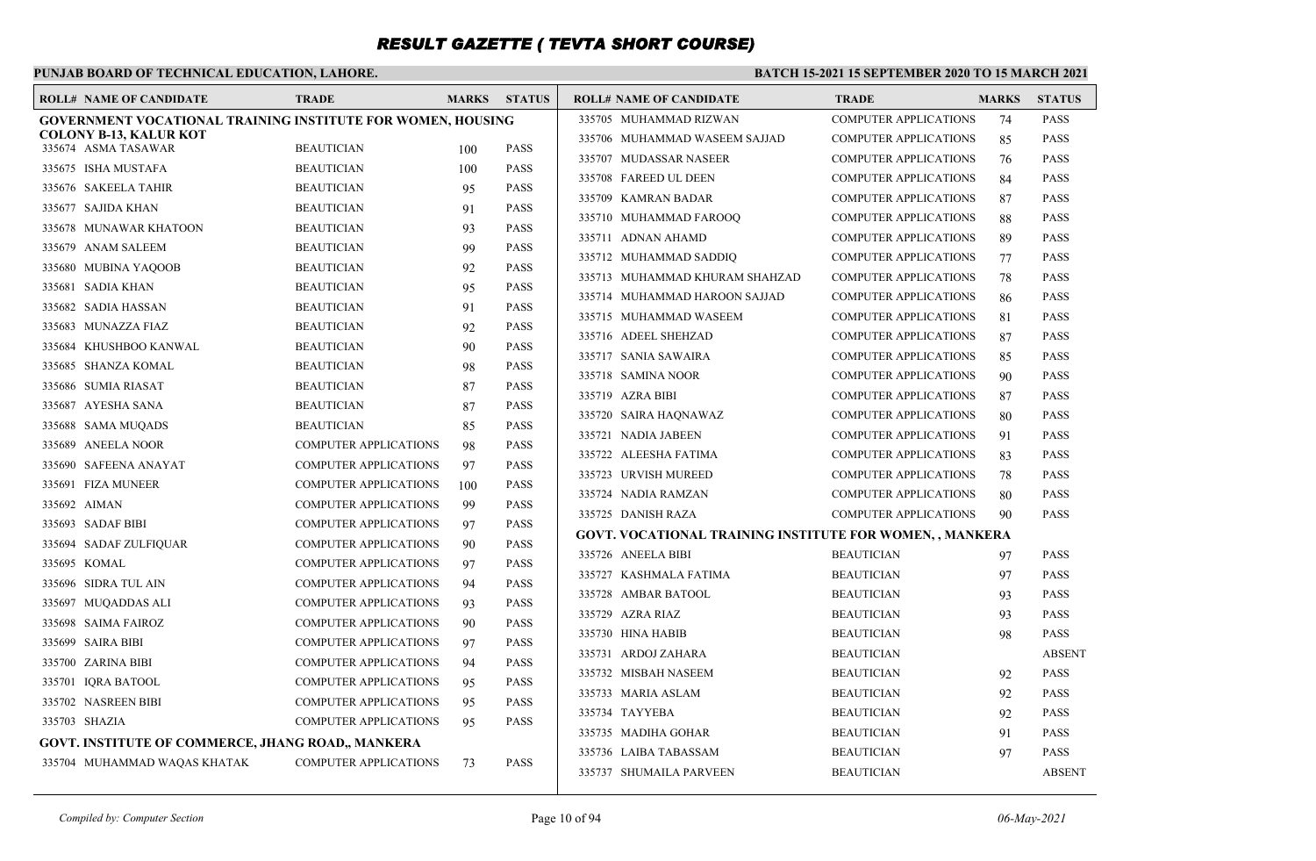### **PUNJAB BOARD OF TECHNICAL EDUCATION, LAHORE.**

|                        | <b>ROLL# NAME OF CANDIDATE</b>                                     | <b>TRADE</b>                 | <b>MARKS</b> | <b>STATUS</b> | <b>ROLL# NAME OF CANDIDATE</b>                           | <b>TRADE</b>                 | <b>MARKS</b> | <b>STATUS</b> |
|------------------------|--------------------------------------------------------------------|------------------------------|--------------|---------------|----------------------------------------------------------|------------------------------|--------------|---------------|
|                        | <b>GOVERNMENT VOCATIONAL TRAINING INSTITUTE FOR WOMEN, HOUSING</b> |                              |              |               | 335705 MUHAMMAD RIZWAN                                   | <b>COMPUTER APPLICATIONS</b> | 74           | <b>PASS</b>   |
| 335674 ASMA TASAWAR    | <b>COLONY B-13, KALUR KOT</b>                                      | <b>BEAUTICIAN</b>            |              | <b>PASS</b>   | 335706 MUHAMMAD WASEEM SAJJAD                            | <b>COMPUTER APPLICATIONS</b> | 85           | <b>PASS</b>   |
| 335675 ISHA MUSTAFA    |                                                                    | <b>BEAUTICIAN</b>            | 100<br>100   | <b>PASS</b>   | 335707 MUDASSAR NASEER                                   | <b>COMPUTER APPLICATIONS</b> | 76           | <b>PASS</b>   |
| 335676 SAKEELA TAHIR   |                                                                    | <b>BEAUTICIAN</b>            | 95           | <b>PASS</b>   | 335708 FAREED UL DEEN                                    | <b>COMPUTER APPLICATIONS</b> | 84           | <b>PASS</b>   |
| 335677 SAJIDA KHAN     |                                                                    | <b>BEAUTICIAN</b>            | 91           | <b>PASS</b>   | 335709 KAMRAN BADAR                                      | <b>COMPUTER APPLICATIONS</b> | 87           | <b>PASS</b>   |
|                        | 335678 MUNAWAR KHATOON                                             | <b>BEAUTICIAN</b>            | 93           | <b>PASS</b>   | 335710 MUHAMMAD FAROOQ                                   | <b>COMPUTER APPLICATIONS</b> | 88           | <b>PASS</b>   |
| 335679 ANAM SALEEM     |                                                                    | <b>BEAUTICIAN</b>            | 99           | <b>PASS</b>   | 335711 ADNAN AHAMD                                       | <b>COMPUTER APPLICATIONS</b> | 89           | <b>PASS</b>   |
| 335680 MUBINA YAQOOB   |                                                                    | <b>BEAUTICIAN</b>            | 92           | <b>PASS</b>   | 335712 MUHAMMAD SADDIQ                                   | <b>COMPUTER APPLICATIONS</b> | 77           | <b>PASS</b>   |
| 335681 SADIA KHAN      |                                                                    | <b>BEAUTICIAN</b>            | 95           | <b>PASS</b>   | 335713 MUHAMMAD KHURAM SHAHZAD                           | <b>COMPUTER APPLICATIONS</b> | 78           | <b>PASS</b>   |
|                        |                                                                    | <b>BEAUTICIAN</b>            |              | <b>PASS</b>   | 335714 MUHAMMAD HAROON SAJJAD                            | <b>COMPUTER APPLICATIONS</b> | 86           | <b>PASS</b>   |
| 335682 SADIA HASSAN    |                                                                    |                              | 91           |               | 335715 MUHAMMAD WASEEM                                   | <b>COMPUTER APPLICATIONS</b> | 81           | <b>PASS</b>   |
| 335683 MUNAZZA FIAZ    |                                                                    | <b>BEAUTICIAN</b>            | 92           | <b>PASS</b>   | 335716 ADEEL SHEHZAD                                     | <b>COMPUTER APPLICATIONS</b> | 87           | <b>PASS</b>   |
|                        | 335684 KHUSHBOO KANWAL                                             | <b>BEAUTICIAN</b>            | 90           | <b>PASS</b>   | 335717 SANIA SAWAIRA                                     | <b>COMPUTER APPLICATIONS</b> | 85           | <b>PASS</b>   |
| 335685 SHANZA KOMAL    |                                                                    | <b>BEAUTICIAN</b>            | 98           | <b>PASS</b>   | 335718 SAMINA NOOR                                       | <b>COMPUTER APPLICATIONS</b> | 90           | <b>PASS</b>   |
| 335686 SUMIA RIASAT    |                                                                    | <b>BEAUTICIAN</b>            | 87           | <b>PASS</b>   | 335719 AZRA BIBI                                         | <b>COMPUTER APPLICATIONS</b> | 87           | <b>PASS</b>   |
| 335687 AYESHA SANA     |                                                                    | <b>BEAUTICIAN</b>            | 87           | <b>PASS</b>   | 335720 SAIRA HAQNAWAZ                                    | <b>COMPUTER APPLICATIONS</b> | 80           | <b>PASS</b>   |
| 335688 SAMA MUQADS     |                                                                    | <b>BEAUTICIAN</b>            | 85           | <b>PASS</b>   | 335721 NADIA JABEEN                                      | <b>COMPUTER APPLICATIONS</b> | 91           | <b>PASS</b>   |
| 335689 ANEELA NOOR     |                                                                    | <b>COMPUTER APPLICATIONS</b> | 98           | <b>PASS</b>   | 335722 ALEESHA FATIMA                                    | <b>COMPUTER APPLICATIONS</b> | 83           | <b>PASS</b>   |
| 335690 SAFEENA ANAYAT  |                                                                    | <b>COMPUTER APPLICATIONS</b> | 97           | <b>PASS</b>   | 335723 URVISH MUREED                                     | <b>COMPUTER APPLICATIONS</b> | 78           | <b>PASS</b>   |
| 335691 FIZA MUNEER     |                                                                    | <b>COMPUTER APPLICATIONS</b> | 100          | <b>PASS</b>   | 335724 NADIA RAMZAN                                      | <b>COMPUTER APPLICATIONS</b> | 80           | <b>PASS</b>   |
| 335692 AIMAN           |                                                                    | <b>COMPUTER APPLICATIONS</b> | 99           | <b>PASS</b>   | 335725 DANISH RAZA                                       | <b>COMPUTER APPLICATIONS</b> | 90           | <b>PASS</b>   |
| 335693 SADAF BIBI      |                                                                    | <b>COMPUTER APPLICATIONS</b> | 97           | <b>PASS</b>   | GOVT. VOCATIONAL TRAINING INSTITUTE FOR WOMEN, , MANKERA |                              |              |               |
| 335694 SADAF ZULFIQUAR |                                                                    | <b>COMPUTER APPLICATIONS</b> | 90           | <b>PASS</b>   | 335726 ANEELA BIBI                                       | <b>BEAUTICIAN</b>            | 97           | <b>PASS</b>   |
| 335695 KOMAL           |                                                                    | <b>COMPUTER APPLICATIONS</b> | 97           | <b>PASS</b>   | 335727 KASHMALA FATIMA                                   | <b>BEAUTICIAN</b>            | 97           | <b>PASS</b>   |
| 335696 SIDRA TUL AIN   |                                                                    | <b>COMPUTER APPLICATIONS</b> | 94           | <b>PASS</b>   | 335728 AMBAR BATOOL                                      | <b>BEAUTICIAN</b>            | 93           | <b>PASS</b>   |
| 335697 MUQADDAS ALI    |                                                                    | <b>COMPUTER APPLICATIONS</b> | 93           | <b>PASS</b>   | 335729 AZRA RIAZ                                         | <b>BEAUTICIAN</b>            | 93           | <b>PASS</b>   |
| 335698 SAIMA FAIROZ    |                                                                    | <b>COMPUTER APPLICATIONS</b> | 90           | <b>PASS</b>   | 335730 HINA HABIB                                        | <b>BEAUTICIAN</b>            | 98           | <b>PASS</b>   |
| 335699 SAIRA BIBI      |                                                                    | <b>COMPUTER APPLICATIONS</b> | 97           | <b>PASS</b>   | 335731 ARDOJ ZAHARA                                      | <b>BEAUTICIAN</b>            |              | <b>ABSENT</b> |
| 335700 ZARINA BIBI     |                                                                    | <b>COMPUTER APPLICATIONS</b> | 94           | <b>PASS</b>   | 335732 MISBAH NASEEM                                     | <b>BEAUTICIAN</b>            | 92           | <b>PASS</b>   |
| 335701 IQRA BATOOL     |                                                                    | <b>COMPUTER APPLICATIONS</b> | 95           | <b>PASS</b>   | 335733 MARIA ASLAM                                       | <b>BEAUTICIAN</b>            | 92           | <b>PASS</b>   |
| 335702 NASREEN BIBI    |                                                                    | <b>COMPUTER APPLICATIONS</b> | 95           | <b>PASS</b>   | 335734 TAYYEBA                                           | <b>BEAUTICIAN</b>            | 92           | <b>PASS</b>   |
| 335703 SHAZIA          |                                                                    | COMPUTER APPLICATIONS        | 95           | <b>PASS</b>   | 335735 MADIHA GOHAR                                      | <b>BEAUTICIAN</b>            | 91           | <b>PASS</b>   |
|                        | <b>GOVT. INSTITUTE OF COMMERCE, JHANG ROAD., MANKERA</b>           |                              |              |               | 335736 LAIBA TABASSAM                                    | <b>BEAUTICIAN</b>            | 97           | <b>PASS</b>   |
|                        | 335704 MUHAMMAD WAQAS KHATAK                                       | <b>COMPUTER APPLICATIONS</b> | 73           | <b>PASS</b>   | 335737 SHUMAILA PARVEEN                                  | <b>BEAUTICIAN</b>            |              | <b>ABSENT</b> |
|                        |                                                                    |                              |              |               |                                                          |                              |              |               |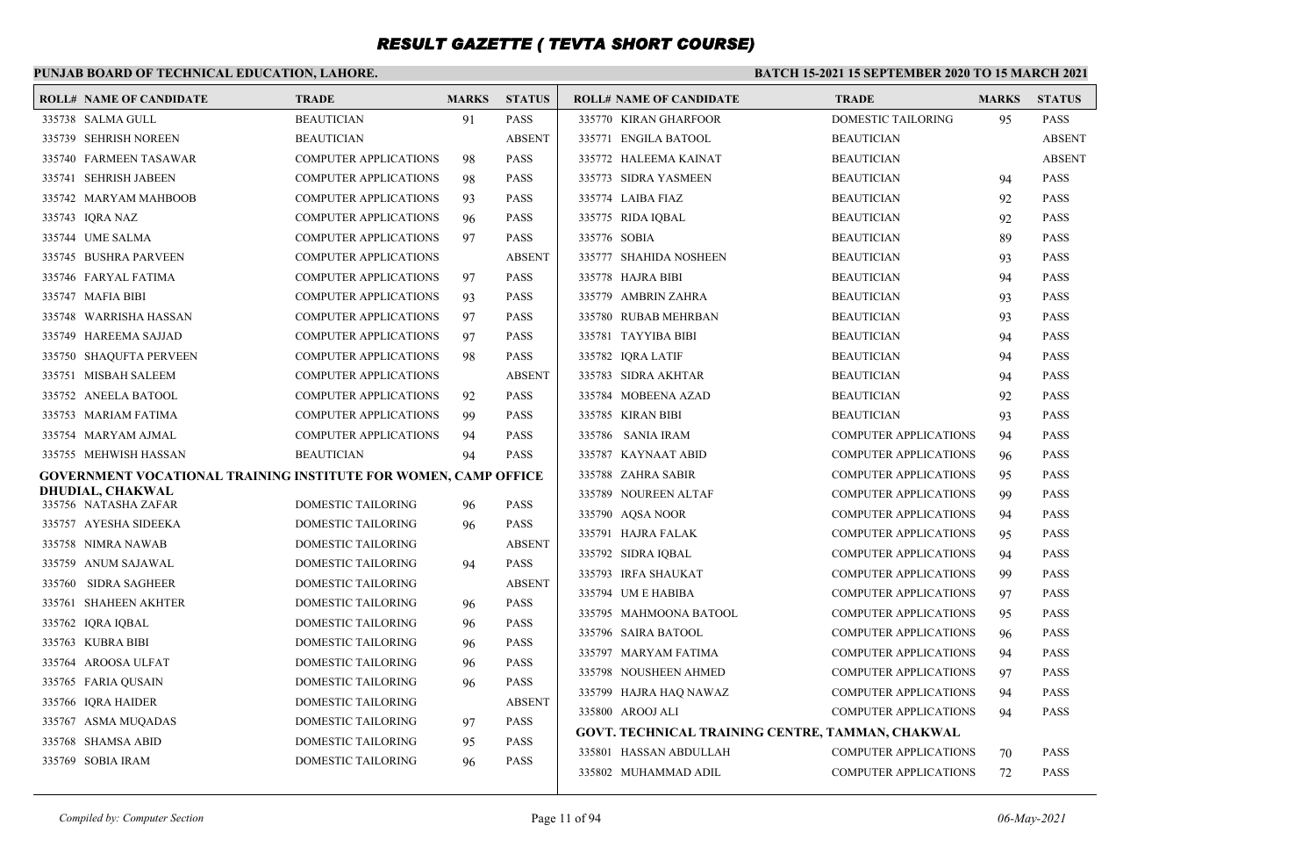### **PUNJAB BOARD OF TECHNICAL EDUCATION, LAHORE.**

| <b>ROLL# NAME OF CANDIDATE</b>                                  | <b>TRADE</b>                 | <b>MARKS</b> | <b>STATUS</b> | <b>ROLL# NAME OF CANDIDATE</b>                   | <b>TRADE</b>                 | <b>MARKS</b> | <b>STATUS</b> |
|-----------------------------------------------------------------|------------------------------|--------------|---------------|--------------------------------------------------|------------------------------|--------------|---------------|
| 335738 SALMA GULL                                               | <b>BEAUTICIAN</b>            | 91           | <b>PASS</b>   | 335770 KIRAN GHARFOOR                            | <b>DOMESTIC TAILORING</b>    | 95           | <b>PASS</b>   |
| 335739 SEHRISH NOREEN                                           | <b>BEAUTICIAN</b>            |              | <b>ABSENT</b> | 335771 ENGILA BATOOL                             | <b>BEAUTICIAN</b>            |              | <b>ABSENT</b> |
| 335740 FARMEEN TASAWAR                                          | <b>COMPUTER APPLICATIONS</b> | 98           | <b>PASS</b>   | 335772 HALEEMA KAINAT                            | <b>BEAUTICIAN</b>            |              | <b>ABSENT</b> |
| 335741 SEHRISH JABEEN                                           | <b>COMPUTER APPLICATIONS</b> | 98           | PASS          | 335773 SIDRA YASMEEN                             | <b>BEAUTICIAN</b>            | 94           | <b>PASS</b>   |
| 335742 MARYAM MAHBOOB                                           | <b>COMPUTER APPLICATIONS</b> | 93           | <b>PASS</b>   | 335774 LAIBA FIAZ                                | <b>BEAUTICIAN</b>            | 92           | <b>PASS</b>   |
| 335743 IQRA NAZ                                                 | <b>COMPUTER APPLICATIONS</b> | 96           | <b>PASS</b>   | 335775 RIDA IQBAL                                | <b>BEAUTICIAN</b>            | 92           | <b>PASS</b>   |
| 335744 UME SALMA                                                | <b>COMPUTER APPLICATIONS</b> | 97           | <b>PASS</b>   | 335776 SOBIA                                     | <b>BEAUTICIAN</b>            | 89           | <b>PASS</b>   |
| 335745 BUSHRA PARVEEN                                           | <b>COMPUTER APPLICATIONS</b> |              | <b>ABSENT</b> | 335777 SHAHIDA NOSHEEN                           | <b>BEAUTICIAN</b>            | 93           | <b>PASS</b>   |
| 335746 FARYAL FATIMA                                            | <b>COMPUTER APPLICATIONS</b> | 97           | PASS          | 335778 HAJRA BIBI                                | <b>BEAUTICIAN</b>            | 94           | <b>PASS</b>   |
| 335747 MAFIA BIBI                                               | <b>COMPUTER APPLICATIONS</b> | 93           | <b>PASS</b>   | 335779 AMBRIN ZAHRA                              | <b>BEAUTICIAN</b>            | 93           | <b>PASS</b>   |
| 335748 WARRISHA HASSAN                                          | <b>COMPUTER APPLICATIONS</b> | 97           | <b>PASS</b>   | 335780 RUBAB MEHRBAN                             | <b>BEAUTICIAN</b>            | 93           | <b>PASS</b>   |
| 335749 HAREEMA SAJJAD                                           | <b>COMPUTER APPLICATIONS</b> | 97           | <b>PASS</b>   | 335781 TAYYIBA BIBI                              | <b>BEAUTICIAN</b>            | 94           | <b>PASS</b>   |
| 335750 SHAQUFTA PERVEEN                                         | <b>COMPUTER APPLICATIONS</b> | 98           | PASS          | 335782 IQRA LATIF                                | <b>BEAUTICIAN</b>            | 94           | <b>PASS</b>   |
| 335751 MISBAH SALEEM                                            | <b>COMPUTER APPLICATIONS</b> |              | <b>ABSENT</b> | 335783 SIDRA AKHTAR                              | <b>BEAUTICIAN</b>            | 94           | <b>PASS</b>   |
| 335752 ANEELA BATOOL                                            | <b>COMPUTER APPLICATIONS</b> | 92           | <b>PASS</b>   | 335784 MOBEENA AZAD                              | <b>BEAUTICIAN</b>            | 92           | <b>PASS</b>   |
| 335753 MARIAM FATIMA                                            | <b>COMPUTER APPLICATIONS</b> | 99           | PASS          | 335785 KIRAN BIBI                                | <b>BEAUTICIAN</b>            | 93           | <b>PASS</b>   |
| 335754 MARYAM AJMAL                                             | <b>COMPUTER APPLICATIONS</b> | 94           | <b>PASS</b>   | 335786 SANIA IRAM                                | <b>COMPUTER APPLICATIONS</b> | 94           | <b>PASS</b>   |
| 335755 MEHWISH HASSAN                                           | <b>BEAUTICIAN</b>            | 94           | PASS          | 335787 KAYNAAT ABID                              | <b>COMPUTER APPLICATIONS</b> | 96           | <b>PASS</b>   |
| GOVERNMENT VOCATIONAL TRAINING INSTITUTE FOR WOMEN, CAMP OFFICE |                              |              |               | 335788 ZAHRA SABIR                               | <b>COMPUTER APPLICATIONS</b> | 95           | <b>PASS</b>   |
| <b>DHUDIAL, CHAKWAL</b><br>335756 NATASHA ZAFAR                 | DOMESTIC TAILORING           | 96           | <b>PASS</b>   | 335789 NOUREEN ALTAF                             | <b>COMPUTER APPLICATIONS</b> | 99           | <b>PASS</b>   |
| 335757 AYESHA SIDEEKA                                           | DOMESTIC TAILORING           | 96           | <b>PASS</b>   | 335790 AOSA NOOR                                 | <b>COMPUTER APPLICATIONS</b> | 94           | <b>PASS</b>   |
| 335758 NIMRA NAWAB                                              | DOMESTIC TAILORING           |              | <b>ABSENT</b> | 335791 HAJRA FALAK                               | <b>COMPUTER APPLICATIONS</b> | 95           | <b>PASS</b>   |
| 335759 ANUM SAJAWAL                                             | DOMESTIC TAILORING           | 94           | <b>PASS</b>   | 335792 SIDRA IQBAL                               | <b>COMPUTER APPLICATIONS</b> | 94           | <b>PASS</b>   |
| 335760 SIDRA SAGHEER                                            | DOMESTIC TAILORING           |              | <b>ABSENT</b> | 335793 IRFA SHAUKAT                              | <b>COMPUTER APPLICATIONS</b> | 99           | <b>PASS</b>   |
| 335761 SHAHEEN AKHTER                                           | DOMESTIC TAILORING           | 96           | <b>PASS</b>   | 335794 UM E HABIBA                               | <b>COMPUTER APPLICATIONS</b> | 97           | <b>PASS</b>   |
| 335762 IQRA IQBAL                                               | DOMESTIC TAILORING           | 96           | <b>PASS</b>   | 335795 MAHMOONA BATOOL                           | <b>COMPUTER APPLICATIONS</b> | 95           | <b>PASS</b>   |
| 335763 KUBRA BIBI                                               | DOMESTIC TAILORING           | 96           | PASS          | 335796 SAIRA BATOOL                              | <b>COMPUTER APPLICATIONS</b> | 96           | <b>PASS</b>   |
| 335764 AROOSA ULFAT                                             | <b>DOMESTIC TAILORING</b>    | 96           | <b>PASS</b>   | 335797 MARYAM FATIMA                             | <b>COMPUTER APPLICATIONS</b> | 94           | <b>PASS</b>   |
| 335765 FARIA QUSAIN                                             | DOMESTIC TAILORING           | 96           | <b>PASS</b>   | 335798 NOUSHEEN AHMED                            | <b>COMPUTER APPLICATIONS</b> | 97           | <b>PASS</b>   |
| 335766 IQRA HAIDER                                              | <b>DOMESTIC TAILORING</b>    |              | <b>ABSENT</b> | 335799 HAJRA HAQ NAWAZ                           | <b>COMPUTER APPLICATIONS</b> | 94           | <b>PASS</b>   |
| 335767 ASMA MUQADAS                                             | DOMESTIC TAILORING           | 97           | <b>PASS</b>   | 335800 AROOJ ALI                                 | <b>COMPUTER APPLICATIONS</b> | 94           | <b>PASS</b>   |
| 335768 SHAMSA ABID                                              | DOMESTIC TAILORING           | 95           | PASS          | GOVT. TECHNICAL TRAINING CENTRE, TAMMAN, CHAKWAL |                              |              |               |
| 335769 SOBIA IRAM                                               | <b>DOMESTIC TAILORING</b>    | 96           | <b>PASS</b>   | 335801 HASSAN ABDULLAH                           | <b>COMPUTER APPLICATIONS</b> | 70           | <b>PASS</b>   |
|                                                                 |                              |              |               | 335802 MUHAMMAD ADIL                             | <b>COMPUTER APPLICATIONS</b> | 72           | <b>PASS</b>   |
|                                                                 |                              |              |               |                                                  |                              |              |               |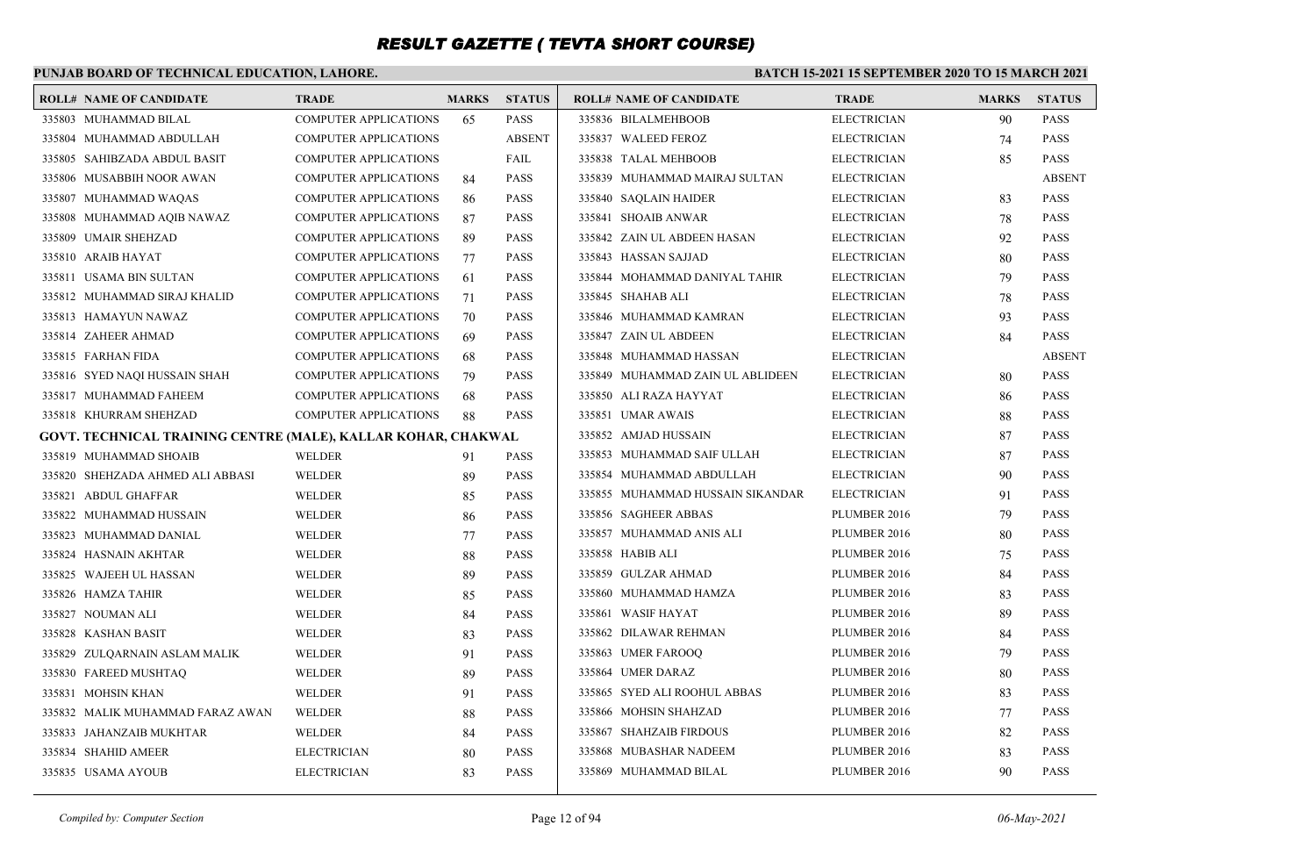### **PUNJAB BOARD OF TECHNICAL EDUCATION, LAHORE.**

#### **BATCH 15-2021 15 SEPTEMBER 2020 TO 15 MARCH 2021**

| <b>ROLL# NAME OF CANDIDATE</b>                                | <b>TRADE</b>                 | <b>MARKS</b> | <b>STATUS</b> | <b>ROLL# NAME OF CANDIDATE</b>   | <b>TRADE</b>       | <b>MARKS</b> | <b>STATUS</b> |
|---------------------------------------------------------------|------------------------------|--------------|---------------|----------------------------------|--------------------|--------------|---------------|
| 335803 MUHAMMAD BILAL                                         | <b>COMPUTER APPLICATIONS</b> | 65           | <b>PASS</b>   | 335836 BILALMEHBOOB              | <b>ELECTRICIAN</b> | 90           | <b>PASS</b>   |
| 335804 MUHAMMAD ABDULLAH                                      | <b>COMPUTER APPLICATIONS</b> |              | <b>ABSENT</b> | 335837 WALEED FEROZ              | <b>ELECTRICIAN</b> | 74           | <b>PASS</b>   |
| 335805 SAHIBZADA ABDUL BASIT                                  | <b>COMPUTER APPLICATIONS</b> |              | FAIL          | 335838 TALAL MEHBOOB             | <b>ELECTRICIAN</b> | 85           | <b>PASS</b>   |
| 335806 MUSABBIH NOOR AWAN                                     | <b>COMPUTER APPLICATIONS</b> | 84           | <b>PASS</b>   | 335839 MUHAMMAD MAIRAJ SULTAN    | <b>ELECTRICIAN</b> |              | <b>ABSENT</b> |
| 335807 MUHAMMAD WAQAS                                         | <b>COMPUTER APPLICATIONS</b> | 86           | <b>PASS</b>   | 335840 SAOLAIN HAIDER            | <b>ELECTRICIAN</b> | 83           | <b>PASS</b>   |
| 335808 MUHAMMAD AQIB NAWAZ                                    | <b>COMPUTER APPLICATIONS</b> | 87           | <b>PASS</b>   | 335841 SHOAIB ANWAR              | <b>ELECTRICIAN</b> | 78           | <b>PASS</b>   |
| 335809 UMAIR SHEHZAD                                          | <b>COMPUTER APPLICATIONS</b> | 89           | <b>PASS</b>   | 335842 ZAIN UL ABDEEN HASAN      | <b>ELECTRICIAN</b> | 92           | <b>PASS</b>   |
| 335810 ARAIB HAYAT                                            | <b>COMPUTER APPLICATIONS</b> | 77           | <b>PASS</b>   | 335843 HASSAN SAJJAD             | <b>ELECTRICIAN</b> | 80           | <b>PASS</b>   |
| 335811 USAMA BIN SULTAN                                       | <b>COMPUTER APPLICATIONS</b> | 61           | <b>PASS</b>   | 335844 MOHAMMAD DANIYAL TAHIR    | <b>ELECTRICIAN</b> | 79           | <b>PASS</b>   |
| 335812 MUHAMMAD SIRAJ KHALID                                  | <b>COMPUTER APPLICATIONS</b> | 71           | <b>PASS</b>   | 335845 SHAHAB ALI                | <b>ELECTRICIAN</b> | 78           | <b>PASS</b>   |
| 335813 HAMAYUN NAWAZ                                          | <b>COMPUTER APPLICATIONS</b> | 70           | <b>PASS</b>   | 335846 MUHAMMAD KAMRAN           | <b>ELECTRICIAN</b> | 93           | <b>PASS</b>   |
| 335814 ZAHEER AHMAD                                           | <b>COMPUTER APPLICATIONS</b> | 69           | <b>PASS</b>   | 335847 ZAIN UL ABDEEN            | <b>ELECTRICIAN</b> | 84           | <b>PASS</b>   |
| 335815 FARHAN FIDA                                            | <b>COMPUTER APPLICATIONS</b> | 68           | <b>PASS</b>   | 335848 MUHAMMAD HASSAN           | <b>ELECTRICIAN</b> |              | <b>ABSENT</b> |
| 335816 SYED NAOI HUSSAIN SHAH                                 | COMPUTER APPLICATIONS        | 79           | <b>PASS</b>   | 335849 MUHAMMAD ZAIN UL ABLIDEEN | <b>ELECTRICIAN</b> | 80           | <b>PASS</b>   |
| 335817 MUHAMMAD FAHEEM                                        | <b>COMPUTER APPLICATIONS</b> | 68           | <b>PASS</b>   | 335850 ALI RAZA HAYYAT           | <b>ELECTRICIAN</b> | 86           | <b>PASS</b>   |
| 335818 KHURRAM SHEHZAD                                        | <b>COMPUTER APPLICATIONS</b> | 88           | <b>PASS</b>   | 335851 UMAR AWAIS                | <b>ELECTRICIAN</b> | 88           | <b>PASS</b>   |
| GOVT. TECHNICAL TRAINING CENTRE (MALE), KALLAR KOHAR, CHAKWAL |                              |              |               | 335852 AMJAD HUSSAIN             | <b>ELECTRICIAN</b> | 87           | <b>PASS</b>   |
| 335819 MUHAMMAD SHOAIB                                        | <b>WELDER</b>                | 91           | <b>PASS</b>   | 335853 MUHAMMAD SAIF ULLAH       | <b>ELECTRICIAN</b> | 87           | <b>PASS</b>   |
| 335820 SHEHZADA AHMED ALI ABBASI                              | <b>WELDER</b>                | 89           | <b>PASS</b>   | 335854 MUHAMMAD ABDULLAH         | <b>ELECTRICIAN</b> | 90           | <b>PASS</b>   |
| 335821 ABDUL GHAFFAR                                          | WELDER                       | 85           | <b>PASS</b>   | 335855 MUHAMMAD HUSSAIN SIKANDAR | <b>ELECTRICIAN</b> | 91           | <b>PASS</b>   |
| 335822 MUHAMMAD HUSSAIN                                       | <b>WELDER</b>                | 86           | <b>PASS</b>   | 335856 SAGHEER ABBAS             | PLUMBER 2016       | 79           | <b>PASS</b>   |
| 335823 MUHAMMAD DANIAL                                        | <b>WELDER</b>                | 77           | <b>PASS</b>   | 335857 MUHAMMAD ANIS ALI         | PLUMBER 2016       | 80           | <b>PASS</b>   |
| 335824 HASNAIN AKHTAR                                         | <b>WELDER</b>                | 88           | <b>PASS</b>   | 335858 HABIB ALI                 | PLUMBER 2016       | 75           | <b>PASS</b>   |
| 335825 WAJEEH UL HASSAN                                       | <b>WELDER</b>                | 89           | <b>PASS</b>   | 335859 GULZAR AHMAD              | PLUMBER 2016       | 84           | <b>PASS</b>   |
| 335826 HAMZA TAHIR                                            | <b>WELDER</b>                | 85           | <b>PASS</b>   | 335860 MUHAMMAD HAMZA            | PLUMBER 2016       | 83           | <b>PASS</b>   |
| 335827 NOUMAN ALI                                             | WELDER                       | 84           | <b>PASS</b>   | 335861 WASIF HAYAT               | PLUMBER 2016       | 89           | <b>PASS</b>   |
| 335828 KASHAN BASIT                                           | <b>WELDER</b>                | 83           | <b>PASS</b>   | 335862 DILAWAR REHMAN            | PLUMBER 2016       | 84           | <b>PASS</b>   |
| 335829 ZULQARNAIN ASLAM MALIK                                 | <b>WELDER</b>                | 91           | <b>PASS</b>   | 335863 UMER FAROOQ               | PLUMBER 2016       | 79           | <b>PASS</b>   |
| 335830 FAREED MUSHTAQ                                         | <b>WELDER</b>                | 89           | <b>PASS</b>   | 335864 UMER DARAZ                | PLUMBER 2016       | 80           | <b>PASS</b>   |
| 335831 MOHSIN KHAN                                            | WELDER                       | 91           | <b>PASS</b>   | 335865 SYED ALI ROOHUL ABBAS     | PLUMBER 2016       | 83           | <b>PASS</b>   |
| 335832 MALIK MUHAMMAD FARAZ AWAN                              | <b>WELDER</b>                | 88           | <b>PASS</b>   | 335866 MOHSIN SHAHZAD            | PLUMBER 2016       | 77           | <b>PASS</b>   |
| 335833 JAHANZAIB MUKHTAR                                      | <b>WELDER</b>                | 84           | <b>PASS</b>   | 335867 SHAHZAIB FIRDOUS          | PLUMBER 2016       | 82           | <b>PASS</b>   |
| 335834 SHAHID AMEER                                           | <b>ELECTRICIAN</b>           | 80           | <b>PASS</b>   | 335868 MUBASHAR NADEEM           | PLUMBER 2016       | 83           | <b>PASS</b>   |
| 335835 USAMA AYOUB                                            | <b>ELECTRICIAN</b>           | 83           | <b>PASS</b>   | 335869 MUHAMMAD BILAL            | PLUMBER 2016       | 90           | <b>PASS</b>   |
|                                                               |                              |              |               |                                  |                    |              |               |

*Compiled by: Computer Section* Page 12 of 94 *06-May-2021*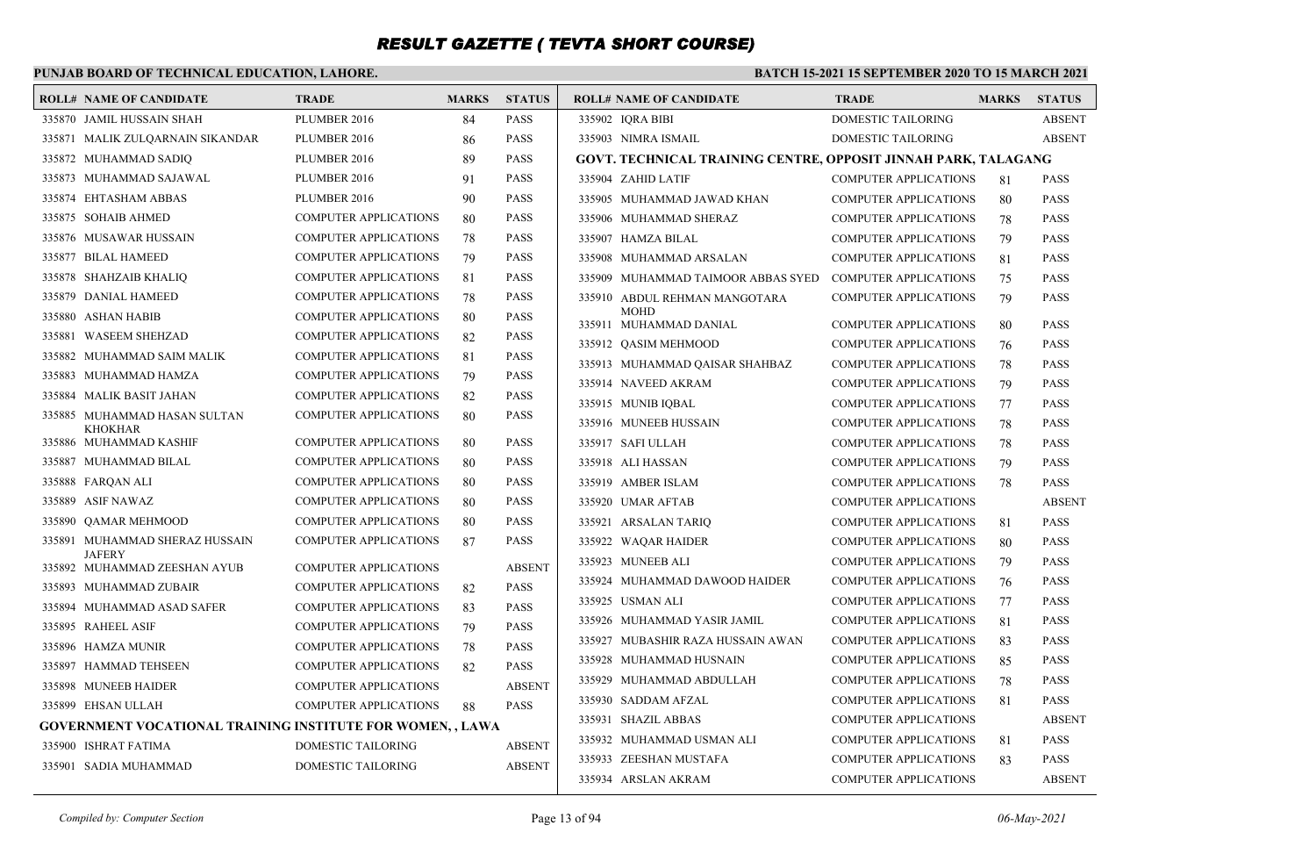### **PUNJAB BOARD OF TECHNICAL EDUCATION, LAHORE.**

| <b>ROLL# NAME OF CANDIDATE</b>                                    | <b>TRADE</b>                 | <b>MARKS</b> | <b>STATUS</b> | <b>ROLL# NAME OF CANDIDATE</b>                                 | <b>TRADE</b>                 | <b>MARKS</b> | <b>STATUS</b> |
|-------------------------------------------------------------------|------------------------------|--------------|---------------|----------------------------------------------------------------|------------------------------|--------------|---------------|
| 335870 JAMIL HUSSAIN SHAH                                         | PLUMBER 2016                 | 84           | <b>PASS</b>   | 335902 IORA BIBI                                               | <b>DOMESTIC TAILORING</b>    |              | <b>ABSENT</b> |
| 335871 MALIK ZULOARNAIN SIKANDAR                                  | PLUMBER 2016                 | 86           | <b>PASS</b>   | 335903 NIMRA ISMAIL                                            | DOMESTIC TAILORING           |              | <b>ABSENT</b> |
| 335872 MUHAMMAD SADIQ                                             | PLUMBER 2016                 | 89           | <b>PASS</b>   | GOVT. TECHNICAL TRAINING CENTRE, OPPOSIT JINNAH PARK, TALAGANG |                              |              |               |
| 335873 MUHAMMAD SAJAWAL                                           | PLUMBER 2016                 | 91           | <b>PASS</b>   | 335904 ZAHID LATIF                                             | <b>COMPUTER APPLICATIONS</b> | 81           | <b>PASS</b>   |
| 335874 EHTASHAM ABBAS                                             | PLUMBER 2016                 | 90           | <b>PASS</b>   | 335905 MUHAMMAD JAWAD KHAN                                     | <b>COMPUTER APPLICATIONS</b> | 80           | <b>PASS</b>   |
| 335875 SOHAIB AHMED                                               | <b>COMPUTER APPLICATIONS</b> | 80           | <b>PASS</b>   | 335906 MUHAMMAD SHERAZ                                         | <b>COMPUTER APPLICATIONS</b> | 78           | <b>PASS</b>   |
| 335876 MUSAWAR HUSSAIN                                            | <b>COMPUTER APPLICATIONS</b> | 78           | <b>PASS</b>   | 335907 HAMZA BILAL                                             | <b>COMPUTER APPLICATIONS</b> | 79           | <b>PASS</b>   |
| 335877 BILAL HAMEED                                               | <b>COMPUTER APPLICATIONS</b> | 79           | <b>PASS</b>   | 335908 MUHAMMAD ARSALAN                                        | <b>COMPUTER APPLICATIONS</b> | 81           | <b>PASS</b>   |
| 335878 SHAHZAIB KHALIQ                                            | <b>COMPUTER APPLICATIONS</b> | 81           | <b>PASS</b>   | 335909 MUHAMMAD TAIMOOR ABBAS SYED                             | <b>COMPUTER APPLICATIONS</b> | 75           | <b>PASS</b>   |
| 335879 DANIAL HAMEED                                              | <b>COMPUTER APPLICATIONS</b> | 78           | <b>PASS</b>   | 335910 ABDUL REHMAN MANGOTARA                                  | <b>COMPUTER APPLICATIONS</b> | 79           | <b>PASS</b>   |
| 335880 ASHAN HABIB                                                | <b>COMPUTER APPLICATIONS</b> | 80           | <b>PASS</b>   | <b>MOHD</b><br>335911 MUHAMMAD DANIAL                          | <b>COMPUTER APPLICATIONS</b> | 80           | <b>PASS</b>   |
| 335881 WASEEM SHEHZAD                                             | <b>COMPUTER APPLICATIONS</b> | 82           | <b>PASS</b>   | 335912 OASIM MEHMOOD                                           | <b>COMPUTER APPLICATIONS</b> | 76           | <b>PASS</b>   |
| 335882 MUHAMMAD SAIM MALIK                                        | <b>COMPUTER APPLICATIONS</b> | 81           | <b>PASS</b>   | 335913 MUHAMMAD QAISAR SHAHBAZ                                 | <b>COMPUTER APPLICATIONS</b> | 78           | <b>PASS</b>   |
| 335883 MUHAMMAD HAMZA                                             | <b>COMPUTER APPLICATIONS</b> | 79           | <b>PASS</b>   | 335914 NAVEED AKRAM                                            | <b>COMPUTER APPLICATIONS</b> | 79           | <b>PASS</b>   |
| 335884 MALIK BASIT JAHAN                                          | COMPUTER APPLICATIONS        | 82           | <b>PASS</b>   | 335915 MUNIB IQBAL                                             | <b>COMPUTER APPLICATIONS</b> | 77           | <b>PASS</b>   |
| 335885 MUHAMMAD HASAN SULTAN                                      | <b>COMPUTER APPLICATIONS</b> | 80           | <b>PASS</b>   | 335916 MUNEEB HUSSAIN                                          | <b>COMPUTER APPLICATIONS</b> | 78           | <b>PASS</b>   |
| <b>KHOKHAR</b><br>335886 MUHAMMAD KASHIF                          | <b>COMPUTER APPLICATIONS</b> | 80           | <b>PASS</b>   | 335917 SAFI ULLAH                                              | <b>COMPUTER APPLICATIONS</b> | 78           | <b>PASS</b>   |
| 335887 MUHAMMAD BILAL                                             | <b>COMPUTER APPLICATIONS</b> | 80           | <b>PASS</b>   | 335918 ALI HASSAN                                              | <b>COMPUTER APPLICATIONS</b> | 79           | <b>PASS</b>   |
| 335888 FARQAN ALI                                                 | <b>COMPUTER APPLICATIONS</b> | 80           | <b>PASS</b>   | 335919 AMBER ISLAM                                             | <b>COMPUTER APPLICATIONS</b> | 78           | <b>PASS</b>   |
| 335889 ASIF NAWAZ                                                 | <b>COMPUTER APPLICATIONS</b> | 80           | <b>PASS</b>   | 335920 UMAR AFTAB                                              | <b>COMPUTER APPLICATIONS</b> |              | <b>ABSENT</b> |
| 335890 QAMAR MEHMOOD                                              | <b>COMPUTER APPLICATIONS</b> | 80           | <b>PASS</b>   | 335921 ARSALAN TARIQ                                           | <b>COMPUTER APPLICATIONS</b> | 81           | <b>PASS</b>   |
| 335891 MUHAMMAD SHERAZ HUSSAIN                                    | <b>COMPUTER APPLICATIONS</b> | 87           | <b>PASS</b>   | 335922 WAQAR HAIDER                                            | COMPUTER APPLICATIONS        | 80           | <b>PASS</b>   |
| <b>JAFERY</b><br>335892 MUHAMMAD ZEESHAN AYUB                     | <b>COMPUTER APPLICATIONS</b> |              | <b>ABSENT</b> | 335923 MUNEEB ALI                                              | <b>COMPUTER APPLICATIONS</b> | 79           | <b>PASS</b>   |
| 335893 MUHAMMAD ZUBAIR                                            | <b>COMPUTER APPLICATIONS</b> | 82           | <b>PASS</b>   | 335924 MUHAMMAD DAWOOD HAIDER                                  | <b>COMPUTER APPLICATIONS</b> | 76           | <b>PASS</b>   |
| 335894 MUHAMMAD ASAD SAFER                                        | <b>COMPUTER APPLICATIONS</b> | 83           | <b>PASS</b>   | 335925 USMAN ALI                                               | <b>COMPUTER APPLICATIONS</b> | 77           | <b>PASS</b>   |
| 335895 RAHEEL ASIF                                                | <b>COMPUTER APPLICATIONS</b> | 79           | <b>PASS</b>   | 335926 MUHAMMAD YASIR JAMIL                                    | COMPUTER APPLICATIONS        | 81           | <b>PASS</b>   |
| 335896 HAMZA MUNIR                                                | <b>COMPUTER APPLICATIONS</b> | 78           | <b>PASS</b>   | 335927 MUBASHIR RAZA HUSSAIN AWAN                              | <b>COMPUTER APPLICATIONS</b> | 83           | <b>PASS</b>   |
| 335897 HAMMAD TEHSEEN                                             | <b>COMPUTER APPLICATIONS</b> | 82           | <b>PASS</b>   | 335928 MUHAMMAD HUSNAIN                                        | <b>COMPUTER APPLICATIONS</b> | 85           | <b>PASS</b>   |
| 335898 MUNEEB HAIDER                                              | <b>COMPUTER APPLICATIONS</b> |              | <b>ABSENT</b> | 335929 MUHAMMAD ABDULLAH                                       | <b>COMPUTER APPLICATIONS</b> | 78           | <b>PASS</b>   |
| 335899 EHSAN ULLAH                                                | <b>COMPUTER APPLICATIONS</b> | 88           | <b>PASS</b>   | 335930 SADDAM AFZAL                                            | <b>COMPUTER APPLICATIONS</b> | 81           | <b>PASS</b>   |
| <b>GOVERNMENT VOCATIONAL TRAINING INSTITUTE FOR WOMEN, , LAWA</b> |                              |              |               | 335931 SHAZIL ABBAS                                            | COMPUTER APPLICATIONS        |              | <b>ABSENT</b> |
| 335900 ISHRAT FATIMA                                              | DOMESTIC TAILORING           |              | <b>ABSENT</b> | 335932 MUHAMMAD USMAN ALI                                      | <b>COMPUTER APPLICATIONS</b> | 81           | <b>PASS</b>   |
| 335901 SADIA MUHAMMAD                                             | <b>DOMESTIC TAILORING</b>    |              | <b>ABSENT</b> | 335933 ZEESHAN MUSTAFA                                         | <b>COMPUTER APPLICATIONS</b> | 83           | <b>PASS</b>   |
|                                                                   |                              |              |               | 335934 ARSLAN AKRAM                                            | <b>COMPUTER APPLICATIONS</b> |              | <b>ABSENT</b> |
|                                                                   |                              |              |               |                                                                |                              |              |               |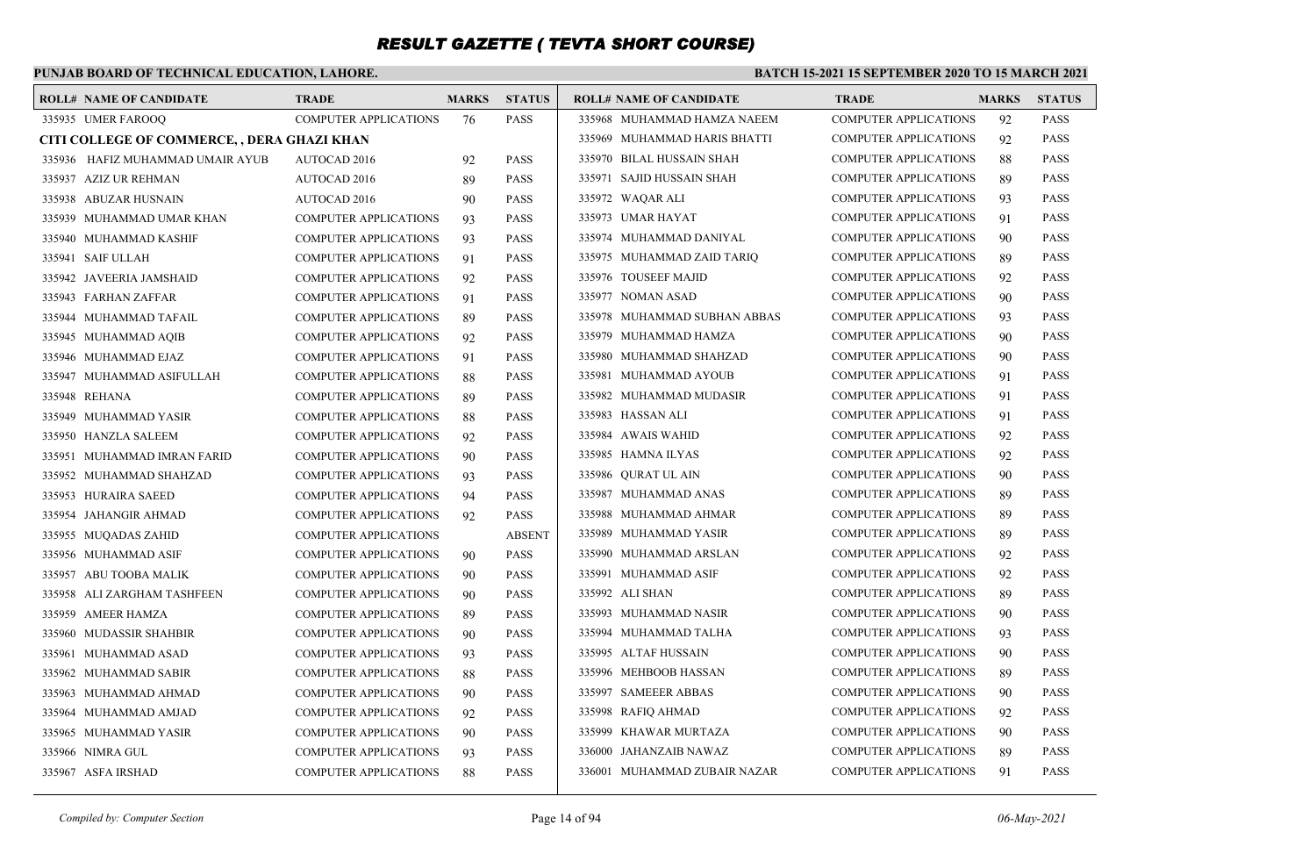### **PUNJAB BOARD OF TECHNICAL EDUCATION, LAHORE.**

| <b>ROLL# NAME OF CANDIDATE</b>              | <b>TRADE</b>                 | <b>MARKS</b> | <b>STATUS</b> | <b>ROLL# NAME OF CANDIDATE</b> | <b>TRADE</b>                 | <b>MARKS</b> | <b>STATUS</b> |
|---------------------------------------------|------------------------------|--------------|---------------|--------------------------------|------------------------------|--------------|---------------|
| 335935 UMER FAROOO                          | <b>COMPUTER APPLICATIONS</b> | 76           | <b>PASS</b>   | 335968 MUHAMMAD HAMZA NAEEM    | <b>COMPUTER APPLICATIONS</b> | 92           | <b>PASS</b>   |
| CITI COLLEGE OF COMMERCE, , DERA GHAZI KHAN |                              |              |               | 335969 MUHAMMAD HARIS BHATTI   | <b>COMPUTER APPLICATIONS</b> | 92           | <b>PASS</b>   |
| 335936 HAFIZ MUHAMMAD UMAIR AYUB            | AUTOCAD 2016                 | 92           | <b>PASS</b>   | 335970 BILAL HUSSAIN SHAH      | <b>COMPUTER APPLICATIONS</b> | 88           | <b>PASS</b>   |
| 335937 AZIZ UR REHMAN                       | AUTOCAD 2016                 | 89           | <b>PASS</b>   | 335971 SAJID HUSSAIN SHAH      | <b>COMPUTER APPLICATIONS</b> | -89          | <b>PASS</b>   |
| 335938 ABUZAR HUSNAIN                       | <b>AUTOCAD 2016</b>          | 90           | <b>PASS</b>   | 335972 WAQAR ALI               | <b>COMPUTER APPLICATIONS</b> | 93           | <b>PASS</b>   |
| 335939 MUHAMMAD UMAR KHAN                   | <b>COMPUTER APPLICATIONS</b> | 93           | <b>PASS</b>   | 335973 UMAR HAYAT              | <b>COMPUTER APPLICATIONS</b> | 91           | <b>PASS</b>   |
| 335940 MUHAMMAD KASHIF                      | <b>COMPUTER APPLICATIONS</b> | 93           | <b>PASS</b>   | 335974 MUHAMMAD DANIYAL        | <b>COMPUTER APPLICATIONS</b> | 90           | <b>PASS</b>   |
| 335941 SAIF ULLAH                           | <b>COMPUTER APPLICATIONS</b> | 91           | <b>PASS</b>   | 335975 MUHAMMAD ZAID TARIQ     | <b>COMPUTER APPLICATIONS</b> | 89           | <b>PASS</b>   |
| 335942 JAVEERIA JAMSHAID                    | <b>COMPUTER APPLICATIONS</b> | 92           | <b>PASS</b>   | 335976 TOUSEEF MAJID           | <b>COMPUTER APPLICATIONS</b> | 92           | <b>PASS</b>   |
| 335943 FARHAN ZAFFAR                        | <b>COMPUTER APPLICATIONS</b> | 91           | <b>PASS</b>   | 335977 NOMAN ASAD              | <b>COMPUTER APPLICATIONS</b> | 90           | <b>PASS</b>   |
| 335944 MUHAMMAD TAFAIL                      | COMPUTER APPLICATIONS        | 89           | <b>PASS</b>   | 335978 MUHAMMAD SUBHAN ABBAS   | <b>COMPUTER APPLICATIONS</b> | 93           | <b>PASS</b>   |
| 335945 MUHAMMAD AOIB                        | <b>COMPUTER APPLICATIONS</b> | 92           | <b>PASS</b>   | 335979 MUHAMMAD HAMZA          | <b>COMPUTER APPLICATIONS</b> | 90           | <b>PASS</b>   |
| 335946 MUHAMMAD EJAZ                        | <b>COMPUTER APPLICATIONS</b> | 91           | <b>PASS</b>   | 335980 MUHAMMAD SHAHZAD        | <b>COMPUTER APPLICATIONS</b> | 90           | <b>PASS</b>   |
| 335947 MUHAMMAD ASIFULLAH                   | COMPUTER APPLICATIONS        | 88           | <b>PASS</b>   | 335981 MUHAMMAD AYOUB          | <b>COMPUTER APPLICATIONS</b> | 91           | <b>PASS</b>   |
| 335948 REHANA                               | <b>COMPUTER APPLICATIONS</b> | 89           | <b>PASS</b>   | 335982 MUHAMMAD MUDASIR        | <b>COMPUTER APPLICATIONS</b> | 91           | <b>PASS</b>   |
| 335949 MUHAMMAD YASIR                       | COMPUTER APPLICATIONS        | 88           | <b>PASS</b>   | 335983 HASSAN ALI              | <b>COMPUTER APPLICATIONS</b> | 91           | <b>PASS</b>   |
| 335950 HANZLA SALEEM                        | COMPUTER APPLICATIONS        | 92           | <b>PASS</b>   | 335984 AWAIS WAHID             | <b>COMPUTER APPLICATIONS</b> | 92           | <b>PASS</b>   |
| 335951 MUHAMMAD IMRAN FARID                 | <b>COMPUTER APPLICATIONS</b> | 90           | <b>PASS</b>   | 335985 HAMNA ILYAS             | <b>COMPUTER APPLICATIONS</b> | 92           | <b>PASS</b>   |
| 335952 MUHAMMAD SHAHZAD                     | <b>COMPUTER APPLICATIONS</b> | 93           | <b>PASS</b>   | 335986 QURAT UL AIN            | <b>COMPUTER APPLICATIONS</b> | 90           | <b>PASS</b>   |
| 335953 HURAIRA SAEED                        | <b>COMPUTER APPLICATIONS</b> | 94           | <b>PASS</b>   | 335987 MUHAMMAD ANAS           | <b>COMPUTER APPLICATIONS</b> | 89           | <b>PASS</b>   |
| 335954 JAHANGIR AHMAD                       | <b>COMPUTER APPLICATIONS</b> | 92           | <b>PASS</b>   | 335988 MUHAMMAD AHMAR          | <b>COMPUTER APPLICATIONS</b> | 89           | <b>PASS</b>   |
| 335955 MUQADAS ZAHID                        | <b>COMPUTER APPLICATIONS</b> |              | <b>ABSENT</b> | 335989 MUHAMMAD YASIR          | <b>COMPUTER APPLICATIONS</b> | 89           | <b>PASS</b>   |
| 335956 MUHAMMAD ASIF                        | <b>COMPUTER APPLICATIONS</b> | 90           | <b>PASS</b>   | 335990 MUHAMMAD ARSLAN         | <b>COMPUTER APPLICATIONS</b> | 92           | <b>PASS</b>   |
| 335957 ABU TOOBA MALIK                      | <b>COMPUTER APPLICATIONS</b> | 90           | <b>PASS</b>   | 335991 MUHAMMAD ASIF           | COMPUTER APPLICATIONS        | 92           | <b>PASS</b>   |
| 335958 ALI ZARGHAM TASHFEEN                 | COMPUTER APPLICATIONS        | 90           | <b>PASS</b>   | 335992 ALI SHAN                | <b>COMPUTER APPLICATIONS</b> | 89           | <b>PASS</b>   |
| 335959 AMEER HAMZA                          | <b>COMPUTER APPLICATIONS</b> | 89           | <b>PASS</b>   | 335993 MUHAMMAD NASIR          | COMPUTER APPLICATIONS        | 90           | <b>PASS</b>   |
| 335960 MUDASSIR SHAHBIR                     | <b>COMPUTER APPLICATIONS</b> | 90           | <b>PASS</b>   | 335994 MUHAMMAD TALHA          | COMPUTER APPLICATIONS        | 93           | <b>PASS</b>   |
| 335961 MUHAMMAD ASAD                        | <b>COMPUTER APPLICATIONS</b> | 93           | <b>PASS</b>   | 335995 ALTAF HUSSAIN           | <b>COMPUTER APPLICATIONS</b> | 90           | <b>PASS</b>   |
| 335962 MUHAMMAD SABIR                       | <b>COMPUTER APPLICATIONS</b> | 88           | <b>PASS</b>   | 335996 MEHBOOB HASSAN          | COMPUTER APPLICATIONS        | 89           | <b>PASS</b>   |
| 335963 MUHAMMAD AHMAD                       | <b>COMPUTER APPLICATIONS</b> | 90           | <b>PASS</b>   | 335997 SAMEEER ABBAS           | <b>COMPUTER APPLICATIONS</b> | 90           | <b>PASS</b>   |
| 335964 MUHAMMAD AMJAD                       | <b>COMPUTER APPLICATIONS</b> | 92           | <b>PASS</b>   | 335998 RAFIQ AHMAD             | <b>COMPUTER APPLICATIONS</b> | 92           | <b>PASS</b>   |
| 335965 MUHAMMAD YASIR                       | <b>COMPUTER APPLICATIONS</b> | 90           | <b>PASS</b>   | 335999 KHAWAR MURTAZA          | <b>COMPUTER APPLICATIONS</b> | 90           | <b>PASS</b>   |
| 335966 NIMRA GUL                            | <b>COMPUTER APPLICATIONS</b> | 93           | <b>PASS</b>   | 336000 JAHANZAIB NAWAZ         | COMPUTER APPLICATIONS        | 89           | <b>PASS</b>   |
| 335967 ASFA IRSHAD                          | COMPUTER APPLICATIONS        | 88           | <b>PASS</b>   | 336001 MUHAMMAD ZUBAIR NAZAR   | <b>COMPUTER APPLICATIONS</b> | 91           | <b>PASS</b>   |
|                                             |                              |              |               |                                |                              |              |               |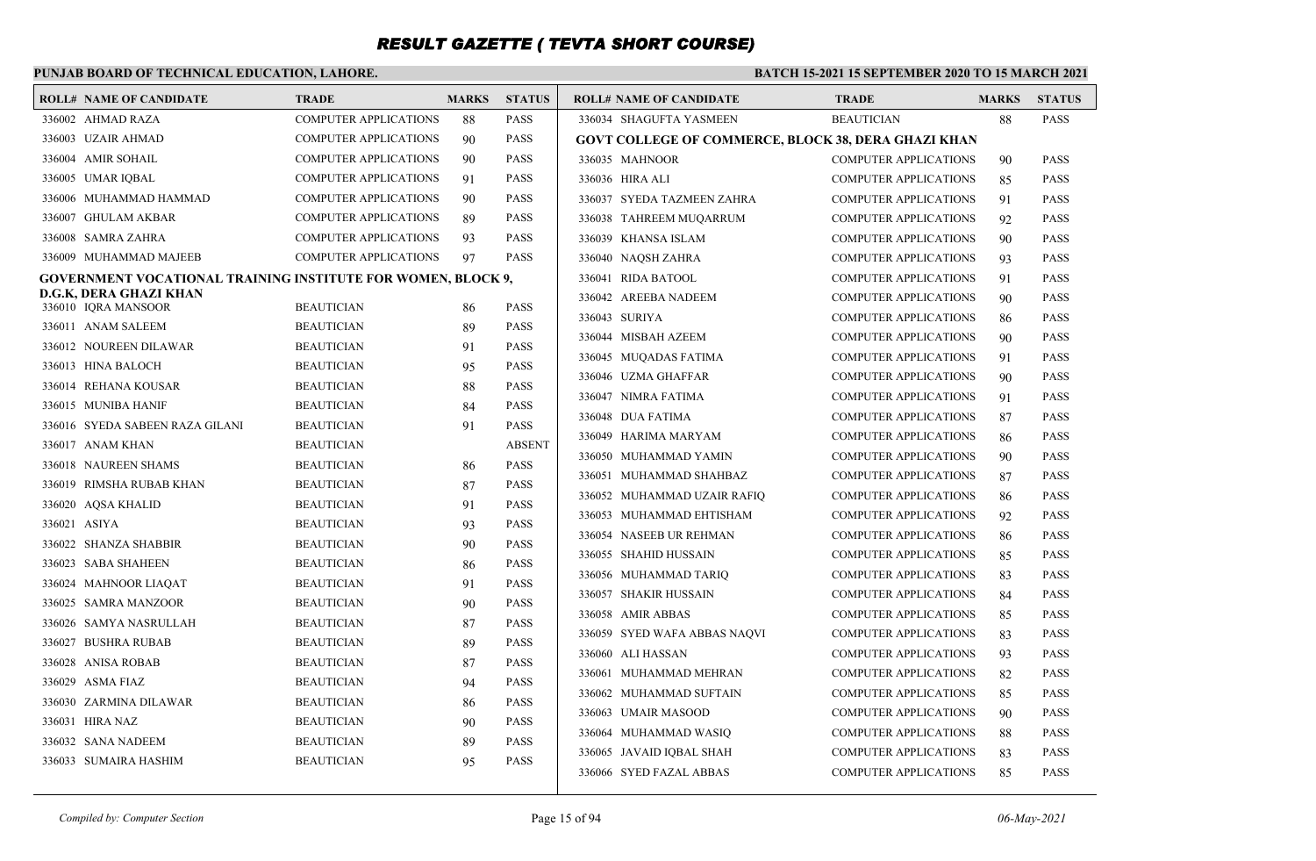### **PUNJAB BOARD OF TECHNICAL EDUCATION, LAHORE.**

#### **BATCH 15-2021 15 SEPTEMBER 2020 TO 15 MARCH 2021**

| <b>ROLL# NAME OF CANDIDATE</b>                                      | <b>TRADE</b>                 | <b>MARKS</b> | <b>STATUS</b> | <b>ROLL# NAME OF CANDIDATE</b>                             | <b>TRADE</b>                 | <b>MARKS</b> | <b>STATUS</b> |
|---------------------------------------------------------------------|------------------------------|--------------|---------------|------------------------------------------------------------|------------------------------|--------------|---------------|
| 336002 AHMAD RAZA                                                   | <b>COMPUTER APPLICATIONS</b> | 88           | <b>PASS</b>   | 336034 SHAGUFTA YASMEEN                                    | <b>BEAUTICIAN</b>            | 88           | <b>PASS</b>   |
| 336003 UZAIR AHMAD                                                  | <b>COMPUTER APPLICATIONS</b> | 90           | <b>PASS</b>   | <b>GOVT COLLEGE OF COMMERCE, BLOCK 38, DERA GHAZI KHAN</b> |                              |              |               |
| 336004 AMIR SOHAIL                                                  | <b>COMPUTER APPLICATIONS</b> | 90           | <b>PASS</b>   | 336035 MAHNOOR                                             | <b>COMPUTER APPLICATIONS</b> | 90           | <b>PASS</b>   |
| 336005 UMAR IOBAL                                                   | <b>COMPUTER APPLICATIONS</b> | 91           | <b>PASS</b>   | 336036 HIRA ALI                                            | <b>COMPUTER APPLICATIONS</b> | 85           | <b>PASS</b>   |
| 336006 MUHAMMAD HAMMAD                                              | <b>COMPUTER APPLICATIONS</b> | 90           | <b>PASS</b>   | 336037 SYEDA TAZMEEN ZAHRA                                 | <b>COMPUTER APPLICATIONS</b> | 91           | <b>PASS</b>   |
| 336007 GHULAM AKBAR                                                 | <b>COMPUTER APPLICATIONS</b> | 89           | <b>PASS</b>   | 336038 TAHREEM MUQARRUM                                    | <b>COMPUTER APPLICATIONS</b> | 92           | <b>PASS</b>   |
| 336008 SAMRA ZAHRA                                                  | <b>COMPUTER APPLICATIONS</b> | 93           | <b>PASS</b>   | 336039 KHANSA ISLAM                                        | <b>COMPUTER APPLICATIONS</b> | 90           | <b>PASS</b>   |
| 336009 MUHAMMAD MAJEEB                                              | <b>COMPUTER APPLICATIONS</b> | 97           | <b>PASS</b>   | 336040 NAQSH ZAHRA                                         | <b>COMPUTER APPLICATIONS</b> | 93           | <b>PASS</b>   |
| <b>GOVERNMENT VOCATIONAL TRAINING INSTITUTE FOR WOMEN, BLOCK 9,</b> |                              |              |               | 336041 RIDA BATOOL                                         | <b>COMPUTER APPLICATIONS</b> | 91           | <b>PASS</b>   |
| D.G.K, DERA GHAZI KHAN<br>336010 IQRA MANSOOR                       | <b>BEAUTICIAN</b>            |              | <b>PASS</b>   | 336042 AREEBA NADEEM                                       | <b>COMPUTER APPLICATIONS</b> | 90           | <b>PASS</b>   |
| 336011 ANAM SALEEM                                                  | <b>BEAUTICIAN</b>            | 86<br>89     | <b>PASS</b>   | 336043 SURIYA                                              | <b>COMPUTER APPLICATIONS</b> | 86           | <b>PASS</b>   |
| 336012 NOUREEN DILAWAR                                              | <b>BEAUTICIAN</b>            | 91           | <b>PASS</b>   | 336044 MISBAH AZEEM                                        | <b>COMPUTER APPLICATIONS</b> | 90           | <b>PASS</b>   |
| 336013 HINA BALOCH                                                  | <b>BEAUTICIAN</b>            | 95           | <b>PASS</b>   | 336045 MUQADAS FATIMA                                      | <b>COMPUTER APPLICATIONS</b> | 91           | <b>PASS</b>   |
| 336014 REHANA KOUSAR                                                | <b>BEAUTICIAN</b>            | 88           | <b>PASS</b>   | 336046 UZMA GHAFFAR                                        | <b>COMPUTER APPLICATIONS</b> | 90           | <b>PASS</b>   |
| 336015 MUNIBA HANIF                                                 | <b>BEAUTICIAN</b>            | 84           | <b>PASS</b>   | 336047 NIMRA FATIMA                                        | <b>COMPUTER APPLICATIONS</b> | 91           | <b>PASS</b>   |
| 336016 SYEDA SABEEN RAZA GILANI                                     | <b>BEAUTICIAN</b>            | 91           | <b>PASS</b>   | 336048 DUA FATIMA                                          | <b>COMPUTER APPLICATIONS</b> | 87           | <b>PASS</b>   |
| 336017 ANAM KHAN                                                    | <b>BEAUTICIAN</b>            |              | <b>ABSENT</b> | 336049 HARIMA MARYAM                                       | <b>COMPUTER APPLICATIONS</b> | 86           | <b>PASS</b>   |
| 336018 NAUREEN SHAMS                                                | <b>BEAUTICIAN</b>            | 86           | <b>PASS</b>   | 336050 MUHAMMAD YAMIN                                      | <b>COMPUTER APPLICATIONS</b> | 90           | <b>PASS</b>   |
| 336019 RIMSHA RUBAB KHAN                                            | <b>BEAUTICIAN</b>            | 87           | <b>PASS</b>   | 336051 MUHAMMAD SHAHBAZ                                    | <b>COMPUTER APPLICATIONS</b> | 87           | <b>PASS</b>   |
| 336020 AQSA KHALID                                                  | <b>BEAUTICIAN</b>            | 91           | <b>PASS</b>   | 336052 MUHAMMAD UZAIR RAFIO                                | <b>COMPUTER APPLICATIONS</b> | 86           | <b>PASS</b>   |
| 336021 ASIYA                                                        | <b>BEAUTICIAN</b>            | 93           | <b>PASS</b>   | 336053 MUHAMMAD EHTISHAM                                   | <b>COMPUTER APPLICATIONS</b> | 92           | <b>PASS</b>   |
| 336022 SHANZA SHABBIR                                               | <b>BEAUTICIAN</b>            | 90           | <b>PASS</b>   | 336054 NASEEB UR REHMAN                                    | <b>COMPUTER APPLICATIONS</b> | 86           | <b>PASS</b>   |
| 336023 SABA SHAHEEN                                                 | <b>BEAUTICIAN</b>            | 86           | <b>PASS</b>   | 336055 SHAHID HUSSAIN                                      | <b>COMPUTER APPLICATIONS</b> | 85           | <b>PASS</b>   |
| 336024 MAHNOOR LIAQAT                                               | <b>BEAUTICIAN</b>            | 91           | <b>PASS</b>   | 336056 MUHAMMAD TARIQ                                      | <b>COMPUTER APPLICATIONS</b> | 83           | <b>PASS</b>   |
| 336025 SAMRA MANZOOR                                                | <b>BEAUTICIAN</b>            | 90           | <b>PASS</b>   | 336057 SHAKIR HUSSAIN                                      | <b>COMPUTER APPLICATIONS</b> | 84           | <b>PASS</b>   |
| 336026 SAMYA NASRULLAH                                              | <b>BEAUTICIAN</b>            | 87           | <b>PASS</b>   | 336058 AMIR ABBAS                                          | <b>COMPUTER APPLICATIONS</b> | 85           | <b>PASS</b>   |
| 336027 BUSHRA RUBAB                                                 | <b>BEAUTICIAN</b>            | 89           | <b>PASS</b>   | 336059 SYED WAFA ABBAS NAQVI                               | <b>COMPUTER APPLICATIONS</b> | 83           | <b>PASS</b>   |
| 336028 ANISA ROBAB                                                  | <b>BEAUTICIAN</b>            | 87           | <b>PASS</b>   | 336060 ALI HASSAN                                          | <b>COMPUTER APPLICATIONS</b> | 93           | <b>PASS</b>   |
| 336029 ASMA FIAZ                                                    | <b>BEAUTICIAN</b>            | 94           | <b>PASS</b>   | 336061 MUHAMMAD MEHRAN                                     | <b>COMPUTER APPLICATIONS</b> | 82           | <b>PASS</b>   |
| 336030 ZARMINA DILAWAR                                              | <b>BEAUTICIAN</b>            | 86           | <b>PASS</b>   | 336062 MUHAMMAD SUFTAIN                                    | <b>COMPUTER APPLICATIONS</b> | 85           | <b>PASS</b>   |
| 336031 HIRA NAZ                                                     | <b>BEAUTICIAN</b>            | 90           | <b>PASS</b>   | 336063 UMAIR MASOOD                                        | <b>COMPUTER APPLICATIONS</b> | 90           | <b>PASS</b>   |
| 336032 SANA NADEEM                                                  | <b>BEAUTICIAN</b>            | 89           | <b>PASS</b>   | 336064 MUHAMMAD WASIQ                                      | <b>COMPUTER APPLICATIONS</b> | 88           | <b>PASS</b>   |
| 336033 SUMAIRA HASHIM                                               | <b>BEAUTICIAN</b>            | 95           | <b>PASS</b>   | 336065 JAVAID IQBAL SHAH                                   | <b>COMPUTER APPLICATIONS</b> | 83           | <b>PASS</b>   |
|                                                                     |                              |              |               | 336066 SYED FAZAL ABBAS                                    | <b>COMPUTER APPLICATIONS</b> | 85           | <b>PASS</b>   |
|                                                                     |                              |              |               |                                                            |                              |              |               |

*Compiled by: Computer Section* Page 15 of 94 *06-May-2021*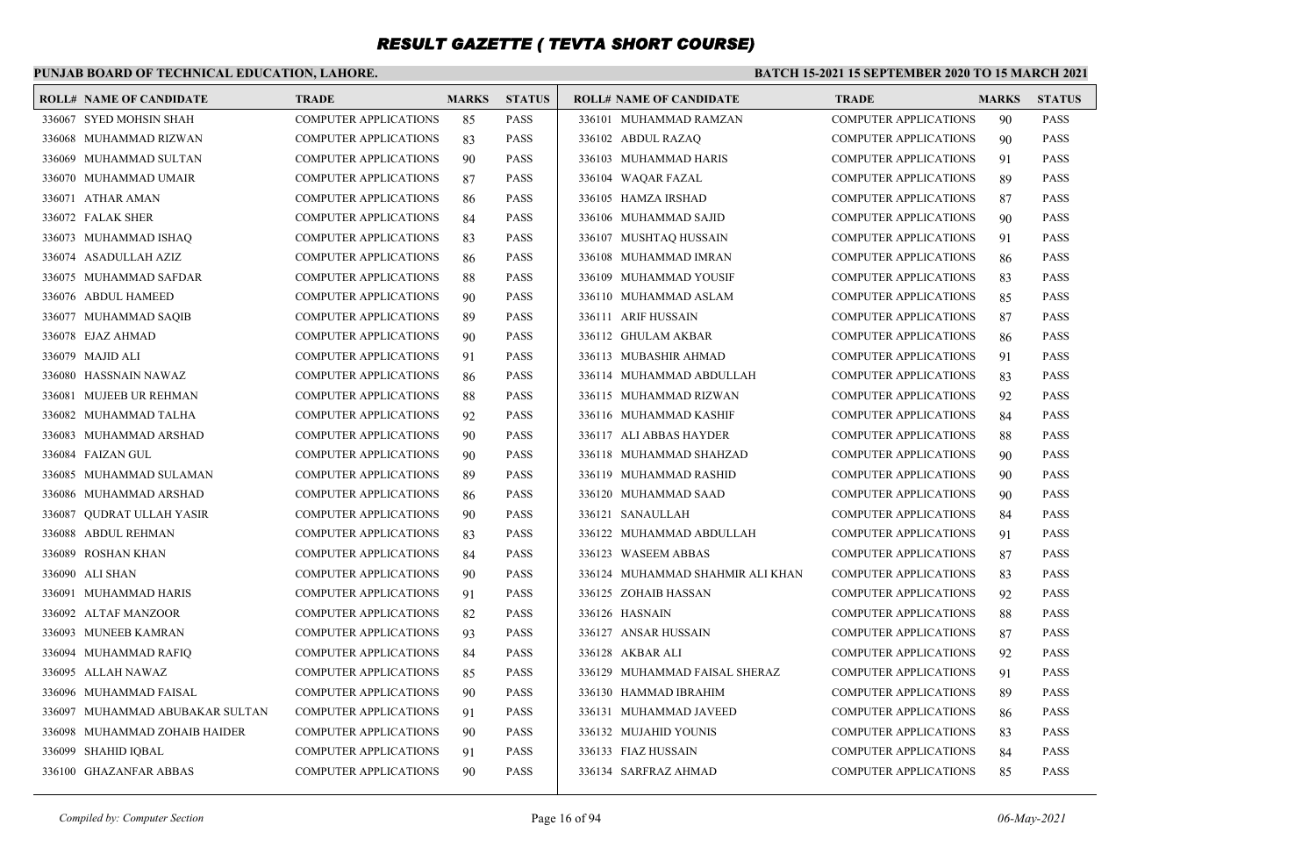### **PUNJAB BOARD OF TECHNICAL EDUCATION, LAHORE.**

#### **BATCH 15-2021 15 SEPTEMBER 2020 TO 15 MARCH 2021**

| <b>ROLL# NAME OF CANDIDATE</b>  | <b>TRADE</b>                 | <b>MARKS</b> | <b>STATUS</b> | <b>ROLL# NAME OF CANDIDATE</b>   | <b>TRADE</b>                 | <b>MARKS</b> | <b>STATUS</b> |
|---------------------------------|------------------------------|--------------|---------------|----------------------------------|------------------------------|--------------|---------------|
| 336067 SYED MOHSIN SHAH         | <b>COMPUTER APPLICATIONS</b> | 85           | <b>PASS</b>   | 336101 MUHAMMAD RAMZAN           | <b>COMPUTER APPLICATIONS</b> | 90           | <b>PASS</b>   |
| 336068 MUHAMMAD RIZWAN          | <b>COMPUTER APPLICATIONS</b> | 83           | <b>PASS</b>   | 336102 ABDUL RAZAO               | <b>COMPUTER APPLICATIONS</b> | 90           | <b>PASS</b>   |
| 336069 MUHAMMAD SULTAN          | <b>COMPUTER APPLICATIONS</b> | 90           | <b>PASS</b>   | 336103 MUHAMMAD HARIS            | <b>COMPUTER APPLICATIONS</b> | 91           | <b>PASS</b>   |
| 336070 MUHAMMAD UMAIR           | <b>COMPUTER APPLICATIONS</b> | 87           | <b>PASS</b>   | 336104 WAQAR FAZAL               | <b>COMPUTER APPLICATIONS</b> | 89           | <b>PASS</b>   |
| 336071 ATHAR AMAN               | <b>COMPUTER APPLICATIONS</b> | 86           | <b>PASS</b>   | 336105 HAMZA IRSHAD              | <b>COMPUTER APPLICATIONS</b> | 87           | <b>PASS</b>   |
| 336072 FALAK SHER               | <b>COMPUTER APPLICATIONS</b> | 84           | <b>PASS</b>   | 336106 MUHAMMAD SAJID            | <b>COMPUTER APPLICATIONS</b> | 90           | <b>PASS</b>   |
| 336073 MUHAMMAD ISHAQ           | <b>COMPUTER APPLICATIONS</b> | 83           | <b>PASS</b>   | 336107 MUSHTAQ HUSSAIN           | <b>COMPUTER APPLICATIONS</b> | 91           | <b>PASS</b>   |
| 336074 ASADULLAH AZIZ           | <b>COMPUTER APPLICATIONS</b> | 86           | <b>PASS</b>   | 336108 MUHAMMAD IMRAN            | <b>COMPUTER APPLICATIONS</b> | 86           | <b>PASS</b>   |
| 336075 MUHAMMAD SAFDAR          | <b>COMPUTER APPLICATIONS</b> | 88           | <b>PASS</b>   | 336109 MUHAMMAD YOUSIF           | <b>COMPUTER APPLICATIONS</b> | 83           | <b>PASS</b>   |
| 336076 ABDUL HAMEED             | <b>COMPUTER APPLICATIONS</b> | 90           | <b>PASS</b>   | 336110 MUHAMMAD ASLAM            | <b>COMPUTER APPLICATIONS</b> | 85           | <b>PASS</b>   |
| 336077 MUHAMMAD SAQIB           | <b>COMPUTER APPLICATIONS</b> | 89           | <b>PASS</b>   | 336111 ARIF HUSSAIN              | <b>COMPUTER APPLICATIONS</b> | 87           | <b>PASS</b>   |
| 336078 EJAZ AHMAD               | <b>COMPUTER APPLICATIONS</b> | 90           | <b>PASS</b>   | 336112 GHULAM AKBAR              | <b>COMPUTER APPLICATIONS</b> | 86           | <b>PASS</b>   |
| 336079 MAJID ALI                | <b>COMPUTER APPLICATIONS</b> | 91           | <b>PASS</b>   | 336113 MUBASHIR AHMAD            | <b>COMPUTER APPLICATIONS</b> | 91           | <b>PASS</b>   |
| 336080 HASSNAIN NAWAZ           | <b>COMPUTER APPLICATIONS</b> | 86           | <b>PASS</b>   | 336114 MUHAMMAD ABDULLAH         | <b>COMPUTER APPLICATIONS</b> | 83           | <b>PASS</b>   |
| 336081 MUJEEB UR REHMAN         | <b>COMPUTER APPLICATIONS</b> | 88           | <b>PASS</b>   | 336115 MUHAMMAD RIZWAN           | <b>COMPUTER APPLICATIONS</b> | 92           | <b>PASS</b>   |
| 336082 MUHAMMAD TALHA           | <b>COMPUTER APPLICATIONS</b> | 92           | <b>PASS</b>   | 336116 MUHAMMAD KASHIF           | <b>COMPUTER APPLICATIONS</b> | 84           | <b>PASS</b>   |
| 336083 MUHAMMAD ARSHAD          | <b>COMPUTER APPLICATIONS</b> | 90           | <b>PASS</b>   | 336117 ALI ABBAS HAYDER          | <b>COMPUTER APPLICATIONS</b> | 88           | <b>PASS</b>   |
| 336084 FAIZAN GUL               | COMPUTER APPLICATIONS        | 90           | <b>PASS</b>   | 336118 MUHAMMAD SHAHZAD          | COMPUTER APPLICATIONS        | 90           | <b>PASS</b>   |
| 336085 MUHAMMAD SULAMAN         | <b>COMPUTER APPLICATIONS</b> | 89           | <b>PASS</b>   | 336119 MUHAMMAD RASHID           | <b>COMPUTER APPLICATIONS</b> | 90           | <b>PASS</b>   |
| 336086 MUHAMMAD ARSHAD          | <b>COMPUTER APPLICATIONS</b> | 86           | <b>PASS</b>   | 336120 MUHAMMAD SAAD             | <b>COMPUTER APPLICATIONS</b> | 90           | <b>PASS</b>   |
| 336087 QUDRAT ULLAH YASIR       | <b>COMPUTER APPLICATIONS</b> | 90           | <b>PASS</b>   | 336121 SANAULLAH                 | <b>COMPUTER APPLICATIONS</b> | 84           | <b>PASS</b>   |
| 336088 ABDUL REHMAN             | COMPUTER APPLICATIONS        | 83           | <b>PASS</b>   | 336122 MUHAMMAD ABDULLAH         | <b>COMPUTER APPLICATIONS</b> | 91           | <b>PASS</b>   |
| 336089 ROSHAN KHAN              | <b>COMPUTER APPLICATIONS</b> | 84           | <b>PASS</b>   | 336123 WASEEM ABBAS              | COMPUTER APPLICATIONS        | 87           | <b>PASS</b>   |
| 336090 ALI SHAN                 | <b>COMPUTER APPLICATIONS</b> | 90           | <b>PASS</b>   | 336124 MUHAMMAD SHAHMIR ALI KHAN | <b>COMPUTER APPLICATIONS</b> | 83           | <b>PASS</b>   |
| 336091 MUHAMMAD HARIS           | COMPUTER APPLICATIONS        | 91           | <b>PASS</b>   | 336125 ZOHAIB HASSAN             | <b>COMPUTER APPLICATIONS</b> | 92           | <b>PASS</b>   |
| 336092 ALTAF MANZOOR            | <b>COMPUTER APPLICATIONS</b> | 82           | <b>PASS</b>   | 336126 HASNAIN                   | <b>COMPUTER APPLICATIONS</b> | 88           | <b>PASS</b>   |
| 336093 MUNEEB KAMRAN            | <b>COMPUTER APPLICATIONS</b> | 93           | <b>PASS</b>   | 336127 ANSAR HUSSAIN             | <b>COMPUTER APPLICATIONS</b> | 87           | <b>PASS</b>   |
| 336094 MUHAMMAD RAFIO           | <b>COMPUTER APPLICATIONS</b> | 84           | <b>PASS</b>   | 336128 AKBAR ALI                 | <b>COMPUTER APPLICATIONS</b> | 92           | <b>PASS</b>   |
| 336095 ALLAH NAWAZ              | <b>COMPUTER APPLICATIONS</b> | 85           | <b>PASS</b>   | 336129 MUHAMMAD FAISAL SHERAZ    | <b>COMPUTER APPLICATIONS</b> | 91           | <b>PASS</b>   |
| 336096 MUHAMMAD FAISAL          | <b>COMPUTER APPLICATIONS</b> | 90           | <b>PASS</b>   | 336130 HAMMAD IBRAHIM            | <b>COMPUTER APPLICATIONS</b> | 89           | <b>PASS</b>   |
| 336097 MUHAMMAD ABUBAKAR SULTAN | <b>COMPUTER APPLICATIONS</b> | 91           | <b>PASS</b>   | 336131 MUHAMMAD JAVEED           | <b>COMPUTER APPLICATIONS</b> | 86           | <b>PASS</b>   |
| 336098 MUHAMMAD ZOHAIB HAIDER   | <b>COMPUTER APPLICATIONS</b> | 90           | <b>PASS</b>   | 336132 MUJAHID YOUNIS            | <b>COMPUTER APPLICATIONS</b> | 83           | <b>PASS</b>   |
| 336099 SHAHID IQBAL             | <b>COMPUTER APPLICATIONS</b> | 91           | <b>PASS</b>   | 336133 FIAZ HUSSAIN              | <b>COMPUTER APPLICATIONS</b> | 84           | <b>PASS</b>   |
| 336100 GHAZANFAR ABBAS          | <b>COMPUTER APPLICATIONS</b> | 90           | <b>PASS</b>   | 336134 SARFRAZ AHMAD             | <b>COMPUTER APPLICATIONS</b> | 85           | <b>PASS</b>   |
|                                 |                              |              |               |                                  |                              |              |               |

*Compiled by: Computer Section* Page 16 of 94 *06-May-2021*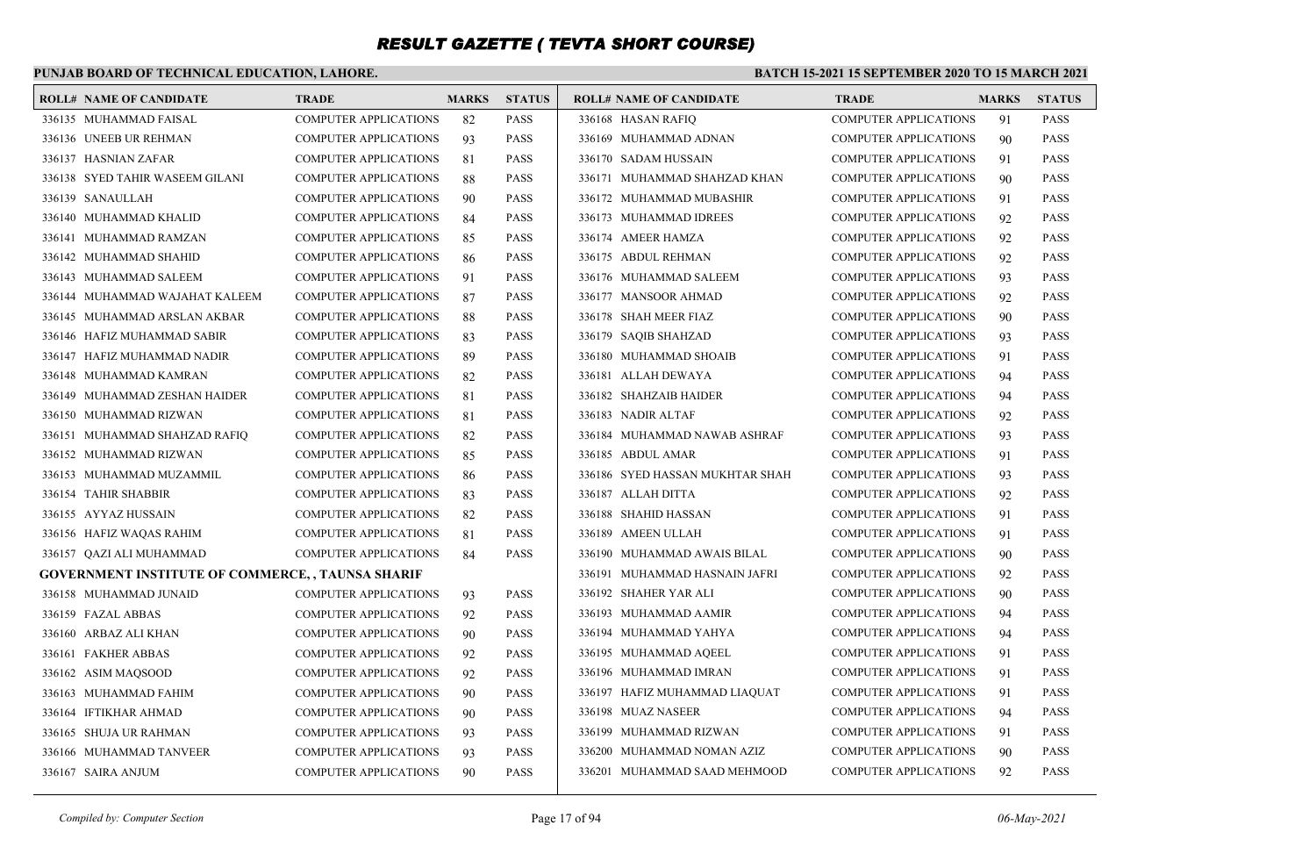### **PUNJAB BOARD OF TECHNICAL EDUCATION, LAHORE.**

| <b>ROLL# NAME OF CANDIDATE</b>                           | <b>TRADE</b>                 | <b>MARKS</b> | <b>STATUS</b> | <b>ROLL# NAME OF CANDIDATE</b>  | <b>TRADE</b>                 | <b>MARKS</b> | <b>STATUS</b> |
|----------------------------------------------------------|------------------------------|--------------|---------------|---------------------------------|------------------------------|--------------|---------------|
| 336135 MUHAMMAD FAISAL                                   | <b>COMPUTER APPLICATIONS</b> | 82           | <b>PASS</b>   | 336168 HASAN RAFIO              | <b>COMPUTER APPLICATIONS</b> | 91           | <b>PASS</b>   |
| 336136 UNEEB UR REHMAN                                   | <b>COMPUTER APPLICATIONS</b> | 93           | <b>PASS</b>   | 336169 MUHAMMAD ADNAN           | <b>COMPUTER APPLICATIONS</b> | 90           | <b>PASS</b>   |
| 336137 HASNIAN ZAFAR                                     | COMPUTER APPLICATIONS        | 81           | <b>PASS</b>   | 336170 SADAM HUSSAIN            | <b>COMPUTER APPLICATIONS</b> | 91           | <b>PASS</b>   |
| 336138 SYED TAHIR WASEEM GILANI                          | <b>COMPUTER APPLICATIONS</b> | 88           | <b>PASS</b>   | 336171 MUHAMMAD SHAHZAD KHAN    | <b>COMPUTER APPLICATIONS</b> | 90           | <b>PASS</b>   |
| 336139 SANAULLAH                                         | <b>COMPUTER APPLICATIONS</b> | 90           | <b>PASS</b>   | 336172 MUHAMMAD MUBASHIR        | <b>COMPUTER APPLICATIONS</b> | 91           | <b>PASS</b>   |
| 336140 MUHAMMAD KHALID                                   | <b>COMPUTER APPLICATIONS</b> | 84           | <b>PASS</b>   | 336173 MUHAMMAD IDREES          | <b>COMPUTER APPLICATIONS</b> | 92           | <b>PASS</b>   |
| 336141 MUHAMMAD RAMZAN                                   | <b>COMPUTER APPLICATIONS</b> | 85           | <b>PASS</b>   | 336174 AMEER HAMZA              | <b>COMPUTER APPLICATIONS</b> | 92           | <b>PASS</b>   |
| 336142 MUHAMMAD SHAHID                                   | <b>COMPUTER APPLICATIONS</b> | 86           | <b>PASS</b>   | 336175 ABDUL REHMAN             | <b>COMPUTER APPLICATIONS</b> | 92           | <b>PASS</b>   |
| 336143 MUHAMMAD SALEEM                                   | <b>COMPUTER APPLICATIONS</b> | 91           | <b>PASS</b>   | 336176 MUHAMMAD SALEEM          | <b>COMPUTER APPLICATIONS</b> | 93           | <b>PASS</b>   |
| 336144 MUHAMMAD WAJAHAT KALEEM                           | <b>COMPUTER APPLICATIONS</b> | 87           | <b>PASS</b>   | 336177 MANSOOR AHMAD            | <b>COMPUTER APPLICATIONS</b> | 92           | <b>PASS</b>   |
| 336145 MUHAMMAD ARSLAN AKBAR                             | <b>COMPUTER APPLICATIONS</b> | 88           | <b>PASS</b>   | 336178 SHAH MEER FIAZ           | <b>COMPUTER APPLICATIONS</b> | 90           | <b>PASS</b>   |
| 336146 HAFIZ MUHAMMAD SABIR                              | <b>COMPUTER APPLICATIONS</b> | 83           | <b>PASS</b>   | 336179 SAQIB SHAHZAD            | <b>COMPUTER APPLICATIONS</b> | 93           | <b>PASS</b>   |
| 336147 HAFIZ MUHAMMAD NADIR                              | <b>COMPUTER APPLICATIONS</b> | 89           | <b>PASS</b>   | 336180 MUHAMMAD SHOAIB          | <b>COMPUTER APPLICATIONS</b> | 91           | <b>PASS</b>   |
| 336148 MUHAMMAD KAMRAN                                   | <b>COMPUTER APPLICATIONS</b> | 82           | <b>PASS</b>   | 336181 ALLAH DEWAYA             | <b>COMPUTER APPLICATIONS</b> | 94           | <b>PASS</b>   |
| 336149 MUHAMMAD ZESHAN HAIDER                            | <b>COMPUTER APPLICATIONS</b> | 81           | <b>PASS</b>   | 336182 SHAHZAIB HAIDER          | <b>COMPUTER APPLICATIONS</b> | 94           | <b>PASS</b>   |
| 336150 MUHAMMAD RIZWAN                                   | <b>COMPUTER APPLICATIONS</b> | 81           | <b>PASS</b>   | 336183 NADIR ALTAF              | <b>COMPUTER APPLICATIONS</b> | 92           | <b>PASS</b>   |
| 336151 MUHAMMAD SHAHZAD RAFIQ                            | <b>COMPUTER APPLICATIONS</b> | 82           | <b>PASS</b>   | 336184 MUHAMMAD NAWAB ASHRAF    | <b>COMPUTER APPLICATIONS</b> | 93           | <b>PASS</b>   |
| 336152 MUHAMMAD RIZWAN                                   | <b>COMPUTER APPLICATIONS</b> | 85           | <b>PASS</b>   | 336185 ABDUL AMAR               | COMPUTER APPLICATIONS        | 91           | <b>PASS</b>   |
| 336153 MUHAMMAD MUZAMMIL                                 | <b>COMPUTER APPLICATIONS</b> | 86           | <b>PASS</b>   | 336186 SYED HASSAN MUKHTAR SHAH | <b>COMPUTER APPLICATIONS</b> | 93           | <b>PASS</b>   |
| 336154 TAHIR SHABBIR                                     | <b>COMPUTER APPLICATIONS</b> | 83           | <b>PASS</b>   | 336187 ALLAH DITTA              | <b>COMPUTER APPLICATIONS</b> | 92           | <b>PASS</b>   |
| 336155 AYYAZ HUSSAIN                                     | <b>COMPUTER APPLICATIONS</b> | 82           | <b>PASS</b>   | 336188 SHAHID HASSAN            | <b>COMPUTER APPLICATIONS</b> | 91           | <b>PASS</b>   |
| 336156 HAFIZ WAQAS RAHIM                                 | <b>COMPUTER APPLICATIONS</b> | 81           | <b>PASS</b>   | 336189 AMEEN ULLAH              | <b>COMPUTER APPLICATIONS</b> | 91           | <b>PASS</b>   |
| 336157 QAZI ALI MUHAMMAD                                 | <b>COMPUTER APPLICATIONS</b> | 84           | <b>PASS</b>   | 336190 MUHAMMAD AWAIS BILAL     | <b>COMPUTER APPLICATIONS</b> | 90           | <b>PASS</b>   |
| <b>GOVERNMENT INSTITUTE OF COMMERCE, , TAUNSA SHARIF</b> |                              |              |               | 336191 MUHAMMAD HASNAIN JAFRI   | <b>COMPUTER APPLICATIONS</b> | 92           | <b>PASS</b>   |
| 336158 MUHAMMAD JUNAID                                   | <b>COMPUTER APPLICATIONS</b> | 93           | <b>PASS</b>   | 336192 SHAHER YAR ALI           | <b>COMPUTER APPLICATIONS</b> | 90           | <b>PASS</b>   |
| 336159 FAZAL ABBAS                                       | <b>COMPUTER APPLICATIONS</b> | 92           | <b>PASS</b>   | 336193 MUHAMMAD AAMIR           | <b>COMPUTER APPLICATIONS</b> | 94           | <b>PASS</b>   |
| 336160 ARBAZ ALI KHAN                                    | <b>COMPUTER APPLICATIONS</b> | 90           | <b>PASS</b>   | 336194 MUHAMMAD YAHYA           | <b>COMPUTER APPLICATIONS</b> | 94           | <b>PASS</b>   |
| 336161 FAKHER ABBAS                                      | <b>COMPUTER APPLICATIONS</b> | 92           | <b>PASS</b>   | 336195 MUHAMMAD AQEEL           | <b>COMPUTER APPLICATIONS</b> | 91           | <b>PASS</b>   |
| 336162 ASIM MAQSOOD                                      | <b>COMPUTER APPLICATIONS</b> | 92           | <b>PASS</b>   | 336196 MUHAMMAD IMRAN           | <b>COMPUTER APPLICATIONS</b> | 91           | <b>PASS</b>   |
| 336163 MUHAMMAD FAHIM                                    | <b>COMPUTER APPLICATIONS</b> | 90           | <b>PASS</b>   | 336197 HAFIZ MUHAMMAD LIAQUAT   | <b>COMPUTER APPLICATIONS</b> | 91           | <b>PASS</b>   |
| 336164 IFTIKHAR AHMAD                                    | <b>COMPUTER APPLICATIONS</b> | 90           | <b>PASS</b>   | 336198 MUAZ NASEER              | <b>COMPUTER APPLICATIONS</b> | 94           | <b>PASS</b>   |
| 336165 SHUJA UR RAHMAN                                   | <b>COMPUTER APPLICATIONS</b> | 93           | <b>PASS</b>   | 336199 MUHAMMAD RIZWAN          | <b>COMPUTER APPLICATIONS</b> | 91           | <b>PASS</b>   |
| 336166 MUHAMMAD TANVEER                                  | <b>COMPUTER APPLICATIONS</b> | 93           | <b>PASS</b>   | 336200 MUHAMMAD NOMAN AZIZ      | <b>COMPUTER APPLICATIONS</b> | 90           | <b>PASS</b>   |
| 336167 SAIRA ANJUM                                       | <b>COMPUTER APPLICATIONS</b> | 90           | <b>PASS</b>   | 336201 MUHAMMAD SAAD MEHMOOD    | <b>COMPUTER APPLICATIONS</b> | 92           | <b>PASS</b>   |
|                                                          |                              |              |               |                                 |                              |              |               |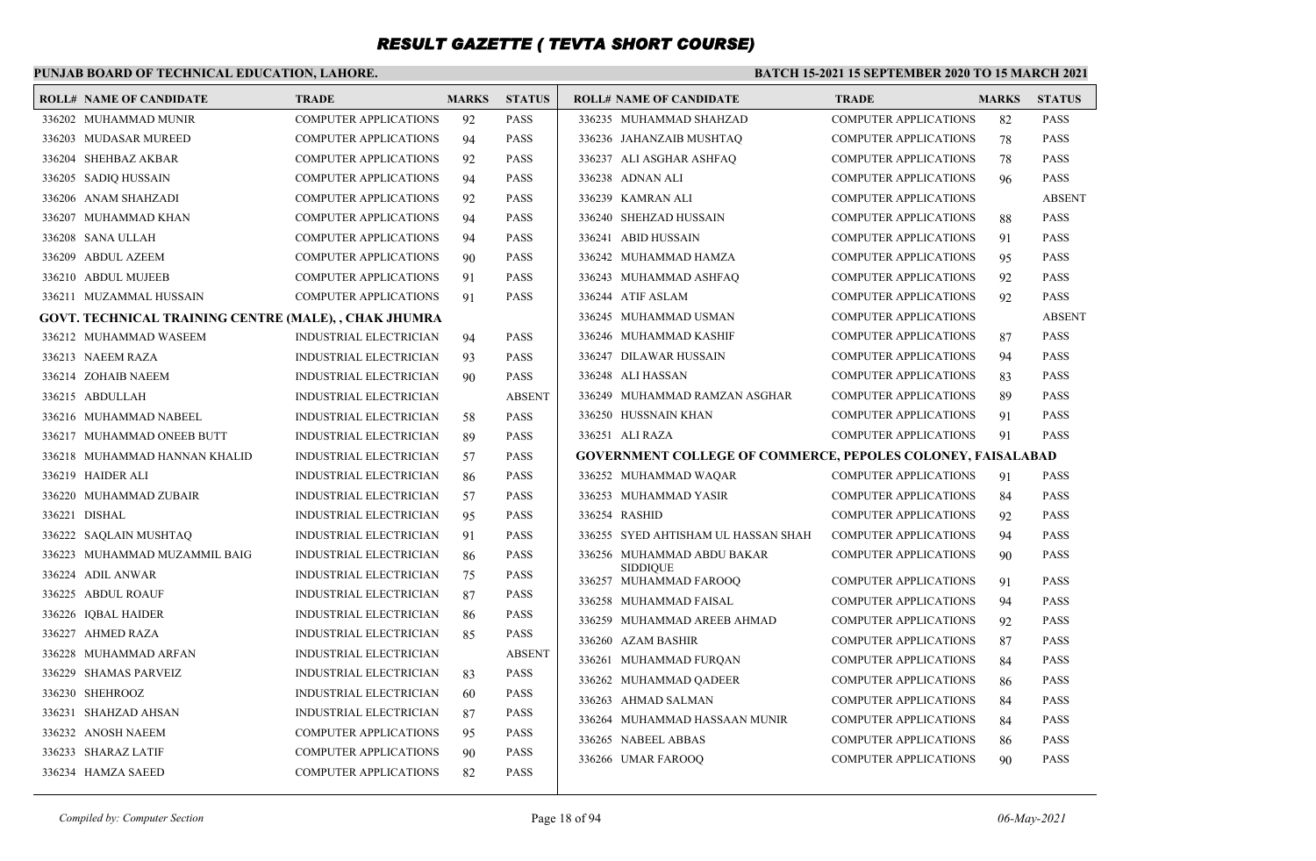### **PUNJAB BOARD OF TECHNICAL EDUCATION, LAHORE.**

| <b>ROLL# NAME OF CANDIDATE</b>                        | <b>TRADE</b>                  | <b>MARKS</b> | <b>STATUS</b> | <b>ROLL# NAME OF CANDIDATE</b>                                     | <b>TRADE</b>                 | <b>MARKS</b> | <b>STATUS</b> |
|-------------------------------------------------------|-------------------------------|--------------|---------------|--------------------------------------------------------------------|------------------------------|--------------|---------------|
| 336202 MUHAMMAD MUNIR                                 | <b>COMPUTER APPLICATIONS</b>  | 92           | <b>PASS</b>   | 336235 MUHAMMAD SHAHZAD                                            | <b>COMPUTER APPLICATIONS</b> | 82           | <b>PASS</b>   |
| 336203 MUDASAR MUREED                                 | <b>COMPUTER APPLICATIONS</b>  | 94           | <b>PASS</b>   | 336236 JAHANZAIB MUSHTAQ                                           | <b>COMPUTER APPLICATIONS</b> | 78           | PASS          |
| 336204 SHEHBAZ AKBAR                                  | <b>COMPUTER APPLICATIONS</b>  | 92           | <b>PASS</b>   | 336237 ALI ASGHAR ASHFAQ                                           | <b>COMPUTER APPLICATIONS</b> | 78           | <b>PASS</b>   |
| 336205 SADIQ HUSSAIN                                  | <b>COMPUTER APPLICATIONS</b>  | 94           | <b>PASS</b>   | 336238 ADNAN ALI                                                   | <b>COMPUTER APPLICATIONS</b> | 96           | <b>PASS</b>   |
| 336206 ANAM SHAHZADI                                  | <b>COMPUTER APPLICATIONS</b>  | 92           | <b>PASS</b>   | 336239 KAMRAN ALI                                                  | <b>COMPUTER APPLICATIONS</b> |              | <b>ABSENT</b> |
| 336207 MUHAMMAD KHAN                                  | <b>COMPUTER APPLICATIONS</b>  | 94           | <b>PASS</b>   | 336240 SHEHZAD HUSSAIN                                             | <b>COMPUTER APPLICATIONS</b> | 88           | <b>PASS</b>   |
| 336208 SANA ULLAH                                     | <b>COMPUTER APPLICATIONS</b>  | 94           | <b>PASS</b>   | 336241 ABID HUSSAIN                                                | <b>COMPUTER APPLICATIONS</b> | 91           | <b>PASS</b>   |
| 336209 ABDUL AZEEM                                    | <b>COMPUTER APPLICATIONS</b>  | 90           | <b>PASS</b>   | 336242 MUHAMMAD HAMZA                                              | <b>COMPUTER APPLICATIONS</b> | 95           | <b>PASS</b>   |
| 336210 ABDUL MUJEEB                                   | <b>COMPUTER APPLICATIONS</b>  | 91           | <b>PASS</b>   | 336243 MUHAMMAD ASHFAQ                                             | <b>COMPUTER APPLICATIONS</b> | 92           | <b>PASS</b>   |
| 336211 MUZAMMAL HUSSAIN                               | COMPUTER APPLICATIONS         | 91           | <b>PASS</b>   | 336244 ATIF ASLAM                                                  | <b>COMPUTER APPLICATIONS</b> | 92           | <b>PASS</b>   |
| GOVT. TECHNICAL TRAINING CENTRE (MALE), , CHAK JHUMRA |                               |              |               | 336245 MUHAMMAD USMAN                                              | <b>COMPUTER APPLICATIONS</b> |              | <b>ABSENT</b> |
| 336212 MUHAMMAD WASEEM                                | INDUSTRIAL ELECTRICIAN        | 94           | <b>PASS</b>   | 336246 MUHAMMAD KASHIF                                             | <b>COMPUTER APPLICATIONS</b> | 87           | PASS          |
| 336213 NAEEM RAZA                                     | <b>INDUSTRIAL ELECTRICIAN</b> | 93           | <b>PASS</b>   | 336247 DILAWAR HUSSAIN                                             | <b>COMPUTER APPLICATIONS</b> | 94           | <b>PASS</b>   |
| 336214 ZOHAIB NAEEM                                   | INDUSTRIAL ELECTRICIAN        | 90           | <b>PASS</b>   | 336248 ALI HASSAN                                                  | <b>COMPUTER APPLICATIONS</b> | 83           | <b>PASS</b>   |
| 336215 ABDULLAH                                       | <b>INDUSTRIAL ELECTRICIAN</b> |              | <b>ABSENT</b> | 336249 MUHAMMAD RAMZAN ASGHAR                                      | <b>COMPUTER APPLICATIONS</b> | 89           | <b>PASS</b>   |
| 336216 MUHAMMAD NABEEL                                | INDUSTRIAL ELECTRICIAN        | 58           | <b>PASS</b>   | 336250 HUSSNAIN KHAN                                               | <b>COMPUTER APPLICATIONS</b> | 91           | <b>PASS</b>   |
| 336217 MUHAMMAD ONEEB BUTT                            | <b>INDUSTRIAL ELECTRICIAN</b> | 89           | <b>PASS</b>   | 336251 ALI RAZA                                                    | <b>COMPUTER APPLICATIONS</b> | 91           | <b>PASS</b>   |
| 336218 MUHAMMAD HANNAN KHALID                         | <b>INDUSTRIAL ELECTRICIAN</b> | 57           | <b>PASS</b>   | <b>GOVERNMENT COLLEGE OF COMMERCE, PEPOLES COLONEY, FAISALABAD</b> |                              |              |               |
| 336219 HAIDER ALI                                     | INDUSTRIAL ELECTRICIAN        | 86           | <b>PASS</b>   | 336252 MUHAMMAD WAQAR                                              | <b>COMPUTER APPLICATIONS</b> | 91           | <b>PASS</b>   |
| 336220 MUHAMMAD ZUBAIR                                | <b>INDUSTRIAL ELECTRICIAN</b> | 57           | <b>PASS</b>   | 336253 MUHAMMAD YASIR                                              | <b>COMPUTER APPLICATIONS</b> | 84           | <b>PASS</b>   |
| 336221 DISHAL                                         | INDUSTRIAL ELECTRICIAN        | 95           | <b>PASS</b>   | 336254 RASHID                                                      | <b>COMPUTER APPLICATIONS</b> | 92           | <b>PASS</b>   |
| 336222 SAQLAIN MUSHTAQ                                | <b>INDUSTRIAL ELECTRICIAN</b> | 91           | <b>PASS</b>   | 336255 SYED AHTISHAM UL HASSAN SHAH                                | <b>COMPUTER APPLICATIONS</b> | 94           | <b>PASS</b>   |
| 336223 MUHAMMAD MUZAMMIL BAIG                         | <b>INDUSTRIAL ELECTRICIAN</b> | 86           | <b>PASS</b>   | 336256 MUHAMMAD ABDU BAKAR                                         | <b>COMPUTER APPLICATIONS</b> | 90           | <b>PASS</b>   |
| 336224 ADIL ANWAR                                     | INDUSTRIAL ELECTRICIAN        | 75           | <b>PASS</b>   | <b>SIDDIQUE</b><br>336257 MUHAMMAD FAROOQ                          | <b>COMPUTER APPLICATIONS</b> | 91           | <b>PASS</b>   |
| 336225 ABDUL ROAUF                                    | <b>INDUSTRIAL ELECTRICIAN</b> | 87           | <b>PASS</b>   | 336258 MUHAMMAD FAISAL                                             | <b>COMPUTER APPLICATIONS</b> | 94           | <b>PASS</b>   |
| 336226 IQBAL HAIDER                                   | INDUSTRIAL ELECTRICIAN        | 86           | <b>PASS</b>   | 336259 MUHAMMAD AREEB AHMAD                                        | <b>COMPUTER APPLICATIONS</b> | 92           | <b>PASS</b>   |
| 336227 AHMED RAZA                                     | INDUSTRIAL ELECTRICIAN        | 85           | <b>PASS</b>   | 336260 AZAM BASHIR                                                 | <b>COMPUTER APPLICATIONS</b> | 87           | <b>PASS</b>   |
| 336228 MUHAMMAD ARFAN                                 | <b>INDUSTRIAL ELECTRICIAN</b> |              | <b>ABSENT</b> | 336261 MUHAMMAD FURQAN                                             | <b>COMPUTER APPLICATIONS</b> | 84           | <b>PASS</b>   |
| 336229 SHAMAS PARVEIZ                                 | INDUSTRIAL ELECTRICIAN        | 83           | <b>PASS</b>   | 336262 MUHAMMAD QADEER                                             | <b>COMPUTER APPLICATIONS</b> | 86           | <b>PASS</b>   |
| 336230 SHEHROOZ                                       | <b>INDUSTRIAL ELECTRICIAN</b> | 60           | <b>PASS</b>   | 336263 AHMAD SALMAN                                                | <b>COMPUTER APPLICATIONS</b> | 84           | <b>PASS</b>   |
| 336231 SHAHZAD AHSAN                                  | INDUSTRIAL ELECTRICIAN        | 87           | <b>PASS</b>   | 336264 MUHAMMAD HASSAAN MUNIR                                      | <b>COMPUTER APPLICATIONS</b> | 84           | <b>PASS</b>   |
| 336232 ANOSH NAEEM                                    | <b>COMPUTER APPLICATIONS</b>  | 95           | <b>PASS</b>   | 336265 NABEEL ABBAS                                                | <b>COMPUTER APPLICATIONS</b> | 86           | <b>PASS</b>   |
| 336233 SHARAZ LATIF                                   | <b>COMPUTER APPLICATIONS</b>  | 90           | <b>PASS</b>   | 336266 UMAR FAROOQ                                                 | <b>COMPUTER APPLICATIONS</b> | 90           | <b>PASS</b>   |
| 336234 HAMZA SAEED                                    | <b>COMPUTER APPLICATIONS</b>  | 82           | <b>PASS</b>   |                                                                    |                              |              |               |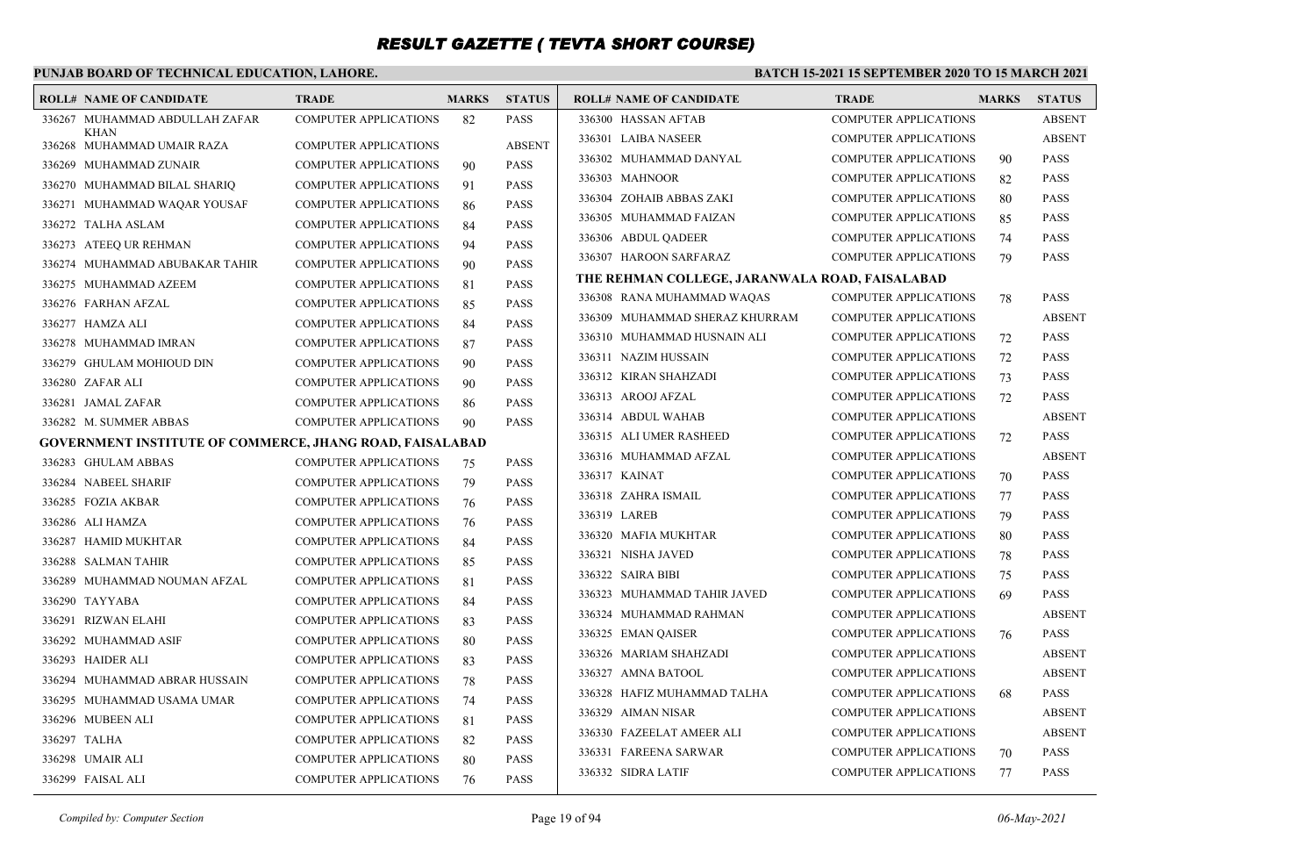### **PUNJAB BOARD OF TECHNICAL EDUCATION, LAHORE.**

#### **BATCH 15-2021 15 SEPTEMBER 2020 TO 15 MARCH 2021**

| <b>ROLL# NAME OF CANDIDATE</b>                                  | <b>TRADE</b>                 | <b>MARKS</b> | <b>STATUS</b> | ROLL# NAME OF CANDIDATE                        | <b>TRADE</b>                 | <b>MARKS</b> | <b>STATUS</b> |
|-----------------------------------------------------------------|------------------------------|--------------|---------------|------------------------------------------------|------------------------------|--------------|---------------|
| 336267 MUHAMMAD ABDULLAH ZAFAR                                  | <b>COMPUTER APPLICATIONS</b> | 82           | <b>PASS</b>   | 336300 HASSAN AFTAB                            | <b>COMPUTER APPLICATIONS</b> |              | <b>ABSENT</b> |
| <b>KHAN</b><br>336268 MUHAMMAD UMAIR RAZA                       | <b>COMPUTER APPLICATIONS</b> |              | <b>ABSENT</b> | 336301 LAIBA NASEER                            | <b>COMPUTER APPLICATIONS</b> |              | <b>ABSENT</b> |
| 336269 MUHAMMAD ZUNAIR                                          | <b>COMPUTER APPLICATIONS</b> | 90           | <b>PASS</b>   | 336302 MUHAMMAD DANYAL                         | <b>COMPUTER APPLICATIONS</b> | 90           | <b>PASS</b>   |
| 336270 MUHAMMAD BILAL SHARIQ                                    | <b>COMPUTER APPLICATIONS</b> | 91           | <b>PASS</b>   | 336303 MAHNOOR                                 | <b>COMPUTER APPLICATIONS</b> | 82           | <b>PASS</b>   |
| 336271 MUHAMMAD WAQAR YOUSAF                                    | COMPUTER APPLICATIONS        | 86           | <b>PASS</b>   | 336304 ZOHAIB ABBAS ZAKI                       | <b>COMPUTER APPLICATIONS</b> | 80           | <b>PASS</b>   |
| 336272 TALHA ASLAM                                              | <b>COMPUTER APPLICATIONS</b> | 84           | PASS          | 336305 MUHAMMAD FAIZAN                         | <b>COMPUTER APPLICATIONS</b> | 85           | <b>PASS</b>   |
| 336273 ATEEQ UR REHMAN                                          | <b>COMPUTER APPLICATIONS</b> | 94           | <b>PASS</b>   | 336306 ABDUL QADEER                            | <b>COMPUTER APPLICATIONS</b> | 74           | <b>PASS</b>   |
| 336274 MUHAMMAD ABUBAKAR TAHIR                                  | <b>COMPUTER APPLICATIONS</b> | 90           | <b>PASS</b>   | 336307 HAROON SARFARAZ                         | COMPUTER APPLICATIONS        | 79           | <b>PASS</b>   |
| 336275 MUHAMMAD AZEEM                                           | <b>COMPUTER APPLICATIONS</b> | 81           | <b>PASS</b>   | THE REHMAN COLLEGE, JARANWALA ROAD, FAISALABAD |                              |              |               |
| 336276 FARHAN AFZAL                                             | <b>COMPUTER APPLICATIONS</b> | 85           | <b>PASS</b>   | 336308 RANA MUHAMMAD WAQAS                     | <b>COMPUTER APPLICATIONS</b> | 78           | <b>PASS</b>   |
| 336277 HAMZA ALI                                                | <b>COMPUTER APPLICATIONS</b> | 84           | <b>PASS</b>   | 336309 MUHAMMAD SHERAZ KHURRAM                 | <b>COMPUTER APPLICATIONS</b> |              | <b>ABSENT</b> |
| 336278 MUHAMMAD IMRAN                                           | <b>COMPUTER APPLICATIONS</b> | 87           | <b>PASS</b>   | 336310 MUHAMMAD HUSNAIN ALI                    | <b>COMPUTER APPLICATIONS</b> | 72           | <b>PASS</b>   |
| 336279 GHULAM MOHIOUD DIN                                       | <b>COMPUTER APPLICATIONS</b> | 90           | <b>PASS</b>   | 336311 NAZIM HUSSAIN                           | <b>COMPUTER APPLICATIONS</b> | 72           | <b>PASS</b>   |
| 336280 ZAFAR ALI                                                | <b>COMPUTER APPLICATIONS</b> | 90           | <b>PASS</b>   | 336312 KIRAN SHAHZADI                          | <b>COMPUTER APPLICATIONS</b> | 73           | <b>PASS</b>   |
| 336281 JAMAL ZAFAR                                              | <b>COMPUTER APPLICATIONS</b> | 86           | <b>PASS</b>   | 336313 AROOJ AFZAL                             | <b>COMPUTER APPLICATIONS</b> | 72           | PASS          |
| 336282 M. SUMMER ABBAS                                          | <b>COMPUTER APPLICATIONS</b> | 90           | <b>PASS</b>   | 336314 ABDUL WAHAB                             | <b>COMPUTER APPLICATIONS</b> |              | <b>ABSENT</b> |
| <b>GOVERNMENT INSTITUTE OF COMMERCE, JHANG ROAD, FAISALABAD</b> |                              |              |               | 336315 ALI UMER RASHEED                        | <b>COMPUTER APPLICATIONS</b> | 72           | <b>PASS</b>   |
| 336283 GHULAM ABBAS                                             | <b>COMPUTER APPLICATIONS</b> | 75           | <b>PASS</b>   | 336316 MUHAMMAD AFZAL                          | <b>COMPUTER APPLICATIONS</b> |              | <b>ABSENT</b> |
| 336284 NABEEL SHARIF                                            | <b>COMPUTER APPLICATIONS</b> | 79           | <b>PASS</b>   | 336317 KAINAT                                  | <b>COMPUTER APPLICATIONS</b> | 70           | <b>PASS</b>   |
| 336285 FOZIA AKBAR                                              | <b>COMPUTER APPLICATIONS</b> | 76           | <b>PASS</b>   | 336318 ZAHRA ISMAIL                            | <b>COMPUTER APPLICATIONS</b> | 77           | <b>PASS</b>   |
| 336286 ALI HAMZA                                                | <b>COMPUTER APPLICATIONS</b> | 76           | <b>PASS</b>   | 336319 LAREB                                   | <b>COMPUTER APPLICATIONS</b> | 79           | PASS          |
| 336287 HAMID MUKHTAR                                            | <b>COMPUTER APPLICATIONS</b> | 84           | <b>PASS</b>   | 336320 MAFIA MUKHTAR                           | <b>COMPUTER APPLICATIONS</b> | 80           | <b>PASS</b>   |
| 336288 SALMAN TAHIR                                             | <b>COMPUTER APPLICATIONS</b> | 85           | <b>PASS</b>   | 336321 NISHA JAVED                             | <b>COMPUTER APPLICATIONS</b> | 78           | PASS          |
| 336289 MUHAMMAD NOUMAN AFZAL                                    | <b>COMPUTER APPLICATIONS</b> | 81           | <b>PASS</b>   | 336322 SAIRA BIBI                              | <b>COMPUTER APPLICATIONS</b> | 75           | <b>PASS</b>   |
| 336290 TAYYABA                                                  | <b>COMPUTER APPLICATIONS</b> | 84           | <b>PASS</b>   | 336323 MUHAMMAD TAHIR JAVED                    | <b>COMPUTER APPLICATIONS</b> | 69           | <b>PASS</b>   |
| 336291 RIZWAN ELAHI                                             | <b>COMPUTER APPLICATIONS</b> | 83           | <b>PASS</b>   | 336324 MUHAMMAD RAHMAN                         | <b>COMPUTER APPLICATIONS</b> |              | <b>ABSENT</b> |
| 336292 MUHAMMAD ASIF                                            | <b>COMPUTER APPLICATIONS</b> | 80           | <b>PASS</b>   | 336325 EMAN QAISER                             | <b>COMPUTER APPLICATIONS</b> | 76           | <b>PASS</b>   |
| 336293 HAIDER ALI                                               | COMPUTER APPLICATIONS        | 83           | <b>PASS</b>   | 336326 MARIAM SHAHZADI                         | <b>COMPUTER APPLICATIONS</b> |              | <b>ABSENT</b> |
| 336294 MUHAMMAD ABRAR HUSSAIN                                   | <b>COMPUTER APPLICATIONS</b> | 78           | <b>PASS</b>   | 336327 AMNA BATOOL                             | <b>COMPUTER APPLICATIONS</b> |              | <b>ABSENT</b> |
| 336295 MUHAMMAD USAMA UMAR                                      | <b>COMPUTER APPLICATIONS</b> | 74           | <b>PASS</b>   | 336328 HAFIZ MUHAMMAD TALHA                    | <b>COMPUTER APPLICATIONS</b> | 68           | <b>PASS</b>   |
| 336296 MUBEEN ALI                                               | <b>COMPUTER APPLICATIONS</b> | 81           | <b>PASS</b>   | 336329 AIMAN NISAR                             | <b>COMPUTER APPLICATIONS</b> |              | <b>ABSENT</b> |
| 336297 TALHA                                                    | <b>COMPUTER APPLICATIONS</b> | 82           | <b>PASS</b>   | 336330 FAZEELAT AMEER ALI                      | <b>COMPUTER APPLICATIONS</b> |              | <b>ABSENT</b> |
| 336298 UMAIR ALI                                                | <b>COMPUTER APPLICATIONS</b> | 80           | <b>PASS</b>   | 336331 FAREENA SARWAR                          | <b>COMPUTER APPLICATIONS</b> | 70           | <b>PASS</b>   |
| 336299 FAISAL ALI                                               | <b>COMPUTER APPLICATIONS</b> | 76           | <b>PASS</b>   | 336332 SIDRA LATIF                             | <b>COMPUTER APPLICATIONS</b> | 77           | <b>PASS</b>   |
|                                                                 |                              |              |               |                                                |                              |              |               |

*Compiled by: Computer Section* Page 19 of 94 *06-May-2021*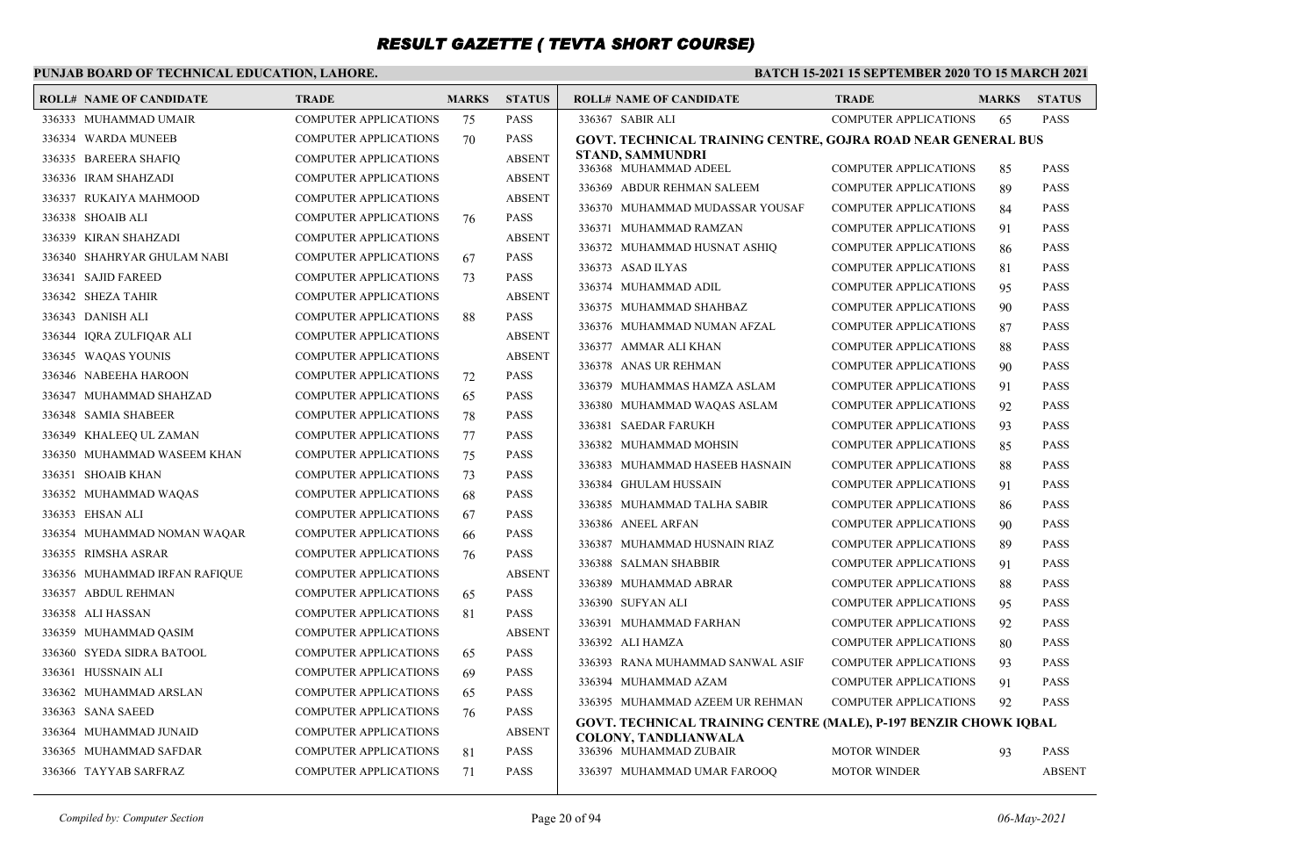### **PUNJAB BOARD OF TECHNICAL EDUCATION, LAHORE.**

#### **BATCH 15-2021 15 SEPTEMBER 2020 TO 15 MARCH 2021**

| <b>ROLL# NAME OF CANDIDATE</b> | <b>TRADE</b>                 | <b>MARKS</b> | <b>STATUS</b> | <b>ROLL# NAME OF CANDIDATE</b>                                                                  | <b>TRADE</b>                                          | <b>MARKS</b> | <b>STATUS</b>              |
|--------------------------------|------------------------------|--------------|---------------|-------------------------------------------------------------------------------------------------|-------------------------------------------------------|--------------|----------------------------|
| 336333 MUHAMMAD UMAIR          | <b>COMPUTER APPLICATIONS</b> | 75           | <b>PASS</b>   | 336367 SABIR ALI                                                                                | <b>COMPUTER APPLICATIONS</b>                          | 65           | <b>PASS</b>                |
| 336334 WARDA MUNEEB            | <b>COMPUTER APPLICATIONS</b> | 70           | <b>PASS</b>   | <b>GOVT. TECHNICAL TRAINING CENTRE, GOJRA ROAD NEAR GENERAL BUS</b>                             |                                                       |              |                            |
| 336335 BAREERA SHAFIO          | <b>COMPUTER APPLICATIONS</b> |              | <b>ABSENT</b> | STAND, SAMMUNDRI<br>336368 MUHAMMAD ADEEL                                                       | <b>COMPUTER APPLICATIONS</b>                          | 85           | <b>PASS</b>                |
| 336336 IRAM SHAHZADI           | <b>COMPUTER APPLICATIONS</b> |              | <b>ABSENT</b> | 336369 ABDUR REHMAN SALEEM                                                                      | <b>COMPUTER APPLICATIONS</b>                          | 89           | <b>PASS</b>                |
| 336337 RUKAIYA MAHMOOD         | <b>COMPUTER APPLICATIONS</b> |              | <b>ABSENT</b> | 336370 MUHAMMAD MUDASSAR YOUSAF                                                                 | <b>COMPUTER APPLICATIONS</b>                          | 84           | <b>PASS</b>                |
| 336338 SHOAIB ALI              | <b>COMPUTER APPLICATIONS</b> | 76           | <b>PASS</b>   | 336371 MUHAMMAD RAMZAN                                                                          | <b>COMPUTER APPLICATIONS</b>                          | 91           | <b>PASS</b>                |
| 336339 KIRAN SHAHZADI          | <b>COMPUTER APPLICATIONS</b> |              | <b>ABSENT</b> | 336372 MUHAMMAD HUSNAT ASHIO                                                                    | <b>COMPUTER APPLICATIONS</b>                          | 86           | <b>PASS</b>                |
| 336340 SHAHRYAR GHULAM NABI    | <b>COMPUTER APPLICATIONS</b> | 67           | <b>PASS</b>   | 336373 ASAD ILYAS                                                                               | <b>COMPUTER APPLICATIONS</b>                          | 81           | <b>PASS</b>                |
| 336341 SAJID FAREED            | <b>COMPUTER APPLICATIONS</b> | 73           | <b>PASS</b>   | 336374 MUHAMMAD ADIL                                                                            | <b>COMPUTER APPLICATIONS</b>                          | 95           | <b>PASS</b>                |
| 336342 SHEZA TAHIR             | <b>COMPUTER APPLICATIONS</b> |              | <b>ABSENT</b> | 336375 MUHAMMAD SHAHBAZ                                                                         | <b>COMPUTER APPLICATIONS</b>                          | 90           | <b>PASS</b>                |
| 336343 DANISH ALI              | <b>COMPUTER APPLICATIONS</b> | 88           | <b>PASS</b>   | 336376 MUHAMMAD NUMAN AFZAL                                                                     |                                                       | 87           | <b>PASS</b>                |
| 336344 IQRA ZULFIQAR ALI       | <b>COMPUTER APPLICATIONS</b> |              | <b>ABSENT</b> | 336377 AMMAR ALI KHAN                                                                           | COMPUTER APPLICATIONS<br><b>COMPUTER APPLICATIONS</b> |              | <b>PASS</b>                |
| 336345 WAOAS YOUNIS            | <b>COMPUTER APPLICATIONS</b> |              | <b>ABSENT</b> | 336378 ANAS UR REHMAN                                                                           | <b>COMPUTER APPLICATIONS</b>                          | 88<br>90     | <b>PASS</b>                |
| 336346 NABEEHA HAROON          | <b>COMPUTER APPLICATIONS</b> | 72           | <b>PASS</b>   | 336379 MUHAMMAS HAMZA ASLAM                                                                     | <b>COMPUTER APPLICATIONS</b>                          |              | <b>PASS</b>                |
| 336347 MUHAMMAD SHAHZAD        | <b>COMPUTER APPLICATIONS</b> | 65           | <b>PASS</b>   |                                                                                                 |                                                       | 91           |                            |
| 336348 SAMIA SHABEER           | <b>COMPUTER APPLICATIONS</b> | 78           | <b>PASS</b>   | 336380 MUHAMMAD WAQAS ASLAM                                                                     | <b>COMPUTER APPLICATIONS</b>                          | 92           | <b>PASS</b><br><b>PASS</b> |
| 336349 KHALEEQ UL ZAMAN        | <b>COMPUTER APPLICATIONS</b> | 77           | <b>PASS</b>   | 336381 SAEDAR FARUKH<br>336382 MUHAMMAD MOHSIN                                                  | <b>COMPUTER APPLICATIONS</b>                          | 93           |                            |
| 336350 MUHAMMAD WASEEM KHAN    | <b>COMPUTER APPLICATIONS</b> | 75           | <b>PASS</b>   |                                                                                                 | <b>COMPUTER APPLICATIONS</b>                          | 85           | <b>PASS</b><br><b>PASS</b> |
| 336351 SHOAIB KHAN             | <b>COMPUTER APPLICATIONS</b> | 73           | <b>PASS</b>   | 336383 MUHAMMAD HASEEB HASNAIN                                                                  | <b>COMPUTER APPLICATIONS</b>                          | 88           |                            |
| 336352 MUHAMMAD WAQAS          | <b>COMPUTER APPLICATIONS</b> | 68           | <b>PASS</b>   | 336384 GHULAM HUSSAIN                                                                           | <b>COMPUTER APPLICATIONS</b>                          | 91           | <b>PASS</b>                |
| 336353 EHSAN ALI               | <b>COMPUTER APPLICATIONS</b> | 67           | <b>PASS</b>   | 336385 MUHAMMAD TALHA SABIR<br>336386 ANEEL ARFAN                                               | <b>COMPUTER APPLICATIONS</b>                          | 86           | <b>PASS</b>                |
| 336354 MUHAMMAD NOMAN WAQAR    | <b>COMPUTER APPLICATIONS</b> | 66           | <b>PASS</b>   |                                                                                                 | <b>COMPUTER APPLICATIONS</b>                          | 90           | <b>PASS</b>                |
| 336355 RIMSHA ASRAR            | <b>COMPUTER APPLICATIONS</b> | 76           | <b>PASS</b>   | 336387 MUHAMMAD HUSNAIN RIAZ<br>336388 SALMAN SHABBIR                                           | <b>COMPUTER APPLICATIONS</b>                          | 89           | <b>PASS</b>                |
| 336356 MUHAMMAD IRFAN RAFIQUE  | <b>COMPUTER APPLICATIONS</b> |              | <b>ABSENT</b> |                                                                                                 | <b>COMPUTER APPLICATIONS</b>                          | 91           | <b>PASS</b>                |
| 336357 ABDUL REHMAN            | <b>COMPUTER APPLICATIONS</b> | 65           | <b>PASS</b>   | 336389 MUHAMMAD ABRAR                                                                           | <b>COMPUTER APPLICATIONS</b>                          | 88           | <b>PASS</b>                |
| 336358 ALI HASSAN              | <b>COMPUTER APPLICATIONS</b> | 81           | <b>PASS</b>   | 336390 SUFYAN ALI                                                                               | <b>COMPUTER APPLICATIONS</b>                          | 95           | <b>PASS</b>                |
| 336359 MUHAMMAD QASIM          | <b>COMPUTER APPLICATIONS</b> |              | <b>ABSENT</b> | 336391 MUHAMMAD FARHAN                                                                          | <b>COMPUTER APPLICATIONS</b>                          | 92           | <b>PASS</b>                |
| 336360 SYEDA SIDRA BATOOL      | <b>COMPUTER APPLICATIONS</b> | 65           | <b>PASS</b>   | 336392 ALI HAMZA                                                                                | <b>COMPUTER APPLICATIONS</b>                          | 80           | <b>PASS</b>                |
| 336361 HUSSNAIN ALI            | <b>COMPUTER APPLICATIONS</b> | 69           | <b>PASS</b>   | 336393 RANA MUHAMMAD SANWAL ASIF                                                                | <b>COMPUTER APPLICATIONS</b>                          | 93           | <b>PASS</b>                |
| 336362 MUHAMMAD ARSLAN         | <b>COMPUTER APPLICATIONS</b> | 65           | <b>PASS</b>   | 336394 MUHAMMAD AZAM                                                                            | <b>COMPUTER APPLICATIONS</b>                          | 91           | <b>PASS</b>                |
| 336363 SANA SAEED              | <b>COMPUTER APPLICATIONS</b> | 76           | <b>PASS</b>   | 336395 MUHAMMAD AZEEM UR REHMAN                                                                 | <b>COMPUTER APPLICATIONS</b>                          | 92           | <b>PASS</b>                |
| 336364 MUHAMMAD JUNAID         | <b>COMPUTER APPLICATIONS</b> |              | <b>ABSENT</b> | GOVT. TECHNICAL TRAINING CENTRE (MALE), P-197 BENZIR CHOWK IQBAL<br><b>COLONY, TANDLIANWALA</b> |                                                       |              |                            |
| 336365 MUHAMMAD SAFDAR         | <b>COMPUTER APPLICATIONS</b> | 81           | <b>PASS</b>   | 336396 MUHAMMAD ZUBAIR                                                                          | <b>MOTOR WINDER</b>                                   | 93           | <b>PASS</b>                |
| 336366 TAYYAB SARFRAZ          | <b>COMPUTER APPLICATIONS</b> | 71           | <b>PASS</b>   | 336397 MUHAMMAD UMAR FAROOQ                                                                     | <b>MOTOR WINDER</b>                                   |              | <b>ABSENT</b>              |
|                                |                              |              |               |                                                                                                 |                                                       |              |                            |

*Compiled by: Computer Section* Page 20 of 94 *06-May-2021*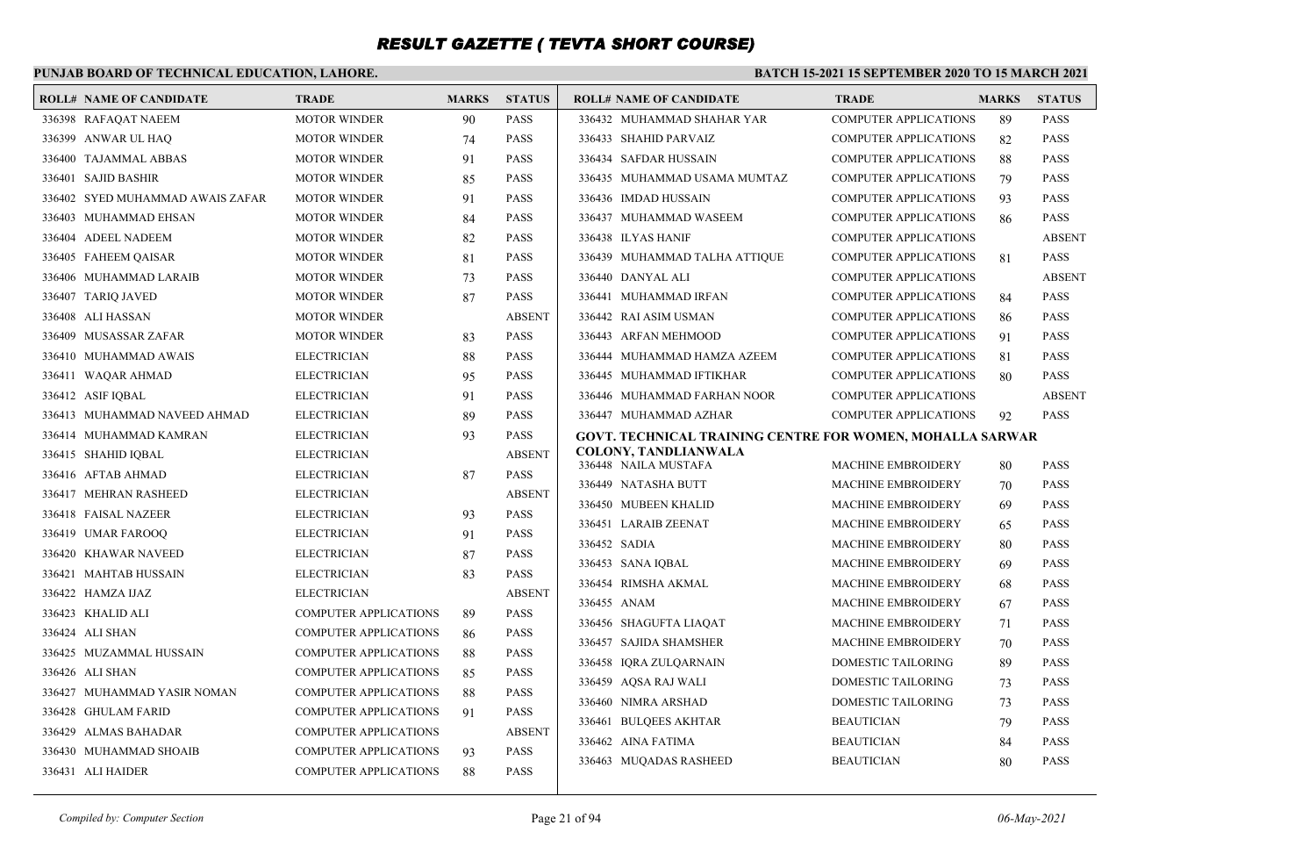### **PUNJAB BOARD OF TECHNICAL EDUCATION, LAHORE.**

| <b>ROLL# NAME OF CANDIDATE</b>   | <b>TRADE</b>                 | <b>MARKS</b> | <b>STATUS</b> | <b>ROLL# NAME OF CANDIDATE</b>                            | <b>TRADE</b>                 | <b>MARKS</b> | <b>STATUS</b> |
|----------------------------------|------------------------------|--------------|---------------|-----------------------------------------------------------|------------------------------|--------------|---------------|
| 336398 RAFAQAT NAEEM             | <b>MOTOR WINDER</b>          | 90           | <b>PASS</b>   | 336432 MUHAMMAD SHAHAR YAR                                | <b>COMPUTER APPLICATIONS</b> | 89           | <b>PASS</b>   |
| 336399 ANWAR UL HAQ              | <b>MOTOR WINDER</b>          | 74           | <b>PASS</b>   | 336433 SHAHID PARVAIZ                                     | <b>COMPUTER APPLICATIONS</b> | 82           | <b>PASS</b>   |
| 336400 TAJAMMAL ABBAS            | <b>MOTOR WINDER</b>          | 91           | <b>PASS</b>   | 336434 SAFDAR HUSSAIN                                     | <b>COMPUTER APPLICATIONS</b> | 88           | PASS          |
| 336401 SAJID BASHIR              | <b>MOTOR WINDER</b>          | 85           | <b>PASS</b>   | 336435 MUHAMMAD USAMA MUMTAZ                              | <b>COMPUTER APPLICATIONS</b> | 79           | PASS          |
| 336402 SYED MUHAMMAD AWAIS ZAFAR | <b>MOTOR WINDER</b>          | 91           | <b>PASS</b>   | 336436 IMDAD HUSSAIN                                      | <b>COMPUTER APPLICATIONS</b> | 93           | <b>PASS</b>   |
| 336403 MUHAMMAD EHSAN            | <b>MOTOR WINDER</b>          | 84           | <b>PASS</b>   | 336437 MUHAMMAD WASEEM                                    | <b>COMPUTER APPLICATIONS</b> | 86           | <b>PASS</b>   |
| 336404 ADEEL NADEEM              | <b>MOTOR WINDER</b>          | 82           | <b>PASS</b>   | 336438 ILYAS HANIF                                        | <b>COMPUTER APPLICATIONS</b> |              | <b>ABSENT</b> |
| 336405 FAHEEM OAISAR             | <b>MOTOR WINDER</b>          | 81           | <b>PASS</b>   | 336439 MUHAMMAD TALHA ATTIQUE                             | <b>COMPUTER APPLICATIONS</b> | 81           | <b>PASS</b>   |
| 336406 MUHAMMAD LARAIB           | <b>MOTOR WINDER</b>          | 73           | <b>PASS</b>   | 336440 DANYAL ALI                                         | <b>COMPUTER APPLICATIONS</b> |              | <b>ABSENT</b> |
| 336407 TARIQ JAVED               | <b>MOTOR WINDER</b>          | 87           | <b>PASS</b>   | 336441 MUHAMMAD IRFAN                                     | <b>COMPUTER APPLICATIONS</b> | 84           | <b>PASS</b>   |
| 336408 ALI HASSAN                | <b>MOTOR WINDER</b>          |              | <b>ABSENT</b> | 336442 RAI ASIM USMAN                                     | <b>COMPUTER APPLICATIONS</b> | 86           | <b>PASS</b>   |
| 336409 MUSASSAR ZAFAR            | <b>MOTOR WINDER</b>          | 83           | <b>PASS</b>   | 336443 ARFAN MEHMOOD                                      | <b>COMPUTER APPLICATIONS</b> | 91           | <b>PASS</b>   |
| 336410 MUHAMMAD AWAIS            | <b>ELECTRICIAN</b>           | 88           | <b>PASS</b>   | 336444 MUHAMMAD HAMZA AZEEM                               | <b>COMPUTER APPLICATIONS</b> | 81           | <b>PASS</b>   |
| 336411 WAQAR AHMAD               | <b>ELECTRICIAN</b>           | 95           | <b>PASS</b>   | 336445 MUHAMMAD IFTIKHAR                                  | <b>COMPUTER APPLICATIONS</b> | 80           | <b>PASS</b>   |
| 336412 ASIF IOBAL                | <b>ELECTRICIAN</b>           | 91           | <b>PASS</b>   | 336446 MUHAMMAD FARHAN NOOR                               | <b>COMPUTER APPLICATIONS</b> |              | <b>ABSENT</b> |
| 336413 MUHAMMAD NAVEED AHMAD     | <b>ELECTRICIAN</b>           | 89           | <b>PASS</b>   | 336447 MUHAMMAD AZHAR                                     | <b>COMPUTER APPLICATIONS</b> | 92           | <b>PASS</b>   |
| 336414 MUHAMMAD KAMRAN           | <b>ELECTRICIAN</b>           | 93           | <b>PASS</b>   | GOVT. TECHNICAL TRAINING CENTRE FOR WOMEN, MOHALLA SARWAR |                              |              |               |
| 336415 SHAHID IOBAL              | <b>ELECTRICIAN</b>           |              | <b>ABSENT</b> | <b>COLONY, TANDLIANWALA</b><br>336448 NAILA MUSTAFA       | <b>MACHINE EMBROIDERY</b>    | 80           | PASS          |
| 336416 AFTAB AHMAD               | <b>ELECTRICIAN</b>           | 87           | <b>PASS</b>   | 336449 NATASHA BUTT                                       | <b>MACHINE EMBROIDERY</b>    | 70           | <b>PASS</b>   |
| 336417 MEHRAN RASHEED            | <b>ELECTRICIAN</b>           |              | <b>ABSENT</b> | 336450 MUBEEN KHALID                                      | <b>MACHINE EMBROIDERY</b>    | 69           | <b>PASS</b>   |
| 336418 FAISAL NAZEER             | <b>ELECTRICIAN</b>           | 93           | <b>PASS</b>   | 336451 LARAIB ZEENAT                                      | <b>MACHINE EMBROIDERY</b>    | 65           | <b>PASS</b>   |
| 336419 UMAR FAROOQ               | <b>ELECTRICIAN</b>           | 91           | <b>PASS</b>   | 336452 SADIA                                              | MACHINE EMBROIDERY           | 80           | <b>PASS</b>   |
| 336420 KHAWAR NAVEED             | <b>ELECTRICIAN</b>           | 87           | <b>PASS</b>   | 336453 SANA IQBAL                                         | <b>MACHINE EMBROIDERY</b>    | 69           | <b>PASS</b>   |
| 336421 MAHTAB HUSSAIN            | <b>ELECTRICIAN</b>           | 83           | <b>PASS</b>   | 336454 RIMSHA AKMAL                                       | <b>MACHINE EMBROIDERY</b>    | 68           | <b>PASS</b>   |
| 336422 HAMZA IJAZ                | <b>ELECTRICIAN</b>           |              | <b>ABSENT</b> | 336455 ANAM                                               | <b>MACHINE EMBROIDERY</b>    | 67           | <b>PASS</b>   |
| 336423 KHALID ALI                | <b>COMPUTER APPLICATIONS</b> | 89           | <b>PASS</b>   | 336456 SHAGUFTA LIAQAT                                    | MACHINE EMBROIDERY           | 71           | <b>PASS</b>   |
| 336424 ALI SHAN                  | <b>COMPUTER APPLICATIONS</b> | 86           | <b>PASS</b>   | 336457 SAJIDA SHAMSHER                                    | <b>MACHINE EMBROIDERY</b>    | 70           | PASS          |
| 336425 MUZAMMAL HUSSAIN          | <b>COMPUTER APPLICATIONS</b> | 88           | <b>PASS</b>   | 336458 IORA ZULOARNAIN                                    | DOMESTIC TAILORING           | 89           | <b>PASS</b>   |
| 336426 ALI SHAN                  | COMPUTER APPLICATIONS        | 85           | <b>PASS</b>   | 336459 AOSA RAJ WALI                                      | DOMESTIC TAILORING           | 73           | PASS          |
| 336427 MUHAMMAD YASIR NOMAN      | <b>COMPUTER APPLICATIONS</b> | 88           | <b>PASS</b>   | 336460 NIMRA ARSHAD                                       | <b>DOMESTIC TAILORING</b>    | 73           | <b>PASS</b>   |
| 336428 GHULAM FARID              | <b>COMPUTER APPLICATIONS</b> | 91           | <b>PASS</b>   | 336461 BULQEES AKHTAR                                     | <b>BEAUTICIAN</b>            | 79           | PASS          |
| 336429 ALMAS BAHADAR             | COMPUTER APPLICATIONS        |              | <b>ABSENT</b> | 336462 AINA FATIMA                                        | <b>BEAUTICIAN</b>            | 84           | PASS          |
| 336430 MUHAMMAD SHOAIB           | COMPUTER APPLICATIONS        | 93           | <b>PASS</b>   | 336463 MUQADAS RASHEED                                    | <b>BEAUTICIAN</b>            | 80           | <b>PASS</b>   |
| 336431 ALI HAIDER                | <b>COMPUTER APPLICATIONS</b> | 88           | <b>PASS</b>   |                                                           |                              |              |               |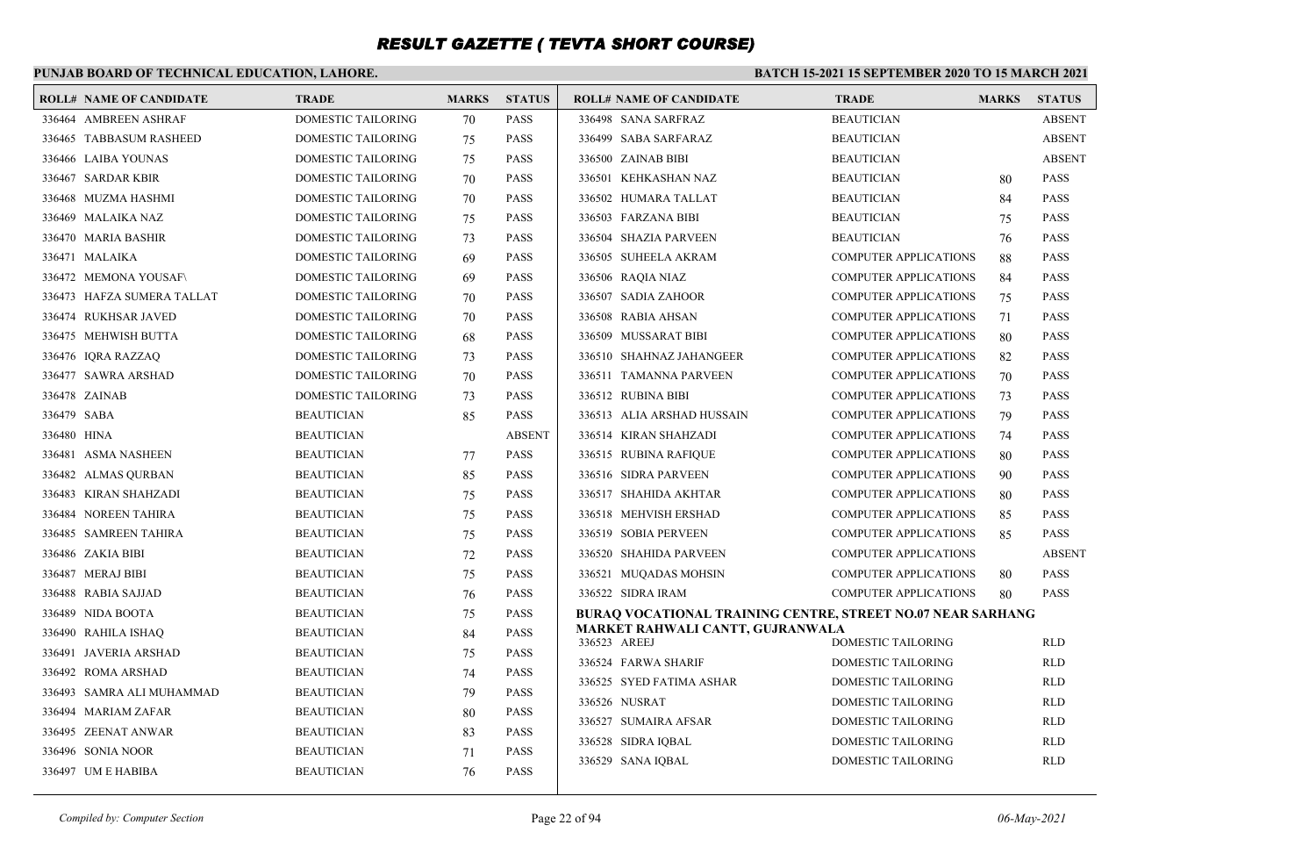### **PUNJAB BOARD OF TECHNICAL EDUCATION, LAHORE.**

| 336464 AMBREEN ASHRAF<br>DOMESTIC TAILORING<br><b>PASS</b><br>336498 SANA SARFRAZ<br><b>BEAUTICIAN</b><br><b>ABSENT</b><br>70<br><b>DOMESTIC TAILORING</b><br>336465 TABBASUM RASHEED<br>75<br><b>PASS</b><br>336499 SABA SARFARAZ<br><b>ABSENT</b><br><b>BEAUTICIAN</b><br>336466 LAIBA YOUNAS<br>DOMESTIC TAILORING<br>PASS<br>336500 ZAINAB BIBI<br><b>BEAUTICIAN</b><br><b>ABSENT</b><br>75<br><b>PASS</b><br><b>PASS</b><br>336467 SARDAR KBIR<br>DOMESTIC TAILORING<br>70<br>336501 KEHKASHAN NAZ<br><b>BEAUTICIAN</b><br>80<br>336468 MUZMA HASHMI<br>DOMESTIC TAILORING<br>PASS<br>336502 HUMARA TALLAT<br><b>PASS</b><br>70<br><b>BEAUTICIAN</b><br>84<br>336469 MALAIKA NAZ<br>DOMESTIC TAILORING<br><b>PASS</b><br>336503 FARZANA BIBI<br><b>PASS</b><br>75<br><b>BEAUTICIAN</b><br>75<br><b>DOMESTIC TAILORING</b><br><b>PASS</b><br>336504 SHAZIA PARVEEN<br><b>PASS</b><br>336470 MARIA BASHIR<br><b>BEAUTICIAN</b><br>73<br>76<br>336471 MALAIKA<br>DOMESTIC TAILORING<br>PASS<br>336505 SUHEELA AKRAM<br><b>COMPUTER APPLICATIONS</b><br><b>PASS</b><br>69<br>88<br>336472 MEMONA YOUSAF\<br>DOMESTIC TAILORING<br><b>PASS</b><br>336506 RAQIA NIAZ<br><b>COMPUTER APPLICATIONS</b><br>84<br><b>PASS</b><br>69<br>DOMESTIC TAILORING<br>336473 HAFZA SUMERA TALLAT<br>PASS<br>336507 SADIA ZAHOOR<br><b>COMPUTER APPLICATIONS</b><br><b>PASS</b><br>70<br>75<br>336474 RUKHSAR JAVED<br>DOMESTIC TAILORING<br><b>PASS</b><br>336508 RABIA AHSAN<br><b>COMPUTER APPLICATIONS</b><br><b>PASS</b><br>71<br>70<br>336475 MEHWISH BUTTA<br>DOMESTIC TAILORING<br>PASS<br>336509 MUSSARAT BIBI<br><b>COMPUTER APPLICATIONS</b><br><b>PASS</b><br>80<br>68<br>336476 IQRA RAZZAQ<br>DOMESTIC TAILORING<br><b>PASS</b><br><b>PASS</b><br>73<br>336510 SHAHNAZ JAHANGEER<br><b>COMPUTER APPLICATIONS</b><br>82<br>DOMESTIC TAILORING<br><b>PASS</b><br><b>PASS</b><br>336477 SAWRA ARSHAD<br>336511 TAMANNA PARVEEN<br><b>COMPUTER APPLICATIONS</b><br>70<br>70<br><b>DOMESTIC TAILORING</b><br>336478 ZAINAB<br><b>PASS</b><br>336512 RUBINA BIBI<br><b>COMPUTER APPLICATIONS</b><br><b>PASS</b><br>73<br>73<br>336479 SABA<br><b>BEAUTICIAN</b><br><b>PASS</b><br>336513 ALIA ARSHAD HUSSAIN<br><b>PASS</b><br><b>COMPUTER APPLICATIONS</b><br>85<br>79<br>336480 HINA<br>336514 KIRAN SHAHZADI<br><b>BEAUTICIAN</b><br><b>ABSENT</b><br><b>COMPUTER APPLICATIONS</b><br>74<br><b>PASS</b><br><b>PASS</b><br>336481 ASMA NASHEEN<br><b>BEAUTICIAN</b><br>336515 RUBINA RAFIQUE<br><b>COMPUTER APPLICATIONS</b><br><b>PASS</b><br>80<br>77<br>336482 ALMAS QURBAN<br><b>BEAUTICIAN</b><br>85<br><b>PASS</b><br>336516 SIDRA PARVEEN<br><b>COMPUTER APPLICATIONS</b><br><b>PASS</b><br>90<br>PASS<br><b>PASS</b><br>336483 KIRAN SHAHZADI<br><b>BEAUTICIAN</b><br>336517 SHAHIDA AKHTAR<br><b>COMPUTER APPLICATIONS</b><br>75<br>80<br>336484 NOREEN TAHIRA<br><b>BEAUTICIAN</b><br>75<br>PASS<br>336518 MEHVISH ERSHAD<br><b>COMPUTER APPLICATIONS</b><br>85<br><b>PASS</b><br>336485 SAMREEN TAHIRA<br><b>BEAUTICIAN</b><br><b>PASS</b><br>336519 SOBIA PERVEEN<br><b>COMPUTER APPLICATIONS</b><br><b>PASS</b><br>75<br>85<br>336486 ZAKIA BIBI<br><b>PASS</b><br>336520 SHAHIDA PARVEEN<br><b>COMPUTER APPLICATIONS</b><br><b>ABSENT</b><br><b>BEAUTICIAN</b><br>72<br>336487 MERAJ BIBI<br>PASS<br><b>COMPUTER APPLICATIONS</b><br><b>PASS</b><br><b>BEAUTICIAN</b><br>75<br>336521 MUQADAS MOHSIN<br>80<br><b>PASS</b><br><b>PASS</b><br>336488 RABIA SAJJAD<br><b>BEAUTICIAN</b><br>336522 SIDRA IRAM<br><b>COMPUTER APPLICATIONS</b><br>76<br>80<br>336489 NIDA BOOTA<br><b>BEAUTICIAN</b><br>PASS<br>75<br><b>BURAO VOCATIONAL TRAINING CENTRE, STREET NO.07 NEAR SARHANG</b><br><b>MARKET RAHWALI CANTT, GUJRANWALA</b><br><b>BEAUTICIAN</b><br><b>PASS</b><br>336490 RAHILA ISHAQ<br>84<br>336523 AREEJ<br>DOMESTIC TAILORING<br><b>RLD</b><br><b>PASS</b><br>336491 JAVERIA ARSHAD<br><b>BEAUTICIAN</b><br>75<br><b>RLD</b><br>336524 FARWA SHARIF<br>DOMESTIC TAILORING<br>336492 ROMA ARSHAD<br><b>BEAUTICIAN</b><br><b>PASS</b><br>74<br>336525 SYED FATIMA ASHAR<br><b>DOMESTIC TAILORING</b><br><b>RLD</b><br><b>PASS</b><br>336493 SAMRA ALI MUHAMMAD<br><b>BEAUTICIAN</b><br>79<br>336526 NUSRAT<br>DOMESTIC TAILORING<br><b>RLD</b><br>PASS<br>336494 MARIAM ZAFAR<br><b>BEAUTICIAN</b><br>80<br><b>RLD</b><br>336527 SUMAIRA AFSAR<br>DOMESTIC TAILORING<br><b>PASS</b><br>336495 ZEENAT ANWAR<br><b>BEAUTICIAN</b><br>83<br>336528 SIDRA IQBAL<br>DOMESTIC TAILORING<br><b>RLD</b><br>336496 SONIA NOOR<br><b>BEAUTICIAN</b><br>PASS<br>71<br>336529 SANA IQBAL<br><b>DOMESTIC TAILORING</b><br><b>RLD</b><br>336497 UM E HABIBA<br><b>BEAUTICIAN</b><br><b>PASS</b><br>76 | <b>ROLL# NAME OF CANDIDATE</b> | <b>TRADE</b> | <b>MARKS</b> | <b>STATUS</b> | <b>ROLL# NAME OF CANDIDATE</b> | <b>TRADE</b> | <b>MARKS</b> | <b>STATUS</b> |
|--------------------------------------------------------------------------------------------------------------------------------------------------------------------------------------------------------------------------------------------------------------------------------------------------------------------------------------------------------------------------------------------------------------------------------------------------------------------------------------------------------------------------------------------------------------------------------------------------------------------------------------------------------------------------------------------------------------------------------------------------------------------------------------------------------------------------------------------------------------------------------------------------------------------------------------------------------------------------------------------------------------------------------------------------------------------------------------------------------------------------------------------------------------------------------------------------------------------------------------------------------------------------------------------------------------------------------------------------------------------------------------------------------------------------------------------------------------------------------------------------------------------------------------------------------------------------------------------------------------------------------------------------------------------------------------------------------------------------------------------------------------------------------------------------------------------------------------------------------------------------------------------------------------------------------------------------------------------------------------------------------------------------------------------------------------------------------------------------------------------------------------------------------------------------------------------------------------------------------------------------------------------------------------------------------------------------------------------------------------------------------------------------------------------------------------------------------------------------------------------------------------------------------------------------------------------------------------------------------------------------------------------------------------------------------------------------------------------------------------------------------------------------------------------------------------------------------------------------------------------------------------------------------------------------------------------------------------------------------------------------------------------------------------------------------------------------------------------------------------------------------------------------------------------------------------------------------------------------------------------------------------------------------------------------------------------------------------------------------------------------------------------------------------------------------------------------------------------------------------------------------------------------------------------------------------------------------------------------------------------------------------------------------------------------------------------------------------------------------------------------------------------------------------------------------------------------------------------------------------------------------------------------------------------------------------------------------------------------------------------------------------------------------------------------------------------------------------------------------------------------------------------------------------------------------------------------------------------------------------------------------------------------------------------------------------------------------------------------------------------------------------------------------------------------------------------------------------------------------------------------------------------------------------------------------------------------------------------------------------------------------------------------------------------------------------------------------|--------------------------------|--------------|--------------|---------------|--------------------------------|--------------|--------------|---------------|
|                                                                                                                                                                                                                                                                                                                                                                                                                                                                                                                                                                                                                                                                                                                                                                                                                                                                                                                                                                                                                                                                                                                                                                                                                                                                                                                                                                                                                                                                                                                                                                                                                                                                                                                                                                                                                                                                                                                                                                                                                                                                                                                                                                                                                                                                                                                                                                                                                                                                                                                                                                                                                                                                                                                                                                                                                                                                                                                                                                                                                                                                                                                                                                                                                                                                                                                                                                                                                                                                                                                                                                                                                                                                                                                                                                                                                                                                                                                                                                                                                                                                                                                                                                                                                                                                                                                                                                                                                                                                                                                                                                                                                                                                                                        |                                |              |              |               |                                |              |              |               |
|                                                                                                                                                                                                                                                                                                                                                                                                                                                                                                                                                                                                                                                                                                                                                                                                                                                                                                                                                                                                                                                                                                                                                                                                                                                                                                                                                                                                                                                                                                                                                                                                                                                                                                                                                                                                                                                                                                                                                                                                                                                                                                                                                                                                                                                                                                                                                                                                                                                                                                                                                                                                                                                                                                                                                                                                                                                                                                                                                                                                                                                                                                                                                                                                                                                                                                                                                                                                                                                                                                                                                                                                                                                                                                                                                                                                                                                                                                                                                                                                                                                                                                                                                                                                                                                                                                                                                                                                                                                                                                                                                                                                                                                                                                        |                                |              |              |               |                                |              |              |               |
|                                                                                                                                                                                                                                                                                                                                                                                                                                                                                                                                                                                                                                                                                                                                                                                                                                                                                                                                                                                                                                                                                                                                                                                                                                                                                                                                                                                                                                                                                                                                                                                                                                                                                                                                                                                                                                                                                                                                                                                                                                                                                                                                                                                                                                                                                                                                                                                                                                                                                                                                                                                                                                                                                                                                                                                                                                                                                                                                                                                                                                                                                                                                                                                                                                                                                                                                                                                                                                                                                                                                                                                                                                                                                                                                                                                                                                                                                                                                                                                                                                                                                                                                                                                                                                                                                                                                                                                                                                                                                                                                                                                                                                                                                                        |                                |              |              |               |                                |              |              |               |
|                                                                                                                                                                                                                                                                                                                                                                                                                                                                                                                                                                                                                                                                                                                                                                                                                                                                                                                                                                                                                                                                                                                                                                                                                                                                                                                                                                                                                                                                                                                                                                                                                                                                                                                                                                                                                                                                                                                                                                                                                                                                                                                                                                                                                                                                                                                                                                                                                                                                                                                                                                                                                                                                                                                                                                                                                                                                                                                                                                                                                                                                                                                                                                                                                                                                                                                                                                                                                                                                                                                                                                                                                                                                                                                                                                                                                                                                                                                                                                                                                                                                                                                                                                                                                                                                                                                                                                                                                                                                                                                                                                                                                                                                                                        |                                |              |              |               |                                |              |              |               |
|                                                                                                                                                                                                                                                                                                                                                                                                                                                                                                                                                                                                                                                                                                                                                                                                                                                                                                                                                                                                                                                                                                                                                                                                                                                                                                                                                                                                                                                                                                                                                                                                                                                                                                                                                                                                                                                                                                                                                                                                                                                                                                                                                                                                                                                                                                                                                                                                                                                                                                                                                                                                                                                                                                                                                                                                                                                                                                                                                                                                                                                                                                                                                                                                                                                                                                                                                                                                                                                                                                                                                                                                                                                                                                                                                                                                                                                                                                                                                                                                                                                                                                                                                                                                                                                                                                                                                                                                                                                                                                                                                                                                                                                                                                        |                                |              |              |               |                                |              |              |               |
|                                                                                                                                                                                                                                                                                                                                                                                                                                                                                                                                                                                                                                                                                                                                                                                                                                                                                                                                                                                                                                                                                                                                                                                                                                                                                                                                                                                                                                                                                                                                                                                                                                                                                                                                                                                                                                                                                                                                                                                                                                                                                                                                                                                                                                                                                                                                                                                                                                                                                                                                                                                                                                                                                                                                                                                                                                                                                                                                                                                                                                                                                                                                                                                                                                                                                                                                                                                                                                                                                                                                                                                                                                                                                                                                                                                                                                                                                                                                                                                                                                                                                                                                                                                                                                                                                                                                                                                                                                                                                                                                                                                                                                                                                                        |                                |              |              |               |                                |              |              |               |
|                                                                                                                                                                                                                                                                                                                                                                                                                                                                                                                                                                                                                                                                                                                                                                                                                                                                                                                                                                                                                                                                                                                                                                                                                                                                                                                                                                                                                                                                                                                                                                                                                                                                                                                                                                                                                                                                                                                                                                                                                                                                                                                                                                                                                                                                                                                                                                                                                                                                                                                                                                                                                                                                                                                                                                                                                                                                                                                                                                                                                                                                                                                                                                                                                                                                                                                                                                                                                                                                                                                                                                                                                                                                                                                                                                                                                                                                                                                                                                                                                                                                                                                                                                                                                                                                                                                                                                                                                                                                                                                                                                                                                                                                                                        |                                |              |              |               |                                |              |              |               |
|                                                                                                                                                                                                                                                                                                                                                                                                                                                                                                                                                                                                                                                                                                                                                                                                                                                                                                                                                                                                                                                                                                                                                                                                                                                                                                                                                                                                                                                                                                                                                                                                                                                                                                                                                                                                                                                                                                                                                                                                                                                                                                                                                                                                                                                                                                                                                                                                                                                                                                                                                                                                                                                                                                                                                                                                                                                                                                                                                                                                                                                                                                                                                                                                                                                                                                                                                                                                                                                                                                                                                                                                                                                                                                                                                                                                                                                                                                                                                                                                                                                                                                                                                                                                                                                                                                                                                                                                                                                                                                                                                                                                                                                                                                        |                                |              |              |               |                                |              |              |               |
|                                                                                                                                                                                                                                                                                                                                                                                                                                                                                                                                                                                                                                                                                                                                                                                                                                                                                                                                                                                                                                                                                                                                                                                                                                                                                                                                                                                                                                                                                                                                                                                                                                                                                                                                                                                                                                                                                                                                                                                                                                                                                                                                                                                                                                                                                                                                                                                                                                                                                                                                                                                                                                                                                                                                                                                                                                                                                                                                                                                                                                                                                                                                                                                                                                                                                                                                                                                                                                                                                                                                                                                                                                                                                                                                                                                                                                                                                                                                                                                                                                                                                                                                                                                                                                                                                                                                                                                                                                                                                                                                                                                                                                                                                                        |                                |              |              |               |                                |              |              |               |
|                                                                                                                                                                                                                                                                                                                                                                                                                                                                                                                                                                                                                                                                                                                                                                                                                                                                                                                                                                                                                                                                                                                                                                                                                                                                                                                                                                                                                                                                                                                                                                                                                                                                                                                                                                                                                                                                                                                                                                                                                                                                                                                                                                                                                                                                                                                                                                                                                                                                                                                                                                                                                                                                                                                                                                                                                                                                                                                                                                                                                                                                                                                                                                                                                                                                                                                                                                                                                                                                                                                                                                                                                                                                                                                                                                                                                                                                                                                                                                                                                                                                                                                                                                                                                                                                                                                                                                                                                                                                                                                                                                                                                                                                                                        |                                |              |              |               |                                |              |              |               |
|                                                                                                                                                                                                                                                                                                                                                                                                                                                                                                                                                                                                                                                                                                                                                                                                                                                                                                                                                                                                                                                                                                                                                                                                                                                                                                                                                                                                                                                                                                                                                                                                                                                                                                                                                                                                                                                                                                                                                                                                                                                                                                                                                                                                                                                                                                                                                                                                                                                                                                                                                                                                                                                                                                                                                                                                                                                                                                                                                                                                                                                                                                                                                                                                                                                                                                                                                                                                                                                                                                                                                                                                                                                                                                                                                                                                                                                                                                                                                                                                                                                                                                                                                                                                                                                                                                                                                                                                                                                                                                                                                                                                                                                                                                        |                                |              |              |               |                                |              |              |               |
|                                                                                                                                                                                                                                                                                                                                                                                                                                                                                                                                                                                                                                                                                                                                                                                                                                                                                                                                                                                                                                                                                                                                                                                                                                                                                                                                                                                                                                                                                                                                                                                                                                                                                                                                                                                                                                                                                                                                                                                                                                                                                                                                                                                                                                                                                                                                                                                                                                                                                                                                                                                                                                                                                                                                                                                                                                                                                                                                                                                                                                                                                                                                                                                                                                                                                                                                                                                                                                                                                                                                                                                                                                                                                                                                                                                                                                                                                                                                                                                                                                                                                                                                                                                                                                                                                                                                                                                                                                                                                                                                                                                                                                                                                                        |                                |              |              |               |                                |              |              |               |
|                                                                                                                                                                                                                                                                                                                                                                                                                                                                                                                                                                                                                                                                                                                                                                                                                                                                                                                                                                                                                                                                                                                                                                                                                                                                                                                                                                                                                                                                                                                                                                                                                                                                                                                                                                                                                                                                                                                                                                                                                                                                                                                                                                                                                                                                                                                                                                                                                                                                                                                                                                                                                                                                                                                                                                                                                                                                                                                                                                                                                                                                                                                                                                                                                                                                                                                                                                                                                                                                                                                                                                                                                                                                                                                                                                                                                                                                                                                                                                                                                                                                                                                                                                                                                                                                                                                                                                                                                                                                                                                                                                                                                                                                                                        |                                |              |              |               |                                |              |              |               |
|                                                                                                                                                                                                                                                                                                                                                                                                                                                                                                                                                                                                                                                                                                                                                                                                                                                                                                                                                                                                                                                                                                                                                                                                                                                                                                                                                                                                                                                                                                                                                                                                                                                                                                                                                                                                                                                                                                                                                                                                                                                                                                                                                                                                                                                                                                                                                                                                                                                                                                                                                                                                                                                                                                                                                                                                                                                                                                                                                                                                                                                                                                                                                                                                                                                                                                                                                                                                                                                                                                                                                                                                                                                                                                                                                                                                                                                                                                                                                                                                                                                                                                                                                                                                                                                                                                                                                                                                                                                                                                                                                                                                                                                                                                        |                                |              |              |               |                                |              |              |               |
|                                                                                                                                                                                                                                                                                                                                                                                                                                                                                                                                                                                                                                                                                                                                                                                                                                                                                                                                                                                                                                                                                                                                                                                                                                                                                                                                                                                                                                                                                                                                                                                                                                                                                                                                                                                                                                                                                                                                                                                                                                                                                                                                                                                                                                                                                                                                                                                                                                                                                                                                                                                                                                                                                                                                                                                                                                                                                                                                                                                                                                                                                                                                                                                                                                                                                                                                                                                                                                                                                                                                                                                                                                                                                                                                                                                                                                                                                                                                                                                                                                                                                                                                                                                                                                                                                                                                                                                                                                                                                                                                                                                                                                                                                                        |                                |              |              |               |                                |              |              |               |
|                                                                                                                                                                                                                                                                                                                                                                                                                                                                                                                                                                                                                                                                                                                                                                                                                                                                                                                                                                                                                                                                                                                                                                                                                                                                                                                                                                                                                                                                                                                                                                                                                                                                                                                                                                                                                                                                                                                                                                                                                                                                                                                                                                                                                                                                                                                                                                                                                                                                                                                                                                                                                                                                                                                                                                                                                                                                                                                                                                                                                                                                                                                                                                                                                                                                                                                                                                                                                                                                                                                                                                                                                                                                                                                                                                                                                                                                                                                                                                                                                                                                                                                                                                                                                                                                                                                                                                                                                                                                                                                                                                                                                                                                                                        |                                |              |              |               |                                |              |              |               |
|                                                                                                                                                                                                                                                                                                                                                                                                                                                                                                                                                                                                                                                                                                                                                                                                                                                                                                                                                                                                                                                                                                                                                                                                                                                                                                                                                                                                                                                                                                                                                                                                                                                                                                                                                                                                                                                                                                                                                                                                                                                                                                                                                                                                                                                                                                                                                                                                                                                                                                                                                                                                                                                                                                                                                                                                                                                                                                                                                                                                                                                                                                                                                                                                                                                                                                                                                                                                                                                                                                                                                                                                                                                                                                                                                                                                                                                                                                                                                                                                                                                                                                                                                                                                                                                                                                                                                                                                                                                                                                                                                                                                                                                                                                        |                                |              |              |               |                                |              |              |               |
|                                                                                                                                                                                                                                                                                                                                                                                                                                                                                                                                                                                                                                                                                                                                                                                                                                                                                                                                                                                                                                                                                                                                                                                                                                                                                                                                                                                                                                                                                                                                                                                                                                                                                                                                                                                                                                                                                                                                                                                                                                                                                                                                                                                                                                                                                                                                                                                                                                                                                                                                                                                                                                                                                                                                                                                                                                                                                                                                                                                                                                                                                                                                                                                                                                                                                                                                                                                                                                                                                                                                                                                                                                                                                                                                                                                                                                                                                                                                                                                                                                                                                                                                                                                                                                                                                                                                                                                                                                                                                                                                                                                                                                                                                                        |                                |              |              |               |                                |              |              |               |
|                                                                                                                                                                                                                                                                                                                                                                                                                                                                                                                                                                                                                                                                                                                                                                                                                                                                                                                                                                                                                                                                                                                                                                                                                                                                                                                                                                                                                                                                                                                                                                                                                                                                                                                                                                                                                                                                                                                                                                                                                                                                                                                                                                                                                                                                                                                                                                                                                                                                                                                                                                                                                                                                                                                                                                                                                                                                                                                                                                                                                                                                                                                                                                                                                                                                                                                                                                                                                                                                                                                                                                                                                                                                                                                                                                                                                                                                                                                                                                                                                                                                                                                                                                                                                                                                                                                                                                                                                                                                                                                                                                                                                                                                                                        |                                |              |              |               |                                |              |              |               |
|                                                                                                                                                                                                                                                                                                                                                                                                                                                                                                                                                                                                                                                                                                                                                                                                                                                                                                                                                                                                                                                                                                                                                                                                                                                                                                                                                                                                                                                                                                                                                                                                                                                                                                                                                                                                                                                                                                                                                                                                                                                                                                                                                                                                                                                                                                                                                                                                                                                                                                                                                                                                                                                                                                                                                                                                                                                                                                                                                                                                                                                                                                                                                                                                                                                                                                                                                                                                                                                                                                                                                                                                                                                                                                                                                                                                                                                                                                                                                                                                                                                                                                                                                                                                                                                                                                                                                                                                                                                                                                                                                                                                                                                                                                        |                                |              |              |               |                                |              |              |               |
|                                                                                                                                                                                                                                                                                                                                                                                                                                                                                                                                                                                                                                                                                                                                                                                                                                                                                                                                                                                                                                                                                                                                                                                                                                                                                                                                                                                                                                                                                                                                                                                                                                                                                                                                                                                                                                                                                                                                                                                                                                                                                                                                                                                                                                                                                                                                                                                                                                                                                                                                                                                                                                                                                                                                                                                                                                                                                                                                                                                                                                                                                                                                                                                                                                                                                                                                                                                                                                                                                                                                                                                                                                                                                                                                                                                                                                                                                                                                                                                                                                                                                                                                                                                                                                                                                                                                                                                                                                                                                                                                                                                                                                                                                                        |                                |              |              |               |                                |              |              |               |
|                                                                                                                                                                                                                                                                                                                                                                                                                                                                                                                                                                                                                                                                                                                                                                                                                                                                                                                                                                                                                                                                                                                                                                                                                                                                                                                                                                                                                                                                                                                                                                                                                                                                                                                                                                                                                                                                                                                                                                                                                                                                                                                                                                                                                                                                                                                                                                                                                                                                                                                                                                                                                                                                                                                                                                                                                                                                                                                                                                                                                                                                                                                                                                                                                                                                                                                                                                                                                                                                                                                                                                                                                                                                                                                                                                                                                                                                                                                                                                                                                                                                                                                                                                                                                                                                                                                                                                                                                                                                                                                                                                                                                                                                                                        |                                |              |              |               |                                |              |              |               |
|                                                                                                                                                                                                                                                                                                                                                                                                                                                                                                                                                                                                                                                                                                                                                                                                                                                                                                                                                                                                                                                                                                                                                                                                                                                                                                                                                                                                                                                                                                                                                                                                                                                                                                                                                                                                                                                                                                                                                                                                                                                                                                                                                                                                                                                                                                                                                                                                                                                                                                                                                                                                                                                                                                                                                                                                                                                                                                                                                                                                                                                                                                                                                                                                                                                                                                                                                                                                                                                                                                                                                                                                                                                                                                                                                                                                                                                                                                                                                                                                                                                                                                                                                                                                                                                                                                                                                                                                                                                                                                                                                                                                                                                                                                        |                                |              |              |               |                                |              |              |               |
|                                                                                                                                                                                                                                                                                                                                                                                                                                                                                                                                                                                                                                                                                                                                                                                                                                                                                                                                                                                                                                                                                                                                                                                                                                                                                                                                                                                                                                                                                                                                                                                                                                                                                                                                                                                                                                                                                                                                                                                                                                                                                                                                                                                                                                                                                                                                                                                                                                                                                                                                                                                                                                                                                                                                                                                                                                                                                                                                                                                                                                                                                                                                                                                                                                                                                                                                                                                                                                                                                                                                                                                                                                                                                                                                                                                                                                                                                                                                                                                                                                                                                                                                                                                                                                                                                                                                                                                                                                                                                                                                                                                                                                                                                                        |                                |              |              |               |                                |              |              |               |
|                                                                                                                                                                                                                                                                                                                                                                                                                                                                                                                                                                                                                                                                                                                                                                                                                                                                                                                                                                                                                                                                                                                                                                                                                                                                                                                                                                                                                                                                                                                                                                                                                                                                                                                                                                                                                                                                                                                                                                                                                                                                                                                                                                                                                                                                                                                                                                                                                                                                                                                                                                                                                                                                                                                                                                                                                                                                                                                                                                                                                                                                                                                                                                                                                                                                                                                                                                                                                                                                                                                                                                                                                                                                                                                                                                                                                                                                                                                                                                                                                                                                                                                                                                                                                                                                                                                                                                                                                                                                                                                                                                                                                                                                                                        |                                |              |              |               |                                |              |              |               |
|                                                                                                                                                                                                                                                                                                                                                                                                                                                                                                                                                                                                                                                                                                                                                                                                                                                                                                                                                                                                                                                                                                                                                                                                                                                                                                                                                                                                                                                                                                                                                                                                                                                                                                                                                                                                                                                                                                                                                                                                                                                                                                                                                                                                                                                                                                                                                                                                                                                                                                                                                                                                                                                                                                                                                                                                                                                                                                                                                                                                                                                                                                                                                                                                                                                                                                                                                                                                                                                                                                                                                                                                                                                                                                                                                                                                                                                                                                                                                                                                                                                                                                                                                                                                                                                                                                                                                                                                                                                                                                                                                                                                                                                                                                        |                                |              |              |               |                                |              |              |               |
|                                                                                                                                                                                                                                                                                                                                                                                                                                                                                                                                                                                                                                                                                                                                                                                                                                                                                                                                                                                                                                                                                                                                                                                                                                                                                                                                                                                                                                                                                                                                                                                                                                                                                                                                                                                                                                                                                                                                                                                                                                                                                                                                                                                                                                                                                                                                                                                                                                                                                                                                                                                                                                                                                                                                                                                                                                                                                                                                                                                                                                                                                                                                                                                                                                                                                                                                                                                                                                                                                                                                                                                                                                                                                                                                                                                                                                                                                                                                                                                                                                                                                                                                                                                                                                                                                                                                                                                                                                                                                                                                                                                                                                                                                                        |                                |              |              |               |                                |              |              |               |
|                                                                                                                                                                                                                                                                                                                                                                                                                                                                                                                                                                                                                                                                                                                                                                                                                                                                                                                                                                                                                                                                                                                                                                                                                                                                                                                                                                                                                                                                                                                                                                                                                                                                                                                                                                                                                                                                                                                                                                                                                                                                                                                                                                                                                                                                                                                                                                                                                                                                                                                                                                                                                                                                                                                                                                                                                                                                                                                                                                                                                                                                                                                                                                                                                                                                                                                                                                                                                                                                                                                                                                                                                                                                                                                                                                                                                                                                                                                                                                                                                                                                                                                                                                                                                                                                                                                                                                                                                                                                                                                                                                                                                                                                                                        |                                |              |              |               |                                |              |              |               |
|                                                                                                                                                                                                                                                                                                                                                                                                                                                                                                                                                                                                                                                                                                                                                                                                                                                                                                                                                                                                                                                                                                                                                                                                                                                                                                                                                                                                                                                                                                                                                                                                                                                                                                                                                                                                                                                                                                                                                                                                                                                                                                                                                                                                                                                                                                                                                                                                                                                                                                                                                                                                                                                                                                                                                                                                                                                                                                                                                                                                                                                                                                                                                                                                                                                                                                                                                                                                                                                                                                                                                                                                                                                                                                                                                                                                                                                                                                                                                                                                                                                                                                                                                                                                                                                                                                                                                                                                                                                                                                                                                                                                                                                                                                        |                                |              |              |               |                                |              |              |               |
|                                                                                                                                                                                                                                                                                                                                                                                                                                                                                                                                                                                                                                                                                                                                                                                                                                                                                                                                                                                                                                                                                                                                                                                                                                                                                                                                                                                                                                                                                                                                                                                                                                                                                                                                                                                                                                                                                                                                                                                                                                                                                                                                                                                                                                                                                                                                                                                                                                                                                                                                                                                                                                                                                                                                                                                                                                                                                                                                                                                                                                                                                                                                                                                                                                                                                                                                                                                                                                                                                                                                                                                                                                                                                                                                                                                                                                                                                                                                                                                                                                                                                                                                                                                                                                                                                                                                                                                                                                                                                                                                                                                                                                                                                                        |                                |              |              |               |                                |              |              |               |
|                                                                                                                                                                                                                                                                                                                                                                                                                                                                                                                                                                                                                                                                                                                                                                                                                                                                                                                                                                                                                                                                                                                                                                                                                                                                                                                                                                                                                                                                                                                                                                                                                                                                                                                                                                                                                                                                                                                                                                                                                                                                                                                                                                                                                                                                                                                                                                                                                                                                                                                                                                                                                                                                                                                                                                                                                                                                                                                                                                                                                                                                                                                                                                                                                                                                                                                                                                                                                                                                                                                                                                                                                                                                                                                                                                                                                                                                                                                                                                                                                                                                                                                                                                                                                                                                                                                                                                                                                                                                                                                                                                                                                                                                                                        |                                |              |              |               |                                |              |              |               |
|                                                                                                                                                                                                                                                                                                                                                                                                                                                                                                                                                                                                                                                                                                                                                                                                                                                                                                                                                                                                                                                                                                                                                                                                                                                                                                                                                                                                                                                                                                                                                                                                                                                                                                                                                                                                                                                                                                                                                                                                                                                                                                                                                                                                                                                                                                                                                                                                                                                                                                                                                                                                                                                                                                                                                                                                                                                                                                                                                                                                                                                                                                                                                                                                                                                                                                                                                                                                                                                                                                                                                                                                                                                                                                                                                                                                                                                                                                                                                                                                                                                                                                                                                                                                                                                                                                                                                                                                                                                                                                                                                                                                                                                                                                        |                                |              |              |               |                                |              |              |               |
|                                                                                                                                                                                                                                                                                                                                                                                                                                                                                                                                                                                                                                                                                                                                                                                                                                                                                                                                                                                                                                                                                                                                                                                                                                                                                                                                                                                                                                                                                                                                                                                                                                                                                                                                                                                                                                                                                                                                                                                                                                                                                                                                                                                                                                                                                                                                                                                                                                                                                                                                                                                                                                                                                                                                                                                                                                                                                                                                                                                                                                                                                                                                                                                                                                                                                                                                                                                                                                                                                                                                                                                                                                                                                                                                                                                                                                                                                                                                                                                                                                                                                                                                                                                                                                                                                                                                                                                                                                                                                                                                                                                                                                                                                                        |                                |              |              |               |                                |              |              |               |
|                                                                                                                                                                                                                                                                                                                                                                                                                                                                                                                                                                                                                                                                                                                                                                                                                                                                                                                                                                                                                                                                                                                                                                                                                                                                                                                                                                                                                                                                                                                                                                                                                                                                                                                                                                                                                                                                                                                                                                                                                                                                                                                                                                                                                                                                                                                                                                                                                                                                                                                                                                                                                                                                                                                                                                                                                                                                                                                                                                                                                                                                                                                                                                                                                                                                                                                                                                                                                                                                                                                                                                                                                                                                                                                                                                                                                                                                                                                                                                                                                                                                                                                                                                                                                                                                                                                                                                                                                                                                                                                                                                                                                                                                                                        |                                |              |              |               |                                |              |              |               |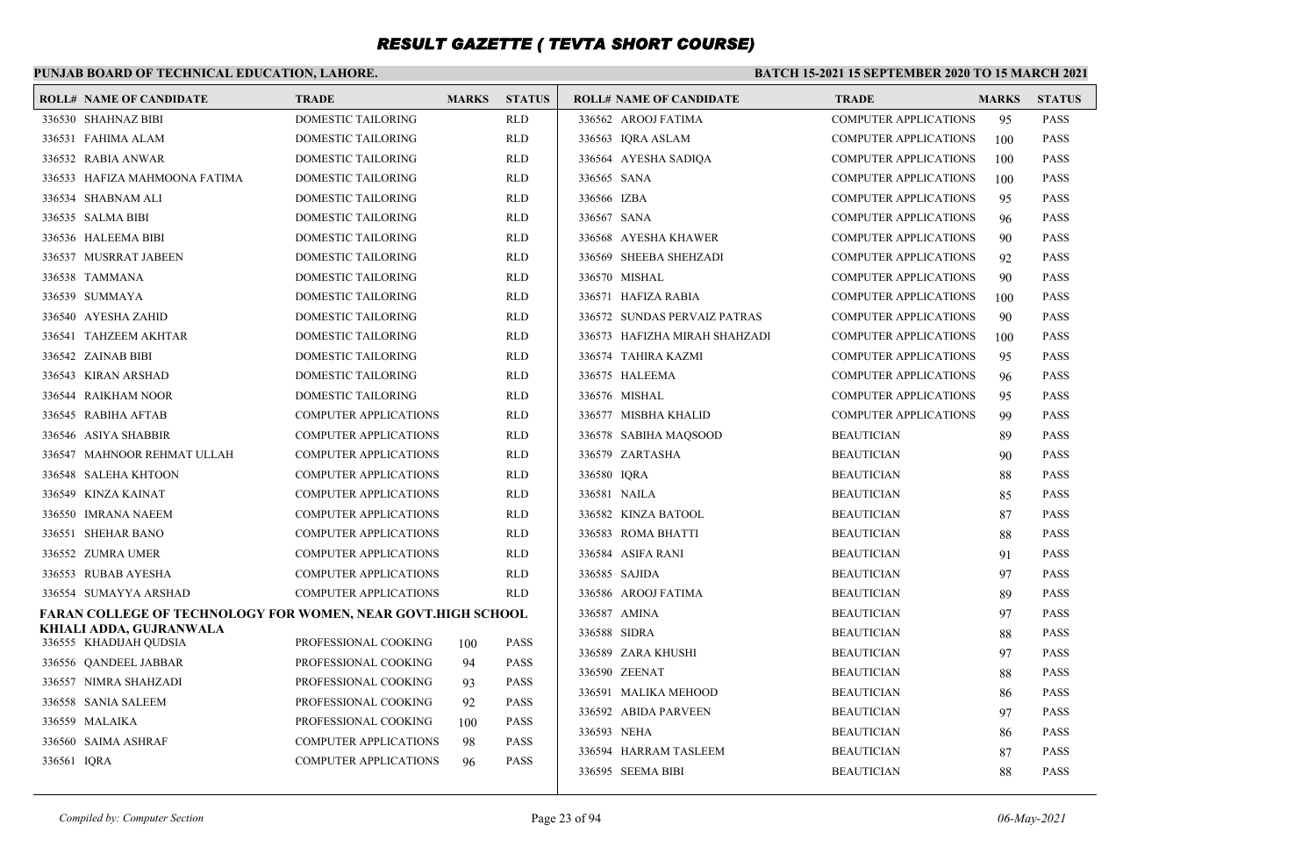### **PUNJAB BOARD OF TECHNICAL EDUCATION, LAHORE.**

|             | <b>ROLL# NAME OF CANDIDATE</b>                               | <b>TRADE</b>                 | <b>MARKS</b> | <b>STATUS</b> | <b>ROLL# NAME OF CANDIDATE</b> | <b>TRADE</b>                 | <b>MARKS</b> | <b>STATUS</b> |
|-------------|--------------------------------------------------------------|------------------------------|--------------|---------------|--------------------------------|------------------------------|--------------|---------------|
|             | 336530 SHAHNAZ BIBI                                          | <b>DOMESTIC TAILORING</b>    |              | <b>RLD</b>    | 336562 AROOJ FATIMA            | <b>COMPUTER APPLICATIONS</b> | 95           | <b>PASS</b>   |
|             | 336531 FAHIMA ALAM                                           | <b>DOMESTIC TAILORING</b>    |              | <b>RLD</b>    | 336563 IQRA ASLAM              | <b>COMPUTER APPLICATIONS</b> | 100          | PASS          |
|             | 336532 RABIA ANWAR                                           | <b>DOMESTIC TAILORING</b>    |              | <b>RLD</b>    | 336564 AYESHA SADIQA           | <b>COMPUTER APPLICATIONS</b> | 100          | PASS          |
|             | 336533 HAFIZA MAHMOONA FATIMA                                | DOMESTIC TAILORING           |              | RLD           | 336565 SANA                    | <b>COMPUTER APPLICATIONS</b> | 100          | PASS          |
|             | 336534 SHABNAM ALI                                           | <b>DOMESTIC TAILORING</b>    |              | <b>RLD</b>    | 336566 IZBA                    | <b>COMPUTER APPLICATIONS</b> | 95           | PASS          |
|             | 336535 SALMA BIBI                                            | <b>DOMESTIC TAILORING</b>    |              | RLD           | 336567 SANA                    | <b>COMPUTER APPLICATIONS</b> | 96           | <b>PASS</b>   |
|             | 336536 HALEEMA BIBI                                          | DOMESTIC TAILORING           |              | RLD           | 336568 AYESHA KHAWER           | <b>COMPUTER APPLICATIONS</b> | 90           | PASS          |
|             | 336537 MUSRRAT JABEEN                                        | DOMESTIC TAILORING           |              | <b>RLD</b>    | 336569 SHEEBA SHEHZADI         | <b>COMPUTER APPLICATIONS</b> | 92           | <b>PASS</b>   |
|             | 336538 TAMMANA                                               | DOMESTIC TAILORING           |              | <b>RLD</b>    | 336570 MISHAL                  | <b>COMPUTER APPLICATIONS</b> | 90           | PASS          |
|             | 336539 SUMMAYA                                               | <b>DOMESTIC TAILORING</b>    |              | <b>RLD</b>    | 336571 HAFIZA RABIA            | <b>COMPUTER APPLICATIONS</b> | 100          | <b>PASS</b>   |
|             | 336540 AYESHA ZAHID                                          | DOMESTIC TAILORING           |              | <b>RLD</b>    | 336572 SUNDAS PERVAIZ PATRAS   | <b>COMPUTER APPLICATIONS</b> | 90           | PASS          |
|             | 336541 TAHZEEM AKHTAR                                        | <b>DOMESTIC TAILORING</b>    |              | <b>RLD</b>    | 336573 HAFIZHA MIRAH SHAHZADI  | <b>COMPUTER APPLICATIONS</b> | 100          | PASS          |
|             | 336542 ZAINAB BIBI                                           | DOMESTIC TAILORING           |              | RLD           | 336574 TAHIRA KAZMI            | <b>COMPUTER APPLICATIONS</b> | 95           | PASS          |
|             | 336543 KIRAN ARSHAD                                          | <b>DOMESTIC TAILORING</b>    |              | <b>RLD</b>    | 336575 HALEEMA                 | <b>COMPUTER APPLICATIONS</b> | 96           | <b>PASS</b>   |
|             | 336544 RAIKHAM NOOR                                          | <b>DOMESTIC TAILORING</b>    |              | <b>RLD</b>    | 336576 MISHAL                  | <b>COMPUTER APPLICATIONS</b> | 95           | PASS          |
|             | 336545 RABIHA AFTAB                                          | <b>COMPUTER APPLICATIONS</b> |              | RLD           | 336577 MISBHA KHALID           | <b>COMPUTER APPLICATIONS</b> | 99           | PASS          |
|             | 336546 ASIYA SHABBIR                                         | <b>COMPUTER APPLICATIONS</b> |              | <b>RLD</b>    | 336578 SABIHA MAOSOOD          | <b>BEAUTICIAN</b>            | 89           | <b>PASS</b>   |
|             | 336547 MAHNOOR REHMAT ULLAH                                  | <b>COMPUTER APPLICATIONS</b> |              | <b>RLD</b>    | 336579 ZARTASHA                | <b>BEAUTICIAN</b>            | 90           | PASS          |
|             | 336548 SALEHA KHTOON                                         | <b>COMPUTER APPLICATIONS</b> |              | <b>RLD</b>    | 336580 IQRA                    | <b>BEAUTICIAN</b>            | 88           | <b>PASS</b>   |
|             | 336549 KINZA KAINAT                                          | <b>COMPUTER APPLICATIONS</b> |              | <b>RLD</b>    | 336581 NAILA                   | <b>BEAUTICIAN</b>            | 85           | PASS          |
|             | 336550 IMRANA NAEEM                                          | <b>COMPUTER APPLICATIONS</b> |              | <b>RLD</b>    | 336582 KINZA BATOOL            | <b>BEAUTICIAN</b>            | 87           | <b>PASS</b>   |
|             | 336551 SHEHAR BANO                                           | <b>COMPUTER APPLICATIONS</b> |              | <b>RLD</b>    | 336583 ROMA BHATTI             | <b>BEAUTICIAN</b>            | 88           | <b>PASS</b>   |
|             | 336552 ZUMRA UMER                                            | <b>COMPUTER APPLICATIONS</b> |              | <b>RLD</b>    | 336584 ASIFA RANI              | <b>BEAUTICIAN</b>            | 91           | <b>PASS</b>   |
|             | 336553 RUBAB AYESHA                                          | <b>COMPUTER APPLICATIONS</b> |              | <b>RLD</b>    | 336585 SAJIDA                  | <b>BEAUTICIAN</b>            | 97           | PASS          |
|             | 336554 SUMAYYA ARSHAD                                        | <b>COMPUTER APPLICATIONS</b> |              | <b>RLD</b>    | 336586 AROOJ FATIMA            | <b>BEAUTICIAN</b>            | 89           | PASS          |
|             | FARAN COLLEGE OF TECHNOLOGY FOR WOMEN, NEAR GOVT.HIGH SCHOOL |                              |              |               | 336587 AMINA                   | <b>BEAUTICIAN</b>            | 97           | <b>PASS</b>   |
|             | KHIALI ADDA, GUJRANWALA<br>336555 KHADIJAH QUDSIA            | PROFESSIONAL COOKING         | 100          | <b>PASS</b>   | 336588 SIDRA                   | <b>BEAUTICIAN</b>            | 88           | PASS          |
|             | 336556 QANDEEL JABBAR                                        | PROFESSIONAL COOKING         | 94           | <b>PASS</b>   | 336589 ZARA KHUSHI             | <b>BEAUTICIAN</b>            | 97           | <b>PASS</b>   |
|             | 336557 NIMRA SHAHZADI                                        | PROFESSIONAL COOKING         | 93           | <b>PASS</b>   | 336590 ZEENAT                  | <b>BEAUTICIAN</b>            | 88           | PASS          |
|             | 336558 SANIA SALEEM                                          | PROFESSIONAL COOKING         | 92           | <b>PASS</b>   | 336591 MALIKA MEHOOD           | <b>BEAUTICIAN</b>            | 86           | <b>PASS</b>   |
|             | 336559 MALAIKA                                               | PROFESSIONAL COOKING         | 100          | <b>PASS</b>   | 336592 ABIDA PARVEEN           | <b>BEAUTICIAN</b>            | 97           | <b>PASS</b>   |
|             | 336560 SAIMA ASHRAF                                          | COMPUTER APPLICATIONS        |              | <b>PASS</b>   | 336593 NEHA                    | <b>BEAUTICIAN</b>            | 86           | <b>PASS</b>   |
| 336561 IORA |                                                              | <b>COMPUTER APPLICATIONS</b> | 98<br>96     | <b>PASS</b>   | 336594 HARRAM TASLEEM          | <b>BEAUTICIAN</b>            | 87           | PASS          |
|             |                                                              |                              |              |               | 336595 SEEMA BIBI              | <b>BEAUTICIAN</b>            | 88           | <b>PASS</b>   |
|             |                                                              |                              |              |               |                                |                              |              |               |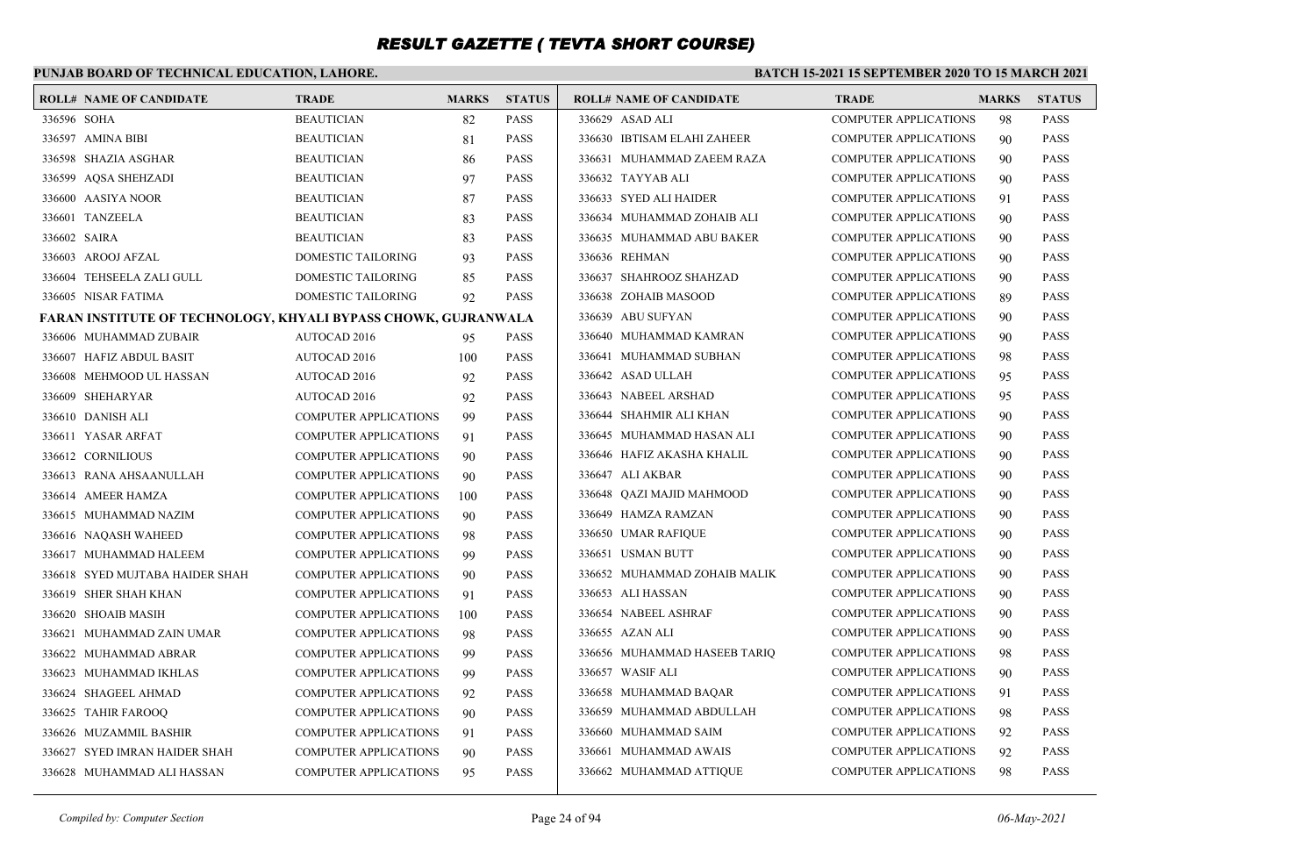### **PUNJAB BOARD OF TECHNICAL EDUCATION, LAHORE.**

#### **BATCH 15-2021 15 SEPTEMBER 2020 TO 15 MARCH 2021**

|              | <b>ROLL# NAME OF CANDIDATE</b>                                 | <b>TRADE</b>                 | <b>MARKS</b> | <b>STATUS</b> | <b>ROLL# NAME OF CANDIDATE</b> | <b>TRADE</b>                 | <b>MARKS</b> | <b>STATUS</b> |
|--------------|----------------------------------------------------------------|------------------------------|--------------|---------------|--------------------------------|------------------------------|--------------|---------------|
| 336596 SOHA  |                                                                | <b>BEAUTICIAN</b>            | 82           | <b>PASS</b>   | 336629 ASAD ALI                | COMPUTER APPLICATIONS        | 98           | <b>PASS</b>   |
|              | 336597 AMINA BIBI                                              | <b>BEAUTICIAN</b>            | 81           | <b>PASS</b>   | 336630 IBTISAM ELAHI ZAHEER    | <b>COMPUTER APPLICATIONS</b> | 90           | <b>PASS</b>   |
|              | 336598 SHAZIA ASGHAR                                           | <b>BEAUTICIAN</b>            | 86           | <b>PASS</b>   | 336631 MUHAMMAD ZAEEM RAZA     | <b>COMPUTER APPLICATIONS</b> | 90           | <b>PASS</b>   |
|              | 336599 AQSA SHEHZADI                                           | <b>BEAUTICIAN</b>            | 97           | <b>PASS</b>   | 336632 TAYYAB ALI              | <b>COMPUTER APPLICATIONS</b> | 90           | <b>PASS</b>   |
|              | 336600 AASIYA NOOR                                             | <b>BEAUTICIAN</b>            | 87           | <b>PASS</b>   | 336633 SYED ALI HAIDER         | <b>COMPUTER APPLICATIONS</b> | 91           | <b>PASS</b>   |
|              | 336601 TANZEELA                                                | <b>BEAUTICIAN</b>            | 83           | <b>PASS</b>   | 336634 MUHAMMAD ZOHAIB ALI     | <b>COMPUTER APPLICATIONS</b> | 90           | <b>PASS</b>   |
| 336602 SAIRA |                                                                | <b>BEAUTICIAN</b>            | 83           | <b>PASS</b>   | 336635 MUHAMMAD ABU BAKER      | <b>COMPUTER APPLICATIONS</b> | 90           | <b>PASS</b>   |
|              | 336603 AROOJ AFZAL                                             | DOMESTIC TAILORING           | 93           | <b>PASS</b>   | 336636 REHMAN                  | <b>COMPUTER APPLICATIONS</b> | 90           | <b>PASS</b>   |
|              | 336604 TEHSEELA ZALI GULL                                      | DOMESTIC TAILORING           | 85           | <b>PASS</b>   | 336637 SHAHROOZ SHAHZAD        | <b>COMPUTER APPLICATIONS</b> | 90           | <b>PASS</b>   |
|              | 336605 NISAR FATIMA                                            | DOMESTIC TAILORING           | 92           | <b>PASS</b>   | 336638 ZOHAIB MASOOD           | <b>COMPUTER APPLICATIONS</b> | 89           | <b>PASS</b>   |
|              | FARAN INSTITUTE OF TECHNOLOGY, KHYALI BYPASS CHOWK, GUJRANWALA |                              |              |               | 336639 ABU SUFYAN              | <b>COMPUTER APPLICATIONS</b> | 90           | <b>PASS</b>   |
|              | 336606 MUHAMMAD ZUBAIR                                         | AUTOCAD 2016                 | 95           | <b>PASS</b>   | 336640 MUHAMMAD KAMRAN         | <b>COMPUTER APPLICATIONS</b> | 90           | <b>PASS</b>   |
|              | 336607 HAFIZ ABDUL BASIT                                       | <b>AUTOCAD 2016</b>          | 100          | <b>PASS</b>   | 336641 MUHAMMAD SUBHAN         | <b>COMPUTER APPLICATIONS</b> | 98           | <b>PASS</b>   |
|              | 336608 MEHMOOD UL HASSAN                                       | AUTOCAD 2016                 | 92           | <b>PASS</b>   | 336642 ASAD ULLAH              | <b>COMPUTER APPLICATIONS</b> | 95           | <b>PASS</b>   |
|              | 336609 SHEHARYAR                                               | <b>AUTOCAD 2016</b>          | 92           | <b>PASS</b>   | 336643 NABEEL ARSHAD           | <b>COMPUTER APPLICATIONS</b> | 95           | <b>PASS</b>   |
|              | 336610 DANISH ALI                                              | COMPUTER APPLICATIONS        | 99           | <b>PASS</b>   | 336644 SHAHMIR ALI KHAN        | <b>COMPUTER APPLICATIONS</b> | 90           | <b>PASS</b>   |
|              | 336611 YASAR ARFAT                                             | <b>COMPUTER APPLICATIONS</b> | 91           | <b>PASS</b>   | 336645 MUHAMMAD HASAN ALI      | <b>COMPUTER APPLICATIONS</b> | 90           | <b>PASS</b>   |
|              | 336612 CORNILIOUS                                              | <b>COMPUTER APPLICATIONS</b> | 90           | <b>PASS</b>   | 336646 HAFIZ AKASHA KHALIL     | <b>COMPUTER APPLICATIONS</b> | 90           | <b>PASS</b>   |
|              | 336613 RANA AHSAANULLAH                                        | <b>COMPUTER APPLICATIONS</b> | 90           | <b>PASS</b>   | 336647 ALI AKBAR               | <b>COMPUTER APPLICATIONS</b> | 90           | <b>PASS</b>   |
|              | 336614 AMEER HAMZA                                             | <b>COMPUTER APPLICATIONS</b> | 100          | <b>PASS</b>   | 336648 QAZI MAJID MAHMOOD      | <b>COMPUTER APPLICATIONS</b> | 90           | <b>PASS</b>   |
|              | 336615 MUHAMMAD NAZIM                                          | <b>COMPUTER APPLICATIONS</b> | 90           | <b>PASS</b>   | 336649 HAMZA RAMZAN            | <b>COMPUTER APPLICATIONS</b> | 90           | <b>PASS</b>   |
|              | 336616 NAQASH WAHEED                                           | <b>COMPUTER APPLICATIONS</b> | 98           | <b>PASS</b>   | 336650 UMAR RAFIQUE            | <b>COMPUTER APPLICATIONS</b> | 90           | <b>PASS</b>   |
|              | 336617 MUHAMMAD HALEEM                                         | <b>COMPUTER APPLICATIONS</b> | 99           | <b>PASS</b>   | 336651 USMAN BUTT              | <b>COMPUTER APPLICATIONS</b> | 90           | <b>PASS</b>   |
|              | 336618 SYED MUJTABA HAIDER SHAH                                | <b>COMPUTER APPLICATIONS</b> | 90           | <b>PASS</b>   | 336652 MUHAMMAD ZOHAIB MALIK   | <b>COMPUTER APPLICATIONS</b> | 90           | <b>PASS</b>   |
|              | 336619 SHER SHAH KHAN                                          | <b>COMPUTER APPLICATIONS</b> | 91           | <b>PASS</b>   | 336653 ALI HASSAN              | COMPUTER APPLICATIONS        | 90           | <b>PASS</b>   |
|              | 336620 SHOAIB MASIH                                            | <b>COMPUTER APPLICATIONS</b> | 100          | <b>PASS</b>   | 336654 NABEEL ASHRAF           | <b>COMPUTER APPLICATIONS</b> | 90           | <b>PASS</b>   |
|              | 336621 MUHAMMAD ZAIN UMAR                                      | <b>COMPUTER APPLICATIONS</b> | 98           | <b>PASS</b>   | 336655 AZAN ALI                | <b>COMPUTER APPLICATIONS</b> | 90           | <b>PASS</b>   |
|              | 336622 MUHAMMAD ABRAR                                          | <b>COMPUTER APPLICATIONS</b> | 99           | <b>PASS</b>   | 336656 MUHAMMAD HASEEB TARIO   | <b>COMPUTER APPLICATIONS</b> | 98           | <b>PASS</b>   |
|              | 336623 MUHAMMAD IKHLAS                                         | <b>COMPUTER APPLICATIONS</b> | 99           | <b>PASS</b>   | 336657 WASIF ALI               | <b>COMPUTER APPLICATIONS</b> | 90           | <b>PASS</b>   |
|              | 336624 SHAGEEL AHMAD                                           | <b>COMPUTER APPLICATIONS</b> | 92           | <b>PASS</b>   | 336658 MUHAMMAD BAQAR          | <b>COMPUTER APPLICATIONS</b> | 91           | <b>PASS</b>   |
|              | 336625 TAHIR FAROOQ                                            | <b>COMPUTER APPLICATIONS</b> | 90           | <b>PASS</b>   | 336659 MUHAMMAD ABDULLAH       | <b>COMPUTER APPLICATIONS</b> | 98           | <b>PASS</b>   |
|              | 336626 MUZAMMIL BASHIR                                         | COMPUTER APPLICATIONS        | 91           | <b>PASS</b>   | 336660 MUHAMMAD SAIM           | <b>COMPUTER APPLICATIONS</b> | 92           | <b>PASS</b>   |
|              | 336627 SYED IMRAN HAIDER SHAH                                  | <b>COMPUTER APPLICATIONS</b> | 90           | <b>PASS</b>   | 336661 MUHAMMAD AWAIS          | <b>COMPUTER APPLICATIONS</b> | 92           | <b>PASS</b>   |
|              | 336628 MUHAMMAD ALI HASSAN                                     | <b>COMPUTER APPLICATIONS</b> | 95           | <b>PASS</b>   | 336662 MUHAMMAD ATTIQUE        | <b>COMPUTER APPLICATIONS</b> | 98           | <b>PASS</b>   |
|              |                                                                |                              |              |               |                                |                              |              |               |

*Compiled by: Computer Section* Page 24 of 94 *06-May-2021*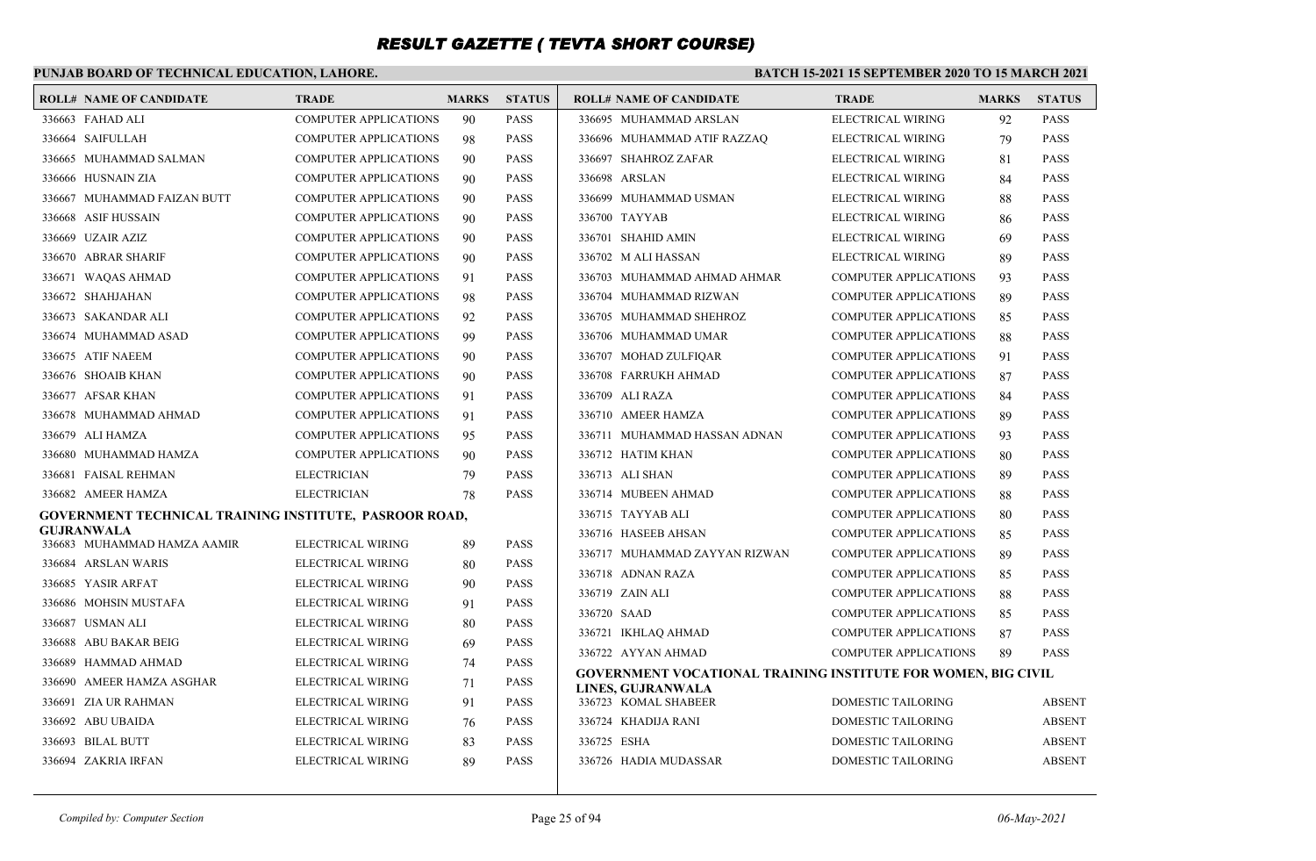### **PUNJAB BOARD OF TECHNICAL EDUCATION, LAHORE.**

| <b>ROLL# NAME OF CANDIDATE</b>                         | <b>TRADE</b>                 | <b>MARKS</b> | <b>STATUS</b> | <b>ROLL# NAME OF CANDIDATE</b>                                | <b>TRADE</b>                 | <b>MARKS</b> | <b>STATUS</b> |
|--------------------------------------------------------|------------------------------|--------------|---------------|---------------------------------------------------------------|------------------------------|--------------|---------------|
| 336663 FAHAD ALI                                       | <b>COMPUTER APPLICATIONS</b> | 90           | <b>PASS</b>   | 336695 MUHAMMAD ARSLAN                                        | <b>ELECTRICAL WIRING</b>     | 92           | <b>PASS</b>   |
| 336664 SAIFULLAH                                       | <b>COMPUTER APPLICATIONS</b> | 98           | <b>PASS</b>   | 336696 MUHAMMAD ATIF RAZZAO                                   | <b>ELECTRICAL WIRING</b>     | 79           | <b>PASS</b>   |
| 336665 MUHAMMAD SALMAN                                 | COMPUTER APPLICATIONS        | 90           | <b>PASS</b>   | 336697 SHAHROZ ZAFAR                                          | ELECTRICAL WIRING            | 81           | <b>PASS</b>   |
| 336666 HUSNAIN ZIA                                     | <b>COMPUTER APPLICATIONS</b> | 90           | <b>PASS</b>   | 336698 ARSLAN                                                 | ELECTRICAL WIRING            | 84           | <b>PASS</b>   |
| 336667 MUHAMMAD FAIZAN BUTT                            | <b>COMPUTER APPLICATIONS</b> | 90           | PASS          | 336699 MUHAMMAD USMAN                                         | ELECTRICAL WIRING            | 88           | <b>PASS</b>   |
| 336668 ASIF HUSSAIN                                    | <b>COMPUTER APPLICATIONS</b> | 90           | <b>PASS</b>   | 336700 TAYYAB                                                 | <b>ELECTRICAL WIRING</b>     | 86           | <b>PASS</b>   |
| 336669 UZAIR AZIZ                                      | <b>COMPUTER APPLICATIONS</b> | 90           | PASS          | 336701 SHAHID AMIN                                            | ELECTRICAL WIRING            | 69           | <b>PASS</b>   |
| 336670 ABRAR SHARIF                                    | <b>COMPUTER APPLICATIONS</b> | 90           | <b>PASS</b>   | 336702 M ALI HASSAN                                           | <b>ELECTRICAL WIRING</b>     | 89           | <b>PASS</b>   |
| 336671 WAQAS AHMAD                                     | <b>COMPUTER APPLICATIONS</b> | 91           | PASS          | 336703 MUHAMMAD AHMAD AHMAR                                   | <b>COMPUTER APPLICATIONS</b> | 93           | <b>PASS</b>   |
| 336672 SHAHJAHAN                                       | <b>COMPUTER APPLICATIONS</b> | 98           | <b>PASS</b>   | 336704 MUHAMMAD RIZWAN                                        | <b>COMPUTER APPLICATIONS</b> | 89           | <b>PASS</b>   |
| 336673 SAKANDAR ALI                                    | <b>COMPUTER APPLICATIONS</b> | 92           | PASS          | 336705 MUHAMMAD SHEHROZ                                       | <b>COMPUTER APPLICATIONS</b> | 85           | <b>PASS</b>   |
| 336674 MUHAMMAD ASAD                                   | <b>COMPUTER APPLICATIONS</b> | 99           | <b>PASS</b>   | 336706 MUHAMMAD UMAR                                          | <b>COMPUTER APPLICATIONS</b> | 88           | <b>PASS</b>   |
| 336675 ATIF NAEEM                                      | <b>COMPUTER APPLICATIONS</b> | 90           | PASS          | 336707 MOHAD ZULFIOAR                                         | <b>COMPUTER APPLICATIONS</b> | 91           | <b>PASS</b>   |
| 336676 SHOAIB KHAN                                     | <b>COMPUTER APPLICATIONS</b> | 90           | <b>PASS</b>   | 336708 FARRUKH AHMAD                                          | <b>COMPUTER APPLICATIONS</b> | 87           | <b>PASS</b>   |
| 336677 AFSAR KHAN                                      | <b>COMPUTER APPLICATIONS</b> | 91           | <b>PASS</b>   | 336709 ALI RAZA                                               | <b>COMPUTER APPLICATIONS</b> | 84           | <b>PASS</b>   |
| 336678 MUHAMMAD AHMAD                                  | <b>COMPUTER APPLICATIONS</b> | 91           | PASS          | 336710 AMEER HAMZA                                            | <b>COMPUTER APPLICATIONS</b> | 89           | <b>PASS</b>   |
| 336679 ALI HAMZA                                       | <b>COMPUTER APPLICATIONS</b> | 95           | <b>PASS</b>   | 336711 MUHAMMAD HASSAN ADNAN                                  | <b>COMPUTER APPLICATIONS</b> | 93           | <b>PASS</b>   |
| 336680 MUHAMMAD HAMZA                                  | <b>COMPUTER APPLICATIONS</b> | 90           | PASS          | 336712 HATIM KHAN                                             | COMPUTER APPLICATIONS        | 80           | <b>PASS</b>   |
| 336681 FAISAL REHMAN                                   | <b>ELECTRICIAN</b>           | 79           | <b>PASS</b>   | 336713 ALI SHAN                                               | <b>COMPUTER APPLICATIONS</b> | 89           | <b>PASS</b>   |
| 336682 AMEER HAMZA                                     | <b>ELECTRICIAN</b>           | 78           | <b>PASS</b>   | 336714 MUBEEN AHMAD                                           | <b>COMPUTER APPLICATIONS</b> | 88           | <b>PASS</b>   |
| GOVERNMENT TECHNICAL TRAINING INSTITUTE, PASROOR ROAD, |                              |              |               | 336715 TAYYAB ALI                                             | <b>COMPUTER APPLICATIONS</b> | 80           | <b>PASS</b>   |
| GUJRANWALA<br>336683 MUHAMMAD HAMZA AAMIR              | ELECTRICAL WIRING            | 89           | <b>PASS</b>   | 336716 HASEEB AHSAN                                           | <b>COMPUTER APPLICATIONS</b> | 85           | <b>PASS</b>   |
| 336684 ARSLAN WARIS                                    | ELECTRICAL WIRING            | 80           | <b>PASS</b>   | 336717 MUHAMMAD ZAYYAN RIZWAN                                 | <b>COMPUTER APPLICATIONS</b> | 89           | <b>PASS</b>   |
| 336685 YASIR ARFAT                                     | ELECTRICAL WIRING            | 90           | <b>PASS</b>   | 336718 ADNAN RAZA                                             | <b>COMPUTER APPLICATIONS</b> | 85           | <b>PASS</b>   |
| 336686 MOHSIN MUSTAFA                                  | ELECTRICAL WIRING            | 91           | PASS          | 336719 ZAIN ALI                                               | <b>COMPUTER APPLICATIONS</b> | 88           | <b>PASS</b>   |
| 336687 USMAN ALI                                       | ELECTRICAL WIRING            | 80           | PASS          | 336720 SAAD                                                   | <b>COMPUTER APPLICATIONS</b> | 85           | <b>PASS</b>   |
| 336688 ABU BAKAR BEIG                                  | ELECTRICAL WIRING            | 69           | PASS          | 336721 IKHLAQ AHMAD                                           | <b>COMPUTER APPLICATIONS</b> | 87           | <b>PASS</b>   |
| 336689 HAMMAD AHMAD                                    | ELECTRICAL WIRING            | 74           | <b>PASS</b>   | 336722 AYYAN AHMAD                                            | <b>COMPUTER APPLICATIONS</b> | 89           | <b>PASS</b>   |
| 336690 AMEER HAMZA ASGHAR                              | ELECTRICAL WIRING            | 71           | PASS          | GOVERNMENT VOCATIONAL TRAINING INSTITUTE FOR WOMEN, BIG CIVIL |                              |              |               |
| 336691 ZIA UR RAHMAN                                   | ELECTRICAL WIRING            | 91           | PASS          | LINES, GUJRANWALA<br>336723 KOMAL SHABEER                     | DOMESTIC TAILORING           |              | <b>ABSENT</b> |
| 336692 ABU UBAIDA                                      | ELECTRICAL WIRING            | 76           | <b>PASS</b>   | 336724 KHADIJA RANI                                           | <b>DOMESTIC TAILORING</b>    |              | <b>ABSENT</b> |
| 336693 BILAL BUTT                                      | ELECTRICAL WIRING            | 83           | <b>PASS</b>   | 336725 ESHA                                                   | DOMESTIC TAILORING           |              | <b>ABSENT</b> |
| 336694 ZAKRIA IRFAN                                    | ELECTRICAL WIRING            | 89           | <b>PASS</b>   | 336726 HADIA MUDASSAR                                         | <b>DOMESTIC TAILORING</b>    |              | <b>ABSENT</b> |
|                                                        |                              |              |               |                                                               |                              |              |               |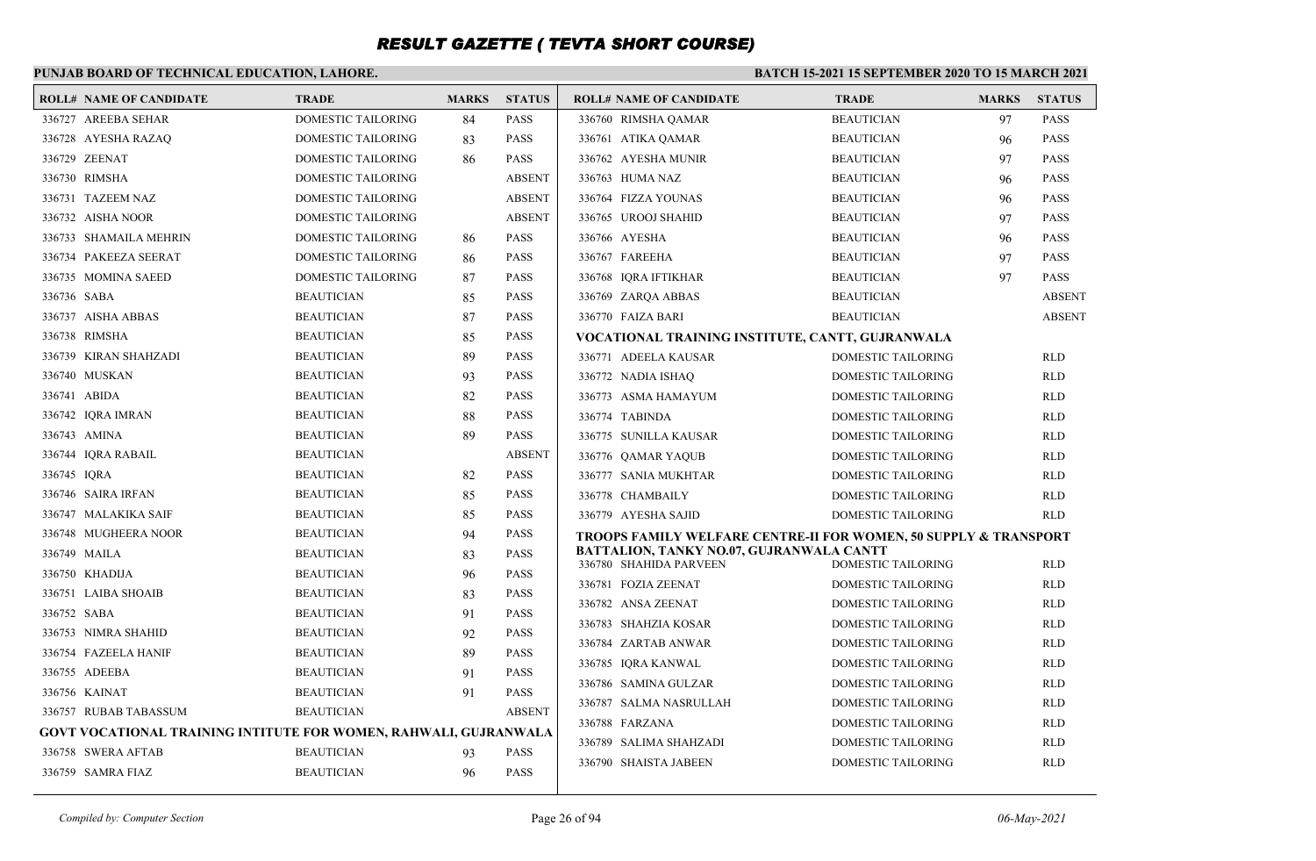### **PUNJAB BOARD OF TECHNICAL EDUCATION, LAHORE.**

| <b>ROLL# NAME OF CANDIDATE</b>                                   | <b>TRADE</b>              | <b>MARKS</b> | <b>STATUS</b> | <b>ROLL# NAME OF CANDIDATE</b>                                              | <b>TRADE</b>              | <b>MARKS</b> | <b>STATUS</b> |
|------------------------------------------------------------------|---------------------------|--------------|---------------|-----------------------------------------------------------------------------|---------------------------|--------------|---------------|
| 336727 AREEBA SEHAR                                              | <b>DOMESTIC TAILORING</b> | 84           | <b>PASS</b>   | 336760 RIMSHA QAMAR                                                         | <b>BEAUTICIAN</b>         | 97           | <b>PASS</b>   |
| 336728 AYESHA RAZAQ                                              | DOMESTIC TAILORING        | 83           | <b>PASS</b>   | 336761 ATIKA QAMAR                                                          | <b>BEAUTICIAN</b>         | 96           | <b>PASS</b>   |
| 336729 ZEENAT                                                    | <b>DOMESTIC TAILORING</b> | 86           | <b>PASS</b>   | 336762 AYESHA MUNIR                                                         | <b>BEAUTICIAN</b>         | 97           | <b>PASS</b>   |
| 336730 RIMSHA                                                    | <b>DOMESTIC TAILORING</b> |              | <b>ABSENT</b> | 336763 HUMA NAZ                                                             | <b>BEAUTICIAN</b>         | 96           | <b>PASS</b>   |
| 336731 TAZEEM NAZ                                                | <b>DOMESTIC TAILORING</b> |              | <b>ABSENT</b> | 336764 FIZZA YOUNAS                                                         | <b>BEAUTICIAN</b>         | 96           | <b>PASS</b>   |
| 336732 AISHA NOOR                                                | <b>DOMESTIC TAILORING</b> |              | <b>ABSENT</b> | 336765 UROOJ SHAHID                                                         | <b>BEAUTICIAN</b>         | 97           | <b>PASS</b>   |
| 336733 SHAMAILA MEHRIN                                           | DOMESTIC TAILORING        | 86           | <b>PASS</b>   | 336766 AYESHA                                                               | <b>BEAUTICIAN</b>         | 96           | <b>PASS</b>   |
| 336734 PAKEEZA SEERAT                                            | DOMESTIC TAILORING        | 86           | <b>PASS</b>   | 336767 FAREEHA                                                              | <b>BEAUTICIAN</b>         | 97           | <b>PASS</b>   |
| 336735 MOMINA SAEED                                              | <b>DOMESTIC TAILORING</b> | 87           | <b>PASS</b>   | 336768 IQRA IFTIKHAR                                                        | <b>BEAUTICIAN</b>         | 97           | <b>PASS</b>   |
| 336736 SABA                                                      | <b>BEAUTICIAN</b>         | 85           | <b>PASS</b>   | 336769 ZAROA ABBAS                                                          | <b>BEAUTICIAN</b>         |              | <b>ABSENT</b> |
| 336737 AISHA ABBAS                                               | <b>BEAUTICIAN</b>         | 87           | <b>PASS</b>   | 336770 FAIZA BARI                                                           | <b>BEAUTICIAN</b>         |              | <b>ABSENT</b> |
| 336738 RIMSHA                                                    | <b>BEAUTICIAN</b>         | 85           | <b>PASS</b>   | VOCATIONAL TRAINING INSTITUTE, CANTT, GUJRANWALA                            |                           |              |               |
| 336739 KIRAN SHAHZADI                                            | <b>BEAUTICIAN</b>         | 89           | <b>PASS</b>   | 336771 ADEELA KAUSAR                                                        | DOMESTIC TAILORING        |              | <b>RLD</b>    |
| 336740 MUSKAN                                                    | <b>BEAUTICIAN</b>         | 93           | <b>PASS</b>   | 336772 NADIA ISHAQ                                                          | <b>DOMESTIC TAILORING</b> |              | <b>RLD</b>    |
| 336741 ABIDA                                                     | <b>BEAUTICIAN</b>         | 82           | <b>PASS</b>   | 336773 ASMA HAMAYUM                                                         | DOMESTIC TAILORING        |              | <b>RLD</b>    |
| 336742 IORA IMRAN                                                | <b>BEAUTICIAN</b>         | 88           | <b>PASS</b>   | 336774 TABINDA                                                              | DOMESTIC TAILORING        |              | <b>RLD</b>    |
| 336743 AMINA                                                     | <b>BEAUTICIAN</b>         | 89           | <b>PASS</b>   | 336775 SUNILLA KAUSAR                                                       | DOMESTIC TAILORING        |              | <b>RLD</b>    |
| 336744 IORA RABAIL                                               | <b>BEAUTICIAN</b>         |              | <b>ABSENT</b> | 336776 QAMAR YAQUB                                                          | DOMESTIC TAILORING        |              | <b>RLD</b>    |
| 336745 IORA                                                      | <b>BEAUTICIAN</b>         | 82           | <b>PASS</b>   | 336777 SANIA MUKHTAR                                                        | DOMESTIC TAILORING        |              | <b>RLD</b>    |
| 336746 SAIRA IRFAN                                               | <b>BEAUTICIAN</b>         | 85           | <b>PASS</b>   | 336778 CHAMBAILY                                                            | DOMESTIC TAILORING        |              | <b>RLD</b>    |
| 336747 MALAKIKA SAIF                                             | <b>BEAUTICIAN</b>         | 85           | <b>PASS</b>   | 336779 AYESHA SAJID                                                         | DOMESTIC TAILORING        |              | <b>RLD</b>    |
| 336748 MUGHEERA NOOR                                             | <b>BEAUTICIAN</b>         | 94           | <b>PASS</b>   | <b>TROOPS FAMILY WELFARE CENTRE-II FOR WOMEN, 50 SUPPLY &amp; TRANSPORT</b> |                           |              |               |
| 336749 MAILA                                                     | <b>BEAUTICIAN</b>         | 83           | <b>PASS</b>   | BATTALION, TANKY NO.07, GUJRANWALA CANTT<br>336780 SHAHIDA PARVEEN          |                           |              |               |
| 336750 KHADIJA                                                   | <b>BEAUTICIAN</b>         | 96           | <b>PASS</b>   |                                                                             | <b>DOMESTIC TAILORING</b> |              | <b>RLD</b>    |
| 336751 LAIBA SHOAIB                                              | <b>BEAUTICIAN</b>         | 83           | <b>PASS</b>   | 336781 FOZIA ZEENAT                                                         | DOMESTIC TAILORING        |              | <b>RLD</b>    |
| 336752 SABA                                                      | <b>BEAUTICIAN</b>         | 91           | <b>PASS</b>   | 336782 ANSA ZEENAT                                                          | <b>DOMESTIC TAILORING</b> |              | <b>RLD</b>    |
| 336753 NIMRA SHAHID                                              | <b>BEAUTICIAN</b>         | 92           | <b>PASS</b>   | 336783 SHAHZIA KOSAR                                                        | DOMESTIC TAILORING        |              | <b>RLD</b>    |
| 336754 FAZEELA HANIF                                             | <b>BEAUTICIAN</b>         | 89           | <b>PASS</b>   | 336784 ZARTAB ANWAR                                                         | DOMESTIC TAILORING        |              | <b>RLD</b>    |
| 336755 ADEEBA                                                    | <b>BEAUTICIAN</b>         | 91           | <b>PASS</b>   | 336785 IQRA KANWAL                                                          | DOMESTIC TAILORING        |              | <b>RLD</b>    |
| 336756 KAINAT                                                    | <b>BEAUTICIAN</b>         | 91           | <b>PASS</b>   | 336786 SAMINA GULZAR                                                        | DOMESTIC TAILORING        |              | <b>RLD</b>    |
| 336757 RUBAB TABASSUM                                            | <b>BEAUTICIAN</b>         |              | <b>ABSENT</b> | 336787 SALMA NASRULLAH                                                      | <b>DOMESTIC TAILORING</b> |              | <b>RLD</b>    |
| GOVT VOCATIONAL TRAINING INTITUTE FOR WOMEN, RAHWALI, GUJRANWALA |                           |              |               | 336788 FARZANA                                                              | DOMESTIC TAILORING        |              | <b>RLD</b>    |
| 336758 SWERA AFTAB                                               | <b>BEAUTICIAN</b>         | 93           | <b>PASS</b>   | 336789 SALIMA SHAHZADI                                                      | <b>DOMESTIC TAILORING</b> |              | <b>RLD</b>    |
| 336759 SAMRA FIAZ                                                | <b>BEAUTICIAN</b>         | 96           | <b>PASS</b>   | 336790 SHAISTA JABEEN                                                       | DOMESTIC TAILORING        |              | <b>RLD</b>    |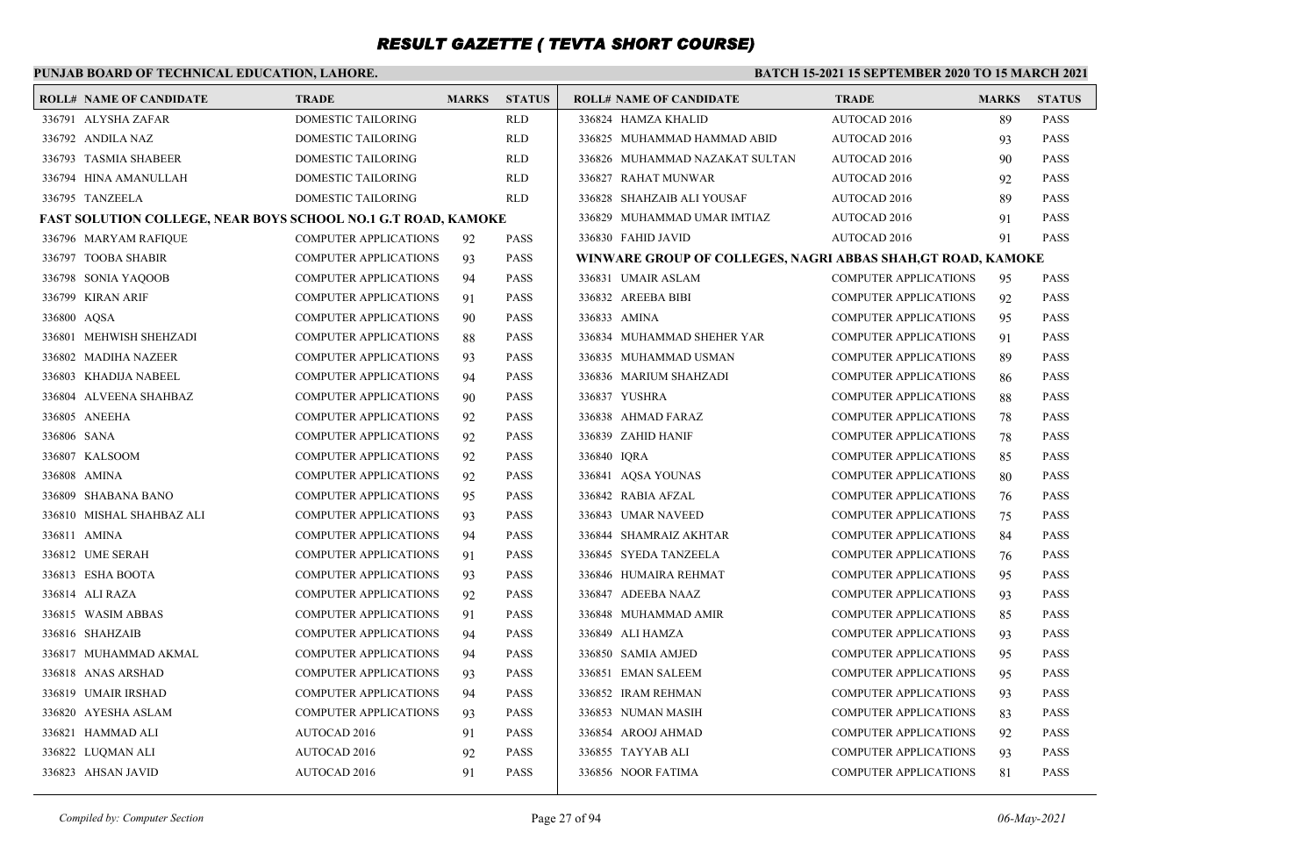### **PUNJAB BOARD OF TECHNICAL EDUCATION, LAHORE.**

| <b>ROLL# NAME OF CANDIDATE</b>                                | <b>TRADE</b>                 | <b>MARKS</b> | <b>STATUS</b> | <b>ROLL# NAME OF CANDIDATE</b>                               | <b>TRADE</b>                 | <b>MARKS</b> | <b>STATUS</b> |
|---------------------------------------------------------------|------------------------------|--------------|---------------|--------------------------------------------------------------|------------------------------|--------------|---------------|
| 336791 ALYSHA ZAFAR                                           | <b>DOMESTIC TAILORING</b>    |              | <b>RLD</b>    | 336824 HAMZA KHALID                                          | AUTOCAD 2016                 | 89           | <b>PASS</b>   |
| 336792 ANDILA NAZ                                             | DOMESTIC TAILORING           |              | <b>RLD</b>    | 336825 MUHAMMAD HAMMAD ABID                                  | AUTOCAD 2016                 | 93           | <b>PASS</b>   |
| 336793 TASMIA SHABEER                                         | DOMESTIC TAILORING           |              | <b>RLD</b>    | 336826 MUHAMMAD NAZAKAT SULTAN                               | AUTOCAD 2016                 | 90           | <b>PASS</b>   |
| 336794 HINA AMANULLAH                                         | DOMESTIC TAILORING           |              | <b>RLD</b>    | 336827 RAHAT MUNWAR                                          | AUTOCAD 2016                 | 92           | <b>PASS</b>   |
| 336795 TANZEELA                                               | DOMESTIC TAILORING           |              | <b>RLD</b>    | 336828 SHAHZAIB ALI YOUSAF                                   | AUTOCAD 2016                 | 89           | <b>PASS</b>   |
| FAST SOLUTION COLLEGE, NEAR BOYS SCHOOL NO.1 G.T ROAD, KAMOKE |                              |              |               | 336829 MUHAMMAD UMAR IMTIAZ                                  | AUTOCAD 2016                 | 91           | <b>PASS</b>   |
| 336796 MARYAM RAFIQUE                                         | <b>COMPUTER APPLICATIONS</b> | 92           | <b>PASS</b>   | 336830 FAHID JAVID                                           | AUTOCAD 2016                 | 91           | <b>PASS</b>   |
| 336797 TOOBA SHABIR                                           | <b>COMPUTER APPLICATIONS</b> | 93           | <b>PASS</b>   | WINWARE GROUP OF COLLEGES, NAGRI ABBAS SHAH, GT ROAD, KAMOKE |                              |              |               |
| 336798 SONIA YAQOOB                                           | <b>COMPUTER APPLICATIONS</b> | 94           | <b>PASS</b>   | 336831 UMAIR ASLAM                                           | <b>COMPUTER APPLICATIONS</b> | 95           | <b>PASS</b>   |
| 336799 KIRAN ARIF                                             | <b>COMPUTER APPLICATIONS</b> | 91           | <b>PASS</b>   | 336832 AREEBA BIBI                                           | <b>COMPUTER APPLICATIONS</b> | 92           | <b>PASS</b>   |
| 336800 AQSA                                                   | COMPUTER APPLICATIONS        | 90           | <b>PASS</b>   | 336833 AMINA                                                 | <b>COMPUTER APPLICATIONS</b> | 95           | <b>PASS</b>   |
| 336801 MEHWISH SHEHZADI                                       | <b>COMPUTER APPLICATIONS</b> | 88           | <b>PASS</b>   | 336834 MUHAMMAD SHEHER YAR                                   | <b>COMPUTER APPLICATIONS</b> | 91           | <b>PASS</b>   |
| 336802 MADIHA NAZEER                                          | <b>COMPUTER APPLICATIONS</b> | 93           | <b>PASS</b>   | 336835 MUHAMMAD USMAN                                        | <b>COMPUTER APPLICATIONS</b> | 89           | <b>PASS</b>   |
| 336803 KHADIJA NABEEL                                         | <b>COMPUTER APPLICATIONS</b> | 94           | <b>PASS</b>   | 336836 MARIUM SHAHZADI                                       | <b>COMPUTER APPLICATIONS</b> | 86           | <b>PASS</b>   |
| 336804 ALVEENA SHAHBAZ                                        | <b>COMPUTER APPLICATIONS</b> | 90           | <b>PASS</b>   | 336837 YUSHRA                                                | <b>COMPUTER APPLICATIONS</b> | 88           | <b>PASS</b>   |
| 336805 ANEEHA                                                 | <b>COMPUTER APPLICATIONS</b> | 92           | <b>PASS</b>   | 336838 AHMAD FARAZ                                           | <b>COMPUTER APPLICATIONS</b> | 78           | <b>PASS</b>   |
| 336806 SANA                                                   | <b>COMPUTER APPLICATIONS</b> | 92           | <b>PASS</b>   | 336839 ZAHID HANIF                                           | <b>COMPUTER APPLICATIONS</b> | 78           | <b>PASS</b>   |
| 336807 KALSOOM                                                | <b>COMPUTER APPLICATIONS</b> | 92           | <b>PASS</b>   | 336840 IORA                                                  | <b>COMPUTER APPLICATIONS</b> | 85           | <b>PASS</b>   |
| 336808 AMINA                                                  | <b>COMPUTER APPLICATIONS</b> | 92           | <b>PASS</b>   | 336841 AQSA YOUNAS                                           | <b>COMPUTER APPLICATIONS</b> | 80           | <b>PASS</b>   |
| 336809 SHABANA BANO                                           | <b>COMPUTER APPLICATIONS</b> | 95           | <b>PASS</b>   | 336842 RABIA AFZAL                                           | <b>COMPUTER APPLICATIONS</b> | 76           | <b>PASS</b>   |
| 336810 MISHAL SHAHBAZ ALI                                     | <b>COMPUTER APPLICATIONS</b> | 93           | <b>PASS</b>   | 336843 UMAR NAVEED                                           | <b>COMPUTER APPLICATIONS</b> | 75           | <b>PASS</b>   |
| 336811 AMINA                                                  | <b>COMPUTER APPLICATIONS</b> | 94           | <b>PASS</b>   | 336844 SHAMRAIZ AKHTAR                                       | <b>COMPUTER APPLICATIONS</b> | 84           | <b>PASS</b>   |
| 336812 UME SERAH                                              | <b>COMPUTER APPLICATIONS</b> | 91           | <b>PASS</b>   | 336845 SYEDA TANZEELA                                        | <b>COMPUTER APPLICATIONS</b> | 76           | <b>PASS</b>   |
| 336813 ESHA BOOTA                                             | <b>COMPUTER APPLICATIONS</b> | 93           | <b>PASS</b>   | 336846 HUMAIRA REHMAT                                        | <b>COMPUTER APPLICATIONS</b> | 95           | <b>PASS</b>   |
| 336814 ALI RAZA                                               | COMPUTER APPLICATIONS        | 92           | <b>PASS</b>   | 336847 ADEEBA NAAZ                                           | COMPUTER APPLICATIONS        | 93           | <b>PASS</b>   |
| 336815 WASIM ABBAS                                            | <b>COMPUTER APPLICATIONS</b> | 91           | <b>PASS</b>   | 336848 MUHAMMAD AMIR                                         | <b>COMPUTER APPLICATIONS</b> | 85           | <b>PASS</b>   |
| 336816 SHAHZAIB                                               | <b>COMPUTER APPLICATIONS</b> | 94           | <b>PASS</b>   | 336849 ALI HAMZA                                             | <b>COMPUTER APPLICATIONS</b> | 93           | <b>PASS</b>   |
| 336817 MUHAMMAD AKMAL                                         | <b>COMPUTER APPLICATIONS</b> | 94           | <b>PASS</b>   | 336850 SAMIA AMJED                                           | <b>COMPUTER APPLICATIONS</b> | 95           | <b>PASS</b>   |
| 336818 ANAS ARSHAD                                            | COMPUTER APPLICATIONS        | 93           | <b>PASS</b>   | 336851 EMAN SALEEM                                           | <b>COMPUTER APPLICATIONS</b> | 95           | <b>PASS</b>   |
| 336819 UMAIR IRSHAD                                           | <b>COMPUTER APPLICATIONS</b> | 94           | <b>PASS</b>   | 336852 IRAM REHMAN                                           | <b>COMPUTER APPLICATIONS</b> | 93           | <b>PASS</b>   |
| 336820 AYESHA ASLAM                                           | <b>COMPUTER APPLICATIONS</b> | 93           | <b>PASS</b>   | 336853 NUMAN MASIH                                           | <b>COMPUTER APPLICATIONS</b> | 83           | <b>PASS</b>   |
| 336821 HAMMAD ALI                                             | AUTOCAD 2016                 | 91           | <b>PASS</b>   | 336854 AROOJ AHMAD                                           | <b>COMPUTER APPLICATIONS</b> | 92           | <b>PASS</b>   |
| 336822 LUQMAN ALI                                             | AUTOCAD 2016                 | 92           | <b>PASS</b>   | 336855 TAYYAB ALI                                            | <b>COMPUTER APPLICATIONS</b> | 93           | <b>PASS</b>   |
| 336823 AHSAN JAVID                                            | AUTOCAD 2016                 | 91           | <b>PASS</b>   | 336856 NOOR FATIMA                                           | <b>COMPUTER APPLICATIONS</b> | 81           | <b>PASS</b>   |
|                                                               |                              |              |               |                                                              |                              |              |               |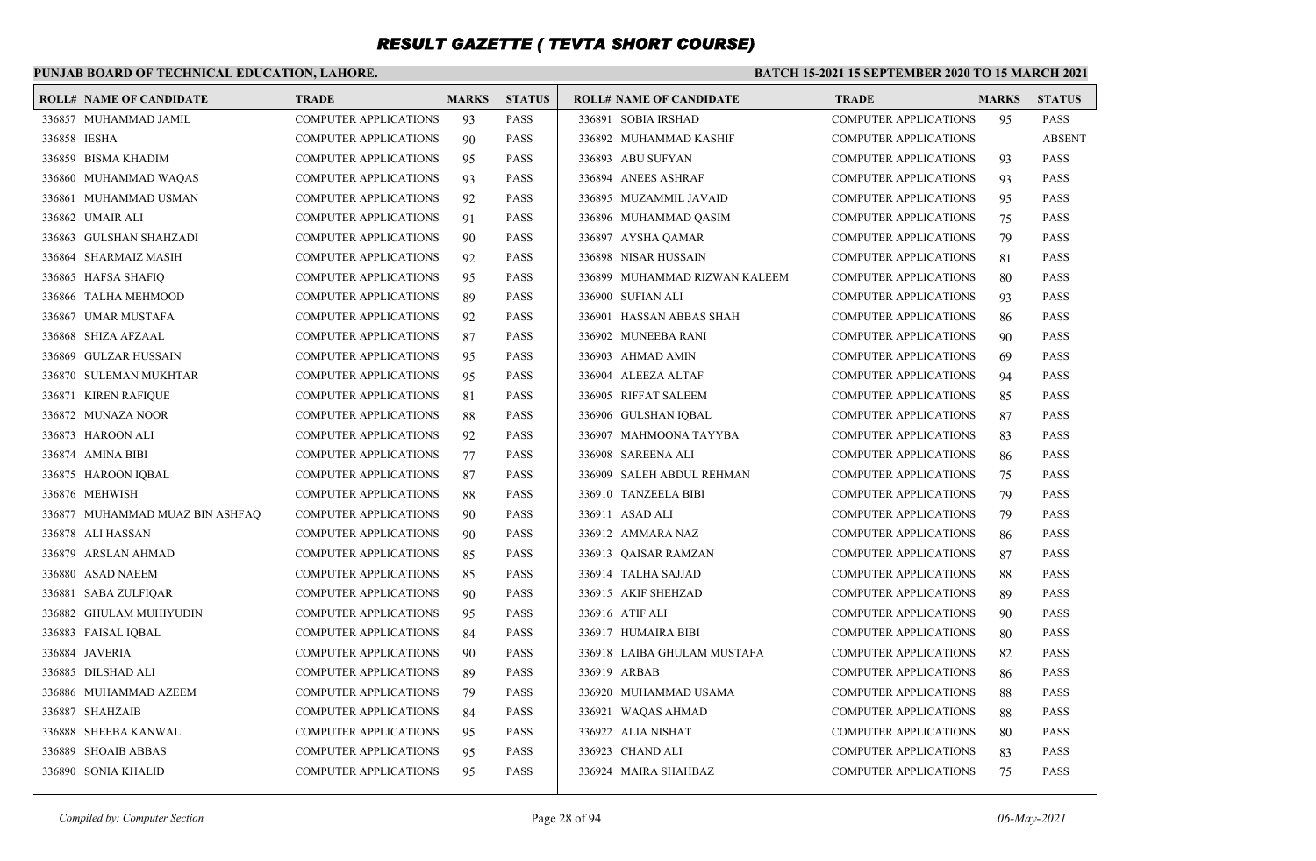### **PUNJAB BOARD OF TECHNICAL EDUCATION, LAHORE.**

#### **BATCH 15-2021 15 SEPTEMBER 2020 TO 15 MARCH 2021**

|              | <b>ROLL# NAME OF CANDIDATE</b>  | <b>TRADE</b>                 | <b>MARKS</b> | <b>STATUS</b> | <b>ROLL# NAME OF CANDIDATE</b> | <b>TRADE</b>                 | <b>MARKS</b> | <b>STATUS</b> |
|--------------|---------------------------------|------------------------------|--------------|---------------|--------------------------------|------------------------------|--------------|---------------|
|              | 336857 MUHAMMAD JAMIL           | <b>COMPUTER APPLICATIONS</b> | 93           | <b>PASS</b>   | 336891 SOBIA IRSHAD            | <b>COMPUTER APPLICATIONS</b> | 95           | <b>PASS</b>   |
| 336858 IESHA |                                 | <b>COMPUTER APPLICATIONS</b> | 90           | <b>PASS</b>   | 336892 MUHAMMAD KASHIF         | <b>COMPUTER APPLICATIONS</b> |              | <b>ABSENT</b> |
|              | 336859 BISMA KHADIM             | <b>COMPUTER APPLICATIONS</b> | 95           | <b>PASS</b>   | 336893 ABU SUFYAN              | <b>COMPUTER APPLICATIONS</b> | 93           | <b>PASS</b>   |
|              | 336860 MUHAMMAD WAQAS           | <b>COMPUTER APPLICATIONS</b> | 93           | <b>PASS</b>   | 336894 ANEES ASHRAF            | <b>COMPUTER APPLICATIONS</b> | 93           | <b>PASS</b>   |
|              | 336861 MUHAMMAD USMAN           | <b>COMPUTER APPLICATIONS</b> | 92           | <b>PASS</b>   | 336895 MUZAMMIL JAVAID         | <b>COMPUTER APPLICATIONS</b> | 95           | <b>PASS</b>   |
|              | 336862 UMAIR ALI                | <b>COMPUTER APPLICATIONS</b> | 91           | <b>PASS</b>   | 336896 MUHAMMAD OASIM          | <b>COMPUTER APPLICATIONS</b> | 75           | <b>PASS</b>   |
|              | 336863 GULSHAN SHAHZADI         | <b>COMPUTER APPLICATIONS</b> | 90           | <b>PASS</b>   | 336897 AYSHA QAMAR             | <b>COMPUTER APPLICATIONS</b> | 79           | <b>PASS</b>   |
|              | 336864 SHARMAIZ MASIH           | <b>COMPUTER APPLICATIONS</b> | 92           | <b>PASS</b>   | 336898 NISAR HUSSAIN           | <b>COMPUTER APPLICATIONS</b> | 81           | <b>PASS</b>   |
|              | 336865 HAFSA SHAFIQ             | <b>COMPUTER APPLICATIONS</b> | 95           | <b>PASS</b>   | 336899 MUHAMMAD RIZWAN KALEEM  | <b>COMPUTER APPLICATIONS</b> | 80           | <b>PASS</b>   |
|              | 336866 TALHA MEHMOOD            | <b>COMPUTER APPLICATIONS</b> | 89           | <b>PASS</b>   | 336900 SUFIAN ALI              | <b>COMPUTER APPLICATIONS</b> | 93           | <b>PASS</b>   |
|              | 336867 UMAR MUSTAFA             | <b>COMPUTER APPLICATIONS</b> | 92           | <b>PASS</b>   | 336901 HASSAN ABBAS SHAH       | <b>COMPUTER APPLICATIONS</b> | 86           | <b>PASS</b>   |
|              | 336868 SHIZA AFZAAL             | <b>COMPUTER APPLICATIONS</b> | 87           | <b>PASS</b>   | 336902 MUNEEBA RANI            | <b>COMPUTER APPLICATIONS</b> | 90           | <b>PASS</b>   |
|              | 336869 GULZAR HUSSAIN           | <b>COMPUTER APPLICATIONS</b> | 95           | <b>PASS</b>   | 336903 AHMAD AMIN              | <b>COMPUTER APPLICATIONS</b> | 69           | <b>PASS</b>   |
|              | 336870 SULEMAN MUKHTAR          | <b>COMPUTER APPLICATIONS</b> | 95           | <b>PASS</b>   | 336904 ALEEZA ALTAF            | <b>COMPUTER APPLICATIONS</b> | 94           | <b>PASS</b>   |
|              | 336871 KIREN RAFIQUE            | <b>COMPUTER APPLICATIONS</b> | 81           | <b>PASS</b>   | 336905 RIFFAT SALEEM           | <b>COMPUTER APPLICATIONS</b> | 85           | <b>PASS</b>   |
|              | 336872 MUNAZA NOOR              | <b>COMPUTER APPLICATIONS</b> | 88           | <b>PASS</b>   | 336906 GULSHAN IQBAL           | <b>COMPUTER APPLICATIONS</b> | 87           | <b>PASS</b>   |
|              | 336873 HAROON ALI               | <b>COMPUTER APPLICATIONS</b> | 92           | <b>PASS</b>   | 336907 MAHMOONA TAYYBA         | <b>COMPUTER APPLICATIONS</b> | 83           | <b>PASS</b>   |
|              | 336874 AMINA BIBI               | <b>COMPUTER APPLICATIONS</b> | 77           | <b>PASS</b>   | 336908 SAREENA ALI             | <b>COMPUTER APPLICATIONS</b> | 86           | <b>PASS</b>   |
|              | 336875 HAROON IQBAL             | <b>COMPUTER APPLICATIONS</b> | 87           | <b>PASS</b>   | 336909 SALEH ABDUL REHMAN      | <b>COMPUTER APPLICATIONS</b> | 75           | <b>PASS</b>   |
|              | 336876 MEHWISH                  | <b>COMPUTER APPLICATIONS</b> | 88           | <b>PASS</b>   | 336910 TANZEELA BIBI           | <b>COMPUTER APPLICATIONS</b> | 79           | <b>PASS</b>   |
|              | 336877 MUHAMMAD MUAZ BIN ASHFAQ | <b>COMPUTER APPLICATIONS</b> | 90           | <b>PASS</b>   | 336911 ASAD ALI                | COMPUTER APPLICATIONS        | 79           | <b>PASS</b>   |
|              | 336878 ALI HASSAN               | <b>COMPUTER APPLICATIONS</b> | 90           | <b>PASS</b>   | 336912 AMMARA NAZ              | <b>COMPUTER APPLICATIONS</b> | 86           | <b>PASS</b>   |
|              | 336879 ARSLAN AHMAD             | <b>COMPUTER APPLICATIONS</b> | 85           | <b>PASS</b>   | 336913 QAISAR RAMZAN           | <b>COMPUTER APPLICATIONS</b> | 87           | <b>PASS</b>   |
|              | 336880 ASAD NAEEM               | <b>COMPUTER APPLICATIONS</b> | 85           | <b>PASS</b>   | 336914 TALHA SAJJAD            | <b>COMPUTER APPLICATIONS</b> | 88           | <b>PASS</b>   |
|              | 336881 SABA ZULFIQAR            | <b>COMPUTER APPLICATIONS</b> | 90           | <b>PASS</b>   | 336915 AKIF SHEHZAD            | <b>COMPUTER APPLICATIONS</b> | 89           | <b>PASS</b>   |
|              | 336882 GHULAM MUHIYUDIN         | <b>COMPUTER APPLICATIONS</b> | 95           | <b>PASS</b>   | 336916 ATIF ALI                | <b>COMPUTER APPLICATIONS</b> | 90           | <b>PASS</b>   |
|              | 336883 FAISAL IQBAL             | <b>COMPUTER APPLICATIONS</b> | 84           | <b>PASS</b>   | 336917 HUMAIRA BIBI            | <b>COMPUTER APPLICATIONS</b> | 80           | <b>PASS</b>   |
|              | 336884 JAVERIA                  | <b>COMPUTER APPLICATIONS</b> | 90           | <b>PASS</b>   | 336918 LAIBA GHULAM MUSTAFA    | COMPUTER APPLICATIONS        | 82           | <b>PASS</b>   |
|              | 336885 DILSHAD ALI              | <b>COMPUTER APPLICATIONS</b> | 89           | <b>PASS</b>   | 336919 ARBAB                   | <b>COMPUTER APPLICATIONS</b> | 86           | <b>PASS</b>   |
|              | 336886 MUHAMMAD AZEEM           | <b>COMPUTER APPLICATIONS</b> | 79           | <b>PASS</b>   | 336920 MUHAMMAD USAMA          | <b>COMPUTER APPLICATIONS</b> | 88           | <b>PASS</b>   |
|              | 336887 SHAHZAIB                 | <b>COMPUTER APPLICATIONS</b> | 84           | <b>PASS</b>   | 336921 WAQAS AHMAD             | <b>COMPUTER APPLICATIONS</b> | 88           | <b>PASS</b>   |
|              | 336888 SHEEBA KANWAL            | COMPUTER APPLICATIONS        | 95           | <b>PASS</b>   | 336922 ALIA NISHAT             | <b>COMPUTER APPLICATIONS</b> | 80           | <b>PASS</b>   |
|              | 336889 SHOAIB ABBAS             | <b>COMPUTER APPLICATIONS</b> | 95           | <b>PASS</b>   | 336923 CHAND ALI               | COMPUTER APPLICATIONS        | 83           | <b>PASS</b>   |
|              | 336890 SONIA KHALID             | <b>COMPUTER APPLICATIONS</b> | 95           | <b>PASS</b>   | 336924 MAIRA SHAHBAZ           | <b>COMPUTER APPLICATIONS</b> | 75           | <b>PASS</b>   |
|              |                                 |                              |              |               |                                |                              |              |               |

*Compiled by: Computer Section* Page 28 of 94 *06-May-2021*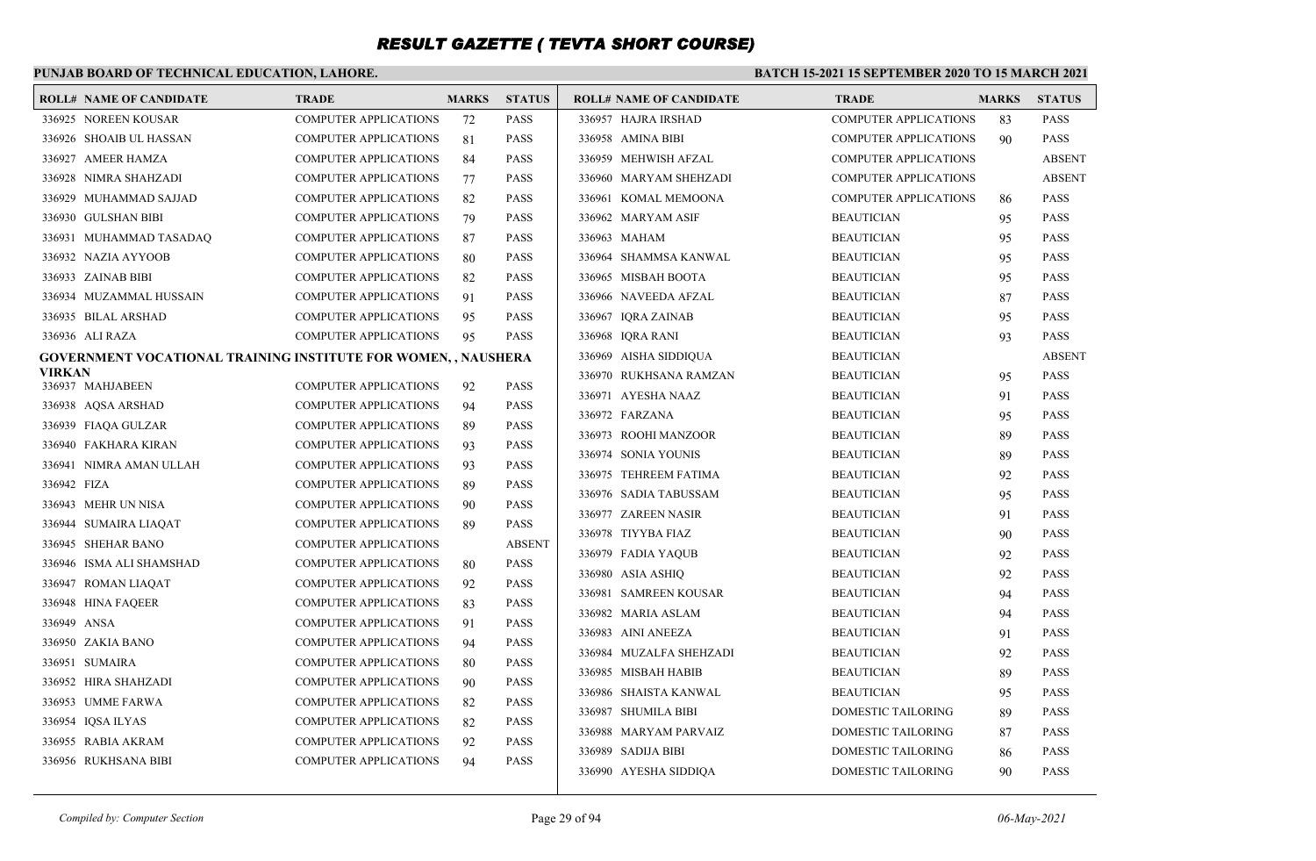### **PUNJAB BOARD OF TECHNICAL EDUCATION, LAHORE.**

|        | <b>ROLL# NAME OF CANDIDATE</b>                                 | <b>TRADE</b>                                                 | <b>MARKS</b> | <b>STATUS</b>              | <b>ROLL# NAME OF CANDIDATE</b> | <b>TRADE</b>                 | <b>MARKS</b> | <b>STATUS</b> |
|--------|----------------------------------------------------------------|--------------------------------------------------------------|--------------|----------------------------|--------------------------------|------------------------------|--------------|---------------|
|        | 336925 NOREEN KOUSAR                                           | <b>COMPUTER APPLICATIONS</b>                                 | 72           | PASS                       | 336957 HAJRA IRSHAD            | COMPUTER APPLICATIONS        | 83           | <b>PASS</b>   |
|        | 336926 SHOAIB UL HASSAN                                        | <b>COMPUTER APPLICATIONS</b>                                 | 81           | <b>PASS</b>                | 336958 AMINA BIBI              | <b>COMPUTER APPLICATIONS</b> | 90           | <b>PASS</b>   |
|        | 336927 AMEER HAMZA                                             | COMPUTER APPLICATIONS                                        | 84           | <b>PASS</b>                | 336959 MEHWISH AFZAL           | <b>COMPUTER APPLICATIONS</b> |              | <b>ABSENT</b> |
|        | 336928 NIMRA SHAHZADI                                          | <b>COMPUTER APPLICATIONS</b>                                 | 77           | <b>PASS</b>                | 336960 MARYAM SHEHZADI         | <b>COMPUTER APPLICATIONS</b> |              | <b>ABSENT</b> |
|        | 336929 MUHAMMAD SAJJAD                                         | <b>COMPUTER APPLICATIONS</b>                                 | 82           | <b>PASS</b>                | 336961 KOMAL MEMOONA           | COMPUTER APPLICATIONS        | 86           | <b>PASS</b>   |
|        | 336930 GULSHAN BIBI                                            | <b>COMPUTER APPLICATIONS</b>                                 | 79           | <b>PASS</b>                | 336962 MARYAM ASIF             | <b>BEAUTICIAN</b>            | 95           | <b>PASS</b>   |
|        | 336931 MUHAMMAD TASADAQ                                        | <b>COMPUTER APPLICATIONS</b>                                 | 87           | <b>PASS</b>                | 336963 MAHAM                   | <b>BEAUTICIAN</b>            | 95           | <b>PASS</b>   |
|        | 336932 NAZIA AYYOOB                                            | <b>COMPUTER APPLICATIONS</b>                                 | 80           | <b>PASS</b>                | 336964 SHAMMSA KANWAL          | <b>BEAUTICIAN</b>            | 95           | <b>PASS</b>   |
|        | 336933 ZAINAB BIBI                                             | <b>COMPUTER APPLICATIONS</b>                                 | 82           | <b>PASS</b>                | 336965 MISBAH BOOTA            | <b>BEAUTICIAN</b>            | 95           | <b>PASS</b>   |
|        | 336934 MUZAMMAL HUSSAIN                                        | <b>COMPUTER APPLICATIONS</b>                                 | 91           | <b>PASS</b>                | 336966 NAVEEDA AFZAL           | <b>BEAUTICIAN</b>            | 87           | <b>PASS</b>   |
|        | 336935 BILAL ARSHAD                                            | <b>COMPUTER APPLICATIONS</b>                                 | 95           | <b>PASS</b>                | 336967 IORA ZAINAB             | <b>BEAUTICIAN</b>            | 95           | <b>PASS</b>   |
|        | 336936 ALI RAZA                                                | COMPUTER APPLICATIONS                                        | 95           | <b>PASS</b>                | 336968 IQRA RANI               | <b>BEAUTICIAN</b>            | 93           | <b>PASS</b>   |
|        | GOVERNMENT VOCATIONAL TRAINING INSTITUTE FOR WOMEN, , NAUSHERA |                                                              |              |                            | 336969 AISHA SIDDIQUA          | <b>BEAUTICIAN</b>            |              | <b>ABSENT</b> |
| VIRKAN | 336937 MAHJABEEN                                               | <b>COMPUTER APPLICATIONS</b>                                 |              | <b>PASS</b>                | 336970 RUKHSANA RAMZAN         | <b>BEAUTICIAN</b>            | 95           | <b>PASS</b>   |
|        |                                                                | <b>COMPUTER APPLICATIONS</b>                                 | 92           | <b>PASS</b>                | 336971 AYESHA NAAZ             | <b>BEAUTICIAN</b>            | 91           | <b>PASS</b>   |
|        | 336938 AQSA ARSHAD<br>336939 FIAQA GULZAR                      | <b>COMPUTER APPLICATIONS</b>                                 | 94           | PASS                       | 336972 FARZANA                 | <b>BEAUTICIAN</b>            | 95           | <b>PASS</b>   |
|        | 336940 FAKHARA KIRAN                                           | <b>COMPUTER APPLICATIONS</b>                                 | 89<br>93     | <b>PASS</b>                | 336973 ROOHI MANZOOR           | <b>BEAUTICIAN</b>            | 89           | <b>PASS</b>   |
|        |                                                                | <b>COMPUTER APPLICATIONS</b>                                 |              | <b>PASS</b>                | 336974 SONIA YOUNIS            | <b>BEAUTICIAN</b>            | 89           | <b>PASS</b>   |
|        | 336941 NIMRA AMAN ULLAH<br>336942 FIZA                         | <b>COMPUTER APPLICATIONS</b>                                 | 93<br>89     | <b>PASS</b>                | 336975 TEHREEM FATIMA          | <b>BEAUTICIAN</b>            | 92           | <b>PASS</b>   |
|        | 336943 MEHR UN NISA                                            | <b>COMPUTER APPLICATIONS</b>                                 |              | <b>PASS</b>                | 336976 SADIA TABUSSAM          | <b>BEAUTICIAN</b>            | 95           | <b>PASS</b>   |
|        |                                                                | <b>COMPUTER APPLICATIONS</b>                                 | 90           | <b>PASS</b>                | 336977 ZAREEN NASIR            | <b>BEAUTICIAN</b>            | 91           | <b>PASS</b>   |
|        | 336944 SUMAIRA LIAQAT<br>336945 SHEHAR BANO                    |                                                              | 89           | <b>ABSENT</b>              | 336978 TIYYBA FIAZ             | <b>BEAUTICIAN</b>            | 90           | <b>PASS</b>   |
|        | 336946 ISMA ALI SHAMSHAD                                       | <b>COMPUTER APPLICATIONS</b><br><b>COMPUTER APPLICATIONS</b> |              | <b>PASS</b>                | 336979 FADIA YAQUB             | <b>BEAUTICIAN</b>            | 92           | <b>PASS</b>   |
|        |                                                                |                                                              | 80           |                            | 336980 ASIA ASHIQ              | <b>BEAUTICIAN</b>            | 92           | <b>PASS</b>   |
|        | 336947 ROMAN LIAQAT                                            | <b>COMPUTER APPLICATIONS</b>                                 | 92           | <b>PASS</b>                | 336981 SAMREEN KOUSAR          | <b>BEAUTICIAN</b>            | 94           | <b>PASS</b>   |
|        | 336948 HINA FAQEER<br>336949 ANSA                              | COMPUTER APPLICATIONS                                        | 83           | <b>PASS</b><br><b>PASS</b> | 336982 MARIA ASLAM             | <b>BEAUTICIAN</b>            | 94           | <b>PASS</b>   |
|        |                                                                | <b>COMPUTER APPLICATIONS</b>                                 | 91           |                            | 336983 AINI ANEEZA             | <b>BEAUTICIAN</b>            | 91           | <b>PASS</b>   |
|        | 336950 ZAKIA BANO                                              | <b>COMPUTER APPLICATIONS</b>                                 | 94           | <b>PASS</b>                | 336984 MUZALFA SHEHZADI        | <b>BEAUTICIAN</b>            | 92           | <b>PASS</b>   |
|        | 336951 SUMAIRA                                                 | COMPUTER APPLICATIONS                                        | 80           | <b>PASS</b>                | 336985 MISBAH HABIB            | <b>BEAUTICIAN</b>            | 89           | <b>PASS</b>   |
|        | 336952 HIRA SHAHZADI                                           | <b>COMPUTER APPLICATIONS</b>                                 | 90           | <b>PASS</b>                | 336986 SHAISTA KANWAL          | <b>BEAUTICIAN</b>            | 95           | <b>PASS</b>   |
|        | 336953 UMME FARWA                                              | <b>COMPUTER APPLICATIONS</b>                                 | 82           | <b>PASS</b>                | 336987 SHUMILA BIBI            | DOMESTIC TAILORING           | 89           | <b>PASS</b>   |
|        | 336954 IQSA ILYAS                                              | <b>COMPUTER APPLICATIONS</b>                                 | 82           | <b>PASS</b>                | 336988 MARYAM PARVAIZ          | DOMESTIC TAILORING           | 87           | <b>PASS</b>   |
|        | 336955 RABIA AKRAM                                             | <b>COMPUTER APPLICATIONS</b>                                 | 92           | <b>PASS</b>                | 336989 SADIJA BIBI             | DOMESTIC TAILORING           | 86           | <b>PASS</b>   |
|        | 336956 RUKHSANA BIBI                                           | <b>COMPUTER APPLICATIONS</b>                                 | 94           | <b>PASS</b>                | 336990 AYESHA SIDDIQA          | DOMESTIC TAILORING           | 90           | <b>PASS</b>   |
|        |                                                                |                                                              |              |                            |                                |                              |              |               |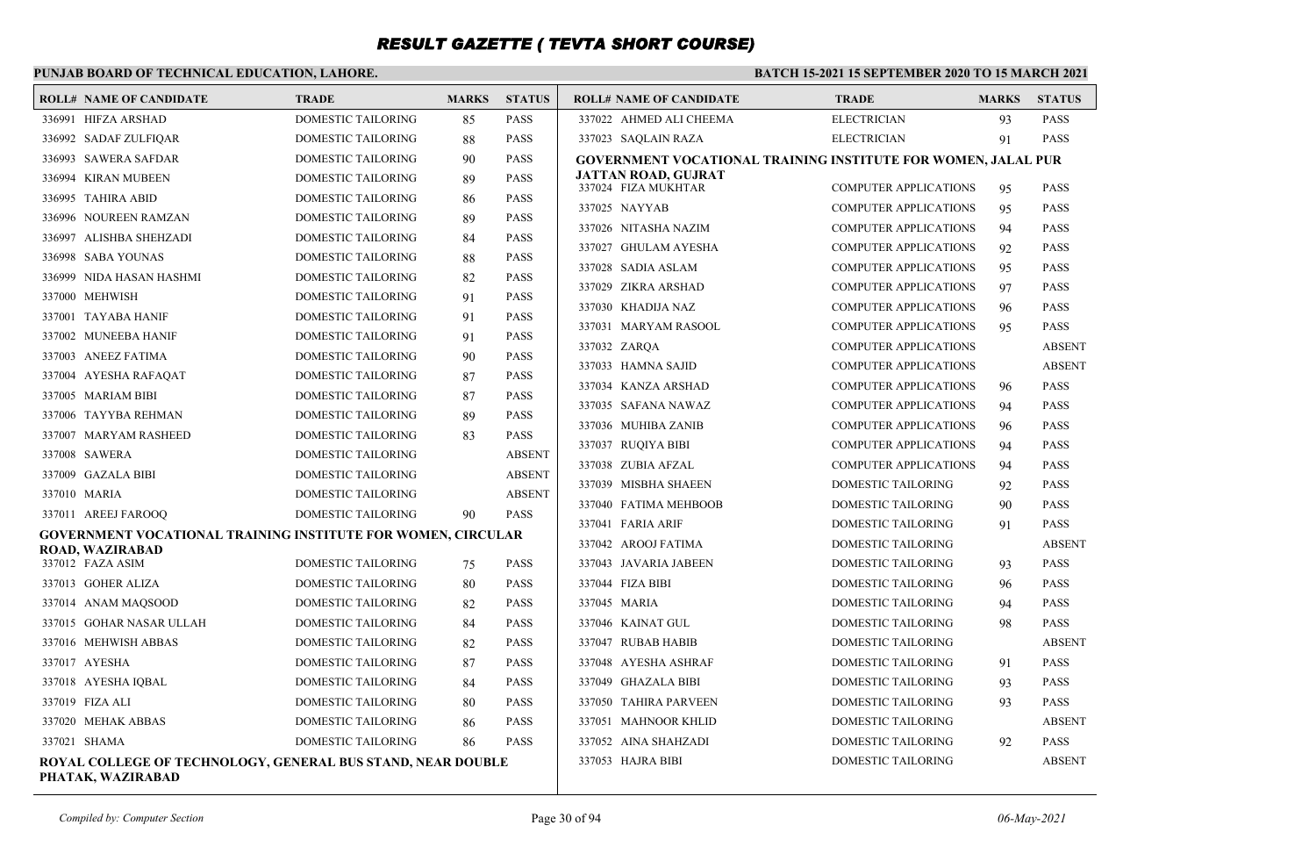### **PUNJAB BOARD OF TECHNICAL EDUCATION, LAHORE.**

| <b>ROLL# NAME OF CANDIDATE</b>                                                   | <b>TRADE</b>              | <b>MARKS</b> | <b>STATUS</b> | <b>ROLL# NAME OF CANDIDATE</b>                                | <b>TRADE</b>                 | <b>MARKS</b> | <b>STATUS</b> |
|----------------------------------------------------------------------------------|---------------------------|--------------|---------------|---------------------------------------------------------------|------------------------------|--------------|---------------|
| 336991 HIFZA ARSHAD                                                              | <b>DOMESTIC TAILORING</b> | 85           | <b>PASS</b>   | 337022 AHMED ALI CHEEMA                                       | <b>ELECTRICIAN</b>           | 93           | <b>PASS</b>   |
| 336992 SADAF ZULFIQAR                                                            | DOMESTIC TAILORING        | 88           | <b>PASS</b>   | 337023 SAQLAIN RAZA                                           | <b>ELECTRICIAN</b>           | 91           | <b>PASS</b>   |
| 336993 SAWERA SAFDAR                                                             | DOMESTIC TAILORING        | 90           | <b>PASS</b>   | GOVERNMENT VOCATIONAL TRAINING INSTITUTE FOR WOMEN, JALAL PUR |                              |              |               |
| 336994 KIRAN MUBEEN                                                              | DOMESTIC TAILORING        | 89           | <b>PASS</b>   | JATTAN ROAD, GUJRAT<br>337024 FIZA MUKHTAR                    | <b>COMPUTER APPLICATIONS</b> |              | <b>PASS</b>   |
| 336995 TAHIRA ABID                                                               | DOMESTIC TAILORING        | 86           | <b>PASS</b>   | 337025 NAYYAB                                                 |                              | 95           |               |
| 336996 NOUREEN RAMZAN                                                            | <b>DOMESTIC TAILORING</b> | 89           | <b>PASS</b>   |                                                               | <b>COMPUTER APPLICATIONS</b> | 95           | <b>PASS</b>   |
| 336997 ALISHBA SHEHZADI                                                          | DOMESTIC TAILORING        | 84           | PASS          | 337026 NITASHA NAZIM                                          | <b>COMPUTER APPLICATIONS</b> | 94           | <b>PASS</b>   |
| 336998 SABA YOUNAS                                                               | DOMESTIC TAILORING        | 88           | <b>PASS</b>   | 337027 GHULAM AYESHA                                          | <b>COMPUTER APPLICATIONS</b> | 92           | <b>PASS</b>   |
| 336999 NIDA HASAN HASHMI                                                         | <b>DOMESTIC TAILORING</b> | 82           | <b>PASS</b>   | 337028 SADIA ASLAM                                            | <b>COMPUTER APPLICATIONS</b> | 95           | <b>PASS</b>   |
| 337000 MEHWISH                                                                   | DOMESTIC TAILORING        | 91           | <b>PASS</b>   | 337029 ZIKRA ARSHAD                                           | <b>COMPUTER APPLICATIONS</b> | 97           | <b>PASS</b>   |
| 337001 TAYABA HANIF                                                              | DOMESTIC TAILORING        | 91           | <b>PASS</b>   | 337030 KHADIJA NAZ                                            | <b>COMPUTER APPLICATIONS</b> | 96           | <b>PASS</b>   |
| 337002 MUNEEBA HANIF                                                             | DOMESTIC TAILORING        | 91           | <b>PASS</b>   | 337031 MARYAM RASOOL                                          | <b>COMPUTER APPLICATIONS</b> | 95           | <b>PASS</b>   |
| 337003 ANEEZ FATIMA                                                              | DOMESTIC TAILORING        | 90           | <b>PASS</b>   | 337032 ZAROA                                                  | <b>COMPUTER APPLICATIONS</b> |              | <b>ABSENT</b> |
| 337004 AYESHA RAFAQAT                                                            | DOMESTIC TAILORING        | 87           | <b>PASS</b>   | 337033 HAMNA SAJID                                            | <b>COMPUTER APPLICATIONS</b> |              | <b>ABSENT</b> |
| 337005 MARIAM BIBI                                                               | DOMESTIC TAILORING        | 87           | <b>PASS</b>   | 337034 KANZA ARSHAD                                           | <b>COMPUTER APPLICATIONS</b> | 96           | <b>PASS</b>   |
| 337006 TAYYBA REHMAN                                                             | DOMESTIC TAILORING        | 89           | <b>PASS</b>   | 337035 SAFANA NAWAZ                                           | <b>COMPUTER APPLICATIONS</b> | 94           | <b>PASS</b>   |
| 337007 MARYAM RASHEED                                                            | DOMESTIC TAILORING        | 83           | <b>PASS</b>   | 337036 MUHIBA ZANIB                                           | <b>COMPUTER APPLICATIONS</b> | 96           | <b>PASS</b>   |
| 337008 SAWERA                                                                    | <b>DOMESTIC TAILORING</b> |              | <b>ABSENT</b> | 337037 RUOIYA BIBI                                            | <b>COMPUTER APPLICATIONS</b> | 94           | <b>PASS</b>   |
| 337009 GAZALA BIBI                                                               | DOMESTIC TAILORING        |              | <b>ABSENT</b> | 337038 ZUBIA AFZAL                                            | <b>COMPUTER APPLICATIONS</b> | 94           | <b>PASS</b>   |
| 337010 MARIA                                                                     | DOMESTIC TAILORING        |              | <b>ABSENT</b> | 337039 MISBHA SHAEEN                                          | DOMESTIC TAILORING           | 92           | <b>PASS</b>   |
| 337011 AREEJ FAROOQ                                                              | DOMESTIC TAILORING        | 90           | <b>PASS</b>   | 337040 FATIMA MEHBOOB                                         | DOMESTIC TAILORING           | 90           | <b>PASS</b>   |
| GOVERNMENT VOCATIONAL TRAINING INSTITUTE FOR WOMEN, CIRCULAR                     |                           |              |               | 337041 FARIA ARIF                                             | DOMESTIC TAILORING           | 91           | <b>PASS</b>   |
| <b>ROAD, WAZIRABAD</b>                                                           |                           |              |               | 337042 AROOJ FATIMA                                           | DOMESTIC TAILORING           |              | <b>ABSENT</b> |
| 337012 FAZA ASIM                                                                 | DOMESTIC TAILORING        | 75           | <b>PASS</b>   | 337043 JAVARIA JABEEN                                         | DOMESTIC TAILORING           | 93           | <b>PASS</b>   |
| 337013 GOHER ALIZA                                                               | DOMESTIC TAILORING        | 80           | <b>PASS</b>   | 337044 FIZA BIBI                                              | DOMESTIC TAILORING           | 96           | <b>PASS</b>   |
| 337014 ANAM MAQSOOD                                                              | DOMESTIC TAILORING        | 82           | <b>PASS</b>   | 337045 MARIA                                                  | DOMESTIC TAILORING           | 94           | <b>PASS</b>   |
| 337015 GOHAR NASAR ULLAH                                                         | DOMESTIC TAILORING        | 84           | <b>PASS</b>   | 337046 KAINAT GUL                                             | DOMESTIC TAILORING           | 98           | <b>PASS</b>   |
| 337016 MEHWISH ABBAS                                                             | <b>DOMESTIC TAILORING</b> | 82           | <b>PASS</b>   | 337047 RUBAB HABIB                                            | <b>DOMESTIC TAILORING</b>    |              | <b>ABSENT</b> |
| 337017 AYESHA                                                                    | DOMESTIC TAILORING        | 87           | <b>PASS</b>   | 337048 AYESHA ASHRAF                                          | DOMESTIC TAILORING           | 91           | <b>PASS</b>   |
| 337018 AYESHA IQBAL                                                              | DOMESTIC TAILORING        | 84           | <b>PASS</b>   | 337049 GHAZALA BIBI                                           | DOMESTIC TAILORING           | 93           | <b>PASS</b>   |
| 337019 FIZA ALI                                                                  | DOMESTIC TAILORING        | 80           | <b>PASS</b>   | 337050 TAHIRA PARVEEN                                         | DOMESTIC TAILORING           | 93           | <b>PASS</b>   |
| 337020 MEHAK ABBAS                                                               | DOMESTIC TAILORING        | 86           | <b>PASS</b>   | 337051 MAHNOOR KHLID                                          | DOMESTIC TAILORING           |              | <b>ABSENT</b> |
| 337021 SHAMA                                                                     | <b>DOMESTIC TAILORING</b> | 86           | <b>PASS</b>   | 337052 AINA SHAHZADI                                          | <b>DOMESTIC TAILORING</b>    | 92           | <b>PASS</b>   |
| ROYAL COLLEGE OF TECHNOLOGY, GENERAL BUS STAND, NEAR DOUBLE<br>PHATAK, WAZIRABAD |                           |              |               | 337053 HAJRA BIBI                                             | <b>DOMESTIC TAILORING</b>    |              | <b>ABSENT</b> |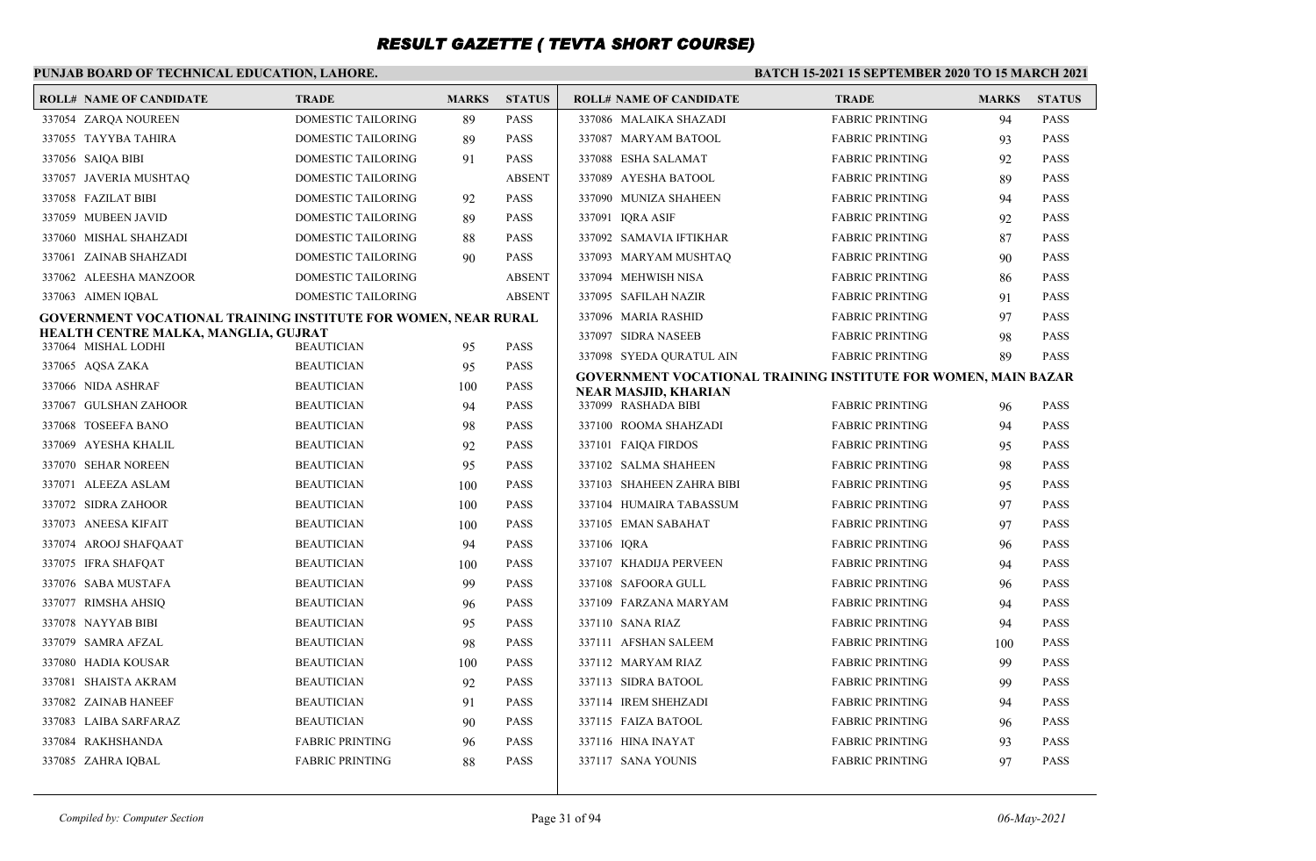### **PUNJAB BOARD OF TECHNICAL EDUCATION, LAHORE.**

| <b>ROLL# NAME OF CANDIDATE</b>                                        | <b>TRADE</b>              | <b>MARKS</b> | <b>STATUS</b> | <b>ROLL# NAME OF CANDIDATE</b>                                 | <b>TRADE</b>           | <b>MARKS</b> | <b>STATUS</b>              |
|-----------------------------------------------------------------------|---------------------------|--------------|---------------|----------------------------------------------------------------|------------------------|--------------|----------------------------|
| 337054 ZARQA NOUREEN                                                  | <b>DOMESTIC TAILORING</b> | 89           | <b>PASS</b>   | 337086 MALAIKA SHAZADI                                         | <b>FABRIC PRINTING</b> | 94           | <b>PASS</b>                |
| 337055 TAYYBA TAHIRA                                                  | <b>DOMESTIC TAILORING</b> | 89           | <b>PASS</b>   | 337087 MARYAM BATOOL                                           | <b>FABRIC PRINTING</b> | 93           | <b>PASS</b>                |
| 337056 SAIOA BIBI                                                     | <b>DOMESTIC TAILORING</b> | 91           | <b>PASS</b>   | 337088 ESHA SALAMAT                                            | <b>FABRIC PRINTING</b> | 92           | <b>PASS</b>                |
| 337057 JAVERIA MUSHTAQ                                                | DOMESTIC TAILORING        |              | <b>ABSENT</b> | 337089 AYESHA BATOOL                                           | <b>FABRIC PRINTING</b> | 89           | <b>PASS</b>                |
| 337058 FAZILAT BIBI                                                   | <b>DOMESTIC TAILORING</b> | 92           | <b>PASS</b>   | 337090 MUNIZA SHAHEEN                                          | <b>FABRIC PRINTING</b> | 94           | <b>PASS</b>                |
| 337059 MUBEEN JAVID                                                   | <b>DOMESTIC TAILORING</b> | 89           | <b>PASS</b>   | 337091 IORA ASIF                                               | <b>FABRIC PRINTING</b> | 92           | <b>PASS</b>                |
| 337060 MISHAL SHAHZADI                                                | <b>DOMESTIC TAILORING</b> | 88           | <b>PASS</b>   | 337092 SAMAVIA IFTIKHAR                                        | <b>FABRIC PRINTING</b> | 87           | <b>PASS</b>                |
| 337061 ZAINAB SHAHZADI                                                | DOMESTIC TAILORING        | 90           | <b>PASS</b>   | 337093 MARYAM MUSHTAQ                                          | <b>FABRIC PRINTING</b> | 90           | <b>PASS</b>                |
| 337062 ALEESHA MANZOOR                                                | <b>DOMESTIC TAILORING</b> |              | <b>ABSENT</b> | 337094 MEHWISH NISA                                            | <b>FABRIC PRINTING</b> | 86           | <b>PASS</b>                |
| 337063 AIMEN IQBAL                                                    | <b>DOMESTIC TAILORING</b> |              | <b>ABSENT</b> | 337095 SAFILAH NAZIR                                           | <b>FABRIC PRINTING</b> | 91           | <b>PASS</b>                |
| <b>GOVERNMENT VOCATIONAL TRAINING INSTITUTE FOR WOMEN, NEAR RURAL</b> |                           |              |               | 337096 MARIA RASHID                                            | <b>FABRIC PRINTING</b> | 97           | <b>PASS</b>                |
| HEALTH CENTRE MALKA, MANGLIA, GUJRAT<br>337064 MISHAL LODHI           | <b>BEAUTICIAN</b>         |              | <b>PASS</b>   | 337097 SIDRA NASEEB                                            | <b>FABRIC PRINTING</b> | 98           | <b>PASS</b>                |
| 337065 AOSA ZAKA                                                      | <b>BEAUTICIAN</b>         | 95<br>95     | <b>PASS</b>   | 337098 SYEDA QURATUL AIN                                       | <b>FABRIC PRINTING</b> | 89           | <b>PASS</b>                |
| 337066 NIDA ASHRAF                                                    | <b>BEAUTICIAN</b>         |              | <b>PASS</b>   | GOVERNMENT VOCATIONAL TRAINING INSTITUTE FOR WOMEN, MAIN BAZAR |                        |              |                            |
| 337067 GULSHAN ZAHOOR                                                 | <b>BEAUTICIAN</b>         | 100<br>94    | <b>PASS</b>   | NEAR MASJID, KHARIAN<br>337099 RASHADA BIBI                    | <b>FABRIC PRINTING</b> | 96           | <b>PASS</b>                |
| 337068 TOSEEFA BANO                                                   | <b>BEAUTICIAN</b>         |              | <b>PASS</b>   | 337100 ROOMA SHAHZADI                                          | <b>FABRIC PRINTING</b> |              | <b>PASS</b>                |
| 337069 AYESHA KHALIL                                                  | <b>BEAUTICIAN</b>         | 98<br>92     | <b>PASS</b>   | 337101 FAIOA FIRDOS                                            | <b>FABRIC PRINTING</b> | 94<br>95     | <b>PASS</b>                |
| 337070 SEHAR NOREEN                                                   | <b>BEAUTICIAN</b>         | 95           | <b>PASS</b>   | 337102 SALMA SHAHEEN                                           | <b>FABRIC PRINTING</b> |              | <b>PASS</b>                |
| 337071 ALEEZA ASLAM                                                   | <b>BEAUTICIAN</b>         |              | <b>PASS</b>   | 337103 SHAHEEN ZAHRA BIBI                                      | <b>FABRIC PRINTING</b> | 98           | <b>PASS</b>                |
|                                                                       | <b>BEAUTICIAN</b>         | 100          | <b>PASS</b>   | 337104 HUMAIRA TABASSUM                                        | <b>FABRIC PRINTING</b> | 95<br>97     |                            |
| 337072 SIDRA ZAHOOR                                                   |                           | 100          | <b>PASS</b>   | 337105 EMAN SABAHAT                                            |                        |              | <b>PASS</b><br><b>PASS</b> |
| 337073 ANEESA KIFAIT                                                  | <b>BEAUTICIAN</b>         | 100          |               |                                                                | <b>FABRIC PRINTING</b> | 97           |                            |
| 337074 AROOJ SHAFOAAT                                                 | <b>BEAUTICIAN</b>         | 94           | <b>PASS</b>   | 337106 IORA                                                    | <b>FABRIC PRINTING</b> | 96           | <b>PASS</b>                |
| 337075 IFRA SHAFQAT                                                   | <b>BEAUTICIAN</b>         | 100          | <b>PASS</b>   | 337107 KHADIJA PERVEEN                                         | <b>FABRIC PRINTING</b> | 94           | <b>PASS</b>                |
| 337076 SABA MUSTAFA                                                   | <b>BEAUTICIAN</b>         | 99           | <b>PASS</b>   | 337108 SAFOORA GULL                                            | <b>FABRIC PRINTING</b> | 96           | <b>PASS</b>                |
| 337077 RIMSHA AHSIQ                                                   | <b>BEAUTICIAN</b>         | 96           | <b>PASS</b>   | 337109 FARZANA MARYAM                                          | <b>FABRIC PRINTING</b> | 94           | <b>PASS</b>                |
| 337078 NAYYAB BIBI                                                    | <b>BEAUTICIAN</b>         | 95           | <b>PASS</b>   | 337110 SANA RIAZ                                               | <b>FABRIC PRINTING</b> | 94           | <b>PASS</b>                |
| 337079 SAMRA AFZAL                                                    | <b>BEAUTICIAN</b>         | 98           | <b>PASS</b>   | 337111 AFSHAN SALEEM                                           | <b>FABRIC PRINTING</b> | 100          | <b>PASS</b>                |
| 337080 HADIA KOUSAR                                                   | <b>BEAUTICIAN</b>         | 100          | <b>PASS</b>   | 337112 MARYAM RIAZ                                             | <b>FABRIC PRINTING</b> | 99           | <b>PASS</b>                |
| 337081 SHAISTA AKRAM                                                  | <b>BEAUTICIAN</b>         | 92           | <b>PASS</b>   | 337113 SIDRA BATOOL                                            | <b>FABRIC PRINTING</b> | 99           | <b>PASS</b>                |
| 337082 ZAINAB HANEEF                                                  | <b>BEAUTICIAN</b>         | 91           | <b>PASS</b>   | 337114 IREM SHEHZADI                                           | <b>FABRIC PRINTING</b> | 94           | <b>PASS</b>                |
| 337083 LAIBA SARFARAZ                                                 | <b>BEAUTICIAN</b>         | 90           | <b>PASS</b>   | 337115 FAIZA BATOOL                                            | <b>FABRIC PRINTING</b> | 96           | <b>PASS</b>                |
| 337084 RAKHSHANDA                                                     | <b>FABRIC PRINTING</b>    | 96           | <b>PASS</b>   | 337116 HINA INAYAT                                             | <b>FABRIC PRINTING</b> | 93           | <b>PASS</b>                |
| 337085 ZAHRA IQBAL                                                    | <b>FABRIC PRINTING</b>    | 88           | <b>PASS</b>   | 337117 SANA YOUNIS                                             | <b>FABRIC PRINTING</b> | 97           | <b>PASS</b>                |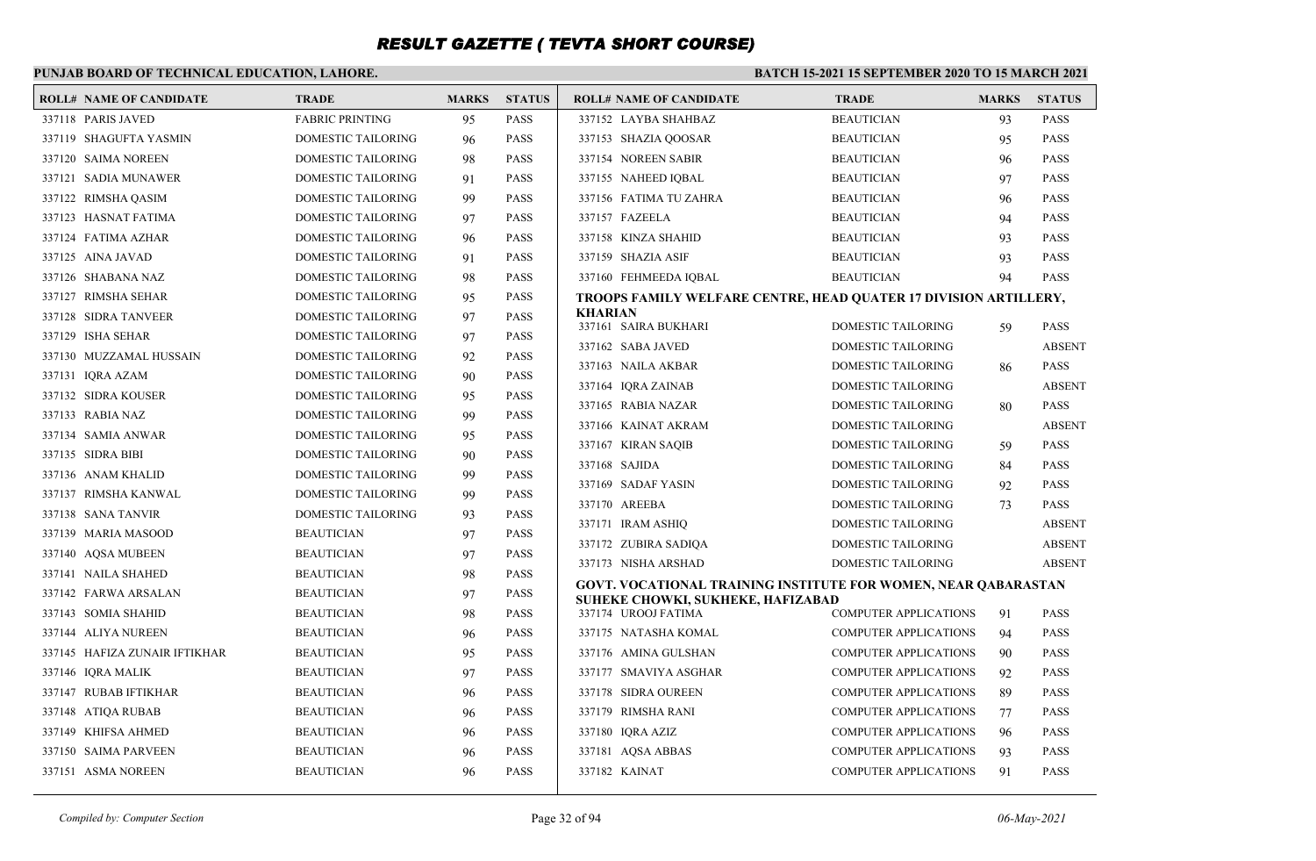#### **PUNJAB BOARD OF TECHNICAL EDUCATION, LAHORE. BATCH 15-2021 15 SEPTEMBER 2020 TO 15 MARCH 2021 ROLL# NAME OF CANDIDATE TRADE MARKS STATUS ROLL# NAME OF CANDIDATE TRADE MARKS STATUS** 337118 PARIS JAVED FABRIC PRINTING 95 PASS 337119 SHAGUFTA YASMIN DOMESTIC TAILORING 96 PASS 337120 SAIMA NOREEN DOMESTIC TAILORING 98 PASS 337121 SADIA MUNAWER DOMESTIC TAILORING 91 PASS 337122 RIMSHA QASIM DOMESTIC TAILORING 99 PASS 337123 HASNAT FATIMA DOMESTIC TAILORING 97 PASS 337124 FATIMA AZHAR DOMESTIC TAILORING 96 PASS 337125 AINA JAVAD DOMESTIC TAILORING 91 PASS 337126 SHABANA NAZ DOMESTIC TAILORING 98 PASS 337127 RIMSHA SEHAR DOMESTIC TAILORING 95 PASS 337128 SIDRA TANVEER DOMESTIC TAILORING 97 PASS 337129 ISHA SEHAR DOMESTIC TAILORING 97 PASS 337130 MUZZAMAL HUSSAIN DOMESTIC TAILORING 92 PASS 337131 IQRA AZAM DOMESTIC TAILORING 90 PASS 337132 SIDRA KOUSER DOMESTIC TAILORING 95 PASS 337133 RABIA NAZ DOMESTIC TAILORING 99 PASS 337134 SAMIA ANWAR DOMESTIC TAILORING 95 PASS 337135 SIDRA BIBI DOMESTIC TAILORING 90 PASS 337136 ANAM KHALID DOMESTIC TAILORING 99 PASS 337137 RIMSHA KANWAL DOMESTIC TAILORING 99 PASS 337138 SANA TANVIR DOMESTIC TAILORING 93 PASS 337139 MARIA MASOOD BEAUTICIAN 97 PASS 337140 AQSA MUBEEN BEAUTICIAN 97 PASS 337141 NAILA SHAHED BEAUTICIAN 98 PASS 337142 FARWA ARSALAN BEAUTICIAN 97 PASS 337143 SOMIA SHAHID BEAUTICIAN 98 PASS 337144 ALIYA NUREEN BEAUTICIAN 96 PASS 337145 HAFIZA ZUNAIR IFTIKHAR BEAUTICIAN 95 PASS 337146 IQRA MALIK BEAUTICIAN 97 PASS 337147 RUBAB IFTIKHAR BEAUTICIAN 96 PASS 337148 ATIQA RUBAB BEAUTICIAN 96 PASS 337149 KHIFSA AHMED BEAUTICIAN 96 PASS 337150 SAIMA PARVEEN BEAUTICIAN 96 PASS 337151 ASMA NOREEN BEAUTICIAN 96 PASS 337152 LAYBA SHAHBAZ BEAUTICIAN 93 PASS 337153 SHAZIA QOOSAR BEAUTICIAN 95 PASS 337154 NOREEN SABIR BEAUTICIAN 96 PASS 337155 NAHEED IQBAL BEAUTICIAN 97 PASS 337156 FATIMA TU ZAHRA BEAUTICIAN 96 PASS 337157 FAZEELA BEAUTICIAN 94 PASS 337158 KINZA SHAHID BEAUTICIAN 93 PASS 337159 SHAZIA ASIF BEAUTICIAN 93 PASS 337160 FEHMEEDA IOBAL BEAUTICIAN 94 PASS **TROOPS FAMILY WELFARE CENTRE, HEAD QUATER 17 DIVISION ARTILLERY, KHARIAN** 337161 SAIRA BUKHARI DOMESTIC TAILORING 59 PASS 337162 SABA JAVED DOMESTIC TAILORING ABSENT 337163 NAILA AKBAR DOMESTIC TAILORING 86 PASS 337164 IQRA ZAINAB DOMESTIC TAILORING ABSENT 337165 RABIA NAZAR DOMESTIC TAILORING 80 PASS 337166 KAINAT AKRAM DOMESTIC TAILORING ABSENT 337167 KIRAN SAQIB DOMESTIC TAILORING 59 PASS 337168 SAJIDA DOMESTIC TAILORING 84 PASS 337169 SADAF YASIN DOMESTIC TAILORING 92 PASS 337170 AREEBA DOMESTIC TAILORING 73 PASS 337171 IRAM ASHIQ DOMESTIC TAILORING ABSENT 337172 ZUBIRA SADIQA DOMESTIC TAILORING ABSENT 337173 NISHA ARSHAD DOMESTIC TAILORING ABSENT **GOVT. VOCATIONAL TRAINING INSTITUTE FOR WOMEN, NEAR QABARASTAN SUHEKE CHOWKI, SUKHEKE, HAFIZABAD** 337174 UROOJ FATIMA COMPUTER APPLICATIONS 91 PASS 337175 NATASHA KOMAL COMPUTER APPLICATIONS 94 PASS 337176 AMINA GULSHAN COMPUTER APPLICATIONS 90 PASS 337177 SMAVIYA ASGHAR COMPUTER APPLICATIONS 92 PASS 337178 SIDRA OUREEN COMPUTER APPLICATIONS 89 PASS 337179 RIMSHA RANI COMPUTER APPLICATIONS 77 PASS 337180 IQRA AZIZ COMPUTER APPLICATIONS 96 PASS 337181 AQSA ABBAS COMPUTER APPLICATIONS 93 PASS 337182 KAINAT COMPUTER APPLICATIONS 91 PASS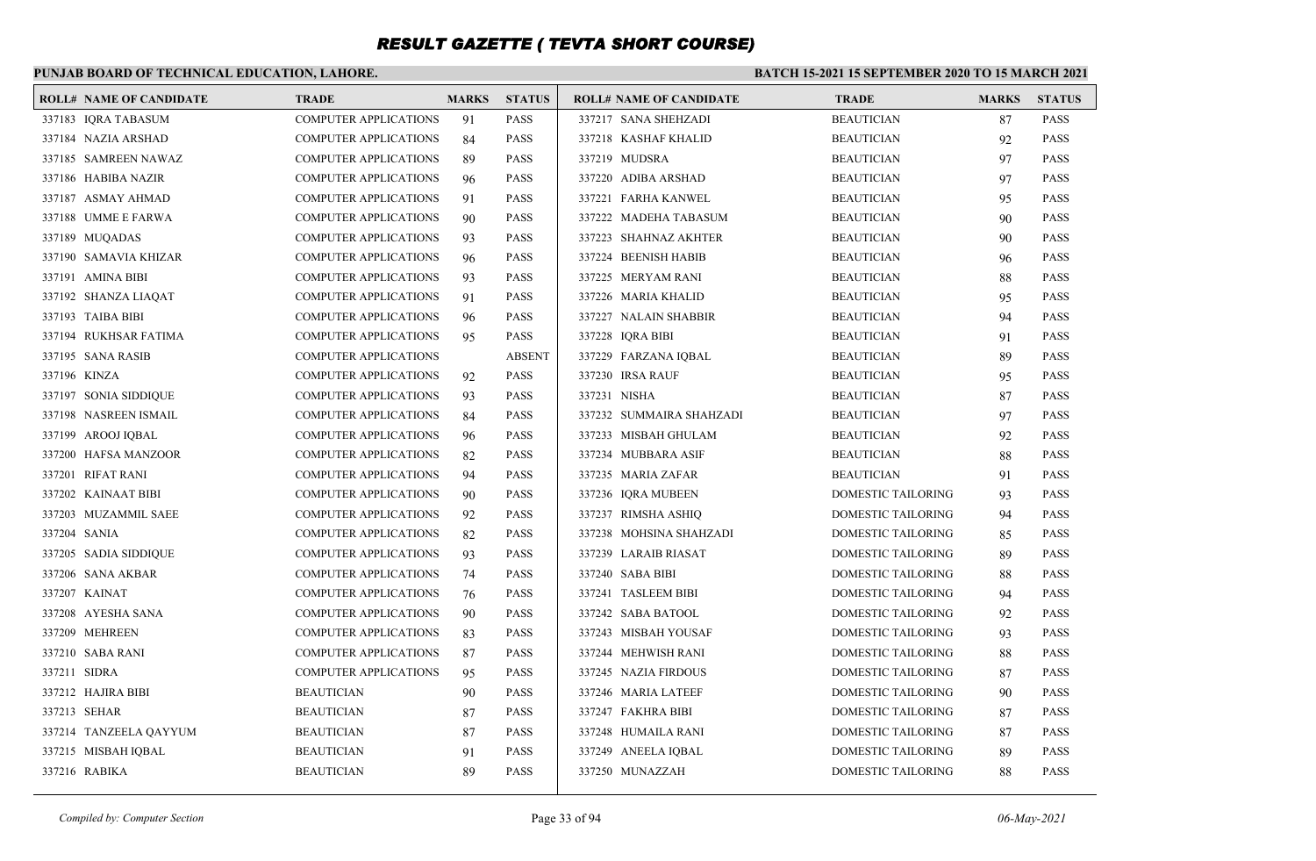### **PUNJAB BOARD OF TECHNICAL EDUCATION, LAHORE.**

#### **BATCH 15-2021 15 SEPTEMBER 2020 TO 15 MARCH 2021**

| <b>ROLL# NAME OF CANDIDATE</b> | <b>TRADE</b>                 | <b>MARKS</b> | <b>STATUS</b> | <b>ROLL# NAME OF CANDIDATE</b> | <b>TRADE</b>              | <b>MARKS</b> | <b>STATUS</b> |
|--------------------------------|------------------------------|--------------|---------------|--------------------------------|---------------------------|--------------|---------------|
| 337183 IQRA TABASUM            | <b>COMPUTER APPLICATIONS</b> | 91           | <b>PASS</b>   | 337217 SANA SHEHZADI           | <b>BEAUTICIAN</b>         | 87           | <b>PASS</b>   |
| 337184 NAZIA ARSHAD            | <b>COMPUTER APPLICATIONS</b> | 84           | <b>PASS</b>   | 337218 KASHAF KHALID           | <b>BEAUTICIAN</b>         | 92           | <b>PASS</b>   |
| 337185 SAMREEN NAWAZ           | <b>COMPUTER APPLICATIONS</b> | 89           | <b>PASS</b>   | 337219 MUDSRA                  | BEAUTICIAN                | 97           | <b>PASS</b>   |
| 337186 HABIBA NAZIR            | <b>COMPUTER APPLICATIONS</b> | 96           | <b>PASS</b>   | 337220 ADIBA ARSHAD            | BEAUTICIAN                | 97           | <b>PASS</b>   |
| 337187 ASMAY AHMAD             | <b>COMPUTER APPLICATIONS</b> | 91           | <b>PASS</b>   | 337221 FARHA KANWEL            | <b>BEAUTICIAN</b>         | 95           | <b>PASS</b>   |
| 337188 UMME E FARWA            | <b>COMPUTER APPLICATIONS</b> | 90           | <b>PASS</b>   | 337222 MADEHA TABASUM          | <b>BEAUTICIAN</b>         | 90           | <b>PASS</b>   |
| 337189 MUQADAS                 | <b>COMPUTER APPLICATIONS</b> | 93           | <b>PASS</b>   | 337223 SHAHNAZ AKHTER          | <b>BEAUTICIAN</b>         | 90           | <b>PASS</b>   |
| 337190 SAMAVIA KHIZAR          | <b>COMPUTER APPLICATIONS</b> | 96           | <b>PASS</b>   | 337224 BEENISH HABIB           | <b>BEAUTICIAN</b>         | 96           | <b>PASS</b>   |
| 337191 AMINA BIBI              | <b>COMPUTER APPLICATIONS</b> | 93           | <b>PASS</b>   | 337225 MERYAM RANI             | <b>BEAUTICIAN</b>         | 88           | <b>PASS</b>   |
| 337192 SHANZA LIAQAT           | <b>COMPUTER APPLICATIONS</b> | 91           | <b>PASS</b>   | 337226 MARIA KHALID            | <b>BEAUTICIAN</b>         | 95           | <b>PASS</b>   |
| 337193 TAIBA BIBI              | <b>COMPUTER APPLICATIONS</b> | 96           | <b>PASS</b>   | 337227 NALAIN SHABBIR          | <b>BEAUTICIAN</b>         | 94           | <b>PASS</b>   |
| 337194 RUKHSAR FATIMA          | <b>COMPUTER APPLICATIONS</b> | 95           | <b>PASS</b>   | 337228 IQRA BIBI               | <b>BEAUTICIAN</b>         | 91           | <b>PASS</b>   |
| 337195 SANA RASIB              | <b>COMPUTER APPLICATIONS</b> |              | <b>ABSENT</b> | 337229 FARZANA IQBAL           | <b>BEAUTICIAN</b>         | 89           | <b>PASS</b>   |
| 337196 KINZA                   | COMPUTER APPLICATIONS        | 92           | <b>PASS</b>   | 337230 IRSA RAUF               | <b>BEAUTICIAN</b>         | 95           | <b>PASS</b>   |
| 337197 SONIA SIDDIQUE          | <b>COMPUTER APPLICATIONS</b> | 93           | <b>PASS</b>   | 337231 NISHA                   | BEAUTICIAN                | 87           | <b>PASS</b>   |
| 337198 NASREEN ISMAIL          | <b>COMPUTER APPLICATIONS</b> | 84           | <b>PASS</b>   | 337232 SUMMAIRA SHAHZADI       | BEAUTICIAN                | 97           | <b>PASS</b>   |
| 337199 AROOJ IQBAL             | <b>COMPUTER APPLICATIONS</b> | 96           | <b>PASS</b>   | 337233 MISBAH GHULAM           | BEAUTICIAN                | 92           | <b>PASS</b>   |
| 337200 HAFSA MANZOOR           | <b>COMPUTER APPLICATIONS</b> | 82           | <b>PASS</b>   | 337234 MUBBARA ASIF            | <b>BEAUTICIAN</b>         | 88           | <b>PASS</b>   |
| 337201 RIFAT RANI              | <b>COMPUTER APPLICATIONS</b> | 94           | <b>PASS</b>   | 337235 MARIA ZAFAR             | <b>BEAUTICIAN</b>         | 91           | <b>PASS</b>   |
| 337202 KAINAAT BIBI            | <b>COMPUTER APPLICATIONS</b> | 90           | <b>PASS</b>   | 337236 IQRA MUBEEN             | DOMESTIC TAILORING        | 93           | <b>PASS</b>   |
| 337203 MUZAMMIL SAEE           | <b>COMPUTER APPLICATIONS</b> | 92           | <b>PASS</b>   | 337237 RIMSHA ASHIQ            | <b>DOMESTIC TAILORING</b> | 94           | <b>PASS</b>   |
| 337204 SANIA                   | <b>COMPUTER APPLICATIONS</b> | 82           | <b>PASS</b>   | 337238 MOHSINA SHAHZADI        | DOMESTIC TAILORING        | 85           | <b>PASS</b>   |
| 337205 SADIA SIDDIQUE          | <b>COMPUTER APPLICATIONS</b> | 93           | <b>PASS</b>   | 337239 LARAIB RIASAT           | DOMESTIC TAILORING        | 89           | <b>PASS</b>   |
| 337206 SANA AKBAR              | <b>COMPUTER APPLICATIONS</b> | 74           | <b>PASS</b>   | 337240 SABA BIBI               | <b>DOMESTIC TAILORING</b> | 88           | <b>PASS</b>   |
| 337207 KAINAT                  | <b>COMPUTER APPLICATIONS</b> | 76           | <b>PASS</b>   | 337241 TASLEEM BIBI            | DOMESTIC TAILORING        | 94           | <b>PASS</b>   |
| 337208 AYESHA SANA             | <b>COMPUTER APPLICATIONS</b> | 90           | <b>PASS</b>   | 337242 SABA BATOOL             | <b>DOMESTIC TAILORING</b> | 92           | <b>PASS</b>   |
| 337209 MEHREEN                 | <b>COMPUTER APPLICATIONS</b> | -83          | <b>PASS</b>   | 337243 MISBAH YOUSAF           | <b>DOMESTIC TAILORING</b> | 93           | <b>PASS</b>   |
| 337210 SABA RANI               | <b>COMPUTER APPLICATIONS</b> | -87          | <b>PASS</b>   | 337244 MEHWISH RANI            | DOMESTIC TAILORING        | 88           | <b>PASS</b>   |
| 337211 SIDRA                   | <b>COMPUTER APPLICATIONS</b> | 95           | <b>PASS</b>   | 337245 NAZIA FIRDOUS           | <b>DOMESTIC TAILORING</b> | 87           | <b>PASS</b>   |
| 337212 HAJIRA BIBI             | <b>BEAUTICIAN</b>            | 90           | <b>PASS</b>   | 337246 MARIA LATEEF            | DOMESTIC TAILORING        | 90           | <b>PASS</b>   |
| 337213 SEHAR                   | <b>BEAUTICIAN</b>            | 87           | <b>PASS</b>   | 337247 FAKHRA BIBI             | DOMESTIC TAILORING        | 87           | <b>PASS</b>   |
| 337214 TANZEELA QAYYUM         | <b>BEAUTICIAN</b>            | 87           | <b>PASS</b>   | 337248 HUMAILA RANI            | DOMESTIC TAILORING        | 87           | <b>PASS</b>   |
| 337215 MISBAH IQBAL            | <b>BEAUTICIAN</b>            | 91           | <b>PASS</b>   | 337249 ANEELA IQBAL            | <b>DOMESTIC TAILORING</b> | 89           | <b>PASS</b>   |
| 337216 RABIKA                  | <b>BEAUTICIAN</b>            | 89           | <b>PASS</b>   | 337250 MUNAZZAH                | <b>DOMESTIC TAILORING</b> | 88           | <b>PASS</b>   |
|                                |                              |              |               |                                |                           |              |               |

*Compiled by: Computer Section* Page 33 of 94 *06-May-2021*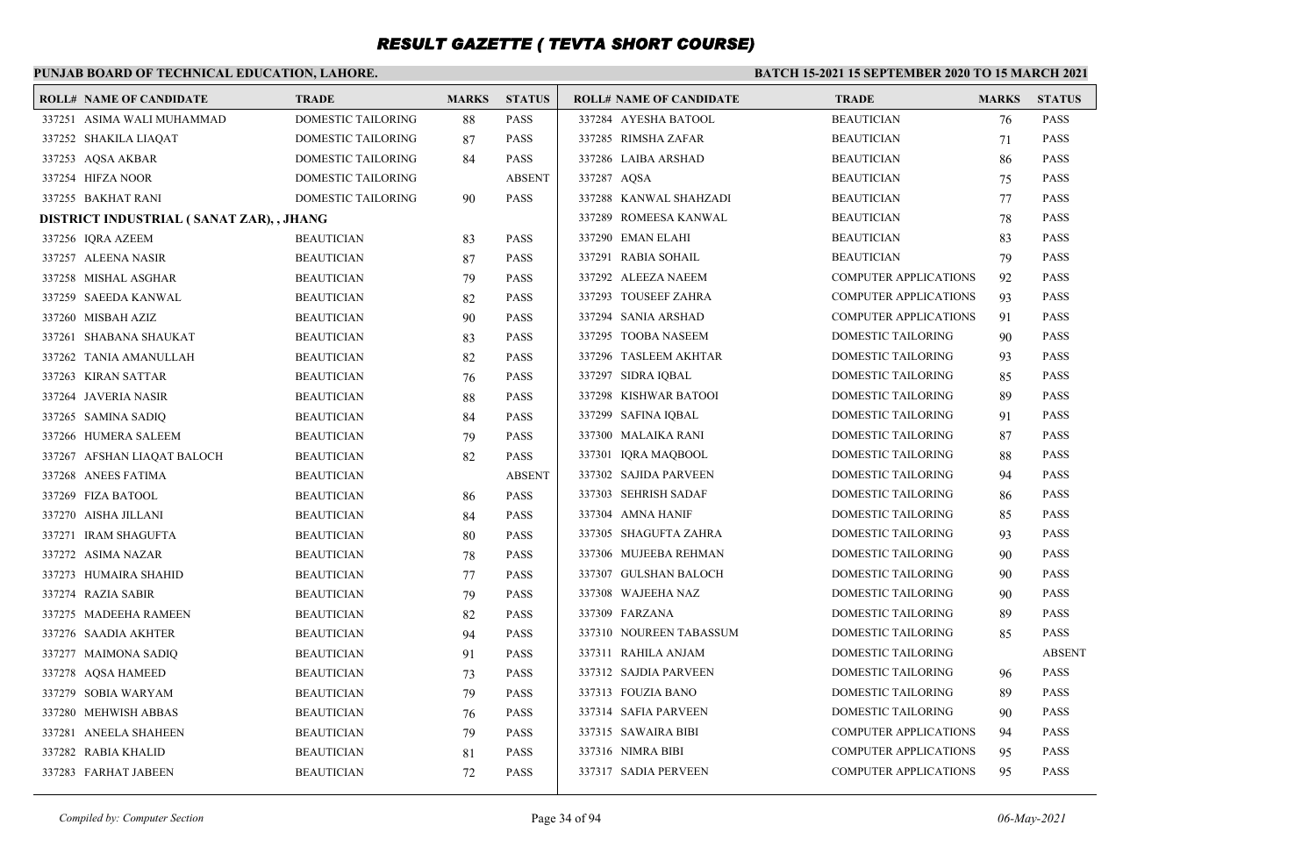### **PUNJAB BOARD OF TECHNICAL EDUCATION, LAHORE.**

#### **BATCH 15-2021 15 SEPTEMBER 2020 TO 15 MARCH 2021**

| <b>ROLL# NAME OF CANDIDATE</b>            | <b>TRADE</b>              | <b>MARKS</b> | <b>STATUS</b> | <b>ROLL# NAME OF CANDIDATE</b> | <b>TRADE</b>                 | <b>MARKS</b> | <b>STATUS</b> |
|-------------------------------------------|---------------------------|--------------|---------------|--------------------------------|------------------------------|--------------|---------------|
| 337251 ASIMA WALI MUHAMMAD                | <b>DOMESTIC TAILORING</b> | 88           | <b>PASS</b>   | 337284 AYESHA BATOOL           | <b>BEAUTICIAN</b>            | 76           | <b>PASS</b>   |
| 337252 SHAKILA LIAQAT                     | <b>DOMESTIC TAILORING</b> | 87           | <b>PASS</b>   | 337285 RIMSHA ZAFAR            | <b>BEAUTICIAN</b>            | 71           | <b>PASS</b>   |
| 337253 AQSA AKBAR                         | DOMESTIC TAILORING        | 84           | <b>PASS</b>   | 337286 LAIBA ARSHAD            | <b>BEAUTICIAN</b>            | 86           | <b>PASS</b>   |
| 337254 HIFZA NOOR                         | DOMESTIC TAILORING        |              | <b>ABSENT</b> | 337287 AQSA                    | <b>BEAUTICIAN</b>            | 75           | <b>PASS</b>   |
| 337255 BAKHAT RANI                        | DOMESTIC TAILORING        | 90           | <b>PASS</b>   | 337288 KANWAL SHAHZADI         | <b>BEAUTICIAN</b>            | 77           | <b>PASS</b>   |
| DISTRICT INDUSTRIAL ( SANAT ZAR), , JHANG |                           |              |               | 337289 ROMEESA KANWAL          | <b>BEAUTICIAN</b>            | 78           | <b>PASS</b>   |
| 337256 IQRA AZEEM                         | <b>BEAUTICIAN</b>         | 83           | <b>PASS</b>   | 337290 EMAN ELAHI              | <b>BEAUTICIAN</b>            | 83           | <b>PASS</b>   |
| 337257 ALEENA NASIR                       | <b>BEAUTICIAN</b>         | 87           | <b>PASS</b>   | 337291 RABIA SOHAIL            | <b>BEAUTICIAN</b>            | 79           | PASS          |
| 337258 MISHAL ASGHAR                      | <b>BEAUTICIAN</b>         | 79           | <b>PASS</b>   | 337292 ALEEZA NAEEM            | <b>COMPUTER APPLICATIONS</b> | 92           | <b>PASS</b>   |
| 337259 SAEEDA KANWAL                      | <b>BEAUTICIAN</b>         | 82           | <b>PASS</b>   | 337293 TOUSEEF ZAHRA           | <b>COMPUTER APPLICATIONS</b> | 93           | <b>PASS</b>   |
| 337260 MISBAH AZIZ                        | <b>BEAUTICIAN</b>         | 90           | <b>PASS</b>   | 337294 SANIA ARSHAD            | <b>COMPUTER APPLICATIONS</b> | 91           | <b>PASS</b>   |
| 337261 SHABANA SHAUKAT                    | <b>BEAUTICIAN</b>         | 83           | <b>PASS</b>   | 337295 TOOBA NASEEM            | DOMESTIC TAILORING           | 90           | <b>PASS</b>   |
| 337262 TANIA AMANULLAH                    | <b>BEAUTICIAN</b>         | 82           | <b>PASS</b>   | 337296 TASLEEM AKHTAR          | DOMESTIC TAILORING           | 93           | <b>PASS</b>   |
| 337263 KIRAN SATTAR                       | <b>BEAUTICIAN</b>         | 76           | <b>PASS</b>   | 337297 SIDRA IQBAL             | DOMESTIC TAILORING           | 85           | <b>PASS</b>   |
| 337264 JAVERIA NASIR                      | <b>BEAUTICIAN</b>         | 88           | <b>PASS</b>   | 337298 KISHWAR BATOOI          | DOMESTIC TAILORING           | 89           | <b>PASS</b>   |
| 337265 SAMINA SADIQ                       | <b>BEAUTICIAN</b>         | 84           | <b>PASS</b>   | 337299 SAFINA IQBAL            | DOMESTIC TAILORING           | 91           | <b>PASS</b>   |
| 337266 HUMERA SALEEM                      | <b>BEAUTICIAN</b>         | 79           | <b>PASS</b>   | 337300 MALAIKA RANI            | DOMESTIC TAILORING           | 87           | <b>PASS</b>   |
| 337267 AFSHAN LIAQAT BALOCH               | <b>BEAUTICIAN</b>         | 82           | <b>PASS</b>   | 337301 IQRA MAQBOOL            | DOMESTIC TAILORING           | 88           | <b>PASS</b>   |
| 337268 ANEES FATIMA                       | <b>BEAUTICIAN</b>         |              | <b>ABSENT</b> | 337302 SAJIDA PARVEEN          | DOMESTIC TAILORING           | 94           | <b>PASS</b>   |
| 337269 FIZA BATOOL                        | <b>BEAUTICIAN</b>         | 86           | <b>PASS</b>   | 337303 SEHRISH SADAF           | DOMESTIC TAILORING           | 86           | <b>PASS</b>   |
| 337270 AISHA JILLANI                      | <b>BEAUTICIAN</b>         | 84           | <b>PASS</b>   | 337304 AMNA HANIF              | DOMESTIC TAILORING           | 85           | <b>PASS</b>   |
| 337271 IRAM SHAGUFTA                      | <b>BEAUTICIAN</b>         | 80           | <b>PASS</b>   | 337305 SHAGUFTA ZAHRA          | DOMESTIC TAILORING           | 93           | <b>PASS</b>   |
| 337272 ASIMA NAZAR                        | <b>BEAUTICIAN</b>         | 78           | <b>PASS</b>   | 337306 MUJEEBA REHMAN          | DOMESTIC TAILORING           | 90           | <b>PASS</b>   |
| 337273 HUMAIRA SHAHID                     | <b>BEAUTICIAN</b>         | 77           | <b>PASS</b>   | 337307 GULSHAN BALOCH          | DOMESTIC TAILORING           | 90           | <b>PASS</b>   |
| 337274 RAZIA SABIR                        | <b>BEAUTICIAN</b>         | 79           | <b>PASS</b>   | 337308 WAJEEHA NAZ             | DOMESTIC TAILORING           | 90           | <b>PASS</b>   |
| 337275 MADEEHA RAMEEN                     | <b>BEAUTICIAN</b>         | 82           | <b>PASS</b>   | 337309 FARZANA                 | DOMESTIC TAILORING           | 89           | <b>PASS</b>   |
| 337276 SAADIA AKHTER                      | <b>BEAUTICIAN</b>         | 94           | <b>PASS</b>   | 337310 NOUREEN TABASSUM        | DOMESTIC TAILORING           | 85           | <b>PASS</b>   |
| 337277 MAIMONA SADIQ                      | <b>BEAUTICIAN</b>         | 91           | <b>PASS</b>   | 337311 RAHILA ANJAM            | DOMESTIC TAILORING           |              | <b>ABSENT</b> |
| 337278 AOSA HAMEED                        | <b>BEAUTICIAN</b>         | 73           | <b>PASS</b>   | 337312 SAJDIA PARVEEN          | DOMESTIC TAILORING           | 96           | <b>PASS</b>   |
| 337279 SOBIA WARYAM                       | <b>BEAUTICIAN</b>         | 79           | <b>PASS</b>   | 337313 FOUZIA BANO             | DOMESTIC TAILORING           | 89           | <b>PASS</b>   |
| 337280 MEHWISH ABBAS                      | <b>BEAUTICIAN</b>         | 76           | <b>PASS</b>   | 337314 SAFIA PARVEEN           | DOMESTIC TAILORING           | 90           | <b>PASS</b>   |
| 337281 ANEELA SHAHEEN                     | <b>BEAUTICIAN</b>         | 79           | <b>PASS</b>   | 337315 SAWAIRA BIBI            | <b>COMPUTER APPLICATIONS</b> | 94           | <b>PASS</b>   |
| 337282 RABIA KHALID                       | <b>BEAUTICIAN</b>         | 81           | <b>PASS</b>   | 337316 NIMRA BIBI              | <b>COMPUTER APPLICATIONS</b> | 95           | PASS          |
| 337283 FARHAT JABEEN                      | <b>BEAUTICIAN</b>         | 72           | <b>PASS</b>   | 337317 SADIA PERVEEN           | <b>COMPUTER APPLICATIONS</b> | 95           | PASS          |
|                                           |                           |              |               |                                |                              |              |               |

*Compiled by: Computer Section* Page 34 of 94 *06-May-2021*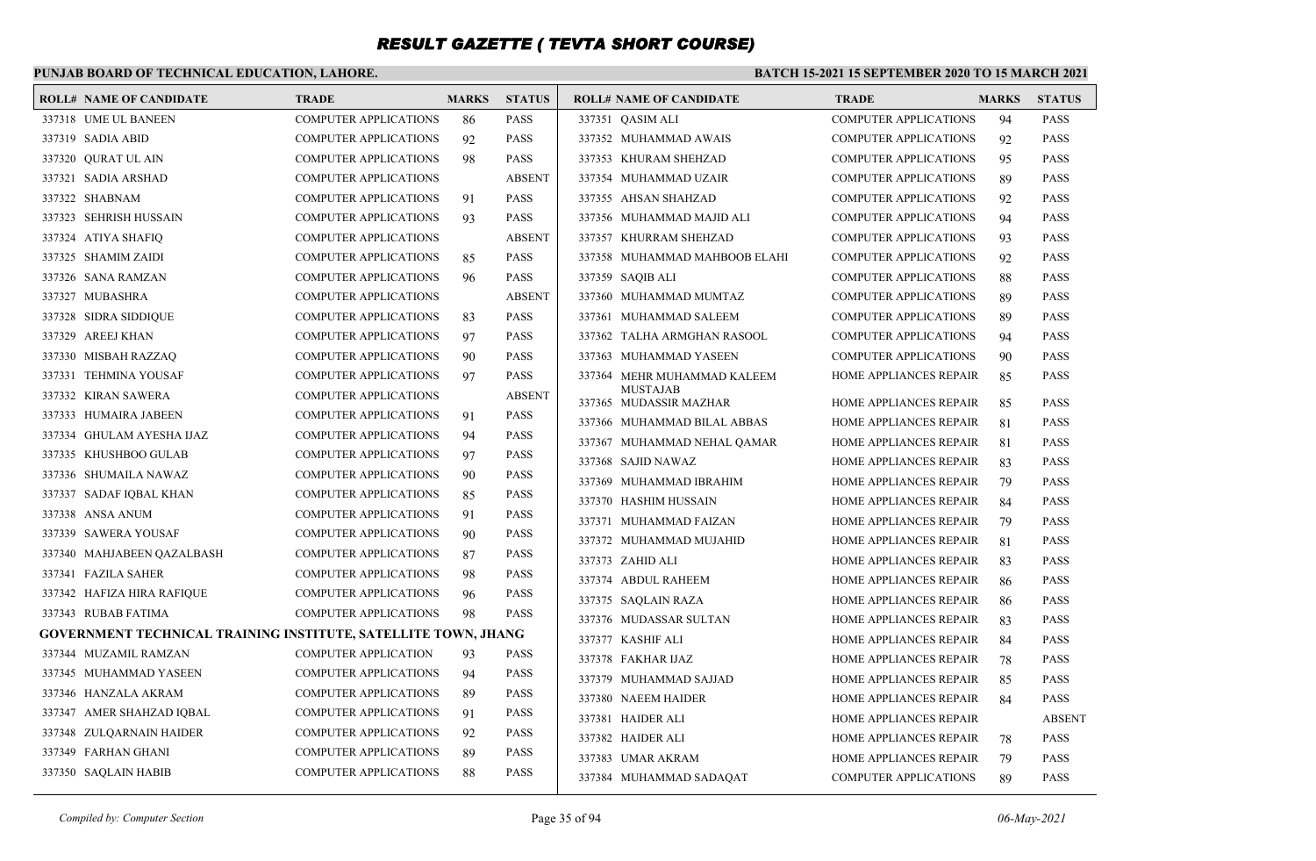### **PUNJAB BOARD OF TECHNICAL EDUCATION, LAHORE.**

#### **BATCH 15-2021 15 SEPTEMBER 2020 TO 15 MARCH 2021**

| <b>ROLL# NAME OF CANDIDATE</b>                                 | <b>TRADE</b>                 | <b>MARKS</b> | <b>STATUS</b> | <b>ROLL# NAME OF CANDIDATE</b>            | <b>TRADE</b>                  | <b>MARKS</b> | <b>STATUS</b> |
|----------------------------------------------------------------|------------------------------|--------------|---------------|-------------------------------------------|-------------------------------|--------------|---------------|
| 337318 UME UL BANEEN                                           | <b>COMPUTER APPLICATIONS</b> | 86           | <b>PASS</b>   | 337351 QASIM ALI                          | <b>COMPUTER APPLICATIONS</b>  | 94           | <b>PASS</b>   |
| 337319 SADIA ABID                                              | <b>COMPUTER APPLICATIONS</b> | 92           | <b>PASS</b>   | 337352 MUHAMMAD AWAIS                     | <b>COMPUTER APPLICATIONS</b>  | 92           | <b>PASS</b>   |
| 337320 OURAT UL AIN                                            | <b>COMPUTER APPLICATIONS</b> | 98           | <b>PASS</b>   | 337353 KHURAM SHEHZAD                     | <b>COMPUTER APPLICATIONS</b>  | 95           | <b>PASS</b>   |
| 337321 SADIA ARSHAD                                            | <b>COMPUTER APPLICATIONS</b> |              | <b>ABSENT</b> | 337354 MUHAMMAD UZAIR                     | <b>COMPUTER APPLICATIONS</b>  | 89           | <b>PASS</b>   |
| 337322 SHABNAM                                                 | <b>COMPUTER APPLICATIONS</b> | 91           | <b>PASS</b>   | 337355 AHSAN SHAHZAD                      | <b>COMPUTER APPLICATIONS</b>  | 92           | <b>PASS</b>   |
| 337323 SEHRISH HUSSAIN                                         | <b>COMPUTER APPLICATIONS</b> | 93           | <b>PASS</b>   | 337356 MUHAMMAD MAJID ALI                 | <b>COMPUTER APPLICATIONS</b>  | 94           | <b>PASS</b>   |
| 337324 ATIYA SHAFIQ                                            | <b>COMPUTER APPLICATIONS</b> |              | <b>ABSENT</b> | 337357 KHURRAM SHEHZAD                    | <b>COMPUTER APPLICATIONS</b>  | 93           | <b>PASS</b>   |
| 337325 SHAMIM ZAIDI                                            | <b>COMPUTER APPLICATIONS</b> | 85           | <b>PASS</b>   | 337358 MUHAMMAD MAHBOOB ELAHI             | <b>COMPUTER APPLICATIONS</b>  | 92           | <b>PASS</b>   |
| 337326 SANA RAMZAN                                             | <b>COMPUTER APPLICATIONS</b> | 96           | <b>PASS</b>   | 337359 SAQIB ALI                          | <b>COMPUTER APPLICATIONS</b>  | 88           | <b>PASS</b>   |
| 337327 MUBASHRA                                                | <b>COMPUTER APPLICATIONS</b> |              | <b>ABSENT</b> | 337360 MUHAMMAD MUMTAZ                    | <b>COMPUTER APPLICATIONS</b>  | 89           | <b>PASS</b>   |
| 337328 SIDRA SIDDIQUE                                          | <b>COMPUTER APPLICATIONS</b> | 83           | <b>PASS</b>   | 337361 MUHAMMAD SALEEM                    | <b>COMPUTER APPLICATIONS</b>  | 89           | <b>PASS</b>   |
| 337329 AREEJ KHAN                                              | <b>COMPUTER APPLICATIONS</b> | 97           | <b>PASS</b>   | 337362 TALHA ARMGHAN RASOOL               | <b>COMPUTER APPLICATIONS</b>  | 94           | <b>PASS</b>   |
| 337330 MISBAH RAZZAQ                                           | <b>COMPUTER APPLICATIONS</b> | 90           | PASS          | 337363 MUHAMMAD YASEEN                    | <b>COMPUTER APPLICATIONS</b>  | 90           | <b>PASS</b>   |
| 337331 TEHMINA YOUSAF                                          | COMPUTER APPLICATIONS        | 97           | <b>PASS</b>   | 337364 MEHR MUHAMMAD KALEEM               | HOME APPLIANCES REPAIR        | 85           | <b>PASS</b>   |
| 337332 KIRAN SAWERA                                            | <b>COMPUTER APPLICATIONS</b> |              | <b>ABSENT</b> | <b>MUSTAJAB</b><br>337365 MUDASSIR MAZHAR | <b>HOME APPLIANCES REPAIR</b> | 85           | <b>PASS</b>   |
| 337333 HUMAIRA JABEEN                                          | <b>COMPUTER APPLICATIONS</b> | 91           | <b>PASS</b>   | 337366 MUHAMMAD BILAL ABBAS               | HOME APPLIANCES REPAIR        | 81           | <b>PASS</b>   |
| 337334 GHULAM AYESHA IJAZ                                      | <b>COMPUTER APPLICATIONS</b> | 94           | <b>PASS</b>   | 337367 MUHAMMAD NEHAL QAMAR               | <b>HOME APPLIANCES REPAIR</b> | 81           | <b>PASS</b>   |
| 337335 KHUSHBOO GULAB                                          | <b>COMPUTER APPLICATIONS</b> | 97           | <b>PASS</b>   | 337368 SAJID NAWAZ                        | <b>HOME APPLIANCES REPAIR</b> | 83           | <b>PASS</b>   |
| 337336 SHUMAILA NAWAZ                                          | <b>COMPUTER APPLICATIONS</b> | 90           | <b>PASS</b>   | 337369 MUHAMMAD IBRAHIM                   | <b>HOME APPLIANCES REPAIR</b> | 79           | <b>PASS</b>   |
| 337337 SADAF IQBAL KHAN                                        | <b>COMPUTER APPLICATIONS</b> | 85           | PASS          | 337370 HASHIM HUSSAIN                     | HOME APPLIANCES REPAIR        | 84           | <b>PASS</b>   |
| 337338 ANSA ANUM                                               | <b>COMPUTER APPLICATIONS</b> | 91           | <b>PASS</b>   | 337371 MUHAMMAD FAIZAN                    | HOME APPLIANCES REPAIR        | 79           | <b>PASS</b>   |
| 337339 SAWERA YOUSAF                                           | <b>COMPUTER APPLICATIONS</b> | 90           | PASS          | 337372 MUHAMMAD MUJAHID                   | HOME APPLIANCES REPAIR        | 81           | <b>PASS</b>   |
| 337340 MAHJABEEN QAZALBASH                                     | <b>COMPUTER APPLICATIONS</b> | 87           | <b>PASS</b>   | 337373 ZAHID ALI                          | <b>HOME APPLIANCES REPAIR</b> | 83           | <b>PASS</b>   |
| 337341 FAZILA SAHER                                            | <b>COMPUTER APPLICATIONS</b> | 98           | <b>PASS</b>   | 337374 ABDUL RAHEEM                       | <b>HOME APPLIANCES REPAIR</b> | 86           | <b>PASS</b>   |
| 337342 HAFIZA HIRA RAFIQUE                                     | <b>COMPUTER APPLICATIONS</b> | 96           | <b>PASS</b>   | 337375 SAQLAIN RAZA                       | HOME APPLIANCES REPAIR        | 86           | <b>PASS</b>   |
| 337343 RUBAB FATIMA                                            | <b>COMPUTER APPLICATIONS</b> | 98           | PASS          | 337376 MUDASSAR SULTAN                    | HOME APPLIANCES REPAIR        | 83           | <b>PASS</b>   |
| GOVERNMENT TECHNICAL TRAINING INSTITUTE, SATELLITE TOWN, JHANG |                              |              |               | 337377 KASHIF ALI                         | HOME APPLIANCES REPAIR        | 84           | <b>PASS</b>   |
| 337344 MUZAMIL RAMZAN                                          | <b>COMPUTER APPLICATION</b>  | 93           | PASS          | 337378 FAKHAR IJAZ                        | HOME APPLIANCES REPAIR        | 78           | <b>PASS</b>   |
| 337345 MUHAMMAD YASEEN                                         | <b>COMPUTER APPLICATIONS</b> | 94           | <b>PASS</b>   | 337379 MUHAMMAD SAJJAD                    | <b>HOME APPLIANCES REPAIR</b> | 85           | <b>PASS</b>   |
| 337346 HANZALA AKRAM                                           | <b>COMPUTER APPLICATIONS</b> | 89           | PASS          | 337380 NAEEM HAIDER                       | <b>HOME APPLIANCES REPAIR</b> | 84           | <b>PASS</b>   |
| 337347 AMER SHAHZAD IQBAL                                      | <b>COMPUTER APPLICATIONS</b> | 91           | <b>PASS</b>   | 337381 HAIDER ALI                         | <b>HOME APPLIANCES REPAIR</b> |              | <b>ABSENT</b> |
| 337348 ZULQARNAIN HAIDER                                       | <b>COMPUTER APPLICATIONS</b> | 92           | <b>PASS</b>   | 337382 HAIDER ALI                         | HOME APPLIANCES REPAIR        | 78           | <b>PASS</b>   |
| 337349 FARHAN GHANI                                            | <b>COMPUTER APPLICATIONS</b> | 89           | <b>PASS</b>   | 337383 UMAR AKRAM                         | HOME APPLIANCES REPAIR        | 79           | <b>PASS</b>   |
| 337350 SAQLAIN HABIB                                           | <b>COMPUTER APPLICATIONS</b> | 88           | PASS          | 337384 MUHAMMAD SADAQAT                   | <b>COMPUTER APPLICATIONS</b>  | 89           | <b>PASS</b>   |
|                                                                |                              |              |               |                                           |                               |              |               |

*Compiled by: Computer Section* Page 35 of 94 *06-May-2021*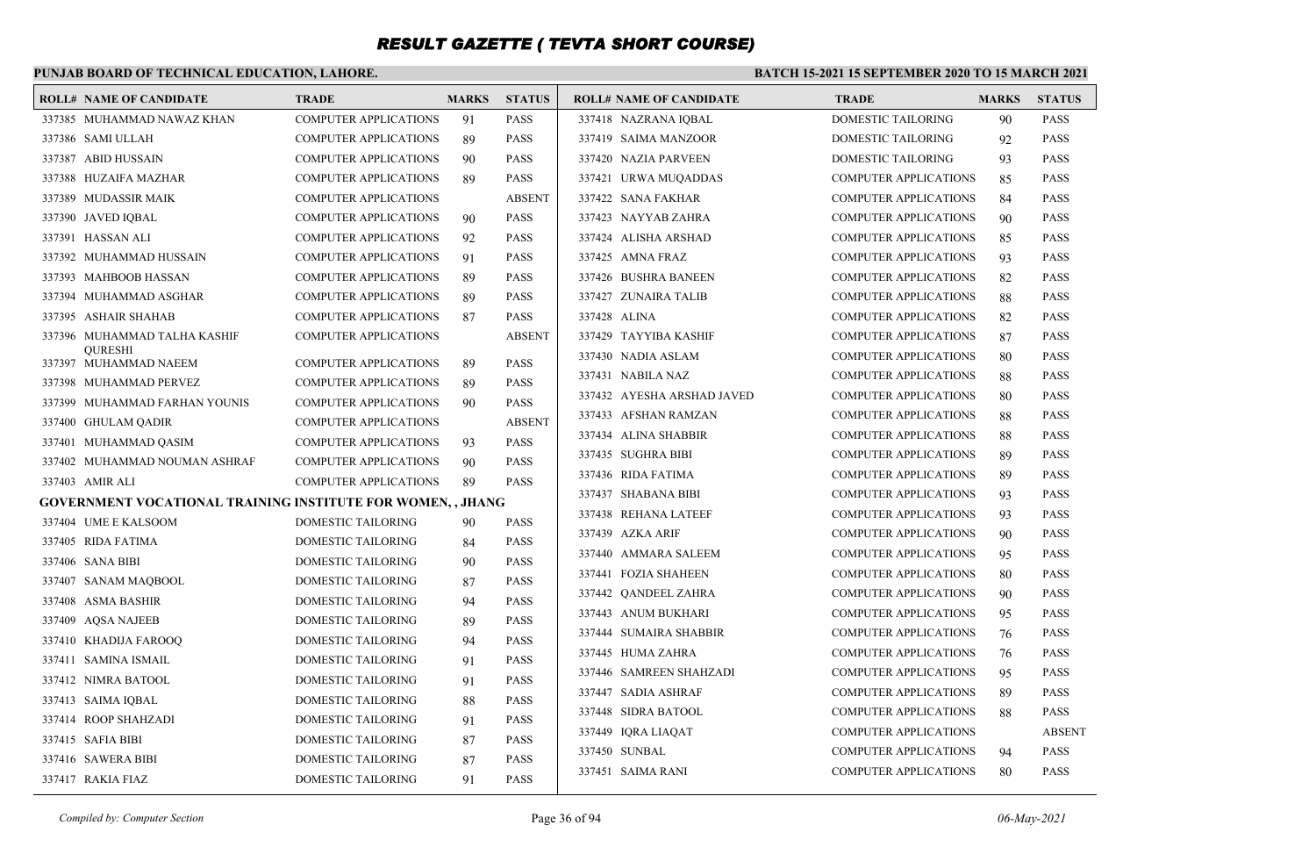### **PUNJAB BOARD OF TECHNICAL EDUCATION, LAHORE.**

#### **BATCH 15-2021 15 SEPTEMBER 2020 TO 15 MARCH 2021**

| <b>ROLL# NAME OF CANDIDATE</b>                                     | <b>TRADE</b>                 | <b>MARKS</b> | <b>STATUS</b> | <b>ROLL# NAME OF CANDIDATE</b> | TRADE                        | <b>MARKS</b> | <b>STATUS</b> |
|--------------------------------------------------------------------|------------------------------|--------------|---------------|--------------------------------|------------------------------|--------------|---------------|
| 337385 MUHAMMAD NAWAZ KHAN                                         | COMPUTER APPLICATIONS        | 91           | <b>PASS</b>   | 337418 NAZRANA IQBAL           | DOMESTIC TAILORING           | 90           | <b>PASS</b>   |
| 337386 SAMI ULLAH                                                  | COMPUTER APPLICATIONS        | 89           | <b>PASS</b>   | 337419 SAIMA MANZOOR           | DOMESTIC TAILORING           | 92           | <b>PASS</b>   |
| 337387 ABID HUSSAIN                                                | <b>COMPUTER APPLICATIONS</b> | 90           | <b>PASS</b>   | 337420 NAZIA PARVEEN           | DOMESTIC TAILORING           | 93           | <b>PASS</b>   |
| 337388 HUZAIFA MAZHAR                                              | <b>COMPUTER APPLICATIONS</b> | 89           | <b>PASS</b>   | 337421 URWA MUQADDAS           | <b>COMPUTER APPLICATIONS</b> | 85           | <b>PASS</b>   |
| 337389 MUDASSIR MAIK                                               | COMPUTER APPLICATIONS        |              | <b>ABSENT</b> | 337422 SANA FAKHAR             | <b>COMPUTER APPLICATIONS</b> | 84           | <b>PASS</b>   |
| 337390 JAVED IQBAL                                                 | COMPUTER APPLICATIONS        | 90           | <b>PASS</b>   | 337423 NAYYAB ZAHRA            | <b>COMPUTER APPLICATIONS</b> | 90           | <b>PASS</b>   |
| 337391 HASSAN ALI                                                  | COMPUTER APPLICATIONS        | 92           | <b>PASS</b>   | 337424 ALISHA ARSHAD           | <b>COMPUTER APPLICATIONS</b> | 85           | <b>PASS</b>   |
| 337392 MUHAMMAD HUSSAIN                                            | <b>COMPUTER APPLICATIONS</b> | 91           | <b>PASS</b>   | 337425 AMNA FRAZ               | <b>COMPUTER APPLICATIONS</b> | 93           | <b>PASS</b>   |
| 337393 MAHBOOB HASSAN                                              | <b>COMPUTER APPLICATIONS</b> | 89           | <b>PASS</b>   | 337426 BUSHRA BANEEN           | <b>COMPUTER APPLICATIONS</b> | 82           | <b>PASS</b>   |
| 337394 MUHAMMAD ASGHAR                                             | COMPUTER APPLICATIONS        | 89           | <b>PASS</b>   | 337427 ZUNAIRA TALIB           | <b>COMPUTER APPLICATIONS</b> | 88           | <b>PASS</b>   |
| 337395 ASHAIR SHAHAB                                               | COMPUTER APPLICATIONS        | 87           | <b>PASS</b>   | 337428 ALINA                   | <b>COMPUTER APPLICATIONS</b> | 82           | <b>PASS</b>   |
| 337396 MUHAMMAD TALHA KASHIF                                       | COMPUTER APPLICATIONS        |              | <b>ABSENT</b> | 337429 TAYYIBA KASHIF          | COMPUTER APPLICATIONS        | 87           | <b>PASS</b>   |
| <b>OURESHI</b><br>337397 MUHAMMAD NAEEM                            | COMPUTER APPLICATIONS        | 89           | <b>PASS</b>   | 337430 NADIA ASLAM             | <b>COMPUTER APPLICATIONS</b> | 80           | <b>PASS</b>   |
| 337398 MUHAMMAD PERVEZ                                             | <b>COMPUTER APPLICATIONS</b> | 89           | <b>PASS</b>   | 337431 NABILA NAZ              | <b>COMPUTER APPLICATIONS</b> | 88           | <b>PASS</b>   |
| 337399 MUHAMMAD FARHAN YOUNIS                                      | <b>COMPUTER APPLICATIONS</b> | 90           | <b>PASS</b>   | 337432 AYESHA ARSHAD JAVED     | <b>COMPUTER APPLICATIONS</b> | 80           | <b>PASS</b>   |
| 337400 GHULAM QADIR                                                | <b>COMPUTER APPLICATIONS</b> |              | <b>ABSENT</b> | 337433 AFSHAN RAMZAN           | <b>COMPUTER APPLICATIONS</b> | 88           | <b>PASS</b>   |
| 337401 MUHAMMAD QASIM                                              | COMPUTER APPLICATIONS        | 93           | <b>PASS</b>   | 337434 ALINA SHABBIR           | <b>COMPUTER APPLICATIONS</b> | 88           | <b>PASS</b>   |
| 337402 MUHAMMAD NOUMAN ASHRAF                                      | <b>COMPUTER APPLICATIONS</b> | 90           | <b>PASS</b>   | 337435 SUGHRA BIBI             | <b>COMPUTER APPLICATIONS</b> | 89           | <b>PASS</b>   |
| 337403 AMIR ALI                                                    | <b>COMPUTER APPLICATIONS</b> | 89           | <b>PASS</b>   | 337436 RIDA FATIMA             | <b>COMPUTER APPLICATIONS</b> | 89           | <b>PASS</b>   |
| <b>GOVERNMENT VOCATIONAL TRAINING INSTITUTE FOR WOMEN, , JHANG</b> |                              |              |               | 337437 SHABANA BIBI            | <b>COMPUTER APPLICATIONS</b> | 93           | <b>PASS</b>   |
| 337404 UME E KALSOOM                                               | <b>DOMESTIC TAILORING</b>    | 90           | <b>PASS</b>   | 337438 REHANA LATEEF           | <b>COMPUTER APPLICATIONS</b> | 93           | <b>PASS</b>   |
| 337405 RIDA FATIMA                                                 | <b>DOMESTIC TAILORING</b>    | 84           | <b>PASS</b>   | 337439 AZKA ARIF               | <b>COMPUTER APPLICATIONS</b> | 90           | <b>PASS</b>   |
| 337406 SANA BIBI                                                   | <b>DOMESTIC TAILORING</b>    | 90           | <b>PASS</b>   | 337440 AMMARA SALEEM           | <b>COMPUTER APPLICATIONS</b> | 95           | <b>PASS</b>   |
| 337407 SANAM MAQBOOL                                               | DOMESTIC TAILORING           | 87           | <b>PASS</b>   | 337441 FOZIA SHAHEEN           | <b>COMPUTER APPLICATIONS</b> | 80           | <b>PASS</b>   |
| 337408 ASMA BASHIR                                                 | <b>DOMESTIC TAILORING</b>    | 94           | <b>PASS</b>   | 337442 QANDEEL ZAHRA           | <b>COMPUTER APPLICATIONS</b> | 90           | <b>PASS</b>   |
| 337409 AQSA NAJEEB                                                 | DOMESTIC TAILORING           | 89           | <b>PASS</b>   | 337443 ANUM BUKHARI            | <b>COMPUTER APPLICATIONS</b> | 95           | <b>PASS</b>   |
| 337410 KHADIJA FAROOQ                                              | DOMESTIC TAILORING           | 94           | <b>PASS</b>   | 337444 SUMAIRA SHABBIR         | <b>COMPUTER APPLICATIONS</b> | 76           | <b>PASS</b>   |
| 337411 SAMINA ISMAIL                                               | DOMESTIC TAILORING           | 91           | <b>PASS</b>   | 337445 HUMA ZAHRA              | <b>COMPUTER APPLICATIONS</b> | 76           | <b>PASS</b>   |
| 337412 NIMRA BATOOL                                                | DOMESTIC TAILORING           | 91           | <b>PASS</b>   | 337446 SAMREEN SHAHZADI        | <b>COMPUTER APPLICATIONS</b> | 95           | <b>PASS</b>   |
| 337413 SAIMA IQBAL                                                 | DOMESTIC TAILORING           | 88           | <b>PASS</b>   | 337447 SADIA ASHRAF            | <b>COMPUTER APPLICATIONS</b> | 89           | <b>PASS</b>   |
| 337414 ROOP SHAHZADI                                               | DOMESTIC TAILORING           | 91           | <b>PASS</b>   | 337448 SIDRA BATOOL            | COMPUTER APPLICATIONS        | 88           | <b>PASS</b>   |
| 337415 SAFIA BIBI                                                  | DOMESTIC TAILORING           | 87           | <b>PASS</b>   | 337449 IQRA LIAQAT             | <b>COMPUTER APPLICATIONS</b> |              | ABSENT        |
| 337416 SAWERA BIBI                                                 | DOMESTIC TAILORING           | 87           | <b>PASS</b>   | 337450 SUNBAL                  | <b>COMPUTER APPLICATIONS</b> | 94           | <b>PASS</b>   |
| 337417 RAKIA FIAZ                                                  | <b>DOMESTIC TAILORING</b>    | 91           | <b>PASS</b>   | 337451 SAIMA RANI              | <b>COMPUTER APPLICATIONS</b> | 80           | <b>PASS</b>   |

*Compiled by: Computer Section* Page 36 of 94 *06-May-2021*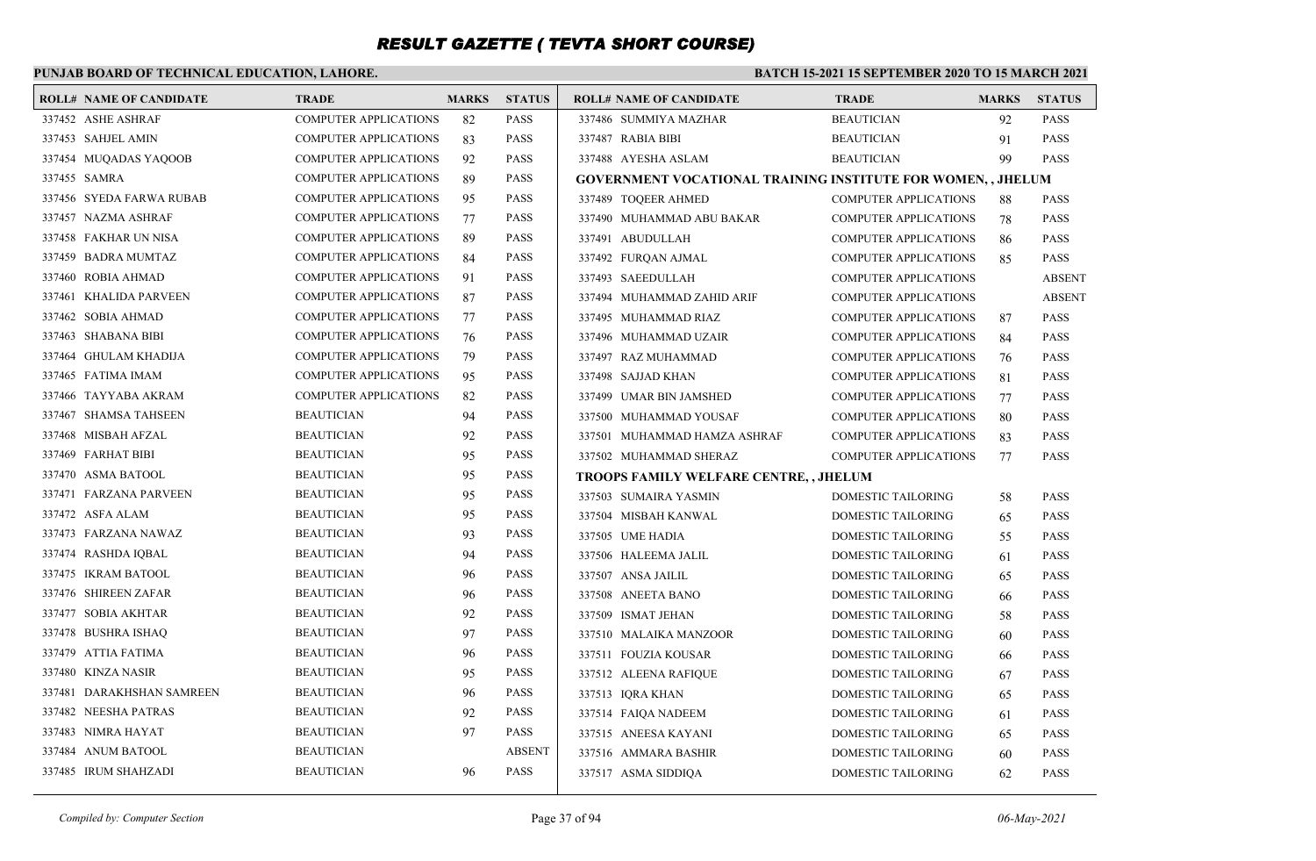### **PUNJAB BOARD OF TECHNICAL EDUCATION, LAHORE.**

| <b>ROLL# NAME OF CANDIDATE</b> | <b>TRADE</b>                 | <b>MARKS</b> | <b>STATUS</b> | <b>ROLL# NAME OF CANDIDATE</b>                               | <b>TRADE</b>                 | <b>MARKS</b> | <b>STATUS</b> |
|--------------------------------|------------------------------|--------------|---------------|--------------------------------------------------------------|------------------------------|--------------|---------------|
| 337452 ASHE ASHRAF             | <b>COMPUTER APPLICATIONS</b> | 82           | <b>PASS</b>   | 337486 SUMMIYA MAZHAR                                        | <b>BEAUTICIAN</b>            | 92           | <b>PASS</b>   |
| 337453 SAHJEL AMIN             | <b>COMPUTER APPLICATIONS</b> | 83           | <b>PASS</b>   | 337487 RABIA BIBI                                            | <b>BEAUTICIAN</b>            | 91           | <b>PASS</b>   |
| 337454 MUQADAS YAQOOB          | <b>COMPUTER APPLICATIONS</b> | 92           | <b>PASS</b>   | 337488 AYESHA ASLAM                                          | <b>BEAUTICIAN</b>            | 99           | <b>PASS</b>   |
| 337455 SAMRA                   | <b>COMPUTER APPLICATIONS</b> | 89           | <b>PASS</b>   | GOVERNMENT VOCATIONAL TRAINING INSTITUTE FOR WOMEN, , JHELUM |                              |              |               |
| 337456 SYEDA FARWA RUBAB       | <b>COMPUTER APPLICATIONS</b> | 95           | <b>PASS</b>   | 337489 TOQEER AHMED                                          | <b>COMPUTER APPLICATIONS</b> | 88           | <b>PASS</b>   |
| 337457 NAZMA ASHRAF            | <b>COMPUTER APPLICATIONS</b> | 77           | <b>PASS</b>   | 337490 MUHAMMAD ABU BAKAR                                    | <b>COMPUTER APPLICATIONS</b> | 78           | <b>PASS</b>   |
| 337458 FAKHAR UN NISA          | <b>COMPUTER APPLICATIONS</b> | 89           | <b>PASS</b>   | 337491 ABUDULLAH                                             | <b>COMPUTER APPLICATIONS</b> | 86           | <b>PASS</b>   |
| 337459 BADRA MUMTAZ            | <b>COMPUTER APPLICATIONS</b> | 84           | <b>PASS</b>   | 337492 FURQAN AJMAL                                          | <b>COMPUTER APPLICATIONS</b> | 85           | <b>PASS</b>   |
| 337460 ROBIA AHMAD             | <b>COMPUTER APPLICATIONS</b> | 91           | <b>PASS</b>   | 337493 SAEEDULLAH                                            | <b>COMPUTER APPLICATIONS</b> |              | <b>ABSENT</b> |
| 337461 KHALIDA PARVEEN         | COMPUTER APPLICATIONS        | 87           | <b>PASS</b>   | 337494 MUHAMMAD ZAHID ARIF                                   | <b>COMPUTER APPLICATIONS</b> |              | <b>ABSENT</b> |
| 337462 SOBIA AHMAD             | <b>COMPUTER APPLICATIONS</b> | 77           | <b>PASS</b>   | 337495 MUHAMMAD RIAZ                                         | <b>COMPUTER APPLICATIONS</b> | 87           | <b>PASS</b>   |
| 337463 SHABANA BIBI            | <b>COMPUTER APPLICATIONS</b> | 76           | <b>PASS</b>   | 337496 MUHAMMAD UZAIR                                        | <b>COMPUTER APPLICATIONS</b> | 84           | <b>PASS</b>   |
| 337464 GHULAM KHADIJA          | <b>COMPUTER APPLICATIONS</b> | 79           | <b>PASS</b>   | 337497 RAZ MUHAMMAD                                          | <b>COMPUTER APPLICATIONS</b> | 76           | <b>PASS</b>   |
| 337465 FATIMA IMAM             | COMPUTER APPLICATIONS        | 95           | <b>PASS</b>   | 337498 SAJJAD KHAN                                           | <b>COMPUTER APPLICATIONS</b> | 81           | <b>PASS</b>   |
| 337466 TAYYABA AKRAM           | <b>COMPUTER APPLICATIONS</b> | 82           | <b>PASS</b>   | 337499 UMAR BIN JAMSHED                                      | <b>COMPUTER APPLICATIONS</b> | 77           | <b>PASS</b>   |
| 337467 SHAMSA TAHSEEN          | <b>BEAUTICIAN</b>            | 94           | <b>PASS</b>   | 337500 MUHAMMAD YOUSAF                                       | <b>COMPUTER APPLICATIONS</b> | 80           | <b>PASS</b>   |
| 337468 MISBAH AFZAL            | <b>BEAUTICIAN</b>            | 92           | <b>PASS</b>   | 337501 MUHAMMAD HAMZA ASHRAF                                 | <b>COMPUTER APPLICATIONS</b> | 83           | <b>PASS</b>   |
| 337469 FARHAT BIBI             | <b>BEAUTICIAN</b>            | 95           | <b>PASS</b>   | 337502 MUHAMMAD SHERAZ                                       | <b>COMPUTER APPLICATIONS</b> | 77           | <b>PASS</b>   |
| 337470 ASMA BATOOL             | <b>BEAUTICIAN</b>            | 95           | <b>PASS</b>   | TROOPS FAMILY WELFARE CENTRE, , JHELUM                       |                              |              |               |
| 337471 FARZANA PARVEEN         | <b>BEAUTICIAN</b>            | 95           | <b>PASS</b>   | 337503 SUMAIRA YASMIN                                        | DOMESTIC TAILORING           | 58           | <b>PASS</b>   |
| 337472 ASFA ALAM               | <b>BEAUTICIAN</b>            | 95           | <b>PASS</b>   | 337504 MISBAH KANWAL                                         | DOMESTIC TAILORING           | 65           | <b>PASS</b>   |
| 337473 FARZANA NAWAZ           | <b>BEAUTICIAN</b>            | 93           | <b>PASS</b>   | 337505 UME HADIA                                             | DOMESTIC TAILORING           | 55           | <b>PASS</b>   |
| 337474 RASHDA IOBAL            | <b>BEAUTICIAN</b>            | 94           | <b>PASS</b>   | 337506 HALEEMA JALIL                                         | DOMESTIC TAILORING           | 61           | <b>PASS</b>   |
| 337475 IKRAM BATOOL            | <b>BEAUTICIAN</b>            | 96           | <b>PASS</b>   | 337507 ANSA JAILIL                                           | DOMESTIC TAILORING           | 65           | <b>PASS</b>   |
| 337476 SHIREEN ZAFAR           | <b>BEAUTICIAN</b>            | 96           | <b>PASS</b>   | 337508 ANEETA BANO                                           | DOMESTIC TAILORING           | 66           | <b>PASS</b>   |
| 337477 SOBIA AKHTAR            | <b>BEAUTICIAN</b>            | 92           | <b>PASS</b>   | 337509 ISMAT JEHAN                                           | DOMESTIC TAILORING           | 58           | <b>PASS</b>   |
| 337478 BUSHRA ISHAQ            | <b>BEAUTICIAN</b>            | 97           | <b>PASS</b>   | 337510 MALAIKA MANZOOR                                       | DOMESTIC TAILORING           | 60           | <b>PASS</b>   |
| 337479 ATTIA FATIMA            | <b>BEAUTICIAN</b>            | 96           | <b>PASS</b>   | 337511 FOUZIA KOUSAR                                         | DOMESTIC TAILORING           | 66           | <b>PASS</b>   |
| 337480 KINZA NASIR             | <b>BEAUTICIAN</b>            | 95           | <b>PASS</b>   | 337512 ALEENA RAFIQUE                                        | DOMESTIC TAILORING           | 67           | <b>PASS</b>   |
| 337481 DARAKHSHAN SAMREEN      | <b>BEAUTICIAN</b>            | 96           | <b>PASS</b>   | 337513 IQRA KHAN                                             | DOMESTIC TAILORING           | 65           | <b>PASS</b>   |
| 337482 NEESHA PATRAS           | <b>BEAUTICIAN</b>            | 92           | <b>PASS</b>   | 337514 FAIQA NADEEM                                          | DOMESTIC TAILORING           | 61           | <b>PASS</b>   |
| 337483 NIMRA HAYAT             | <b>BEAUTICIAN</b>            | 97           | <b>PASS</b>   | 337515 ANEESA KAYANI                                         | DOMESTIC TAILORING           | 65           | <b>PASS</b>   |
| 337484 ANUM BATOOL             | <b>BEAUTICIAN</b>            |              | <b>ABSENT</b> | 337516 AMMARA BASHIR                                         | DOMESTIC TAILORING           | 60           | <b>PASS</b>   |
| 337485 IRUM SHAHZADI           | <b>BEAUTICIAN</b>            | 96           | <b>PASS</b>   | 337517 ASMA SIDDIQA                                          | DOMESTIC TAILORING           | 62           | <b>PASS</b>   |
|                                |                              |              |               |                                                              |                              |              |               |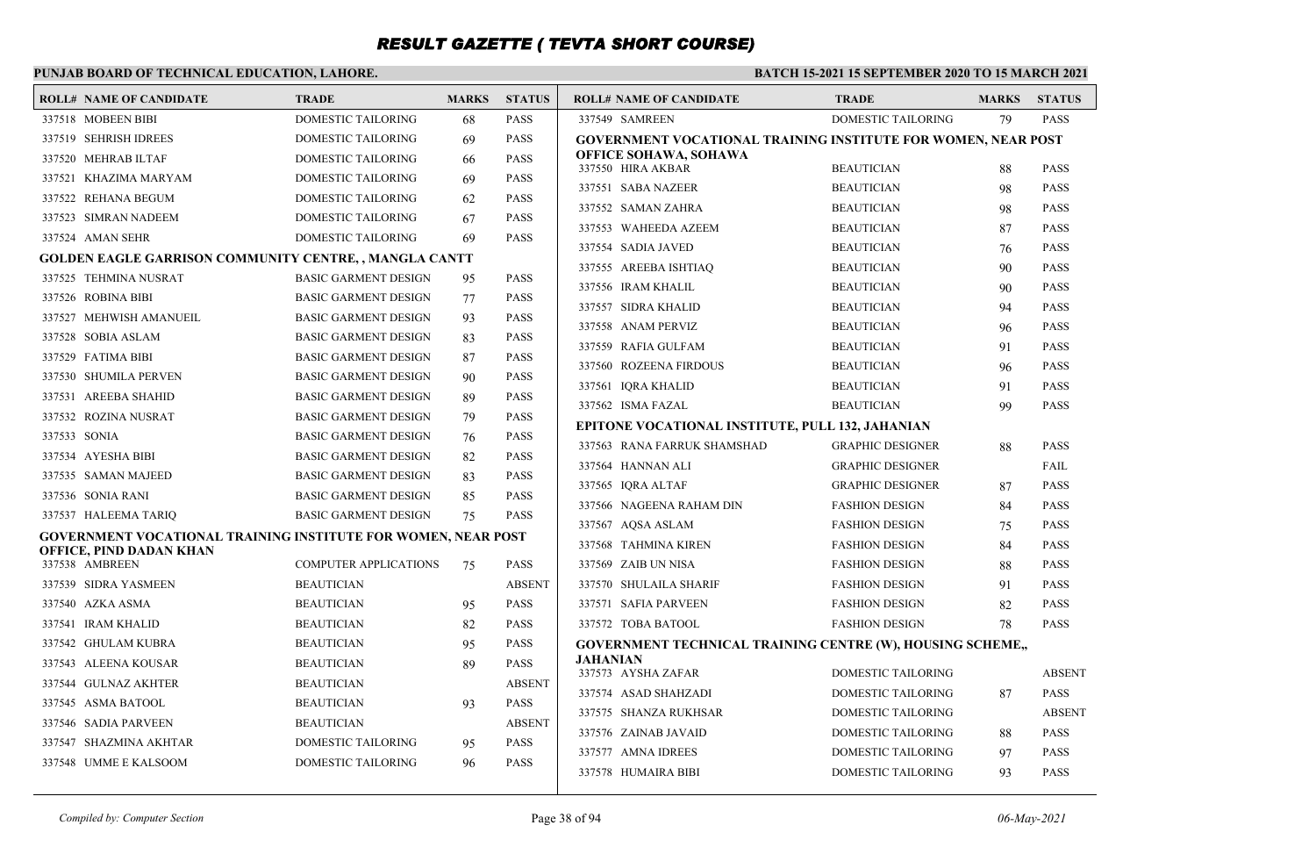### **PUNJAB BOARD OF TECHNICAL EDUCATION, LAHORE.**

| <b>ROLL# NAME OF CANDIDATE</b>                                | <b>TRADE</b>                           | <b>MARKS</b> | <b>STATUS</b>              | <b>ROLL# NAME OF CANDIDATE</b>                                                  | <b>TRADE</b>              | <b>MARKS</b> | <b>STATUS</b> |
|---------------------------------------------------------------|----------------------------------------|--------------|----------------------------|---------------------------------------------------------------------------------|---------------------------|--------------|---------------|
| 337518 MOBEEN BIBI                                            | <b>DOMESTIC TAILORING</b>              | 68           | <b>PASS</b>                | 337549 SAMREEN                                                                  | DOMESTIC TAILORING        | 79           | <b>PASS</b>   |
| 337519 SEHRISH IDREES                                         | <b>DOMESTIC TAILORING</b>              | 69           | <b>PASS</b>                | GOVERNMENT VOCATIONAL TRAINING INSTITUTE FOR WOMEN, NEAR POST                   |                           |              |               |
| 337520 MEHRAB ILTAF                                           | <b>DOMESTIC TAILORING</b>              | 66           | <b>PASS</b>                | <b>OFFICE SOHAWA, SOHAWA</b><br>337550 HIRA AKBAR                               | <b>BEAUTICIAN</b>         | 88           | <b>PASS</b>   |
| 337521 KHAZIMA MARYAM                                         | <b>DOMESTIC TAILORING</b>              | 69           | <b>PASS</b>                | 337551 SABA NAZEER                                                              | <b>BEAUTICIAN</b>         | 98           | <b>PASS</b>   |
| 337522 REHANA BEGUM                                           | DOMESTIC TAILORING                     | 62           | <b>PASS</b>                | 337552 SAMAN ZAHRA                                                              | <b>BEAUTICIAN</b>         | 98           | <b>PASS</b>   |
| 337523 SIMRAN NADEEM                                          | <b>DOMESTIC TAILORING</b>              | 67           | <b>PASS</b>                | 337553 WAHEEDA AZEEM                                                            | <b>BEAUTICIAN</b>         | 87           | <b>PASS</b>   |
| 337524 AMAN SEHR                                              | <b>DOMESTIC TAILORING</b>              | 69           | <b>PASS</b>                | 337554 SADIA JAVED                                                              | <b>BEAUTICIAN</b>         | 76           | <b>PASS</b>   |
| <b>GOLDEN EAGLE GARRISON COMMUNITY CENTRE, , MANGLA CANTT</b> |                                        |              |                            | 337555 AREEBA ISHTIAO                                                           | <b>BEAUTICIAN</b>         | 90           | <b>PASS</b>   |
| 337525 TEHMINA NUSRAT                                         | <b>BASIC GARMENT DESIGN</b>            | 95           | <b>PASS</b>                | 337556 IRAM KHALIL                                                              | <b>BEAUTICIAN</b>         | 90           | <b>PASS</b>   |
| 337526 ROBINA BIBI                                            | <b>BASIC GARMENT DESIGN</b>            | 77           | <b>PASS</b>                | 337557 SIDRA KHALID                                                             | <b>BEAUTICIAN</b>         | 94           | <b>PASS</b>   |
| 337527 MEHWISH AMANUEIL                                       | <b>BASIC GARMENT DESIGN</b>            | 93           | <b>PASS</b>                | 337558 ANAM PERVIZ                                                              | <b>BEAUTICIAN</b>         | 96           | <b>PASS</b>   |
| 337528 SOBIA ASLAM                                            | <b>BASIC GARMENT DESIGN</b>            | 83           | <b>PASS</b>                | 337559 RAFIA GULFAM                                                             | <b>BEAUTICIAN</b>         | 91           | <b>PASS</b>   |
| 337529 FATIMA BIBI                                            | <b>BASIC GARMENT DESIGN</b>            | 87           | <b>PASS</b>                | 337560 ROZEENA FIRDOUS                                                          | <b>BEAUTICIAN</b>         | 96           | <b>PASS</b>   |
| 337530 SHUMILA PERVEN                                         | <b>BASIC GARMENT DESIGN</b>            | 90           | <b>PASS</b>                | 337561 IQRA KHALID                                                              | <b>BEAUTICIAN</b>         | 91           | <b>PASS</b>   |
| 337531 AREEBA SHAHID                                          | <b>BASIC GARMENT DESIGN</b>            | 89           | <b>PASS</b>                | 337562 ISMA FAZAL                                                               | <b>BEAUTICIAN</b>         | 99           | <b>PASS</b>   |
| 337532 ROZINA NUSRAT                                          | <b>BASIC GARMENT DESIGN</b>            | 79           | <b>PASS</b>                |                                                                                 |                           |              |               |
| 337533 SONIA                                                  | <b>BASIC GARMENT DESIGN</b>            | 76           | <b>PASS</b>                | EPITONE VOCATIONAL INSTITUTE, PULL 132, JAHANIAN<br>337563 RANA FARRUK SHAMSHAD | <b>GRAPHIC DESIGNER</b>   | 88           | <b>PASS</b>   |
| 337534 AYESHA BIBI                                            | <b>BASIC GARMENT DESIGN</b>            | 82           | <b>PASS</b>                | 337564 HANNAN ALI                                                               | <b>GRAPHIC DESIGNER</b>   |              | FAIL          |
| 337535 SAMAN MAJEED                                           | <b>BASIC GARMENT DESIGN</b>            | 83           | <b>PASS</b>                | 337565 IORA ALTAF                                                               | <b>GRAPHIC DESIGNER</b>   |              | <b>PASS</b>   |
| 337536 SONIA RANI                                             | <b>BASIC GARMENT DESIGN</b>            | 85           | <b>PASS</b>                | 337566 NAGEENA RAHAM DIN                                                        | <b>FASHION DESIGN</b>     | 87           | <b>PASS</b>   |
| 337537 HALEEMA TARIQ                                          | <b>BASIC GARMENT DESIGN</b>            | 75           | <b>PASS</b>                | 337567 AQSA ASLAM                                                               | <b>FASHION DESIGN</b>     | 84           | <b>PASS</b>   |
| GOVERNMENT VOCATIONAL TRAINING INSTITUTE FOR WOMEN, NEAR POST |                                        |              |                            | 337568 TAHMINA KIREN                                                            | <b>FASHION DESIGN</b>     | 75           | <b>PASS</b>   |
| OFFICE, PIND DADAN KHAN<br>337538 AMBREEN                     | <b>COMPUTER APPLICATIONS</b>           | 75           | <b>PASS</b>                | 337569 ZAIB UN NISA                                                             | <b>FASHION DESIGN</b>     | 84           | <b>PASS</b>   |
| 337539 SIDRA YASMEEN                                          | <b>BEAUTICIAN</b>                      |              | <b>ABSENT</b>              | 337570 SHULAILA SHARIF                                                          | <b>FASHION DESIGN</b>     | 88           | <b>PASS</b>   |
| 337540 AZKA ASMA                                              | <b>BEAUTICIAN</b>                      |              | <b>PASS</b>                | 337571 SAFIA PARVEEN                                                            |                           | 91           | <b>PASS</b>   |
|                                                               |                                        | 95           |                            |                                                                                 | <b>FASHION DESIGN</b>     | 82           | <b>PASS</b>   |
| 337541 IRAM KHALID<br>337542 GHULAM KUBRA                     | <b>BEAUTICIAN</b><br><b>BEAUTICIAN</b> | 82           | <b>PASS</b><br><b>PASS</b> | 337572 TOBA BATOOL                                                              | <b>FASHION DESIGN</b>     | 78           |               |
| 337543 ALEENA KOUSAR                                          | <b>BEAUTICIAN</b>                      | 95<br>89     | <b>PASS</b>                | GOVERNMENT TECHNICAL TRAINING CENTRE (W), HOUSING SCHEME,<br>JAHANIAN           |                           |              |               |
| 337544 GULNAZ AKHTER                                          | <b>BEAUTICIAN</b>                      |              | <b>ABSENT</b>              | 337573 AYSHA ZAFAR                                                              | DOMESTIC TAILORING        |              | <b>ABSENT</b> |
| 337545 ASMA BATOOL                                            | <b>BEAUTICIAN</b>                      |              | <b>PASS</b>                | 337574 ASAD SHAHZADI                                                            | DOMESTIC TAILORING        | 87           | <b>PASS</b>   |
| 337546 SADIA PARVEEN                                          | <b>BEAUTICIAN</b>                      | 93           | <b>ABSENT</b>              | 337575 SHANZA RUKHSAR                                                           | DOMESTIC TAILORING        |              | <b>ABSENT</b> |
| 337547 SHAZMINA AKHTAR                                        | DOMESTIC TAILORING                     |              | <b>PASS</b>                | 337576 ZAINAB JAVAID                                                            | DOMESTIC TAILORING        | 88           | <b>PASS</b>   |
| 337548 UMME E KALSOOM                                         | <b>DOMESTIC TAILORING</b>              | 95           | <b>PASS</b>                | 337577 AMNA IDREES                                                              | DOMESTIC TAILORING        | 97           | <b>PASS</b>   |
|                                                               |                                        | 96           |                            | 337578 HUMAIRA BIBI                                                             | <b>DOMESTIC TAILORING</b> | 93           | <b>PASS</b>   |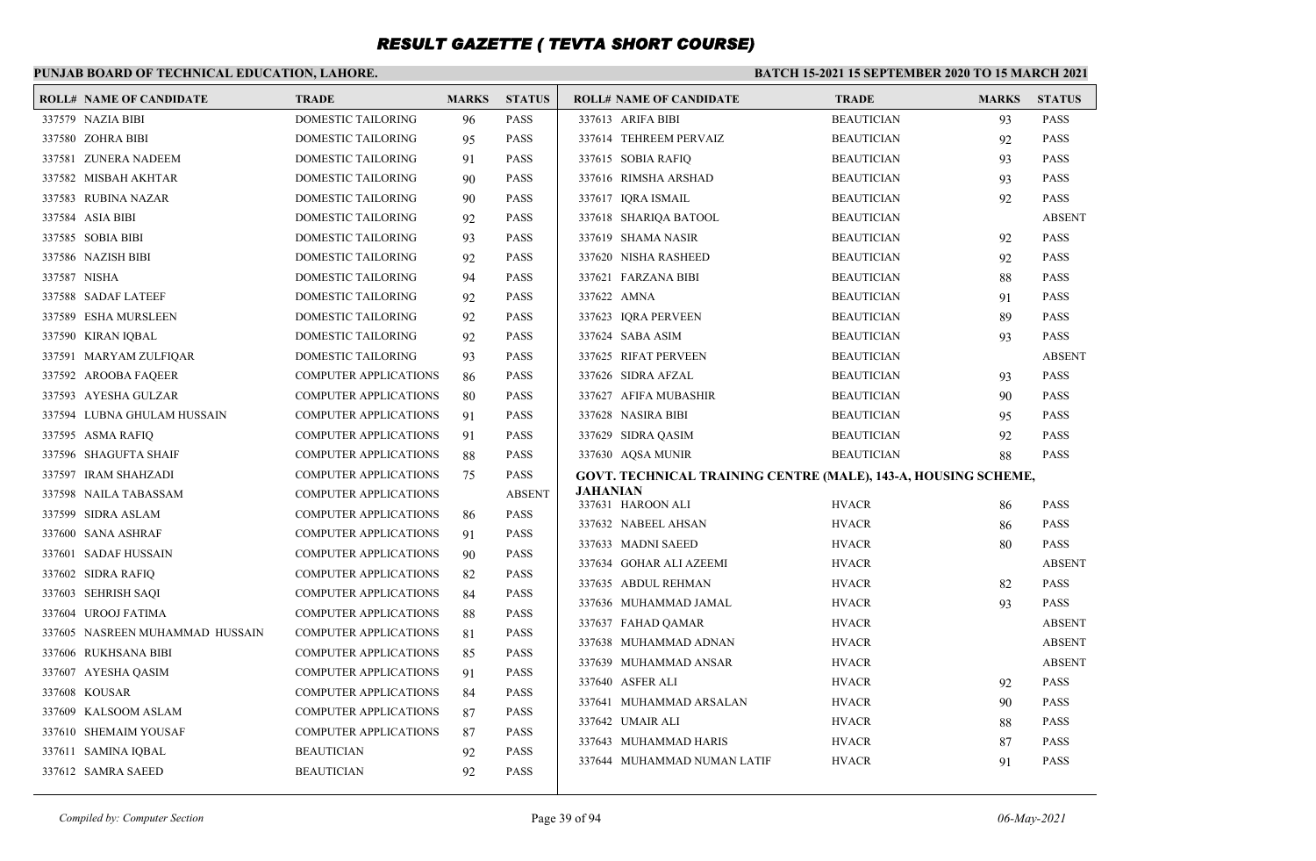### **PUNJAB BOARD OF TECHNICAL EDUCATION, LAHORE.**

| <b>ROLL# NAME OF CANDIDATE</b>  | <b>TRADE</b>                 | <b>MARKS</b> | <b>STATUS</b> | <b>ROLL# NAME OF CANDIDATE</b>                                 | <b>TRADE</b>      | <b>MARKS</b> | <b>STATUS</b> |
|---------------------------------|------------------------------|--------------|---------------|----------------------------------------------------------------|-------------------|--------------|---------------|
| 337579 NAZIA BIBI               | <b>DOMESTIC TAILORING</b>    | 96           | <b>PASS</b>   | 337613 ARIFA BIBI                                              | <b>BEAUTICIAN</b> | 93           | <b>PASS</b>   |
| 337580 ZOHRA BIBI               | DOMESTIC TAILORING           | 95           | <b>PASS</b>   | 337614 TEHREEM PERVAIZ                                         | <b>BEAUTICIAN</b> | 92           | <b>PASS</b>   |
| 337581 ZUNERA NADEEM            | DOMESTIC TAILORING           | 91           | <b>PASS</b>   | 337615 SOBIA RAFIQ                                             | <b>BEAUTICIAN</b> | 93           | <b>PASS</b>   |
| 337582 MISBAH AKHTAR            | DOMESTIC TAILORING           | 90           | <b>PASS</b>   | 337616 RIMSHA ARSHAD                                           | <b>BEAUTICIAN</b> | 93           | <b>PASS</b>   |
| 337583 RUBINA NAZAR             | DOMESTIC TAILORING           | 90           | <b>PASS</b>   | 337617 IQRA ISMAIL                                             | <b>BEAUTICIAN</b> | 92           | <b>PASS</b>   |
| 337584 ASIA BIBI                | DOMESTIC TAILORING           | 92           | <b>PASS</b>   | 337618 SHARIQA BATOOL                                          | <b>BEAUTICIAN</b> |              | <b>ABSENT</b> |
| 337585 SOBIA BIBI               | DOMESTIC TAILORING           | 93           | <b>PASS</b>   | 337619 SHAMA NASIR                                             | <b>BEAUTICIAN</b> | 92           | <b>PASS</b>   |
| 337586 NAZISH BIBI              | DOMESTIC TAILORING           | 92           | <b>PASS</b>   | 337620 NISHA RASHEED                                           | <b>BEAUTICIAN</b> | 92           | <b>PASS</b>   |
| 337587 NISHA                    | DOMESTIC TAILORING           | 94           | <b>PASS</b>   | 337621 FARZANA BIBI                                            | <b>BEAUTICIAN</b> | 88           | <b>PASS</b>   |
| 337588 SADAF LATEEF             | DOMESTIC TAILORING           | 92           | <b>PASS</b>   | 337622 AMNA                                                    | <b>BEAUTICIAN</b> | 91           | <b>PASS</b>   |
| 337589 ESHA MURSLEEN            | DOMESTIC TAILORING           | 92           | <b>PASS</b>   | 337623 IQRA PERVEEN                                            | <b>BEAUTICIAN</b> | 89           | <b>PASS</b>   |
| 337590 KIRAN IQBAL              | DOMESTIC TAILORING           | 92           | <b>PASS</b>   | 337624 SABA ASIM                                               | <b>BEAUTICIAN</b> | 93           | <b>PASS</b>   |
| 337591 MARYAM ZULFIQAR          | DOMESTIC TAILORING           | 93           | <b>PASS</b>   | 337625 RIFAT PERVEEN                                           | <b>BEAUTICIAN</b> |              | <b>ABSENT</b> |
| 337592 AROOBA FAQEER            | <b>COMPUTER APPLICATIONS</b> | 86           | <b>PASS</b>   | 337626 SIDRA AFZAL                                             | <b>BEAUTICIAN</b> | 93           | <b>PASS</b>   |
| 337593 AYESHA GULZAR            | <b>COMPUTER APPLICATIONS</b> | 80           | <b>PASS</b>   | 337627 AFIFA MUBASHIR                                          | <b>BEAUTICIAN</b> | 90           | <b>PASS</b>   |
| 337594 LUBNA GHULAM HUSSAIN     | <b>COMPUTER APPLICATIONS</b> | 91           | <b>PASS</b>   | 337628 NASIRA BIBI                                             | <b>BEAUTICIAN</b> | 95           | <b>PASS</b>   |
| 337595 ASMA RAFIQ               | <b>COMPUTER APPLICATIONS</b> | 91           | <b>PASS</b>   | 337629 SIDRA QASIM                                             | <b>BEAUTICIAN</b> | 92           | <b>PASS</b>   |
| 337596 SHAGUFTA SHAIF           | COMPUTER APPLICATIONS        | 88           | <b>PASS</b>   | 337630 AQSA MUNIR                                              | <b>BEAUTICIAN</b> | 88           | <b>PASS</b>   |
| 337597 IRAM SHAHZADI            | <b>COMPUTER APPLICATIONS</b> | 75           | <b>PASS</b>   | GOVT. TECHNICAL TRAINING CENTRE (MALE), 143-A, HOUSING SCHEME, |                   |              |               |
| 337598 NAILA TABASSAM           | <b>COMPUTER APPLICATIONS</b> |              | <b>ABSENT</b> | <b>JAHANIAN</b>                                                |                   |              |               |
| 337599 SIDRA ASLAM              | <b>COMPUTER APPLICATIONS</b> | 86           | <b>PASS</b>   | 337631 HAROON ALI                                              | <b>HVACR</b>      | 86           | <b>PASS</b>   |
| 337600 SANA ASHRAF              | <b>COMPUTER APPLICATIONS</b> | 91           | <b>PASS</b>   | 337632 NABEEL AHSAN                                            | <b>HVACR</b>      | 86           | <b>PASS</b>   |
| 337601 SADAF HUSSAIN            | <b>COMPUTER APPLICATIONS</b> | 90           | <b>PASS</b>   | 337633 MADNI SAEED                                             | <b>HVACR</b>      | 80           | <b>PASS</b>   |
| 337602 SIDRA RAFIQ              | <b>COMPUTER APPLICATIONS</b> | 82           | <b>PASS</b>   | 337634 GOHAR ALI AZEEMI                                        | <b>HVACR</b>      |              | <b>ABSENT</b> |
| 337603 SEHRISH SAQI             | <b>COMPUTER APPLICATIONS</b> | 84           | <b>PASS</b>   | 337635 ABDUL REHMAN                                            | <b>HVACR</b>      | 82           | <b>PASS</b>   |
| 337604 UROOJ FATIMA             | <b>COMPUTER APPLICATIONS</b> | 88           | <b>PASS</b>   | 337636 MUHAMMAD JAMAL                                          | <b>HVACR</b>      | 93           | <b>PASS</b>   |
| 337605 NASREEN MUHAMMAD HUSSAIN | <b>COMPUTER APPLICATIONS</b> | 81           | <b>PASS</b>   | 337637 FAHAD QAMAR                                             | <b>HVACR</b>      |              | <b>ABSENT</b> |
| 337606 RUKHSANA BIBI            | <b>COMPUTER APPLICATIONS</b> | 85           | <b>PASS</b>   | 337638 MUHAMMAD ADNAN                                          | <b>HVACR</b>      |              | <b>ABSENT</b> |
| 337607 AYESHA QASIM             | <b>COMPUTER APPLICATIONS</b> | 91           | <b>PASS</b>   | 337639 MUHAMMAD ANSAR                                          | <b>HVACR</b>      |              | <b>ABSENT</b> |
| 337608 KOUSAR                   | <b>COMPUTER APPLICATIONS</b> | 84           | <b>PASS</b>   | 337640 ASFER ALI                                               | <b>HVACR</b>      | 92           | <b>PASS</b>   |
| 337609 KALSOOM ASLAM            | <b>COMPUTER APPLICATIONS</b> | 87           | <b>PASS</b>   | 337641 MUHAMMAD ARSALAN                                        | <b>HVACR</b>      | 90           | <b>PASS</b>   |
| 337610 SHEMAIM YOUSAF           | <b>COMPUTER APPLICATIONS</b> | 87           | <b>PASS</b>   | 337642 UMAIR ALI                                               | <b>HVACR</b>      | 88           | <b>PASS</b>   |
| 337611 SAMINA IQBAL             | <b>BEAUTICIAN</b>            | 92           | <b>PASS</b>   | 337643 MUHAMMAD HARIS                                          | <b>HVACR</b>      | 87           | <b>PASS</b>   |
| 337612 SAMRA SAEED              | <b>BEAUTICIAN</b>            | 92           | <b>PASS</b>   | 337644 MUHAMMAD NUMAN LATIF                                    | <b>HVACR</b>      | 91           | <b>PASS</b>   |
|                                 |                              |              |               |                                                                |                   |              |               |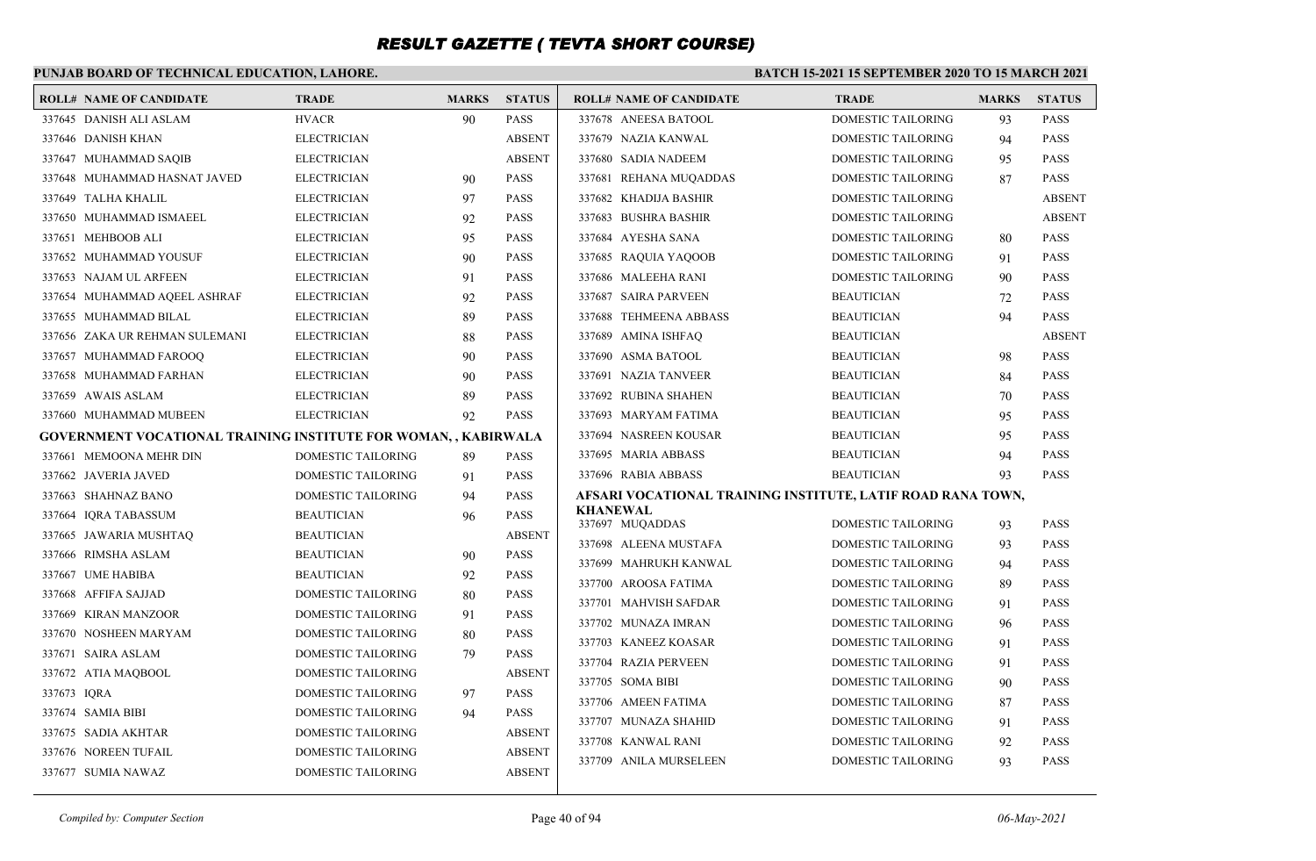### **PUNJAB BOARD OF TECHNICAL EDUCATION, LAHORE.**

|             | <b>ROLL# NAME OF CANDIDATE</b>                                        | <b>TRADE</b>              | <b>MARKS</b> | <b>STATUS</b> | <b>ROLL# NAME OF CANDIDATE</b>                              | <b>TRADE</b>              | <b>MARKS</b> | <b>STATUS</b> |
|-------------|-----------------------------------------------------------------------|---------------------------|--------------|---------------|-------------------------------------------------------------|---------------------------|--------------|---------------|
|             | 337645 DANISH ALI ASLAM                                               | <b>HVACR</b>              | 90           | <b>PASS</b>   | 337678 ANEESA BATOOL                                        | <b>DOMESTIC TAILORING</b> | 93           | <b>PASS</b>   |
|             | 337646 DANISH KHAN                                                    | <b>ELECTRICIAN</b>        |              | <b>ABSENT</b> | 337679 NAZIA KANWAL                                         | <b>DOMESTIC TAILORING</b> | 94           | <b>PASS</b>   |
|             | 337647 MUHAMMAD SAQIB                                                 | <b>ELECTRICIAN</b>        |              | <b>ABSENT</b> | 337680 SADIA NADEEM                                         | <b>DOMESTIC TAILORING</b> | 95           | <b>PASS</b>   |
|             | 337648 MUHAMMAD HASNAT JAVED                                          | <b>ELECTRICIAN</b>        | 90           | <b>PASS</b>   | 337681 REHANA MUQADDAS                                      | DOMESTIC TAILORING        | 87           | <b>PASS</b>   |
|             | 337649 TALHA KHALIL                                                   | <b>ELECTRICIAN</b>        | 97           | <b>PASS</b>   | 337682 KHADIJA BASHIR                                       | <b>DOMESTIC TAILORING</b> |              | <b>ABSENT</b> |
|             | 337650 MUHAMMAD ISMAEEL                                               | <b>ELECTRICIAN</b>        | 92           | <b>PASS</b>   | 337683 BUSHRA BASHIR                                        | DOMESTIC TAILORING        |              | <b>ABSENT</b> |
|             | 337651 MEHBOOB ALI                                                    | <b>ELECTRICIAN</b>        | 95           | <b>PASS</b>   | 337684 AYESHA SANA                                          | DOMESTIC TAILORING        | 80           | <b>PASS</b>   |
|             | 337652 MUHAMMAD YOUSUF                                                | <b>ELECTRICIAN</b>        | 90           | <b>PASS</b>   | 337685 RAQUIA YAQOOB                                        | DOMESTIC TAILORING        | 91           | <b>PASS</b>   |
|             | 337653 NAJAM UL ARFEEN                                                | <b>ELECTRICIAN</b>        | 91           | <b>PASS</b>   | 337686 MALEEHA RANI                                         | <b>DOMESTIC TAILORING</b> | 90           | <b>PASS</b>   |
|             | 337654 MUHAMMAD AQEEL ASHRAF                                          | <b>ELECTRICIAN</b>        | 92           | <b>PASS</b>   | 337687 SAIRA PARVEEN                                        | <b>BEAUTICIAN</b>         | 72           | <b>PASS</b>   |
|             | 337655 MUHAMMAD BILAL                                                 | <b>ELECTRICIAN</b>        | 89           | <b>PASS</b>   | 337688 TEHMEENA ABBASS                                      | <b>BEAUTICIAN</b>         | 94           | <b>PASS</b>   |
|             | 337656 ZAKA UR REHMAN SULEMANI                                        | <b>ELECTRICIAN</b>        | 88           | <b>PASS</b>   | 337689 AMINA ISHFAQ                                         | <b>BEAUTICIAN</b>         |              | <b>ABSENT</b> |
|             | 337657 MUHAMMAD FAROOQ                                                | <b>ELECTRICIAN</b>        | 90           | <b>PASS</b>   | 337690 ASMA BATOOL                                          | <b>BEAUTICIAN</b>         | 98           | <b>PASS</b>   |
|             | 337658 MUHAMMAD FARHAN                                                | <b>ELECTRICIAN</b>        | 90           | <b>PASS</b>   | 337691 NAZIA TANVEER                                        | <b>BEAUTICIAN</b>         | 84           | <b>PASS</b>   |
|             | 337659 AWAIS ASLAM                                                    | <b>ELECTRICIAN</b>        | 89           | <b>PASS</b>   | 337692 RUBINA SHAHEN                                        | <b>BEAUTICIAN</b>         | 70           | <b>PASS</b>   |
|             | 337660 MUHAMMAD MUBEEN                                                | <b>ELECTRICIAN</b>        | 92           | <b>PASS</b>   | 337693 MARYAM FATIMA                                        | <b>BEAUTICIAN</b>         | 95           | <b>PASS</b>   |
|             | <b>GOVERNMENT VOCATIONAL TRAINING INSTITUTE FOR WOMAN,, KABIRWALA</b> |                           |              |               | 337694 NASREEN KOUSAR                                       | <b>BEAUTICIAN</b>         | 95           | <b>PASS</b>   |
|             | 337661 MEMOONA MEHR DIN                                               | DOMESTIC TAILORING        | 89           | <b>PASS</b>   | 337695 MARIA ABBASS                                         | <b>BEAUTICIAN</b>         | 94           | <b>PASS</b>   |
|             | 337662 JAVERIA JAVED                                                  | DOMESTIC TAILORING        | 91           | <b>PASS</b>   | 337696 RABIA ABBASS                                         | <b>BEAUTICIAN</b>         | 93           | <b>PASS</b>   |
|             | 337663 SHAHNAZ BANO                                                   | DOMESTIC TAILORING        | 94           | <b>PASS</b>   | AFSARI VOCATIONAL TRAINING INSTITUTE, LATIF ROAD RANA TOWN, |                           |              |               |
|             | 337664 IQRA TABASSUM                                                  | <b>BEAUTICIAN</b>         | 96           | <b>PASS</b>   | <b>KHANEWAL</b><br>337697 MUQADDAS                          | <b>DOMESTIC TAILORING</b> | 93           | <b>PASS</b>   |
|             | 337665 JAWARIA MUSHTAQ                                                | <b>BEAUTICIAN</b>         |              | <b>ABSENT</b> | 337698 ALEENA MUSTAFA                                       | <b>DOMESTIC TAILORING</b> | 93           | <b>PASS</b>   |
|             | 337666 RIMSHA ASLAM                                                   | <b>BEAUTICIAN</b>         | 90           | <b>PASS</b>   | 337699 MAHRUKH KANWAL                                       | DOMESTIC TAILORING        |              | <b>PASS</b>   |
|             | 337667 UME HABIBA                                                     | <b>BEAUTICIAN</b>         | 92           | <b>PASS</b>   | 337700 AROOSA FATIMA                                        | DOMESTIC TAILORING        | 94<br>89     | <b>PASS</b>   |
|             | 337668 AFFIFA SAJJAD                                                  | DOMESTIC TAILORING        | 80           | <b>PASS</b>   | 337701 MAHVISH SAFDAR                                       | DOMESTIC TAILORING        | 91           | <b>PASS</b>   |
|             | 337669 KIRAN MANZOOR                                                  | DOMESTIC TAILORING        | 91           | <b>PASS</b>   | 337702 MUNAZA IMRAN                                         | <b>DOMESTIC TAILORING</b> |              | <b>PASS</b>   |
|             | 337670 NOSHEEN MARYAM                                                 | DOMESTIC TAILORING        | 80           | <b>PASS</b>   | 337703 KANEEZ KOASAR                                        | DOMESTIC TAILORING        | 96           | <b>PASS</b>   |
|             | 337671 SAIRA ASLAM                                                    | DOMESTIC TAILORING        | 79           | <b>PASS</b>   | 337704 RAZIA PERVEEN                                        | <b>DOMESTIC TAILORING</b> | 91           | <b>PASS</b>   |
|             | 337672 ATIA MAQBOOL                                                   | DOMESTIC TAILORING        |              | <b>ABSENT</b> | 337705 SOMA BIBI                                            | <b>DOMESTIC TAILORING</b> | 91           | <b>PASS</b>   |
| 337673 IQRA |                                                                       | <b>DOMESTIC TAILORING</b> | 97           | <b>PASS</b>   | 337706 AMEEN FATIMA                                         | <b>DOMESTIC TAILORING</b> | 90           | <b>PASS</b>   |
|             | 337674 SAMIA BIBI                                                     | DOMESTIC TAILORING        | 94           | <b>PASS</b>   | 337707 MUNAZA SHAHID                                        | <b>DOMESTIC TAILORING</b> | 87           | <b>PASS</b>   |
|             | 337675 SADIA AKHTAR                                                   | DOMESTIC TAILORING        |              | <b>ABSENT</b> | 337708 KANWAL RANI                                          | DOMESTIC TAILORING        | 91<br>92     | <b>PASS</b>   |
|             | 337676 NOREEN TUFAIL                                                  | DOMESTIC TAILORING        |              | <b>ABSENT</b> | 337709 ANILA MURSELEEN                                      | <b>DOMESTIC TAILORING</b> | 93           | <b>PASS</b>   |
|             | 337677 SUMIA NAWAZ                                                    | DOMESTIC TAILORING        |              | <b>ABSENT</b> |                                                             |                           |              |               |
|             |                                                                       |                           |              |               |                                                             |                           |              |               |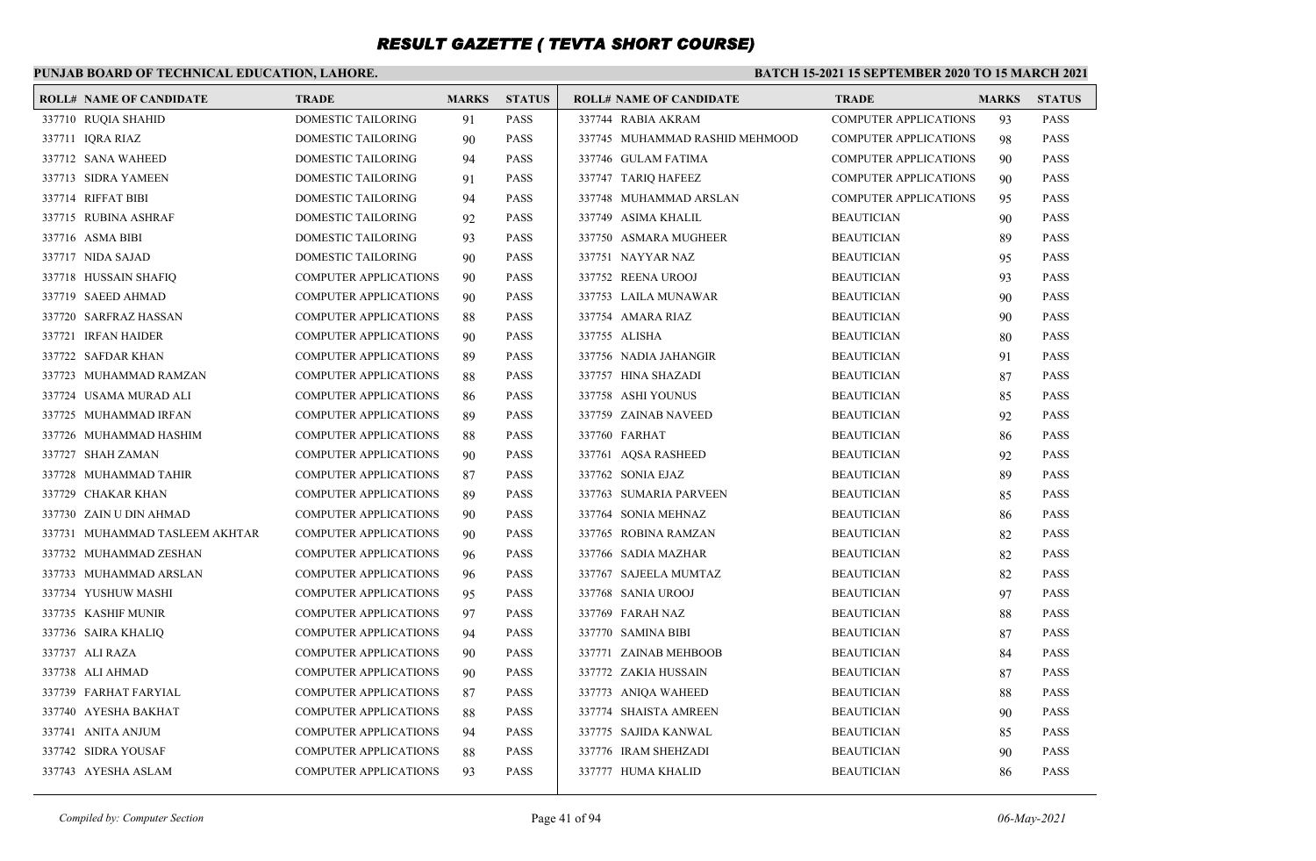### **PUNJAB BOARD OF TECHNICAL EDUCATION, LAHORE.**

#### **BATCH 15-2021 15 SEPTEMBER 2020 TO 15 MARCH 2021**

| <b>ROLL# NAME OF CANDIDATE</b> | <b>TRADE</b>                 | <b>MARKS</b> | <b>STATUS</b> | <b>ROLL# NAME OF CANDIDATE</b> | <b>TRADE</b>                 | <b>MARKS</b> | <b>STATUS</b> |
|--------------------------------|------------------------------|--------------|---------------|--------------------------------|------------------------------|--------------|---------------|
| 337710 RUQIA SHAHID            | DOMESTIC TAILORING           | 91           | <b>PASS</b>   | 337744 RABIA AKRAM             | <b>COMPUTER APPLICATIONS</b> | 93           | PASS          |
| 337711 IQRA RIAZ               | DOMESTIC TAILORING           | 90           | <b>PASS</b>   | 337745 MUHAMMAD RASHID MEHMOOD | <b>COMPUTER APPLICATIONS</b> | 98           | <b>PASS</b>   |
| 337712 SANA WAHEED             | <b>DOMESTIC TAILORING</b>    | 94           | <b>PASS</b>   | 337746 GULAM FATIMA            | <b>COMPUTER APPLICATIONS</b> | -90          | <b>PASS</b>   |
| 337713 SIDRA YAMEEN            | DOMESTIC TAILORING           | 91           | <b>PASS</b>   | 337747 TARIQ HAFEEZ            | <b>COMPUTER APPLICATIONS</b> | 90           | <b>PASS</b>   |
| 337714 RIFFAT BIBI             | DOMESTIC TAILORING           | 94           | <b>PASS</b>   | 337748 MUHAMMAD ARSLAN         | <b>COMPUTER APPLICATIONS</b> | 95           | <b>PASS</b>   |
| 337715 RUBINA ASHRAF           | <b>DOMESTIC TAILORING</b>    | 92           | <b>PASS</b>   | 337749 ASIMA KHALIL            | <b>BEAUTICIAN</b>            | 90           | <b>PASS</b>   |
| 337716 ASMA BIBI               | DOMESTIC TAILORING           | 93           | <b>PASS</b>   | 337750 ASMARA MUGHEER          | <b>BEAUTICIAN</b>            | 89           | <b>PASS</b>   |
| 337717 NIDA SAJAD              | DOMESTIC TAILORING           | 90           | <b>PASS</b>   | 337751 NAYYAR NAZ              | <b>BEAUTICIAN</b>            | 95           | <b>PASS</b>   |
| 337718 HUSSAIN SHAFIQ          | <b>COMPUTER APPLICATIONS</b> | 90           | <b>PASS</b>   | 337752 REENA UROOJ             | <b>BEAUTICIAN</b>            | 93           | <b>PASS</b>   |
| 337719 SAEED AHMAD             | COMPUTER APPLICATIONS        | 90           | <b>PASS</b>   | 337753 LAILA MUNAWAR           | <b>BEAUTICIAN</b>            | 90           | <b>PASS</b>   |
| 337720 SARFRAZ HASSAN          | <b>COMPUTER APPLICATIONS</b> | 88           | <b>PASS</b>   | 337754 AMARA RIAZ              | <b>BEAUTICIAN</b>            | 90           | <b>PASS</b>   |
| 337721 IRFAN HAIDER            | <b>COMPUTER APPLICATIONS</b> | 90           | <b>PASS</b>   | 337755 ALISHA                  | <b>BEAUTICIAN</b>            | 80           | <b>PASS</b>   |
| 337722 SAFDAR KHAN             | COMPUTER APPLICATIONS        | 89           | <b>PASS</b>   | 337756 NADIA JAHANGIR          | <b>BEAUTICIAN</b>            | 91           | <b>PASS</b>   |
| 337723 MUHAMMAD RAMZAN         | <b>COMPUTER APPLICATIONS</b> | 88           | <b>PASS</b>   | 337757 HINA SHAZADI            | <b>BEAUTICIAN</b>            | 87           | <b>PASS</b>   |
| 337724 USAMA MURAD ALI         | COMPUTER APPLICATIONS        | 86           | <b>PASS</b>   | 337758 ASHI YOUNUS             | <b>BEAUTICIAN</b>            | 85           | <b>PASS</b>   |
| 337725 MUHAMMAD IRFAN          | <b>COMPUTER APPLICATIONS</b> | 89           | <b>PASS</b>   | 337759 ZAINAB NAVEED           | <b>BEAUTICIAN</b>            | 92           | <b>PASS</b>   |
| 337726 MUHAMMAD HASHIM         | COMPUTER APPLICATIONS        | 88           | <b>PASS</b>   | 337760 FARHAT                  | <b>BEAUTICIAN</b>            | 86           | <b>PASS</b>   |
| 337727 SHAH ZAMAN              | <b>COMPUTER APPLICATIONS</b> | 90           | <b>PASS</b>   | 337761 AQSA RASHEED            | <b>BEAUTICIAN</b>            | 92           | <b>PASS</b>   |
| 337728 MUHAMMAD TAHIR          | <b>COMPUTER APPLICATIONS</b> | 87           | <b>PASS</b>   | 337762 SONIA EJAZ              | <b>BEAUTICIAN</b>            | 89           | <b>PASS</b>   |
| 337729 CHAKAR KHAN             | COMPUTER APPLICATIONS        | 89           | <b>PASS</b>   | 337763 SUMARIA PARVEEN         | <b>BEAUTICIAN</b>            | 85           | <b>PASS</b>   |
| 337730 ZAIN U DIN AHMAD        | <b>COMPUTER APPLICATIONS</b> | 90           | <b>PASS</b>   | 337764 SONIA MEHNAZ            | <b>BEAUTICIAN</b>            | 86           | <b>PASS</b>   |
| 337731 MUHAMMAD TASLEEM AKHTAR | COMPUTER APPLICATIONS        | 90           | <b>PASS</b>   | 337765 ROBINA RAMZAN           | <b>BEAUTICIAN</b>            | 82           | <b>PASS</b>   |
| 337732 MUHAMMAD ZESHAN         | <b>COMPUTER APPLICATIONS</b> | 96           | <b>PASS</b>   | 337766 SADIA MAZHAR            | <b>BEAUTICIAN</b>            | 82           | <b>PASS</b>   |
| 337733 MUHAMMAD ARSLAN         | COMPUTER APPLICATIONS        | 96           | <b>PASS</b>   | 337767 SAJEELA MUMTAZ          | <b>BEAUTICIAN</b>            | 82           | <b>PASS</b>   |
| 337734 YUSHUW MASHI            | <b>COMPUTER APPLICATIONS</b> | 95           | <b>PASS</b>   | 337768 SANIA UROOJ             | <b>BEAUTICIAN</b>            | 97           | <b>PASS</b>   |
| 337735 KASHIF MUNIR            | COMPUTER APPLICATIONS        | 97           | <b>PASS</b>   | 337769 FARAH NAZ               | <b>BEAUTICIAN</b>            | 88           | <b>PASS</b>   |
| 337736 SAIRA KHALIQ            | <b>COMPUTER APPLICATIONS</b> | 94           | <b>PASS</b>   | 337770 SAMINA BIBI             | <b>BEAUTICIAN</b>            | 87           | <b>PASS</b>   |
| 337737 ALI RAZA                | <b>COMPUTER APPLICATIONS</b> | 90           | <b>PASS</b>   | 337771 ZAINAB MEHBOOB          | <b>BEAUTICIAN</b>            | 84           | <b>PASS</b>   |
| 337738 ALI AHMAD               | COMPUTER APPLICATIONS        | 90           | <b>PASS</b>   | 337772 ZAKIA HUSSAIN           | <b>BEAUTICIAN</b>            | 87           | <b>PASS</b>   |
| 337739 FARHAT FARYIAL          | <b>COMPUTER APPLICATIONS</b> | 87           | <b>PASS</b>   | 337773 ANIQA WAHEED            | <b>BEAUTICIAN</b>            | 88           | <b>PASS</b>   |
| 337740 AYESHA BAKHAT           | COMPUTER APPLICATIONS        | 88           | <b>PASS</b>   | 337774 SHAISTA AMREEN          | <b>BEAUTICIAN</b>            | 90           | <b>PASS</b>   |
| 337741 ANITA ANJUM             | <b>COMPUTER APPLICATIONS</b> | 94           | <b>PASS</b>   | 337775 SAJIDA KANWAL           | <b>BEAUTICIAN</b>            | 85           | <b>PASS</b>   |
| 337742 SIDRA YOUSAF            | COMPUTER APPLICATIONS        | 88           | <b>PASS</b>   | 337776 IRAM SHEHZADI           | <b>BEAUTICIAN</b>            | 90           | <b>PASS</b>   |
| 337743 AYESHA ASLAM            | COMPUTER APPLICATIONS        | 93           | <b>PASS</b>   | 337777 HUMA KHALID             | <b>BEAUTICIAN</b>            | 86           | <b>PASS</b>   |
|                                |                              |              |               |                                |                              |              |               |

*Compiled by: Computer Section* Page 41 of 94 *06-May-2021*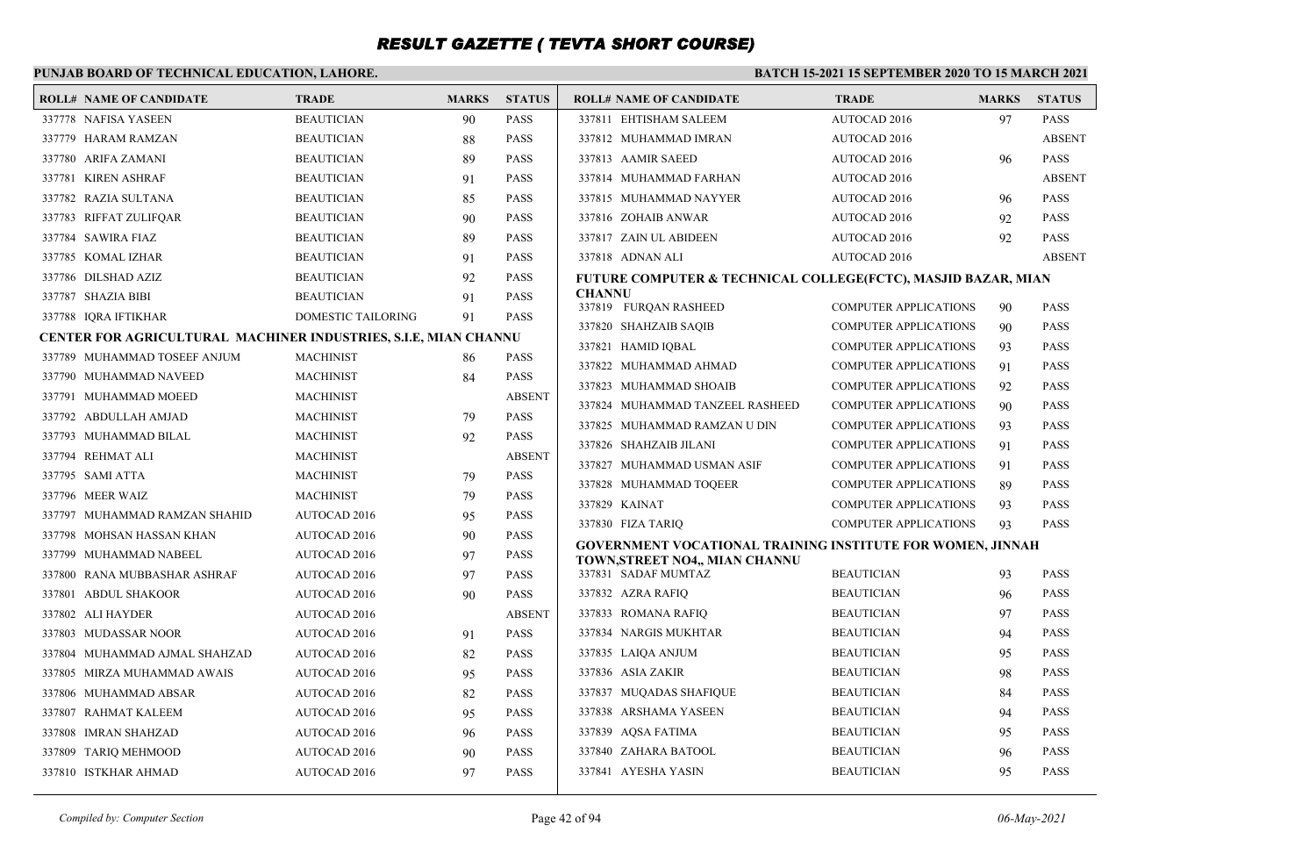| PUNJAB BOARD OF TECHNICAL EDUCATION, LAHORE.                    |                     |              |               | <b>BATCH 15-2021 15 SEPTEMBER 2020 TO 15 MARCH 2021</b>                                            |                              |              |                            |
|-----------------------------------------------------------------|---------------------|--------------|---------------|----------------------------------------------------------------------------------------------------|------------------------------|--------------|----------------------------|
| <b>ROLL# NAME OF CANDIDATE</b>                                  | <b>TRADE</b>        | <b>MARKS</b> | <b>STATUS</b> | <b>ROLL# NAME OF CANDIDATE</b>                                                                     | <b>TRADE</b>                 | <b>MARKS</b> | <b>STATUS</b>              |
| 337778 NAFISA YASEEN                                            | <b>BEAUTICIAN</b>   | 90           | <b>PASS</b>   | 337811 EHTISHAM SALEEM                                                                             | AUTOCAD 2016                 | 97           | <b>PASS</b>                |
| 337779 HARAM RAMZAN                                             | <b>BEAUTICIAN</b>   | 88           | <b>PASS</b>   | 337812 MUHAMMAD IMRAN                                                                              | <b>AUTOCAD 2016</b>          |              | <b>ABSENT</b>              |
| 337780 ARIFA ZAMANI                                             | <b>BEAUTICIAN</b>   | 89           | <b>PASS</b>   | 337813 AAMIR SAEED                                                                                 | AUTOCAD 2016                 | 96           | <b>PASS</b>                |
| 337781 KIREN ASHRAF                                             | <b>BEAUTICIAN</b>   | 91           | <b>PASS</b>   | 337814 MUHAMMAD FARHAN                                                                             | <b>AUTOCAD 2016</b>          |              | <b>ABSENT</b>              |
| 337782 RAZIA SULTANA                                            | <b>BEAUTICIAN</b>   | 85           | <b>PASS</b>   | 337815 MUHAMMAD NAYYER                                                                             | AUTOCAD 2016                 | 96           | <b>PASS</b>                |
| 337783 RIFFAT ZULIFOAR                                          | <b>BEAUTICIAN</b>   | 90           | <b>PASS</b>   | 337816 ZOHAIB ANWAR                                                                                | AUTOCAD 2016                 | 92           | <b>PASS</b>                |
| 337784 SAWIRA FIAZ                                              | <b>BEAUTICIAN</b>   | 89           | <b>PASS</b>   | 337817 ZAIN UL ABIDEEN                                                                             | AUTOCAD 2016                 | 92           | PASS                       |
| 337785 KOMAL IZHAR                                              | <b>BEAUTICIAN</b>   | 91           | <b>PASS</b>   | 337818 ADNAN ALI                                                                                   | AUTOCAD 2016                 |              | <b>ABSENT</b>              |
| 337786 DILSHAD AZIZ                                             | <b>BEAUTICIAN</b>   | 92           | <b>PASS</b>   | FUTURE COMPUTER & TECHNICAL COLLEGE(FCTC), MASJID BAZAR, MIAN                                      |                              |              |                            |
| 337787 SHAZIA BIBI                                              | <b>BEAUTICIAN</b>   | 91           | <b>PASS</b>   | <b>CHANNU</b><br>337819 FURQAN RASHEED                                                             | <b>COMPUTER APPLICATIONS</b> | 90           | <b>PASS</b>                |
| 337788 IQRA IFTIKHAR                                            | DOMESTIC TAILORING  | 91           | <b>PASS</b>   | 337820 SHAHZAIB SAQIB                                                                              | <b>COMPUTER APPLICATIONS</b> |              |                            |
| CENTER FOR AGRICULTURAL MACHINER INDUSTRIES, S.I.E, MIAN CHANNU |                     |              |               | 337821 HAMID IQBAL                                                                                 | <b>COMPUTER APPLICATIONS</b> | 90<br>93     | <b>PASS</b><br><b>PASS</b> |
| 337789 MUHAMMAD TOSEEF ANJUM                                    | <b>MACHINIST</b>    | 86           | <b>PASS</b>   | 337822 MUHAMMAD AHMAD                                                                              | <b>COMPUTER APPLICATIONS</b> | 91           | <b>PASS</b>                |
| 337790 MUHAMMAD NAVEED                                          | <b>MACHINIST</b>    | 84           | <b>PASS</b>   | 337823 MUHAMMAD SHOAIB                                                                             | <b>COMPUTER APPLICATIONS</b> | 92           | <b>PASS</b>                |
| 337791 MUHAMMAD MOEED                                           | <b>MACHINIST</b>    |              | <b>ABSENT</b> | 337824 MUHAMMAD TANZEEL RASHEED                                                                    | <b>COMPUTER APPLICATIONS</b> | 90           | <b>PASS</b>                |
| 337792 ABDULLAH AMJAD                                           | <b>MACHINIST</b>    | 79           | <b>PASS</b>   | 337825 MUHAMMAD RAMZAN U DIN                                                                       | COMPUTER APPLICATIONS        | 93           | <b>PASS</b>                |
| 337793 MUHAMMAD BILAL                                           | <b>MACHINIST</b>    | 92           | <b>PASS</b>   | 337826 SHAHZAIB JILANI                                                                             | <b>COMPUTER APPLICATIONS</b> | 91           | <b>PASS</b>                |
| 337794 REHMAT ALI                                               | <b>MACHINIST</b>    |              | <b>ABSENT</b> | 337827 MUHAMMAD USMAN ASIF                                                                         | <b>COMPUTER APPLICATIONS</b> | 91           | <b>PASS</b>                |
| 337795 SAMI ATTA                                                | <b>MACHINIST</b>    | 79           | <b>PASS</b>   | 337828 MUHAMMAD TOOEER                                                                             | <b>COMPUTER APPLICATIONS</b> | 89           | <b>PASS</b>                |
| 337796 MEER WAIZ                                                | <b>MACHINIST</b>    | 79           | <b>PASS</b>   | 337829 KAINAT                                                                                      | <b>COMPUTER APPLICATIONS</b> | 93           | <b>PASS</b>                |
| 337797 MUHAMMAD RAMZAN SHAHID                                   | AUTOCAD 2016        | 95           | <b>PASS</b>   | 337830 FIZA TARIQ                                                                                  | <b>COMPUTER APPLICATIONS</b> | 93           | <b>PASS</b>                |
| 337798 MOHSAN HASSAN KHAN                                       | AUTOCAD 2016        | 90           | <b>PASS</b>   |                                                                                                    |                              |              |                            |
| 337799 MUHAMMAD NABEEL                                          | <b>AUTOCAD 2016</b> | 97           | <b>PASS</b>   | <b>GOVERNMENT VOCATIONAL TRAINING INSTITUTE FOR WOMEN, JINNAH</b><br>TOWN,STREET NO4., MIAN CHANNU |                              |              |                            |
| 337800 RANA MUBBASHAR ASHRAF                                    | <b>AUTOCAD 2016</b> | 97           | <b>PASS</b>   | 337831 SADAF MUMTAZ                                                                                | <b>BEAUTICIAN</b>            | 93           | <b>PASS</b>                |
| 337801 ABDUL SHAKOOR                                            | AUTOCAD 2016        | 90           | <b>PASS</b>   | 337832 AZRA RAFIQ                                                                                  | <b>BEAUTICIAN</b>            | 96           | <b>PASS</b>                |
| 337802 ALI HAYDER                                               | <b>AUTOCAD 2016</b> |              | <b>ABSENT</b> | 337833 ROMANA RAFIQ                                                                                | <b>BEAUTICIAN</b>            | 97           | <b>PASS</b>                |
| 337803 MUDASSAR NOOR                                            | <b>AUTOCAD 2016</b> | 91           | <b>PASS</b>   | 337834 NARGIS MUKHTAR                                                                              | <b>BEAUTICIAN</b>            | 94           | <b>PASS</b>                |
| 337804 MUHAMMAD AJMAL SHAHZAD                                   | AUTOCAD 2016        | 82           | <b>PASS</b>   | 337835 LAIQA ANJUM                                                                                 | <b>BEAUTICIAN</b>            | 95           | <b>PASS</b>                |
| 337805 MIRZA MUHAMMAD AWAIS                                     | <b>AUTOCAD 2016</b> | 95           | <b>PASS</b>   | 337836 ASIA ZAKIR                                                                                  | <b>BEAUTICIAN</b>            | 98           | <b>PASS</b>                |
| 337806 MUHAMMAD ABSAR                                           | AUTOCAD 2016        | 82           | <b>PASS</b>   | 337837 MUQADAS SHAFIQUE                                                                            | <b>BEAUTICIAN</b>            | 84           | <b>PASS</b>                |
| 337807 RAHMAT KALEEM                                            | AUTOCAD 2016        | 95           | <b>PASS</b>   | 337838 ARSHAMA YASEEN                                                                              | <b>BEAUTICIAN</b>            | 94           | <b>PASS</b>                |
| 337808 IMRAN SHAHZAD                                            | <b>AUTOCAD 2016</b> | 96           | <b>PASS</b>   | 337839 AQSA FATIMA                                                                                 | <b>BEAUTICIAN</b>            | 95           | <b>PASS</b>                |
| 337809 TARIQ MEHMOOD                                            | <b>AUTOCAD 2016</b> | 90           | <b>PASS</b>   | 337840 ZAHARA BATOOL                                                                               | <b>BEAUTICIAN</b>            | 96           | PASS                       |
| 337810 ISTKHAR AHMAD                                            | <b>AUTOCAD 2016</b> | 97           | <b>PASS</b>   | 337841 AYESHA YASIN                                                                                | <b>BEAUTICIAN</b>            | 95           | <b>PASS</b>                |
|                                                                 |                     |              |               |                                                                                                    |                              |              |                            |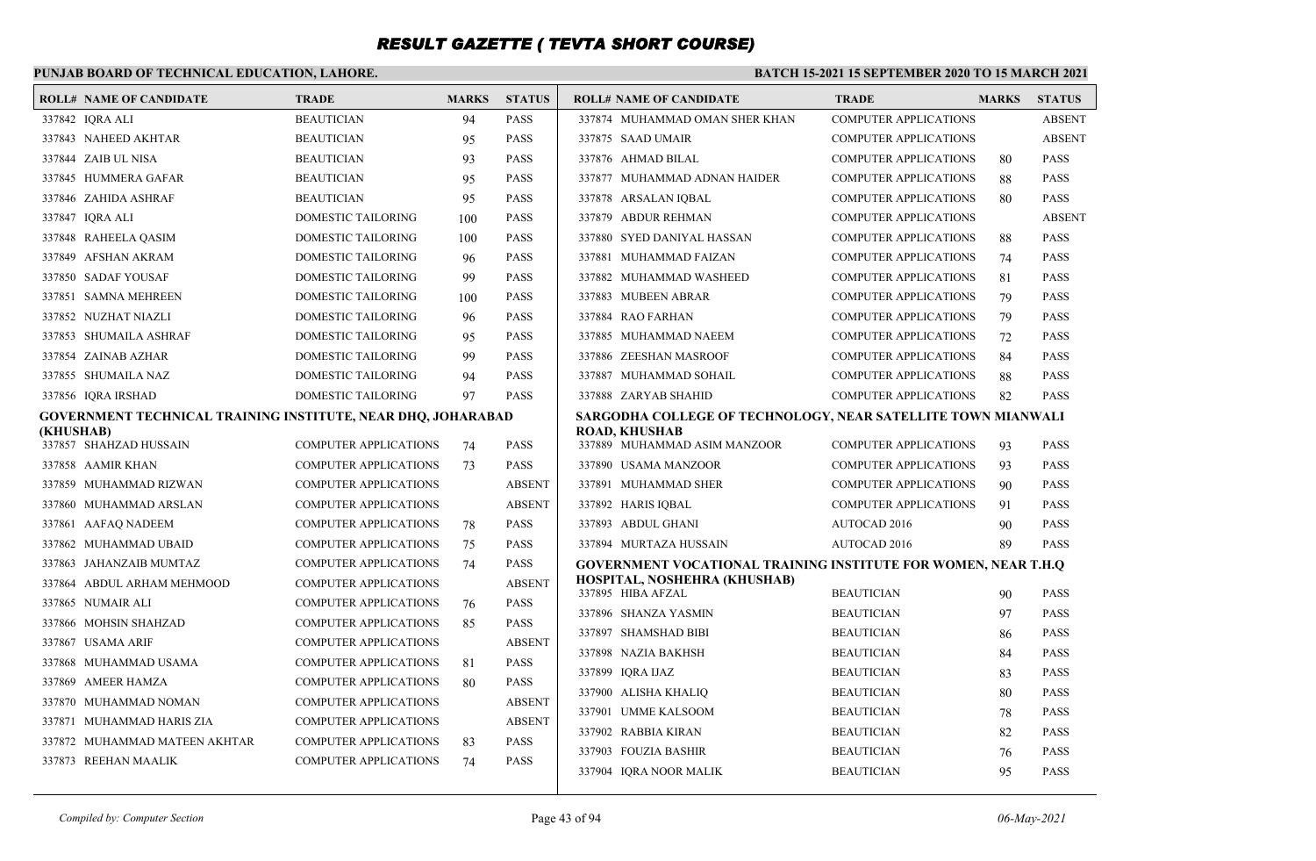### **PUNJAB BOARD OF TECHNICAL EDUCATION, LAHORE.**

|           | <b>ROLL# NAME OF CANDIDATE</b>                               | <b>TRADE</b>                 | <b>MARKS</b> | <b>STATUS</b> | <b>ROLL# NAME OF CANDIDATE</b>                                 | <b>TRADE</b>                 | <b>MARKS</b> | <b>STATUS</b> |
|-----------|--------------------------------------------------------------|------------------------------|--------------|---------------|----------------------------------------------------------------|------------------------------|--------------|---------------|
|           | 337842 IORA ALI                                              | <b>BEAUTICIAN</b>            | 94           | <b>PASS</b>   | 337874 MUHAMMAD OMAN SHER KHAN                                 | <b>COMPUTER APPLICATIONS</b> |              | <b>ABSENT</b> |
|           | 337843 NAHEED AKHTAR                                         | <b>BEAUTICIAN</b>            | 95           | <b>PASS</b>   | 337875 SAAD UMAIR                                              | <b>COMPUTER APPLICATIONS</b> |              | <b>ABSENT</b> |
|           | 337844 ZAIB UL NISA                                          | <b>BEAUTICIAN</b>            | 93           | <b>PASS</b>   | 337876 AHMAD BILAL                                             | <b>COMPUTER APPLICATIONS</b> | 80           | <b>PASS</b>   |
|           | 337845 HUMMERA GAFAR                                         | <b>BEAUTICIAN</b>            | 95           | <b>PASS</b>   | 337877 MUHAMMAD ADNAN HAIDER                                   | <b>COMPUTER APPLICATIONS</b> | 88           | <b>PASS</b>   |
|           | 337846 ZAHIDA ASHRAF                                         | <b>BEAUTICIAN</b>            | 95           | <b>PASS</b>   | 337878 ARSALAN IQBAL                                           | <b>COMPUTER APPLICATIONS</b> | 80           | <b>PASS</b>   |
|           | 337847 IQRA ALI                                              | DOMESTIC TAILORING           | 100          | <b>PASS</b>   | 337879 ABDUR REHMAN                                            | <b>COMPUTER APPLICATIONS</b> |              | <b>ABSENT</b> |
|           | 337848 RAHEELA QASIM                                         | DOMESTIC TAILORING           | 100          | <b>PASS</b>   | 337880 SYED DANIYAL HASSAN                                     | <b>COMPUTER APPLICATIONS</b> | 88           | <b>PASS</b>   |
|           | 337849 AFSHAN AKRAM                                          | DOMESTIC TAILORING           | 96           | <b>PASS</b>   | 337881 MUHAMMAD FAIZAN                                         | <b>COMPUTER APPLICATIONS</b> | 74           | <b>PASS</b>   |
|           | 337850 SADAF YOUSAF                                          | DOMESTIC TAILORING           | 99           | <b>PASS</b>   | 337882 MUHAMMAD WASHEED                                        | <b>COMPUTER APPLICATIONS</b> | 81           | <b>PASS</b>   |
|           | 337851 SAMNA MEHREEN                                         | DOMESTIC TAILORING           | 100          | <b>PASS</b>   | 337883 MUBEEN ABRAR                                            | <b>COMPUTER APPLICATIONS</b> | 79           | <b>PASS</b>   |
|           | 337852 NUZHAT NIAZLI                                         | <b>DOMESTIC TAILORING</b>    | 96           | <b>PASS</b>   | 337884 RAO FARHAN                                              | <b>COMPUTER APPLICATIONS</b> | 79           | <b>PASS</b>   |
|           | 337853 SHUMAILA ASHRAF                                       | DOMESTIC TAILORING           | 95           | <b>PASS</b>   | 337885 MUHAMMAD NAEEM                                          | <b>COMPUTER APPLICATIONS</b> | 72           | <b>PASS</b>   |
|           | 337854 ZAINAB AZHAR                                          | DOMESTIC TAILORING           | 99           | <b>PASS</b>   | 337886 ZEESHAN MASROOF                                         | <b>COMPUTER APPLICATIONS</b> | 84           | <b>PASS</b>   |
|           | 337855 SHUMAILA NAZ                                          | DOMESTIC TAILORING           | 94           | <b>PASS</b>   | 337887 MUHAMMAD SOHAIL                                         | COMPUTER APPLICATIONS        | 88           | <b>PASS</b>   |
|           | 337856 IORA IRSHAD                                           | DOMESTIC TAILORING           | 97           | <b>PASS</b>   | 337888 ZARYAB SHAHID                                           | <b>COMPUTER APPLICATIONS</b> | 82           | <b>PASS</b>   |
|           | GOVERNMENT TECHNICAL TRAINING INSTITUTE, NEAR DHQ, JOHARABAD |                              |              |               | SARGODHA COLLEGE OF TECHNOLOGY, NEAR SATELLITE TOWN MIANWALI   |                              |              |               |
| (KHUSHAB) | 337857 SHAHZAD HUSSAIN                                       | <b>COMPUTER APPLICATIONS</b> | 74           | <b>PASS</b>   | <b>ROAD, KHUSHAB</b><br>337889 MUHAMMAD ASIM MANZOOR           | <b>COMPUTER APPLICATIONS</b> | 93           | <b>PASS</b>   |
|           | 337858 AAMIR KHAN                                            | <b>COMPUTER APPLICATIONS</b> | 73           | <b>PASS</b>   | 337890 USAMA MANZOOR                                           | <b>COMPUTER APPLICATIONS</b> | 93           | <b>PASS</b>   |
|           | 337859 MUHAMMAD RIZWAN                                       | <b>COMPUTER APPLICATIONS</b> |              | <b>ABSENT</b> | 337891 MUHAMMAD SHER                                           | <b>COMPUTER APPLICATIONS</b> | 90           | <b>PASS</b>   |
|           | 337860 MUHAMMAD ARSLAN                                       | COMPUTER APPLICATIONS        |              | <b>ABSENT</b> | 337892 HARIS IQBAL                                             | <b>COMPUTER APPLICATIONS</b> | 91           | <b>PASS</b>   |
|           | 337861 AAFAQ NADEEM                                          | <b>COMPUTER APPLICATIONS</b> | 78           | <b>PASS</b>   | 337893 ABDUL GHANI                                             | AUTOCAD 2016                 | 90           | <b>PASS</b>   |
|           | 337862 MUHAMMAD UBAID                                        | <b>COMPUTER APPLICATIONS</b> | 75           | <b>PASS</b>   | 337894 MURTAZA HUSSAIN                                         | AUTOCAD 2016                 | 89           | <b>PASS</b>   |
|           | 337863 JAHANZAIB MUMTAZ                                      | <b>COMPUTER APPLICATIONS</b> | 74           | <b>PASS</b>   | GOVERNMENT VOCATIONAL TRAINING INSTITUTE FOR WOMEN, NEAR T.H.Q |                              |              |               |
|           | 337864 ABDUL ARHAM MEHMOOD                                   | <b>COMPUTER APPLICATIONS</b> |              | <b>ABSENT</b> | HOSPITAL, NOSHEHRA (KHUSHAB)<br>337895 HIBA AFZAL              | <b>BEAUTICIAN</b>            | 90           | <b>PASS</b>   |
|           | 337865 NUMAIR ALI                                            | <b>COMPUTER APPLICATIONS</b> | 76           | <b>PASS</b>   | 337896 SHANZA YASMIN                                           | <b>BEAUTICIAN</b>            | 97           | <b>PASS</b>   |
|           | 337866 MOHSIN SHAHZAD                                        | <b>COMPUTER APPLICATIONS</b> | 85           | <b>PASS</b>   | 337897 SHAMSHAD BIBI                                           | <b>BEAUTICIAN</b>            | 86           | <b>PASS</b>   |
|           | 337867 USAMA ARIF                                            | <b>COMPUTER APPLICATIONS</b> |              | <b>ABSENT</b> | 337898 NAZIA BAKHSH                                            | <b>BEAUTICIAN</b>            | 84           | <b>PASS</b>   |
|           | 337868 MUHAMMAD USAMA                                        | <b>COMPUTER APPLICATIONS</b> | 81           | <b>PASS</b>   | 337899 IQRA IJAZ                                               | <b>BEAUTICIAN</b>            | 83           | <b>PASS</b>   |
|           | 337869 AMEER HAMZA                                           | <b>COMPUTER APPLICATIONS</b> | 80           | <b>PASS</b>   | 337900 ALISHA KHALIQ                                           | <b>BEAUTICIAN</b>            | 80           | <b>PASS</b>   |
|           | 337870 MUHAMMAD NOMAN                                        | <b>COMPUTER APPLICATIONS</b> |              | <b>ABSENT</b> | 337901 UMME KALSOOM                                            |                              |              | <b>PASS</b>   |
|           | 337871 MUHAMMAD HARIS ZIA                                    | <b>COMPUTER APPLICATIONS</b> |              | <b>ABSENT</b> |                                                                | <b>BEAUTICIAN</b>            | 78           |               |
|           | 337872 MUHAMMAD MATEEN AKHTAR                                | <b>COMPUTER APPLICATIONS</b> | 83           | <b>PASS</b>   | 337902 RABBIA KIRAN                                            | <b>BEAUTICIAN</b>            | 82           | <b>PASS</b>   |
|           | 337873 REEHAN MAALIK                                         | <b>COMPUTER APPLICATIONS</b> | 74           | <b>PASS</b>   | 337903 FOUZIA BASHIR                                           | <b>BEAUTICIAN</b>            | 76           | <b>PASS</b>   |
|           |                                                              |                              |              |               | 337904 IORA NOOR MALIK                                         | <b>BEAUTICIAN</b>            | 95           | <b>PASS</b>   |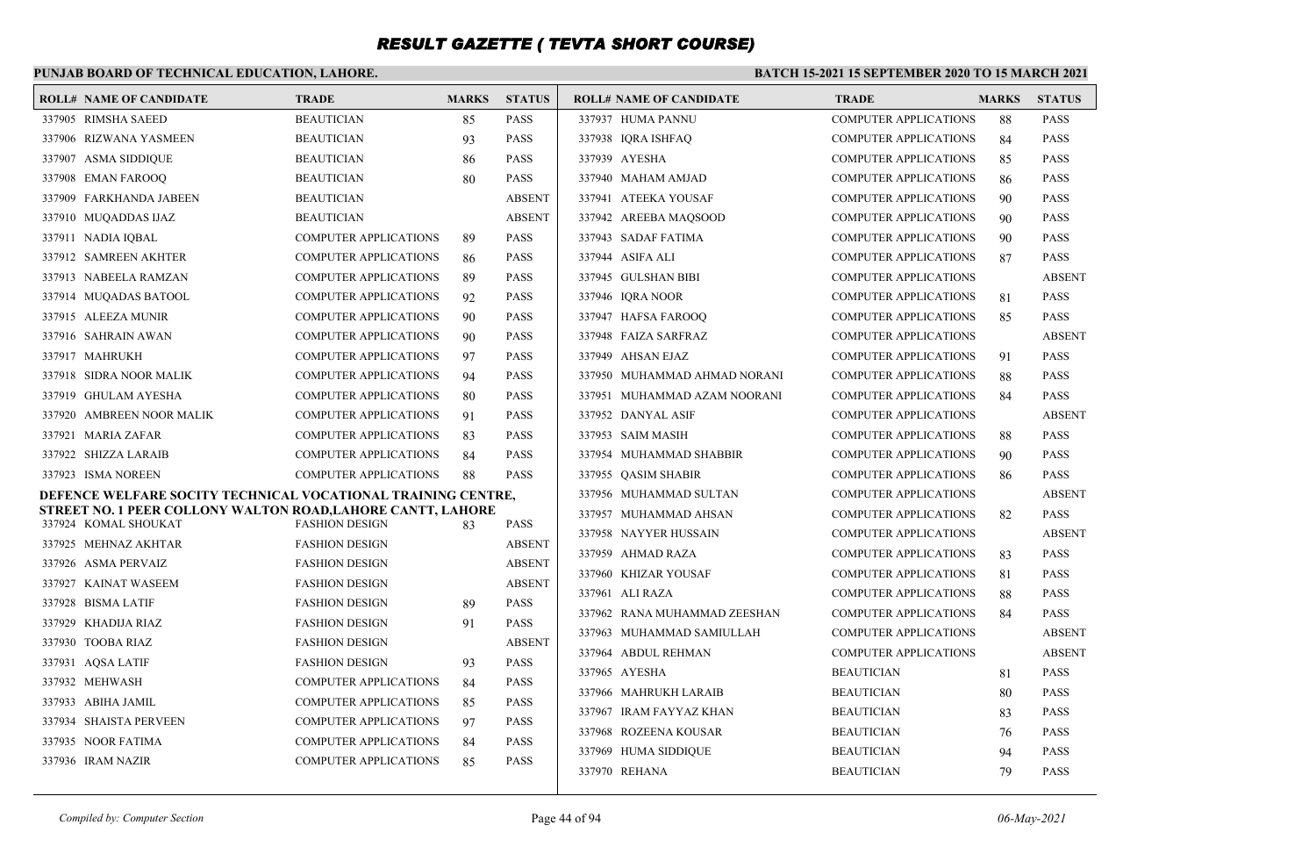### **PUNJAB BOARD OF TECHNICAL EDUCATION, LAHORE.**

| <b>ROLL# NAME OF CANDIDATE</b>                                                      | <b>TRADE</b>                                                 | <b>MARKS</b> | <b>STATUS</b> | <b>ROLL# NAME OF CANDIDATE</b> | <b>TRADE</b>                 | <b>MARKS</b> | <b>STATUS</b> |
|-------------------------------------------------------------------------------------|--------------------------------------------------------------|--------------|---------------|--------------------------------|------------------------------|--------------|---------------|
| 337905 RIMSHA SAEED                                                                 | <b>BEAUTICIAN</b>                                            | 85           | <b>PASS</b>   | 337937 HUMA PANNU              | <b>COMPUTER APPLICATIONS</b> | 88           | <b>PASS</b>   |
| 337906 RIZWANA YASMEEN                                                              | <b>BEAUTICIAN</b>                                            | 93           | <b>PASS</b>   | 337938 IQRA ISHFAQ             | <b>COMPUTER APPLICATIONS</b> | 84           | <b>PASS</b>   |
| 337907 ASMA SIDDIQUE                                                                | <b>BEAUTICIAN</b>                                            | 86           | <b>PASS</b>   | 337939 AYESHA                  | <b>COMPUTER APPLICATIONS</b> | 85           | <b>PASS</b>   |
| 337908 EMAN FAROOQ                                                                  | <b>BEAUTICIAN</b>                                            | 80           | <b>PASS</b>   | 337940 MAHAM AMJAD             | <b>COMPUTER APPLICATIONS</b> | 86           | <b>PASS</b>   |
| 337909 FARKHANDA JABEEN                                                             | <b>BEAUTICIAN</b>                                            |              | <b>ABSENT</b> | 337941 ATEEKA YOUSAF           | <b>COMPUTER APPLICATIONS</b> | 90           | <b>PASS</b>   |
| 337910 MUQADDAS IJAZ                                                                | <b>BEAUTICIAN</b>                                            |              | <b>ABSENT</b> | 337942 AREEBA MAOSOOD          | <b>COMPUTER APPLICATIONS</b> | 90           | <b>PASS</b>   |
| 337911 NADIA IQBAL                                                                  | <b>COMPUTER APPLICATIONS</b>                                 | 89           | <b>PASS</b>   | 337943 SADAF FATIMA            | <b>COMPUTER APPLICATIONS</b> | 90           | <b>PASS</b>   |
| 337912 SAMREEN AKHTER                                                               | <b>COMPUTER APPLICATIONS</b>                                 | 86           | <b>PASS</b>   | 337944 ASIFA ALI               | <b>COMPUTER APPLICATIONS</b> | 87           | <b>PASS</b>   |
| 337913 NABEELA RAMZAN                                                               | <b>COMPUTER APPLICATIONS</b>                                 | 89           | <b>PASS</b>   | 337945 GULSHAN BIBI            | <b>COMPUTER APPLICATIONS</b> |              | <b>ABSENT</b> |
| 337914 MUQADAS BATOOL                                                               | <b>COMPUTER APPLICATIONS</b>                                 | 92           | <b>PASS</b>   | 337946 IORA NOOR               | <b>COMPUTER APPLICATIONS</b> | 81           | <b>PASS</b>   |
| 337915 ALEEZA MUNIR                                                                 | <b>COMPUTER APPLICATIONS</b>                                 | 90           | <b>PASS</b>   | 337947 HAFSA FAROOQ            | <b>COMPUTER APPLICATIONS</b> | 85           | <b>PASS</b>   |
| 337916 SAHRAIN AWAN                                                                 | <b>COMPUTER APPLICATIONS</b>                                 | 90           | <b>PASS</b>   | 337948 FAIZA SARFRAZ           | <b>COMPUTER APPLICATIONS</b> |              | <b>ABSENT</b> |
| 337917 MAHRUKH                                                                      | <b>COMPUTER APPLICATIONS</b>                                 | 97           | <b>PASS</b>   | 337949 AHSAN EJAZ              | <b>COMPUTER APPLICATIONS</b> | 91           | <b>PASS</b>   |
| 337918 SIDRA NOOR MALIK                                                             | <b>COMPUTER APPLICATIONS</b>                                 | 94           | <b>PASS</b>   | 337950 MUHAMMAD AHMAD NORANI   | <b>COMPUTER APPLICATIONS</b> | 88           | <b>PASS</b>   |
| 337919 GHULAM AYESHA                                                                | <b>COMPUTER APPLICATIONS</b>                                 | 80           | <b>PASS</b>   | 337951 MUHAMMAD AZAM NOORANI   | <b>COMPUTER APPLICATIONS</b> | 84           | <b>PASS</b>   |
| 337920 AMBREEN NOOR MALIK                                                           | <b>COMPUTER APPLICATIONS</b>                                 | 91           | <b>PASS</b>   | 337952 DANYAL ASIF             | <b>COMPUTER APPLICATIONS</b> |              | <b>ABSENT</b> |
| 337921 MARIA ZAFAR                                                                  | <b>COMPUTER APPLICATIONS</b>                                 | 83           | <b>PASS</b>   | 337953 SAIM MASIH              | <b>COMPUTER APPLICATIONS</b> | 88           | <b>PASS</b>   |
| 337922 SHIZZA LARAIB                                                                | <b>COMPUTER APPLICATIONS</b>                                 | 84           | <b>PASS</b>   | 337954 MUHAMMAD SHABBIR        | <b>COMPUTER APPLICATIONS</b> | 90           | <b>PASS</b>   |
| 337923 ISMA NOREEN                                                                  | <b>COMPUTER APPLICATIONS</b>                                 | 88           | <b>PASS</b>   | 337955 QASIM SHABIR            | <b>COMPUTER APPLICATIONS</b> | 86           | <b>PASS</b>   |
| DEFENCE WELFARE SOCITY TECHNICAL VOCATIONAL TRAINING CENTRE,                        |                                                              |              |               | 337956 MUHAMMAD SULTAN         | <b>COMPUTER APPLICATIONS</b> |              | <b>ABSENT</b> |
| STREET NO. 1 PEER COLLONY WALTON ROAD, LAHORE CANTT, LAHORE<br>337924 KOMAL SHOUKAT | <b>FASHION DESIGN</b>                                        |              | <b>PASS</b>   | 337957 MUHAMMAD AHSAN          | <b>COMPUTER APPLICATIONS</b> | 82           | <b>PASS</b>   |
| 337925 MEHNAZ AKHTAR                                                                | <b>FASHION DESIGN</b>                                        | 83           | <b>ABSENT</b> | 337958 NAYYER HUSSAIN          | <b>COMPUTER APPLICATIONS</b> |              | <b>ABSENT</b> |
| 337926 ASMA PERVAIZ                                                                 | <b>FASHION DESIGN</b>                                        |              | <b>ABSENT</b> | 337959 AHMAD RAZA              | <b>COMPUTER APPLICATIONS</b> | 83           | <b>PASS</b>   |
| 337927 KAINAT WASEEM                                                                | <b>FASHION DESIGN</b>                                        |              | <b>ABSENT</b> | 337960 KHIZAR YOUSAF           | <b>COMPUTER APPLICATIONS</b> | 81           | <b>PASS</b>   |
| 337928 BISMA LATIF                                                                  | <b>FASHION DESIGN</b>                                        | 89           | <b>PASS</b>   | 337961 ALI RAZA                | <b>COMPUTER APPLICATIONS</b> | 88           | <b>PASS</b>   |
| 337929 KHADIJA RIAZ                                                                 | <b>FASHION DESIGN</b>                                        | 91           | <b>PASS</b>   | 337962 RANA MUHAMMAD ZEESHAN   | <b>COMPUTER APPLICATIONS</b> | 84           | <b>PASS</b>   |
| 337930 TOOBA RIAZ                                                                   | <b>FASHION DESIGN</b>                                        |              | <b>ABSENT</b> | 337963 MUHAMMAD SAMIULLAH      | <b>COMPUTER APPLICATIONS</b> |              | <b>ABSENT</b> |
|                                                                                     | <b>FASHION DESIGN</b>                                        |              | <b>PASS</b>   | 337964 ABDUL REHMAN            | <b>COMPUTER APPLICATIONS</b> |              | <b>ABSENT</b> |
| 337931 AQSA LATIF<br>337932 MEHWASH                                                 | <b>COMPUTER APPLICATIONS</b>                                 | 93           | <b>PASS</b>   | 337965 AYESHA                  | <b>BEAUTICIAN</b>            | 81           | <b>PASS</b>   |
|                                                                                     |                                                              | 84           | <b>PASS</b>   | 337966 MAHRUKH LARAIB          | <b>BEAUTICIAN</b>            | 80           | <b>PASS</b>   |
| 337933 ABIHA JAMIL<br>337934 SHAISTA PERVEEN                                        | <b>COMPUTER APPLICATIONS</b><br><b>COMPUTER APPLICATIONS</b> | 85           | <b>PASS</b>   | 337967 IRAM FAYYAZ KHAN        | <b>BEAUTICIAN</b>            | 83           | <b>PASS</b>   |
| 337935 NOOR FATIMA                                                                  | <b>COMPUTER APPLICATIONS</b>                                 | 97           | <b>PASS</b>   | 337968 ROZEENA KOUSAR          | <b>BEAUTICIAN</b>            | 76           | <b>PASS</b>   |
| 337936 IRAM NAZIR                                                                   | <b>COMPUTER APPLICATIONS</b>                                 | 84<br>85     | <b>PASS</b>   | 337969 HUMA SIDDIQUE           | <b>BEAUTICIAN</b>            | 94           | <b>PASS</b>   |
|                                                                                     |                                                              |              |               | 337970 REHANA                  | <b>BEAUTICIAN</b>            | 79           | <b>PASS</b>   |
|                                                                                     |                                                              |              |               |                                |                              |              |               |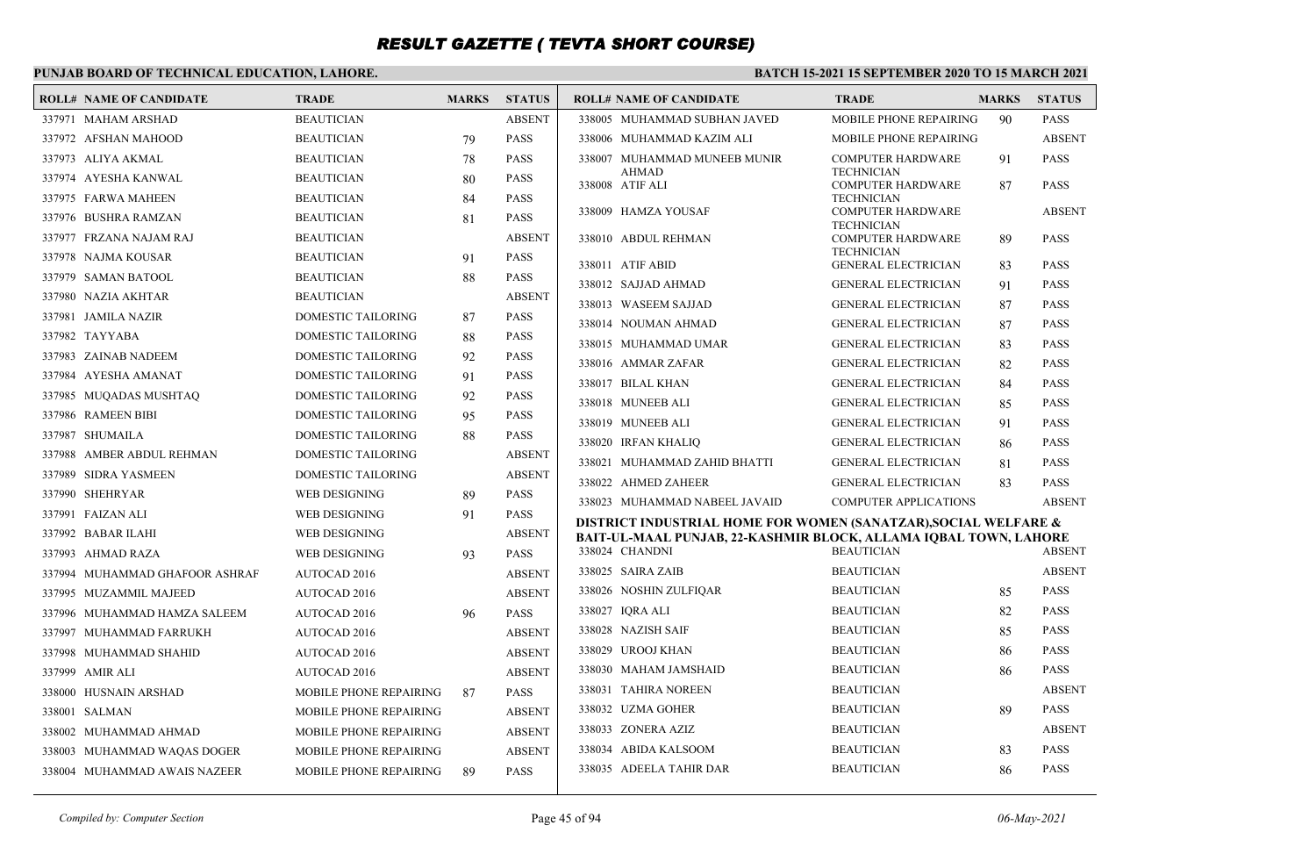### **PUNJAB BOARD OF TECHNICAL EDUCATION, LAHORE.**

| <b>ROLL# NAME OF CANDIDATE</b> | <b>TRADE</b>              | <b>MARKS</b> | <b>STATUS</b> | <b>ROLL# NAME OF CANDIDATE</b>                                   | <b>TRADE</b>                                    | <b>MARKS</b> | <b>STATUS</b> |
|--------------------------------|---------------------------|--------------|---------------|------------------------------------------------------------------|-------------------------------------------------|--------------|---------------|
| 337971 MAHAM ARSHAD            | <b>BEAUTICIAN</b>         |              | <b>ABSENT</b> | 338005 MUHAMMAD SUBHAN JAVED                                     | MOBILE PHONE REPAIRING                          | 90           | <b>PASS</b>   |
| 337972 AFSHAN MAHOOD           | <b>BEAUTICIAN</b>         | 79           | <b>PASS</b>   | 338006 MUHAMMAD KAZIM ALI                                        | MOBILE PHONE REPAIRING                          |              | <b>ABSENT</b> |
| 337973 ALIYA AKMAL             | <b>BEAUTICIAN</b>         | 78           | <b>PASS</b>   | 338007 MUHAMMAD MUNEEB MUNIR                                     | <b>COMPUTER HARDWARE</b>                        | 91           | <b>PASS</b>   |
| 337974 AYESHA KANWAL           | <b>BEAUTICIAN</b>         | 80           | <b>PASS</b>   | <b>AHMAD</b><br>338008 ATIF ALI                                  | <b>TECHNICIAN</b><br><b>COMPUTER HARDWARE</b>   | 87           | <b>PASS</b>   |
| 337975 FARWA MAHEEN            | <b>BEAUTICIAN</b>         | 84           | <b>PASS</b>   |                                                                  | <b>TECHNICIAN</b>                               |              |               |
| 337976 BUSHRA RAMZAN           | <b>BEAUTICIAN</b>         | 81           | <b>PASS</b>   | 338009 HAMZA YOUSAF                                              | <b>COMPUTER HARDWARE</b><br><b>TECHNICIAN</b>   |              | <b>ABSENT</b> |
| 337977 FRZANA NAJAM RAJ        | <b>BEAUTICIAN</b>         |              | <b>ABSENT</b> | 338010 ABDUL REHMAN                                              | <b>COMPUTER HARDWARE</b>                        | 89           | <b>PASS</b>   |
| 337978 NAJMA KOUSAR            | <b>BEAUTICIAN</b>         | 91           | <b>PASS</b>   | 338011 ATIF ABID                                                 | <b>TECHNICIAN</b><br><b>GENERAL ELECTRICIAN</b> | 83           | <b>PASS</b>   |
| 337979 SAMAN BATOOL            | <b>BEAUTICIAN</b>         | 88           | <b>PASS</b>   | 338012 SAJJAD AHMAD                                              | <b>GENERAL ELECTRICIAN</b>                      | 91           | <b>PASS</b>   |
| 337980 NAZIA AKHTAR            | <b>BEAUTICIAN</b>         |              | <b>ABSENT</b> | 338013 WASEEM SAJJAD                                             | <b>GENERAL ELECTRICIAN</b>                      | 87           | <b>PASS</b>   |
| 337981 JAMILA NAZIR            | <b>DOMESTIC TAILORING</b> | 87           | <b>PASS</b>   | 338014 NOUMAN AHMAD                                              | <b>GENERAL ELECTRICIAN</b>                      | 87           | <b>PASS</b>   |
| 337982 TAYYABA                 | <b>DOMESTIC TAILORING</b> | 88           | <b>PASS</b>   | 338015 MUHAMMAD UMAR                                             | <b>GENERAL ELECTRICIAN</b>                      | 83           | <b>PASS</b>   |
| 337983 ZAINAB NADEEM           | <b>DOMESTIC TAILORING</b> | 92           | <b>PASS</b>   | 338016 AMMAR ZAFAR                                               | <b>GENERAL ELECTRICIAN</b>                      | 82           | <b>PASS</b>   |
| 337984 AYESHA AMANAT           | <b>DOMESTIC TAILORING</b> | 91           | <b>PASS</b>   | 338017 BILAL KHAN                                                | <b>GENERAL ELECTRICIAN</b>                      | 84           | <b>PASS</b>   |
| 337985 MUQADAS MUSHTAQ         | <b>DOMESTIC TAILORING</b> | 92           | <b>PASS</b>   | 338018 MUNEEB ALI                                                | <b>GENERAL ELECTRICIAN</b>                      | 85           | <b>PASS</b>   |
| 337986 RAMEEN BIBI             | DOMESTIC TAILORING        | 95           | <b>PASS</b>   | 338019 MUNEEB ALI                                                | <b>GENERAL ELECTRICIAN</b>                      | 91           | <b>PASS</b>   |
| 337987 SHUMAILA                | <b>DOMESTIC TAILORING</b> | 88           | <b>PASS</b>   | 338020 IRFAN KHALIO                                              | <b>GENERAL ELECTRICIAN</b>                      | 86           | <b>PASS</b>   |
| 337988 AMBER ABDUL REHMAN      | DOMESTIC TAILORING        |              | <b>ABSENT</b> | 338021 MUHAMMAD ZAHID BHATTI                                     | <b>GENERAL ELECTRICIAN</b>                      | 81           | <b>PASS</b>   |
| 337989 SIDRA YASMEEN           | <b>DOMESTIC TAILORING</b> |              | <b>ABSENT</b> | 338022 AHMED ZAHEER                                              | <b>GENERAL ELECTRICIAN</b>                      | 83           | <b>PASS</b>   |
| 337990 SHEHRYAR                | <b>WEB DESIGNING</b>      | 89           | <b>PASS</b>   | 338023 MUHAMMAD NABEEL JAVAID                                    | <b>COMPUTER APPLICATIONS</b>                    |              | <b>ABSENT</b> |
| 337991 FAIZAN ALI              | <b>WEB DESIGNING</b>      | 91           | <b>PASS</b>   | DISTRICT INDUSTRIAL HOME FOR WOMEN (SANATZAR), SOCIAL WELFARE &  |                                                 |              |               |
| 337992 BABAR ILAHI             | <b>WEB DESIGNING</b>      |              | <b>ABSENT</b> | BAIT-UL-MAAL PUNJAB, 22-KASHMIR BLOCK, ALLAMA IQBAL TOWN, LAHORE |                                                 |              |               |
| 337993 AHMAD RAZA              | WEB DESIGNING             | 93           | <b>PASS</b>   | 338024 CHANDNI                                                   | <b>BEAUTICIAN</b>                               |              | <b>ABSENT</b> |
| 337994 MUHAMMAD GHAFOOR ASHRAF | <b>AUTOCAD 2016</b>       |              | <b>ABSENT</b> | 338025 SAIRA ZAIB                                                | <b>BEAUTICIAN</b>                               |              | <b>ABSENT</b> |
| 337995 MUZAMMIL MAJEED         | AUTOCAD 2016              |              | <b>ABSENT</b> | 338026 NOSHIN ZULFIQAR                                           | <b>BEAUTICIAN</b>                               | 85           | <b>PASS</b>   |
| 337996 MUHAMMAD HAMZA SALEEM   | <b>AUTOCAD 2016</b>       | 96           | <b>PASS</b>   | 338027 IQRA ALI                                                  | <b>BEAUTICIAN</b>                               | 82           | <b>PASS</b>   |
| 337997 MUHAMMAD FARRUKH        | <b>AUTOCAD 2016</b>       |              | <b>ABSENT</b> | 338028 NAZISH SAIF                                               | <b>BEAUTICIAN</b>                               | 85           | <b>PASS</b>   |
| 337998 MUHAMMAD SHAHID         | AUTOCAD 2016              |              | <b>ABSENT</b> | 338029 UROOJ KHAN                                                | <b>BEAUTICIAN</b>                               | 86           | <b>PASS</b>   |
| 337999 AMIR ALI                | <b>AUTOCAD 2016</b>       |              | <b>ABSENT</b> | 338030 MAHAM JAMSHAID                                            | <b>BEAUTICIAN</b>                               | 86           | <b>PASS</b>   |
| 338000 HUSNAIN ARSHAD          | MOBILE PHONE REPAIRING    | 87           | <b>PASS</b>   | 338031 TAHIRA NOREEN                                             | <b>BEAUTICIAN</b>                               |              | <b>ABSENT</b> |
| 338001 SALMAN                  | MOBILE PHONE REPAIRING    |              | <b>ABSENT</b> | 338032 UZMA GOHER                                                | <b>BEAUTICIAN</b>                               | 89           | <b>PASS</b>   |
| 338002 MUHAMMAD AHMAD          | MOBILE PHONE REPAIRING    |              | <b>ABSENT</b> | 338033 ZONERA AZIZ                                               | <b>BEAUTICIAN</b>                               |              | <b>ABSENT</b> |
| 338003 MUHAMMAD WAQAS DOGER    | MOBILE PHONE REPAIRING    |              | <b>ABSENT</b> | 338034 ABIDA KALSOOM                                             | <b>BEAUTICIAN</b>                               | 83           | <b>PASS</b>   |
| 338004 MUHAMMAD AWAIS NAZEER   | MOBILE PHONE REPAIRING    | 89           | <b>PASS</b>   | 338035 ADEELA TAHIR DAR                                          | <b>BEAUTICIAN</b>                               | 86           | <b>PASS</b>   |
|                                |                           |              |               |                                                                  |                                                 |              |               |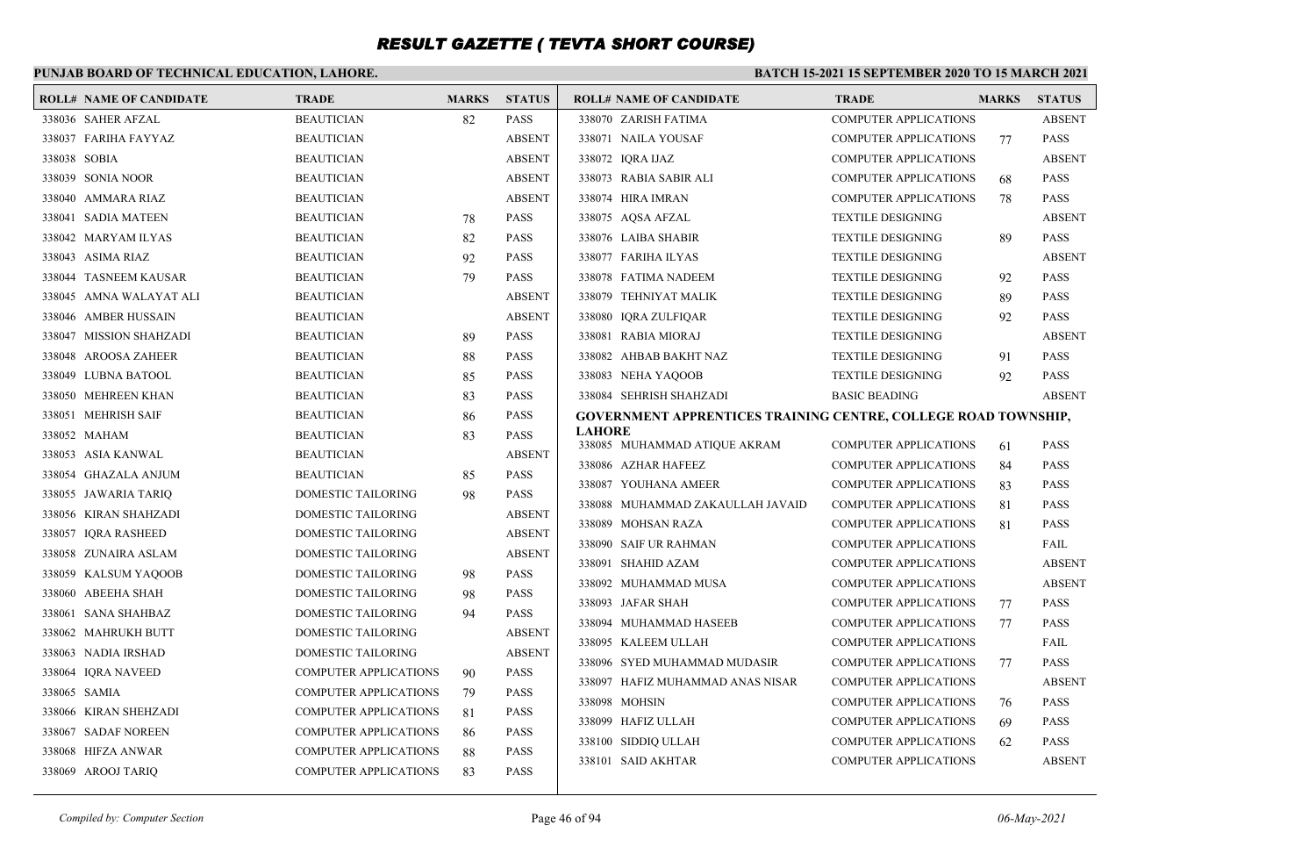### **PUNJAB BOARD OF TECHNICAL EDUCATION, LAHORE.**

|              | <b>ROLL# NAME OF CANDIDATE</b> | <b>TRADE</b>                 | <b>MARKS</b> | <b>STATUS</b> | <b>ROLL# NAME OF CANDIDATE</b>                                 | <b>TRADE</b>                 | <b>MARKS</b> | <b>STATUS</b> |
|--------------|--------------------------------|------------------------------|--------------|---------------|----------------------------------------------------------------|------------------------------|--------------|---------------|
|              | 338036 SAHER AFZAL             | <b>BEAUTICIAN</b>            | 82           | <b>PASS</b>   | 338070 ZARISH FATIMA                                           | <b>COMPUTER APPLICATIONS</b> |              | <b>ABSENT</b> |
|              | 338037 FARIHA FAYYAZ           | <b>BEAUTICIAN</b>            |              | <b>ABSENT</b> | 338071 NAILA YOUSAF                                            | <b>COMPUTER APPLICATIONS</b> | 77           | <b>PASS</b>   |
| 338038 SOBIA |                                | <b>BEAUTICIAN</b>            |              | <b>ABSENT</b> | 338072 IQRA IJAZ                                               | <b>COMPUTER APPLICATIONS</b> |              | <b>ABSENT</b> |
|              | 338039 SONIA NOOR              | <b>BEAUTICIAN</b>            |              | <b>ABSENT</b> | 338073 RABIA SABIR ALI                                         | <b>COMPUTER APPLICATIONS</b> | 68           | <b>PASS</b>   |
|              | 338040 AMMARA RIAZ             | <b>BEAUTICIAN</b>            |              | <b>ABSENT</b> | 338074 HIRA IMRAN                                              | <b>COMPUTER APPLICATIONS</b> | 78           | <b>PASS</b>   |
|              | 338041 SADIA MATEEN            | <b>BEAUTICIAN</b>            | 78           | <b>PASS</b>   | 338075 AQSA AFZAL                                              | <b>TEXTILE DESIGNING</b>     |              | <b>ABSENT</b> |
|              | 338042 MARYAM ILYAS            | <b>BEAUTICIAN</b>            | 82           | <b>PASS</b>   | 338076 LAIBA SHABIR                                            | <b>TEXTILE DESIGNING</b>     | 89           | <b>PASS</b>   |
|              | 338043 ASIMA RIAZ              | <b>BEAUTICIAN</b>            | 92           | <b>PASS</b>   | 338077 FARIHA ILYAS                                            | <b>TEXTILE DESIGNING</b>     |              | <b>ABSENT</b> |
|              | 338044 TASNEEM KAUSAR          | <b>BEAUTICIAN</b>            | 79           | <b>PASS</b>   | 338078 FATIMA NADEEM                                           | <b>TEXTILE DESIGNING</b>     | 92           | <b>PASS</b>   |
|              | 338045 AMNA WALAYAT ALI        | <b>BEAUTICIAN</b>            |              | <b>ABSENT</b> | 338079 TEHNIYAT MALIK                                          | <b>TEXTILE DESIGNING</b>     | 89           | <b>PASS</b>   |
|              | 338046 AMBER HUSSAIN           | <b>BEAUTICIAN</b>            |              | <b>ABSENT</b> | 338080 IQRA ZULFIQAR                                           | <b>TEXTILE DESIGNING</b>     | 92           | <b>PASS</b>   |
|              | 338047 MISSION SHAHZADI        | <b>BEAUTICIAN</b>            | 89           | <b>PASS</b>   | 338081 RABIA MIORAJ                                            | <b>TEXTILE DESIGNING</b>     |              | <b>ABSENT</b> |
|              | 338048 AROOSA ZAHEER           | <b>BEAUTICIAN</b>            | 88           | <b>PASS</b>   | 338082 AHBAB BAKHT NAZ                                         | <b>TEXTILE DESIGNING</b>     | 91           | <b>PASS</b>   |
|              | 338049 LUBNA BATOOL            | <b>BEAUTICIAN</b>            | 85           | <b>PASS</b>   | 338083 NEHA YAQOOB                                             | <b>TEXTILE DESIGNING</b>     | 92           | <b>PASS</b>   |
|              | 338050 MEHREEN KHAN            | <b>BEAUTICIAN</b>            | 83           | <b>PASS</b>   | 338084 SEHRISH SHAHZADI                                        | <b>BASIC BEADING</b>         |              | <b>ABSENT</b> |
|              | 338051 MEHRISH SAIF            | <b>BEAUTICIAN</b>            | 86           | <b>PASS</b>   | GOVERNMENT APPRENTICES TRAINING CENTRE, COLLEGE ROAD TOWNSHIP, |                              |              |               |
|              | 338052 MAHAM                   | <b>BEAUTICIAN</b>            | 83           | <b>PASS</b>   | <b>LAHORE</b><br>338085 MUHAMMAD ATIQUE AKRAM                  | <b>COMPUTER APPLICATIONS</b> | 61           | <b>PASS</b>   |
|              | 338053 ASIA KANWAL             | <b>BEAUTICIAN</b>            |              | <b>ABSENT</b> | 338086 AZHAR HAFEEZ                                            | <b>COMPUTER APPLICATIONS</b> | 84           | <b>PASS</b>   |
|              | 338054 GHAZALA ANJUM           | <b>BEAUTICIAN</b>            | 85           | <b>PASS</b>   | 338087 YOUHANA AMEER                                           | <b>COMPUTER APPLICATIONS</b> | 83           | <b>PASS</b>   |
|              | 338055 JAWARIA TARIQ           | DOMESTIC TAILORING           | 98           | <b>PASS</b>   | 338088 MUHAMMAD ZAKAULLAH JAVAID                               | <b>COMPUTER APPLICATIONS</b> | 81           | <b>PASS</b>   |
|              | 338056 KIRAN SHAHZADI          | DOMESTIC TAILORING           |              | <b>ABSENT</b> | 338089 MOHSAN RAZA                                             | <b>COMPUTER APPLICATIONS</b> | 81           | <b>PASS</b>   |
|              | 338057 IQRA RASHEED            | DOMESTIC TAILORING           |              | <b>ABSENT</b> | 338090 SAIF UR RAHMAN                                          | <b>COMPUTER APPLICATIONS</b> |              | FAIL          |
|              | 338058 ZUNAIRA ASLAM           | DOMESTIC TAILORING           |              | <b>ABSENT</b> | 338091 SHAHID AZAM                                             | <b>COMPUTER APPLICATIONS</b> |              | <b>ABSENT</b> |
|              | 338059 KALSUM YAQOOB           | DOMESTIC TAILORING           | 98           | <b>PASS</b>   | 338092 MUHAMMAD MUSA                                           | <b>COMPUTER APPLICATIONS</b> |              | <b>ABSENT</b> |
|              | 338060 ABEEHA SHAH             | DOMESTIC TAILORING           | 98           | <b>PASS</b>   | 338093 JAFAR SHAH                                              | <b>COMPUTER APPLICATIONS</b> | 77           | <b>PASS</b>   |
|              | 338061 SANA SHAHBAZ            | DOMESTIC TAILORING           | 94           | <b>PASS</b>   | 338094 MUHAMMAD HASEEB                                         | <b>COMPUTER APPLICATIONS</b> | 77           | <b>PASS</b>   |
|              | 338062 MAHRUKH BUTT            | DOMESTIC TAILORING           |              | <b>ABSENT</b> | 338095 KALEEM ULLAH                                            | <b>COMPUTER APPLICATIONS</b> |              | FAIL          |
|              | 338063 NADIA IRSHAD            | DOMESTIC TAILORING           |              | <b>ABSENT</b> | 338096 SYED MUHAMMAD MUDASIR                                   |                              |              | <b>PASS</b>   |
|              | 338064 IQRA NAVEED             | <b>COMPUTER APPLICATIONS</b> | 90           | PASS          | 338097 HAFIZ MUHAMMAD ANAS NISAR                               | <b>COMPUTER APPLICATIONS</b> | 77           | <b>ABSENT</b> |
|              | 338065 SAMIA                   | <b>COMPUTER APPLICATIONS</b> | 79           | <b>PASS</b>   |                                                                | <b>COMPUTER APPLICATIONS</b> |              |               |
|              | 338066 KIRAN SHEHZADI          | <b>COMPUTER APPLICATIONS</b> | 81           | <b>PASS</b>   | 338098 MOHSIN                                                  | <b>COMPUTER APPLICATIONS</b> | 76           | <b>PASS</b>   |
|              | 338067 SADAF NOREEN            | <b>COMPUTER APPLICATIONS</b> | 86           | <b>PASS</b>   | 338099 HAFIZ ULLAH                                             | <b>COMPUTER APPLICATIONS</b> | 69           | <b>PASS</b>   |
|              | 338068 HIFZA ANWAR             | <b>COMPUTER APPLICATIONS</b> | 88           | <b>PASS</b>   | 338100 SIDDIQ ULLAH                                            | <b>COMPUTER APPLICATIONS</b> | 62           | <b>PASS</b>   |
|              | 338069 AROOJ TARIQ             | <b>COMPUTER APPLICATIONS</b> | 83           | <b>PASS</b>   | 338101 SAID AKHTAR                                             | <b>COMPUTER APPLICATIONS</b> |              | <b>ABSENT</b> |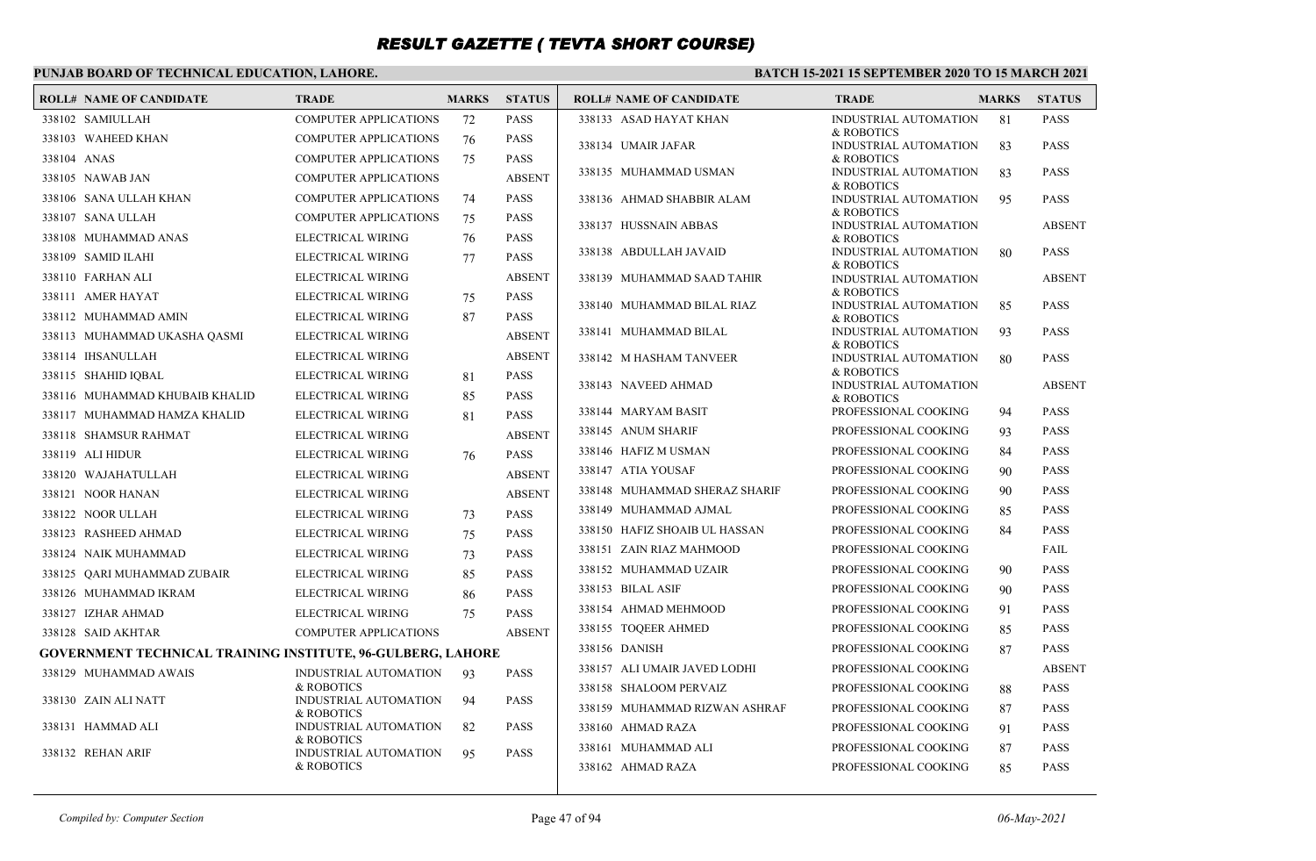### **PUNJAB BOARD OF TECHNICAL EDUCATION, LAHORE.**

| <b>ROLL# NAME OF CANDIDATE</b>                                     | <b>TRADE</b>                               | <b>MARKS</b> | <b>STATUS</b> | <b>ROLL# NAME OF CANDIDATE</b> | <b>TRADE</b>                               | <b>MARKS</b> | <b>STATUS</b> |
|--------------------------------------------------------------------|--------------------------------------------|--------------|---------------|--------------------------------|--------------------------------------------|--------------|---------------|
| 338102 SAMIULLAH                                                   | <b>COMPUTER APPLICATIONS</b>               | 72           | <b>PASS</b>   | 338133 ASAD HAYAT KHAN         | INDUSTRIAL AUTOMATION                      | 81           | <b>PASS</b>   |
| 338103 WAHEED KHAN                                                 | <b>COMPUTER APPLICATIONS</b>               | 76           | <b>PASS</b>   | 338134 UMAIR JAFAR             | & ROBOTICS<br>INDUSTRIAL AUTOMATION        | 83           | <b>PASS</b>   |
| 338104 ANAS                                                        | <b>COMPUTER APPLICATIONS</b>               | 75           | <b>PASS</b>   |                                | & ROBOTICS                                 |              |               |
| 338105 NAWAB JAN                                                   | <b>COMPUTER APPLICATIONS</b>               |              | <b>ABSENT</b> | 338135 MUHAMMAD USMAN          | INDUSTRIAL AUTOMATION<br>& ROBOTICS        | 83           | <b>PASS</b>   |
| 338106 SANA ULLAH KHAN                                             | COMPUTER APPLICATIONS                      | 74           | <b>PASS</b>   | 338136 AHMAD SHABBIR ALAM      | INDUSTRIAL AUTOMATION                      | 95           | <b>PASS</b>   |
| 338107 SANA ULLAH                                                  | <b>COMPUTER APPLICATIONS</b>               | 75           | <b>PASS</b>   | 338137 HUSSNAIN ABBAS          | & ROBOTICS<br><b>INDUSTRIAL AUTOMATION</b> |              | <b>ABSENT</b> |
| 338108 MUHAMMAD ANAS                                               | ELECTRICAL WIRING                          | 76           | <b>PASS</b>   |                                | & ROBOTICS                                 |              |               |
| 338109 SAMID ILAHI                                                 | ELECTRICAL WIRING                          | 77           | <b>PASS</b>   | 338138 ABDULLAH JAVAID         | INDUSTRIAL AUTOMATION<br>& ROBOTICS        | 80           | <b>PASS</b>   |
| 338110 FARHAN ALI                                                  | ELECTRICAL WIRING                          |              | <b>ABSENT</b> | 338139 MUHAMMAD SAAD TAHIR     | INDUSTRIAL AUTOMATION                      |              | <b>ABSENT</b> |
| 338111 AMER HAYAT                                                  | ELECTRICAL WIRING                          | 75           | <b>PASS</b>   | 338140 MUHAMMAD BILAL RIAZ     | & ROBOTICS<br>INDUSTRIAL AUTOMATION        | 85           | <b>PASS</b>   |
| 338112 MUHAMMAD AMIN                                               | ELECTRICAL WIRING                          | 87           | <b>PASS</b>   |                                | & ROBOTICS                                 |              |               |
| 338113 MUHAMMAD UKASHA QASMI                                       | ELECTRICAL WIRING                          |              | <b>ABSENT</b> | 338141 MUHAMMAD BILAL          | INDUSTRIAL AUTOMATION<br>& ROBOTICS        | 93           | <b>PASS</b>   |
| 338114 IHSANULLAH                                                  | ELECTRICAL WIRING                          |              | <b>ABSENT</b> | 338142 M HASHAM TANVEER        | INDUSTRIAL AUTOMATION                      | 80           | <b>PASS</b>   |
| 338115 SHAHID IQBAL                                                | ELECTRICAL WIRING                          | 81           | <b>PASS</b>   | 338143 NAVEED AHMAD            | & ROBOTICS<br><b>INDUSTRIAL AUTOMATION</b> |              | <b>ABSENT</b> |
| 338116 MUHAMMAD KHUBAIB KHALID                                     | ELECTRICAL WIRING                          | 85           | <b>PASS</b>   |                                | & ROBOTICS                                 |              |               |
| 338117 MUHAMMAD HAMZA KHALID                                       | ELECTRICAL WIRING                          | 81           | <b>PASS</b>   | 338144 MARYAM BASIT            | PROFESSIONAL COOKING                       | 94           | <b>PASS</b>   |
| 338118 SHAMSUR RAHMAT                                              | ELECTRICAL WIRING                          |              | <b>ABSENT</b> | 338145 ANUM SHARIF             | PROFESSIONAL COOKING                       | 93           | <b>PASS</b>   |
| 338119 ALI HIDUR                                                   | ELECTRICAL WIRING                          | 76           | <b>PASS</b>   | 338146 HAFIZ M USMAN           | PROFESSIONAL COOKING                       | 84           | <b>PASS</b>   |
| 338120 WAJAHATULLAH                                                | ELECTRICAL WIRING                          |              | <b>ABSENT</b> | 338147 ATIA YOUSAF             | PROFESSIONAL COOKING                       | 90           | <b>PASS</b>   |
| 338121 NOOR HANAN                                                  | ELECTRICAL WIRING                          |              | <b>ABSENT</b> | 338148 MUHAMMAD SHERAZ SHARIF  | PROFESSIONAL COOKING                       | 90           | <b>PASS</b>   |
| 338122 NOOR ULLAH                                                  | ELECTRICAL WIRING                          | 73           | <b>PASS</b>   | 338149 MUHAMMAD AJMAL          | PROFESSIONAL COOKING                       | 85           | <b>PASS</b>   |
| 338123 RASHEED AHMAD                                               | ELECTRICAL WIRING                          | 75           | <b>PASS</b>   | 338150 HAFIZ SHOAIB UL HASSAN  | PROFESSIONAL COOKING                       | 84           | <b>PASS</b>   |
| 338124 NAIK MUHAMMAD                                               | ELECTRICAL WIRING                          | 73           | <b>PASS</b>   | 338151 ZAIN RIAZ MAHMOOD       | PROFESSIONAL COOKING                       |              | FAIL          |
| 338125 QARI MUHAMMAD ZUBAIR                                        | ELECTRICAL WIRING                          | 85           | <b>PASS</b>   | 338152 MUHAMMAD UZAIR          | PROFESSIONAL COOKING                       | 90           | <b>PASS</b>   |
| 338126 MUHAMMAD IKRAM                                              | ELECTRICAL WIRING                          | 86           | <b>PASS</b>   | 338153 BILAL ASIF              | PROFESSIONAL COOKING                       | 90           | <b>PASS</b>   |
| 338127 IZHAR AHMAD                                                 | ELECTRICAL WIRING                          | 75           | <b>PASS</b>   | 338154 AHMAD MEHMOOD           | PROFESSIONAL COOKING                       | 91           | <b>PASS</b>   |
| 338128 SAID AKHTAR                                                 | <b>COMPUTER APPLICATIONS</b>               |              | <b>ABSENT</b> | 338155 TOOEER AHMED            | PROFESSIONAL COOKING                       | 85           | <b>PASS</b>   |
| <b>GOVERNMENT TECHNICAL TRAINING INSTITUTE, 96-GULBERG, LAHORE</b> |                                            |              |               | 338156 DANISH                  | PROFESSIONAL COOKING                       | 87           | <b>PASS</b>   |
| 338129 MUHAMMAD AWAIS                                              | INDUSTRIAL AUTOMATION                      | 93           | <b>PASS</b>   | 338157 ALI UMAIR JAVED LODHI   | PROFESSIONAL COOKING                       |              | <b>ABSENT</b> |
|                                                                    | & ROBOTICS                                 |              |               | 338158 SHALOOM PERVAIZ         | PROFESSIONAL COOKING                       | 88           | <b>PASS</b>   |
| 338130 ZAIN ALI NATT                                               | INDUSTRIAL AUTOMATION<br>& ROBOTICS        | 94           | <b>PASS</b>   | 338159 MUHAMMAD RIZWAN ASHRAF  | PROFESSIONAL COOKING                       | 87           | <b>PASS</b>   |
| 338131 HAMMAD ALI                                                  | INDUSTRIAL AUTOMATION                      | 82           | <b>PASS</b>   | 338160 AHMAD RAZA              | PROFESSIONAL COOKING                       | 91           | <b>PASS</b>   |
| 338132 REHAN ARIF                                                  | & ROBOTICS<br><b>INDUSTRIAL AUTOMATION</b> | 95           | <b>PASS</b>   | 338161 MUHAMMAD ALI            | PROFESSIONAL COOKING                       | 87           | <b>PASS</b>   |
|                                                                    | & ROBOTICS                                 |              |               | 338162 AHMAD RAZA              | PROFESSIONAL COOKING                       | 85           | <b>PASS</b>   |
|                                                                    |                                            |              |               |                                |                                            |              |               |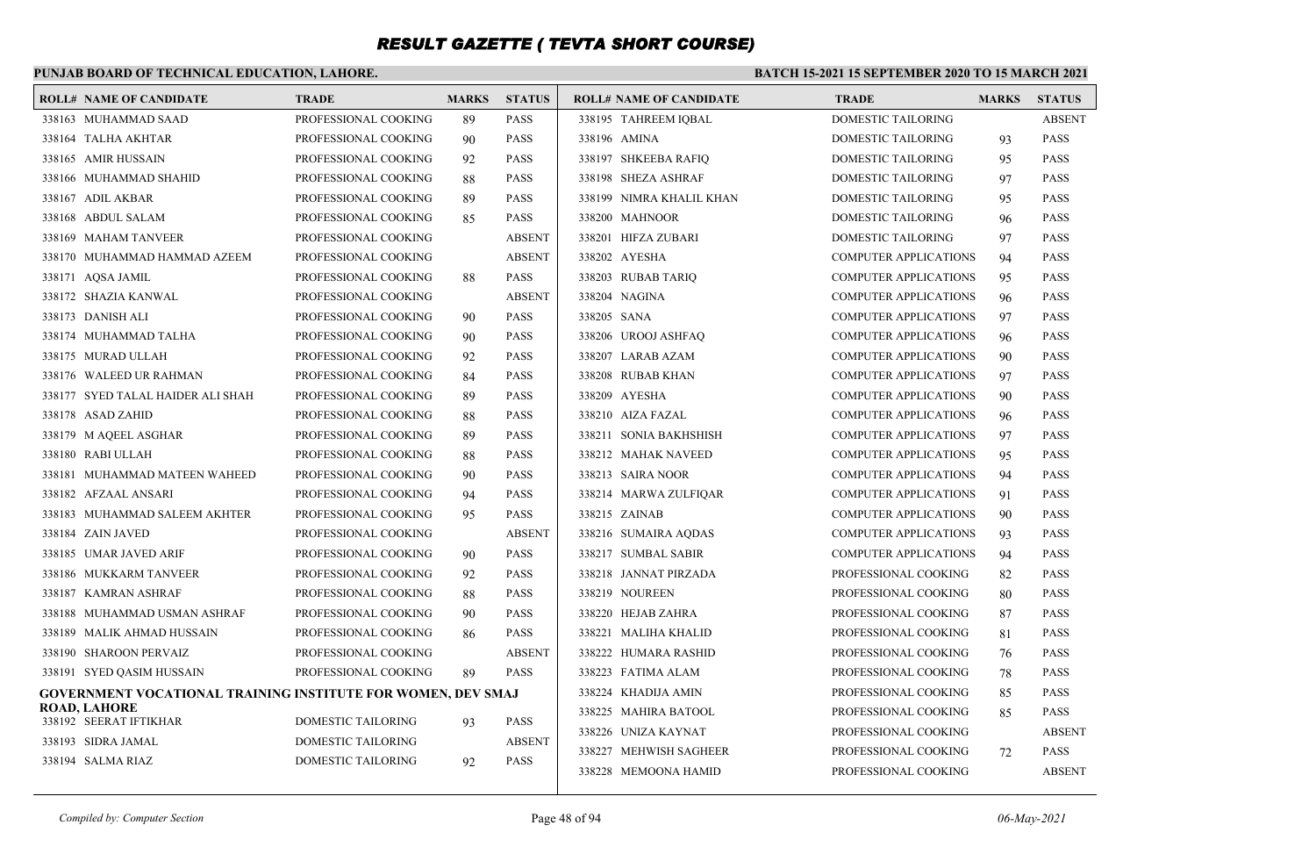### **PUNJAB BOARD OF TECHNICAL EDUCATION, LAHORE.**

| <b>ROLL# NAME OF CANDIDATE</b>                                      | <b>TRADE</b>              | <b>MARKS</b> | <b>STATUS</b> | <b>ROLL# NAME OF CANDIDATE</b> | <b>TRADE</b>                 | <b>MARKS</b> | <b>STATUS</b> |
|---------------------------------------------------------------------|---------------------------|--------------|---------------|--------------------------------|------------------------------|--------------|---------------|
| 338163 MUHAMMAD SAAD                                                | PROFESSIONAL COOKING      | 89           | <b>PASS</b>   | 338195 TAHREEM IOBAL           | DOMESTIC TAILORING           |              | <b>ABSENT</b> |
| 338164 TALHA AKHTAR                                                 | PROFESSIONAL COOKING      | 90           | <b>PASS</b>   | 338196 AMINA                   | DOMESTIC TAILORING           | 93           | <b>PASS</b>   |
| 338165 AMIR HUSSAIN                                                 | PROFESSIONAL COOKING      | 92           | <b>PASS</b>   | 338197 SHKEEBA RAFIQ           | DOMESTIC TAILORING           | 95           | <b>PASS</b>   |
| 338166 MUHAMMAD SHAHID                                              | PROFESSIONAL COOKING      | 88           | <b>PASS</b>   | 338198 SHEZA ASHRAF            | DOMESTIC TAILORING           | 97           | <b>PASS</b>   |
| 338167 ADIL AKBAR                                                   | PROFESSIONAL COOKING      | 89           | <b>PASS</b>   | 338199 NIMRA KHALIL KHAN       | DOMESTIC TAILORING           | 95           | <b>PASS</b>   |
| 338168 ABDUL SALAM                                                  | PROFESSIONAL COOKING      | 85           | <b>PASS</b>   | 338200 MAHNOOR                 | DOMESTIC TAILORING           | 96           | <b>PASS</b>   |
| 338169 MAHAM TANVEER                                                | PROFESSIONAL COOKING      |              | <b>ABSENT</b> | 338201 HIFZA ZUBARI            | DOMESTIC TAILORING           | 97           | <b>PASS</b>   |
| 338170 MUHAMMAD HAMMAD AZEEM                                        | PROFESSIONAL COOKING      |              | <b>ABSENT</b> | 338202 AYESHA                  | <b>COMPUTER APPLICATIONS</b> | 94           | <b>PASS</b>   |
| 338171 AQSA JAMIL                                                   | PROFESSIONAL COOKING      | 88           | <b>PASS</b>   | 338203 RUBAB TARIQ             | <b>COMPUTER APPLICATIONS</b> | 95           | <b>PASS</b>   |
| 338172 SHAZIA KANWAL                                                | PROFESSIONAL COOKING      |              | <b>ABSENT</b> | 338204 NAGINA                  | <b>COMPUTER APPLICATIONS</b> | 96           | <b>PASS</b>   |
| 338173 DANISH ALI                                                   | PROFESSIONAL COOKING      | 90           | <b>PASS</b>   | 338205 SANA                    | <b>COMPUTER APPLICATIONS</b> | 97           | <b>PASS</b>   |
| 338174 MUHAMMAD TALHA                                               | PROFESSIONAL COOKING      | 90           | <b>PASS</b>   | 338206 UROOJ ASHFAQ            | <b>COMPUTER APPLICATIONS</b> | 96           | <b>PASS</b>   |
| 338175 MURAD ULLAH                                                  | PROFESSIONAL COOKING      | 92           | <b>PASS</b>   | 338207 LARAB AZAM              | <b>COMPUTER APPLICATIONS</b> | 90           | <b>PASS</b>   |
| 338176 WALEED UR RAHMAN                                             | PROFESSIONAL COOKING      | 84           | <b>PASS</b>   | 338208 RUBAB KHAN              | <b>COMPUTER APPLICATIONS</b> | 97           | <b>PASS</b>   |
| 338177 SYED TALAL HAIDER ALI SHAH                                   | PROFESSIONAL COOKING      | 89           | <b>PASS</b>   | 338209 AYESHA                  | <b>COMPUTER APPLICATIONS</b> | 90           | <b>PASS</b>   |
| 338178 ASAD ZAHID                                                   | PROFESSIONAL COOKING      | 88           | <b>PASS</b>   | 338210 AIZA FAZAL              | <b>COMPUTER APPLICATIONS</b> | 96           | <b>PASS</b>   |
| 338179 M AQEEL ASGHAR                                               | PROFESSIONAL COOKING      | 89           | <b>PASS</b>   | 338211 SONIA BAKHSHISH         | <b>COMPUTER APPLICATIONS</b> | 97           | <b>PASS</b>   |
| 338180 RABI ULLAH                                                   | PROFESSIONAL COOKING      | 88           | <b>PASS</b>   | 338212 MAHAK NAVEED            | <b>COMPUTER APPLICATIONS</b> | 95           | <b>PASS</b>   |
| 338181 MUHAMMAD MATEEN WAHEED                                       | PROFESSIONAL COOKING      | 90           | <b>PASS</b>   | 338213 SAIRA NOOR              | <b>COMPUTER APPLICATIONS</b> | 94           | <b>PASS</b>   |
| 338182 AFZAAL ANSARI                                                | PROFESSIONAL COOKING      | 94           | <b>PASS</b>   | 338214 MARWA ZULFIQAR          | <b>COMPUTER APPLICATIONS</b> | 91           | <b>PASS</b>   |
| 338183 MUHAMMAD SALEEM AKHTER                                       | PROFESSIONAL COOKING      | 95           | <b>PASS</b>   | 338215 ZAINAB                  | <b>COMPUTER APPLICATIONS</b> | 90           | <b>PASS</b>   |
| 338184 ZAIN JAVED                                                   | PROFESSIONAL COOKING      |              | <b>ABSENT</b> | 338216 SUMAIRA AODAS           | <b>COMPUTER APPLICATIONS</b> | 93           | <b>PASS</b>   |
| 338185 UMAR JAVED ARIF                                              | PROFESSIONAL COOKING      | 90           | <b>PASS</b>   | 338217 SUMBAL SABIR            | <b>COMPUTER APPLICATIONS</b> | 94           | <b>PASS</b>   |
| 338186 MUKKARM TANVEER                                              | PROFESSIONAL COOKING      | 92           | <b>PASS</b>   | 338218 JANNAT PIRZADA          | PROFESSIONAL COOKING         | 82           | <b>PASS</b>   |
| 338187 KAMRAN ASHRAF                                                | PROFESSIONAL COOKING      | 88           | <b>PASS</b>   | 338219 NOUREEN                 | PROFESSIONAL COOKING         | 80           | <b>PASS</b>   |
| 338188 MUHAMMAD USMAN ASHRAF                                        | PROFESSIONAL COOKING      | 90           | <b>PASS</b>   | 338220 HEJAB ZAHRA             | PROFESSIONAL COOKING         | 87           | <b>PASS</b>   |
| 338189 MALIK AHMAD HUSSAIN                                          | PROFESSIONAL COOKING      | 86           | <b>PASS</b>   | 338221 MALIHA KHALID           | PROFESSIONAL COOKING         | 81           | <b>PASS</b>   |
| 338190 SHAROON PERVAIZ                                              | PROFESSIONAL COOKING      |              | <b>ABSENT</b> | 338222 HUMARA RASHID           | PROFESSIONAL COOKING         | 76           | <b>PASS</b>   |
| 338191 SYED QASIM HUSSAIN                                           | PROFESSIONAL COOKING      | 89           | <b>PASS</b>   | 338223 FATIMA ALAM             | PROFESSIONAL COOKING         | 78           | <b>PASS</b>   |
| <b>GOVERNMENT VOCATIONAL TRAINING INSTITUTE FOR WOMEN, DEV SMAJ</b> |                           |              |               | 338224 KHADIJA AMIN            | PROFESSIONAL COOKING         | 85           | <b>PASS</b>   |
| <b>ROAD, LAHORE</b><br>338192 SEERAT IFTIKHAR                       | DOMESTIC TAILORING        | 93           | <b>PASS</b>   | 338225 MAHIRA BATOOL           | PROFESSIONAL COOKING         | 85           | <b>PASS</b>   |
| 338193 SIDRA JAMAL                                                  | <b>DOMESTIC TAILORING</b> |              | <b>ABSENT</b> | 338226 UNIZA KAYNAT            | PROFESSIONAL COOKING         |              | <b>ABSENT</b> |
| 338194 SALMA RIAZ                                                   | DOMESTIC TAILORING        | 92           | <b>PASS</b>   | 338227 MEHWISH SAGHEER         | PROFESSIONAL COOKING         | 72           | <b>PASS</b>   |
|                                                                     |                           |              |               | 338228 MEMOONA HAMID           | PROFESSIONAL COOKING         |              | <b>ABSENT</b> |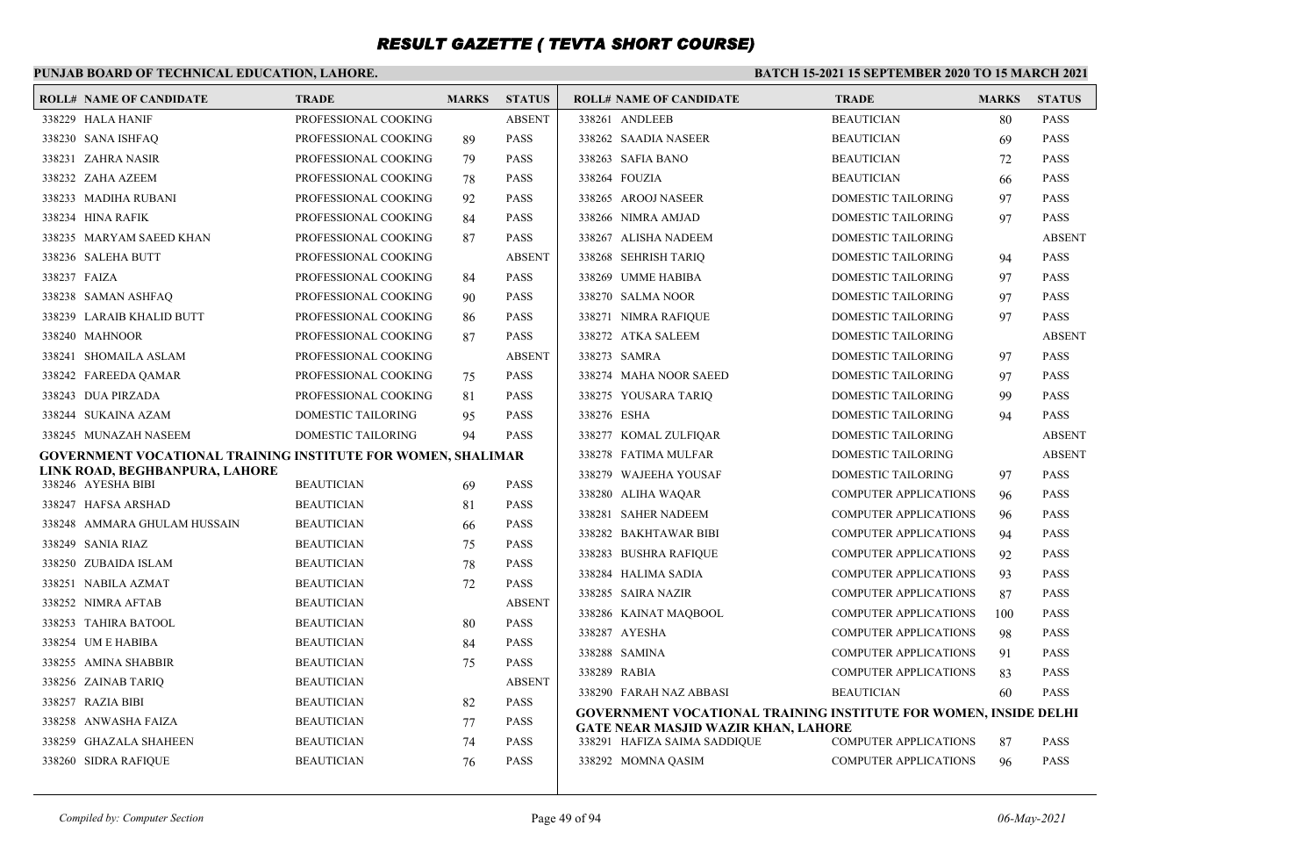### **PUNJAB BOARD OF TECHNICAL EDUCATION, LAHORE.**

| <b>ROLL# NAME OF CANDIDATE</b>                               | <b>TRADE</b>         | <b>MARKS</b> | <b>STATUS</b>              | <b>ROLL# NAME OF CANDIDATE</b>                                   | <b>TRADE</b>                 | <b>MARKS</b> | <b>STATUS</b> |
|--------------------------------------------------------------|----------------------|--------------|----------------------------|------------------------------------------------------------------|------------------------------|--------------|---------------|
| 338229 HALA HANIF                                            | PROFESSIONAL COOKING |              | <b>ABSENT</b>              | 338261 ANDLEEB                                                   | <b>BEAUTICIAN</b>            | 80           | <b>PASS</b>   |
| 338230 SANA ISHFAQ                                           | PROFESSIONAL COOKING | 89           | <b>PASS</b>                | 338262 SAADIA NASEER                                             | <b>BEAUTICIAN</b>            | 69           | <b>PASS</b>   |
| 338231 ZAHRA NASIR                                           | PROFESSIONAL COOKING | 79           | <b>PASS</b>                | 338263 SAFIA BANO                                                | <b>BEAUTICIAN</b>            | 72           | <b>PASS</b>   |
| 338232 ZAHA AZEEM                                            | PROFESSIONAL COOKING | 78           | <b>PASS</b>                | 338264 FOUZIA                                                    | <b>BEAUTICIAN</b>            | 66           | <b>PASS</b>   |
| 338233 MADIHA RUBANI                                         | PROFESSIONAL COOKING | 92           | <b>PASS</b>                | 338265 AROOJ NASEER                                              | DOMESTIC TAILORING           | 97           | <b>PASS</b>   |
| 338234 HINA RAFIK                                            | PROFESSIONAL COOKING | 84           | <b>PASS</b>                | 338266 NIMRA AMJAD                                               | DOMESTIC TAILORING           | 97           | <b>PASS</b>   |
| 338235 MARYAM SAEED KHAN                                     | PROFESSIONAL COOKING | 87           | <b>PASS</b>                | 338267 ALISHA NADEEM                                             | DOMESTIC TAILORING           |              | <b>ABSENT</b> |
| 338236 SALEHA BUTT                                           | PROFESSIONAL COOKING |              | <b>ABSENT</b>              | 338268 SEHRISH TARIQ                                             | DOMESTIC TAILORING           | 94           | <b>PASS</b>   |
| 338237 FAIZA                                                 | PROFESSIONAL COOKING | 84           | <b>PASS</b>                | 338269 UMME HABIBA                                               | DOMESTIC TAILORING           | 97           | <b>PASS</b>   |
| 338238 SAMAN ASHFAO                                          | PROFESSIONAL COOKING | 90           | <b>PASS</b>                | 338270 SALMA NOOR                                                | <b>DOMESTIC TAILORING</b>    | 97           | <b>PASS</b>   |
| 338239 LARAIB KHALID BUTT                                    | PROFESSIONAL COOKING | 86           | <b>PASS</b>                | 338271 NIMRA RAFIOUE                                             | DOMESTIC TAILORING           | 97           | <b>PASS</b>   |
| 338240 MAHNOOR                                               | PROFESSIONAL COOKING | 87           | <b>PASS</b>                | 338272 ATKA SALEEM                                               | DOMESTIC TAILORING           |              | <b>ABSENT</b> |
| 338241 SHOMAILA ASLAM                                        | PROFESSIONAL COOKING |              | <b>ABSENT</b>              | 338273 SAMRA                                                     | DOMESTIC TAILORING           | 97           | <b>PASS</b>   |
| 338242 FAREEDA QAMAR                                         | PROFESSIONAL COOKING | 75           | <b>PASS</b>                | 338274 MAHA NOOR SAEED                                           | DOMESTIC TAILORING           | 97           | <b>PASS</b>   |
| 338243 DUA PIRZADA                                           | PROFESSIONAL COOKING | 81           | <b>PASS</b>                | 338275 YOUSARA TARIQ                                             | DOMESTIC TAILORING           | 99           | <b>PASS</b>   |
| 338244 SUKAINA AZAM                                          | DOMESTIC TAILORING   | 95           | <b>PASS</b>                | 338276 ESHA                                                      | DOMESTIC TAILORING           | 94           | <b>PASS</b>   |
| 338245 MUNAZAH NASEEM                                        | DOMESTIC TAILORING   | 94           | <b>PASS</b>                | 338277 KOMAL ZULFIOAR                                            | DOMESTIC TAILORING           |              | <b>ABSENT</b> |
| GOVERNMENT VOCATIONAL TRAINING INSTITUTE FOR WOMEN, SHALIMAR |                      |              |                            | 338278 FATIMA MULFAR                                             | DOMESTIC TAILORING           |              | <b>ABSENT</b> |
| LINK ROAD, BEGHBANPURA, LAHORE<br>338246 AYESHA BIBI         |                      |              | <b>PASS</b>                | 338279 WAJEEHA YOUSAF                                            | DOMESTIC TAILORING           | 97           | <b>PASS</b>   |
|                                                              | <b>BEAUTICIAN</b>    | 69           |                            | 338280 ALIHA WAQAR                                               | <b>COMPUTER APPLICATIONS</b> | 96           | <b>PASS</b>   |
| 338247 HAFSA ARSHAD                                          | <b>BEAUTICIAN</b>    | 81           | <b>PASS</b><br><b>PASS</b> | 338281 SAHER NADEEM                                              | <b>COMPUTER APPLICATIONS</b> | 96           | <b>PASS</b>   |
| 338248 AMMARA GHULAM HUSSAIN                                 | <b>BEAUTICIAN</b>    | 66           |                            | 338282 BAKHTAWAR BIBI                                            | COMPUTER APPLICATIONS        | 94           | <b>PASS</b>   |
| 338249 SANIA RIAZ                                            | <b>BEAUTICIAN</b>    | 75           | <b>PASS</b>                | 338283 BUSHRA RAFIQUE                                            | <b>COMPUTER APPLICATIONS</b> | 92           | <b>PASS</b>   |
| 338250 ZUBAIDA ISLAM                                         | <b>BEAUTICIAN</b>    | 78           | <b>PASS</b>                | 338284 HALIMA SADIA                                              | <b>COMPUTER APPLICATIONS</b> | 93           | <b>PASS</b>   |
| 338251 NABILA AZMAT                                          | <b>BEAUTICIAN</b>    | 72           | <b>PASS</b>                | 338285 SAIRA NAZIR                                               | <b>COMPUTER APPLICATIONS</b> | 87           | <b>PASS</b>   |
| 338252 NIMRA AFTAB                                           | <b>BEAUTICIAN</b>    |              | <b>ABSENT</b>              | 338286 KAINAT MAOBOOL                                            | <b>COMPUTER APPLICATIONS</b> | 100          | <b>PASS</b>   |
| 338253 TAHIRA BATOOL                                         | <b>BEAUTICIAN</b>    | 80           | <b>PASS</b>                | 338287 AYESHA                                                    | <b>COMPUTER APPLICATIONS</b> | 98           | <b>PASS</b>   |
| 338254 UM E HABIBA                                           | <b>BEAUTICIAN</b>    | 84           | <b>PASS</b>                | 338288 SAMINA                                                    | <b>COMPUTER APPLICATIONS</b> | 91           | <b>PASS</b>   |
| 338255 AMINA SHABBIR                                         | <b>BEAUTICIAN</b>    | 75           | <b>PASS</b>                | 338289 RABIA                                                     | <b>COMPUTER APPLICATIONS</b> | 83           | <b>PASS</b>   |
| 338256 ZAINAB TARIO                                          | <b>BEAUTICIAN</b>    |              | <b>ABSENT</b>              | 338290 FARAH NAZ ABBASI                                          | <b>BEAUTICIAN</b>            | 60           | <b>PASS</b>   |
| 338257 RAZIA BIBI                                            | <b>BEAUTICIAN</b>    | 82           | <b>PASS</b>                | GOVERNMENT VOCATIONAL TRAINING INSTITUTE FOR WOMEN, INSIDE DELHI |                              |              |               |
| 338258 ANWASHA FAIZA                                         | <b>BEAUTICIAN</b>    | 77           | <b>PASS</b>                | <b>GATE NEAR MASJID WAZIR KHAN, LAHORE</b>                       |                              |              |               |
| 338259 GHAZALA SHAHEEN                                       | <b>BEAUTICIAN</b>    | 74           | <b>PASS</b>                | 338291 HAFIZA SAIMA SADDIQUE                                     | COMPUTER APPLICATIONS        | 87           | <b>PASS</b>   |
| 338260 SIDRA RAFIQUE                                         | <b>BEAUTICIAN</b>    | 76           | <b>PASS</b>                | 338292 MOMNA QASIM                                               | <b>COMPUTER APPLICATIONS</b> | 96           | <b>PASS</b>   |
|                                                              |                      |              |                            |                                                                  |                              |              |               |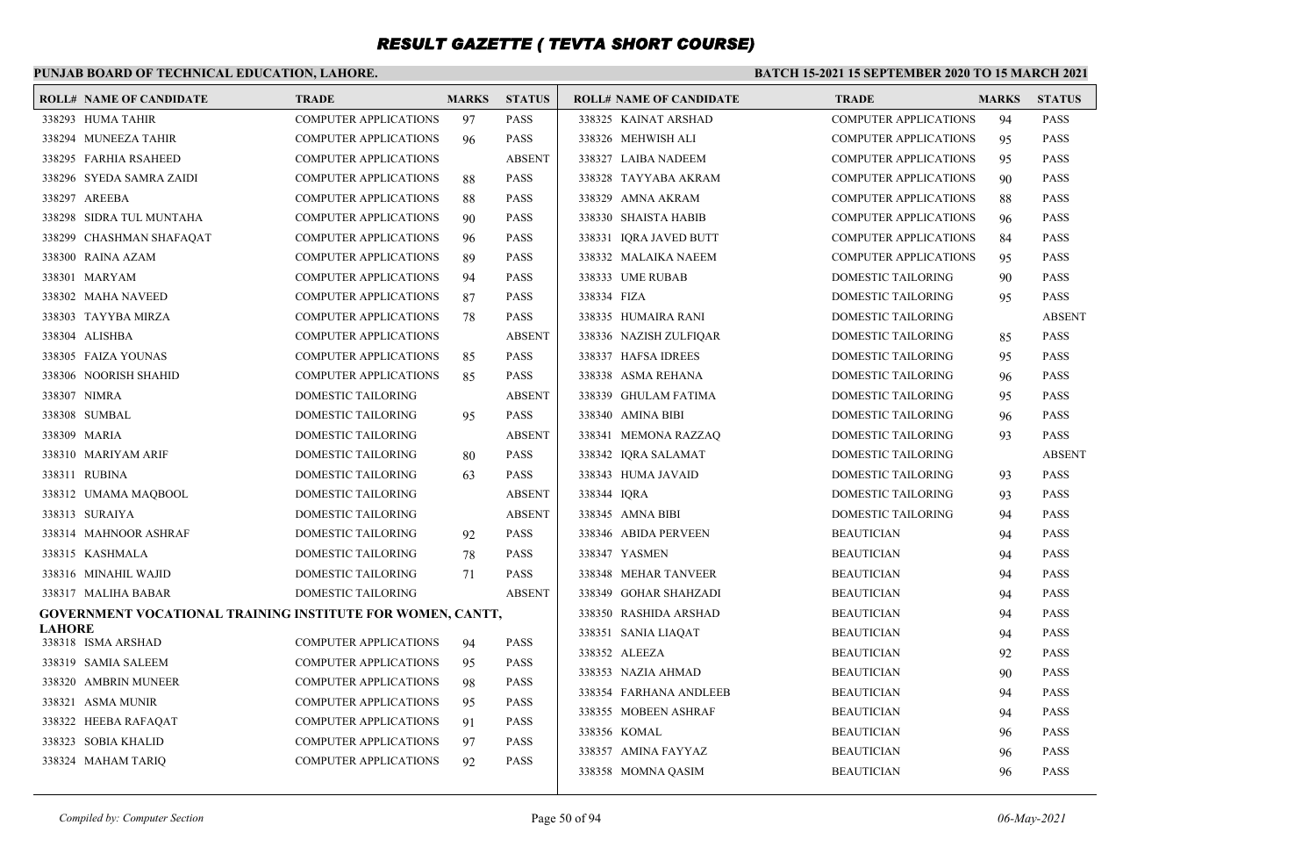### **PUNJAB BOARD OF TECHNICAL EDUCATION, LAHORE.**

|               | <b>ROLL# NAME OF CANDIDATE</b>                                    | <b>TRADE</b>                 | <b>MARKS</b> | <b>STATUS</b> | <b>ROLL# NAME OF CANDIDATE</b> | <b>TRADE</b>                 | <b>MARKS</b> | <b>STATUS</b> |
|---------------|-------------------------------------------------------------------|------------------------------|--------------|---------------|--------------------------------|------------------------------|--------------|---------------|
|               | 338293 HUMA TAHIR                                                 | <b>COMPUTER APPLICATIONS</b> | 97           | <b>PASS</b>   | 338325 KAINAT ARSHAD           | <b>COMPUTER APPLICATIONS</b> | 94           | <b>PASS</b>   |
|               | 338294 MUNEEZA TAHIR                                              | <b>COMPUTER APPLICATIONS</b> | 96           | <b>PASS</b>   | 338326 MEHWISH ALI             | <b>COMPUTER APPLICATIONS</b> | 95           | <b>PASS</b>   |
|               | 338295 FARHIA RSAHEED                                             | <b>COMPUTER APPLICATIONS</b> |              | <b>ABSENT</b> | 338327 LAIBA NADEEM            | <b>COMPUTER APPLICATIONS</b> | 95           | <b>PASS</b>   |
|               | 338296 SYEDA SAMRA ZAIDI                                          | <b>COMPUTER APPLICATIONS</b> | 88           | <b>PASS</b>   | 338328 TAYYABA AKRAM           | <b>COMPUTER APPLICATIONS</b> | 90           | <b>PASS</b>   |
|               | 338297 AREEBA                                                     | <b>COMPUTER APPLICATIONS</b> | 88           | <b>PASS</b>   | 338329 AMNA AKRAM              | <b>COMPUTER APPLICATIONS</b> | 88           | <b>PASS</b>   |
|               | 338298 SIDRA TUL MUNTAHA                                          | <b>COMPUTER APPLICATIONS</b> | 90           | <b>PASS</b>   | 338330 SHAISTA HABIB           | <b>COMPUTER APPLICATIONS</b> | 96           | <b>PASS</b>   |
|               | 338299 CHASHMAN SHAFAQAT                                          | <b>COMPUTER APPLICATIONS</b> | 96           | <b>PASS</b>   | 338331 IQRA JAVED BUTT         | <b>COMPUTER APPLICATIONS</b> | 84           | <b>PASS</b>   |
|               | 338300 RAINA AZAM                                                 | <b>COMPUTER APPLICATIONS</b> | 89           | <b>PASS</b>   | 338332 MALAIKA NAEEM           | <b>COMPUTER APPLICATIONS</b> | 95           | <b>PASS</b>   |
|               | 338301 MARYAM                                                     | <b>COMPUTER APPLICATIONS</b> | 94           | <b>PASS</b>   | 338333 UME RUBAB               | DOMESTIC TAILORING           | 90           | <b>PASS</b>   |
|               | 338302 MAHA NAVEED                                                | <b>COMPUTER APPLICATIONS</b> | 87           | <b>PASS</b>   | 338334 FIZA                    | DOMESTIC TAILORING           | 95           | <b>PASS</b>   |
|               | 338303 TAYYBA MIRZA                                               | <b>COMPUTER APPLICATIONS</b> | 78           | <b>PASS</b>   | 338335 HUMAIRA RANI            | <b>DOMESTIC TAILORING</b>    |              | <b>ABSENT</b> |
|               | 338304 ALISHBA                                                    | <b>COMPUTER APPLICATIONS</b> |              | <b>ABSENT</b> | 338336 NAZISH ZULFIQAR         | DOMESTIC TAILORING           | 85           | <b>PASS</b>   |
|               | 338305 FAIZA YOUNAS                                               | <b>COMPUTER APPLICATIONS</b> | 85           | <b>PASS</b>   | 338337 HAFSA IDREES            | <b>DOMESTIC TAILORING</b>    | 95           | <b>PASS</b>   |
|               | 338306 NOORISH SHAHID                                             | <b>COMPUTER APPLICATIONS</b> | 85           | <b>PASS</b>   | 338338 ASMA REHANA             | DOMESTIC TAILORING           | 96           | <b>PASS</b>   |
|               | 338307 NIMRA                                                      | DOMESTIC TAILORING           |              | <b>ABSENT</b> | 338339 GHULAM FATIMA           | DOMESTIC TAILORING           | 95           | <b>PASS</b>   |
|               | 338308 SUMBAL                                                     | DOMESTIC TAILORING           | 95           | <b>PASS</b>   | 338340 AMINA BIBI              | DOMESTIC TAILORING           | 96           | <b>PASS</b>   |
|               | 338309 MARIA                                                      | DOMESTIC TAILORING           |              | <b>ABSENT</b> | 338341 MEMONA RAZZAQ           | DOMESTIC TAILORING           | 93           | <b>PASS</b>   |
|               | 338310 MARIYAM ARIF                                               | DOMESTIC TAILORING           | 80           | <b>PASS</b>   | 338342 IQRA SALAMAT            | DOMESTIC TAILORING           |              | <b>ABSENT</b> |
|               | 338311 RUBINA                                                     | DOMESTIC TAILORING           | 63           | <b>PASS</b>   | 338343 HUMA JAVAID             | DOMESTIC TAILORING           | 93           | <b>PASS</b>   |
|               | 338312 UMAMA MAQBOOL                                              | DOMESTIC TAILORING           |              | <b>ABSENT</b> | 338344 IQRA                    | DOMESTIC TAILORING           | 93           | <b>PASS</b>   |
|               | 338313 SURAIYA                                                    | DOMESTIC TAILORING           |              | <b>ABSENT</b> | 338345 AMNA BIBI               | DOMESTIC TAILORING           | 94           | <b>PASS</b>   |
|               | 338314 MAHNOOR ASHRAF                                             | DOMESTIC TAILORING           | 92           | <b>PASS</b>   | 338346 ABIDA PERVEEN           | <b>BEAUTICIAN</b>            | 94           | <b>PASS</b>   |
|               | 338315 KASHMALA                                                   | <b>DOMESTIC TAILORING</b>    | 78           | <b>PASS</b>   | 338347 YASMEN                  | <b>BEAUTICIAN</b>            | 94           | <b>PASS</b>   |
|               | 338316 MINAHIL WAJID                                              | DOMESTIC TAILORING           | 71           | <b>PASS</b>   | 338348 MEHAR TANVEER           | <b>BEAUTICIAN</b>            | 94           | <b>PASS</b>   |
|               | 338317 MALIHA BABAR                                               | DOMESTIC TAILORING           |              | <b>ABSENT</b> | 338349 GOHAR SHAHZADI          | <b>BEAUTICIAN</b>            | 94           | <b>PASS</b>   |
|               | <b>GOVERNMENT VOCATIONAL TRAINING INSTITUTE FOR WOMEN, CANTT,</b> |                              |              |               | 338350 RASHIDA ARSHAD          | <b>BEAUTICIAN</b>            | 94           | <b>PASS</b>   |
| <b>LAHORE</b> | 338318 ISMA ARSHAD                                                | <b>COMPUTER APPLICATIONS</b> | 94           | <b>PASS</b>   | 338351 SANIA LIAQAT            | <b>BEAUTICIAN</b>            | 94           | <b>PASS</b>   |
|               | 338319 SAMIA SALEEM                                               | <b>COMPUTER APPLICATIONS</b> | 95           | <b>PASS</b>   | 338352 ALEEZA                  | <b>BEAUTICIAN</b>            | 92           | <b>PASS</b>   |
|               | 338320 AMBRIN MUNEER                                              | <b>COMPUTER APPLICATIONS</b> | 98           | <b>PASS</b>   | 338353 NAZIA AHMAD             | <b>BEAUTICIAN</b>            | 90           | <b>PASS</b>   |
|               | 338321 ASMA MUNIR                                                 | <b>COMPUTER APPLICATIONS</b> | 95           | <b>PASS</b>   | 338354 FARHANA ANDLEEB         | <b>BEAUTICIAN</b>            | 94           | <b>PASS</b>   |
|               | 338322 HEEBA RAFAQAT                                              | <b>COMPUTER APPLICATIONS</b> | 91           | <b>PASS</b>   | 338355 MOBEEN ASHRAF           | <b>BEAUTICIAN</b>            | 94           | <b>PASS</b>   |
|               | 338323 SOBIA KHALID                                               | <b>COMPUTER APPLICATIONS</b> | 97           | <b>PASS</b>   | 338356 KOMAL                   | <b>BEAUTICIAN</b>            | 96           | <b>PASS</b>   |
|               | 338324 MAHAM TARIQ                                                | <b>COMPUTER APPLICATIONS</b> | 92           | <b>PASS</b>   | 338357 AMINA FAYYAZ            | <b>BEAUTICIAN</b>            | 96           | <b>PASS</b>   |
|               |                                                                   |                              |              |               | 338358 MOMNA QASIM             | <b>BEAUTICIAN</b>            | 96           | <b>PASS</b>   |
|               |                                                                   |                              |              |               |                                |                              |              |               |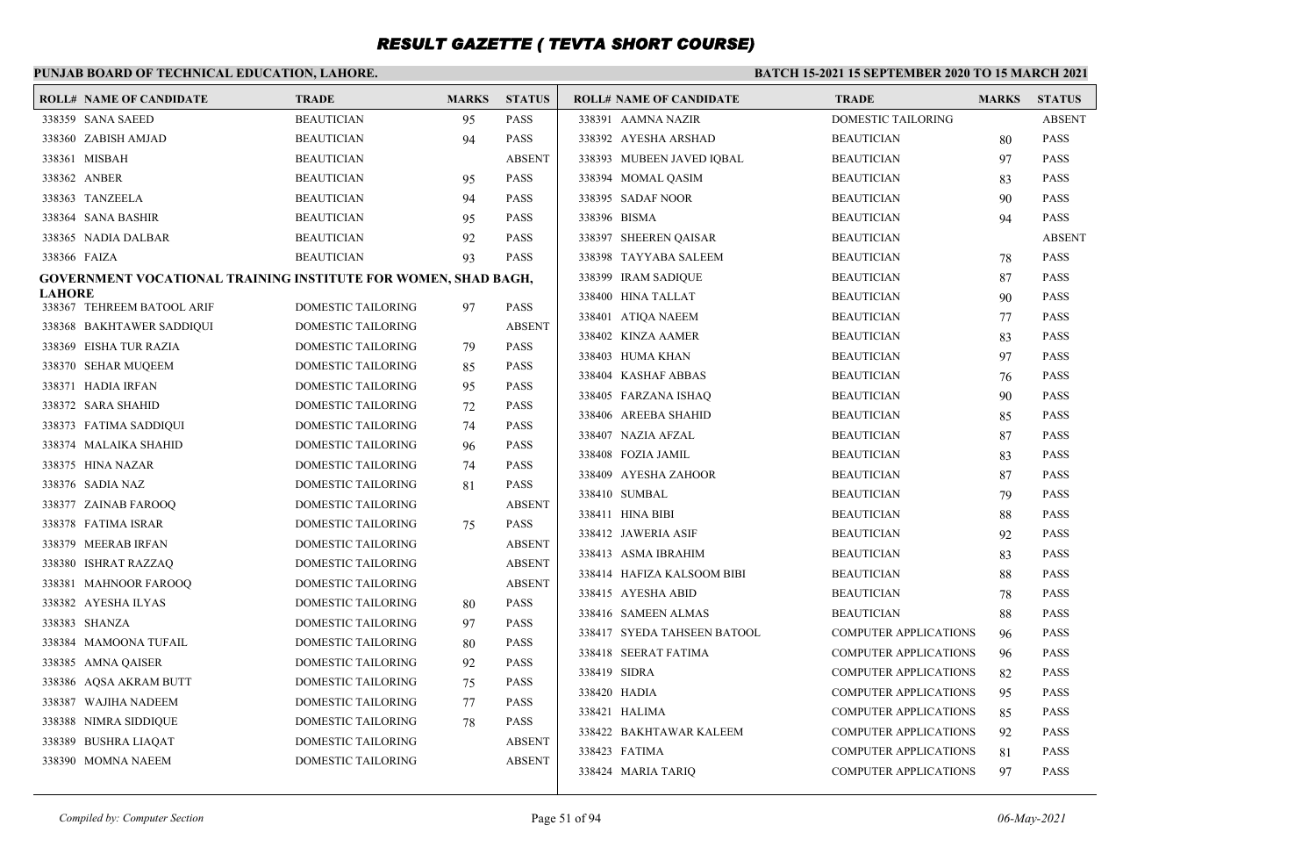#### **PUNJAB BOARD OF TECHNICAL EDUCATION, LAHORE. BATCH 15-2021 15 SEPTEMBER 2020 TO 15 MARCH 2021 ROLL# NAME OF CANDIDATE TRADE MARKS STATUS ROLL# NAME OF CANDIDATE TRADE MARKS STATUS** 338359 SANA SAEED BEAUTICIAN 95 PASS 338360 ZABISH AMJAD BEAUTICIAN 94 PASS 338361 MISBAH BEAUTICIAN ABSENT 338362 ANBER BEAUTICIAN 95 PASS 338363 TANZEELA BEAUTICIAN 94 PASS 338364 SANA BASHIR BEAUTICIAN 95 PASS 338365 NADIA DALBAR BEAUTICIAN 92 PASS 338366 FAIZA BEAUTICIAN 93 PASS **GOVERNMENT VOCATIONAL TRAINING INSTITUTE FOR WOMEN, SHAD BAGH, LAHORE** 338367 TEHREEM BATOOL ARIF DOMESTIC TAILORING 97 PASS 338368 BAKHTAWER SADDIQUI DOMESTIC TAILORING ABSENT 338369 EISHA TUR RAZIA DOMESTIC TAILORING 79 PASS 338370 SEHAR MUQEEM DOMESTIC TAILORING 85 PASS 338371 HADIA IRFAN DOMESTIC TAILORING 95 PASS 338372 SARA SHAHID DOMESTIC TAILORING 72 PASS 338373 FATIMA SADDIQUI DOMESTIC TAILORING 74 PASS 338374 MALAIKA SHAHID DOMESTIC TAILORING 96 PASS 338375 HINA NAZAR DOMESTIC TAILORING 74 PASS 338376 SADIA NAZ DOMESTIC TAILORING 81 PASS 338377 ZAINAB FAROOQ DOMESTIC TAILORING ABSENT 338378 FATIMA ISRAR DOMESTIC TAILORING 75 PASS 338379 MEERAB IRFAN DOMESTIC TAILORING ABSENT 338380 ISHRAT RAZZAQ DOMESTIC TAILORING ABSENT 338381 MAHNOOR FAROOQ DOMESTIC TAILORING ABSENT 338382 AYESHA ILYAS DOMESTIC TAILORING 80 PASS 338383 SHANZA DOMESTIC TAILORING 97 PASS 338384 MAMOONA TUFAIL DOMESTIC TAILORING 80 PASS 338385 AMNA QAISER DOMESTIC TAILORING 92 PASS 338386 AQSA AKRAM BUTT DOMESTIC TAILORING 75 PASS 338387 WAJIHA NADEEM DOMESTIC TAILORING 77 PASS 338388 NIMRA SIDDIQUE DOMESTIC TAILORING 78 PASS 338389 BUSHRA LIAQAT DOMESTIC TAILORING ABSENT 338390 MOMNA NAEEM DOMESTIC TAILORING ABSENT 338391 AAMNA NAZIR DOMESTIC TAILORING ABSENT 338392 AYESHA ARSHAD BEAUTICIAN 80 PASS 338393 MUBEEN JAVED IQBAL BEAUTICIAN 97 PASS 338394 MOMAL QASIM BEAUTICIAN 83 PASS 338395 SADAF NOOR BEAUTICIAN 90 PASS 338396 BISMA BEAUTICIAN 94 PASS 338397 SHEEREN QAISAR BEAUTICIAN ABSENT 338398 TAYYABA SALEEM BEAUTICIAN 78 PASS 338399 IRAM SADIQUE BEAUTICIAN 87 PASS 338400 HINA TALLAT BEAUTICIAN 90 PASS 338401 ATIQA NAEEM BEAUTICIAN 77 PASS 338402 KINZA AAMER BEAUTICIAN 83 PASS 338403 HUMA KHAN BEAUTICIAN 97 PASS 338404 KASHAF ABBAS BEAUTICIAN 76 PASS 338405 FARZANA ISHAQ BEAUTICIAN 90 PASS 338406 AREEBA SHAHID BEAUTICIAN 85 PASS 338407 NAZIA AFZAL BEAUTICIAN 87 PASS 338408 FOZIA JAMIL BEAUTICIAN 83 PASS 338409 AYESHA ZAHOOR BEAUTICIAN 87 PASS 338410 SUMBAL BEAUTICIAN 79 PASS 338411 HINA BIBI BEAUTICIAN 88 PASS 338412 JAWERIA ASIF BEAUTICIAN 92 PASS 338413 ASMA IBRAHIM BEAUTICIAN 83 PASS 338414 HAFIZA KALSOOM BIBI BEAUTICIAN 88 PASS 338415 AYESHA ABID BEAUTICIAN 78 PASS 338416 SAMEEN ALMAS BEAUTICIAN 88 PASS 338417 SYEDA TAHSEEN BATOOL COMPUTER APPLICATIONS 96 PASS 338418 SEERAT FATIMA COMPUTER APPLICATIONS 96 PASS 338419 SIDRA COMPUTER APPLICATIONS 82 PASS 338420 HADIA COMPUTER APPLICATIONS 95 PASS 338421 HALIMA COMPUTER APPLICATIONS 85 PASS 338422 BAKHTAWAR KALEEM COMPUTER APPLICATIONS 92 PASS 338423 FATIMA COMPUTER APPLICATIONS 81 PASS 338424 MARIA TARIQ COMPUTER APPLICATIONS 97 PASS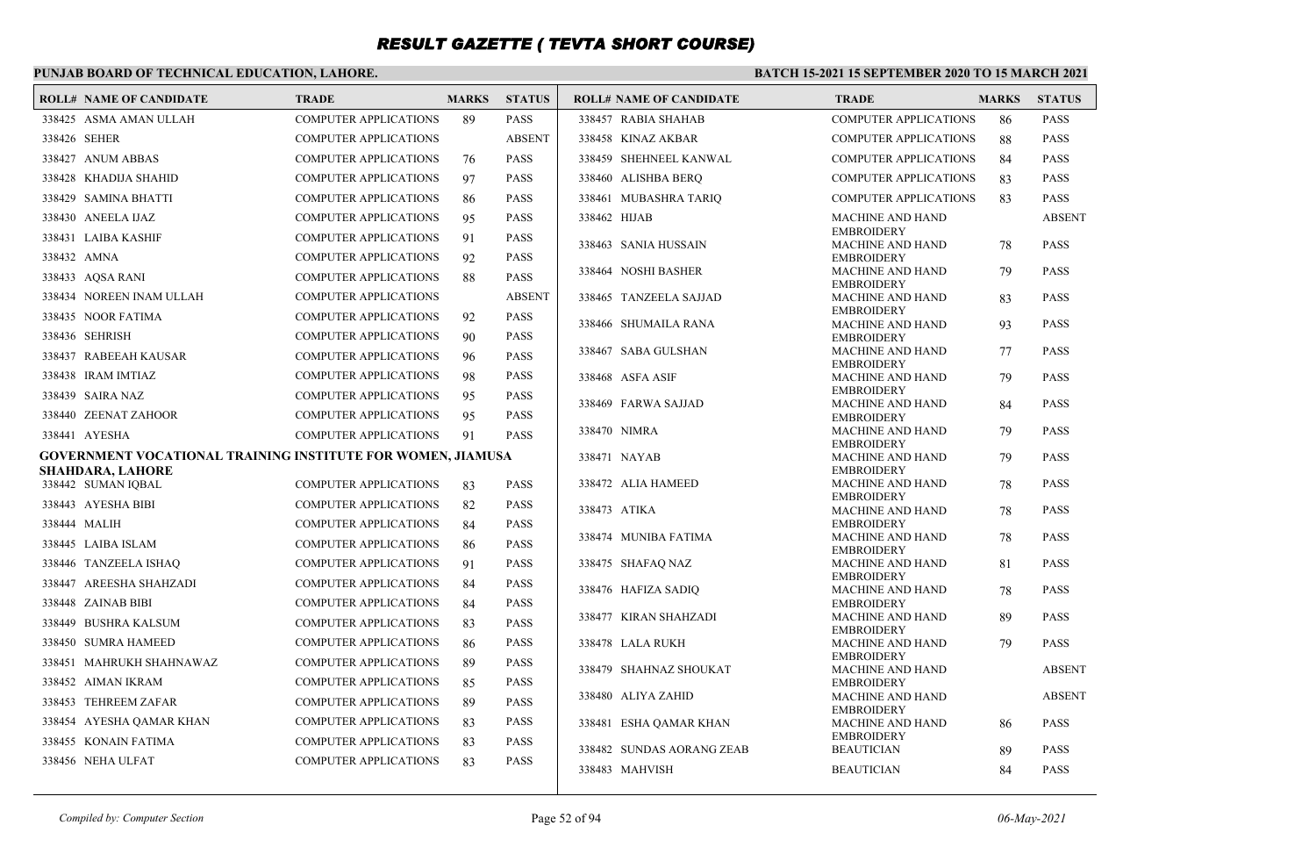### **PUNJAB BOARD OF TECHNICAL EDUCATION, LAHORE.**

| <b>ROLL# NAME OF CANDIDATE</b>                              | <b>TRADE</b>                 | <b>MARKS</b> | <b>STATUS</b> | <b>ROLL# NAME OF CANDIDATE</b> | <b>TRADE</b>                                 | <b>MARKS</b> | <b>STATUS</b> |
|-------------------------------------------------------------|------------------------------|--------------|---------------|--------------------------------|----------------------------------------------|--------------|---------------|
| 338425 ASMA AMAN ULLAH                                      | <b>COMPUTER APPLICATIONS</b> | 89           | <b>PASS</b>   | 338457 RABIA SHAHAB            | <b>COMPUTER APPLICATIONS</b>                 | 86           | <b>PASS</b>   |
| 338426 SEHER                                                | <b>COMPUTER APPLICATIONS</b> |              | <b>ABSENT</b> | 338458 KINAZ AKBAR             | <b>COMPUTER APPLICATIONS</b>                 | 88           | <b>PASS</b>   |
| 338427 ANUM ABBAS                                           | <b>COMPUTER APPLICATIONS</b> | 76           | <b>PASS</b>   | 338459 SHEHNEEL KANWAL         | <b>COMPUTER APPLICATIONS</b>                 | 84           | <b>PASS</b>   |
| 338428 KHADIJA SHAHID                                       | <b>COMPUTER APPLICATIONS</b> | 97           | <b>PASS</b>   | 338460 ALISHBA BERQ            | <b>COMPUTER APPLICATIONS</b>                 | 83           | <b>PASS</b>   |
| 338429 SAMINA BHATTI                                        | <b>COMPUTER APPLICATIONS</b> | 86           | <b>PASS</b>   | 338461 MUBASHRA TARIQ          | <b>COMPUTER APPLICATIONS</b>                 | 83           | <b>PASS</b>   |
| 338430 ANEELA IJAZ                                          | <b>COMPUTER APPLICATIONS</b> | 95           | <b>PASS</b>   | 338462 HIJAB                   | <b>MACHINE AND HAND</b>                      |              | <b>ABSENT</b> |
| 338431 LAIBA KASHIF                                         | <b>COMPUTER APPLICATIONS</b> | 91           | <b>PASS</b>   | 338463 SANIA HUSSAIN           | <b>EMBROIDERY</b><br><b>MACHINE AND HAND</b> | 78           | <b>PASS</b>   |
| 338432 AMNA                                                 | <b>COMPUTER APPLICATIONS</b> | 92           | <b>PASS</b>   |                                | <b>EMBROIDERY</b>                            |              |               |
| 338433 AOSA RANI                                            | <b>COMPUTER APPLICATIONS</b> | 88           | <b>PASS</b>   | 338464 NOSHI BASHER            | <b>MACHINE AND HAND</b><br><b>EMBROIDERY</b> | 79           | <b>PASS</b>   |
| 338434 NOREEN INAM ULLAH                                    | <b>COMPUTER APPLICATIONS</b> |              | <b>ABSENT</b> | 338465 TANZEELA SAJJAD         | <b>MACHINE AND HAND</b>                      | 83           | <b>PASS</b>   |
| 338435 NOOR FATIMA                                          | <b>COMPUTER APPLICATIONS</b> | 92           | <b>PASS</b>   | 338466 SHUMAILA RANA           | <b>EMBROIDERY</b><br><b>MACHINE AND HAND</b> |              | <b>PASS</b>   |
| 338436 SEHRISH                                              | <b>COMPUTER APPLICATIONS</b> | 90           | <b>PASS</b>   |                                | <b>EMBROIDERY</b>                            | 93           |               |
| 338437 RABEEAH KAUSAR                                       | <b>COMPUTER APPLICATIONS</b> | 96           | <b>PASS</b>   | 338467 SABA GULSHAN            | <b>MACHINE AND HAND</b>                      | 77           | <b>PASS</b>   |
| 338438 IRAM IMTIAZ                                          | <b>COMPUTER APPLICATIONS</b> | 98           | <b>PASS</b>   | 338468 ASFA ASIF               | <b>EMBROIDERY</b><br><b>MACHINE AND HAND</b> | 79           | <b>PASS</b>   |
| 338439 SAIRA NAZ                                            | <b>COMPUTER APPLICATIONS</b> | 95           | <b>PASS</b>   |                                | <b>EMBROIDERY</b>                            |              |               |
| 338440 ZEENAT ZAHOOR                                        | <b>COMPUTER APPLICATIONS</b> | 95           | <b>PASS</b>   | 338469 FARWA SAJJAD            | <b>MACHINE AND HAND</b><br><b>EMBROIDERY</b> | 84           | <b>PASS</b>   |
| 338441 AYESHA                                               | <b>COMPUTER APPLICATIONS</b> | 91           | <b>PASS</b>   | 338470 NIMRA                   | <b>MACHINE AND HAND</b>                      | 79           | <b>PASS</b>   |
| GOVERNMENT VOCATIONAL TRAINING INSTITUTE FOR WOMEN, JIAMUSA |                              |              |               | 338471 NAYAB                   | <b>EMBROIDERY</b><br><b>MACHINE AND HAND</b> | 79           | <b>PASS</b>   |
| <b>SHAHDARA, LAHORE</b>                                     |                              |              |               |                                | <b>EMBROIDERY</b>                            |              |               |
| 338442 SUMAN IOBAL                                          | <b>COMPUTER APPLICATIONS</b> | 83           | <b>PASS</b>   | 338472 ALIA HAMEED             | <b>MACHINE AND HAND</b><br><b>EMBROIDERY</b> | 78           | <b>PASS</b>   |
| 338443 AYESHA BIBI                                          | <b>COMPUTER APPLICATIONS</b> | 82           | <b>PASS</b>   | 338473 ATIKA                   | <b>MACHINE AND HAND</b>                      | 78           | <b>PASS</b>   |
| 338444 MALIH                                                | <b>COMPUTER APPLICATIONS</b> | 84           | <b>PASS</b>   |                                | <b>EMBROIDERY</b>                            |              |               |
| 338445 LAIBA ISLAM                                          | <b>COMPUTER APPLICATIONS</b> | 86           | <b>PASS</b>   | 338474 MUNIBA FATIMA           | <b>MACHINE AND HAND</b><br><b>EMBROIDERY</b> | 78           | <b>PASS</b>   |
| 338446 TANZEELA ISHAQ                                       | <b>COMPUTER APPLICATIONS</b> | 91           | <b>PASS</b>   | 338475 SHAFAQ NAZ              | <b>MACHINE AND HAND</b>                      | 81           | <b>PASS</b>   |
| 338447 AREESHA SHAHZADI                                     | <b>COMPUTER APPLICATIONS</b> | 84           | <b>PASS</b>   | 338476 HAFIZA SADIO            | <b>EMBROIDERY</b><br><b>MACHINE AND HAND</b> | 78           | <b>PASS</b>   |
| 338448 ZAINAB BIBI                                          | <b>COMPUTER APPLICATIONS</b> | 84           | <b>PASS</b>   |                                | <b>EMBROIDERY</b>                            |              |               |
| 338449 BUSHRA KALSUM                                        | <b>COMPUTER APPLICATIONS</b> | 83           | <b>PASS</b>   | 338477 KIRAN SHAHZADI          | <b>MACHINE AND HAND</b><br><b>EMBROIDERY</b> | 89           | <b>PASS</b>   |
| 338450 SUMRA HAMEED                                         | <b>COMPUTER APPLICATIONS</b> | 86           | <b>PASS</b>   | 338478 LALA RUKH               | <b>MACHINE AND HAND</b>                      | 79           | <b>PASS</b>   |
| 338451 MAHRUKH SHAHNAWAZ                                    | <b>COMPUTER APPLICATIONS</b> | 89           | <b>PASS</b>   | 338479 SHAHNAZ SHOUKAT         | <b>EMBROIDERY</b><br><b>MACHINE AND HAND</b> |              | <b>ABSENT</b> |
| 338452 AIMAN IKRAM                                          | <b>COMPUTER APPLICATIONS</b> | 85           | <b>PASS</b>   |                                | <b>EMBROIDERY</b>                            |              |               |
| 338453 TEHREEM ZAFAR                                        | <b>COMPUTER APPLICATIONS</b> | 89           | <b>PASS</b>   | 338480 ALIYA ZAHID             | <b>MACHINE AND HAND</b><br><b>EMBROIDERY</b> |              | <b>ABSENT</b> |
| 338454 AYESHA QAMAR KHAN                                    | <b>COMPUTER APPLICATIONS</b> | 83           | <b>PASS</b>   | 338481 ESHA QAMAR KHAN         | <b>MACHINE AND HAND</b>                      | 86           | <b>PASS</b>   |
| 338455 KONAIN FATIMA                                        | <b>COMPUTER APPLICATIONS</b> | 83           | <b>PASS</b>   |                                | <b>EMBROIDERY</b>                            |              |               |
| 338456 NEHA ULFAT                                           | <b>COMPUTER APPLICATIONS</b> | 83           | <b>PASS</b>   | 338482 SUNDAS AORANG ZEAB      | <b>BEAUTICIAN</b>                            | 89           | <b>PASS</b>   |
|                                                             |                              |              |               | 338483 MAHVISH                 | <b>BEAUTICIAN</b>                            | 84           | <b>PASS</b>   |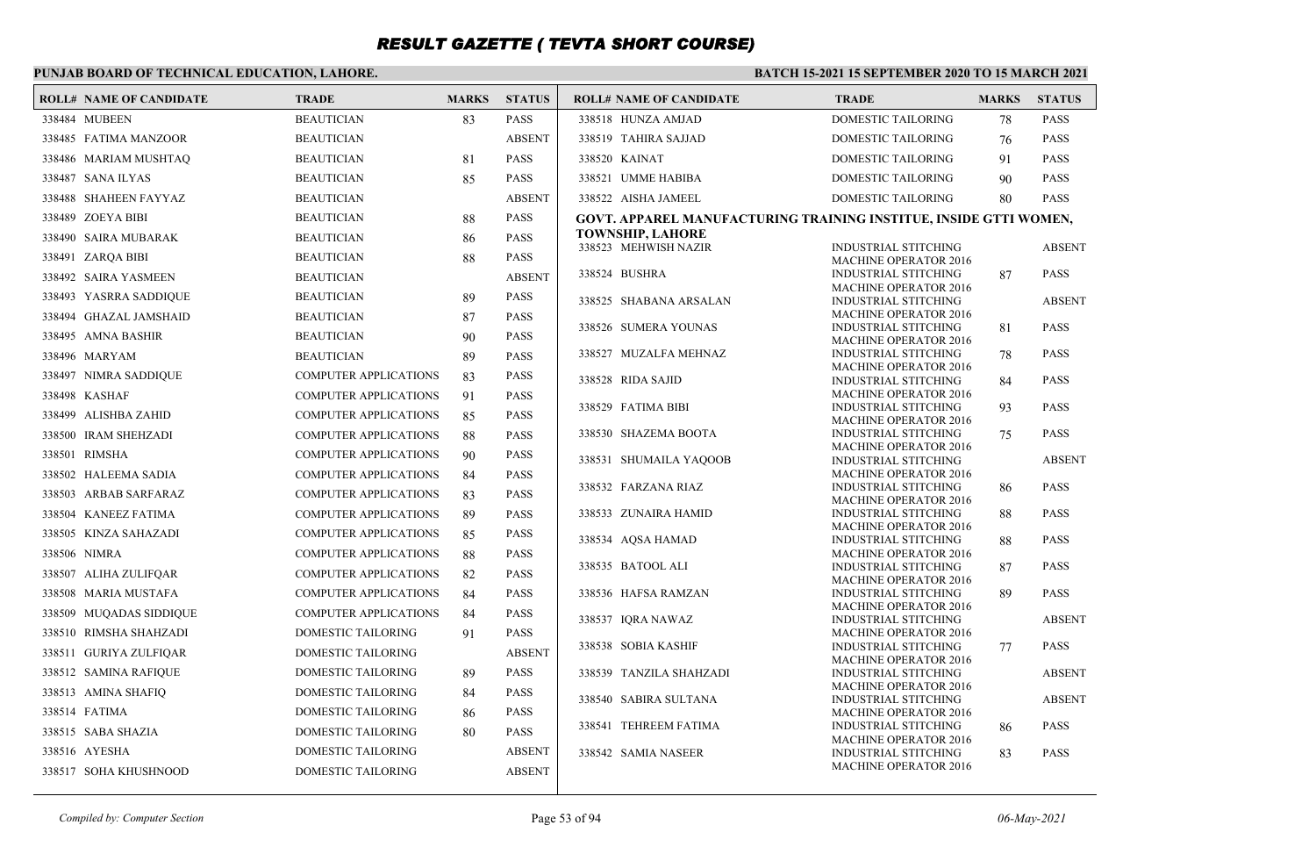### **PUNJAB BOARD OF TECHNICAL EDUCATION, LAHORE.**

| <b>ROLL# NAME OF CANDIDATE</b> | <b>TRADE</b>                 | <b>MARKS</b> | <b>STATUS</b> | <b>ROLL# NAME OF CANDIDATE</b>                                    | <b>TRADE</b>                                                | <b>MARKS</b> | <b>STATUS</b> |
|--------------------------------|------------------------------|--------------|---------------|-------------------------------------------------------------------|-------------------------------------------------------------|--------------|---------------|
| 338484 MUBEEN                  | <b>BEAUTICIAN</b>            | 83           | <b>PASS</b>   | 338518 HUNZA AMJAD                                                | <b>DOMESTIC TAILORING</b>                                   | 78           | <b>PASS</b>   |
| 338485 FATIMA MANZOOR          | <b>BEAUTICIAN</b>            |              | <b>ABSENT</b> | 338519 TAHIRA SAJJAD                                              | DOMESTIC TAILORING                                          | 76           | <b>PASS</b>   |
| 338486 MARIAM MUSHTAQ          | <b>BEAUTICIAN</b>            | 81           | <b>PASS</b>   | 338520 KAINAT                                                     | <b>DOMESTIC TAILORING</b>                                   | 91           | <b>PASS</b>   |
| 338487 SANA ILYAS              | <b>BEAUTICIAN</b>            | 85           | <b>PASS</b>   | 338521 UMME HABIBA                                                | DOMESTIC TAILORING                                          | 90           | <b>PASS</b>   |
| 338488 SHAHEEN FAYYAZ          | <b>BEAUTICIAN</b>            |              | <b>ABSENT</b> | 338522 AISHA JAMEEL                                               | DOMESTIC TAILORING                                          | 80           | <b>PASS</b>   |
| 338489 ZOEYA BIBI              | <b>BEAUTICIAN</b>            | 88           | <b>PASS</b>   | GOVT. APPAREL MANUFACTURING TRAINING INSTITUE, INSIDE GTTI WOMEN, |                                                             |              |               |
| 338490 SAIRA MUBARAK           | <b>BEAUTICIAN</b>            | 86           | <b>PASS</b>   | <b>TOWNSHIP, LAHORE</b>                                           |                                                             |              |               |
| 338491 ZARQA BIBI              | <b>BEAUTICIAN</b>            | 88           | <b>PASS</b>   | 338523 MEHWISH NAZIR                                              | <b>INDUSTRIAL STITCHING</b><br><b>MACHINE OPERATOR 2016</b> |              | <b>ABSENT</b> |
| 338492 SAIRA YASMEEN           | <b>BEAUTICIAN</b>            |              | <b>ABSENT</b> | 338524 BUSHRA                                                     | <b>INDUSTRIAL STITCHING</b>                                 | 87           | <b>PASS</b>   |
| 338493 YASRRA SADDIQUE         | <b>BEAUTICIAN</b>            | 89           | <b>PASS</b>   | 338525 SHABANA ARSALAN                                            | <b>MACHINE OPERATOR 2016</b><br><b>INDUSTRIAL STITCHING</b> |              | <b>ABSENT</b> |
| 338494 GHAZAL JAMSHAID         | <b>BEAUTICIAN</b>            | 87           | <b>PASS</b>   |                                                                   | <b>MACHINE OPERATOR 2016</b>                                |              |               |
| 338495 AMNA BASHIR             | <b>BEAUTICIAN</b>            | 90           | <b>PASS</b>   | 338526 SUMERA YOUNAS                                              | <b>INDUSTRIAL STITCHING</b><br><b>MACHINE OPERATOR 2016</b> | 81           | <b>PASS</b>   |
| 338496 MARYAM                  | <b>BEAUTICIAN</b>            | 89           | <b>PASS</b>   | 338527 MUZALFA MEHNAZ                                             | <b>INDUSTRIAL STITCHING</b>                                 | 78           | <b>PASS</b>   |
| 338497 NIMRA SADDIQUE          | <b>COMPUTER APPLICATIONS</b> | 83           | <b>PASS</b>   | 338528 RIDA SAJID                                                 | <b>MACHINE OPERATOR 2016</b><br><b>INDUSTRIAL STITCHING</b> | 84           | <b>PASS</b>   |
| 338498 KASHAF                  | <b>COMPUTER APPLICATIONS</b> | 91           | <b>PASS</b>   |                                                                   | <b>MACHINE OPERATOR 2016</b>                                |              |               |
| 338499 ALISHBA ZAHID           | <b>COMPUTER APPLICATIONS</b> | 85           | <b>PASS</b>   | 338529 FATIMA BIBI                                                | <b>INDUSTRIAL STITCHING</b>                                 | 93           | <b>PASS</b>   |
| 338500 IRAM SHEHZADI           | <b>COMPUTER APPLICATIONS</b> | 88           | <b>PASS</b>   | 338530 SHAZEMA BOOTA                                              | <b>MACHINE OPERATOR 2016</b><br><b>INDUSTRIAL STITCHING</b> | 75           | <b>PASS</b>   |
| 338501 RIMSHA                  | <b>COMPUTER APPLICATIONS</b> | 90           | <b>PASS</b>   |                                                                   | <b>MACHINE OPERATOR 2016</b>                                |              |               |
| 338502 HALEEMA SADIA           | COMPUTER APPLICATIONS        | 84           | <b>PASS</b>   | 338531 SHUMAILA YAQOOB                                            | INDUSTRIAL STITCHING<br><b>MACHINE OPERATOR 2016</b>        |              | <b>ABSENT</b> |
| 338503 ARBAB SARFARAZ          | <b>COMPUTER APPLICATIONS</b> | 83           | <b>PASS</b>   | 338532 FARZANA RIAZ                                               | <b>INDUSTRIAL STITCHING</b>                                 | 86           | <b>PASS</b>   |
| 338504 KANEEZ FATIMA           | <b>COMPUTER APPLICATIONS</b> | 89           | <b>PASS</b>   | 338533 ZUNAIRA HAMID                                              | <b>MACHINE OPERATOR 2016</b><br><b>INDUSTRIAL STITCHING</b> | 88           | <b>PASS</b>   |
| 338505 KINZA SAHAZADI          | <b>COMPUTER APPLICATIONS</b> | 85           | <b>PASS</b>   |                                                                   | <b>MACHINE OPERATOR 2016</b>                                |              |               |
| 338506 NIMRA                   | <b>COMPUTER APPLICATIONS</b> | 88           | <b>PASS</b>   | 338534 AQSA HAMAD                                                 | <b>INDUSTRIAL STITCHING</b><br><b>MACHINE OPERATOR 2016</b> | 88           | <b>PASS</b>   |
|                                | <b>COMPUTER APPLICATIONS</b> |              | <b>PASS</b>   | 338535 BATOOL ALI                                                 | <b>INDUSTRIAL STITCHING</b>                                 | 87           | <b>PASS</b>   |
| 338507 ALIHA ZULIFQAR          |                              | 82           |               |                                                                   | <b>MACHINE OPERATOR 2016</b>                                |              |               |
| 338508 MARIA MUSTAFA           | <b>COMPUTER APPLICATIONS</b> | 84           | <b>PASS</b>   | 338536 HAFSA RAMZAN                                               | <b>INDUSTRIAL STITCHING</b><br><b>MACHINE OPERATOR 2016</b> | 89           | <b>PASS</b>   |
| 338509 MUQADAS SIDDIQUE        | <b>COMPUTER APPLICATIONS</b> | 84           | <b>PASS</b>   | 338537 IQRA NAWAZ                                                 | <b>INDUSTRIAL STITCHING</b>                                 |              | <b>ABSENT</b> |
| 338510 RIMSHA SHAHZADI         | <b>DOMESTIC TAILORING</b>    | 91           | <b>PASS</b>   | 338538 SOBIA KASHIF                                               | <b>MACHINE OPERATOR 2016</b><br><b>INDUSTRIAL STITCHING</b> | 77           | <b>PASS</b>   |
| 338511 GURIYA ZULFIQAR         | <b>DOMESTIC TAILORING</b>    |              | <b>ABSENT</b> |                                                                   | <b>MACHINE OPERATOR 2016</b>                                |              |               |
| 338512 SAMINA RAFIQUE          | DOMESTIC TAILORING           | 89           | <b>PASS</b>   | 338539 TANZILA SHAHZADI                                           | INDUSTRIAL STITCHING<br><b>MACHINE OPERATOR 2016</b>        |              | <b>ABSENT</b> |
| 338513 AMINA SHAFIQ            | DOMESTIC TAILORING           | 84           | <b>PASS</b>   | 338540 SABIRA SULTANA                                             | <b>INDUSTRIAL STITCHING</b>                                 |              | <b>ABSENT</b> |
| 338514 FATIMA                  | DOMESTIC TAILORING           | 86           | <b>PASS</b>   |                                                                   | <b>MACHINE OPERATOR 2016</b>                                |              |               |
| 338515 SABA SHAZIA             | DOMESTIC TAILORING           | 80           | <b>PASS</b>   | 338541 TEHREEM FATIMA                                             | INDUSTRIAL STITCHING<br><b>MACHINE OPERATOR 2016</b>        | 86           | <b>PASS</b>   |
| 338516 AYESHA                  | DOMESTIC TAILORING           |              | <b>ABSENT</b> | 338542 SAMIA NASEER                                               | <b>INDUSTRIAL STITCHING</b>                                 | 83           | <b>PASS</b>   |
| 338517 SOHA KHUSHNOOD          | DOMESTIC TAILORING           |              | <b>ABSENT</b> |                                                                   | <b>MACHINE OPERATOR 2016</b>                                |              |               |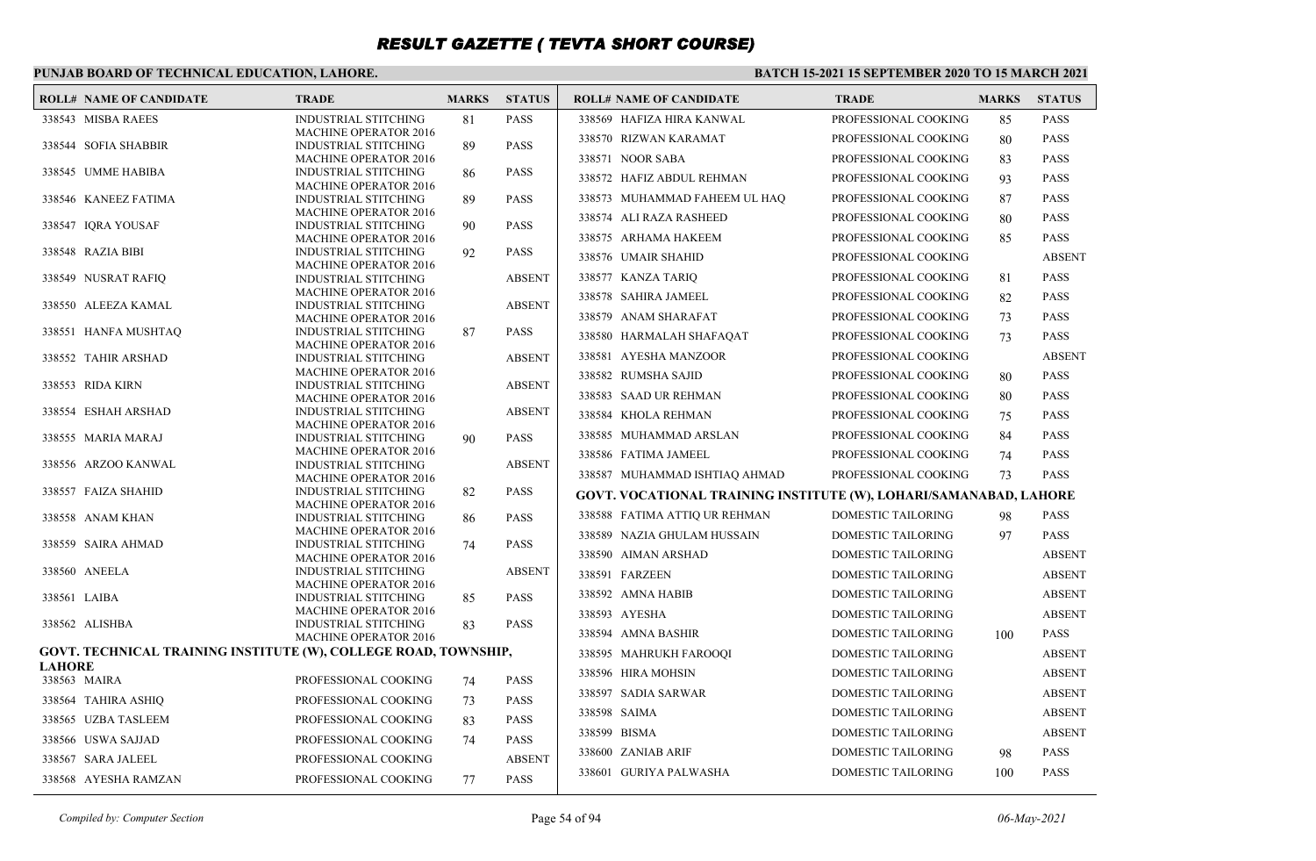### **PUNJAB BOARD OF TECHNICAL EDUCATION, LAHORE.**

#### **BATCH 15-2021 15 SEPTEMBER 2020 TO 15 MARCH 2021**

| <b>ROLL# NAME OF CANDIDATE</b>                                  | <b>TRADE</b>                                                | <b>MARKS</b> | <b>STATUS</b> | <b>ROLL# NAME OF CANDIDATE</b>                                    | <b>TRADE</b>              | <b>MARKS</b> | <b>STATUS</b> |
|-----------------------------------------------------------------|-------------------------------------------------------------|--------------|---------------|-------------------------------------------------------------------|---------------------------|--------------|---------------|
| 338543 MISBA RAEES                                              | <b>INDUSTRIAL STITCHING</b>                                 | 81           | <b>PASS</b>   | 338569 HAFIZA HIRA KANWAL                                         | PROFESSIONAL COOKING      | 85           | <b>PASS</b>   |
|                                                                 | <b>MACHINE OPERATOR 2016</b>                                |              |               | 338570 RIZWAN KARAMAT                                             | PROFESSIONAL COOKING      | 80           | <b>PASS</b>   |
| 338544 SOFIA SHABBIR                                            | <b>INDUSTRIAL STITCHING</b><br><b>MACHINE OPERATOR 2016</b> | 89           | <b>PASS</b>   | 338571 NOOR SABA                                                  | PROFESSIONAL COOKING      | 83           | <b>PASS</b>   |
| 338545 UMME HABIBA                                              | <b>INDUSTRIAL STITCHING</b>                                 | 86           | <b>PASS</b>   | 338572 HAFIZ ABDUL REHMAN                                         | PROFESSIONAL COOKING      | 93           | <b>PASS</b>   |
|                                                                 | <b>MACHINE OPERATOR 2016</b>                                |              |               |                                                                   |                           |              |               |
| 338546 KANEEZ FATIMA                                            | <b>INDUSTRIAL STITCHING</b><br><b>MACHINE OPERATOR 2016</b> | 89           | <b>PASS</b>   | 338573 MUHAMMAD FAHEEM UL HAQ                                     | PROFESSIONAL COOKING      | 87           | <b>PASS</b>   |
| 338547 IQRA YOUSAF                                              | <b>INDUSTRIAL STITCHING</b>                                 | 90           | <b>PASS</b>   | 338574 ALI RAZA RASHEED                                           | PROFESSIONAL COOKING      | 80           | <b>PASS</b>   |
|                                                                 | <b>MACHINE OPERATOR 2016</b>                                |              |               | 338575 ARHAMA HAKEEM                                              | PROFESSIONAL COOKING      | 85           | <b>PASS</b>   |
| 338548 RAZIA BIBI                                               | <b>INDUSTRIAL STITCHING</b>                                 | 92           | <b>PASS</b>   | 338576 UMAIR SHAHID                                               | PROFESSIONAL COOKING      |              | <b>ABSENT</b> |
| 338549 NUSRAT RAFIQ                                             | <b>MACHINE OPERATOR 2016</b><br><b>INDUSTRIAL STITCHING</b> |              | <b>ABSENT</b> | 338577 KANZA TARIQ                                                | PROFESSIONAL COOKING      | 81           | <b>PASS</b>   |
|                                                                 | <b>MACHINE OPERATOR 2016</b>                                |              |               | 338578 SAHIRA JAMEEL                                              | PROFESSIONAL COOKING      | 82           | <b>PASS</b>   |
| 338550 ALEEZA KAMAL                                             | INDUSTRIAL STITCHING                                        |              | <b>ABSENT</b> |                                                                   |                           |              |               |
|                                                                 | <b>MACHINE OPERATOR 2016</b>                                |              |               | 338579 ANAM SHARAFAT                                              | PROFESSIONAL COOKING      | 73           | <b>PASS</b>   |
| 338551 HANFA MUSHTAQ                                            | <b>INDUSTRIAL STITCHING</b><br><b>MACHINE OPERATOR 2016</b> | 87           | <b>PASS</b>   | 338580 HARMALAH SHAFAQAT                                          | PROFESSIONAL COOKING      | 73           | <b>PASS</b>   |
| 338552 TAHIR ARSHAD                                             | <b>INDUSTRIAL STITCHING</b>                                 |              | <b>ABSENT</b> | 338581 AYESHA MANZOOR                                             | PROFESSIONAL COOKING      |              | <b>ABSENT</b> |
|                                                                 | <b>MACHINE OPERATOR 2016</b>                                |              |               | 338582 RUMSHA SAJID                                               | PROFESSIONAL COOKING      | 80           | <b>PASS</b>   |
| 338553 RIDA KIRN                                                | INDUSTRIAL STITCHING<br><b>MACHINE OPERATOR 2016</b>        |              | <b>ABSENT</b> | 338583 SAAD UR REHMAN                                             | PROFESSIONAL COOKING      | 80           | <b>PASS</b>   |
| 338554 ESHAH ARSHAD                                             | <b>INDUSTRIAL STITCHING</b>                                 |              | <b>ABSENT</b> | 338584 KHOLA REHMAN                                               | PROFESSIONAL COOKING      | 75           | <b>PASS</b>   |
|                                                                 | <b>MACHINE OPERATOR 2016</b>                                |              |               | 338585 MUHAMMAD ARSLAN                                            | PROFESSIONAL COOKING      | 84           | <b>PASS</b>   |
| 338555 MARIA MARAJ                                              | <b>INDUSTRIAL STITCHING</b><br><b>MACHINE OPERATOR 2016</b> | 90           | <b>PASS</b>   |                                                                   |                           |              |               |
| 338556 ARZOO KANWAL                                             | INDUSTRIAL STITCHING                                        |              | <b>ABSENT</b> | 338586 FATIMA JAMEEL                                              | PROFESSIONAL COOKING      | 74           | <b>PASS</b>   |
|                                                                 | <b>MACHINE OPERATOR 2016</b>                                |              |               | 338587 MUHAMMAD ISHTIAQ AHMAD                                     | PROFESSIONAL COOKING      | 73           | <b>PASS</b>   |
| 338557 FAIZA SHAHID                                             | <b>INDUSTRIAL STITCHING</b><br><b>MACHINE OPERATOR 2016</b> | 82           | <b>PASS</b>   | GOVT. VOCATIONAL TRAINING INSTITUTE (W), LOHARI/SAMANABAD, LAHORE |                           |              |               |
| 338558 ANAM KHAN                                                | <b>INDUSTRIAL STITCHING</b>                                 | 86           | <b>PASS</b>   | 338588 FATIMA ATTIQ UR REHMAN                                     | DOMESTIC TAILORING        | 98           | <b>PASS</b>   |
|                                                                 | <b>MACHINE OPERATOR 2016</b>                                |              |               | 338589 NAZIA GHULAM HUSSAIN                                       | DOMESTIC TAILORING        | 97           | <b>PASS</b>   |
| 338559 SAIRA AHMAD                                              | <b>INDUSTRIAL STITCHING</b><br><b>MACHINE OPERATOR 2016</b> | 74           | <b>PASS</b>   | 338590 AIMAN ARSHAD                                               | DOMESTIC TAILORING        |              | <b>ABSENT</b> |
| 338560 ANEELA                                                   | <b>INDUSTRIAL STITCHING</b>                                 |              | <b>ABSENT</b> | 338591 FARZEEN                                                    | DOMESTIC TAILORING        |              | <b>ABSENT</b> |
|                                                                 | <b>MACHINE OPERATOR 2016</b>                                |              |               |                                                                   |                           |              |               |
| 338561 LAIBA                                                    | <b>INDUSTRIAL STITCHING</b>                                 | 85           | <b>PASS</b>   | 338592 AMNA HABIB                                                 | DOMESTIC TAILORING        |              | <b>ABSENT</b> |
| 338562 ALISHBA                                                  | <b>MACHINE OPERATOR 2016</b><br><b>INDUSTRIAL STITCHING</b> | 83           | <b>PASS</b>   | 338593 AYESHA                                                     | DOMESTIC TAILORING        |              | <b>ABSENT</b> |
|                                                                 | <b>MACHINE OPERATOR 2016</b>                                |              |               | 338594 AMNA BASHIR                                                | DOMESTIC TAILORING        | 100          | <b>PASS</b>   |
| GOVT. TECHNICAL TRAINING INSTITUTE (W), COLLEGE ROAD, TOWNSHIP, |                                                             |              |               | 338595 MAHRUKH FAROOQI                                            | DOMESTIC TAILORING        |              | <b>ABSENT</b> |
| <b>LAHORE</b>                                                   |                                                             |              |               | 338596 HIRA MOHSIN                                                | DOMESTIC TAILORING        |              | <b>ABSENT</b> |
| 338563 MAIRA                                                    | PROFESSIONAL COOKING                                        | 74           | <b>PASS</b>   | 338597 SADIA SARWAR                                               | DOMESTIC TAILORING        |              | <b>ABSENT</b> |
| 338564 TAHIRA ASHIQ                                             | PROFESSIONAL COOKING                                        | 73           | <b>PASS</b>   | 338598 SAIMA                                                      | DOMESTIC TAILORING        |              | <b>ABSENT</b> |
| 338565 UZBA TASLEEM                                             | PROFESSIONAL COOKING                                        | 83           | <b>PASS</b>   |                                                                   |                           |              |               |
| 338566 USWA SAJJAD                                              | PROFESSIONAL COOKING                                        | 74           | <b>PASS</b>   | 338599 BISMA                                                      | DOMESTIC TAILORING        |              | <b>ABSENT</b> |
| 338567 SARA JALEEL                                              | PROFESSIONAL COOKING                                        |              | <b>ABSENT</b> | 338600 ZANIAB ARIF                                                | <b>DOMESTIC TAILORING</b> | 98           | <b>PASS</b>   |
| 338568 AYESHA RAMZAN                                            | PROFESSIONAL COOKING                                        | 77           | <b>PASS</b>   | 338601 GURIYA PALWASHA                                            | <b>DOMESTIC TAILORING</b> | 100          | <b>PASS</b>   |
|                                                                 |                                                             |              |               |                                                                   |                           |              |               |

*Compiled by: Computer Section* Page 54 of 94 *06-May-2021*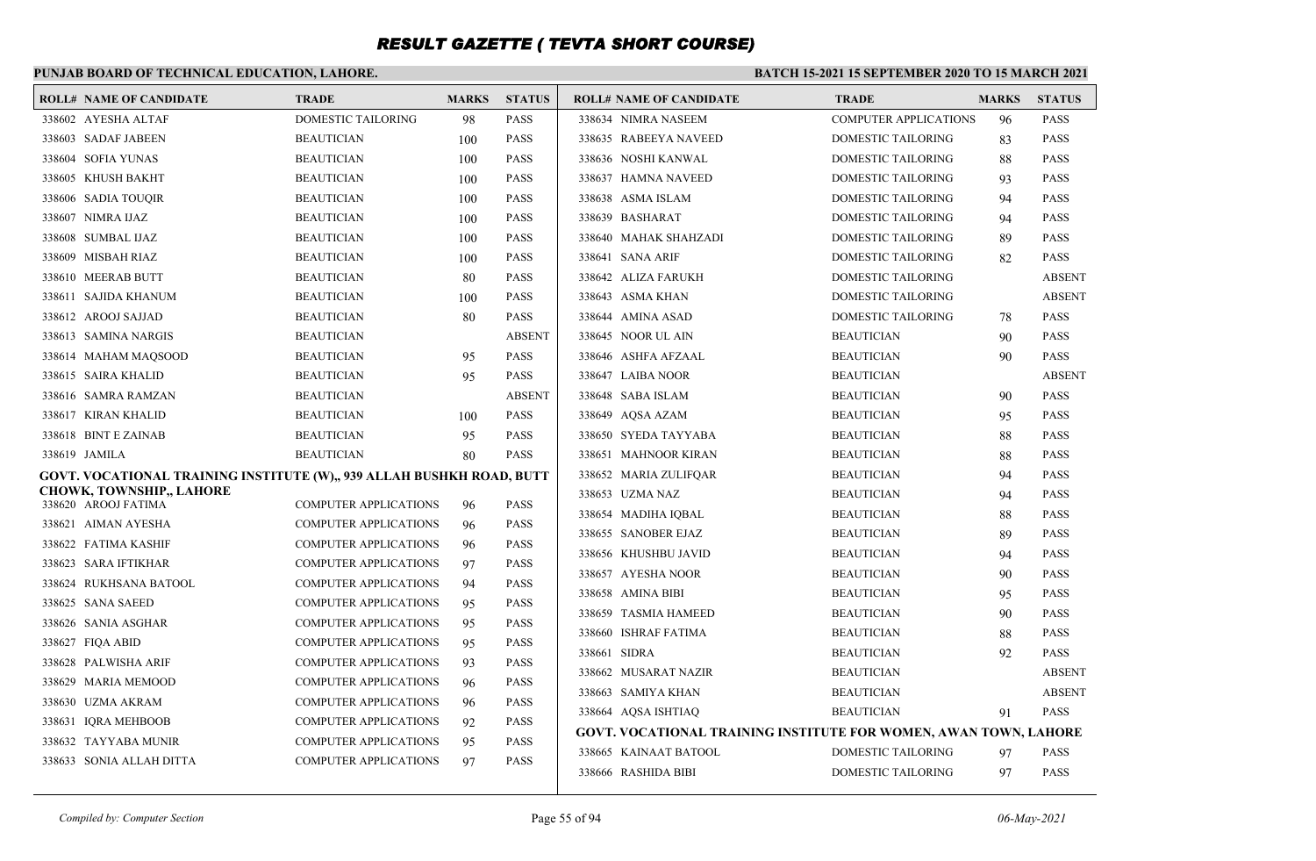### **PUNJAB BOARD OF TECHNICAL EDUCATION, LAHORE.**

| <b>ROLL# NAME OF CANDIDATE</b>                                        | <b>TRADE</b>                                                 | <b>MARKS</b> | <b>STATUS</b> | <b>ROLL# NAME OF CANDIDATE</b>                                          | <b>TRADE</b>              | <b>MARKS</b> | <b>STATUS</b> |
|-----------------------------------------------------------------------|--------------------------------------------------------------|--------------|---------------|-------------------------------------------------------------------------|---------------------------|--------------|---------------|
| 338602 AYESHA ALTAF                                                   | DOMESTIC TAILORING                                           | 98           | <b>PASS</b>   | 338634 NIMRA NASEEM                                                     | COMPUTER APPLICATIONS     | 96           | <b>PASS</b>   |
| 338603 SADAF JABEEN                                                   | <b>BEAUTICIAN</b>                                            | 100          | <b>PASS</b>   | 338635 RABEEYA NAVEED                                                   | DOMESTIC TAILORING        | 83           | <b>PASS</b>   |
| 338604 SOFIA YUNAS                                                    | <b>BEAUTICIAN</b>                                            | 100          | <b>PASS</b>   | 338636 NOSHI KANWAL                                                     | DOMESTIC TAILORING        | 88           | <b>PASS</b>   |
| 338605 KHUSH BAKHT                                                    | <b>BEAUTICIAN</b>                                            | 100          | <b>PASS</b>   | 338637 HAMNA NAVEED                                                     | DOMESTIC TAILORING        | 93           | <b>PASS</b>   |
| 338606 SADIA TOUQIR                                                   | <b>BEAUTICIAN</b>                                            | 100          | <b>PASS</b>   | 338638 ASMA ISLAM                                                       | DOMESTIC TAILORING        | 94           | <b>PASS</b>   |
| 338607 NIMRA IJAZ                                                     | <b>BEAUTICIAN</b>                                            | 100          | <b>PASS</b>   | 338639 BASHARAT                                                         | DOMESTIC TAILORING        | 94           | <b>PASS</b>   |
| 338608 SUMBAL IJAZ                                                    | <b>BEAUTICIAN</b>                                            | 100          | <b>PASS</b>   | 338640 MAHAK SHAHZADI                                                   | DOMESTIC TAILORING        | 89           | <b>PASS</b>   |
| 338609 MISBAH RIAZ                                                    | <b>BEAUTICIAN</b>                                            | 100          | <b>PASS</b>   | 338641 SANA ARIF                                                        | DOMESTIC TAILORING        | 82           | <b>PASS</b>   |
| 338610 MEERAB BUTT                                                    | <b>BEAUTICIAN</b>                                            | 80           | <b>PASS</b>   | 338642 ALIZA FARUKH                                                     | DOMESTIC TAILORING        |              | <b>ABSENT</b> |
| 338611 SAJIDA KHANUM                                                  | <b>BEAUTICIAN</b>                                            | 100          | <b>PASS</b>   | 338643 ASMA KHAN                                                        | DOMESTIC TAILORING        |              | <b>ABSENT</b> |
| 338612 AROOJ SAJJAD                                                   | <b>BEAUTICIAN</b>                                            | 80           | <b>PASS</b>   | 338644 AMINA ASAD                                                       | <b>DOMESTIC TAILORING</b> | 78           | <b>PASS</b>   |
| 338613 SAMINA NARGIS                                                  | <b>BEAUTICIAN</b>                                            |              | <b>ABSENT</b> | 338645 NOOR UL AIN                                                      | <b>BEAUTICIAN</b>         | 90           | <b>PASS</b>   |
| 338614 MAHAM MAQSOOD                                                  | <b>BEAUTICIAN</b>                                            | 95           | <b>PASS</b>   | 338646 ASHFA AFZAAL                                                     | <b>BEAUTICIAN</b>         | 90           | <b>PASS</b>   |
| 338615 SAIRA KHALID                                                   | <b>BEAUTICIAN</b>                                            | 95           | <b>PASS</b>   | 338647 LAIBA NOOR                                                       | <b>BEAUTICIAN</b>         |              | <b>ABSENT</b> |
| 338616 SAMRA RAMZAN                                                   | <b>BEAUTICIAN</b>                                            |              | <b>ABSENT</b> | 338648 SABA ISLAM                                                       | <b>BEAUTICIAN</b>         | 90           | <b>PASS</b>   |
| 338617 KIRAN KHALID                                                   | <b>BEAUTICIAN</b>                                            | 100          | <b>PASS</b>   | 338649 AQSA AZAM                                                        | <b>BEAUTICIAN</b>         | 95           | <b>PASS</b>   |
| 338618 BINT E ZAINAB                                                  | <b>BEAUTICIAN</b>                                            | 95           | <b>PASS</b>   | 338650 SYEDA TAYYABA                                                    | <b>BEAUTICIAN</b>         | 88           | <b>PASS</b>   |
| 338619 JAMILA                                                         | <b>BEAUTICIAN</b>                                            | 80           | <b>PASS</b>   | 338651 MAHNOOR KIRAN                                                    | <b>BEAUTICIAN</b>         | 88           | <b>PASS</b>   |
| GOVT. VOCATIONAL TRAINING INSTITUTE (W),, 939 ALLAH BUSHKH ROAD, BUTT |                                                              |              |               | 338652 MARIA ZULIFQAR                                                   | <b>BEAUTICIAN</b>         | 94           | <b>PASS</b>   |
| <b>CHOWK, TOWNSHIP,, LAHORE</b><br>338620 AROOJ FATIMA                | <b>COMPUTER APPLICATIONS</b>                                 | 96           | <b>PASS</b>   | 338653 UZMA NAZ                                                         | <b>BEAUTICIAN</b>         | 94           | <b>PASS</b>   |
| 338621 AIMAN AYESHA                                                   | <b>COMPUTER APPLICATIONS</b>                                 | 96           | <b>PASS</b>   | 338654 MADIHA IQBAL                                                     | <b>BEAUTICIAN</b>         | 88           | <b>PASS</b>   |
| 338622 FATIMA KASHIF                                                  | <b>COMPUTER APPLICATIONS</b>                                 | 96           | <b>PASS</b>   | 338655 SANOBER EJAZ                                                     | <b>BEAUTICIAN</b>         | 89           | <b>PASS</b>   |
| 338623 SARA IFTIKHAR                                                  | <b>COMPUTER APPLICATIONS</b>                                 | 97           | <b>PASS</b>   | 338656 KHUSHBU JAVID                                                    | <b>BEAUTICIAN</b>         | 94           | <b>PASS</b>   |
| 338624 RUKHSANA BATOOL                                                | <b>COMPUTER APPLICATIONS</b>                                 | 94           | <b>PASS</b>   | 338657 AYESHA NOOR                                                      | <b>BEAUTICIAN</b>         | 90           | <b>PASS</b>   |
| 338625 SANA SAEED                                                     | <b>COMPUTER APPLICATIONS</b>                                 | 95           | <b>PASS</b>   | 338658 AMINA BIBI                                                       | <b>BEAUTICIAN</b>         | 95           | <b>PASS</b>   |
| 338626 SANIA ASGHAR                                                   | <b>COMPUTER APPLICATIONS</b>                                 | 95           | <b>PASS</b>   | 338659 TASMIA HAMEED                                                    | <b>BEAUTICIAN</b>         | 90           | <b>PASS</b>   |
| 338627 FIQA ABID                                                      | <b>COMPUTER APPLICATIONS</b>                                 | 95           | <b>PASS</b>   | 338660 ISHRAF FATIMA                                                    | <b>BEAUTICIAN</b>         | 88           | <b>PASS</b>   |
| 338628 PALWISHA ARIF                                                  | <b>COMPUTER APPLICATIONS</b>                                 | 93           | <b>PASS</b>   | 338661 SIDRA                                                            | <b>BEAUTICIAN</b>         | 92           | <b>PASS</b>   |
| 338629 MARIA MEMOOD                                                   | <b>COMPUTER APPLICATIONS</b>                                 |              | <b>PASS</b>   | 338662 MUSARAT NAZIR                                                    | <b>BEAUTICIAN</b>         |              | <b>ABSENT</b> |
| 338630 UZMA AKRAM                                                     | <b>COMPUTER APPLICATIONS</b>                                 | 96           | <b>PASS</b>   | 338663 SAMIYA KHAN                                                      | <b>BEAUTICIAN</b>         |              | <b>ABSENT</b> |
|                                                                       |                                                              | 96           | <b>PASS</b>   | 338664 AQSA ISHTIAQ                                                     | <b>BEAUTICIAN</b>         | 91           | <b>PASS</b>   |
| 338631 IQRA MEHBOOB<br>338632 TAYYABA MUNIR                           | <b>COMPUTER APPLICATIONS</b><br><b>COMPUTER APPLICATIONS</b> | 92<br>95     | <b>PASS</b>   | <b>GOVT. VOCATIONAL TRAINING INSTITUTE FOR WOMEN, AWAN TOWN, LAHORE</b> |                           |              |               |
| 338633 SONIA ALLAH DITTA                                              | <b>COMPUTER APPLICATIONS</b>                                 | 97           | <b>PASS</b>   | 338665 KAINAAT BATOOL                                                   | DOMESTIC TAILORING        | 97           | <b>PASS</b>   |
|                                                                       |                                                              |              |               | 338666 RASHIDA BIBI                                                     | DOMESTIC TAILORING        | 97           | <b>PASS</b>   |
|                                                                       |                                                              |              |               |                                                                         |                           |              |               |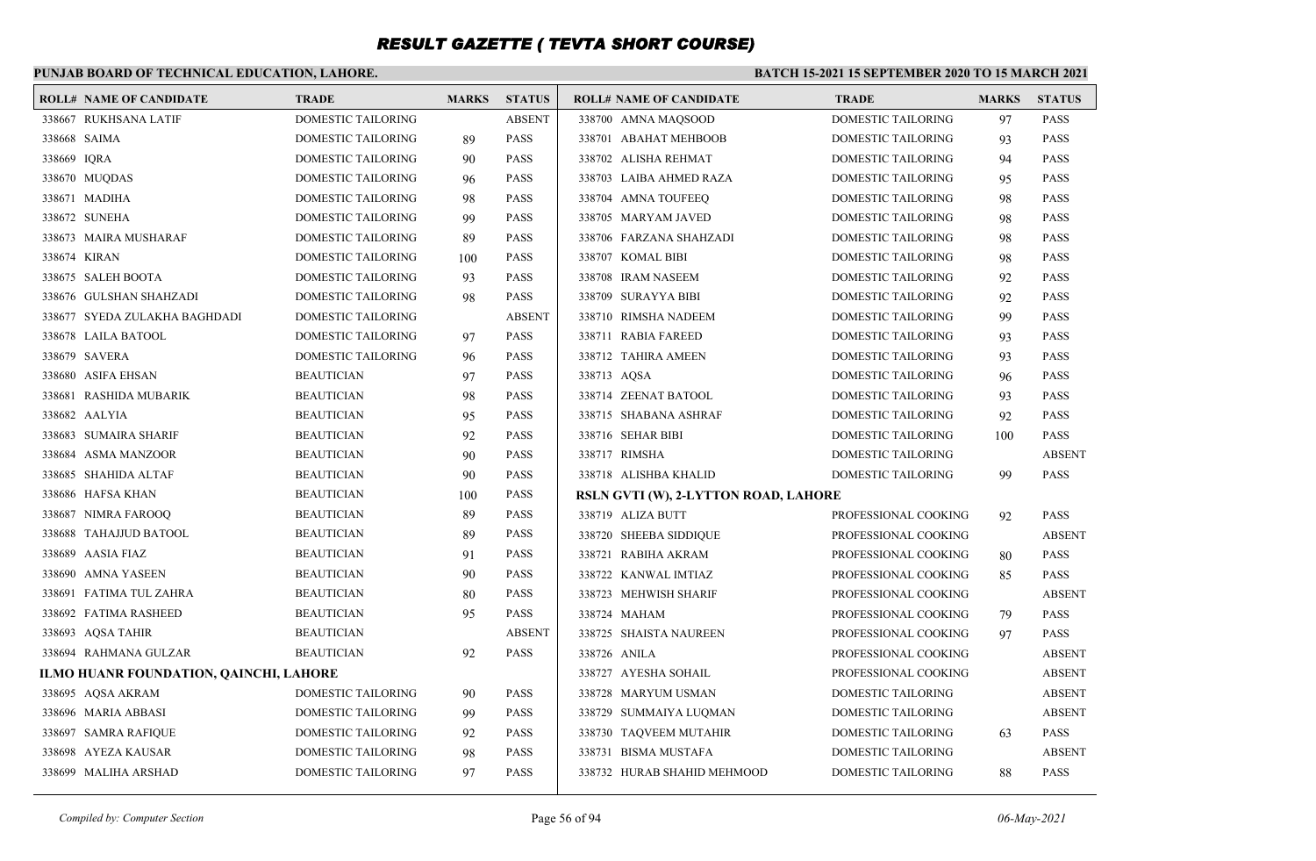### **PUNJAB BOARD OF TECHNICAL EDUCATION, LAHORE.**

| <b>TRADE</b>                                                                                                                                                                                                                                                                                                                                                                                                                                                                                                                                                                                                                                                                                                                                                                                | <b>MARKS</b>                           | <b>STATUS</b> | <b>ROLL# NAME OF CANDIDATE</b> | <b>TRADE</b>         | <b>MARKS</b>                         | <b>STATUS</b> |
|---------------------------------------------------------------------------------------------------------------------------------------------------------------------------------------------------------------------------------------------------------------------------------------------------------------------------------------------------------------------------------------------------------------------------------------------------------------------------------------------------------------------------------------------------------------------------------------------------------------------------------------------------------------------------------------------------------------------------------------------------------------------------------------------|----------------------------------------|---------------|--------------------------------|----------------------|--------------------------------------|---------------|
| DOMESTIC TAILORING                                                                                                                                                                                                                                                                                                                                                                                                                                                                                                                                                                                                                                                                                                                                                                          |                                        | <b>ABSENT</b> | 338700 AMNA MAOSOOD            | DOMESTIC TAILORING   | 97                                   | <b>PASS</b>   |
| DOMESTIC TAILORING                                                                                                                                                                                                                                                                                                                                                                                                                                                                                                                                                                                                                                                                                                                                                                          | 89                                     | <b>PASS</b>   | 338701 ABAHAT MEHBOOB          | DOMESTIC TAILORING   | 93                                   | <b>PASS</b>   |
| DOMESTIC TAILORING                                                                                                                                                                                                                                                                                                                                                                                                                                                                                                                                                                                                                                                                                                                                                                          | 90                                     | <b>PASS</b>   | 338702 ALISHA REHMAT           | DOMESTIC TAILORING   | 94                                   | <b>PASS</b>   |
| DOMESTIC TAILORING                                                                                                                                                                                                                                                                                                                                                                                                                                                                                                                                                                                                                                                                                                                                                                          | 96                                     | <b>PASS</b>   | 338703 LAIBA AHMED RAZA        | DOMESTIC TAILORING   | 95                                   | <b>PASS</b>   |
| DOMESTIC TAILORING                                                                                                                                                                                                                                                                                                                                                                                                                                                                                                                                                                                                                                                                                                                                                                          | 98                                     | <b>PASS</b>   | 338704 AMNA TOUFEEQ            | DOMESTIC TAILORING   | 98                                   | <b>PASS</b>   |
| DOMESTIC TAILORING                                                                                                                                                                                                                                                                                                                                                                                                                                                                                                                                                                                                                                                                                                                                                                          | 99                                     | <b>PASS</b>   | 338705 MARYAM JAVED            | DOMESTIC TAILORING   | 98                                   | <b>PASS</b>   |
| DOMESTIC TAILORING                                                                                                                                                                                                                                                                                                                                                                                                                                                                                                                                                                                                                                                                                                                                                                          | 89                                     | <b>PASS</b>   | 338706 FARZANA SHAHZADI        | DOMESTIC TAILORING   | 98                                   | <b>PASS</b>   |
| DOMESTIC TAILORING                                                                                                                                                                                                                                                                                                                                                                                                                                                                                                                                                                                                                                                                                                                                                                          | 100                                    | <b>PASS</b>   | 338707 KOMAL BIBI              | DOMESTIC TAILORING   | 98                                   | <b>PASS</b>   |
| DOMESTIC TAILORING                                                                                                                                                                                                                                                                                                                                                                                                                                                                                                                                                                                                                                                                                                                                                                          | 93                                     | <b>PASS</b>   | 338708 IRAM NASEEM             | DOMESTIC TAILORING   | 92                                   | <b>PASS</b>   |
| DOMESTIC TAILORING                                                                                                                                                                                                                                                                                                                                                                                                                                                                                                                                                                                                                                                                                                                                                                          | 98                                     | <b>PASS</b>   | 338709 SURAYYA BIBI            | DOMESTIC TAILORING   | 92                                   | <b>PASS</b>   |
| DOMESTIC TAILORING                                                                                                                                                                                                                                                                                                                                                                                                                                                                                                                                                                                                                                                                                                                                                                          |                                        | <b>ABSENT</b> | 338710 RIMSHA NADEEM           | DOMESTIC TAILORING   | 99                                   | <b>PASS</b>   |
| DOMESTIC TAILORING                                                                                                                                                                                                                                                                                                                                                                                                                                                                                                                                                                                                                                                                                                                                                                          | 97                                     | <b>PASS</b>   | 338711 RABIA FAREED            | DOMESTIC TAILORING   | 93                                   | <b>PASS</b>   |
| DOMESTIC TAILORING                                                                                                                                                                                                                                                                                                                                                                                                                                                                                                                                                                                                                                                                                                                                                                          | 96                                     | <b>PASS</b>   | 338712 TAHIRA AMEEN            | DOMESTIC TAILORING   | 93                                   | <b>PASS</b>   |
| <b>BEAUTICIAN</b>                                                                                                                                                                                                                                                                                                                                                                                                                                                                                                                                                                                                                                                                                                                                                                           | 97                                     | <b>PASS</b>   | 338713 AQSA                    | DOMESTIC TAILORING   | 96                                   | <b>PASS</b>   |
| <b>BEAUTICIAN</b>                                                                                                                                                                                                                                                                                                                                                                                                                                                                                                                                                                                                                                                                                                                                                                           | 98                                     | <b>PASS</b>   | 338714 ZEENAT BATOOL           | DOMESTIC TAILORING   | 93                                   | <b>PASS</b>   |
| <b>BEAUTICIAN</b>                                                                                                                                                                                                                                                                                                                                                                                                                                                                                                                                                                                                                                                                                                                                                                           | 95                                     | <b>PASS</b>   | 338715 SHABANA ASHRAF          | DOMESTIC TAILORING   | 92                                   | <b>PASS</b>   |
| <b>BEAUTICIAN</b>                                                                                                                                                                                                                                                                                                                                                                                                                                                                                                                                                                                                                                                                                                                                                                           | 92                                     | <b>PASS</b>   | 338716 SEHAR BIBI              | DOMESTIC TAILORING   | 100                                  | <b>PASS</b>   |
| <b>BEAUTICIAN</b>                                                                                                                                                                                                                                                                                                                                                                                                                                                                                                                                                                                                                                                                                                                                                                           | 90                                     | <b>PASS</b>   | 338717 RIMSHA                  | DOMESTIC TAILORING   |                                      | <b>ABSENT</b> |
| <b>BEAUTICIAN</b>                                                                                                                                                                                                                                                                                                                                                                                                                                                                                                                                                                                                                                                                                                                                                                           | 90                                     | <b>PASS</b>   | 338718 ALISHBA KHALID          | DOMESTIC TAILORING   | 99                                   | <b>PASS</b>   |
| <b>BEAUTICIAN</b>                                                                                                                                                                                                                                                                                                                                                                                                                                                                                                                                                                                                                                                                                                                                                                           | 100                                    | <b>PASS</b>   |                                |                      |                                      |               |
| <b>BEAUTICIAN</b>                                                                                                                                                                                                                                                                                                                                                                                                                                                                                                                                                                                                                                                                                                                                                                           | 89                                     | <b>PASS</b>   | 338719 ALIZA BUTT              | PROFESSIONAL COOKING | 92                                   | <b>PASS</b>   |
| <b>BEAUTICIAN</b>                                                                                                                                                                                                                                                                                                                                                                                                                                                                                                                                                                                                                                                                                                                                                                           | 89                                     | <b>PASS</b>   | 338720 SHEEBA SIDDIQUE         | PROFESSIONAL COOKING |                                      | <b>ABSENT</b> |
| <b>BEAUTICIAN</b>                                                                                                                                                                                                                                                                                                                                                                                                                                                                                                                                                                                                                                                                                                                                                                           | 91                                     | <b>PASS</b>   | 338721 RABIHA AKRAM            | PROFESSIONAL COOKING | 80                                   | <b>PASS</b>   |
| <b>BEAUTICIAN</b>                                                                                                                                                                                                                                                                                                                                                                                                                                                                                                                                                                                                                                                                                                                                                                           | 90                                     | <b>PASS</b>   | 338722 KANWAL IMTIAZ           | PROFESSIONAL COOKING | 85                                   | <b>PASS</b>   |
| <b>BEAUTICIAN</b>                                                                                                                                                                                                                                                                                                                                                                                                                                                                                                                                                                                                                                                                                                                                                                           | 80                                     | <b>PASS</b>   | 338723 MEHWISH SHARIF          | PROFESSIONAL COOKING |                                      | <b>ABSENT</b> |
| <b>BEAUTICIAN</b>                                                                                                                                                                                                                                                                                                                                                                                                                                                                                                                                                                                                                                                                                                                                                                           | 95                                     | <b>PASS</b>   | 338724 MAHAM                   | PROFESSIONAL COOKING | 79                                   | <b>PASS</b>   |
| <b>BEAUTICIAN</b>                                                                                                                                                                                                                                                                                                                                                                                                                                                                                                                                                                                                                                                                                                                                                                           |                                        | <b>ABSENT</b> | 338725 SHAISTA NAUREEN         | PROFESSIONAL COOKING | 97                                   | <b>PASS</b>   |
| <b>BEAUTICIAN</b>                                                                                                                                                                                                                                                                                                                                                                                                                                                                                                                                                                                                                                                                                                                                                                           | 92                                     | <b>PASS</b>   | 338726 ANILA                   | PROFESSIONAL COOKING |                                      | <b>ABSENT</b> |
|                                                                                                                                                                                                                                                                                                                                                                                                                                                                                                                                                                                                                                                                                                                                                                                             |                                        |               | 338727 AYESHA SOHAIL           | PROFESSIONAL COOKING |                                      | <b>ABSENT</b> |
| DOMESTIC TAILORING                                                                                                                                                                                                                                                                                                                                                                                                                                                                                                                                                                                                                                                                                                                                                                          | 90                                     | <b>PASS</b>   | 338728 MARYUM USMAN            | DOMESTIC TAILORING   |                                      | <b>ABSENT</b> |
| DOMESTIC TAILORING                                                                                                                                                                                                                                                                                                                                                                                                                                                                                                                                                                                                                                                                                                                                                                          | 99                                     | <b>PASS</b>   | 338729 SUMMAIYA LUQMAN         | DOMESTIC TAILORING   |                                      | <b>ABSENT</b> |
| DOMESTIC TAILORING                                                                                                                                                                                                                                                                                                                                                                                                                                                                                                                                                                                                                                                                                                                                                                          | 92                                     | <b>PASS</b>   | 338730 TAQVEEM MUTAHIR         | DOMESTIC TAILORING   | 63                                   | <b>PASS</b>   |
| DOMESTIC TAILORING                                                                                                                                                                                                                                                                                                                                                                                                                                                                                                                                                                                                                                                                                                                                                                          | 98                                     | <b>PASS</b>   | 338731 BISMA MUSTAFA           | DOMESTIC TAILORING   |                                      | <b>ABSENT</b> |
| DOMESTIC TAILORING                                                                                                                                                                                                                                                                                                                                                                                                                                                                                                                                                                                                                                                                                                                                                                          | 97                                     | <b>PASS</b>   | 338732 HURAB SHAHID MEHMOOD    | DOMESTIC TAILORING   | 88                                   | <b>PASS</b>   |
| <b>ROLL# NAME OF CANDIDATE</b><br>338667 RUKHSANA LATIF<br>338668 SAIMA<br>338669 IQRA<br>338670 MUQDAS<br>338671 MADIHA<br>338672 SUNEHA<br>338673 MAIRA MUSHARAF<br>338674 KIRAN<br>338675 SALEH BOOTA<br>338676 GULSHAN SHAHZADI<br>338677 SYEDA ZULAKHA BAGHDADI<br>338678 LAILA BATOOL<br>338679 SAVERA<br>338680 ASIFA EHSAN<br>338681 RASHIDA MUBARIK<br>338682 AALYIA<br>338683 SUMAIRA SHARIF<br>338684 ASMA MANZOOR<br>338685 SHAHIDA ALTAF<br>338686 HAFSA KHAN<br>338687 NIMRA FAROOQ<br>338688 TAHAJJUD BATOOL<br>338689 AASIA FIAZ<br>338690 AMNA YASEEN<br>338691 FATIMA TUL ZAHRA<br>338692 FATIMA RASHEED<br>338693 AQSA TAHIR<br>338694 RAHMANA GULZAR<br>338695 AQSA AKRAM<br>338696 MARIA ABBASI<br>338697 SAMRA RAFIQUE<br>338698 AYEZA KAUSAR<br>338699 MALIHA ARSHAD | ILMO HUANR FOUNDATION, QAINCHI, LAHORE |               |                                |                      | RSLN GVTI (W), 2-LYTTON ROAD, LAHORE |               |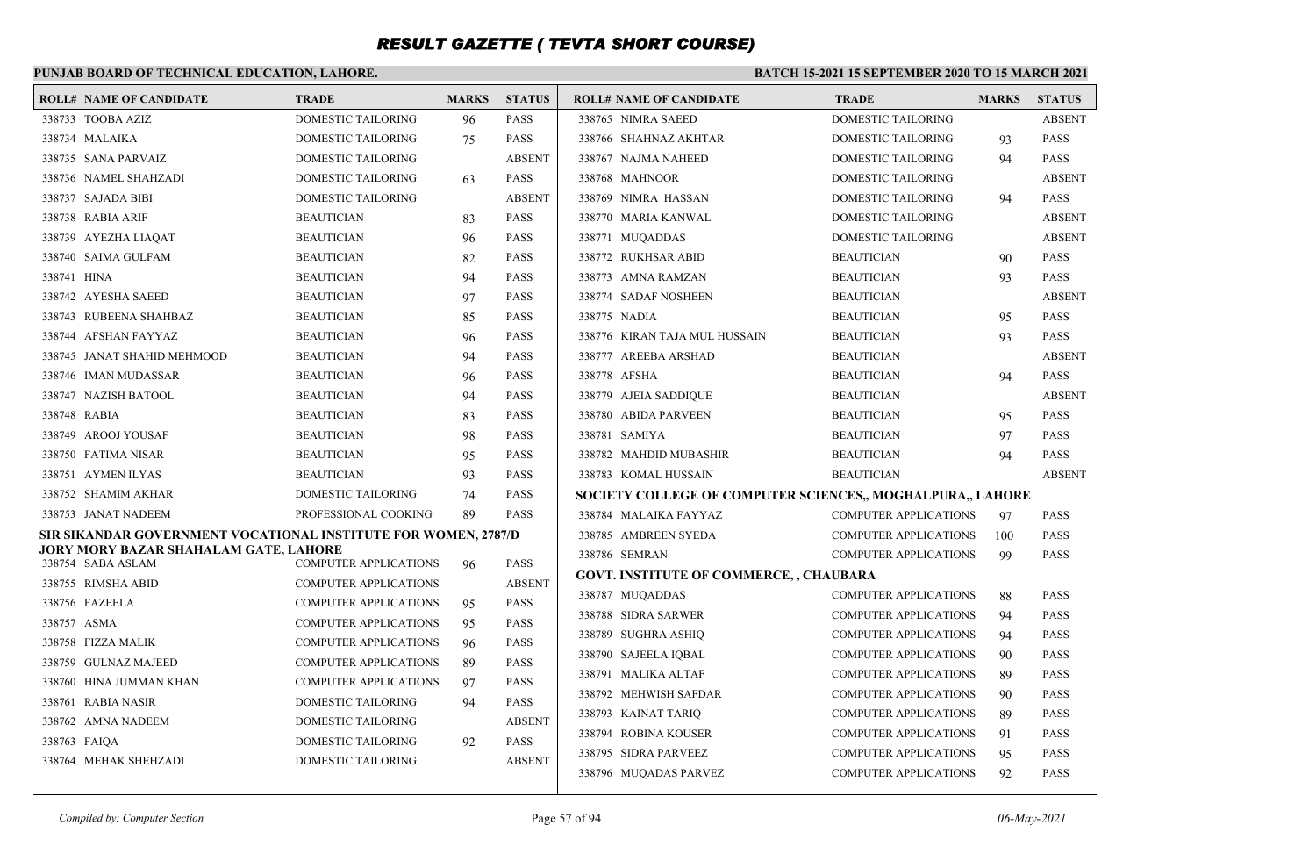### **PUNJAB BOARD OF TECHNICAL EDUCATION, LAHORE.**

|             | <b>ROLL# NAME OF CANDIDATE</b>                                 | <b>TRADE</b>                             | <b>MARKS</b> | <b>STATUS</b> | <b>ROLL# NAME OF CANDIDATE</b>                             | <b>TRADE</b>                 | <b>MARKS</b> | <b>STATUS</b> |
|-------------|----------------------------------------------------------------|------------------------------------------|--------------|---------------|------------------------------------------------------------|------------------------------|--------------|---------------|
|             | 338733 TOOBA AZIZ                                              | <b>DOMESTIC TAILORING</b>                | 96           | <b>PASS</b>   | 338765 NIMRA SAEED                                         | <b>DOMESTIC TAILORING</b>    |              | <b>ABSENT</b> |
|             | 338734 MALAIKA                                                 | DOMESTIC TAILORING                       | 75           | <b>PASS</b>   | 338766 SHAHNAZ AKHTAR                                      | DOMESTIC TAILORING           | 93           | <b>PASS</b>   |
|             | 338735 SANA PARVAIZ                                            | DOMESTIC TAILORING                       |              | <b>ABSENT</b> | 338767 NAJMA NAHEED                                        | DOMESTIC TAILORING           | 94           | <b>PASS</b>   |
|             | 338736 NAMEL SHAHZADI                                          | DOMESTIC TAILORING                       | 63           | <b>PASS</b>   | 338768 MAHNOOR                                             | DOMESTIC TAILORING           |              | <b>ABSENT</b> |
|             | 338737 SAJADA BIBI                                             | <b>DOMESTIC TAILORING</b>                |              | <b>ABSENT</b> | 338769 NIMRA HASSAN                                        | DOMESTIC TAILORING           | 94           | <b>PASS</b>   |
|             | 338738 RABIA ARIF                                              | <b>BEAUTICIAN</b>                        | 83           | <b>PASS</b>   | 338770 MARIA KANWAL                                        | DOMESTIC TAILORING           |              | <b>ABSENT</b> |
|             | 338739 AYEZHA LIAQAT                                           | <b>BEAUTICIAN</b>                        | 96           | <b>PASS</b>   | 338771 MUQADDAS                                            | DOMESTIC TAILORING           |              | <b>ABSENT</b> |
|             | 338740 SAIMA GULFAM                                            | <b>BEAUTICIAN</b>                        | 82           | <b>PASS</b>   | 338772 RUKHSAR ABID                                        | <b>BEAUTICIAN</b>            | 90           | <b>PASS</b>   |
| 338741 HINA |                                                                | <b>BEAUTICIAN</b>                        | 94           | <b>PASS</b>   | 338773 AMNA RAMZAN                                         | <b>BEAUTICIAN</b>            | 93           | <b>PASS</b>   |
|             | 338742 AYESHA SAEED                                            | <b>BEAUTICIAN</b>                        | 97           | <b>PASS</b>   | 338774 SADAF NOSHEEN                                       | <b>BEAUTICIAN</b>            |              | <b>ABSENT</b> |
|             | 338743 RUBEENA SHAHBAZ                                         | <b>BEAUTICIAN</b>                        | 85           | <b>PASS</b>   | 338775 NADIA                                               | <b>BEAUTICIAN</b>            | 95           | <b>PASS</b>   |
|             | 338744 AFSHAN FAYYAZ                                           | <b>BEAUTICIAN</b>                        | 96           | <b>PASS</b>   | 338776 KIRAN TAJA MUL HUSSAIN                              | <b>BEAUTICIAN</b>            | 93           | <b>PASS</b>   |
|             | 338745 JANAT SHAHID MEHMOOD                                    | <b>BEAUTICIAN</b>                        | 94           | <b>PASS</b>   | 338777 AREEBA ARSHAD                                       | <b>BEAUTICIAN</b>            |              | <b>ABSENT</b> |
|             | 338746 IMAN MUDASSAR                                           | <b>BEAUTICIAN</b>                        | 96           | <b>PASS</b>   | 338778 AFSHA                                               | <b>BEAUTICIAN</b>            | 94           | <b>PASS</b>   |
|             | 338747 NAZISH BATOOL                                           | <b>BEAUTICIAN</b>                        | 94           | <b>PASS</b>   | 338779 AJEIA SADDIQUE                                      | <b>BEAUTICIAN</b>            |              | <b>ABSENT</b> |
|             | 338748 RABIA                                                   | <b>BEAUTICIAN</b>                        | 83           | <b>PASS</b>   | 338780 ABIDA PARVEEN                                       | <b>BEAUTICIAN</b>            | 95           | <b>PASS</b>   |
|             | 338749 AROOJ YOUSAF                                            | <b>BEAUTICIAN</b>                        | 98           | <b>PASS</b>   | 338781 SAMIYA                                              | <b>BEAUTICIAN</b>            | 97           | <b>PASS</b>   |
|             | 338750 FATIMA NISAR                                            | <b>BEAUTICIAN</b>                        | 95           | <b>PASS</b>   | 338782 MAHDID MUBASHIR                                     | <b>BEAUTICIAN</b>            | 94           | <b>PASS</b>   |
|             | 338751 AYMEN ILYAS                                             | <b>BEAUTICIAN</b>                        | 93           | <b>PASS</b>   | 338783 KOMAL HUSSAIN                                       | <b>BEAUTICIAN</b>            |              | <b>ABSENT</b> |
|             | 338752 SHAMIM AKHAR                                            | DOMESTIC TAILORING                       | 74           | <b>PASS</b>   | SOCIETY COLLEGE OF COMPUTER SCIENCES,, MOGHALPURA,, LAHORE |                              |              |               |
|             | 338753 JANAT NADEEM                                            | PROFESSIONAL COOKING                     | 89           | <b>PASS</b>   | 338784 MALAIKA FAYYAZ                                      | <b>COMPUTER APPLICATIONS</b> | 97           | <b>PASS</b>   |
|             | SIR SIKANDAR GOVERNMENT VOCATIONAL INSTITUTE FOR WOMEN, 2787/D |                                          |              |               | 338785 AMBREEN SYEDA                                       | <b>COMPUTER APPLICATIONS</b> | 100          | <b>PASS</b>   |
|             | JORY MORY BAZAR SHAHALAM GATE, LAHORE<br>338754 SABA ASLAM     | <b>COMPUTER APPLICATIONS</b>             | 96           | <b>PASS</b>   | 338786 SEMRAN                                              | <b>COMPUTER APPLICATIONS</b> | 99           | <b>PASS</b>   |
|             | 338755 RIMSHA ABID                                             | <b>COMPUTER APPLICATIONS</b>             |              | <b>ABSENT</b> | <b>GOVT. INSTITUTE OF COMMERCE, , CHAUBARA</b>             |                              |              |               |
|             | 338756 FAZEELA                                                 | <b>COMPUTER APPLICATIONS</b>             | 95           | <b>PASS</b>   | 338787 MUQADDAS                                            | <b>COMPUTER APPLICATIONS</b> | 88           | <b>PASS</b>   |
| 338757 ASMA |                                                                | <b>COMPUTER APPLICATIONS</b>             | 95           | <b>PASS</b>   | 338788 SIDRA SARWER                                        | <b>COMPUTER APPLICATIONS</b> | 94           | <b>PASS</b>   |
|             | 338758 FIZZA MALIK                                             | <b>COMPUTER APPLICATIONS</b>             | 96           | <b>PASS</b>   | 338789 SUGHRA ASHIO                                        | <b>COMPUTER APPLICATIONS</b> | 94           | <b>PASS</b>   |
|             | 338759 GULNAZ MAJEED                                           | <b>COMPUTER APPLICATIONS</b>             | 89           | <b>PASS</b>   | 338790 SAJEELA IOBAL                                       | <b>COMPUTER APPLICATIONS</b> | 90           | <b>PASS</b>   |
|             | 338760 HINA JUMMAN KHAN                                        | <b>COMPUTER APPLICATIONS</b>             |              | <b>PASS</b>   | 338791 MALIKA ALTAF                                        | <b>COMPUTER APPLICATIONS</b> | 89           | <b>PASS</b>   |
|             | 338761 RABIA NASIR                                             | <b>DOMESTIC TAILORING</b>                | 97<br>94     | <b>PASS</b>   | 338792 MEHWISH SAFDAR                                      | <b>COMPUTER APPLICATIONS</b> | 90           | <b>PASS</b>   |
|             |                                                                |                                          |              | <b>ABSENT</b> | 338793 KAINAT TARIQ                                        | <b>COMPUTER APPLICATIONS</b> | 89           | <b>PASS</b>   |
|             | 338762 AMNA NADEEM<br>338763 FAIQA                             | DOMESTIC TAILORING<br>DOMESTIC TAILORING |              | <b>PASS</b>   | 338794 ROBINA KOUSER                                       | <b>COMPUTER APPLICATIONS</b> | 91           | <b>PASS</b>   |
|             | 338764 MEHAK SHEHZADI                                          | DOMESTIC TAILORING                       | 92           | <b>ABSENT</b> | 338795 SIDRA PARVEEZ                                       | <b>COMPUTER APPLICATIONS</b> | 95           | <b>PASS</b>   |
|             |                                                                |                                          |              |               | 338796 MUQADAS PARVEZ                                      | <b>COMPUTER APPLICATIONS</b> | 92           | <b>PASS</b>   |
|             |                                                                |                                          |              |               |                                                            |                              |              |               |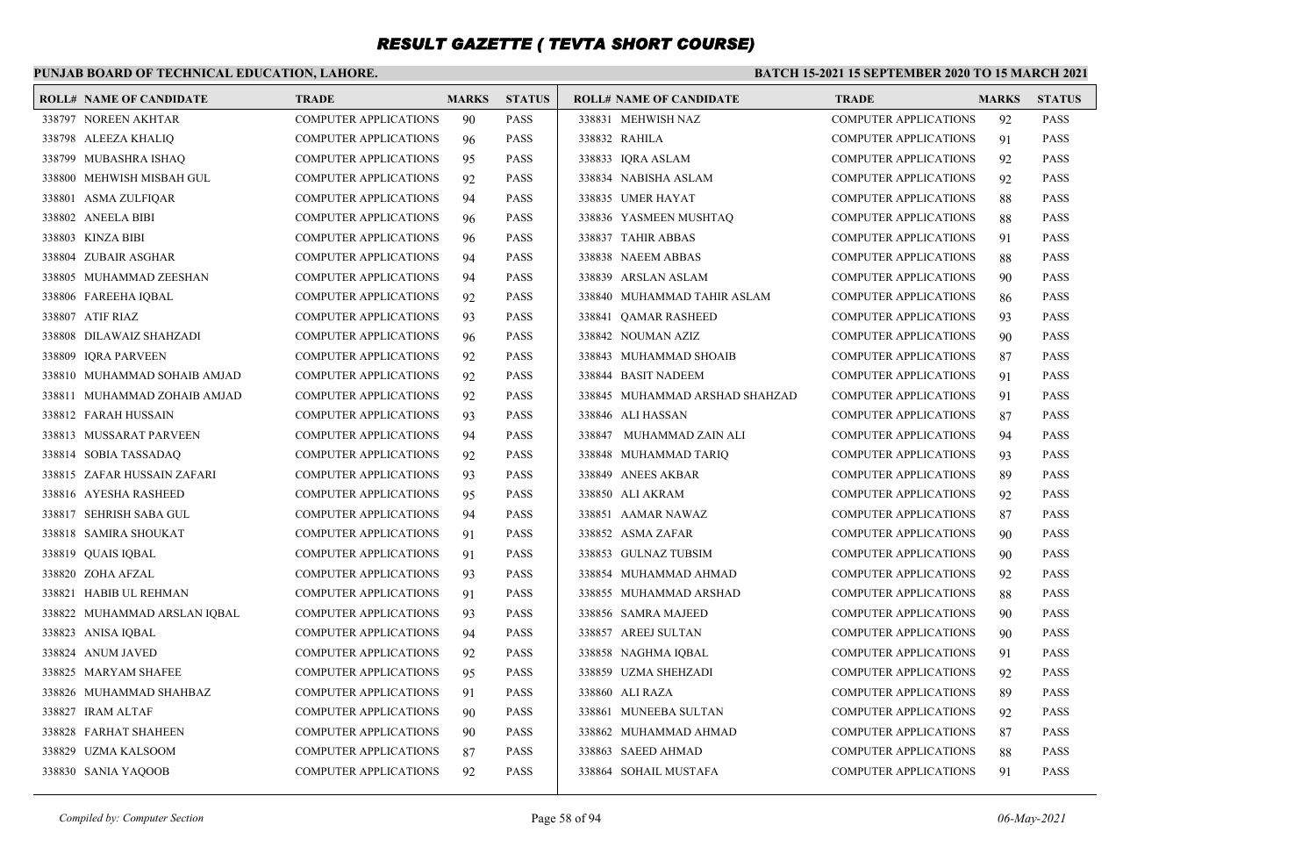### **PUNJAB BOARD OF TECHNICAL EDUCATION, LAHORE.**

#### **BATCH 15-2021 15 SEPTEMBER 2020 TO 15 MARCH 2021**

| <b>ROLL# NAME OF CANDIDATE</b> | <b>TRADE</b>                 | <b>MARKS</b> | <b>STATUS</b> | <b>ROLL# NAME OF CANDIDATE</b> | <b>TRADE</b>                 | <b>MARKS</b> | <b>STATUS</b> |
|--------------------------------|------------------------------|--------------|---------------|--------------------------------|------------------------------|--------------|---------------|
| 338797 NOREEN AKHTAR           | <b>COMPUTER APPLICATIONS</b> | 90           | <b>PASS</b>   | 338831 MEHWISH NAZ             | <b>COMPUTER APPLICATIONS</b> | 92           | <b>PASS</b>   |
| 338798 ALEEZA KHALIQ           | <b>COMPUTER APPLICATIONS</b> | 96           | <b>PASS</b>   | 338832 RAHILA                  | <b>COMPUTER APPLICATIONS</b> | 91           | <b>PASS</b>   |
| 338799 MUBASHRA ISHAO          | <b>COMPUTER APPLICATIONS</b> | 95           | <b>PASS</b>   | 338833 IORA ASLAM              | <b>COMPUTER APPLICATIONS</b> | 92           | <b>PASS</b>   |
| 338800 MEHWISH MISBAH GUL      | <b>COMPUTER APPLICATIONS</b> | 92           | <b>PASS</b>   | 338834 NABISHA ASLAM           | <b>COMPUTER APPLICATIONS</b> | 92           | <b>PASS</b>   |
| 338801 ASMA ZULFIQAR           | <b>COMPUTER APPLICATIONS</b> | 94           | <b>PASS</b>   | 338835 UMER HAYAT              | <b>COMPUTER APPLICATIONS</b> | 88           | <b>PASS</b>   |
| 338802 ANEELA BIBI             | <b>COMPUTER APPLICATIONS</b> | 96           | <b>PASS</b>   | 338836 YASMEEN MUSHTAO         | <b>COMPUTER APPLICATIONS</b> | 88           | <b>PASS</b>   |
| 338803 KINZA BIBI              | <b>COMPUTER APPLICATIONS</b> | 96           | <b>PASS</b>   | 338837 TAHIR ABBAS             | <b>COMPUTER APPLICATIONS</b> | 91           | <b>PASS</b>   |
| 338804 ZUBAIR ASGHAR           | <b>COMPUTER APPLICATIONS</b> | 94           | <b>PASS</b>   | 338838 NAEEM ABBAS             | <b>COMPUTER APPLICATIONS</b> | 88           | <b>PASS</b>   |
| 338805 MUHAMMAD ZEESHAN        | <b>COMPUTER APPLICATIONS</b> | 94           | <b>PASS</b>   | 338839 ARSLAN ASLAM            | <b>COMPUTER APPLICATIONS</b> | 90           | <b>PASS</b>   |
| 338806 FAREEHA IQBAL           | <b>COMPUTER APPLICATIONS</b> | 92           | <b>PASS</b>   | 338840 MUHAMMAD TAHIR ASLAM    | COMPUTER APPLICATIONS        | 86           | <b>PASS</b>   |
| 338807 ATIF RIAZ               | <b>COMPUTER APPLICATIONS</b> | 93           | <b>PASS</b>   | 338841 QAMAR RASHEED           | <b>COMPUTER APPLICATIONS</b> | 93           | <b>PASS</b>   |
| 338808 DILAWAIZ SHAHZADI       | <b>COMPUTER APPLICATIONS</b> | 96           | <b>PASS</b>   | 338842 NOUMAN AZIZ             | <b>COMPUTER APPLICATIONS</b> | 90           | <b>PASS</b>   |
| 338809 IQRA PARVEEN            | <b>COMPUTER APPLICATIONS</b> | 92           | <b>PASS</b>   | 338843 MUHAMMAD SHOAIB         | <b>COMPUTER APPLICATIONS</b> | 87           | <b>PASS</b>   |
| 338810 MUHAMMAD SOHAIB AMJAD   | <b>COMPUTER APPLICATIONS</b> | 92           | <b>PASS</b>   | 338844 BASIT NADEEM            | <b>COMPUTER APPLICATIONS</b> | 91           | <b>PASS</b>   |
| 338811 MUHAMMAD ZOHAIB AMJAD   | <b>COMPUTER APPLICATIONS</b> | 92           | <b>PASS</b>   | 338845 MUHAMMAD ARSHAD SHAHZAD | <b>COMPUTER APPLICATIONS</b> | 91           | <b>PASS</b>   |
| 338812 FARAH HUSSAIN           | <b>COMPUTER APPLICATIONS</b> | 93           | <b>PASS</b>   | 338846 ALI HASSAN              | <b>COMPUTER APPLICATIONS</b> | 87           | <b>PASS</b>   |
| 338813 MUSSARAT PARVEEN        | <b>COMPUTER APPLICATIONS</b> | 94           | <b>PASS</b>   | 338847 MUHAMMAD ZAIN ALI       | <b>COMPUTER APPLICATIONS</b> | 94           | <b>PASS</b>   |
| 338814 SOBIA TASSADAQ          | <b>COMPUTER APPLICATIONS</b> | 92           | <b>PASS</b>   | 338848 MUHAMMAD TARIQ          | <b>COMPUTER APPLICATIONS</b> | 93           | <b>PASS</b>   |
| 338815 ZAFAR HUSSAIN ZAFARI    | <b>COMPUTER APPLICATIONS</b> | 93           | <b>PASS</b>   | 338849 ANEES AKBAR             | <b>COMPUTER APPLICATIONS</b> | 89           | <b>PASS</b>   |
| 338816 AYESHA RASHEED          | <b>COMPUTER APPLICATIONS</b> | 95           | <b>PASS</b>   | 338850 ALI AKRAM               | <b>COMPUTER APPLICATIONS</b> | 92           | <b>PASS</b>   |
| 338817 SEHRISH SABA GUL        | <b>COMPUTER APPLICATIONS</b> | 94           | <b>PASS</b>   | 338851 AAMAR NAWAZ             | <b>COMPUTER APPLICATIONS</b> | 87           | <b>PASS</b>   |
| 338818 SAMIRA SHOUKAT          | COMPUTER APPLICATIONS        | 91           | <b>PASS</b>   | 338852 ASMA ZAFAR              | <b>COMPUTER APPLICATIONS</b> | 90           | <b>PASS</b>   |
| 338819 QUAIS IQBAL             | <b>COMPUTER APPLICATIONS</b> | 91           | <b>PASS</b>   | 338853 GULNAZ TUBSIM           | <b>COMPUTER APPLICATIONS</b> | 90           | <b>PASS</b>   |
| 338820 ZOHA AFZAL              | COMPUTER APPLICATIONS        | 93           | <b>PASS</b>   | 338854 MUHAMMAD AHMAD          | COMPUTER APPLICATIONS        | 92           | <b>PASS</b>   |
| 338821 HABIB UL REHMAN         | <b>COMPUTER APPLICATIONS</b> | 91           | <b>PASS</b>   | 338855 MUHAMMAD ARSHAD         | <b>COMPUTER APPLICATIONS</b> | 88           | <b>PASS</b>   |
| 338822 MUHAMMAD ARSLAN IQBAL   | <b>COMPUTER APPLICATIONS</b> | 93           | <b>PASS</b>   | 338856 SAMRA MAJEED            | <b>COMPUTER APPLICATIONS</b> | 90           | <b>PASS</b>   |
| 338823 ANISA IQBAL             | <b>COMPUTER APPLICATIONS</b> | 94           | <b>PASS</b>   | 338857 AREEJ SULTAN            | <b>COMPUTER APPLICATIONS</b> | 90           | <b>PASS</b>   |
| 338824 ANUM JAVED              | <b>COMPUTER APPLICATIONS</b> | 92           | <b>PASS</b>   | 338858 NAGHMA IOBAL            | <b>COMPUTER APPLICATIONS</b> | 91           | <b>PASS</b>   |
| 338825 MARYAM SHAFEE           | <b>COMPUTER APPLICATIONS</b> | 95           | <b>PASS</b>   | 338859 UZMA SHEHZADI           | <b>COMPUTER APPLICATIONS</b> | 92           | <b>PASS</b>   |
| 338826 MUHAMMAD SHAHBAZ        | <b>COMPUTER APPLICATIONS</b> | 91           | <b>PASS</b>   | 338860 ALI RAZA                | <b>COMPUTER APPLICATIONS</b> | 89           | <b>PASS</b>   |
| 338827 IRAM ALTAF              | <b>COMPUTER APPLICATIONS</b> | 90           | <b>PASS</b>   | 338861 MUNEEBA SULTAN          | <b>COMPUTER APPLICATIONS</b> | 92           | <b>PASS</b>   |
| 338828 FARHAT SHAHEEN          | <b>COMPUTER APPLICATIONS</b> | 90           | <b>PASS</b>   | 338862 MUHAMMAD AHMAD          | <b>COMPUTER APPLICATIONS</b> | 87           | <b>PASS</b>   |
| 338829 UZMA KALSOOM            | <b>COMPUTER APPLICATIONS</b> | 87           | <b>PASS</b>   | 338863 SAEED AHMAD             | <b>COMPUTER APPLICATIONS</b> | 88           | <b>PASS</b>   |
| 338830 SANIA YAQOOB            | <b>COMPUTER APPLICATIONS</b> | 92           | <b>PASS</b>   | 338864 SOHAIL MUSTAFA          | <b>COMPUTER APPLICATIONS</b> | 91           | <b>PASS</b>   |
|                                |                              |              |               |                                |                              |              |               |

*Compiled by: Computer Section* Page 58 of 94 *06-May-2021*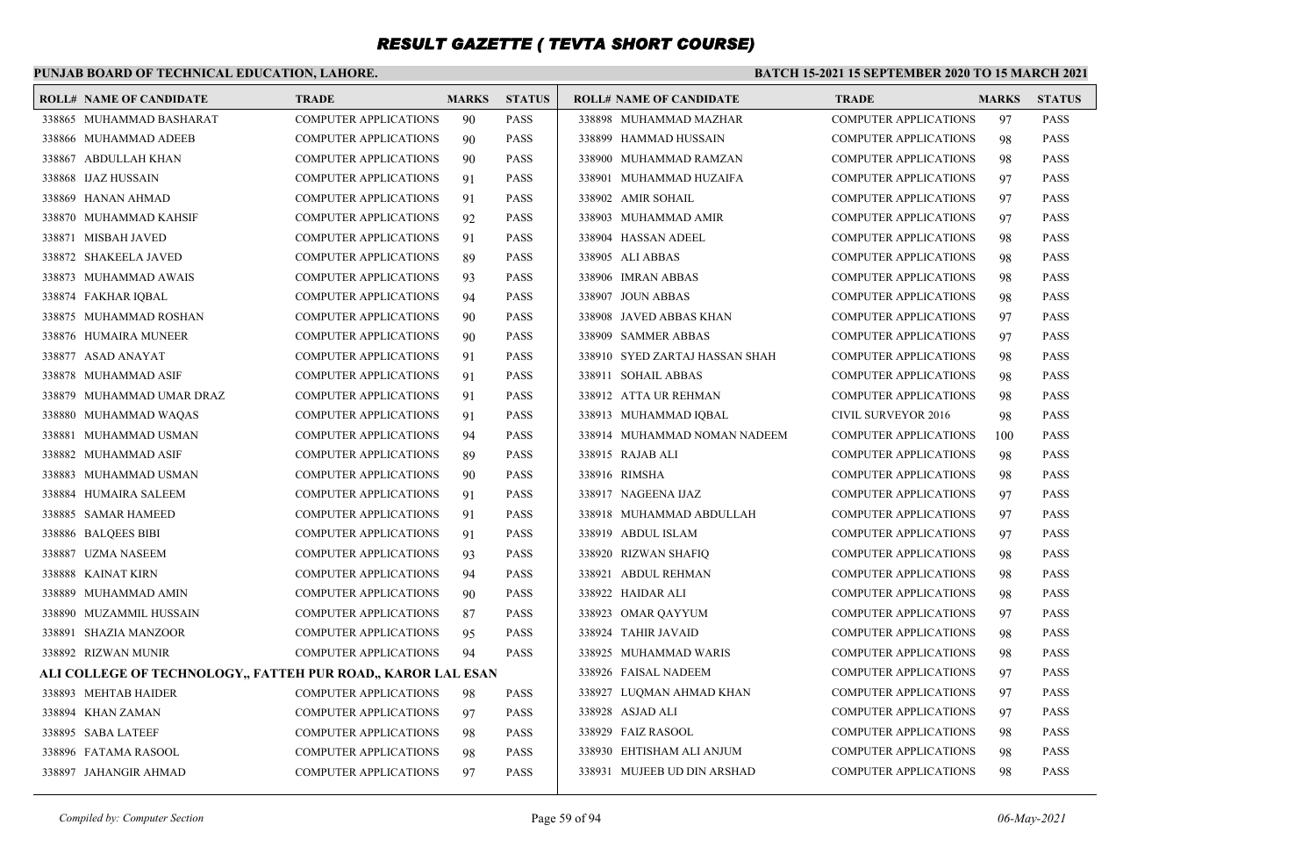### **PUNJAB BOARD OF TECHNICAL EDUCATION, LAHORE.**

| <b>ROLL# NAME OF CANDIDATE</b>                               | TRADE                        | <b>MARKS</b> | <b>STATUS</b> | <b>ROLL# NAME OF CANDIDATE</b> | <b>TRADE</b>                 | <b>MARKS</b> | <b>STATUS</b> |
|--------------------------------------------------------------|------------------------------|--------------|---------------|--------------------------------|------------------------------|--------------|---------------|
| 338865 MUHAMMAD BASHARAT                                     | <b>COMPUTER APPLICATIONS</b> | 90           | <b>PASS</b>   | 338898 MUHAMMAD MAZHAR         | <b>COMPUTER APPLICATIONS</b> | 97           | <b>PASS</b>   |
| 338866 MUHAMMAD ADEEB                                        | <b>COMPUTER APPLICATIONS</b> | 90           | <b>PASS</b>   | 338899 HAMMAD HUSSAIN          | <b>COMPUTER APPLICATIONS</b> | 98           | <b>PASS</b>   |
| 338867 ABDULLAH KHAN                                         | <b>COMPUTER APPLICATIONS</b> | 90           | <b>PASS</b>   | 338900 MUHAMMAD RAMZAN         | <b>COMPUTER APPLICATIONS</b> | 98           | <b>PASS</b>   |
| 338868 IJAZ HUSSAIN                                          | <b>COMPUTER APPLICATIONS</b> | 91           | <b>PASS</b>   | 338901 MUHAMMAD HUZAIFA        | <b>COMPUTER APPLICATIONS</b> | 97           | <b>PASS</b>   |
| 338869 HANAN AHMAD                                           | <b>COMPUTER APPLICATIONS</b> | 91           | <b>PASS</b>   | 338902 AMIR SOHAIL             | <b>COMPUTER APPLICATIONS</b> | 97           | <b>PASS</b>   |
| 338870 MUHAMMAD KAHSIF                                       | <b>COMPUTER APPLICATIONS</b> | 92           | <b>PASS</b>   | 338903 MUHAMMAD AMIR           | <b>COMPUTER APPLICATIONS</b> | 97           | <b>PASS</b>   |
| 338871 MISBAH JAVED                                          | <b>COMPUTER APPLICATIONS</b> | 91           | <b>PASS</b>   | 338904 HASSAN ADEEL            | <b>COMPUTER APPLICATIONS</b> | 98           | <b>PASS</b>   |
| 338872 SHAKEELA JAVED                                        | <b>COMPUTER APPLICATIONS</b> | 89           | <b>PASS</b>   | 338905 ALI ABBAS               | <b>COMPUTER APPLICATIONS</b> | 98           | <b>PASS</b>   |
| 338873 MUHAMMAD AWAIS                                        | <b>COMPUTER APPLICATIONS</b> | 93           | <b>PASS</b>   | 338906 IMRAN ABBAS             | <b>COMPUTER APPLICATIONS</b> | 98           | <b>PASS</b>   |
| 338874 FAKHAR IQBAL                                          | <b>COMPUTER APPLICATIONS</b> | 94           | <b>PASS</b>   | 338907 JOUN ABBAS              | <b>COMPUTER APPLICATIONS</b> | 98           | <b>PASS</b>   |
| 338875 MUHAMMAD ROSHAN                                       | <b>COMPUTER APPLICATIONS</b> | 90           | <b>PASS</b>   | 338908 JAVED ABBAS KHAN        | <b>COMPUTER APPLICATIONS</b> | 97           | <b>PASS</b>   |
| 338876 HUMAIRA MUNEER                                        | <b>COMPUTER APPLICATIONS</b> | 90           | <b>PASS</b>   | 338909 SAMMER ABBAS            | <b>COMPUTER APPLICATIONS</b> | 97           | <b>PASS</b>   |
| 338877 ASAD ANAYAT                                           | <b>COMPUTER APPLICATIONS</b> | 91           | <b>PASS</b>   | 338910 SYED ZARTAJ HASSAN SHAH | <b>COMPUTER APPLICATIONS</b> | 98           | <b>PASS</b>   |
| 338878 MUHAMMAD ASIF                                         | <b>COMPUTER APPLICATIONS</b> | 91           | <b>PASS</b>   | 338911 SOHAIL ABBAS            | <b>COMPUTER APPLICATIONS</b> | 98           | <b>PASS</b>   |
| 338879 MUHAMMAD UMAR DRAZ                                    | COMPUTER APPLICATIONS        | 91           | <b>PASS</b>   | 338912 ATTA UR REHMAN          | <b>COMPUTER APPLICATIONS</b> | 98           | <b>PASS</b>   |
| 338880 MUHAMMAD WAQAS                                        | COMPUTER APPLICATIONS        | 91           | <b>PASS</b>   | 338913 MUHAMMAD IQBAL          | CIVIL SURVEYOR 2016          | 98           | <b>PASS</b>   |
| 338881 MUHAMMAD USMAN                                        | COMPUTER APPLICATIONS        | 94           | <b>PASS</b>   | 338914 MUHAMMAD NOMAN NADEEM   | <b>COMPUTER APPLICATIONS</b> | 100          | <b>PASS</b>   |
| 338882 MUHAMMAD ASIF                                         | COMPUTER APPLICATIONS        | 89           | <b>PASS</b>   | 338915 RAJAB ALI               | COMPUTER APPLICATIONS        | 98           | <b>PASS</b>   |
| 338883 MUHAMMAD USMAN                                        | <b>COMPUTER APPLICATIONS</b> | 90           | <b>PASS</b>   | 338916 RIMSHA                  | <b>COMPUTER APPLICATIONS</b> | 98           | <b>PASS</b>   |
| 338884 HUMAIRA SALEEM                                        | <b>COMPUTER APPLICATIONS</b> | 91           | <b>PASS</b>   | 338917 NAGEENA IJAZ            | <b>COMPUTER APPLICATIONS</b> | 97           | <b>PASS</b>   |
| 338885 SAMAR HAMEED                                          | <b>COMPUTER APPLICATIONS</b> | 91           | <b>PASS</b>   | 338918 MUHAMMAD ABDULLAH       | <b>COMPUTER APPLICATIONS</b> | 97           | <b>PASS</b>   |
| 338886 BALOEES BIBI                                          | COMPUTER APPLICATIONS        | 91           | <b>PASS</b>   | 338919 ABDUL ISLAM             | <b>COMPUTER APPLICATIONS</b> | 97           | <b>PASS</b>   |
| 338887 UZMA NASEEM                                           | <b>COMPUTER APPLICATIONS</b> | 93           | <b>PASS</b>   | 338920 RIZWAN SHAFIQ           | <b>COMPUTER APPLICATIONS</b> | 98           | <b>PASS</b>   |
| 338888 KAINAT KIRN                                           | <b>COMPUTER APPLICATIONS</b> | 94           | <b>PASS</b>   | 338921 ABDUL REHMAN            | <b>COMPUTER APPLICATIONS</b> | 98           | <b>PASS</b>   |
| 338889 MUHAMMAD AMIN                                         | <b>COMPUTER APPLICATIONS</b> | 90           | <b>PASS</b>   | 338922 HAIDAR ALI              | <b>COMPUTER APPLICATIONS</b> | 98           | <b>PASS</b>   |
| 338890 MUZAMMIL HUSSAIN                                      | <b>COMPUTER APPLICATIONS</b> | 87           | <b>PASS</b>   | 338923 OMAR OAYYUM             | <b>COMPUTER APPLICATIONS</b> | 97           | <b>PASS</b>   |
| 338891 SHAZIA MANZOOR                                        | <b>COMPUTER APPLICATIONS</b> | 95           | <b>PASS</b>   | 338924 TAHIR JAVAID            | <b>COMPUTER APPLICATIONS</b> | 98           | <b>PASS</b>   |
| 338892 RIZWAN MUNIR                                          | <b>COMPUTER APPLICATIONS</b> | 94           | <b>PASS</b>   | 338925 MUHAMMAD WARIS          | <b>COMPUTER APPLICATIONS</b> | 98           | <b>PASS</b>   |
| ALI COLLEGE OF TECHNOLOGY,, FATTEH PUR ROAD,, KAROR LAL ESAN |                              |              |               | 338926 FAISAL NADEEM           | <b>COMPUTER APPLICATIONS</b> | 97           | <b>PASS</b>   |
| 338893 MEHTAB HAIDER                                         | <b>COMPUTER APPLICATIONS</b> | 98           | <b>PASS</b>   | 338927 LUQMAN AHMAD KHAN       | <b>COMPUTER APPLICATIONS</b> | 97           | <b>PASS</b>   |
| 338894 KHAN ZAMAN                                            | <b>COMPUTER APPLICATIONS</b> | 97           | <b>PASS</b>   | 338928 ASJAD ALI               | <b>COMPUTER APPLICATIONS</b> | 97           | <b>PASS</b>   |
| 338895 SABA LATEEF                                           | <b>COMPUTER APPLICATIONS</b> | 98           | <b>PASS</b>   | 338929 FAIZ RASOOL             | <b>COMPUTER APPLICATIONS</b> | 98           | <b>PASS</b>   |
| 338896 FATAMA RASOOL                                         | COMPUTER APPLICATIONS        | 98           | <b>PASS</b>   | 338930 EHTISHAM ALI ANJUM      | <b>COMPUTER APPLICATIONS</b> | 98           | <b>PASS</b>   |
| 338897 JAHANGIR AHMAD                                        | <b>COMPUTER APPLICATIONS</b> | 97           | <b>PASS</b>   | 338931 MUJEEB UD DIN ARSHAD    | <b>COMPUTER APPLICATIONS</b> | 98           | <b>PASS</b>   |
|                                                              |                              |              |               |                                |                              |              |               |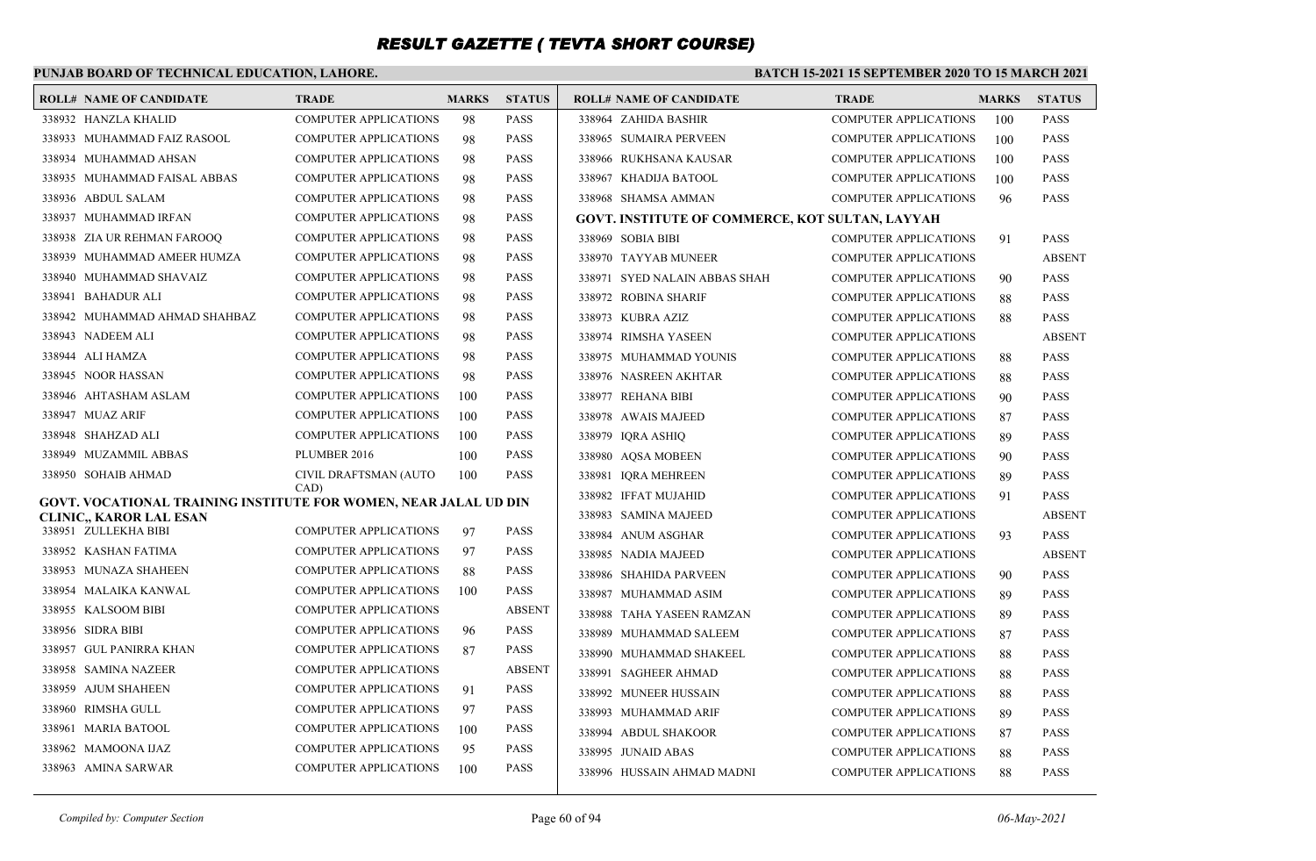### **PUNJAB BOARD OF TECHNICAL EDUCATION, LAHORE.**

| <b>ROLL# NAME OF CANDIDATE</b>                                   | <b>TRADE</b>                 | <b>MARKS</b> | <b>STATUS</b> | <b>ROLL# NAME OF CANDIDATE</b>                  | <b>TRADE</b>                 | <b>MARKS</b> | <b>STATUS</b> |
|------------------------------------------------------------------|------------------------------|--------------|---------------|-------------------------------------------------|------------------------------|--------------|---------------|
| 338932 HANZLA KHALID                                             | <b>COMPUTER APPLICATIONS</b> | 98           | <b>PASS</b>   | 338964 ZAHIDA BASHIR                            | COMPUTER APPLICATIONS        | 100          | <b>PASS</b>   |
| 338933 MUHAMMAD FAIZ RASOOL                                      | <b>COMPUTER APPLICATIONS</b> | 98           | <b>PASS</b>   | 338965 SUMAIRA PERVEEN                          | <b>COMPUTER APPLICATIONS</b> | 100          | <b>PASS</b>   |
| 338934 MUHAMMAD AHSAN                                            | <b>COMPUTER APPLICATIONS</b> | 98           | <b>PASS</b>   | 338966 RUKHSANA KAUSAR                          | <b>COMPUTER APPLICATIONS</b> | 100          | <b>PASS</b>   |
| 338935 MUHAMMAD FAISAL ABBAS                                     | <b>COMPUTER APPLICATIONS</b> | 98           | <b>PASS</b>   | 338967 KHADIJA BATOOL                           | <b>COMPUTER APPLICATIONS</b> | 100          | <b>PASS</b>   |
| 338936 ABDUL SALAM                                               | <b>COMPUTER APPLICATIONS</b> | 98           | <b>PASS</b>   | 338968 SHAMSA AMMAN                             | <b>COMPUTER APPLICATIONS</b> | 96           | <b>PASS</b>   |
| 338937 MUHAMMAD IRFAN                                            | <b>COMPUTER APPLICATIONS</b> | 98           | <b>PASS</b>   | GOVT. INSTITUTE OF COMMERCE, KOT SULTAN, LAYYAH |                              |              |               |
| 338938 ZIA UR REHMAN FAROOO                                      | <b>COMPUTER APPLICATIONS</b> | 98           | <b>PASS</b>   | 338969 SOBIA BIBI                               | <b>COMPUTER APPLICATIONS</b> | 91           | <b>PASS</b>   |
| 338939 MUHAMMAD AMEER HUMZA                                      | <b>COMPUTER APPLICATIONS</b> | 98           | <b>PASS</b>   | 338970 TAYYAB MUNEER                            | <b>COMPUTER APPLICATIONS</b> |              | <b>ABSENT</b> |
| 338940 MUHAMMAD SHAVAIZ                                          | <b>COMPUTER APPLICATIONS</b> | 98           | <b>PASS</b>   | 338971 SYED NALAIN ABBAS SHAH                   | <b>COMPUTER APPLICATIONS</b> | 90           | <b>PASS</b>   |
| 338941 BAHADUR ALI                                               | <b>COMPUTER APPLICATIONS</b> | 98           | <b>PASS</b>   | 338972 ROBINA SHARIF                            | <b>COMPUTER APPLICATIONS</b> | 88           | <b>PASS</b>   |
| 338942 MUHAMMAD AHMAD SHAHBAZ                                    | <b>COMPUTER APPLICATIONS</b> | 98           | <b>PASS</b>   | 338973 KUBRA AZIZ                               | <b>COMPUTER APPLICATIONS</b> | 88           | <b>PASS</b>   |
| 338943 NADEEM ALI                                                | <b>COMPUTER APPLICATIONS</b> | 98           | <b>PASS</b>   | 338974 RIMSHA YASEEN                            | <b>COMPUTER APPLICATIONS</b> |              | <b>ABSENT</b> |
| 338944 ALI HAMZA                                                 | <b>COMPUTER APPLICATIONS</b> | 98           | <b>PASS</b>   | 338975 MUHAMMAD YOUNIS                          | <b>COMPUTER APPLICATIONS</b> | 88           | <b>PASS</b>   |
| 338945 NOOR HASSAN                                               | <b>COMPUTER APPLICATIONS</b> | 98           | <b>PASS</b>   | 338976 NASREEN AKHTAR                           | <b>COMPUTER APPLICATIONS</b> | 88           | <b>PASS</b>   |
| 338946 AHTASHAM ASLAM                                            | <b>COMPUTER APPLICATIONS</b> | 100          | <b>PASS</b>   | 338977 REHANA BIBI                              | <b>COMPUTER APPLICATIONS</b> | 90           | <b>PASS</b>   |
| 338947 MUAZ ARIF                                                 | COMPUTER APPLICATIONS        | 100          | <b>PASS</b>   | 338978 AWAIS MAJEED                             | <b>COMPUTER APPLICATIONS</b> | 87           | <b>PASS</b>   |
| 338948 SHAHZAD ALI                                               | <b>COMPUTER APPLICATIONS</b> | 100          | <b>PASS</b>   | 338979 IQRA ASHIQ                               | <b>COMPUTER APPLICATIONS</b> | 89           | <b>PASS</b>   |
| 338949 MUZAMMIL ABBAS                                            | PLUMBER 2016                 | 100          | <b>PASS</b>   | 338980 AOSA MOBEEN                              | <b>COMPUTER APPLICATIONS</b> | 90           | <b>PASS</b>   |
| 338950 SOHAIB AHMAD                                              | CIVIL DRAFTSMAN (AUTO        | 100          | <b>PASS</b>   | 338981 IQRA MEHREEN                             | <b>COMPUTER APPLICATIONS</b> | 89           | <b>PASS</b>   |
| GOVT. VOCATIONAL TRAINING INSTITUTE FOR WOMEN, NEAR JALAL UD DIN | CAD)                         |              |               | 338982 IFFAT MUJAHID                            | <b>COMPUTER APPLICATIONS</b> | 91           | <b>PASS</b>   |
| CLINIC,, KAROR LAL ESAN                                          |                              |              |               | 338983 SAMINA MAJEED                            | <b>COMPUTER APPLICATIONS</b> |              | <b>ABSENT</b> |
| 338951 ZULLEKHA BIBI                                             | <b>COMPUTER APPLICATIONS</b> | 97           | <b>PASS</b>   | 338984 ANUM ASGHAR                              | COMPUTER APPLICATIONS        | 93           | <b>PASS</b>   |
| 338952 KASHAN FATIMA                                             | <b>COMPUTER APPLICATIONS</b> | 97           | <b>PASS</b>   | 338985 NADIA MAJEED                             | <b>COMPUTER APPLICATIONS</b> |              | <b>ABSENT</b> |
| 338953 MUNAZA SHAHEEN                                            | <b>COMPUTER APPLICATIONS</b> | 88           | <b>PASS</b>   | 338986 SHAHIDA PARVEEN                          | <b>COMPUTER APPLICATIONS</b> | 90           | <b>PASS</b>   |
| 338954 MALAIKA KANWAL                                            | COMPUTER APPLICATIONS        | 100          | <b>PASS</b>   | 338987 MUHAMMAD ASIM                            | <b>COMPUTER APPLICATIONS</b> | 89           | <b>PASS</b>   |
| 338955 KALSOOM BIBI                                              | <b>COMPUTER APPLICATIONS</b> |              | <b>ABSENT</b> | 338988 TAHA YASEEN RAMZAN                       | <b>COMPUTER APPLICATIONS</b> | 89           | <b>PASS</b>   |
| 338956 SIDRA BIBI                                                | <b>COMPUTER APPLICATIONS</b> | 96           | <b>PASS</b>   | 338989 MUHAMMAD SALEEM                          | <b>COMPUTER APPLICATIONS</b> | 87           | <b>PASS</b>   |
| 338957 GUL PANIRRA KHAN                                          | COMPUTER APPLICATIONS        | 87           | <b>PASS</b>   | 338990 MUHAMMAD SHAKEEL                         | <b>COMPUTER APPLICATIONS</b> | 88           | <b>PASS</b>   |
| 338958 SAMINA NAZEER                                             | <b>COMPUTER APPLICATIONS</b> |              | <b>ABSENT</b> | 338991 SAGHEER AHMAD                            | <b>COMPUTER APPLICATIONS</b> | 88           | <b>PASS</b>   |
| 338959 AJUM SHAHEEN                                              | <b>COMPUTER APPLICATIONS</b> | 91           | <b>PASS</b>   | 338992 MUNEER HUSSAIN                           | <b>COMPUTER APPLICATIONS</b> | 88           | <b>PASS</b>   |
| 338960 RIMSHA GULL                                               | <b>COMPUTER APPLICATIONS</b> | 97           | <b>PASS</b>   | 338993 MUHAMMAD ARIF                            | <b>COMPUTER APPLICATIONS</b> | 89           | <b>PASS</b>   |
| 338961 MARIA BATOOL                                              | <b>COMPUTER APPLICATIONS</b> | 100          | <b>PASS</b>   | 338994 ABDUL SHAKOOR                            | <b>COMPUTER APPLICATIONS</b> | 87           | <b>PASS</b>   |
| 338962 MAMOONA IJAZ                                              | <b>COMPUTER APPLICATIONS</b> | 95           | <b>PASS</b>   | 338995 JUNAID ABAS                              | <b>COMPUTER APPLICATIONS</b> | 88           | <b>PASS</b>   |
| 338963 AMINA SARWAR                                              | <b>COMPUTER APPLICATIONS</b> | 100          | <b>PASS</b>   | 338996 HUSSAIN AHMAD MADNI                      | <b>COMPUTER APPLICATIONS</b> | 88           | <b>PASS</b>   |
|                                                                  |                              |              |               |                                                 |                              |              |               |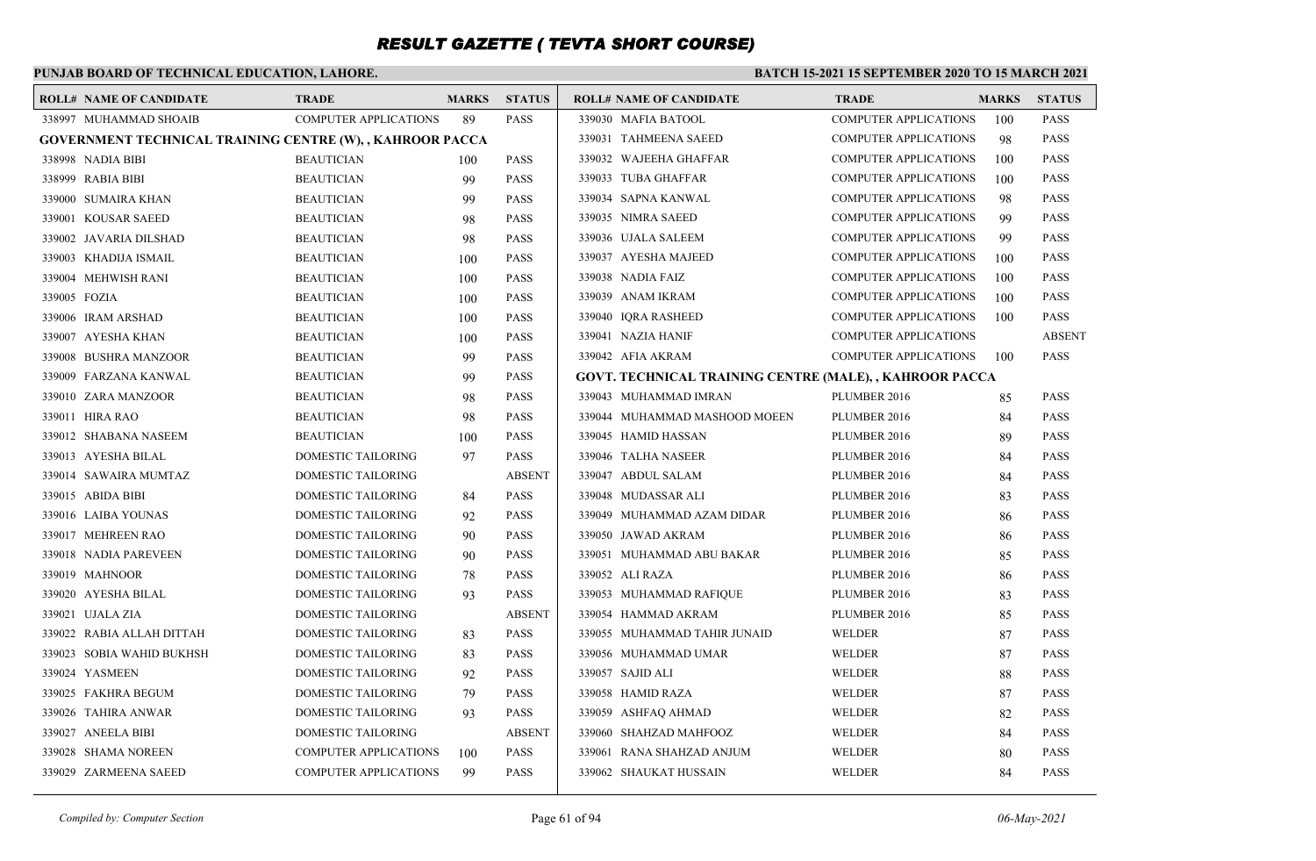### **PUNJAB BOARD OF TECHNICAL EDUCATION, LAHORE.**

#### **BATCH 15-2021 15 SEPTEMBER 2020 TO 15 MARCH 2021**

| <b>ROLL# NAME OF CANDIDATE</b>                            | <b>TRADE</b>                 | <b>MARKS</b> | <b>STATUS</b> | <b>ROLL# NAME OF CANDIDATE</b>                          | <b>TRADE</b>                 | <b>MARKS</b> | <b>STATUS</b> |
|-----------------------------------------------------------|------------------------------|--------------|---------------|---------------------------------------------------------|------------------------------|--------------|---------------|
| 338997 MUHAMMAD SHOAIB                                    | <b>COMPUTER APPLICATIONS</b> | 89           | <b>PASS</b>   | 339030 MAFIA BATOOL                                     | <b>COMPUTER APPLICATIONS</b> | 100          | <b>PASS</b>   |
| GOVERNMENT TECHNICAL TRAINING CENTRE (W), , KAHROOR PACCA |                              |              |               | 339031 TAHMEENA SAEED                                   | <b>COMPUTER APPLICATIONS</b> | 98           | <b>PASS</b>   |
| 338998 NADIA BIBI                                         | <b>BEAUTICIAN</b>            | 100          | <b>PASS</b>   | 339032 WAJEEHA GHAFFAR                                  | <b>COMPUTER APPLICATIONS</b> | 100          | <b>PASS</b>   |
| 338999 RABIA BIBI                                         | <b>BEAUTICIAN</b>            | 99           | <b>PASS</b>   | 339033 TUBA GHAFFAR                                     | <b>COMPUTER APPLICATIONS</b> | 100          | <b>PASS</b>   |
| 339000 SUMAIRA KHAN                                       | <b>BEAUTICIAN</b>            | 99           | <b>PASS</b>   | 339034 SAPNA KANWAL                                     | <b>COMPUTER APPLICATIONS</b> | 98           | <b>PASS</b>   |
| 339001 KOUSAR SAEED                                       | <b>BEAUTICIAN</b>            | 98           | <b>PASS</b>   | 339035 NIMRA SAEED                                      | <b>COMPUTER APPLICATIONS</b> | 99           | <b>PASS</b>   |
| 339002 JAVARIA DILSHAD                                    | <b>BEAUTICIAN</b>            | 98           | <b>PASS</b>   | 339036 UJALA SALEEM                                     | <b>COMPUTER APPLICATIONS</b> | 99           | <b>PASS</b>   |
| 339003 KHADIJA ISMAIL                                     | <b>BEAUTICIAN</b>            | 100          | <b>PASS</b>   | 339037 AYESHA MAJEED                                    | <b>COMPUTER APPLICATIONS</b> | 100          | <b>PASS</b>   |
| 339004 MEHWISH RANI                                       | <b>BEAUTICIAN</b>            | 100          | <b>PASS</b>   | 339038 NADIA FAIZ                                       | <b>COMPUTER APPLICATIONS</b> | 100          | <b>PASS</b>   |
| 339005 FOZIA                                              | <b>BEAUTICIAN</b>            | 100          | <b>PASS</b>   | 339039 ANAM IKRAM                                       | <b>COMPUTER APPLICATIONS</b> | 100          | <b>PASS</b>   |
| 339006 IRAM ARSHAD                                        | <b>BEAUTICIAN</b>            | 100          | <b>PASS</b>   | 339040 IORA RASHEED                                     | <b>COMPUTER APPLICATIONS</b> | 100          | <b>PASS</b>   |
| 339007 AYESHA KHAN                                        | <b>BEAUTICIAN</b>            | 100          | <b>PASS</b>   | 339041 NAZIA HANIF                                      | <b>COMPUTER APPLICATIONS</b> |              | <b>ABSENT</b> |
| 339008 BUSHRA MANZOOR                                     | <b>BEAUTICIAN</b>            | 99           | <b>PASS</b>   | 339042 AFIA AKRAM                                       | <b>COMPUTER APPLICATIONS</b> | 100          | <b>PASS</b>   |
| 339009 FARZANA KANWAL                                     | <b>BEAUTICIAN</b>            | 99           | <b>PASS</b>   | GOVT. TECHNICAL TRAINING CENTRE (MALE), , KAHROOR PACCA |                              |              |               |
| 339010 ZARA MANZOOR                                       | <b>BEAUTICIAN</b>            | 98           | <b>PASS</b>   | 339043 MUHAMMAD IMRAN                                   | PLUMBER 2016                 | 85           | <b>PASS</b>   |
| 339011 HIRA RAO                                           | <b>BEAUTICIAN</b>            | 98           | <b>PASS</b>   | 339044 MUHAMMAD MASHOOD MOEEN                           | PLUMBER 2016                 | 84           | <b>PASS</b>   |
| 339012 SHABANA NASEEM                                     | <b>BEAUTICIAN</b>            | 100          | <b>PASS</b>   | 339045 HAMID HASSAN                                     | PLUMBER 2016                 | 89           | <b>PASS</b>   |
| 339013 AYESHA BILAL                                       | DOMESTIC TAILORING           | 97           | <b>PASS</b>   | 339046 TALHA NASEER                                     | PLUMBER 2016                 | 84           | <b>PASS</b>   |
| 339014 SAWAIRA MUMTAZ                                     | DOMESTIC TAILORING           |              | <b>ABSENT</b> | 339047 ABDUL SALAM                                      | PLUMBER 2016                 | 84           | <b>PASS</b>   |
| 339015 ABIDA BIBI                                         | DOMESTIC TAILORING           | 84           | <b>PASS</b>   | 339048 MUDASSAR ALI                                     | PLUMBER 2016                 | 83           | <b>PASS</b>   |
| 339016 LAIBA YOUNAS                                       | DOMESTIC TAILORING           | 92           | <b>PASS</b>   | 339049 MUHAMMAD AZAM DIDAR                              | PLUMBER 2016                 | 86           | <b>PASS</b>   |
| 339017 MEHREEN RAO                                        | DOMESTIC TAILORING           | 90           | <b>PASS</b>   | 339050 JAWAD AKRAM                                      | PLUMBER 2016                 | 86           | <b>PASS</b>   |
| 339018 NADIA PAREVEEN                                     | DOMESTIC TAILORING           | 90           | <b>PASS</b>   | 339051 MUHAMMAD ABU BAKAR                               | PLUMBER 2016                 | 85           | <b>PASS</b>   |
| 339019 MAHNOOR                                            | DOMESTIC TAILORING           | 78           | <b>PASS</b>   | 339052 ALI RAZA                                         | PLUMBER 2016                 | 86           | <b>PASS</b>   |
| 339020 AYESHA BILAL                                       | DOMESTIC TAILORING           | 93           | <b>PASS</b>   | 339053 MUHAMMAD RAFIQUE                                 | PLUMBER 2016                 | 83           | <b>PASS</b>   |
| 339021 UJALA ZIA                                          | DOMESTIC TAILORING           |              | <b>ABSENT</b> | 339054 HAMMAD AKRAM                                     | PLUMBER 2016                 | 85           | <b>PASS</b>   |
| 339022 RABIA ALLAH DITTAH                                 | DOMESTIC TAILORING           | 83           | <b>PASS</b>   | 339055 MUHAMMAD TAHIR JUNAID                            | <b>WELDER</b>                | 87           | <b>PASS</b>   |
| 339023 SOBIA WAHID BUKHSH                                 | DOMESTIC TAILORING           | 83           | <b>PASS</b>   | 339056 MUHAMMAD UMAR                                    | WELDER                       | 87           | <b>PASS</b>   |
| 339024 YASMEEN                                            | DOMESTIC TAILORING           | 92           | <b>PASS</b>   | 339057 SAJID ALI                                        | <b>WELDER</b>                | 88           | <b>PASS</b>   |
| 339025 FAKHRA BEGUM                                       | DOMESTIC TAILORING           | 79           | <b>PASS</b>   | 339058 HAMID RAZA                                       | WELDER                       | 87           | <b>PASS</b>   |
| 339026 TAHIRA ANWAR                                       | DOMESTIC TAILORING           | 93           | <b>PASS</b>   | 339059 ASHFAQ AHMAD                                     | WELDER                       | 82           | <b>PASS</b>   |
| 339027 ANEELA BIBI                                        | DOMESTIC TAILORING           |              | <b>ABSENT</b> | 339060 SHAHZAD MAHFOOZ                                  | WELDER                       | 84           | <b>PASS</b>   |
| 339028 SHAMA NOREEN                                       | <b>COMPUTER APPLICATIONS</b> | 100          | <b>PASS</b>   | 339061 RANA SHAHZAD ANJUM                               | <b>WELDER</b>                | 80           | <b>PASS</b>   |
| 339029 ZARMEENA SAEED                                     | <b>COMPUTER APPLICATIONS</b> | 99           | <b>PASS</b>   | 339062 SHAUKAT HUSSAIN                                  | <b>WELDER</b>                | 84           | <b>PASS</b>   |
|                                                           |                              |              |               |                                                         |                              |              |               |

*Compiled by: Computer Section* Page 61 of 94 *06-May-2021*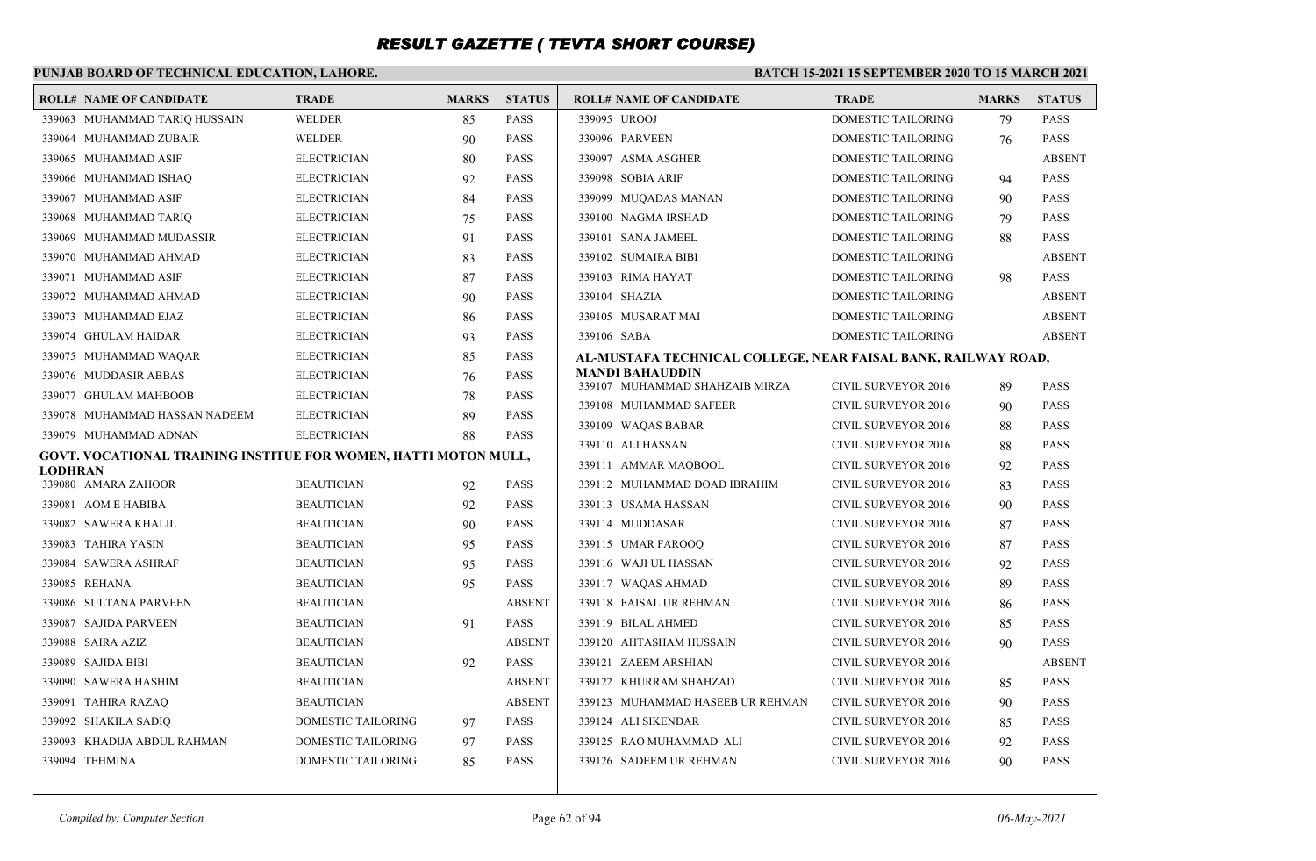### **PUNJAB BOARD OF TECHNICAL EDUCATION, LAHORE.**

|         | <b>ROLL# NAME OF CANDIDATE</b>                                  | <b>TRADE</b>              | <b>MARKS</b> | <b>STATUS</b> | <b>ROLL# NAME OF CANDIDATE</b>                                | <b>TRADE</b>               | <b>MARKS</b> | <b>STATUS</b> |
|---------|-----------------------------------------------------------------|---------------------------|--------------|---------------|---------------------------------------------------------------|----------------------------|--------------|---------------|
|         | 339063 MUHAMMAD TARIQ HUSSAIN                                   | <b>WELDER</b>             | 85           | <b>PASS</b>   | 339095 UROOJ                                                  | <b>DOMESTIC TAILORING</b>  | 79           | <b>PASS</b>   |
|         | 339064 MUHAMMAD ZUBAIR                                          | <b>WELDER</b>             | 90           | <b>PASS</b>   | 339096 PARVEEN                                                | DOMESTIC TAILORING         | 76           | <b>PASS</b>   |
|         | 339065 MUHAMMAD ASIF                                            | <b>ELECTRICIAN</b>        | 80           | <b>PASS</b>   | 339097 ASMA ASGHER                                            | DOMESTIC TAILORING         |              | <b>ABSENT</b> |
|         | 339066 MUHAMMAD ISHAQ                                           | <b>ELECTRICIAN</b>        | 92           | <b>PASS</b>   | 339098 SOBIA ARIF                                             | DOMESTIC TAILORING         | 94           | <b>PASS</b>   |
|         | 339067 MUHAMMAD ASIF                                            | <b>ELECTRICIAN</b>        | 84           | <b>PASS</b>   | 339099 MUQADAS MANAN                                          | DOMESTIC TAILORING         | 90           | <b>PASS</b>   |
|         | 339068 MUHAMMAD TARIQ                                           | <b>ELECTRICIAN</b>        | 75           | <b>PASS</b>   | 339100 NAGMA IRSHAD                                           | <b>DOMESTIC TAILORING</b>  | 79           | <b>PASS</b>   |
|         | 339069 MUHAMMAD MUDASSIR                                        | <b>ELECTRICIAN</b>        | 91           | <b>PASS</b>   | 339101 SANA JAMEEL                                            | DOMESTIC TAILORING         | 88           | <b>PASS</b>   |
|         | 339070 MUHAMMAD AHMAD                                           | <b>ELECTRICIAN</b>        | 83           | <b>PASS</b>   | 339102 SUMAIRA BIBI                                           | DOMESTIC TAILORING         |              | <b>ABSENT</b> |
|         | 339071 MUHAMMAD ASIF                                            | <b>ELECTRICIAN</b>        | 87           | <b>PASS</b>   | 339103 RIMA HAYAT                                             | DOMESTIC TAILORING         | 98           | <b>PASS</b>   |
|         | 339072 MUHAMMAD AHMAD                                           | <b>ELECTRICIAN</b>        | 90           | <b>PASS</b>   | 339104 SHAZIA                                                 | <b>DOMESTIC TAILORING</b>  |              | <b>ABSENT</b> |
|         | 339073 MUHAMMAD EJAZ                                            | <b>ELECTRICIAN</b>        | 86           | <b>PASS</b>   | 339105 MUSARAT MAI                                            | DOMESTIC TAILORING         |              | <b>ABSENT</b> |
|         | 339074 GHULAM HAIDAR                                            | <b>ELECTRICIAN</b>        | 93           | <b>PASS</b>   | 339106 SABA                                                   | DOMESTIC TAILORING         |              | <b>ABSENT</b> |
|         | 339075 MUHAMMAD WAQAR                                           | <b>ELECTRICIAN</b>        | 85           | <b>PASS</b>   | AL-MUSTAFA TECHNICAL COLLEGE, NEAR FAISAL BANK, RAILWAY ROAD, |                            |              |               |
|         | 339076 MUDDASIR ABBAS                                           | <b>ELECTRICIAN</b>        | 76           | <b>PASS</b>   | <b>MANDI BAHAUDDIN</b><br>339107 MUHAMMAD SHAHZAIB MIRZA      | <b>CIVIL SURVEYOR 2016</b> | 89           | <b>PASS</b>   |
|         | 339077 GHULAM MAHBOOB                                           | <b>ELECTRICIAN</b>        | 78           | <b>PASS</b>   | 339108 MUHAMMAD SAFEER                                        | <b>CIVIL SURVEYOR 2016</b> | 90           | <b>PASS</b>   |
|         | 339078 MUHAMMAD HASSAN NADEEM                                   | <b>ELECTRICIAN</b>        | 89           | <b>PASS</b>   | 339109 WAQAS BABAR                                            | <b>CIVIL SURVEYOR 2016</b> | 88           | <b>PASS</b>   |
|         | 339079 MUHAMMAD ADNAN                                           | <b>ELECTRICIAN</b>        | 88           | <b>PASS</b>   | 339110 ALI HASSAN                                             | <b>CIVIL SURVEYOR 2016</b> | 88           | <b>PASS</b>   |
|         | GOVT. VOCATIONAL TRAINING INSTITUE FOR WOMEN, HATTI MOTON MULL, |                           |              |               | 339111 AMMAR MAOBOOL                                          | <b>CIVIL SURVEYOR 2016</b> | 92           | <b>PASS</b>   |
| LODHRAN | 339080 AMARA ZAHOOR                                             | <b>BEAUTICIAN</b>         | 92           | <b>PASS</b>   | 339112 MUHAMMAD DOAD IBRAHIM                                  | <b>CIVIL SURVEYOR 2016</b> | 83           | <b>PASS</b>   |
|         | 339081 AOM E HABIBA                                             | <b>BEAUTICIAN</b>         | 92           | <b>PASS</b>   | 339113 USAMA HASSAN                                           | <b>CIVIL SURVEYOR 2016</b> | 90           | <b>PASS</b>   |
|         | 339082 SAWERA KHALIL                                            | <b>BEAUTICIAN</b>         | 90           | <b>PASS</b>   | 339114 MUDDASAR                                               | <b>CIVIL SURVEYOR 2016</b> | 87           | <b>PASS</b>   |
|         | 339083 TAHIRA YASIN                                             | <b>BEAUTICIAN</b>         | 95           | <b>PASS</b>   | 339115 UMAR FAROOO                                            | <b>CIVIL SURVEYOR 2016</b> | 87           | <b>PASS</b>   |
|         | 339084 SAWERA ASHRAF                                            | <b>BEAUTICIAN</b>         | 95           | <b>PASS</b>   | 339116 WAJI UL HASSAN                                         | <b>CIVIL SURVEYOR 2016</b> | 92           | <b>PASS</b>   |
|         | 339085 REHANA                                                   | <b>BEAUTICIAN</b>         | 95           | <b>PASS</b>   | 339117 WAQAS AHMAD                                            | <b>CIVIL SURVEYOR 2016</b> | 89           | <b>PASS</b>   |
|         | 339086 SULTANA PARVEEN                                          | <b>BEAUTICIAN</b>         |              | <b>ABSENT</b> | 339118 FAISAL UR REHMAN                                       | <b>CIVIL SURVEYOR 2016</b> | 86           | <b>PASS</b>   |
|         | 339087 SAJIDA PARVEEN                                           | <b>BEAUTICIAN</b>         | 91           | <b>PASS</b>   | 339119 BILAL AHMED                                            | <b>CIVIL SURVEYOR 2016</b> | 85           | <b>PASS</b>   |
|         | 339088 SAIRA AZIZ                                               | <b>BEAUTICIAN</b>         |              | <b>ABSENT</b> | 339120 AHTASHAM HUSSAIN                                       | <b>CIVIL SURVEYOR 2016</b> | 90           | <b>PASS</b>   |
|         | 339089 SAJIDA BIBI                                              | <b>BEAUTICIAN</b>         | 92           | <b>PASS</b>   | 339121 ZAEEM ARSHIAN                                          | <b>CIVIL SURVEYOR 2016</b> |              | <b>ABSENT</b> |
|         | 339090 SAWERA HASHIM                                            | <b>BEAUTICIAN</b>         |              | <b>ABSENT</b> | 339122 KHURRAM SHAHZAD                                        | <b>CIVIL SURVEYOR 2016</b> | 85           | <b>PASS</b>   |
|         | 339091 TAHIRA RAZAQ                                             | <b>BEAUTICIAN</b>         |              | <b>ABSENT</b> | 339123 MUHAMMAD HASEEB UR REHMAN                              | <b>CIVIL SURVEYOR 2016</b> | 90           | <b>PASS</b>   |
|         | 339092 SHAKILA SADIQ                                            | DOMESTIC TAILORING        | 97           | <b>PASS</b>   | 339124 ALI SIKENDAR                                           | <b>CIVIL SURVEYOR 2016</b> | 85           | <b>PASS</b>   |
|         | 339093 KHADIJA ABDUL RAHMAN                                     | <b>DOMESTIC TAILORING</b> | 97           | <b>PASS</b>   | 339125 RAO MUHAMMAD ALI                                       | <b>CIVIL SURVEYOR 2016</b> | 92           | <b>PASS</b>   |
|         | 339094 TEHMINA                                                  | DOMESTIC TAILORING        | 85           | <b>PASS</b>   | 339126 SADEEM UR REHMAN                                       | <b>CIVIL SURVEYOR 2016</b> | 90           | <b>PASS</b>   |
|         |                                                                 |                           |              |               |                                                               |                            |              |               |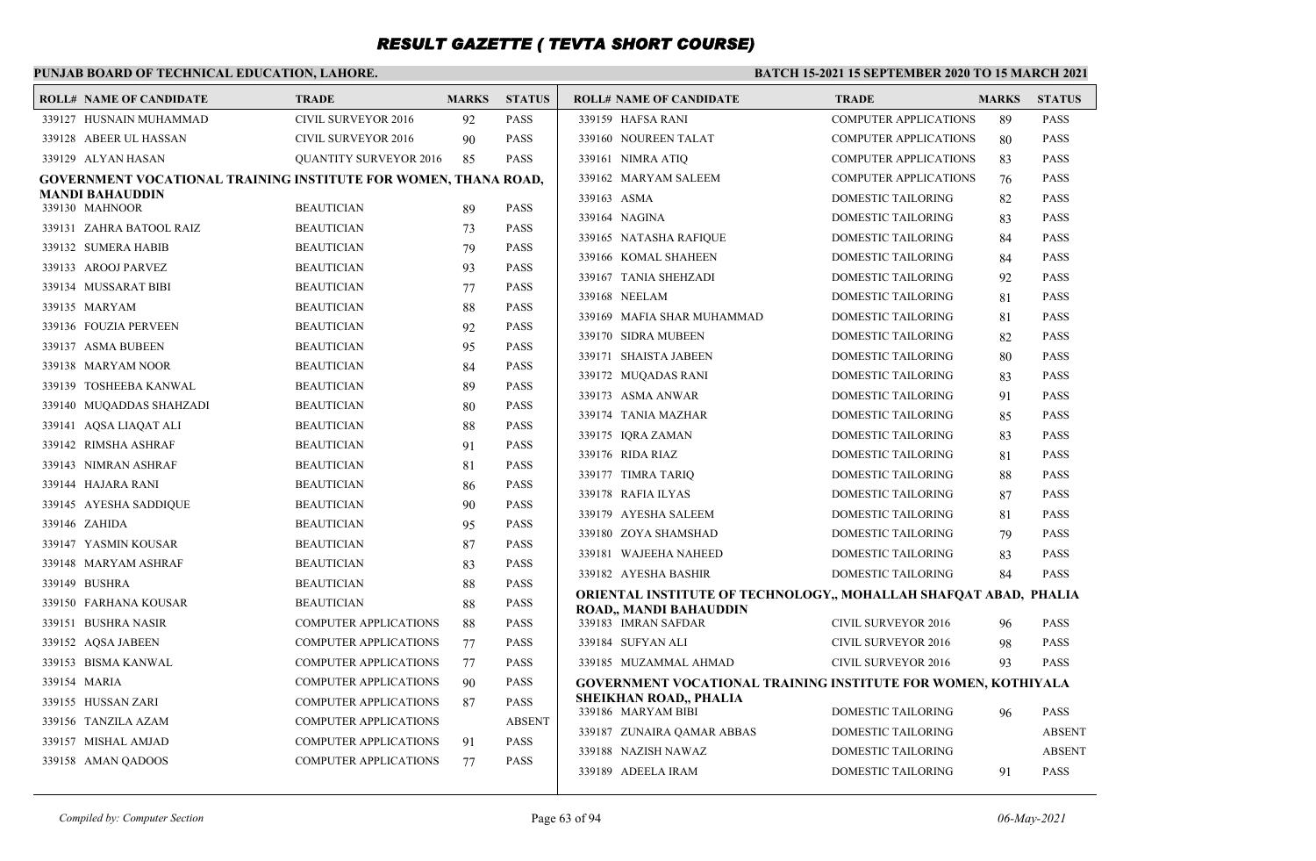### **PUNJAB BOARD OF TECHNICAL EDUCATION, LAHORE.**

| <b>ROLL# NAME OF CANDIDATE</b>                                  | <b>TRADE</b>                  | <b>MARKS</b> | <b>STATUS</b> | <b>ROLL# NAME OF CANDIDATE</b>                                          | <b>TRADE</b>                 | <b>MARKS</b> | <b>STATUS</b> |
|-----------------------------------------------------------------|-------------------------------|--------------|---------------|-------------------------------------------------------------------------|------------------------------|--------------|---------------|
| 339127 HUSNAIN MUHAMMAD                                         | <b>CIVIL SURVEYOR 2016</b>    | 92           | <b>PASS</b>   | 339159 HAFSA RANI                                                       | <b>COMPUTER APPLICATIONS</b> | 89           | <b>PASS</b>   |
| 339128 ABEER UL HASSAN                                          | <b>CIVIL SURVEYOR 2016</b>    | 90           | <b>PASS</b>   | 339160 NOUREEN TALAT                                                    | <b>COMPUTER APPLICATIONS</b> | 80           | <b>PASS</b>   |
| 339129 ALYAN HASAN                                              | <b>QUANTITY SURVEYOR 2016</b> | 85           | <b>PASS</b>   | 339161 NIMRA ATIQ                                                       | <b>COMPUTER APPLICATIONS</b> | 83           | <b>PASS</b>   |
| GOVERNMENT VOCATIONAL TRAINING INSTITUTE FOR WOMEN, THANA ROAD, |                               |              |               | 339162 MARYAM SALEEM                                                    | <b>COMPUTER APPLICATIONS</b> | 76           | <b>PASS</b>   |
| MANDI BAHAUDDIN<br>339130 MAHNOOR                               | <b>BEAUTICIAN</b>             | 89           | <b>PASS</b>   | 339163 ASMA                                                             | DOMESTIC TAILORING           | 82           | <b>PASS</b>   |
| 339131 ZAHRA BATOOL RAIZ                                        | <b>BEAUTICIAN</b>             |              | <b>PASS</b>   | 339164 NAGINA                                                           | <b>DOMESTIC TAILORING</b>    | 83           | <b>PASS</b>   |
|                                                                 |                               | 73           |               | 339165 NATASHA RAFIQUE                                                  | DOMESTIC TAILORING           | 84           | <b>PASS</b>   |
| 339132 SUMERA HABIB                                             | <b>BEAUTICIAN</b>             | 79           | <b>PASS</b>   | 339166 KOMAL SHAHEEN                                                    | DOMESTIC TAILORING           | 84           | <b>PASS</b>   |
| 339133 AROOJ PARVEZ                                             | <b>BEAUTICIAN</b>             | 93           | <b>PASS</b>   | 339167 TANIA SHEHZADI                                                   | <b>DOMESTIC TAILORING</b>    | 92           | <b>PASS</b>   |
| 339134 MUSSARAT BIBI                                            | <b>BEAUTICIAN</b>             | 77           | <b>PASS</b>   | 339168 NEELAM                                                           | DOMESTIC TAILORING           | 81           | <b>PASS</b>   |
| 339135 MARYAM                                                   | <b>BEAUTICIAN</b>             | 88           | <b>PASS</b>   | 339169 MAFIA SHAR MUHAMMAD                                              | DOMESTIC TAILORING           | 81           | <b>PASS</b>   |
| 339136 FOUZIA PERVEEN                                           | <b>BEAUTICIAN</b>             | 92           | <b>PASS</b>   | 339170 SIDRA MUBEEN                                                     | DOMESTIC TAILORING           | 82           | <b>PASS</b>   |
| 339137 ASMA BUBEEN                                              | <b>BEAUTICIAN</b>             | 95           | <b>PASS</b>   | 339171 SHAISTA JABEEN                                                   | DOMESTIC TAILORING           | 80           | <b>PASS</b>   |
| 339138 MARYAM NOOR                                              | <b>BEAUTICIAN</b>             | 84           | <b>PASS</b>   | 339172 MUQADAS RANI                                                     | DOMESTIC TAILORING           | 83           | <b>PASS</b>   |
| 339139 TOSHEEBA KANWAL                                          | <b>BEAUTICIAN</b>             | 89           | <b>PASS</b>   | 339173 ASMA ANWAR                                                       | DOMESTIC TAILORING           | 91           | <b>PASS</b>   |
| 339140 MUQADDAS SHAHZADI                                        | <b>BEAUTICIAN</b>             | 80           | <b>PASS</b>   | 339174 TANIA MAZHAR                                                     | DOMESTIC TAILORING           | 85           | <b>PASS</b>   |
| 339141 AQSA LIAQAT ALI                                          | <b>BEAUTICIAN</b>             | 88           | <b>PASS</b>   | 339175 IORA ZAMAN                                                       | <b>DOMESTIC TAILORING</b>    | 83           | <b>PASS</b>   |
| 339142 RIMSHA ASHRAF                                            | <b>BEAUTICIAN</b>             | 91           | <b>PASS</b>   | 339176 RIDA RIAZ                                                        | DOMESTIC TAILORING           | 81           | <b>PASS</b>   |
| 339143 NIMRAN ASHRAF                                            | <b>BEAUTICIAN</b>             | 81           | <b>PASS</b>   | 339177 TIMRA TARIO                                                      | DOMESTIC TAILORING           | 88           | <b>PASS</b>   |
| 339144 HAJARA RANI                                              | <b>BEAUTICIAN</b>             | 86           | <b>PASS</b>   | 339178 RAFIA ILYAS                                                      | DOMESTIC TAILORING           | 87           | <b>PASS</b>   |
| 339145 AYESHA SADDIQUE                                          | <b>BEAUTICIAN</b>             | 90           | <b>PASS</b>   | 339179 AYESHA SALEEM                                                    | DOMESTIC TAILORING           | 81           | <b>PASS</b>   |
| 339146 ZAHIDA                                                   | <b>BEAUTICIAN</b>             | 95           | <b>PASS</b>   | 339180 ZOYA SHAMSHAD                                                    | DOMESTIC TAILORING           | 79           | <b>PASS</b>   |
| 339147 YASMIN KOUSAR                                            | <b>BEAUTICIAN</b>             | 87           | <b>PASS</b>   | 339181 WAJEEHA NAHEED                                                   | DOMESTIC TAILORING           | 83           | <b>PASS</b>   |
| 339148 MARYAM ASHRAF                                            | <b>BEAUTICIAN</b>             | 83           | <b>PASS</b>   | 339182 AYESHA BASHIR                                                    | <b>DOMESTIC TAILORING</b>    | 84           | <b>PASS</b>   |
| 339149 BUSHRA                                                   | <b>BEAUTICIAN</b>             | 88           | <b>PASS</b>   | <b>ORIENTAL INSTITUTE OF TECHNOLOGY,, MOHALLAH SHAFQAT ABAD, PHALIA</b> |                              |              |               |
| 339150 FARHANA KOUSAR                                           | <b>BEAUTICIAN</b>             | 88           | <b>PASS</b>   | ROAD., MANDI BAHAUDDIN                                                  |                              |              |               |
| 339151 BUSHRA NASIR                                             | <b>COMPUTER APPLICATIONS</b>  | 88           | <b>PASS</b>   | 339183 IMRAN SAFDAR                                                     | <b>CIVIL SURVEYOR 2016</b>   | 96           | <b>PASS</b>   |
| 339152 AQSA JABEEN                                              | <b>COMPUTER APPLICATIONS</b>  | 77           | <b>PASS</b>   | 339184 SUFYAN ALI                                                       | <b>CIVIL SURVEYOR 2016</b>   | 98           | <b>PASS</b>   |
| 339153 BISMA KANWAL                                             | <b>COMPUTER APPLICATIONS</b>  | 77           | <b>PASS</b>   | 339185 MUZAMMAL AHMAD                                                   | <b>CIVIL SURVEYOR 2016</b>   | 93           | <b>PASS</b>   |
| 339154 MARIA                                                    | <b>COMPUTER APPLICATIONS</b>  | 90           | <b>PASS</b>   | <b>GOVERNMENT VOCATIONAL TRAINING INSTITUTE FOR WOMEN, KOTHIYALA</b>    |                              |              |               |
| 339155 HUSSAN ZARI                                              | <b>COMPUTER APPLICATIONS</b>  | 87           | <b>PASS</b>   | SHEIKHAN ROAD,, PHALIA<br>339186 MARYAM BIBI                            | DOMESTIC TAILORING           |              | <b>PASS</b>   |
| 339156 TANZILA AZAM                                             | <b>COMPUTER APPLICATIONS</b>  |              | <b>ABSENT</b> |                                                                         | DOMESTIC TAILORING           | 96           | <b>ABSENT</b> |
| 339157 MISHAL AMJAD                                             | <b>COMPUTER APPLICATIONS</b>  | 91           | <b>PASS</b>   | 339187 ZUNAIRA QAMAR ABBAS                                              |                              |              |               |
| 339158 AMAN OADOOS                                              | <b>COMPUTER APPLICATIONS</b>  | 77           | <b>PASS</b>   | 339188 NAZISH NAWAZ                                                     | DOMESTIC TAILORING           |              | <b>ABSENT</b> |
|                                                                 |                               |              |               | 339189 ADEELA IRAM                                                      | <b>DOMESTIC TAILORING</b>    | 91           | <b>PASS</b>   |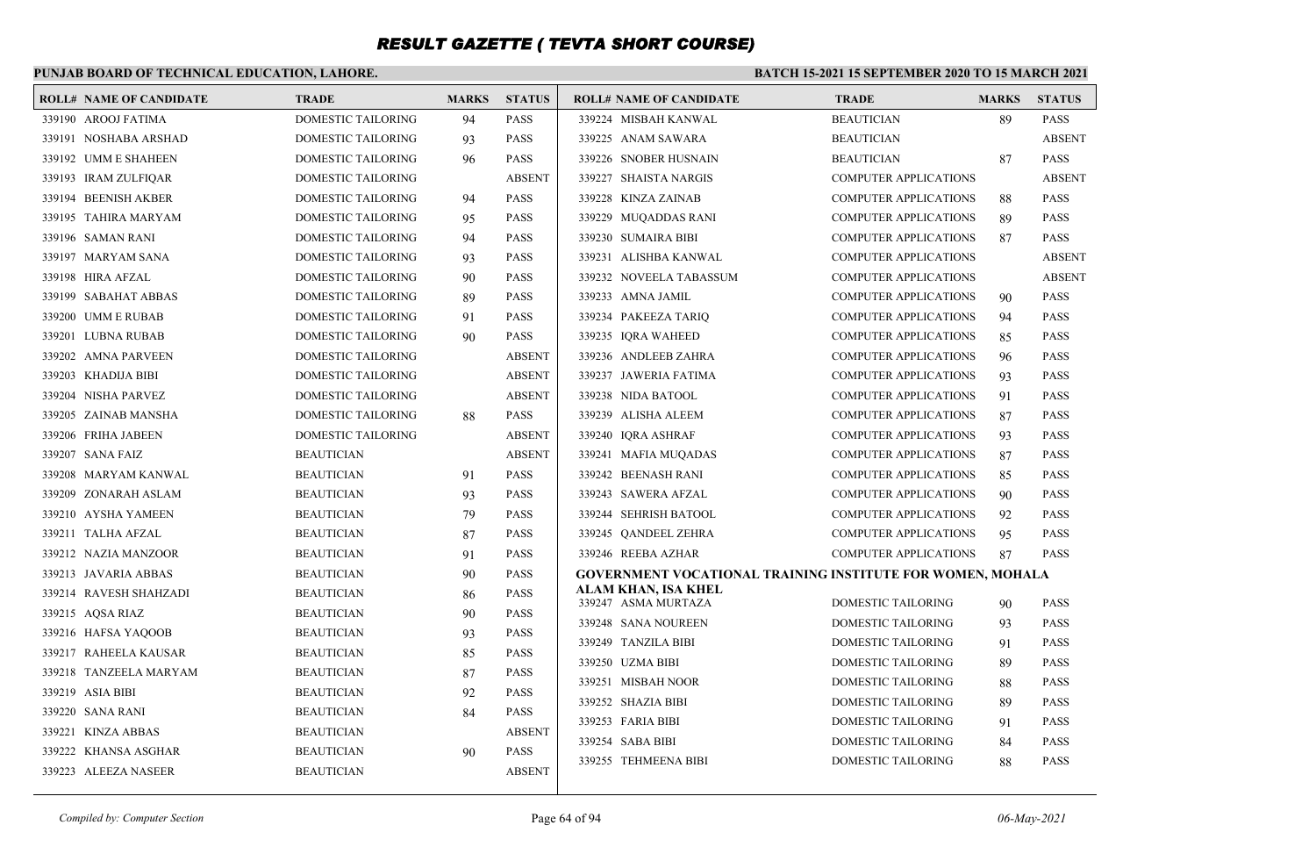### **PUNJAB BOARD OF TECHNICAL EDUCATION, LAHORE.**

| <b>ROLL# NAME OF CANDIDATE</b> | <b>TRADE</b>              | <b>MARKS</b> | <b>STATUS</b> | <b>ROLL# NAME OF CANDIDATE</b>                                    | <b>TRADE</b>                 | <b>MARKS</b> | <b>STATUS</b> |
|--------------------------------|---------------------------|--------------|---------------|-------------------------------------------------------------------|------------------------------|--------------|---------------|
| 339190 AROOJ FATIMA            | <b>DOMESTIC TAILORING</b> | 94           | <b>PASS</b>   | 339224 MISBAH KANWAL                                              | <b>BEAUTICIAN</b>            | 89           | <b>PASS</b>   |
| 339191 NOSHABA ARSHAD          | DOMESTIC TAILORING        | 93           | <b>PASS</b>   | 339225 ANAM SAWARA                                                | <b>BEAUTICIAN</b>            |              | <b>ABSENT</b> |
| 339192 UMM E SHAHEEN           | DOMESTIC TAILORING        | 96           | <b>PASS</b>   | 339226 SNOBER HUSNAIN                                             | <b>BEAUTICIAN</b>            | 87           | <b>PASS</b>   |
| 339193 IRAM ZULFIQAR           | DOMESTIC TAILORING        |              | <b>ABSENT</b> | 339227 SHAISTA NARGIS                                             | <b>COMPUTER APPLICATIONS</b> |              | <b>ABSENT</b> |
| 339194 BEENISH AKBER           | DOMESTIC TAILORING        | 94           | PASS          | 339228 KINZA ZAINAB                                               | <b>COMPUTER APPLICATIONS</b> | 88           | <b>PASS</b>   |
| 339195 TAHIRA MARYAM           | DOMESTIC TAILORING        | 95           | PASS          | 339229 MUQADDAS RANI                                              | <b>COMPUTER APPLICATIONS</b> | 89           | <b>PASS</b>   |
| 339196 SAMAN RANI              | DOMESTIC TAILORING        | 94           | PASS          | 339230 SUMAIRA BIBI                                               | <b>COMPUTER APPLICATIONS</b> | 87           | <b>PASS</b>   |
| 339197 MARYAM SANA             | <b>DOMESTIC TAILORING</b> | 93           | <b>PASS</b>   | 339231 ALISHBA KANWAL                                             | <b>COMPUTER APPLICATIONS</b> |              | <b>ABSENT</b> |
| 339198 HIRA AFZAL              | DOMESTIC TAILORING        | 90           | PASS          | 339232 NOVEELA TABASSUM                                           | <b>COMPUTER APPLICATIONS</b> |              | <b>ABSENT</b> |
| 339199 SABAHAT ABBAS           | DOMESTIC TAILORING        | 89           | <b>PASS</b>   | 339233 AMNA JAMIL                                                 | <b>COMPUTER APPLICATIONS</b> | 90           | <b>PASS</b>   |
| 339200 UMM E RUBAB             | DOMESTIC TAILORING        | 91           | <b>PASS</b>   | 339234 PAKEEZA TARIQ                                              | <b>COMPUTER APPLICATIONS</b> | 94           | <b>PASS</b>   |
| 339201 LUBNA RUBAB             | DOMESTIC TAILORING        | 90           | <b>PASS</b>   | 339235 IQRA WAHEED                                                | <b>COMPUTER APPLICATIONS</b> | 85           | <b>PASS</b>   |
| 339202 AMNA PARVEEN            | DOMESTIC TAILORING        |              | <b>ABSENT</b> | 339236 ANDLEEB ZAHRA                                              | <b>COMPUTER APPLICATIONS</b> | 96           | <b>PASS</b>   |
| 339203 KHADIJA BIBI            | DOMESTIC TAILORING        |              | <b>ABSENT</b> | 339237 JAWERIA FATIMA                                             | <b>COMPUTER APPLICATIONS</b> | 93           | <b>PASS</b>   |
| 339204 NISHA PARVEZ            | DOMESTIC TAILORING        |              | <b>ABSENT</b> | 339238 NIDA BATOOL                                                | <b>COMPUTER APPLICATIONS</b> | 91           | <b>PASS</b>   |
| 339205 ZAINAB MANSHA           | <b>DOMESTIC TAILORING</b> | 88           | <b>PASS</b>   | 339239 ALISHA ALEEM                                               | <b>COMPUTER APPLICATIONS</b> | 87           | <b>PASS</b>   |
| 339206 FRIHA JABEEN            | DOMESTIC TAILORING        |              | <b>ABSENT</b> | 339240 IQRA ASHRAF                                                | <b>COMPUTER APPLICATIONS</b> | 93           | <b>PASS</b>   |
| 339207 SANA FAIZ               | <b>BEAUTICIAN</b>         |              | <b>ABSENT</b> | 339241 MAFIA MUQADAS                                              | <b>COMPUTER APPLICATIONS</b> | 87           | <b>PASS</b>   |
| 339208 MARYAM KANWAL           | <b>BEAUTICIAN</b>         | 91           | <b>PASS</b>   | 339242 BEENASH RANI                                               | <b>COMPUTER APPLICATIONS</b> | 85           | <b>PASS</b>   |
| 339209 ZONARAH ASLAM           | <b>BEAUTICIAN</b>         | 93           | <b>PASS</b>   | 339243 SAWERA AFZAL                                               | <b>COMPUTER APPLICATIONS</b> | 90           | <b>PASS</b>   |
| 339210 AYSHA YAMEEN            | <b>BEAUTICIAN</b>         | 79           | <b>PASS</b>   | 339244 SEHRISH BATOOL                                             | <b>COMPUTER APPLICATIONS</b> | 92           | <b>PASS</b>   |
| 339211 TALHA AFZAL             | <b>BEAUTICIAN</b>         | 87           | PASS          | 339245 QANDEEL ZEHRA                                              | <b>COMPUTER APPLICATIONS</b> | 95           | <b>PASS</b>   |
| 339212 NAZIA MANZOOR           | <b>BEAUTICIAN</b>         | 91           | <b>PASS</b>   | 339246 REEBA AZHAR                                                | <b>COMPUTER APPLICATIONS</b> | 87           | <b>PASS</b>   |
| 339213 JAVARIA ABBAS           | <b>BEAUTICIAN</b>         | 90           | PASS          | <b>GOVERNMENT VOCATIONAL TRAINING INSTITUTE FOR WOMEN, MOHALA</b> |                              |              |               |
| 339214 RAVESH SHAHZADI         | <b>BEAUTICIAN</b>         | 86           | PASS          | ALAM KHAN, ISA KHEL<br>339247 ASMA MURTAZA                        | <b>DOMESTIC TAILORING</b>    | 90           | <b>PASS</b>   |
| 339215 AQSA RIAZ               | <b>BEAUTICIAN</b>         | 90           | PASS          | 339248 SANA NOUREEN                                               | <b>DOMESTIC TAILORING</b>    | 93           | <b>PASS</b>   |
| 339216 HAFSA YAQOOB            | <b>BEAUTICIAN</b>         | 93           | <b>PASS</b>   | 339249 TANZILA BIBI                                               | <b>DOMESTIC TAILORING</b>    | 91           | <b>PASS</b>   |
| 339217 RAHEELA KAUSAR          | <b>BEAUTICIAN</b>         | 85           | PASS          | 339250 UZMA BIBI                                                  | DOMESTIC TAILORING           | 89           | <b>PASS</b>   |
| 339218 TANZEELA MARYAM         | <b>BEAUTICIAN</b>         | 87           | PASS          | 339251 MISBAH NOOR                                                | <b>DOMESTIC TAILORING</b>    | 88           | <b>PASS</b>   |
| 339219 ASIA BIBI               | <b>BEAUTICIAN</b>         | 92           | <b>PASS</b>   | 339252 SHAZIA BIBI                                                | <b>DOMESTIC TAILORING</b>    | 89           | <b>PASS</b>   |
| 339220 SANA RANI               | <b>BEAUTICIAN</b>         | 84           | <b>PASS</b>   | 339253 FARIA BIBI                                                 | DOMESTIC TAILORING           | 91           | <b>PASS</b>   |
| 339221 KINZA ABBAS             | <b>BEAUTICIAN</b>         |              | <b>ABSENT</b> | 339254 SABA BIBI                                                  | <b>DOMESTIC TAILORING</b>    | 84           | <b>PASS</b>   |
| 339222 KHANSA ASGHAR           | <b>BEAUTICIAN</b>         | 90           | PASS          | 339255 TEHMEENA BIBI                                              | <b>DOMESTIC TAILORING</b>    | 88           | <b>PASS</b>   |
| 339223 ALEEZA NASEER           | <b>BEAUTICIAN</b>         |              | <b>ABSENT</b> |                                                                   |                              |              |               |
|                                |                           |              |               |                                                                   |                              |              |               |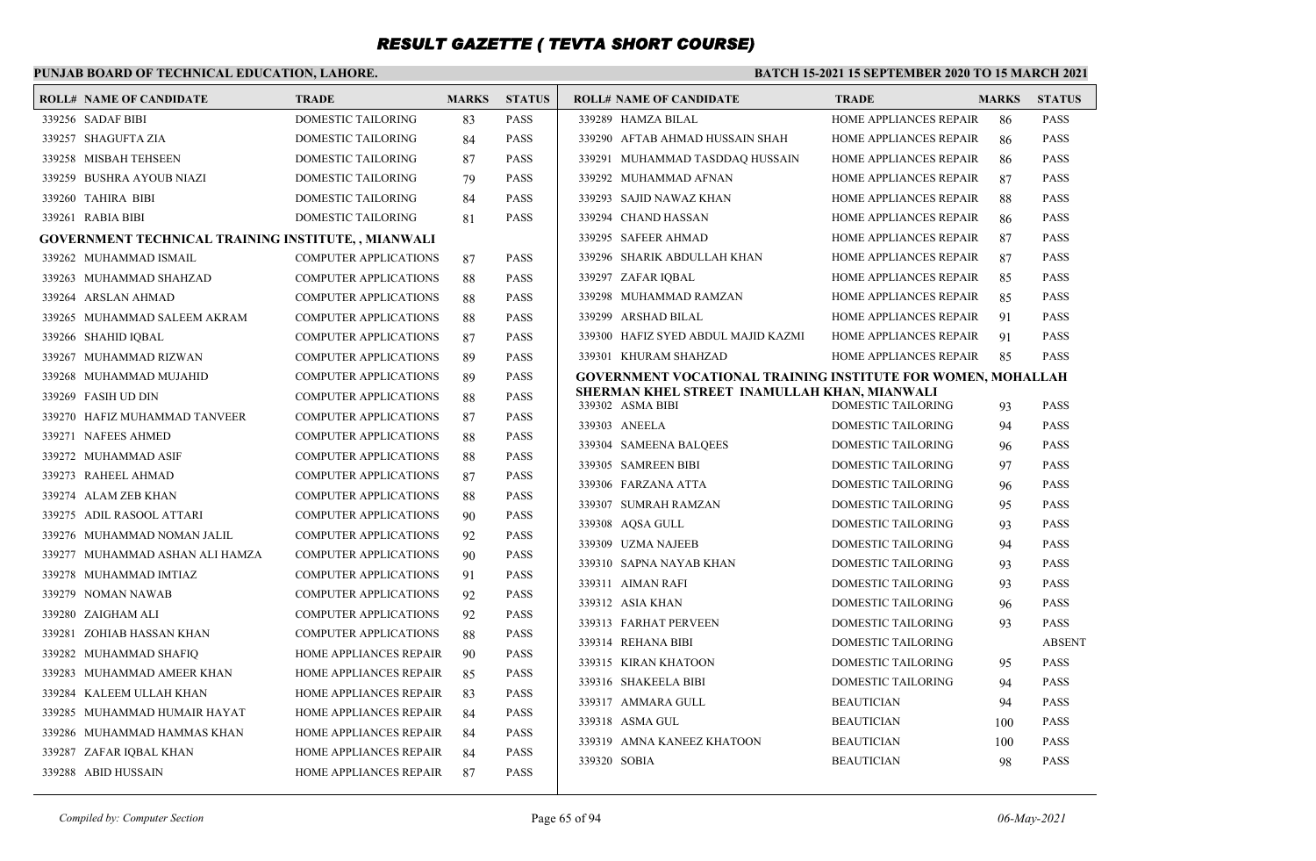### **PUNJAB BOARD OF TECHNICAL EDUCATION, LAHORE.**

| <b>ROLL# NAME OF CANDIDATE</b>                             | <b>TRADE</b>                  | <b>MARKS</b> | <b>STATUS</b> | <b>ROLL# NAME OF CANDIDATE</b>                                   | <b>TRADE</b>              | <b>MARKS</b> | <b>STATUS</b> |
|------------------------------------------------------------|-------------------------------|--------------|---------------|------------------------------------------------------------------|---------------------------|--------------|---------------|
| 339256 SADAF BIBI                                          | DOMESTIC TAILORING            | 83           | <b>PASS</b>   | 339289 HAMZA BILAL                                               | HOME APPLIANCES REPAIR    | 86           | <b>PASS</b>   |
| 339257 SHAGUFTA ZIA                                        | DOMESTIC TAILORING            | 84           | <b>PASS</b>   | 339290 AFTAB AHMAD HUSSAIN SHAH                                  | HOME APPLIANCES REPAIR    | 86           | <b>PASS</b>   |
| 339258 MISBAH TEHSEEN                                      | DOMESTIC TAILORING            | 87           | <b>PASS</b>   | 339291 MUHAMMAD TASDDAQ HUSSAIN                                  | HOME APPLIANCES REPAIR    | 86           | <b>PASS</b>   |
| 339259 BUSHRA AYOUB NIAZI                                  | DOMESTIC TAILORING            | 79           | <b>PASS</b>   | 339292 MUHAMMAD AFNAN                                            | HOME APPLIANCES REPAIR    | 87           | <b>PASS</b>   |
| 339260 TAHIRA BIBI                                         | DOMESTIC TAILORING            | 84           | <b>PASS</b>   | 339293 SAJID NAWAZ KHAN                                          | HOME APPLIANCES REPAIR    | 88           | <b>PASS</b>   |
| 339261 RABIA BIBI                                          | DOMESTIC TAILORING            | 81           | <b>PASS</b>   | 339294 CHAND HASSAN                                              | HOME APPLIANCES REPAIR    | 86           | <b>PASS</b>   |
| <b>GOVERNMENT TECHNICAL TRAINING INSTITUTE, , MIANWALI</b> |                               |              |               | 339295 SAFEER AHMAD                                              | HOME APPLIANCES REPAIR    | 87           | <b>PASS</b>   |
| 339262 MUHAMMAD ISMAIL                                     | <b>COMPUTER APPLICATIONS</b>  | 87           | <b>PASS</b>   | 339296 SHARIK ABDULLAH KHAN                                      | HOME APPLIANCES REPAIR    | 87           | <b>PASS</b>   |
| 339263 MUHAMMAD SHAHZAD                                    | <b>COMPUTER APPLICATIONS</b>  | 88           | <b>PASS</b>   | 339297 ZAFAR IOBAL                                               | HOME APPLIANCES REPAIR    | 85           | <b>PASS</b>   |
| 339264 ARSLAN AHMAD                                        | <b>COMPUTER APPLICATIONS</b>  | 88           | <b>PASS</b>   | 339298 MUHAMMAD RAMZAN                                           | HOME APPLIANCES REPAIR    | 85           | <b>PASS</b>   |
| 339265 MUHAMMAD SALEEM AKRAM                               | <b>COMPUTER APPLICATIONS</b>  | 88           | <b>PASS</b>   | 339299 ARSHAD BILAL                                              | HOME APPLIANCES REPAIR    | 91           | <b>PASS</b>   |
| 339266 SHAHID IOBAL                                        | <b>COMPUTER APPLICATIONS</b>  | 87           | <b>PASS</b>   | 339300 HAFIZ SYED ABDUL MAJID KAZMI                              | HOME APPLIANCES REPAIR    | 91           | <b>PASS</b>   |
| 339267 MUHAMMAD RIZWAN                                     | <b>COMPUTER APPLICATIONS</b>  | 89           | <b>PASS</b>   | 339301 KHURAM SHAHZAD                                            | HOME APPLIANCES REPAIR    | 85           | <b>PASS</b>   |
| 339268 MUHAMMAD MUJAHID                                    | <b>COMPUTER APPLICATIONS</b>  | 89           | <b>PASS</b>   | GOVERNMENT VOCATIONAL TRAINING INSTITUTE FOR WOMEN, MOHALLAH     |                           |              |               |
| 339269 FASIH UD DIN                                        | <b>COMPUTER APPLICATIONS</b>  | 88           | <b>PASS</b>   | SHERMAN KHEL STREET INAMULLAH KHAN, MIANWALI<br>339302 ASMA BIBI | <b>DOMESTIC TAILORING</b> | 93           | <b>PASS</b>   |
| 339270 HAFIZ MUHAMMAD TANVEER                              | <b>COMPUTER APPLICATIONS</b>  | 87           | <b>PASS</b>   | 339303 ANEELA                                                    | DOMESTIC TAILORING        | 94           | <b>PASS</b>   |
| 339271 NAFEES AHMED                                        | <b>COMPUTER APPLICATIONS</b>  | 88           | <b>PASS</b>   | 339304 SAMEENA BALQEES                                           | DOMESTIC TAILORING        | 96           | <b>PASS</b>   |
| 339272 MUHAMMAD ASIF                                       | <b>COMPUTER APPLICATIONS</b>  | 88           | <b>PASS</b>   | 339305 SAMREEN BIBI                                              | <b>DOMESTIC TAILORING</b> | 97           | <b>PASS</b>   |
| 339273 RAHEEL AHMAD                                        | <b>COMPUTER APPLICATIONS</b>  | 87           | <b>PASS</b>   | 339306 FARZANA ATTA                                              | DOMESTIC TAILORING        | 96           | <b>PASS</b>   |
| 339274 ALAM ZEB KHAN                                       | <b>COMPUTER APPLICATIONS</b>  | 88           | <b>PASS</b>   | 339307 SUMRAH RAMZAN                                             | <b>DOMESTIC TAILORING</b> | 95           | <b>PASS</b>   |
| 339275 ADIL RASOOL ATTARI                                  | <b>COMPUTER APPLICATIONS</b>  | 90           | <b>PASS</b>   | 339308 AQSA GULL                                                 | DOMESTIC TAILORING        | 93           | <b>PASS</b>   |
| 339276 MUHAMMAD NOMAN JALIL                                | <b>COMPUTER APPLICATIONS</b>  | 92           | <b>PASS</b>   | 339309 UZMA NAJEEB                                               | <b>DOMESTIC TAILORING</b> | 94           | <b>PASS</b>   |
| 339277 MUHAMMAD ASHAN ALI HAMZA                            | <b>COMPUTER APPLICATIONS</b>  | 90           | <b>PASS</b>   | 339310 SAPNA NAYAB KHAN                                          | <b>DOMESTIC TAILORING</b> | 93           | <b>PASS</b>   |
| 339278 MUHAMMAD IMTIAZ                                     | <b>COMPUTER APPLICATIONS</b>  | 91           | <b>PASS</b>   | 339311 AIMAN RAFI                                                | <b>DOMESTIC TAILORING</b> | 93           | <b>PASS</b>   |
| 339279 NOMAN NAWAB                                         | <b>COMPUTER APPLICATIONS</b>  | 92           | <b>PASS</b>   | 339312 ASIA KHAN                                                 | <b>DOMESTIC TAILORING</b> | 96           | <b>PASS</b>   |
| 339280 ZAIGHAM ALI                                         | <b>COMPUTER APPLICATIONS</b>  | 92           | <b>PASS</b>   | 339313 FARHAT PERVEEN                                            | <b>DOMESTIC TAILORING</b> | 93           | <b>PASS</b>   |
| 339281 ZOHIAB HASSAN KHAN                                  | <b>COMPUTER APPLICATIONS</b>  | 88           | <b>PASS</b>   | 339314 REHANA BIBI                                               | <b>DOMESTIC TAILORING</b> |              | <b>ABSENT</b> |
| 339282 MUHAMMAD SHAFIQ                                     | HOME APPLIANCES REPAIR        | 90           | <b>PASS</b>   | 339315 KIRAN KHATOON                                             | <b>DOMESTIC TAILORING</b> | 95           | <b>PASS</b>   |
| 339283 MUHAMMAD AMEER KHAN                                 | <b>HOME APPLIANCES REPAIR</b> | 85           | <b>PASS</b>   | 339316 SHAKEELA BIBI                                             | <b>DOMESTIC TAILORING</b> | 94           | <b>PASS</b>   |
| 339284 KALEEM ULLAH KHAN                                   | HOME APPLIANCES REPAIR        | 83           | <b>PASS</b>   | 339317 AMMARA GULL                                               | <b>BEAUTICIAN</b>         | 94           | <b>PASS</b>   |
| 339285 MUHAMMAD HUMAIR HAYAT                               | <b>HOME APPLIANCES REPAIR</b> | 84           | <b>PASS</b>   | 339318 ASMA GUL                                                  | BEAUTICIAN                | 100          | <b>PASS</b>   |
| 339286 MUHAMMAD HAMMAS KHAN                                | <b>HOME APPLIANCES REPAIR</b> | 84           | <b>PASS</b>   | 339319 AMNA KANEEZ KHATOON                                       | <b>BEAUTICIAN</b>         | 100          | <b>PASS</b>   |
| 339287 ZAFAR IQBAL KHAN                                    | HOME APPLIANCES REPAIR        | 84           | <b>PASS</b>   | 339320 SOBIA                                                     | <b>BEAUTICIAN</b>         | 98           | <b>PASS</b>   |
| 339288 ABID HUSSAIN                                        | HOME APPLIANCES REPAIR        | 87           | <b>PASS</b>   |                                                                  |                           |              |               |
|                                                            |                               |              |               |                                                                  |                           |              |               |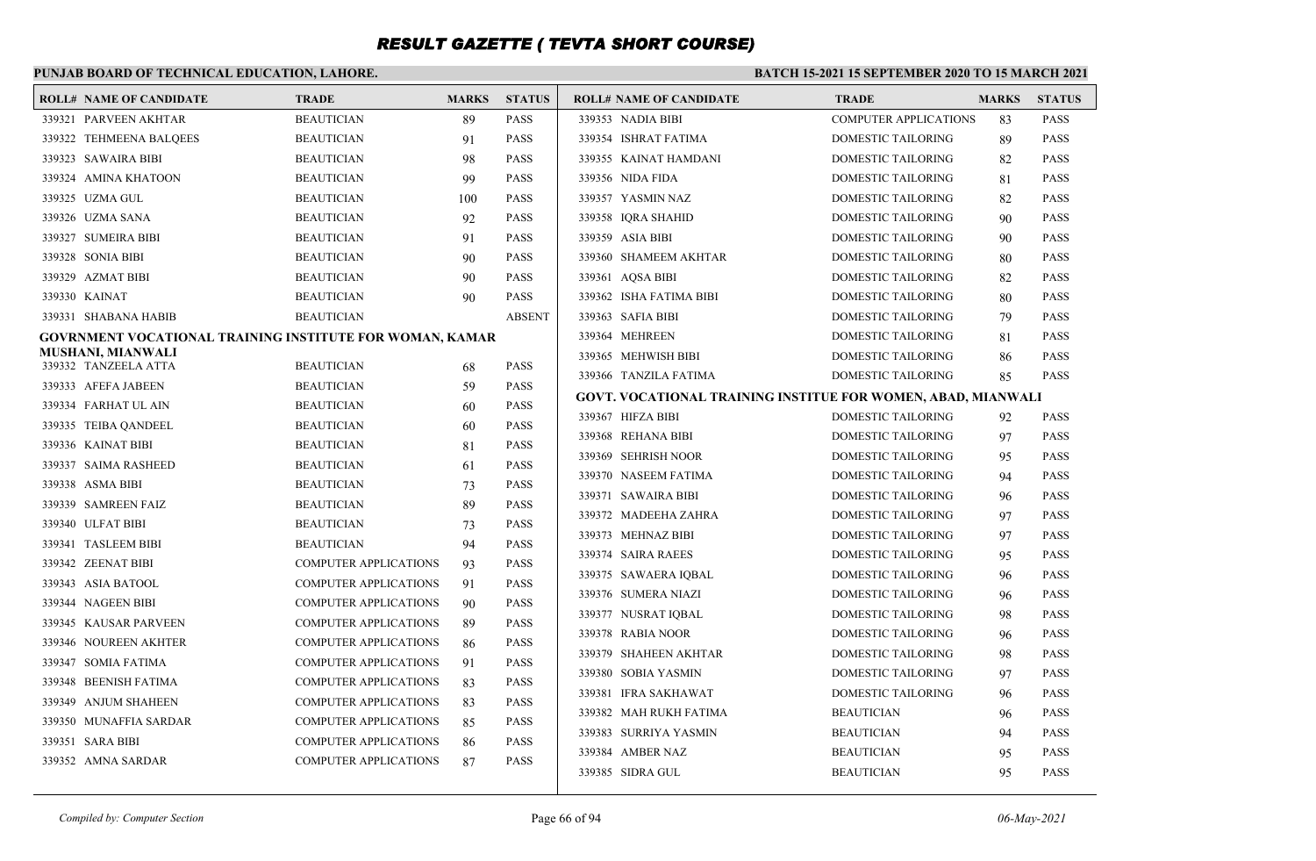### **PUNJAB BOARD OF TECHNICAL EDUCATION, LAHORE.**

| <b>ROLL# NAME OF CANDIDATE</b>                           | <b>TRADE</b>                 | <b>MARKS</b> | <b>STATUS</b> | <b>ROLL# NAME OF CANDIDATE</b>                               | <b>TRADE</b>                 | <b>MARKS</b> | <b>STATUS</b> |
|----------------------------------------------------------|------------------------------|--------------|---------------|--------------------------------------------------------------|------------------------------|--------------|---------------|
| 339321 PARVEEN AKHTAR                                    | <b>BEAUTICIAN</b>            | 89           | PASS          | 339353 NADIA BIBI                                            | <b>COMPUTER APPLICATIONS</b> | 83           | <b>PASS</b>   |
| 339322 TEHMEENA BALQEES                                  | <b>BEAUTICIAN</b>            | 91           | <b>PASS</b>   | 339354 ISHRAT FATIMA                                         | <b>DOMESTIC TAILORING</b>    | 89           | <b>PASS</b>   |
| 339323 SAWAIRA BIBI                                      | <b>BEAUTICIAN</b>            | 98           | PASS          | 339355 KAINAT HAMDANI                                        | DOMESTIC TAILORING           | 82           | <b>PASS</b>   |
| 339324 AMINA KHATOON                                     | <b>BEAUTICIAN</b>            | 99           | PASS          | 339356 NIDA FIDA                                             | DOMESTIC TAILORING           | 81           | <b>PASS</b>   |
| 339325 UZMA GUL                                          | <b>BEAUTICIAN</b>            | 100          | PASS          | 339357 YASMIN NAZ                                            | DOMESTIC TAILORING           | 82           | <b>PASS</b>   |
| 339326 UZMA SANA                                         | <b>BEAUTICIAN</b>            | 92           | <b>PASS</b>   | 339358 IQRA SHAHID                                           | DOMESTIC TAILORING           | 90           | <b>PASS</b>   |
| 339327 SUMEIRA BIBI                                      | <b>BEAUTICIAN</b>            | 91           | PASS          | 339359 ASIA BIBI                                             | DOMESTIC TAILORING           | 90           | PASS          |
| 339328 SONIA BIBI                                        | <b>BEAUTICIAN</b>            | 90           | <b>PASS</b>   | 339360 SHAMEEM AKHTAR                                        | DOMESTIC TAILORING           | 80           | <b>PASS</b>   |
| 339329 AZMAT BIBI                                        | <b>BEAUTICIAN</b>            | 90           | PASS          | 339361 AOSA BIBI                                             | DOMESTIC TAILORING           | 82           | <b>PASS</b>   |
| 339330 KAINAT                                            | <b>BEAUTICIAN</b>            | 90           | <b>PASS</b>   | 339362 ISHA FATIMA BIBI                                      | DOMESTIC TAILORING           | 80           | <b>PASS</b>   |
| 339331 SHABANA HABIB                                     | <b>BEAUTICIAN</b>            |              | <b>ABSENT</b> | 339363 SAFIA BIBI                                            | DOMESTIC TAILORING           | 79           | <b>PASS</b>   |
| GOVRNMENT VOCATIONAL TRAINING INSTITUTE FOR WOMAN, KAMAR |                              |              |               | 339364 MEHREEN                                               | DOMESTIC TAILORING           | 81           | <b>PASS</b>   |
| MUSHANI, MIANWALI                                        |                              |              |               | 339365 MEHWISH BIBI                                          | DOMESTIC TAILORING           | 86           | <b>PASS</b>   |
| 339332 TANZEELA ATTA                                     | <b>BEAUTICIAN</b>            | 68           | PASS          | 339366 TANZILA FATIMA                                        | DOMESTIC TAILORING           | 85           | <b>PASS</b>   |
| 339333 AFEFA JABEEN                                      | <b>BEAUTICIAN</b>            | 59           | <b>PASS</b>   | GOVT. VOCATIONAL TRAINING INSTITUE FOR WOMEN, ABAD, MIANWALI |                              |              |               |
| 339334 FARHAT UL AIN                                     | <b>BEAUTICIAN</b>            | 60           | PASS          | 339367 HIFZA BIBI                                            | <b>DOMESTIC TAILORING</b>    | 92           | <b>PASS</b>   |
| 339335 TEIBA QANDEEL                                     | <b>BEAUTICIAN</b>            | 60           | <b>PASS</b>   | 339368 REHANA BIBI                                           | DOMESTIC TAILORING           | 97           | <b>PASS</b>   |
| 339336 KAINAT BIBI                                       | <b>BEAUTICIAN</b>            | 81           | PASS          | 339369 SEHRISH NOOR                                          | <b>DOMESTIC TAILORING</b>    | 95           | <b>PASS</b>   |
| 339337 SAIMA RASHEED                                     | <b>BEAUTICIAN</b>            | 61           | <b>PASS</b>   | 339370 NASEEM FATIMA                                         | DOMESTIC TAILORING           | 94           | <b>PASS</b>   |
| 339338 ASMA BIBI                                         | <b>BEAUTICIAN</b>            | 73           | PASS          | 339371 SAWAIRA BIBI                                          | DOMESTIC TAILORING           | 96           | <b>PASS</b>   |
| 339339 SAMREEN FAIZ                                      | <b>BEAUTICIAN</b>            | 89           | <b>PASS</b>   | 339372 MADEEHA ZAHRA                                         | DOMESTIC TAILORING           | 97           | <b>PASS</b>   |
| 339340 ULFAT BIBI                                        | <b>BEAUTICIAN</b>            | 73           | PASS          | 339373 MEHNAZ BIBI                                           | DOMESTIC TAILORING           | 97           | <b>PASS</b>   |
| 339341 TASLEEM BIBI                                      | <b>BEAUTICIAN</b>            | 94           | <b>PASS</b>   | 339374 SAIRA RAEES                                           | DOMESTIC TAILORING           | 95           | <b>PASS</b>   |
| 339342 ZEENAT BIBI                                       | COMPUTER APPLICATIONS        | 93           | PASS          | 339375 SAWAERA IOBAL                                         | <b>DOMESTIC TAILORING</b>    | 96           | <b>PASS</b>   |
| 339343 ASIA BATOOL                                       | <b>COMPUTER APPLICATIONS</b> | 91           | PASS          | 339376 SUMERA NIAZI                                          | DOMESTIC TAILORING           | 96           | <b>PASS</b>   |
| 339344 NAGEEN BIBI                                       | <b>COMPUTER APPLICATIONS</b> | 90           | PASS          | 339377 NUSRAT IOBAL                                          | <b>DOMESTIC TAILORING</b>    | 98           | <b>PASS</b>   |
| 339345 KAUSAR PARVEEN                                    | <b>COMPUTER APPLICATIONS</b> | 89           | <b>PASS</b>   | 339378 RABIA NOOR                                            | DOMESTIC TAILORING           | 96           | <b>PASS</b>   |
| 339346 NOUREEN AKHTER                                    | <b>COMPUTER APPLICATIONS</b> | 86           | <b>PASS</b>   | 339379 SHAHEEN AKHTAR                                        | <b>DOMESTIC TAILORING</b>    | 98           | <b>PASS</b>   |
| 339347 SOMIA FATIMA                                      | <b>COMPUTER APPLICATIONS</b> | 91           | <b>PASS</b>   | 339380 SOBIA YASMIN                                          | DOMESTIC TAILORING           | 97           | <b>PASS</b>   |
| 339348 BEENISH FATIMA                                    | COMPUTER APPLICATIONS        | 83           | <b>PASS</b>   | 339381 IFRA SAKHAWAT                                         | DOMESTIC TAILORING           | 96           | <b>PASS</b>   |
| 339349 ANJUM SHAHEEN                                     | <b>COMPUTER APPLICATIONS</b> | 83           | <b>PASS</b>   | 339382 MAH RUKH FATIMA                                       | <b>BEAUTICIAN</b>            | 96           | <b>PASS</b>   |
| 339350 MUNAFFIA SARDAR                                   | COMPUTER APPLICATIONS        | 85           | <b>PASS</b>   | 339383 SURRIYA YASMIN                                        | <b>BEAUTICIAN</b>            | 94           | <b>PASS</b>   |
| 339351 SARA BIBI                                         | <b>COMPUTER APPLICATIONS</b> | 86           | PASS          | 339384 AMBER NAZ                                             | <b>BEAUTICIAN</b>            |              | <b>PASS</b>   |
| 339352 AMNA SARDAR                                       | <b>COMPUTER APPLICATIONS</b> | 87           | PASS          | 339385 SIDRA GUL                                             | <b>BEAUTICIAN</b>            | 95           | <b>PASS</b>   |
|                                                          |                              |              |               |                                                              |                              | 95           |               |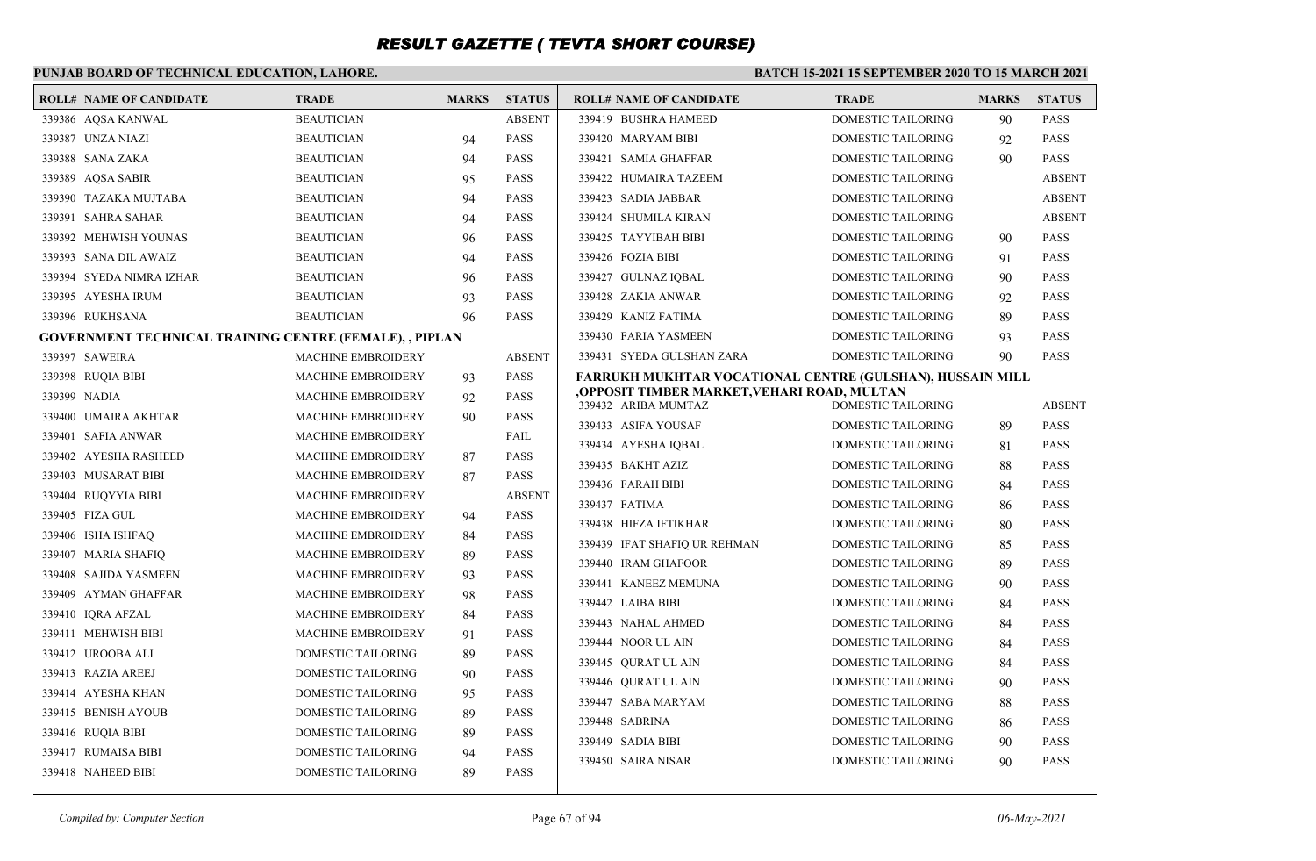## **PUNJAB BOARD OF TECHNICAL EDUCATION, LAHORE.**

#### **BATCH 15-2021 15 SEPTEMBER 2020 TO 15 MARCH 2021**

|              | <b>ROLL# NAME OF CANDIDATE</b>                                 | <b>TRADE</b>              | <b>MARKS</b> | <b>STATUS</b> | <b>ROLL# NAME OF CANDIDATE</b>                                    | <b>TRADE</b>              | <b>MARKS</b> | <b>STATUS</b> |
|--------------|----------------------------------------------------------------|---------------------------|--------------|---------------|-------------------------------------------------------------------|---------------------------|--------------|---------------|
|              | 339386 AQSA KANWAL                                             | <b>BEAUTICIAN</b>         |              | <b>ABSENT</b> | 339419 BUSHRA HAMEED                                              | DOMESTIC TAILORING        | 90           | <b>PASS</b>   |
|              | 339387 UNZA NIAZI                                              | <b>BEAUTICIAN</b>         | 94           | <b>PASS</b>   | 339420 MARYAM BIBI                                                | <b>DOMESTIC TAILORING</b> | 92           | <b>PASS</b>   |
|              | 339388 SANA ZAKA                                               | <b>BEAUTICIAN</b>         | 94           | <b>PASS</b>   | 339421 SAMIA GHAFFAR                                              | DOMESTIC TAILORING        | 90           | <b>PASS</b>   |
|              | 339389 AQSA SABIR                                              | <b>BEAUTICIAN</b>         | 95           | <b>PASS</b>   | 339422 HUMAIRA TAZEEM                                             | DOMESTIC TAILORING        |              | <b>ABSENT</b> |
|              | 339390 TAZAKA MUJTABA                                          | <b>BEAUTICIAN</b>         | 94           | <b>PASS</b>   | 339423 SADIA JABBAR                                               | DOMESTIC TAILORING        |              | <b>ABSENT</b> |
|              | 339391 SAHRA SAHAR                                             | <b>BEAUTICIAN</b>         | 94           | <b>PASS</b>   | 339424 SHUMILA KIRAN                                              | DOMESTIC TAILORING        |              | <b>ABSENT</b> |
|              | 339392 MEHWISH YOUNAS                                          | <b>BEAUTICIAN</b>         | 96           | <b>PASS</b>   | 339425 TAYYIBAH BIBI                                              | DOMESTIC TAILORING        | 90           | <b>PASS</b>   |
|              | 339393 SANA DIL AWAIZ                                          | <b>BEAUTICIAN</b>         | 94           | <b>PASS</b>   | 339426 FOZIA BIBI                                                 | DOMESTIC TAILORING        | 91           | <b>PASS</b>   |
|              | 339394 SYEDA NIMRA IZHAR                                       | <b>BEAUTICIAN</b>         | 96           | <b>PASS</b>   | 339427 GULNAZ IOBAL                                               | DOMESTIC TAILORING        | 90           | <b>PASS</b>   |
|              | 339395 AYESHA IRUM                                             | <b>BEAUTICIAN</b>         | 93           | <b>PASS</b>   | 339428 ZAKIA ANWAR                                                | DOMESTIC TAILORING        | 92           | <b>PASS</b>   |
|              | 339396 RUKHSANA                                                | <b>BEAUTICIAN</b>         | 96           | <b>PASS</b>   | 339429 KANIZ FATIMA                                               | DOMESTIC TAILORING        | 89           | <b>PASS</b>   |
|              | <b>GOVERNMENT TECHNICAL TRAINING CENTRE (FEMALE), , PIPLAN</b> |                           |              |               | 339430 FARIA YASMEEN                                              | <b>DOMESTIC TAILORING</b> | 93           | <b>PASS</b>   |
|              | 339397 SAWEIRA                                                 | <b>MACHINE EMBROIDERY</b> |              | <b>ABSENT</b> | 339431 SYEDA GULSHAN ZARA                                         | DOMESTIC TAILORING        | 90           | <b>PASS</b>   |
|              | 339398 RUQIA BIBI                                              | <b>MACHINE EMBROIDERY</b> | 93           | <b>PASS</b>   | FARRUKH MUKHTAR VOCATIONAL CENTRE (GULSHAN), HUSSAIN MILL         |                           |              |               |
| 339399 NADIA |                                                                | <b>MACHINE EMBROIDERY</b> | 92           | <b>PASS</b>   | OPPOSIT TIMBER MARKET,VEHARI ROAD, MULTAN,<br>339432 ARIBA MUMTAZ | DOMESTIC TAILORING        |              | <b>ABSENT</b> |
|              | 339400 UMAIRA AKHTAR                                           | <b>MACHINE EMBROIDERY</b> | 90           | <b>PASS</b>   | 339433 ASIFA YOUSAF                                               | DOMESTIC TAILORING        | 89           | <b>PASS</b>   |
|              | 339401 SAFIA ANWAR                                             | <b>MACHINE EMBROIDERY</b> |              | FAIL          | 339434 AYESHA IQBAL                                               | DOMESTIC TAILORING        | 81           | <b>PASS</b>   |
|              | 339402 AYESHA RASHEED                                          | <b>MACHINE EMBROIDERY</b> | 87           | <b>PASS</b>   | 339435 BAKHT AZIZ                                                 | DOMESTIC TAILORING        | 88           | <b>PASS</b>   |
|              | 339403 MUSARAT BIBI                                            | <b>MACHINE EMBROIDERY</b> | 87           | <b>PASS</b>   | 339436 FARAH BIBI                                                 | DOMESTIC TAILORING        | 84           | <b>PASS</b>   |
|              | 339404 RUOYYIA BIBI                                            | <b>MACHINE EMBROIDERY</b> |              | <b>ABSENT</b> | 339437 FATIMA                                                     | DOMESTIC TAILORING        | 86           | <b>PASS</b>   |
|              | 339405 FIZA GUL                                                | <b>MACHINE EMBROIDERY</b> | 94           | <b>PASS</b>   | 339438 HIFZA IFTIKHAR                                             | DOMESTIC TAILORING        | 80           | <b>PASS</b>   |
|              | 339406 ISHA ISHFAQ                                             | <b>MACHINE EMBROIDERY</b> | 84           | <b>PASS</b>   | 339439 IFAT SHAFIQ UR REHMAN                                      | DOMESTIC TAILORING        | 85           | <b>PASS</b>   |
|              | 339407 MARIA SHAFIQ                                            | <b>MACHINE EMBROIDERY</b> | 89           | <b>PASS</b>   | 339440 IRAM GHAFOOR                                               | DOMESTIC TAILORING        | 89           | <b>PASS</b>   |
|              | 339408 SAJIDA YASMEEN                                          | <b>MACHINE EMBROIDERY</b> | 93           | <b>PASS</b>   | 339441 KANEEZ MEMUNA                                              | DOMESTIC TAILORING        | 90           | <b>PASS</b>   |
|              | 339409 AYMAN GHAFFAR                                           | <b>MACHINE EMBROIDERY</b> | 98           | <b>PASS</b>   | 339442 LAIBA BIBI                                                 | DOMESTIC TAILORING        | 84           | <b>PASS</b>   |
|              | 339410 IORA AFZAL                                              | <b>MACHINE EMBROIDERY</b> | 84           | <b>PASS</b>   | 339443 NAHAL AHMED                                                | DOMESTIC TAILORING        | 84           | <b>PASS</b>   |
|              | 339411 MEHWISH BIBI                                            | <b>MACHINE EMBROIDERY</b> | 91           | <b>PASS</b>   | 339444 NOOR UL AIN                                                | DOMESTIC TAILORING        | 84           | <b>PASS</b>   |
|              | 339412 UROOBA ALI                                              | DOMESTIC TAILORING        | 89           | <b>PASS</b>   | 339445 QURAT UL AIN                                               | DOMESTIC TAILORING        | 84           | <b>PASS</b>   |
|              | 339413 RAZIA AREEJ                                             | <b>DOMESTIC TAILORING</b> | 90           | <b>PASS</b>   | 339446 OURAT UL AIN                                               | DOMESTIC TAILORING        | 90           | <b>PASS</b>   |
|              | 339414 AYESHA KHAN                                             | DOMESTIC TAILORING        | 95           | <b>PASS</b>   | 339447 SABA MARYAM                                                | DOMESTIC TAILORING        | 88           | <b>PASS</b>   |
|              | 339415 BENISH AYOUB                                            | DOMESTIC TAILORING        | 89           | <b>PASS</b>   | 339448 SABRINA                                                    | DOMESTIC TAILORING        | 86           | <b>PASS</b>   |
|              | 339416 RUQIA BIBI                                              | DOMESTIC TAILORING        | 89           | <b>PASS</b>   | 339449 SADIA BIBI                                                 | DOMESTIC TAILORING        | 90           | <b>PASS</b>   |
|              | 339417 RUMAISA BIBI                                            | DOMESTIC TAILORING        | 94           | <b>PASS</b>   | 339450 SAIRA NISAR                                                | DOMESTIC TAILORING        | 90           | <b>PASS</b>   |
|              | 339418 NAHEED BIBI                                             | DOMESTIC TAILORING        | 89           | <b>PASS</b>   |                                                                   |                           |              |               |

*Compiled by: Computer Section* Page 67 of 94 *06-May-2021*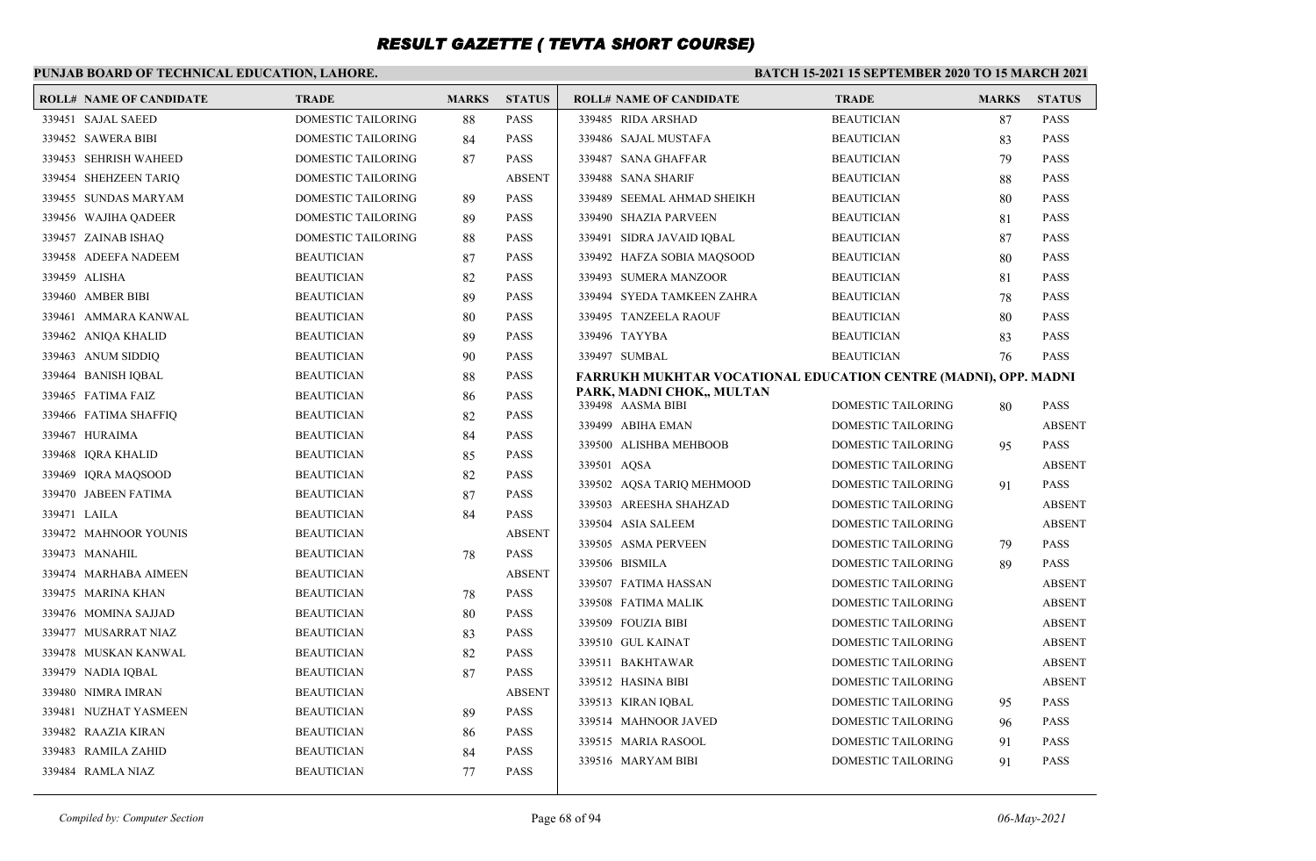### **PUNJAB BOARD OF TECHNICAL EDUCATION, LAHORE.**

| DOMESTIC TAILORING<br><b>PASS</b><br><b>BEAUTICIAN</b><br>339451 SAJAL SAEED<br>88<br>339485 RIDA ARSHAD<br>87<br>339452 SAWERA BIBI<br>DOMESTIC TAILORING<br><b>PASS</b><br>339486 SAJAL MUSTAFA<br>84<br><b>BEAUTICIAN</b><br>83<br><b>PASS</b><br>339453 SEHRISH WAHEED<br><b>DOMESTIC TAILORING</b><br>339487 SANA GHAFFAR<br><b>BEAUTICIAN</b><br>79<br>87<br>339454 SHEHZEEN TARIQ<br><b>DOMESTIC TAILORING</b><br><b>ABSENT</b><br>339488 SANA SHARIF<br><b>BEAUTICIAN</b><br>88<br><b>PASS</b><br>339455 SUNDAS MARYAM<br><b>DOMESTIC TAILORING</b><br>339489 SEEMAL AHMAD SHEIKH<br><b>BEAUTICIAN</b><br>80<br>89 | <b>PASS</b><br><b>PASS</b><br><b>PASS</b><br><b>PASS</b><br><b>PASS</b><br><b>PASS</b><br><b>PASS</b><br><b>PASS</b> |
|----------------------------------------------------------------------------------------------------------------------------------------------------------------------------------------------------------------------------------------------------------------------------------------------------------------------------------------------------------------------------------------------------------------------------------------------------------------------------------------------------------------------------------------------------------------------------------------------------------------------------|----------------------------------------------------------------------------------------------------------------------|
|                                                                                                                                                                                                                                                                                                                                                                                                                                                                                                                                                                                                                            |                                                                                                                      |
|                                                                                                                                                                                                                                                                                                                                                                                                                                                                                                                                                                                                                            |                                                                                                                      |
|                                                                                                                                                                                                                                                                                                                                                                                                                                                                                                                                                                                                                            |                                                                                                                      |
|                                                                                                                                                                                                                                                                                                                                                                                                                                                                                                                                                                                                                            |                                                                                                                      |
|                                                                                                                                                                                                                                                                                                                                                                                                                                                                                                                                                                                                                            |                                                                                                                      |
| DOMESTIC TAILORING<br><b>PASS</b><br>339490 SHAZIA PARVEEN<br><b>BEAUTICIAN</b><br>339456 WAJIHA QADEER<br>89<br>81                                                                                                                                                                                                                                                                                                                                                                                                                                                                                                        |                                                                                                                      |
| <b>DOMESTIC TAILORING</b><br><b>PASS</b><br>339457 ZAINAB ISHAO<br>339491 SIDRA JAVAID IOBAL<br><b>BEAUTICIAN</b><br>88<br>87                                                                                                                                                                                                                                                                                                                                                                                                                                                                                              |                                                                                                                      |
| 339458 ADEEFA NADEEM<br><b>BEAUTICIAN</b><br><b>PASS</b><br>339492 HAFZA SOBIA MAQSOOD<br><b>BEAUTICIAN</b><br>87<br>80                                                                                                                                                                                                                                                                                                                                                                                                                                                                                                    |                                                                                                                      |
| 339459 ALISHA<br><b>BEAUTICIAN</b><br>82<br><b>PASS</b><br>339493 SUMERA MANZOOR<br><b>BEAUTICIAN</b><br>81                                                                                                                                                                                                                                                                                                                                                                                                                                                                                                                | <b>PASS</b>                                                                                                          |
| <b>PASS</b><br>339494 SYEDA TAMKEEN ZAHRA<br>339460 AMBER BIBI<br><b>BEAUTICIAN</b><br>89<br><b>BEAUTICIAN</b><br>78                                                                                                                                                                                                                                                                                                                                                                                                                                                                                                       | <b>PASS</b>                                                                                                          |
| <b>BEAUTICIAN</b><br><b>PASS</b><br>339461 AMMARA KANWAL<br>80<br>339495 TANZEELA RAOUF<br><b>BEAUTICIAN</b><br>80                                                                                                                                                                                                                                                                                                                                                                                                                                                                                                         | <b>PASS</b>                                                                                                          |
| <b>PASS</b><br>339496 TAYYBA<br>339462 ANIOA KHALID<br><b>BEAUTICIAN</b><br><b>BEAUTICIAN</b><br>89<br>83                                                                                                                                                                                                                                                                                                                                                                                                                                                                                                                  | <b>PASS</b>                                                                                                          |
| 339463 ANUM SIDDIQ<br><b>BEAUTICIAN</b><br>90<br><b>PASS</b><br>339497 SUMBAL<br><b>BEAUTICIAN</b><br>76                                                                                                                                                                                                                                                                                                                                                                                                                                                                                                                   | <b>PASS</b>                                                                                                          |
| 339464 BANISH IQBAL<br><b>BEAUTICIAN</b><br><b>PASS</b><br>88<br>FARRUKH MUKHTAR VOCATIONAL EDUCATION CENTRE (MADNI), OPP. MADNI                                                                                                                                                                                                                                                                                                                                                                                                                                                                                           |                                                                                                                      |
| PARK, MADNI CHOK,, MULTAN<br><b>BEAUTICIAN</b><br><b>PASS</b><br>339465 FATIMA FAIZ<br>86                                                                                                                                                                                                                                                                                                                                                                                                                                                                                                                                  | <b>PASS</b>                                                                                                          |
| 339498 AASMA BIBI<br>DOMESTIC TAILORING<br>80<br><b>BEAUTICIAN</b><br><b>PASS</b><br>339466 FATIMA SHAFFIQ<br>82<br>339499 ABIHA EMAN<br>DOMESTIC TAILORING                                                                                                                                                                                                                                                                                                                                                                                                                                                                | <b>ABSENT</b>                                                                                                        |
| <b>PASS</b><br>339467 HURAIMA<br><b>BEAUTICIAN</b><br>84<br>339500 ALISHBA MEHBOOB<br>DOMESTIC TAILORING                                                                                                                                                                                                                                                                                                                                                                                                                                                                                                                   | <b>PASS</b>                                                                                                          |
| 95<br>339468 IQRA KHALID<br><b>BEAUTICIAN</b><br><b>PASS</b><br>85<br><b>DOMESTIC TAILORING</b>                                                                                                                                                                                                                                                                                                                                                                                                                                                                                                                            | <b>ABSENT</b>                                                                                                        |
| 339501 AQSA<br>339469 IQRA MAQSOOD<br>82<br><b>PASS</b><br><b>BEAUTICIAN</b><br>339502 AQSA TARIQ MEHMOOD<br>DOMESTIC TAILORING                                                                                                                                                                                                                                                                                                                                                                                                                                                                                            | <b>PASS</b>                                                                                                          |
| 91<br>339470 JABEEN FATIMA<br>PASS<br><b>BEAUTICIAN</b><br>87                                                                                                                                                                                                                                                                                                                                                                                                                                                                                                                                                              |                                                                                                                      |
| DOMESTIC TAILORING<br>339503 AREESHA SHAHZAD<br>339471 LAILA<br>84<br><b>PASS</b><br><b>BEAUTICIAN</b><br>339504 ASIA SALEEM<br>DOMESTIC TAILORING                                                                                                                                                                                                                                                                                                                                                                                                                                                                         | <b>ABSENT</b><br><b>ABSENT</b>                                                                                       |
| <b>ABSENT</b><br>339472 MAHNOOR YOUNIS<br><b>BEAUTICIAN</b>                                                                                                                                                                                                                                                                                                                                                                                                                                                                                                                                                                |                                                                                                                      |
| 339505 ASMA PERVEEN<br>DOMESTIC TAILORING<br>79<br><b>PASS</b><br>339473 MANAHIL<br><b>BEAUTICIAN</b><br>78<br>339506 BISMILA                                                                                                                                                                                                                                                                                                                                                                                                                                                                                              | <b>PASS</b><br><b>PASS</b>                                                                                           |
| DOMESTIC TAILORING<br>89<br><b>ABSENT</b><br>339474 MARHABA AIMEEN<br><b>BEAUTICIAN</b>                                                                                                                                                                                                                                                                                                                                                                                                                                                                                                                                    |                                                                                                                      |
| 339507 FATIMA HASSAN<br>DOMESTIC TAILORING<br><b>PASS</b><br>339475 MARINA KHAN<br><b>BEAUTICIAN</b><br>78                                                                                                                                                                                                                                                                                                                                                                                                                                                                                                                 | <b>ABSENT</b>                                                                                                        |
| 339508 FATIMA MALIK<br>DOMESTIC TAILORING<br><b>BEAUTICIAN</b><br><b>PASS</b><br>339476 MOMINA SAJJAD<br>80                                                                                                                                                                                                                                                                                                                                                                                                                                                                                                                | <b>ABSENT</b>                                                                                                        |
| 339509 FOUZIA BIBI<br>DOMESTIC TAILORING<br>339477 MUSARRAT NIAZ<br><b>BEAUTICIAN</b><br><b>PASS</b><br>83                                                                                                                                                                                                                                                                                                                                                                                                                                                                                                                 | <b>ABSENT</b>                                                                                                        |
| 339510 GUL KAINAT<br>DOMESTIC TAILORING<br>339478 MUSKAN KANWAL<br><b>BEAUTICIAN</b><br>82<br><b>PASS</b>                                                                                                                                                                                                                                                                                                                                                                                                                                                                                                                  | <b>ABSENT</b>                                                                                                        |
| 339511 BAKHTAWAR<br>DOMESTIC TAILORING<br>339479 NADIA IQBAL<br><b>PASS</b><br><b>BEAUTICIAN</b><br>87                                                                                                                                                                                                                                                                                                                                                                                                                                                                                                                     | <b>ABSENT</b>                                                                                                        |
| 339512 HASINA BIBI<br>DOMESTIC TAILORING<br><b>BEAUTICIAN</b><br><b>ABSENT</b><br>339480 NIMRA IMRAN                                                                                                                                                                                                                                                                                                                                                                                                                                                                                                                       | <b>ABSENT</b>                                                                                                        |
| 339513 KIRAN IQBAL<br>DOMESTIC TAILORING<br>95<br><b>PASS</b><br>339481 NUZHAT YASMEEN<br><b>BEAUTICIAN</b><br>89                                                                                                                                                                                                                                                                                                                                                                                                                                                                                                          | <b>PASS</b>                                                                                                          |
| 339514 MAHNOOR JAVED<br>DOMESTIC TAILORING<br>96<br>339482 RAAZIA KIRAN<br><b>BEAUTICIAN</b><br><b>PASS</b><br>86                                                                                                                                                                                                                                                                                                                                                                                                                                                                                                          | <b>PASS</b>                                                                                                          |
| 339515 MARIA RASOOL<br>DOMESTIC TAILORING<br>91<br>339483 RAMILA ZAHID<br><b>BEAUTICIAN</b><br><b>PASS</b><br>84                                                                                                                                                                                                                                                                                                                                                                                                                                                                                                           | <b>PASS</b>                                                                                                          |
| <b>DOMESTIC TAILORING</b><br>339516 MARYAM BIBI<br>91<br><b>BEAUTICIAN</b><br>77<br><b>PASS</b><br>339484 RAMLA NIAZ                                                                                                                                                                                                                                                                                                                                                                                                                                                                                                       | <b>PASS</b>                                                                                                          |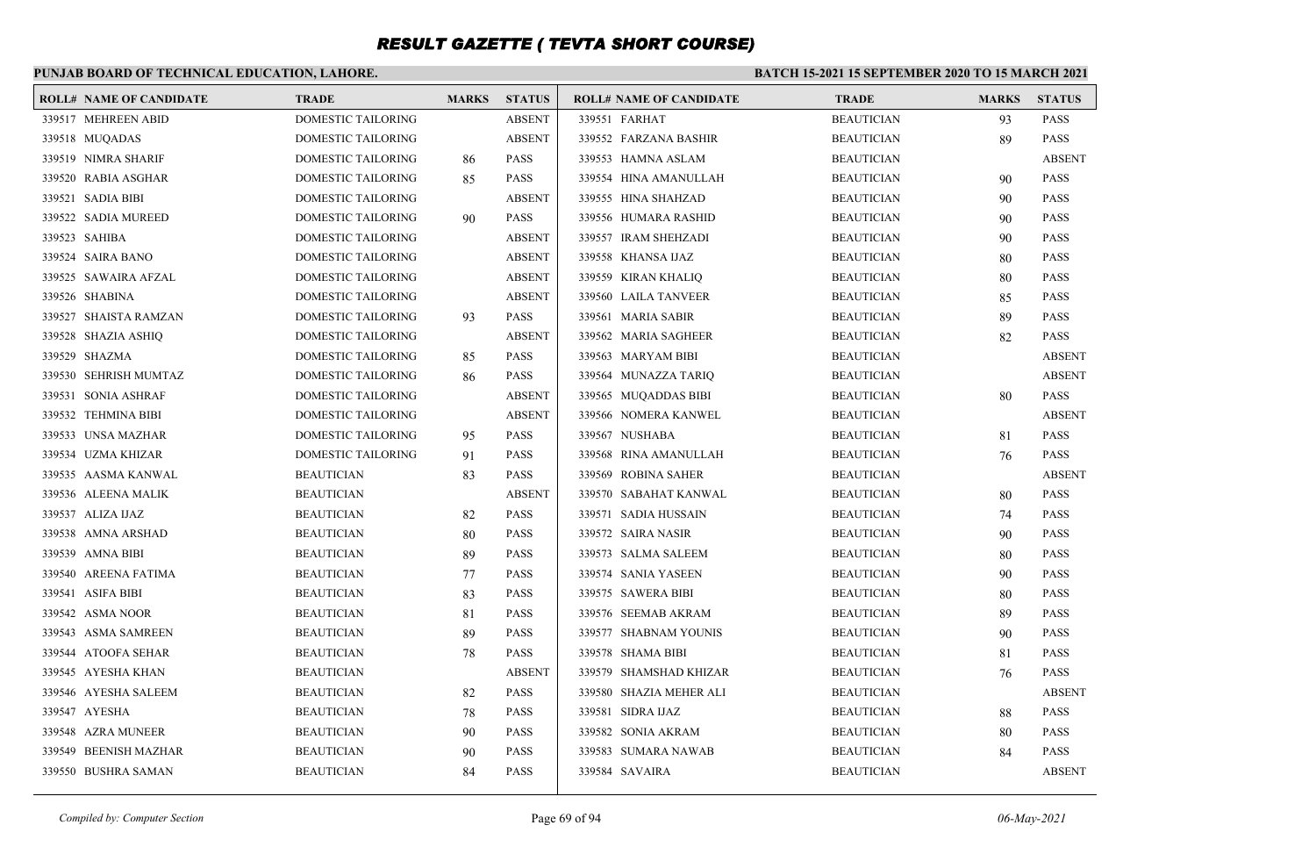#### **PUNJAB BOARD OF TECHNICAL EDUCATION, LAHORE. BATCH 15-2021 15 SEPTEMBER 2020 TO 15 MARCH 2021 ROLL# NAME OF CANDIDATE TRADE MARKS STATUS ROLL# NAME OF CANDIDATE TRADE MARKS STATUS** 339517 MEHREEN ABID DOMESTIC TAILORING ABSENT 339518 MUQADAS DOMESTIC TAILORING ABSENT 339519 NIMRA SHARIF DOMESTIC TAILORING 86 PASS 339520 RABIA ASGHAR DOMESTIC TAILORING 85 PASS 339521 SADIA BIBI DOMESTIC TAILORING ABSENT 339522 SADIA MUREED DOMESTIC TAILORING 90 PASS 339523 SAHIBA DOMESTIC TAILORING ABSENT 339524 SAIRA BANO DOMESTIC TAILORING ABSENT 339525 SAWAIRA AFZAL DOMESTIC TAILORING ABSENT 339526 SHABINA DOMESTIC TAILORING ABSENT 339527 SHAISTA RAMZAN DOMESTIC TAILORING 93 PASS 339528 SHAZIA ASHIQ DOMESTIC TAILORING ABSENT 339529 SHAZMA DOMESTIC TAILORING 85 PASS 339530 SEHRISH MUMTAZ DOMESTIC TAILORING 86 PASS 339531 SONIA ASHRAF DOMESTIC TAILORING ABSENT 339532 TEHMINA BIBI DOMESTIC TAILORING ABSENT 339533 UNSA MAZHAR DOMESTIC TAILORING 95 PASS 339534 UZMA KHIZAR DOMESTIC TAILORING 91 PASS 339535 AASMA KANWAL BEAUTICIAN 83 PASS 339536 ALEENA MALIK BEAUTICIAN ABSENT 339537 ALIZA IJAZ BEAUTICIAN 82 PASS 339538 AMNA ARSHAD BEAUTICIAN 80 PASS 339539 AMNA BIBI BEAUTICIAN 89 PASS 339540 AREENA FATIMA BEAUTICIAN 77 PASS 339541 ASIFA BIBI BEAUTICIAN 83 PASS 339542 ASMA NOOR BEAUTICIAN 81 PASS 339543 ASMA SAMREEN BEAUTICIAN 89 PASS 339544 ATOOFA SEHAR BEAUTICIAN 78 PASS 339545 AYESHA KHAN BEAUTICIAN ABSENT 339546 AYESHA SALEEM BEAUTICIAN 82 PASS 339547 AYESHA BEAUTICIAN 78 PASS 339548 AZRA MUNEER BEAUTICIAN 90 PASS 339549 BEENISH MAZHAR BEAUTICIAN 90 PASS 339550 BUSHRA SAMAN BEAUTICIAN 84 PASS 339551 FARHAT BEAUTICIAN 93 PASS 339552 FARZANA BASHIR BEAUTICIAN 89 PASS 339553 HAMNA ASLAM BEAUTICIAN ABSENT 339554 HINA AMANULLAH BEAUTICIAN 90 PASS 339555 HINA SHAHZAD BEAUTICIAN 90 PASS 339556 HUMARA RASHID BEAUTICIAN 90 PASS 339557 IRAM SHEHZADI BEAUTICIAN 90 PASS 339558 KHANSA IJAZ BEAUTICIAN 80 PASS 339559 KIRAN KHALIQ BEAUTICIAN 80 PASS 339560 LAILA TANVEER BEAUTICIAN 85 PASS 339561 MARIA SABIR BEAUTICIAN 89 PASS 339562 MARIA SAGHEER BEAUTICIAN 82 PASS 339563 MARYAM BIBI BEAUTICIAN ABSENT 339564 MUNAZZA TARIQ BEAUTICIAN ABSENT 339565 MUQADDAS BIBI BEAUTICIAN 80 PASS 339566 NOMERA KANWEL BEAUTICIAN ABSENT 339567 NUSHABA BEAUTICIAN 81 PASS 339568 RINA AMANULLAH BEAUTICIAN 76 PASS 339569 ROBINA SAHER BEAUTICIAN ABSENT 339570 SABAHAT KANWAL BEAUTICIAN 80 PASS 339571 SADIA HUSSAIN BEAUTICIAN 74 PASS 339572 SAIRA NASIR BEAUTICIAN 90 PASS 339573 SALMA SALEEM BEAUTICIAN 80 PASS 339574 SANIA YASEEN BEAUTICIAN 90 PASS 339575 SAWERA BIBI BEAUTICIAN 80 PASS 339576 SEEMAB AKRAM BEAUTICIAN 89 PASS 339577 SHABNAM YOUNIS BEAUTICIAN 90 PASS 339578 SHAMA BIBI BEAUTICIAN 81 PASS 339579 SHAMSHAD KHIZAR BEAUTICIAN 76 PASS 339580 SHAZIA MEHER ALI BEAUTICIAN ABSENT 339581 SIDRA IJAZ BEAUTICIAN 88 PASS 339582 SONIA AKRAM BEAUTICIAN 80 PASS 339583 SUMARA NAWAB BEAUTICIAN 84 PASS 339584 SAVAIRA BEAUTICIAN ABSENT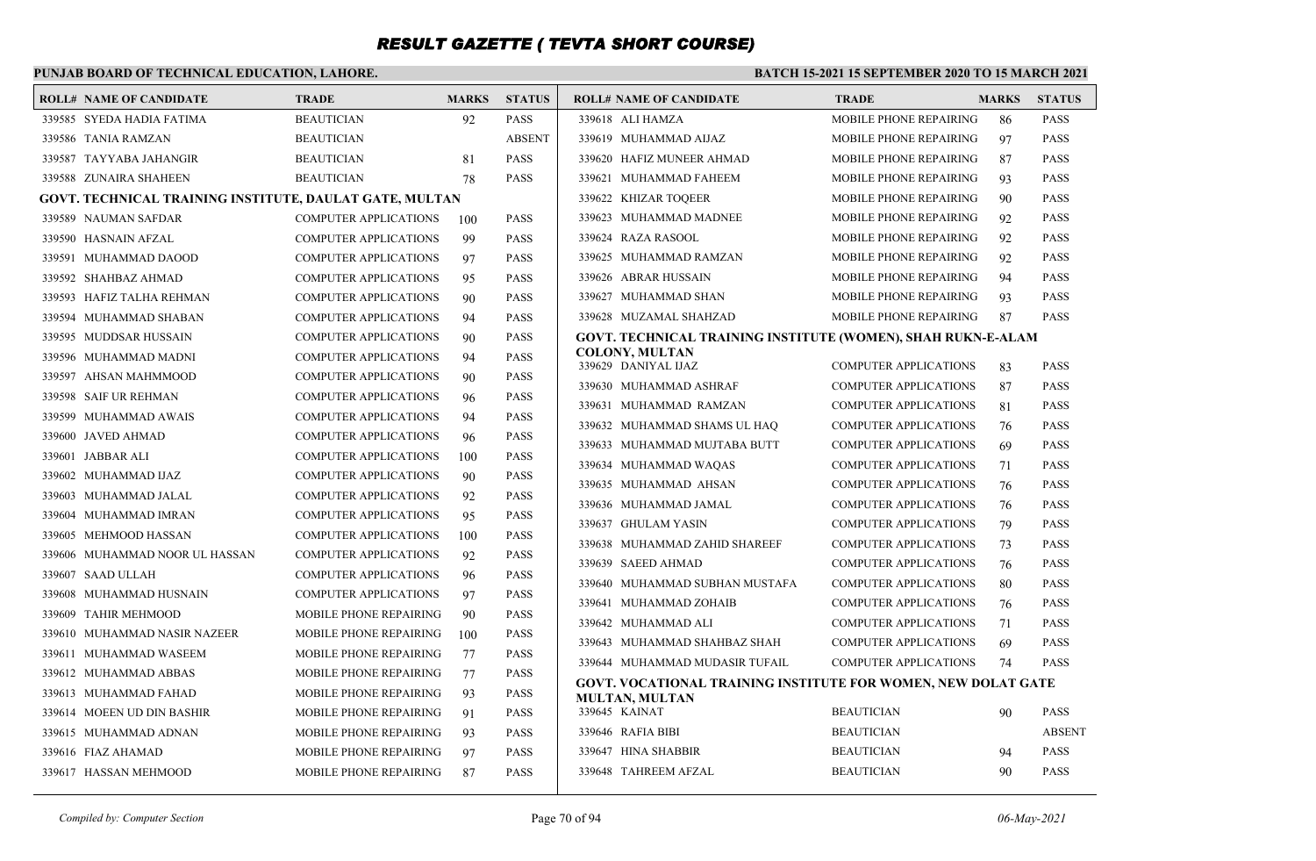### **PUNJAB BOARD OF TECHNICAL EDUCATION, LAHORE.**

#### **BATCH 15-2021 15 SEPTEMBER 2020 TO 15 MARCH 2021**

| <b>ROLL# NAME OF CANDIDATE</b>                          | <b>TRADE</b>                  | <b>MARKS</b> | <b>STATUS</b> | <b>ROLL# NAME OF CANDIDATE</b>                                | <b>TRADE</b>                  | <b>MARKS</b> | <b>STATUS</b> |
|---------------------------------------------------------|-------------------------------|--------------|---------------|---------------------------------------------------------------|-------------------------------|--------------|---------------|
| 339585 SYEDA HADIA FATIMA                               | <b>BEAUTICIAN</b>             | 92           | <b>PASS</b>   | 339618 ALI HAMZA                                              | MOBILE PHONE REPAIRING        | 86           | <b>PASS</b>   |
| 339586 TANIA RAMZAN                                     | <b>BEAUTICIAN</b>             |              | <b>ABSENT</b> | 339619 MUHAMMAD AIJAZ                                         | MOBILE PHONE REPAIRING        | 97           | <b>PASS</b>   |
| 339587 TAYYABA JAHANGIR                                 | <b>BEAUTICIAN</b>             | 81           | <b>PASS</b>   | 339620 HAFIZ MUNEER AHMAD                                     | <b>MOBILE PHONE REPAIRING</b> | 87           | <b>PASS</b>   |
| 339588 ZUNAIRA SHAHEEN                                  | <b>BEAUTICIAN</b>             | 78           | <b>PASS</b>   | 339621 MUHAMMAD FAHEEM                                        | MOBILE PHONE REPAIRING        | 93           | <b>PASS</b>   |
| GOVT. TECHNICAL TRAINING INSTITUTE, DAULAT GATE, MULTAN |                               |              |               | 339622 KHIZAR TOOEER                                          | <b>MOBILE PHONE REPAIRING</b> | 90           | <b>PASS</b>   |
| 339589 NAUMAN SAFDAR                                    | <b>COMPUTER APPLICATIONS</b>  | 100          | <b>PASS</b>   | 339623 MUHAMMAD MADNEE                                        | <b>MOBILE PHONE REPAIRING</b> | 92           | <b>PASS</b>   |
| 339590 HASNAIN AFZAL                                    | <b>COMPUTER APPLICATIONS</b>  | 99           | <b>PASS</b>   | 339624 RAZA RASOOL                                            | MOBILE PHONE REPAIRING        | 92           | <b>PASS</b>   |
| 339591 MUHAMMAD DAOOD                                   | <b>COMPUTER APPLICATIONS</b>  | 97           | <b>PASS</b>   | 339625 MUHAMMAD RAMZAN                                        | MOBILE PHONE REPAIRING        | 92           | <b>PASS</b>   |
| 339592 SHAHBAZ AHMAD                                    | <b>COMPUTER APPLICATIONS</b>  | 95           | <b>PASS</b>   | 339626 ABRAR HUSSAIN                                          | MOBILE PHONE REPAIRING        | 94           | <b>PASS</b>   |
| 339593 HAFIZ TALHA REHMAN                               | <b>COMPUTER APPLICATIONS</b>  | 90           | <b>PASS</b>   | 339627 MUHAMMAD SHAN                                          | MOBILE PHONE REPAIRING        | 93           | <b>PASS</b>   |
| 339594 MUHAMMAD SHABAN                                  | <b>COMPUTER APPLICATIONS</b>  | 94           | <b>PASS</b>   | 339628 MUZAMAL SHAHZAD                                        | MOBILE PHONE REPAIRING        | -87          | <b>PASS</b>   |
| 339595 MUDDSAR HUSSAIN                                  | <b>COMPUTER APPLICATIONS</b>  | 90           | <b>PASS</b>   | GOVT. TECHNICAL TRAINING INSTITUTE (WOMEN), SHAH RUKN-E-ALAM  |                               |              |               |
| 339596 MUHAMMAD MADNI                                   | COMPUTER APPLICATIONS         | 94           | <b>PASS</b>   | <b>COLONY, MULTAN</b><br>339629 DANIYAL IJAZ                  | <b>COMPUTER APPLICATIONS</b>  | 83           | <b>PASS</b>   |
| 339597 AHSAN MAHMMOOD                                   | COMPUTER APPLICATIONS         | 90           | <b>PASS</b>   | 339630 MUHAMMAD ASHRAF                                        | <b>COMPUTER APPLICATIONS</b>  | 87           | <b>PASS</b>   |
| 339598 SAIF UR REHMAN                                   | <b>COMPUTER APPLICATIONS</b>  | 96           | <b>PASS</b>   | 339631 MUHAMMAD RAMZAN                                        | <b>COMPUTER APPLICATIONS</b>  | 81           | <b>PASS</b>   |
| 339599 MUHAMMAD AWAIS                                   | <b>COMPUTER APPLICATIONS</b>  | 94           | <b>PASS</b>   | 339632 MUHAMMAD SHAMS UL HAQ                                  | <b>COMPUTER APPLICATIONS</b>  | 76           | <b>PASS</b>   |
| 339600 JAVED AHMAD                                      | <b>COMPUTER APPLICATIONS</b>  | 96           | <b>PASS</b>   | 339633 MUHAMMAD MUJTABA BUTT                                  | <b>COMPUTER APPLICATIONS</b>  | 69           | <b>PASS</b>   |
| 339601 JABBAR ALI                                       | COMPUTER APPLICATIONS         | 100          | <b>PASS</b>   | 339634 MUHAMMAD WAQAS                                         | <b>COMPUTER APPLICATIONS</b>  | 71           | <b>PASS</b>   |
| 339602 MUHAMMAD IJAZ                                    | <b>COMPUTER APPLICATIONS</b>  | 90           | <b>PASS</b>   | 339635 MUHAMMAD AHSAN                                         | <b>COMPUTER APPLICATIONS</b>  | 76           | <b>PASS</b>   |
| 339603 MUHAMMAD JALAL                                   | <b>COMPUTER APPLICATIONS</b>  | 92           | <b>PASS</b>   | 339636 MUHAMMAD JAMAL                                         | <b>COMPUTER APPLICATIONS</b>  | 76           | <b>PASS</b>   |
| 339604 MUHAMMAD IMRAN                                   | <b>COMPUTER APPLICATIONS</b>  | 95           | <b>PASS</b>   | 339637 GHULAM YASIN                                           | <b>COMPUTER APPLICATIONS</b>  | 79           | <b>PASS</b>   |
| 339605 MEHMOOD HASSAN                                   | <b>COMPUTER APPLICATIONS</b>  | 100          | <b>PASS</b>   | 339638 MUHAMMAD ZAHID SHAREEF                                 | <b>COMPUTER APPLICATIONS</b>  | 73           | <b>PASS</b>   |
| 339606 MUHAMMAD NOOR UL HASSAN                          | COMPUTER APPLICATIONS         | 92           | <b>PASS</b>   | 339639 SAEED AHMAD                                            | <b>COMPUTER APPLICATIONS</b>  | 76           | <b>PASS</b>   |
| 339607 SAAD ULLAH                                       | <b>COMPUTER APPLICATIONS</b>  | 96           | <b>PASS</b>   | 339640 MUHAMMAD SUBHAN MUSTAFA                                | <b>COMPUTER APPLICATIONS</b>  | 80           | <b>PASS</b>   |
| 339608 MUHAMMAD HUSNAIN                                 | <b>COMPUTER APPLICATIONS</b>  | 97           | <b>PASS</b>   | 339641 MUHAMMAD ZOHAIB                                        | <b>COMPUTER APPLICATIONS</b>  | 76           | <b>PASS</b>   |
| 339609 TAHIR MEHMOOD                                    | <b>MOBILE PHONE REPAIRING</b> | 90           | <b>PASS</b>   | 339642 MUHAMMAD ALI                                           | <b>COMPUTER APPLICATIONS</b>  | 71           | <b>PASS</b>   |
| 339610 MUHAMMAD NASIR NAZEER                            | <b>MOBILE PHONE REPAIRING</b> | 100          | <b>PASS</b>   | 339643 MUHAMMAD SHAHBAZ SHAH                                  | <b>COMPUTER APPLICATIONS</b>  | 69           | <b>PASS</b>   |
| 339611 MUHAMMAD WASEEM                                  | <b>MOBILE PHONE REPAIRING</b> | 77           | <b>PASS</b>   | 339644 MUHAMMAD MUDASIR TUFAIL                                | <b>COMPUTER APPLICATIONS</b>  | 74           | <b>PASS</b>   |
| 339612 MUHAMMAD ABBAS                                   | MOBILE PHONE REPAIRING        | 77           | <b>PASS</b>   | GOVT. VOCATIONAL TRAINING INSTITUTE FOR WOMEN, NEW DOLAT GATE |                               |              |               |
| 339613 MUHAMMAD FAHAD                                   | <b>MOBILE PHONE REPAIRING</b> | 93           | <b>PASS</b>   | <b>MULTAN, MULTAN</b>                                         |                               |              |               |
| 339614 MOEEN UD DIN BASHIR                              | MOBILE PHONE REPAIRING        | 91           | <b>PASS</b>   | 339645 KAINAT                                                 | <b>BEAUTICIAN</b>             | 90           | <b>PASS</b>   |
| 339615 MUHAMMAD ADNAN                                   | <b>MOBILE PHONE REPAIRING</b> | 93           | <b>PASS</b>   | 339646 RAFIA BIBI                                             | <b>BEAUTICIAN</b>             |              | <b>ABSENT</b> |
| 339616 FIAZ AHAMAD                                      | <b>MOBILE PHONE REPAIRING</b> | 97           | <b>PASS</b>   | 339647 HINA SHABBIR                                           | <b>BEAUTICIAN</b>             | 94           | <b>PASS</b>   |
| 339617 HASSAN MEHMOOD                                   | MOBILE PHONE REPAIRING        | 87           | <b>PASS</b>   | 339648 TAHREEM AFZAL                                          | <b>BEAUTICIAN</b>             | 90           | <b>PASS</b>   |
|                                                         |                               |              |               |                                                               |                               |              |               |

*Compiled by: Computer Section* Page 70 of 94 *06-May-2021*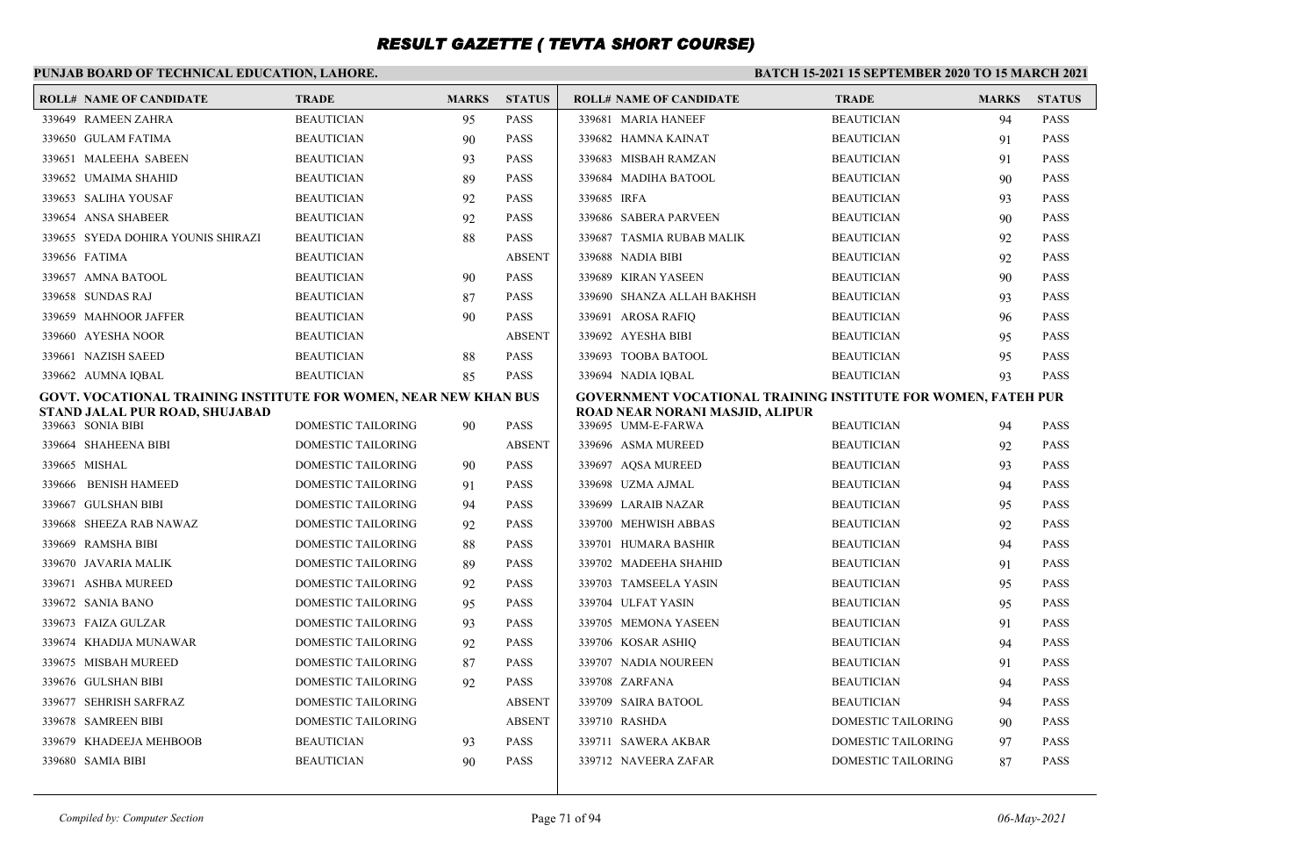### **PUNJAB BOARD OF TECHNICAL EDUCATION, LAHORE.**

| <b>ROLL# NAME OF CANDIDATE</b>                                   | <b>TRADE</b>       | <b>MARKS</b> | <b>STATUS</b> | <b>ROLL# NAME OF CANDIDATE</b>                                | <b>TRADE</b>              | <b>MARKS</b> | <b>STATUS</b> |
|------------------------------------------------------------------|--------------------|--------------|---------------|---------------------------------------------------------------|---------------------------|--------------|---------------|
| 339649 RAMEEN ZAHRA                                              | <b>BEAUTICIAN</b>  | 95           | <b>PASS</b>   | 339681 MARIA HANEEF                                           | <b>BEAUTICIAN</b>         | 94           | <b>PASS</b>   |
| 339650 GULAM FATIMA                                              | <b>BEAUTICIAN</b>  | 90           | <b>PASS</b>   | 339682 HAMNA KAINAT                                           | <b>BEAUTICIAN</b>         | 91           | <b>PASS</b>   |
| 339651 MALEEHA SABEEN                                            | <b>BEAUTICIAN</b>  | 93           | <b>PASS</b>   | 339683 MISBAH RAMZAN                                          | <b>BEAUTICIAN</b>         | 91           | <b>PASS</b>   |
| 339652 UMAIMA SHAHID                                             | <b>BEAUTICIAN</b>  | 89           | <b>PASS</b>   | 339684 MADIHA BATOOL                                          | <b>BEAUTICIAN</b>         | 90           | <b>PASS</b>   |
| 339653 SALIHA YOUSAF                                             | <b>BEAUTICIAN</b>  | 92           | <b>PASS</b>   | 339685 IRFA                                                   | <b>BEAUTICIAN</b>         | 93           | <b>PASS</b>   |
| 339654 ANSA SHABEER                                              | <b>BEAUTICIAN</b>  | 92           | <b>PASS</b>   | 339686 SABERA PARVEEN                                         | <b>BEAUTICIAN</b>         | 90           | <b>PASS</b>   |
| 339655 SYEDA DOHIRA YOUNIS SHIRAZI                               | <b>BEAUTICIAN</b>  | 88           | <b>PASS</b>   | 339687 TASMIA RUBAB MALIK                                     | <b>BEAUTICIAN</b>         | 92           | <b>PASS</b>   |
| 339656 FATIMA                                                    | <b>BEAUTICIAN</b>  |              | <b>ABSENT</b> | 339688 NADIA BIBI                                             | <b>BEAUTICIAN</b>         | 92           | <b>PASS</b>   |
| 339657 AMNA BATOOL                                               | <b>BEAUTICIAN</b>  | 90           | <b>PASS</b>   | 339689 KIRAN YASEEN                                           | <b>BEAUTICIAN</b>         | 90           | <b>PASS</b>   |
| 339658 SUNDAS RAJ                                                | <b>BEAUTICIAN</b>  | 87           | <b>PASS</b>   | 339690 SHANZA ALLAH BAKHSH                                    | <b>BEAUTICIAN</b>         | 93           | <b>PASS</b>   |
| 339659 MAHNOOR JAFFER                                            | <b>BEAUTICIAN</b>  | 90           | <b>PASS</b>   | 339691 AROSA RAFIQ                                            | <b>BEAUTICIAN</b>         | 96           | <b>PASS</b>   |
| 339660 AYESHA NOOR                                               | <b>BEAUTICIAN</b>  |              | <b>ABSENT</b> | 339692 AYESHA BIBI                                            | <b>BEAUTICIAN</b>         | 95           | <b>PASS</b>   |
| 339661 NAZISH SAEED                                              | <b>BEAUTICIAN</b>  | 88           | <b>PASS</b>   | 339693 TOOBA BATOOL                                           | <b>BEAUTICIAN</b>         | 95           | <b>PASS</b>   |
| 339662 AUMNA IQBAL                                               | <b>BEAUTICIAN</b>  | 85           | <b>PASS</b>   | 339694 NADIA IOBAL                                            | <b>BEAUTICIAN</b>         | 93           | <b>PASS</b>   |
| GOVT. VOCATIONAL TRAINING INSTITUTE FOR WOMEN, NEAR NEW KHAN BUS |                    |              |               | GOVERNMENT VOCATIONAL TRAINING INSTITUTE FOR WOMEN, FATEH PUR |                           |              |               |
| STAND JALAL PUR ROAD, SHUJABAD<br>339663 SONIA BIBI              | DOMESTIC TAILORING | 90           | <b>PASS</b>   | ROAD NEAR NORANI MASJID, ALIPUR<br>339695 UMM-E-FARWA         | <b>BEAUTICIAN</b>         | 94           | <b>PASS</b>   |
| 339664 SHAHEENA BIBI                                             | DOMESTIC TAILORING |              | <b>ABSENT</b> | 339696 ASMA MUREED                                            | <b>BEAUTICIAN</b>         | 92           | <b>PASS</b>   |
| 339665 MISHAL                                                    | DOMESTIC TAILORING | 90           | <b>PASS</b>   | 339697 AQSA MUREED                                            | <b>BEAUTICIAN</b>         | 93           | <b>PASS</b>   |
| 339666 BENISH HAMEED                                             | DOMESTIC TAILORING | 91           | <b>PASS</b>   | 339698 UZMA AJMAL                                             | <b>BEAUTICIAN</b>         | 94           | <b>PASS</b>   |
| 339667 GULSHAN BIBI                                              | DOMESTIC TAILORING | 94           | <b>PASS</b>   | 339699 LARAIB NAZAR                                           | <b>BEAUTICIAN</b>         | 95           | <b>PASS</b>   |
| 339668 SHEEZA RAB NAWAZ                                          | DOMESTIC TAILORING | 92           | <b>PASS</b>   | 339700 MEHWISH ABBAS                                          | <b>BEAUTICIAN</b>         | 92           | <b>PASS</b>   |
| 339669 RAMSHA BIBI                                               | DOMESTIC TAILORING | 88           | <b>PASS</b>   | 339701 HUMARA BASHIR                                          | <b>BEAUTICIAN</b>         | 94           | <b>PASS</b>   |
| 339670 JAVARIA MALIK                                             | DOMESTIC TAILORING | 89           | <b>PASS</b>   | 339702 MADEEHA SHAHID                                         | <b>BEAUTICIAN</b>         | 91           | <b>PASS</b>   |
| 339671 ASHBA MUREED                                              | DOMESTIC TAILORING | 92           | <b>PASS</b>   | 339703 TAMSEELA YASIN                                         | <b>BEAUTICIAN</b>         | 95           | <b>PASS</b>   |
| 339672 SANIA BANO                                                | DOMESTIC TAILORING | 95           | <b>PASS</b>   | 339704 ULFAT YASIN                                            | <b>BEAUTICIAN</b>         | 95           | <b>PASS</b>   |
| 339673 FAIZA GULZAR                                              | DOMESTIC TAILORING | 93           | <b>PASS</b>   | 339705 MEMONA YASEEN                                          | <b>BEAUTICIAN</b>         | 91           | <b>PASS</b>   |
| 339674 KHADIJA MUNAWAR                                           | DOMESTIC TAILORING | 92           | <b>PASS</b>   | 339706 KOSAR ASHIO                                            | <b>BEAUTICIAN</b>         | 94           | <b>PASS</b>   |
| 339675 MISBAH MUREED                                             | DOMESTIC TAILORING | 87           | <b>PASS</b>   | 339707 NADIA NOUREEN                                          | <b>BEAUTICIAN</b>         | 91           | <b>PASS</b>   |
| 339676 GULSHAN BIBI                                              | DOMESTIC TAILORING | 92           | <b>PASS</b>   | 339708 ZARFANA                                                | <b>BEAUTICIAN</b>         | 94           | <b>PASS</b>   |
| 339677 SEHRISH SARFRAZ                                           | DOMESTIC TAILORING |              | <b>ABSENT</b> | 339709 SAIRA BATOOL                                           | <b>BEAUTICIAN</b>         | 94           | <b>PASS</b>   |
| 339678 SAMREEN BIBI                                              | DOMESTIC TAILORING |              | <b>ABSENT</b> | 339710 RASHDA                                                 | <b>DOMESTIC TAILORING</b> | 90           | <b>PASS</b>   |
| 339679 KHADEEJA MEHBOOB                                          | BEAUTICIAN         | 93           | <b>PASS</b>   | 339711 SAWERA AKBAR                                           | DOMESTIC TAILORING        | 97           | <b>PASS</b>   |
| 339680 SAMIA BIBI                                                | <b>BEAUTICIAN</b>  | 90           | <b>PASS</b>   | 339712 NAVEERA ZAFAR                                          | DOMESTIC TAILORING        | 87           | <b>PASS</b>   |
|                                                                  |                    |              |               |                                                               |                           |              |               |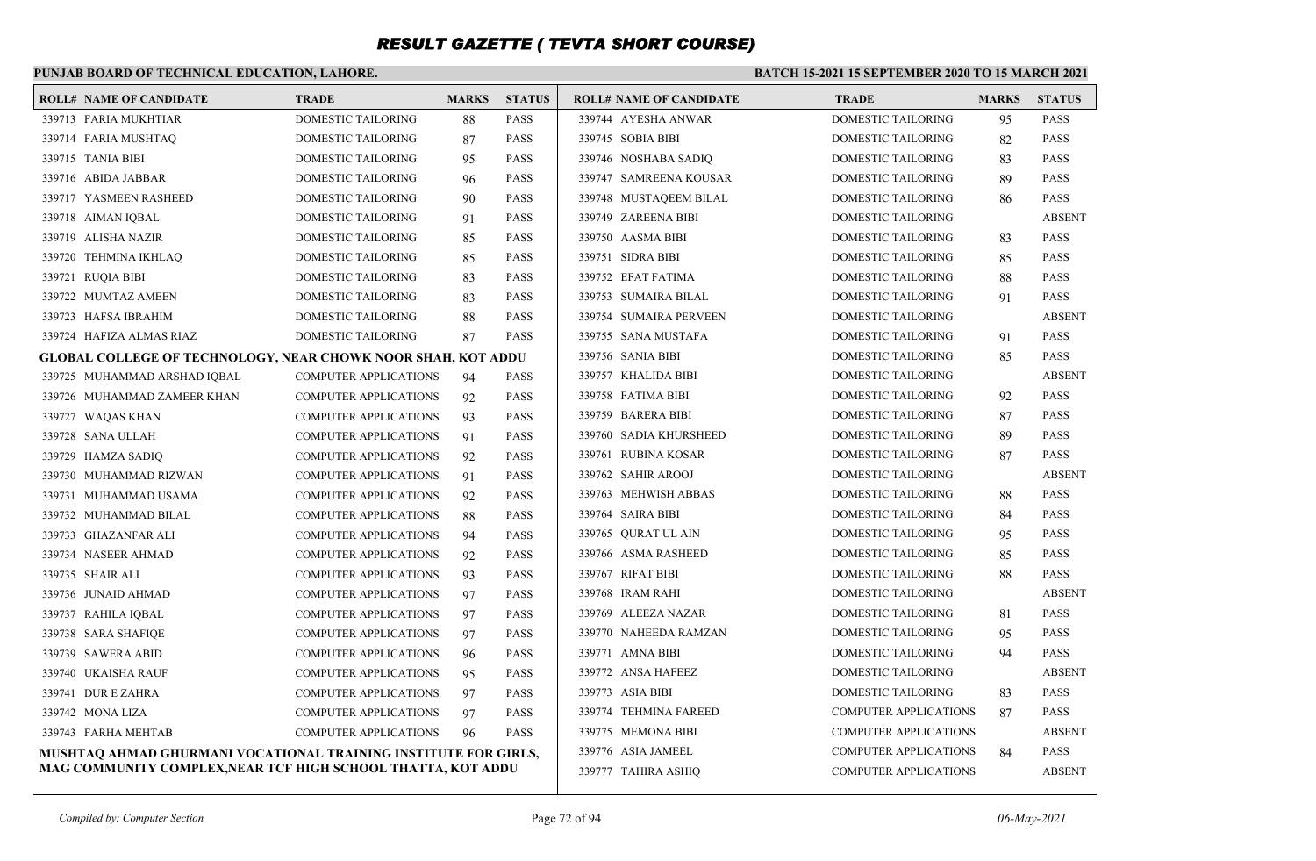### **PUNJAB BOARD OF TECHNICAL EDUCATION, LAHORE.**

| <b>ROLL# NAME OF CANDIDATE</b>                                      | <b>TRADE</b>                 | <b>MARKS</b> | <b>STATUS</b> | <b>ROLL# NAME OF CANDIDATE</b> | <b>TRADE</b>                 | <b>MARKS</b> | <b>STATUS</b> |
|---------------------------------------------------------------------|------------------------------|--------------|---------------|--------------------------------|------------------------------|--------------|---------------|
| 339713 FARIA MUKHTIAR                                               | <b>DOMESTIC TAILORING</b>    | 88           | <b>PASS</b>   | 339744 AYESHA ANWAR            | <b>DOMESTIC TAILORING</b>    | 95           | <b>PASS</b>   |
| 339714 FARIA MUSHTAQ                                                | DOMESTIC TAILORING           | 87           | <b>PASS</b>   | 339745 SOBIA BIBI              | DOMESTIC TAILORING           | 82           | <b>PASS</b>   |
| 339715 TANIA BIBI                                                   | <b>DOMESTIC TAILORING</b>    | 95           | <b>PASS</b>   | 339746 NOSHABA SADIQ           | <b>DOMESTIC TAILORING</b>    | 83           | <b>PASS</b>   |
| 339716 ABIDA JABBAR                                                 | DOMESTIC TAILORING           | 96           | <b>PASS</b>   | 339747 SAMREENA KOUSAR         | DOMESTIC TAILORING           | 89           | <b>PASS</b>   |
| 339717 YASMEEN RASHEED                                              | DOMESTIC TAILORING           | 90           | <b>PASS</b>   | 339748 MUSTAQEEM BILAL         | DOMESTIC TAILORING           | 86           | <b>PASS</b>   |
| 339718 AIMAN IQBAL                                                  | DOMESTIC TAILORING           | 91           | <b>PASS</b>   | 339749 ZAREENA BIBI            | DOMESTIC TAILORING           |              | <b>ABSENT</b> |
| 339719 ALISHA NAZIR                                                 | DOMESTIC TAILORING           | 85           | <b>PASS</b>   | 339750 AASMA BIBI              | DOMESTIC TAILORING           | 83           | <b>PASS</b>   |
| 339720 TEHMINA IKHLAQ                                               | DOMESTIC TAILORING           | 85           | <b>PASS</b>   | 339751 SIDRA BIBI              | DOMESTIC TAILORING           | 85           | <b>PASS</b>   |
| 339721 RUQIA BIBI                                                   | DOMESTIC TAILORING           | 83           | <b>PASS</b>   | 339752 EFAT FATIMA             | DOMESTIC TAILORING           | 88           | <b>PASS</b>   |
| 339722 MUMTAZ AMEEN                                                 | <b>DOMESTIC TAILORING</b>    | 83           | <b>PASS</b>   | 339753 SUMAIRA BILAL           | DOMESTIC TAILORING           | 91           | <b>PASS</b>   |
| 339723 HAFSA IBRAHIM                                                | DOMESTIC TAILORING           | 88           | <b>PASS</b>   | 339754 SUMAIRA PERVEEN         | DOMESTIC TAILORING           |              | <b>ABSENT</b> |
| 339724 HAFIZA ALMAS RIAZ                                            | DOMESTIC TAILORING           | 87           | <b>PASS</b>   | 339755 SANA MUSTAFA            | DOMESTIC TAILORING           | 91           | <b>PASS</b>   |
| <b>GLOBAL COLLEGE OF TECHNOLOGY, NEAR CHOWK NOOR SHAH, KOT ADDU</b> |                              |              |               | 339756 SANIA BIBI              | DOMESTIC TAILORING           | 85           | <b>PASS</b>   |
| 339725 MUHAMMAD ARSHAD IQBAL                                        | <b>COMPUTER APPLICATIONS</b> | 94           | <b>PASS</b>   | 339757 KHALIDA BIBI            | DOMESTIC TAILORING           |              | <b>ABSENT</b> |
| 339726 MUHAMMAD ZAMEER KHAN                                         | <b>COMPUTER APPLICATIONS</b> | 92           | <b>PASS</b>   | 339758 FATIMA BIBI             | DOMESTIC TAILORING           | 92           | <b>PASS</b>   |
| 339727 WAQAS KHAN                                                   | <b>COMPUTER APPLICATIONS</b> | 93           | <b>PASS</b>   | 339759 BARERA BIBI             | DOMESTIC TAILORING           | 87           | <b>PASS</b>   |
| 339728 SANA ULLAH                                                   | <b>COMPUTER APPLICATIONS</b> | 91           | <b>PASS</b>   | 339760 SADIA KHURSHEED         | <b>DOMESTIC TAILORING</b>    | 89           | <b>PASS</b>   |
| 339729 HAMZA SADIQ                                                  | <b>COMPUTER APPLICATIONS</b> | 92           | <b>PASS</b>   | 339761 RUBINA KOSAR            | DOMESTIC TAILORING           | 87           | <b>PASS</b>   |
| 339730 MUHAMMAD RIZWAN                                              | <b>COMPUTER APPLICATIONS</b> | 91           | <b>PASS</b>   | 339762 SAHIR AROOJ             | <b>DOMESTIC TAILORING</b>    |              | <b>ABSENT</b> |
| 339731 MUHAMMAD USAMA                                               | <b>COMPUTER APPLICATIONS</b> | 92           | <b>PASS</b>   | 339763 MEHWISH ABBAS           | DOMESTIC TAILORING           | 88           | <b>PASS</b>   |
| 339732 MUHAMMAD BILAL                                               | <b>COMPUTER APPLICATIONS</b> | 88           | <b>PASS</b>   | 339764 SAIRA BIBI              | DOMESTIC TAILORING           | 84           | <b>PASS</b>   |
| 339733 GHAZANFAR ALI                                                | <b>COMPUTER APPLICATIONS</b> | 94           | <b>PASS</b>   | 339765 QURATUL AIN             | DOMESTIC TAILORING           | 95           | <b>PASS</b>   |
| 339734 NASEER AHMAD                                                 | <b>COMPUTER APPLICATIONS</b> | 92           | <b>PASS</b>   | 339766 ASMA RASHEED            | DOMESTIC TAILORING           | 85           | <b>PASS</b>   |
| 339735 SHAIR ALI                                                    | <b>COMPUTER APPLICATIONS</b> | 93           | <b>PASS</b>   | 339767 RIFAT BIBI              | DOMESTIC TAILORING           | 88           | <b>PASS</b>   |
| 339736 JUNAID AHMAD                                                 | <b>COMPUTER APPLICATIONS</b> | 97           | <b>PASS</b>   | 339768 IRAM RAHI               | DOMESTIC TAILORING           |              | <b>ABSENT</b> |
| 339737 RAHILA IOBAL                                                 | <b>COMPUTER APPLICATIONS</b> | 97           | <b>PASS</b>   | 339769 ALEEZA NAZAR            | DOMESTIC TAILORING           | 81           | <b>PASS</b>   |
| 339738 SARA SHAFIQE                                                 | <b>COMPUTER APPLICATIONS</b> | 97           | <b>PASS</b>   | 339770 NAHEEDA RAMZAN          | DOMESTIC TAILORING           | 95           | <b>PASS</b>   |
| 339739 SAWERA ABID                                                  | <b>COMPUTER APPLICATIONS</b> | 96           | <b>PASS</b>   | 339771 AMNA BIBI               | DOMESTIC TAILORING           | 94           | <b>PASS</b>   |
| 339740 UKAISHA RAUF                                                 | COMPUTER APPLICATIONS        | 95           | <b>PASS</b>   | 339772 ANSA HAFEEZ             | DOMESTIC TAILORING           |              | <b>ABSENT</b> |
| 339741 DUR E ZAHRA                                                  | <b>COMPUTER APPLICATIONS</b> | 97           | <b>PASS</b>   | 339773 ASIA BIBI               | DOMESTIC TAILORING           | 83           | <b>PASS</b>   |
| 339742 MONA LIZA                                                    | <b>COMPUTER APPLICATIONS</b> | 97           | <b>PASS</b>   | 339774 TEHMINA FAREED          | <b>COMPUTER APPLICATIONS</b> | 87           | <b>PASS</b>   |
| 339743 FARHA MEHTAB                                                 | <b>COMPUTER APPLICATIONS</b> | 96           | <b>PASS</b>   | 339775 MEMONA BIBI             | <b>COMPUTER APPLICATIONS</b> |              | <b>ABSENT</b> |
| MUSHTAO AHMAD GHURMANI VOCATIONAL TRAINING INSTITUTE FOR GIRLS,     |                              |              |               | 339776 ASIA JAMEEL             | <b>COMPUTER APPLICATIONS</b> | 84           | <b>PASS</b>   |
| MAG COMMUNITY COMPLEX, NEAR TCF HIGH SCHOOL THATTA, KOT ADDU        |                              |              |               | 339777 TAHIRA ASHIO            | <b>COMPUTER APPLICATIONS</b> |              | <b>ABSENT</b> |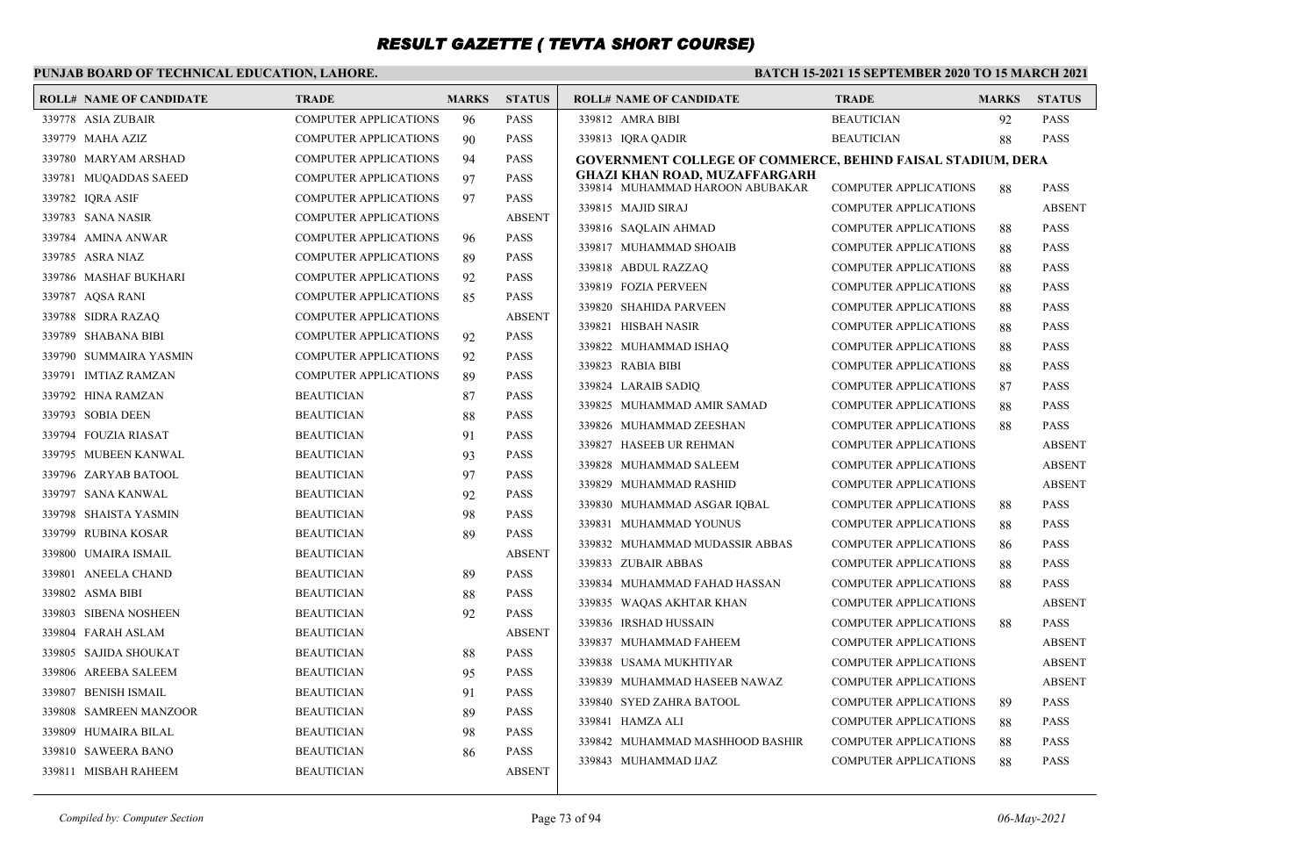### **PUNJAB BOARD OF TECHNICAL EDUCATION, LAHORE.**

| <b>ROLL# NAME OF CANDIDATE</b> | <b>TRADE</b>                 | <b>MARKS</b> | <b>STATUS</b> | <b>ROLL# NAME OF CANDIDATE</b>                                          | <b>TRADE</b>                 | <b>MARKS</b> | <b>STATUS</b> |
|--------------------------------|------------------------------|--------------|---------------|-------------------------------------------------------------------------|------------------------------|--------------|---------------|
| 339778 ASIA ZUBAIR             | <b>COMPUTER APPLICATIONS</b> | 96           | <b>PASS</b>   | 339812 AMRA BIBI                                                        | <b>BEAUTICIAN</b>            | 92           | <b>PASS</b>   |
| 339779 MAHA AZIZ               | <b>COMPUTER APPLICATIONS</b> | 90           | <b>PASS</b>   | 339813 IQRA QADIR                                                       | <b>BEAUTICIAN</b>            | 88           | <b>PASS</b>   |
| 339780 MARYAM ARSHAD           | <b>COMPUTER APPLICATIONS</b> | 94           | <b>PASS</b>   | <b>GOVERNMENT COLLEGE OF COMMERCE, BEHIND FAISAL STADIUM, DERA</b>      |                              |              |               |
| 339781 MUQADDAS SAEED          | <b>COMPUTER APPLICATIONS</b> | 97           | <b>PASS</b>   | <b>GHAZI KHAN ROAD, MUZAFFARGARH</b><br>339814 MUHAMMAD HAROON ABUBAKAR | <b>COMPUTER APPLICATIONS</b> | 88           | <b>PASS</b>   |
| 339782 IQRA ASIF               | <b>COMPUTER APPLICATIONS</b> | 97           | <b>PASS</b>   | 339815 MAJID SIRAJ                                                      | <b>COMPUTER APPLICATIONS</b> |              | <b>ABSENT</b> |
| 339783 SANA NASIR              | <b>COMPUTER APPLICATIONS</b> |              | <b>ABSENT</b> | 339816 SAOLAIN AHMAD                                                    | <b>COMPUTER APPLICATIONS</b> |              | <b>PASS</b>   |
| 339784 AMINA ANWAR             | COMPUTER APPLICATIONS        | 96           | <b>PASS</b>   | 339817 MUHAMMAD SHOAIB                                                  | <b>COMPUTER APPLICATIONS</b> | 88<br>88     | <b>PASS</b>   |
| 339785 ASRA NIAZ               | <b>COMPUTER APPLICATIONS</b> | 89           | <b>PASS</b>   | 339818 ABDUL RAZZAQ                                                     | <b>COMPUTER APPLICATIONS</b> | 88           | <b>PASS</b>   |
| 339786 MASHAF BUKHARI          | <b>COMPUTER APPLICATIONS</b> | 92           | <b>PASS</b>   | 339819 FOZIA PERVEEN                                                    | <b>COMPUTER APPLICATIONS</b> | 88           | <b>PASS</b>   |
| 339787 AQSA RANI               | <b>COMPUTER APPLICATIONS</b> | 85           | <b>PASS</b>   | 339820 SHAHIDA PARVEEN                                                  | <b>COMPUTER APPLICATIONS</b> | 88           | <b>PASS</b>   |
| 339788 SIDRA RAZAQ             | <b>COMPUTER APPLICATIONS</b> |              | <b>ABSENT</b> | 339821 HISBAH NASIR                                                     | <b>COMPUTER APPLICATIONS</b> | 88           | <b>PASS</b>   |
| 339789 SHABANA BIBI            | <b>COMPUTER APPLICATIONS</b> | 92           | <b>PASS</b>   | 339822 MUHAMMAD ISHAQ                                                   | <b>COMPUTER APPLICATIONS</b> | 88           | <b>PASS</b>   |
| 339790 SUMMAIRA YASMIN         | <b>COMPUTER APPLICATIONS</b> | 92           | <b>PASS</b>   | 339823 RABIA BIBI                                                       | <b>COMPUTER APPLICATIONS</b> | 88           | <b>PASS</b>   |
| 339791 IMTIAZ RAMZAN           | <b>COMPUTER APPLICATIONS</b> | 89           | <b>PASS</b>   | 339824 LARAIB SADIQ                                                     | <b>COMPUTER APPLICATIONS</b> | 87           | <b>PASS</b>   |
| 339792 HINA RAMZAN             | <b>BEAUTICIAN</b>            | 87           | <b>PASS</b>   | 339825 MUHAMMAD AMIR SAMAD                                              | <b>COMPUTER APPLICATIONS</b> | 88           | <b>PASS</b>   |
| 339793 SOBIA DEEN              | <b>BEAUTICIAN</b>            | 88           | <b>PASS</b>   | 339826 MUHAMMAD ZEESHAN                                                 | <b>COMPUTER APPLICATIONS</b> | 88           | <b>PASS</b>   |
| 339794 FOUZIA RIASAT           | <b>BEAUTICIAN</b>            | 91           | <b>PASS</b>   | 339827 HASEEB UR REHMAN                                                 | <b>COMPUTER APPLICATIONS</b> |              | <b>ABSENT</b> |
| 339795 MUBEEN KANWAL           | <b>BEAUTICIAN</b>            | 93           | <b>PASS</b>   | 339828 MUHAMMAD SALEEM                                                  | <b>COMPUTER APPLICATIONS</b> |              | <b>ABSENT</b> |
| 339796 ZARYAB BATOOL           | <b>BEAUTICIAN</b>            | 97           | <b>PASS</b>   | 339829 MUHAMMAD RASHID                                                  | <b>COMPUTER APPLICATIONS</b> |              | <b>ABSENT</b> |
| 339797 SANA KANWAL             | <b>BEAUTICIAN</b>            | 92           | <b>PASS</b>   | 339830 MUHAMMAD ASGAR IQBAL                                             | <b>COMPUTER APPLICATIONS</b> | 88           | <b>PASS</b>   |
| 339798 SHAISTA YASMIN          | <b>BEAUTICIAN</b>            | 98           | <b>PASS</b>   | 339831 MUHAMMAD YOUNUS                                                  | <b>COMPUTER APPLICATIONS</b> | 88           | <b>PASS</b>   |
| 339799 RUBINA KOSAR            | <b>BEAUTICIAN</b>            | 89           | <b>PASS</b>   | 339832 MUHAMMAD MUDASSIR ABBAS                                          | <b>COMPUTER APPLICATIONS</b> | 86           | <b>PASS</b>   |
| 339800 UMAIRA ISMAIL           | <b>BEAUTICIAN</b>            |              | <b>ABSENT</b> | 339833 ZUBAIR ABBAS                                                     | <b>COMPUTER APPLICATIONS</b> | 88           | <b>PASS</b>   |
| 339801 ANEELA CHAND            | <b>BEAUTICIAN</b>            | 89           | <b>PASS</b>   | 339834 MUHAMMAD FAHAD HASSAN                                            | <b>COMPUTER APPLICATIONS</b> | 88           | <b>PASS</b>   |
| 339802 ASMA BIBI               | <b>BEAUTICIAN</b>            | 88           | <b>PASS</b>   | 339835 WAQAS AKHTAR KHAN                                                | <b>COMPUTER APPLICATIONS</b> |              | <b>ABSENT</b> |
| 339803 SIBENA NOSHEEN          | <b>BEAUTICIAN</b>            | 92           | <b>PASS</b>   | 339836 IRSHAD HUSSAIN                                                   | <b>COMPUTER APPLICATIONS</b> | 88           | <b>PASS</b>   |
| 339804 FARAH ASLAM             | <b>BEAUTICIAN</b>            |              | <b>ABSENT</b> | 339837 MUHAMMAD FAHEEM                                                  | <b>COMPUTER APPLICATIONS</b> |              | <b>ABSENT</b> |
| 339805 SAJIDA SHOUKAT          | <b>BEAUTICIAN</b>            | 88           | <b>PASS</b>   | 339838 USAMA MUKHTIYAR                                                  | <b>COMPUTER APPLICATIONS</b> |              | <b>ABSENT</b> |
| 339806 AREEBA SALEEM           | <b>BEAUTICIAN</b>            | 95           | <b>PASS</b>   | 339839 MUHAMMAD HASEEB NAWAZ                                            | <b>COMPUTER APPLICATIONS</b> |              | <b>ABSENT</b> |
| 339807 BENISH ISMAIL           | <b>BEAUTICIAN</b>            | 91           | <b>PASS</b>   | 339840 SYED ZAHRA BATOOL                                                | <b>COMPUTER APPLICATIONS</b> | 89           | <b>PASS</b>   |
| 339808 SAMREEN MANZOOR         | <b>BEAUTICIAN</b>            | 89           | <b>PASS</b>   | 339841 HAMZA ALI                                                        | <b>COMPUTER APPLICATIONS</b> | 88           | <b>PASS</b>   |
| 339809 HUMAIRA BILAL           | <b>BEAUTICIAN</b>            | 98           | <b>PASS</b>   | 339842 MUHAMMAD MASHHOOD BASHIR                                         | <b>COMPUTER APPLICATIONS</b> | 88           | <b>PASS</b>   |
| 339810 SAWEERA BANO            | <b>BEAUTICIAN</b>            | 86           | <b>PASS</b>   | 339843 MUHAMMAD IJAZ                                                    | <b>COMPUTER APPLICATIONS</b> | 88           | <b>PASS</b>   |
| 339811 MISBAH RAHEEM           | <b>BEAUTICIAN</b>            |              | <b>ABSENT</b> |                                                                         |                              |              |               |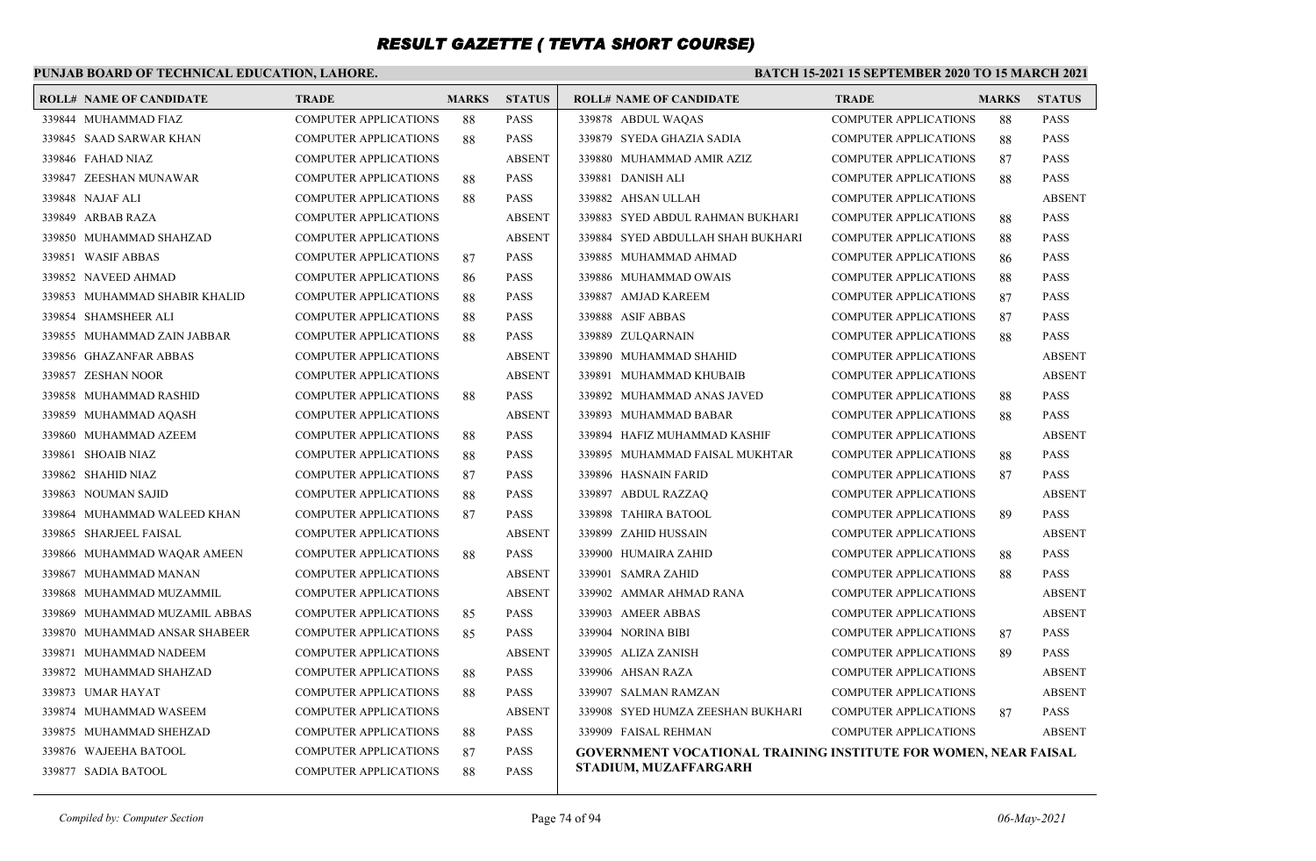### **PUNJAB BOARD OF TECHNICAL EDUCATION, LAHORE.**

| <b>ROLL# NAME OF CANDIDATE</b> | <b>TRADE</b>                 | <b>MARKS</b> | <b>STATUS</b> | <b>ROLL# NAME OF CANDIDATE</b>                                  | <b>TRADE</b>                 | <b>MARKS</b> | <b>STATUS</b> |
|--------------------------------|------------------------------|--------------|---------------|-----------------------------------------------------------------|------------------------------|--------------|---------------|
| 339844 MUHAMMAD FIAZ           | <b>COMPUTER APPLICATIONS</b> | 88           | <b>PASS</b>   | 339878 ABDUL WAQAS                                              | <b>COMPUTER APPLICATIONS</b> | 88           | <b>PASS</b>   |
| 339845 SAAD SARWAR KHAN        | <b>COMPUTER APPLICATIONS</b> | 88           | <b>PASS</b>   | 339879 SYEDA GHAZIA SADIA                                       | <b>COMPUTER APPLICATIONS</b> | 88           | <b>PASS</b>   |
| 339846 FAHAD NIAZ              | <b>COMPUTER APPLICATIONS</b> |              | <b>ABSENT</b> | 339880 MUHAMMAD AMIR AZIZ                                       | <b>COMPUTER APPLICATIONS</b> | 87           | <b>PASS</b>   |
| 339847 ZEESHAN MUNAWAR         | <b>COMPUTER APPLICATIONS</b> | 88           | <b>PASS</b>   | 339881 DANISH ALI                                               | <b>COMPUTER APPLICATIONS</b> | 88           | <b>PASS</b>   |
| 339848 NAJAF ALI               | COMPUTER APPLICATIONS        | 88           | <b>PASS</b>   | 339882 AHSAN ULLAH                                              | <b>COMPUTER APPLICATIONS</b> |              | <b>ABSENT</b> |
| 339849 ARBAB RAZA              | <b>COMPUTER APPLICATIONS</b> |              | <b>ABSENT</b> | 339883 SYED ABDUL RAHMAN BUKHARI                                | <b>COMPUTER APPLICATIONS</b> | 88           | <b>PASS</b>   |
| 339850 MUHAMMAD SHAHZAD        | <b>COMPUTER APPLICATIONS</b> |              | <b>ABSENT</b> | 339884 SYED ABDULLAH SHAH BUKHARI                               | <b>COMPUTER APPLICATIONS</b> | 88           | <b>PASS</b>   |
| 339851 WASIF ABBAS             | <b>COMPUTER APPLICATIONS</b> | 87           | <b>PASS</b>   | 339885 MUHAMMAD AHMAD                                           | <b>COMPUTER APPLICATIONS</b> | 86           | <b>PASS</b>   |
| 339852 NAVEED AHMAD            | <b>COMPUTER APPLICATIONS</b> | 86           | <b>PASS</b>   | 339886 MUHAMMAD OWAIS                                           | <b>COMPUTER APPLICATIONS</b> | 88           | <b>PASS</b>   |
| 339853 MUHAMMAD SHABIR KHALID  | <b>COMPUTER APPLICATIONS</b> | 88           | <b>PASS</b>   | 339887 AMJAD KAREEM                                             | <b>COMPUTER APPLICATIONS</b> | 87           | <b>PASS</b>   |
| 339854 SHAMSHEER ALI           | <b>COMPUTER APPLICATIONS</b> | 88           | <b>PASS</b>   | 339888 ASIF ABBAS                                               | <b>COMPUTER APPLICATIONS</b> | 87           | <b>PASS</b>   |
| 339855 MUHAMMAD ZAIN JABBAR    | COMPUTER APPLICATIONS        | 88           | <b>PASS</b>   | 339889 ZULQARNAIN                                               | <b>COMPUTER APPLICATIONS</b> | 88           | <b>PASS</b>   |
| 339856 GHAZANFAR ABBAS         | <b>COMPUTER APPLICATIONS</b> |              | <b>ABSENT</b> | 339890 MUHAMMAD SHAHID                                          | <b>COMPUTER APPLICATIONS</b> |              | <b>ABSENT</b> |
| 339857 ZESHAN NOOR             | <b>COMPUTER APPLICATIONS</b> |              | <b>ABSENT</b> | 339891 MUHAMMAD KHUBAIB                                         | <b>COMPUTER APPLICATIONS</b> |              | <b>ABSENT</b> |
| 339858 MUHAMMAD RASHID         | <b>COMPUTER APPLICATIONS</b> | 88           | <b>PASS</b>   | 339892 MUHAMMAD ANAS JAVED                                      | <b>COMPUTER APPLICATIONS</b> | 88           | <b>PASS</b>   |
| 339859 MUHAMMAD AQASH          | <b>COMPUTER APPLICATIONS</b> |              | <b>ABSENT</b> | 339893 MUHAMMAD BABAR                                           | <b>COMPUTER APPLICATIONS</b> | 88           | <b>PASS</b>   |
| 339860 MUHAMMAD AZEEM          | <b>COMPUTER APPLICATIONS</b> | 88           | <b>PASS</b>   | 339894 HAFIZ MUHAMMAD KASHIF                                    | <b>COMPUTER APPLICATIONS</b> |              | <b>ABSENT</b> |
| 339861 SHOAIB NIAZ             | <b>COMPUTER APPLICATIONS</b> | 88           | <b>PASS</b>   | 339895 MUHAMMAD FAISAL MUKHTAR                                  | <b>COMPUTER APPLICATIONS</b> | 88           | <b>PASS</b>   |
| 339862 SHAHID NIAZ             | <b>COMPUTER APPLICATIONS</b> | 87           | <b>PASS</b>   | 339896 HASNAIN FARID                                            | <b>COMPUTER APPLICATIONS</b> | 87           | <b>PASS</b>   |
| 339863 NOUMAN SAJID            | <b>COMPUTER APPLICATIONS</b> | 88           | <b>PASS</b>   | 339897 ABDUL RAZZAO                                             | <b>COMPUTER APPLICATIONS</b> |              | <b>ABSENT</b> |
| 339864 MUHAMMAD WALEED KHAN    | <b>COMPUTER APPLICATIONS</b> | 87           | <b>PASS</b>   | 339898 TAHIRA BATOOL                                            | <b>COMPUTER APPLICATIONS</b> | 89           | <b>PASS</b>   |
| 339865 SHARJEEL FAISAL         | COMPUTER APPLICATIONS        |              | <b>ABSENT</b> | 339899 ZAHID HUSSAIN                                            | <b>COMPUTER APPLICATIONS</b> |              | <b>ABSENT</b> |
| 339866 MUHAMMAD WAQAR AMEEN    | <b>COMPUTER APPLICATIONS</b> | 88           | <b>PASS</b>   | 339900 HUMAIRA ZAHID                                            | <b>COMPUTER APPLICATIONS</b> | 88           | <b>PASS</b>   |
| 339867 MUHAMMAD MANAN          | <b>COMPUTER APPLICATIONS</b> |              | <b>ABSENT</b> | 339901 SAMRA ZAHID                                              | <b>COMPUTER APPLICATIONS</b> | 88           | <b>PASS</b>   |
| 339868 MUHAMMAD MUZAMMIL       | <b>COMPUTER APPLICATIONS</b> |              | <b>ABSENT</b> | 339902 AMMAR AHMAD RANA                                         | <b>COMPUTER APPLICATIONS</b> |              | <b>ABSENT</b> |
| 339869 MUHAMMAD MUZAMIL ABBAS  | <b>COMPUTER APPLICATIONS</b> | 85           | <b>PASS</b>   | 339903 AMEER ABBAS                                              | COMPUTER APPLICATIONS        |              | <b>ABSENT</b> |
| 339870 MUHAMMAD ANSAR SHABEER  | <b>COMPUTER APPLICATIONS</b> | 85           | <b>PASS</b>   | 339904 NORINA BIBI                                              | <b>COMPUTER APPLICATIONS</b> | 87           | <b>PASS</b>   |
| 339871 MUHAMMAD NADEEM         | <b>COMPUTER APPLICATIONS</b> |              | <b>ABSENT</b> | 339905 ALIZA ZANISH                                             | <b>COMPUTER APPLICATIONS</b> | 89           | <b>PASS</b>   |
| 339872 MUHAMMAD SHAHZAD        | <b>COMPUTER APPLICATIONS</b> | 88           | <b>PASS</b>   | 339906 AHSAN RAZA                                               | <b>COMPUTER APPLICATIONS</b> |              | <b>ABSENT</b> |
| 339873 UMAR HAYAT              | <b>COMPUTER APPLICATIONS</b> | 88           | <b>PASS</b>   | 339907 SALMAN RAMZAN                                            | <b>COMPUTER APPLICATIONS</b> |              | <b>ABSENT</b> |
| 339874 MUHAMMAD WASEEM         | <b>COMPUTER APPLICATIONS</b> |              | <b>ABSENT</b> | 339908 SYED HUMZA ZEESHAN BUKHARI                               | COMPUTER APPLICATIONS        | 87           | <b>PASS</b>   |
| 339875 MUHAMMAD SHEHZAD        | <b>COMPUTER APPLICATIONS</b> | 88           | <b>PASS</b>   | 339909 FAISAL REHMAN                                            | <b>COMPUTER APPLICATIONS</b> |              | <b>ABSENT</b> |
| 339876 WAJEEHA BATOOL          | COMPUTER APPLICATIONS        | 87           | <b>PASS</b>   | GOVERNMENT VOCATIONAL TRAINING INSTITUTE FOR WOMEN, NEAR FAISAL |                              |              |               |
| 339877 SADIA BATOOL            | <b>COMPUTER APPLICATIONS</b> | 88           | <b>PASS</b>   | STADIUM, MUZAFFARGARH                                           |                              |              |               |
|                                |                              |              |               |                                                                 |                              |              |               |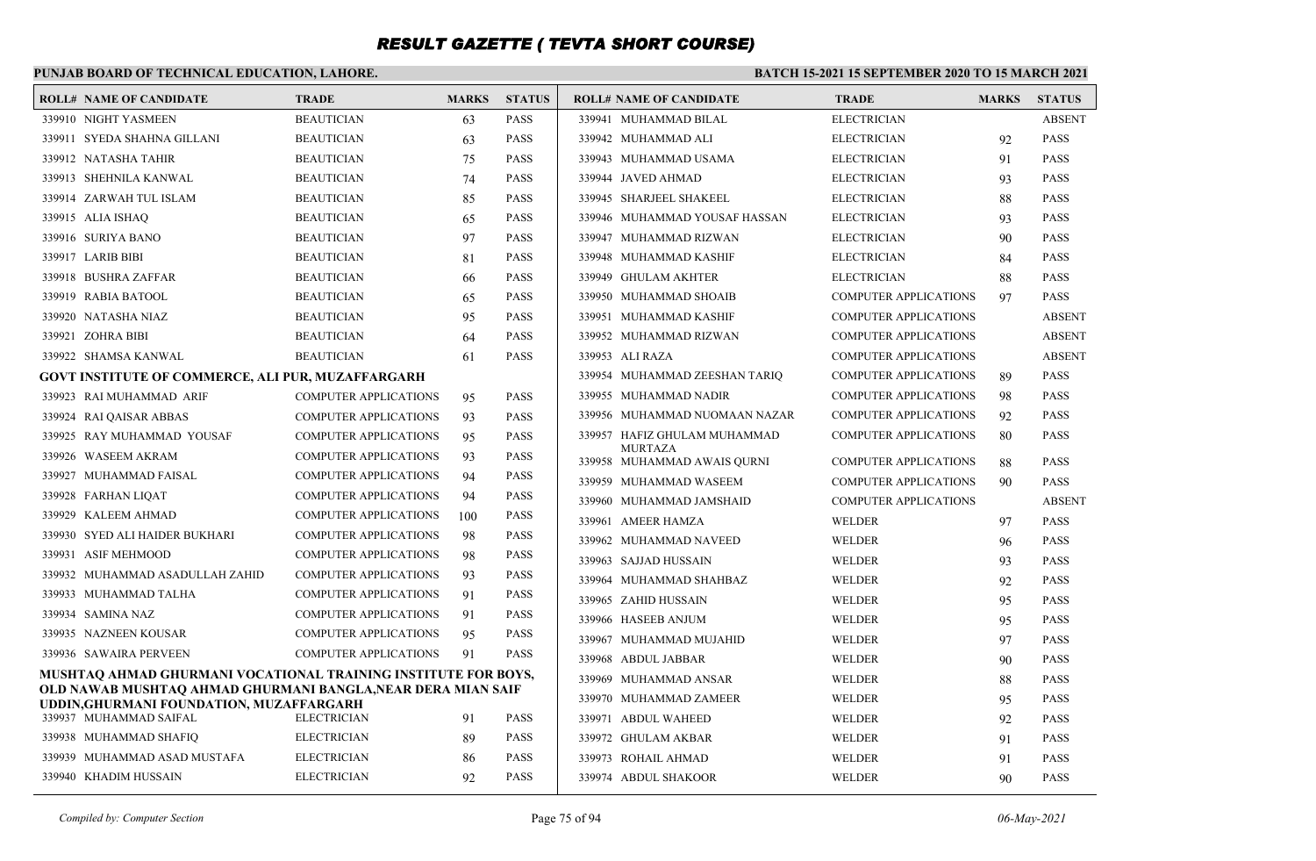### **PUNJAB BOARD OF TECHNICAL EDUCATION, LAHORE.**

#### **BATCH 15-2021 15 SEPTEMBER 2020 TO 15 MARCH 2021**

| <b>ROLL# NAME OF CANDIDATE</b>                                                                          | <b>TRADE</b>                 | <b>MARKS</b> | <b>STATUS</b> | <b>ROLL# NAME OF CANDIDATE</b>                | <b>TRADE</b>                 | <b>MARKS</b> | <b>STATUS</b> |
|---------------------------------------------------------------------------------------------------------|------------------------------|--------------|---------------|-----------------------------------------------|------------------------------|--------------|---------------|
| 339910 NIGHT YASMEEN                                                                                    | <b>BEAUTICIAN</b>            | 63           | <b>PASS</b>   | 339941 MUHAMMAD BILAL                         | <b>ELECTRICIAN</b>           |              | <b>ABSENT</b> |
| 339911 SYEDA SHAHNA GILLANI                                                                             | <b>BEAUTICIAN</b>            | 63           | <b>PASS</b>   | 339942 MUHAMMAD ALI                           | <b>ELECTRICIAN</b>           | 92           | <b>PASS</b>   |
| 339912 NATASHA TAHIR                                                                                    | <b>BEAUTICIAN</b>            | 75           | <b>PASS</b>   | 339943 MUHAMMAD USAMA                         | <b>ELECTRICIAN</b>           | 91           | <b>PASS</b>   |
| 339913 SHEHNILA KANWAL                                                                                  | <b>BEAUTICIAN</b>            | 74           | <b>PASS</b>   | 339944 JAVED AHMAD                            | <b>ELECTRICIAN</b>           | 93           | <b>PASS</b>   |
| 339914 ZARWAH TUL ISLAM                                                                                 | <b>BEAUTICIAN</b>            | 85           | <b>PASS</b>   | 339945 SHARJEEL SHAKEEL                       | <b>ELECTRICIAN</b>           | 88           | <b>PASS</b>   |
| 339915 ALIA ISHAQ                                                                                       | <b>BEAUTICIAN</b>            | 65           | <b>PASS</b>   | 339946 MUHAMMAD YOUSAF HASSAN                 | <b>ELECTRICIAN</b>           | 93           | <b>PASS</b>   |
| 339916 SURIYA BANO                                                                                      | <b>BEAUTICIAN</b>            | 97           | <b>PASS</b>   | 339947 MUHAMMAD RIZWAN                        | <b>ELECTRICIAN</b>           | 90           | <b>PASS</b>   |
| 339917 LARIB BIBI                                                                                       | <b>BEAUTICIAN</b>            | 81           | <b>PASS</b>   | 339948 MUHAMMAD KASHIF                        | <b>ELECTRICIAN</b>           | 84           | <b>PASS</b>   |
| 339918 BUSHRA ZAFFAR                                                                                    | <b>BEAUTICIAN</b>            | 66           | <b>PASS</b>   | 339949 GHULAM AKHTER                          | <b>ELECTRICIAN</b>           | 88           | <b>PASS</b>   |
| 339919 RABIA BATOOL                                                                                     | <b>BEAUTICIAN</b>            | 65           | <b>PASS</b>   | 339950 MUHAMMAD SHOAIB                        | <b>COMPUTER APPLICATIONS</b> | 97           | <b>PASS</b>   |
| 339920 NATASHA NIAZ                                                                                     | <b>BEAUTICIAN</b>            | 95           | <b>PASS</b>   | 339951 MUHAMMAD KASHIF                        | <b>COMPUTER APPLICATIONS</b> |              | <b>ABSENT</b> |
| 339921 ZOHRA BIBI                                                                                       | <b>BEAUTICIAN</b>            | 64           | <b>PASS</b>   | 339952 MUHAMMAD RIZWAN                        | <b>COMPUTER APPLICATIONS</b> |              | <b>ABSENT</b> |
| 339922 SHAMSA KANWAL                                                                                    | <b>BEAUTICIAN</b>            | 61           | <b>PASS</b>   | 339953 ALI RAZA                               | <b>COMPUTER APPLICATIONS</b> |              | <b>ABSENT</b> |
| <b>GOVT INSTITUTE OF COMMERCE, ALI PUR, MUZAFFARGARH</b>                                                |                              |              |               | 339954 MUHAMMAD ZEESHAN TARIO                 | <b>COMPUTER APPLICATIONS</b> | 89           | <b>PASS</b>   |
| 339923 RAI MUHAMMAD ARIF                                                                                | <b>COMPUTER APPLICATIONS</b> | 95           | <b>PASS</b>   | 339955 MUHAMMAD NADIR                         | <b>COMPUTER APPLICATIONS</b> | 98           | <b>PASS</b>   |
| 339924 RAI QAISAR ABBAS                                                                                 | <b>COMPUTER APPLICATIONS</b> | 93           | <b>PASS</b>   | 339956 MUHAMMAD NUOMAAN NAZAR                 | <b>COMPUTER APPLICATIONS</b> | 92           | <b>PASS</b>   |
| 339925 RAY MUHAMMAD YOUSAF                                                                              | <b>COMPUTER APPLICATIONS</b> | 95           | <b>PASS</b>   | 339957 HAFIZ GHULAM MUHAMMAD                  | <b>COMPUTER APPLICATIONS</b> | 80           | <b>PASS</b>   |
| 339926 WASEEM AKRAM                                                                                     | <b>COMPUTER APPLICATIONS</b> | 93           | <b>PASS</b>   | <b>MURTAZA</b><br>339958 MUHAMMAD AWAIS OURNI | <b>COMPUTER APPLICATIONS</b> | 88           | <b>PASS</b>   |
| 339927 MUHAMMAD FAISAL                                                                                  | <b>COMPUTER APPLICATIONS</b> | 94           | <b>PASS</b>   | 339959 MUHAMMAD WASEEM                        | <b>COMPUTER APPLICATIONS</b> | 90           | <b>PASS</b>   |
| 339928 FARHAN LIOAT                                                                                     | <b>COMPUTER APPLICATIONS</b> | 94           | <b>PASS</b>   | 339960 MUHAMMAD JAMSHAID                      | <b>COMPUTER APPLICATIONS</b> |              | <b>ABSENT</b> |
| 339929 KALEEM AHMAD                                                                                     | <b>COMPUTER APPLICATIONS</b> | 100          | <b>PASS</b>   | 339961 AMEER HAMZA                            | WELDER                       | 97           | <b>PASS</b>   |
| 339930 SYED ALI HAIDER BUKHARI                                                                          | <b>COMPUTER APPLICATIONS</b> | 98           | <b>PASS</b>   | 339962 MUHAMMAD NAVEED                        | <b>WELDER</b>                | 96           | <b>PASS</b>   |
| 339931 ASIF MEHMOOD                                                                                     | <b>COMPUTER APPLICATIONS</b> | 98           | <b>PASS</b>   | 339963 SAJJAD HUSSAIN                         | <b>WELDER</b>                | 93           | <b>PASS</b>   |
| 339932 MUHAMMAD ASADULLAH ZAHID                                                                         | <b>COMPUTER APPLICATIONS</b> | 93           | <b>PASS</b>   | 339964 MUHAMMAD SHAHBAZ                       | <b>WELDER</b>                | 92           | <b>PASS</b>   |
| 339933 MUHAMMAD TALHA                                                                                   | <b>COMPUTER APPLICATIONS</b> | 91           | <b>PASS</b>   | 339965 ZAHID HUSSAIN                          | <b>WELDER</b>                | 95           | <b>PASS</b>   |
| 339934 SAMINA NAZ                                                                                       | <b>COMPUTER APPLICATIONS</b> | 91           | <b>PASS</b>   | 339966 HASEEB ANJUM                           | <b>WELDER</b>                | 95           | <b>PASS</b>   |
| 339935 NAZNEEN KOUSAR                                                                                   | <b>COMPUTER APPLICATIONS</b> | 95           | <b>PASS</b>   | 339967 MUHAMMAD MUJAHID                       | WELDER                       | 97           | <b>PASS</b>   |
| 339936 SAWAIRA PERVEEN                                                                                  | <b>COMPUTER APPLICATIONS</b> | 91           | <b>PASS</b>   | 339968 ABDUL JABBAR                           | <b>WELDER</b>                | 90           | <b>PASS</b>   |
| MUSHTAO AHMAD GHURMANI VOCATIONAL TRAINING INSTITUTE FOR BOYS,                                          |                              |              |               | 339969 MUHAMMAD ANSAR                         | <b>WELDER</b>                | 88           | <b>PASS</b>   |
| OLD NAWAB MUSHTAQ AHMAD GHURMANI BANGLA,NEAR DERA MIAN SAIF<br>UDDIN, GHURMANI FOUNDATION, MUZAFFARGARH |                              |              |               | 339970 MUHAMMAD ZAMEER                        | WELDER                       | 95           | <b>PASS</b>   |
| 339937 MUHAMMAD SAIFAL                                                                                  | <b>ELECTRICIAN</b>           | 91           | <b>PASS</b>   | 339971 ABDUL WAHEED                           | <b>WELDER</b>                | 92           | <b>PASS</b>   |
| 339938 MUHAMMAD SHAFIQ                                                                                  | <b>ELECTRICIAN</b>           | 89           | <b>PASS</b>   | 339972 GHULAM AKBAR                           | WELDER                       | 91           | <b>PASS</b>   |
| 339939 MUHAMMAD ASAD MUSTAFA                                                                            | <b>ELECTRICIAN</b>           | 86           | <b>PASS</b>   | 339973 ROHAIL AHMAD                           | <b>WELDER</b>                | 91           | <b>PASS</b>   |
| 339940 KHADIM HUSSAIN                                                                                   | <b>ELECTRICIAN</b>           | 92           | <b>PASS</b>   | 339974 ABDUL SHAKOOR                          | WELDER                       | 90           | <b>PASS</b>   |

*Compiled by: Computer Section* Page 75 of 94 *06-May-2021*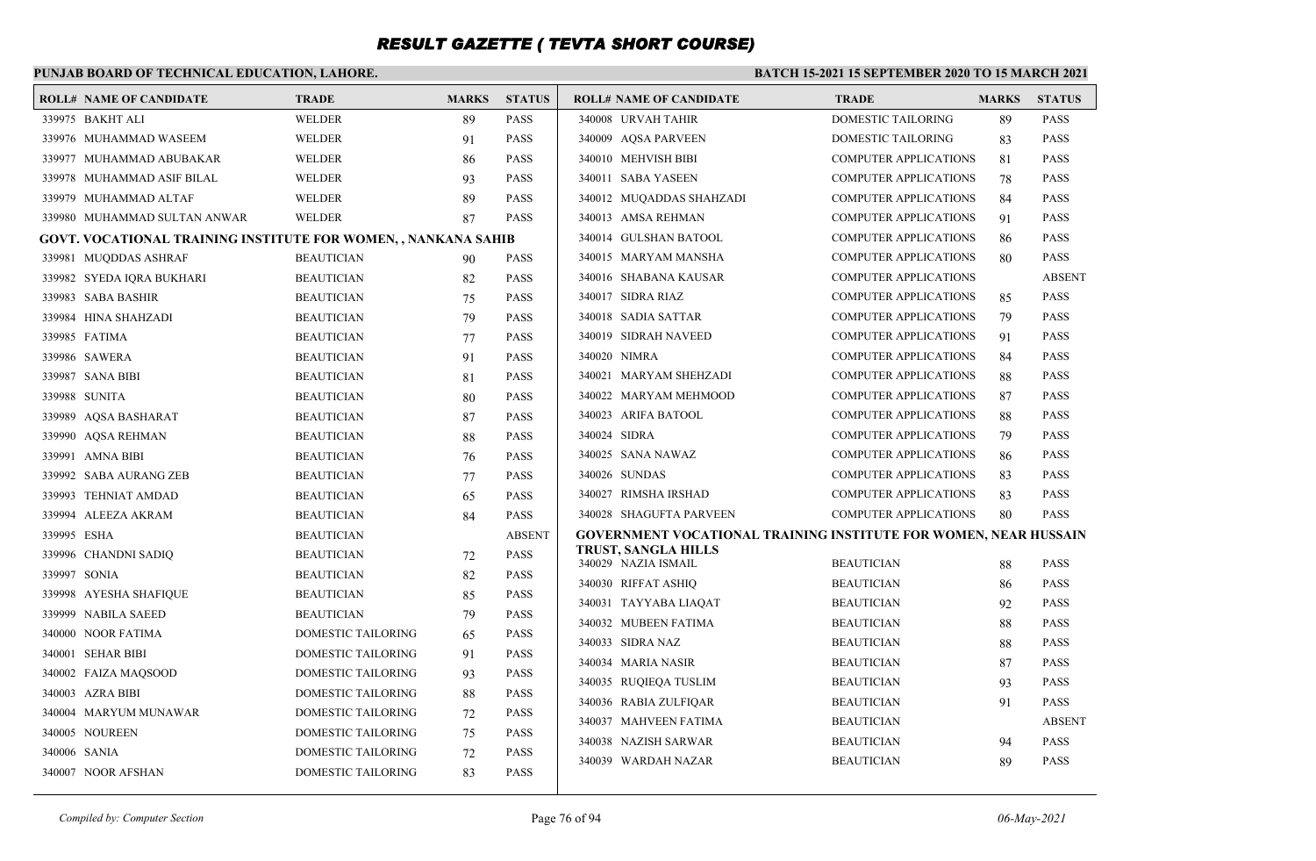### **PUNJAB BOARD OF TECHNICAL EDUCATION, LAHORE.**

| <b>ROLL# NAME OF CANDIDATE</b>                                 | <b>TRADE</b>              | <b>MARKS</b> | <b>STATUS</b> | <b>ROLL# NAME OF CANDIDATE</b>                                   | <b>TRADE</b>                 | <b>MARKS</b> | <b>STATUS</b> |
|----------------------------------------------------------------|---------------------------|--------------|---------------|------------------------------------------------------------------|------------------------------|--------------|---------------|
| 339975 BAKHT ALI                                               | <b>WELDER</b>             | 89           | <b>PASS</b>   | 340008 URVAH TAHIR                                               | <b>DOMESTIC TAILORING</b>    | 89           | <b>PASS</b>   |
| 339976 MUHAMMAD WASEEM                                         | <b>WELDER</b>             | 91           | <b>PASS</b>   | 340009 AQSA PARVEEN                                              | DOMESTIC TAILORING           | 83           | <b>PASS</b>   |
| 339977 MUHAMMAD ABUBAKAR                                       | <b>WELDER</b>             | 86           | <b>PASS</b>   | 340010 MEHVISH BIBI                                              | <b>COMPUTER APPLICATIONS</b> | 81           | <b>PASS</b>   |
| 339978 MUHAMMAD ASIF BILAL                                     | <b>WELDER</b>             | 93           | <b>PASS</b>   | 340011 SABA YASEEN                                               | <b>COMPUTER APPLICATIONS</b> | 78           | <b>PASS</b>   |
| 339979 MUHAMMAD ALTAF                                          | WELDER                    | 89           | <b>PASS</b>   | 340012 MUQADDAS SHAHZADI                                         | <b>COMPUTER APPLICATIONS</b> | 84           | <b>PASS</b>   |
| 339980 MUHAMMAD SULTAN ANWAR                                   | WELDER                    | 87           | <b>PASS</b>   | 340013 AMSA REHMAN                                               | <b>COMPUTER APPLICATIONS</b> | 91           | <b>PASS</b>   |
| GOVT. VOCATIONAL TRAINING INSTITUTE FOR WOMEN, , NANKANA SAHIB |                           |              |               | 340014 GULSHAN BATOOL                                            | <b>COMPUTER APPLICATIONS</b> | 86           | <b>PASS</b>   |
| 339981 MUQDDAS ASHRAF                                          | <b>BEAUTICIAN</b>         | 90           | <b>PASS</b>   | 340015 MARYAM MANSHA                                             | <b>COMPUTER APPLICATIONS</b> | 80           | <b>PASS</b>   |
| 339982 SYEDA IQRA BUKHARI                                      | <b>BEAUTICIAN</b>         | 82           | <b>PASS</b>   | 340016 SHABANA KAUSAR                                            | <b>COMPUTER APPLICATIONS</b> |              | <b>ABSENT</b> |
| 339983 SABA BASHIR                                             | <b>BEAUTICIAN</b>         | 75           | <b>PASS</b>   | 340017 SIDRA RIAZ                                                | <b>COMPUTER APPLICATIONS</b> | 85           | <b>PASS</b>   |
| 339984 HINA SHAHZADI                                           | <b>BEAUTICIAN</b>         | 79           | <b>PASS</b>   | 340018 SADIA SATTAR                                              | <b>COMPUTER APPLICATIONS</b> | 79           | <b>PASS</b>   |
| 339985 FATIMA                                                  | <b>BEAUTICIAN</b>         | 77           | <b>PASS</b>   | 340019 SIDRAH NAVEED                                             | <b>COMPUTER APPLICATIONS</b> | 91           | <b>PASS</b>   |
| 339986 SAWERA                                                  | <b>BEAUTICIAN</b>         | 91           | <b>PASS</b>   | 340020 NIMRA                                                     | <b>COMPUTER APPLICATIONS</b> | 84           | <b>PASS</b>   |
| 339987 SANA BIBI                                               | <b>BEAUTICIAN</b>         | 81           | <b>PASS</b>   | 340021 MARYAM SHEHZADI                                           | <b>COMPUTER APPLICATIONS</b> | 88           | <b>PASS</b>   |
| 339988 SUNITA                                                  | <b>BEAUTICIAN</b>         | 80           | <b>PASS</b>   | 340022 MARYAM MEHMOOD                                            | <b>COMPUTER APPLICATIONS</b> | 87           | <b>PASS</b>   |
| 339989 AQSA BASHARAT                                           | <b>BEAUTICIAN</b>         | 87           | <b>PASS</b>   | 340023 ARIFA BATOOL                                              | <b>COMPUTER APPLICATIONS</b> | 88           | <b>PASS</b>   |
| 339990 AQSA REHMAN                                             | <b>BEAUTICIAN</b>         | 88           | <b>PASS</b>   | 340024 SIDRA                                                     | <b>COMPUTER APPLICATIONS</b> | 79           | <b>PASS</b>   |
| 339991 AMNA BIBI                                               | <b>BEAUTICIAN</b>         | 76           | <b>PASS</b>   | 340025 SANA NAWAZ                                                | <b>COMPUTER APPLICATIONS</b> | 86           | <b>PASS</b>   |
| 339992 SABA AURANG ZEB                                         | <b>BEAUTICIAN</b>         | 77           | <b>PASS</b>   | 340026 SUNDAS                                                    | <b>COMPUTER APPLICATIONS</b> | 83           | <b>PASS</b>   |
| 339993 TEHNIAT AMDAD                                           | <b>BEAUTICIAN</b>         | 65           | <b>PASS</b>   | 340027 RIMSHA IRSHAD                                             | <b>COMPUTER APPLICATIONS</b> | 83           | <b>PASS</b>   |
| 339994 ALEEZA AKRAM                                            | <b>BEAUTICIAN</b>         | 84           | <b>PASS</b>   | 340028 SHAGUFTA PARVEEN                                          | <b>COMPUTER APPLICATIONS</b> | 80           | <b>PASS</b>   |
| 339995 ESHA                                                    | <b>BEAUTICIAN</b>         |              | <b>ABSENT</b> | GOVERNMENT VOCATIONAL TRAINING INSTITUTE FOR WOMEN, NEAR HUSSAIN |                              |              |               |
| 339996 CHANDNI SADIQ                                           | <b>BEAUTICIAN</b>         | 72           | <b>PASS</b>   | TRUST, SANGLA HILLS<br>340029 NAZIA ISMAIL                       | <b>BEAUTICIAN</b>            | 88           | <b>PASS</b>   |
| 339997 SONIA                                                   | <b>BEAUTICIAN</b>         | 82           | <b>PASS</b>   | 340030 RIFFAT ASHIO                                              | <b>BEAUTICIAN</b>            | 86           | <b>PASS</b>   |
| 339998 AYESHA SHAFIQUE                                         | <b>BEAUTICIAN</b>         | 85           | <b>PASS</b>   | 340031 TAYYABA LIAQAT                                            | <b>BEAUTICIAN</b>            | 92           | <b>PASS</b>   |
| 339999 NABILA SAEED                                            | <b>BEAUTICIAN</b>         | 79           | <b>PASS</b>   | 340032 MUBEEN FATIMA                                             | <b>BEAUTICIAN</b>            | 88           | <b>PASS</b>   |
| 340000 NOOR FATIMA                                             | <b>DOMESTIC TAILORING</b> | 65           | <b>PASS</b>   | 340033 SIDRA NAZ                                                 | <b>BEAUTICIAN</b>            | 88           | <b>PASS</b>   |
| 340001 SEHAR BIBI                                              | <b>DOMESTIC TAILORING</b> | 91           | <b>PASS</b>   | 340034 MARIA NASIR                                               | <b>BEAUTICIAN</b>            | 87           | <b>PASS</b>   |
| 340002 FAIZA MAQSOOD                                           | DOMESTIC TAILORING        | 93           | <b>PASS</b>   | 340035 RUQIEQA TUSLIM                                            | <b>BEAUTICIAN</b>            | 93           | <b>PASS</b>   |
| 340003 AZRA BIBI                                               | <b>DOMESTIC TAILORING</b> | 88           | <b>PASS</b>   | 340036 RABIA ZULFIQAR                                            | <b>BEAUTICIAN</b>            | 91           | <b>PASS</b>   |
| 340004 MARYUM MUNAWAR                                          | DOMESTIC TAILORING        | 72           | <b>PASS</b>   | 340037 MAHVEEN FATIMA                                            | <b>BEAUTICIAN</b>            |              | <b>ABSENT</b> |
| 340005 NOUREEN                                                 | DOMESTIC TAILORING        | 75           | <b>PASS</b>   | 340038 NAZISH SARWAR                                             | <b>BEAUTICIAN</b>            | 94           | <b>PASS</b>   |
| 340006 SANIA                                                   | <b>DOMESTIC TAILORING</b> | 72           | <b>PASS</b>   | 340039 WARDAH NAZAR                                              | <b>BEAUTICIAN</b>            | 89           | <b>PASS</b>   |
| 340007 NOOR AFSHAN                                             | DOMESTIC TAILORING        | 83           | <b>PASS</b>   |                                                                  |                              |              |               |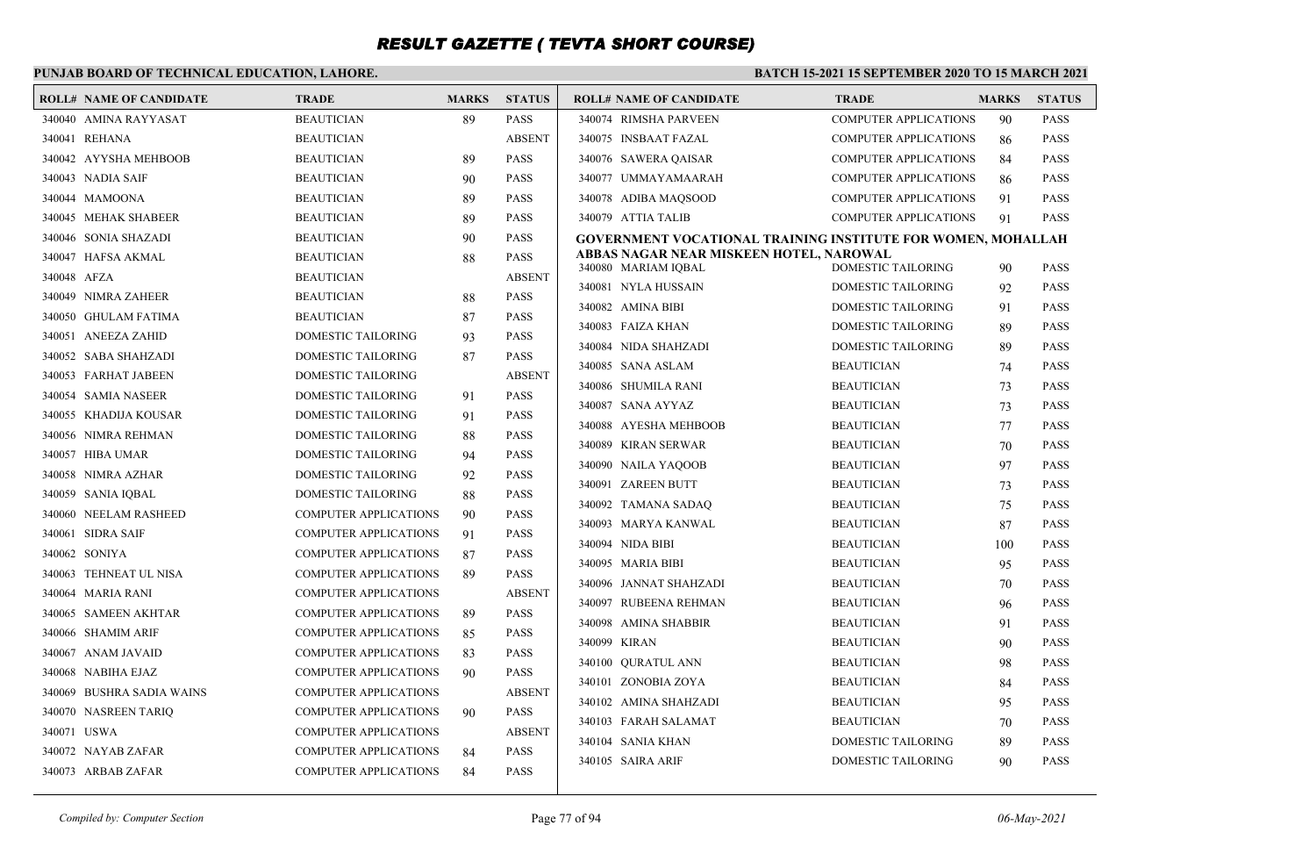### **PUNJAB BOARD OF TECHNICAL EDUCATION, LAHORE.**

| <b>ROLL# NAME OF CANDIDATE</b> | <b>TRADE</b>                 | <b>MARKS</b> | <b>STATUS</b> | <b>ROLL# NAME OF CANDIDATE</b>                                 | <b>TRADE</b>                            | <b>MARKS</b> | <b>STATUS</b>              |
|--------------------------------|------------------------------|--------------|---------------|----------------------------------------------------------------|-----------------------------------------|--------------|----------------------------|
| 340040 AMINA RAYYASAT          | <b>BEAUTICIAN</b>            | 89           | <b>PASS</b>   | 340074 RIMSHA PARVEEN                                          | <b>COMPUTER APPLICATIONS</b>            | 90           | <b>PASS</b>                |
| 340041 REHANA                  | <b>BEAUTICIAN</b>            |              | <b>ABSENT</b> | 340075 INSBAAT FAZAL                                           | <b>COMPUTER APPLICATIONS</b>            | 86           | <b>PASS</b>                |
| 340042 AYYSHA MEHBOOB          | <b>BEAUTICIAN</b>            | 89           | <b>PASS</b>   | 340076 SAWERA QAISAR                                           | <b>COMPUTER APPLICATIONS</b>            | 84           | <b>PASS</b>                |
| 340043 NADIA SAIF              | <b>BEAUTICIAN</b>            | 90           | <b>PASS</b>   | 340077 UMMAYAMAARAH                                            | <b>COMPUTER APPLICATIONS</b>            | 86           | <b>PASS</b>                |
| 340044 MAMOONA                 | <b>BEAUTICIAN</b>            | 89           | <b>PASS</b>   | 340078 ADIBA MAOSOOD                                           | <b>COMPUTER APPLICATIONS</b>            | 91           | <b>PASS</b>                |
| 340045 MEHAK SHABEER           | <b>BEAUTICIAN</b>            | 89           | <b>PASS</b>   | 340079 ATTIA TALIB                                             | <b>COMPUTER APPLICATIONS</b>            | 91           | <b>PASS</b>                |
| 340046 SONIA SHAZADI           | <b>BEAUTICIAN</b>            | 90           | <b>PASS</b>   | GOVERNMENT VOCATIONAL TRAINING INSTITUTE FOR WOMEN, MOHALLAH   |                                         |              |                            |
| 340047 HAFSA AKMAL             | <b>BEAUTICIAN</b>            | 88           | <b>PASS</b>   | ABBAS NAGAR NEAR MISKEEN HOTEL, NAROWAL<br>340080 MARIAM IQBAL | DOMESTIC TAILORING                      | 90           | <b>PASS</b>                |
| 340048 AFZA                    | <b>BEAUTICIAN</b>            |              | <b>ABSENT</b> | 340081 NYLA HUSSAIN                                            | DOMESTIC TAILORING                      | 92           | <b>PASS</b>                |
| 340049 NIMRA ZAHEER            | <b>BEAUTICIAN</b>            | 88           | <b>PASS</b>   | 340082 AMINA BIBI                                              | DOMESTIC TAILORING                      | 91           | <b>PASS</b>                |
| 340050 GHULAM FATIMA           | <b>BEAUTICIAN</b>            | 87           | <b>PASS</b>   | 340083 FAIZA KHAN                                              | <b>DOMESTIC TAILORING</b>               | 89           | <b>PASS</b>                |
| 340051 ANEEZA ZAHID            | DOMESTIC TAILORING           | 93           | <b>PASS</b>   | 340084 NIDA SHAHZADI                                           | DOMESTIC TAILORING                      | 89           | <b>PASS</b>                |
| 340052 SABA SHAHZADI           | DOMESTIC TAILORING           | 87           | <b>PASS</b>   | 340085 SANA ASLAM                                              | <b>BEAUTICIAN</b>                       | 74           | <b>PASS</b>                |
| 340053 FARHAT JABEEN           | <b>DOMESTIC TAILORING</b>    |              | <b>ABSENT</b> | 340086 SHUMILA RANI                                            | <b>BEAUTICIAN</b>                       | 73           | <b>PASS</b>                |
| 340054 SAMIA NASEER            | DOMESTIC TAILORING           | 91           | <b>PASS</b>   | 340087 SANA AYYAZ                                              | <b>BEAUTICIAN</b>                       | 73           | <b>PASS</b>                |
| 340055 KHADIJA KOUSAR          | DOMESTIC TAILORING           | 91           | <b>PASS</b>   | 340088 AYESHA MEHBOOB                                          | <b>BEAUTICIAN</b>                       | 77           | <b>PASS</b>                |
| 340056 NIMRA REHMAN            | DOMESTIC TAILORING           | 88           | <b>PASS</b>   | 340089 KIRAN SERWAR                                            | <b>BEAUTICIAN</b>                       | 70           | <b>PASS</b>                |
| 340057 HIBA UMAR               | DOMESTIC TAILORING           | 94           | <b>PASS</b>   | 340090 NAILA YAQOOB                                            | <b>BEAUTICIAN</b>                       | 97           | <b>PASS</b>                |
| 340058 NIMRA AZHAR             | DOMESTIC TAILORING           | 92           | <b>PASS</b>   | 340091 ZAREEN BUTT                                             | <b>BEAUTICIAN</b>                       | 73           | <b>PASS</b>                |
| 340059 SANIA IQBAL             | DOMESTIC TAILORING           | 88           | <b>PASS</b>   | 340092 TAMANA SADAO                                            | <b>BEAUTICIAN</b>                       | 75           | <b>PASS</b>                |
| 340060 NEELAM RASHEED          | <b>COMPUTER APPLICATIONS</b> | 90           | <b>PASS</b>   | 340093 MARYA KANWAL                                            | <b>BEAUTICIAN</b>                       | 87           | <b>PASS</b>                |
| 340061 SIDRA SAIF              | <b>COMPUTER APPLICATIONS</b> | 91           | <b>PASS</b>   | 340094 NIDA BIBI                                               | <b>BEAUTICIAN</b>                       |              | <b>PASS</b>                |
| 340062 SONIYA                  | <b>COMPUTER APPLICATIONS</b> | 87           | <b>PASS</b>   | 340095 MARIA BIBI                                              | <b>BEAUTICIAN</b>                       | 100          | <b>PASS</b>                |
| 340063 TEHNEAT UL NISA         | <b>COMPUTER APPLICATIONS</b> | 89           | <b>PASS</b>   | 340096 JANNAT SHAHZADI                                         | <b>BEAUTICIAN</b>                       | 95           | <b>PASS</b>                |
| 340064 MARIA RANI              | <b>COMPUTER APPLICATIONS</b> |              | <b>ABSENT</b> | 340097 RUBEENA REHMAN                                          | <b>BEAUTICIAN</b>                       | 70           | <b>PASS</b>                |
| 340065 SAMEEN AKHTAR           | <b>COMPUTER APPLICATIONS</b> | 89           | <b>PASS</b>   | 340098 AMINA SHABBIR                                           | <b>BEAUTICIAN</b>                       | 96<br>91     | <b>PASS</b>                |
| 340066 SHAMIM ARIF             | <b>COMPUTER APPLICATIONS</b> | 85           | <b>PASS</b>   | 340099 KIRAN                                                   | <b>BEAUTICIAN</b>                       |              | <b>PASS</b>                |
| 340067 ANAM JAVAID             | <b>COMPUTER APPLICATIONS</b> | 83           | <b>PASS</b>   |                                                                | <b>BEAUTICIAN</b>                       | 90           | <b>PASS</b>                |
| 340068 NABIHA EJAZ             | <b>COMPUTER APPLICATIONS</b> | 90           | <b>PASS</b>   | 340100 OURATUL ANN<br>340101 ZONOBIA ZOYA                      | <b>BEAUTICIAN</b>                       | 98           | <b>PASS</b>                |
| 340069 BUSHRA SADIA WAINS      | COMPUTER APPLICATIONS        |              | <b>ABSENT</b> | 340102 AMINA SHAHZADI                                          |                                         | 84           | <b>PASS</b>                |
| 340070 NASREEN TARIO           | <b>COMPUTER APPLICATIONS</b> | 90           | <b>PASS</b>   |                                                                | <b>BEAUTICIAN</b>                       | 95           |                            |
| 340071 USWA                    | <b>COMPUTER APPLICATIONS</b> |              | <b>ABSENT</b> | 340103 FARAH SALAMAT<br>340104 SANIA KHAN                      | <b>BEAUTICIAN</b><br>DOMESTIC TAILORING | 70           | <b>PASS</b><br><b>PASS</b> |
| 340072 NAYAB ZAFAR             | <b>COMPUTER APPLICATIONS</b> | 84           | <b>PASS</b>   |                                                                |                                         | 89           |                            |
| 340073 ARBAB ZAFAR             | <b>COMPUTER APPLICATIONS</b> | 84           | <b>PASS</b>   | 340105 SAIRA ARIF                                              | DOMESTIC TAILORING                      | 90           | <b>PASS</b>                |
|                                |                              |              |               |                                                                |                                         |              |                            |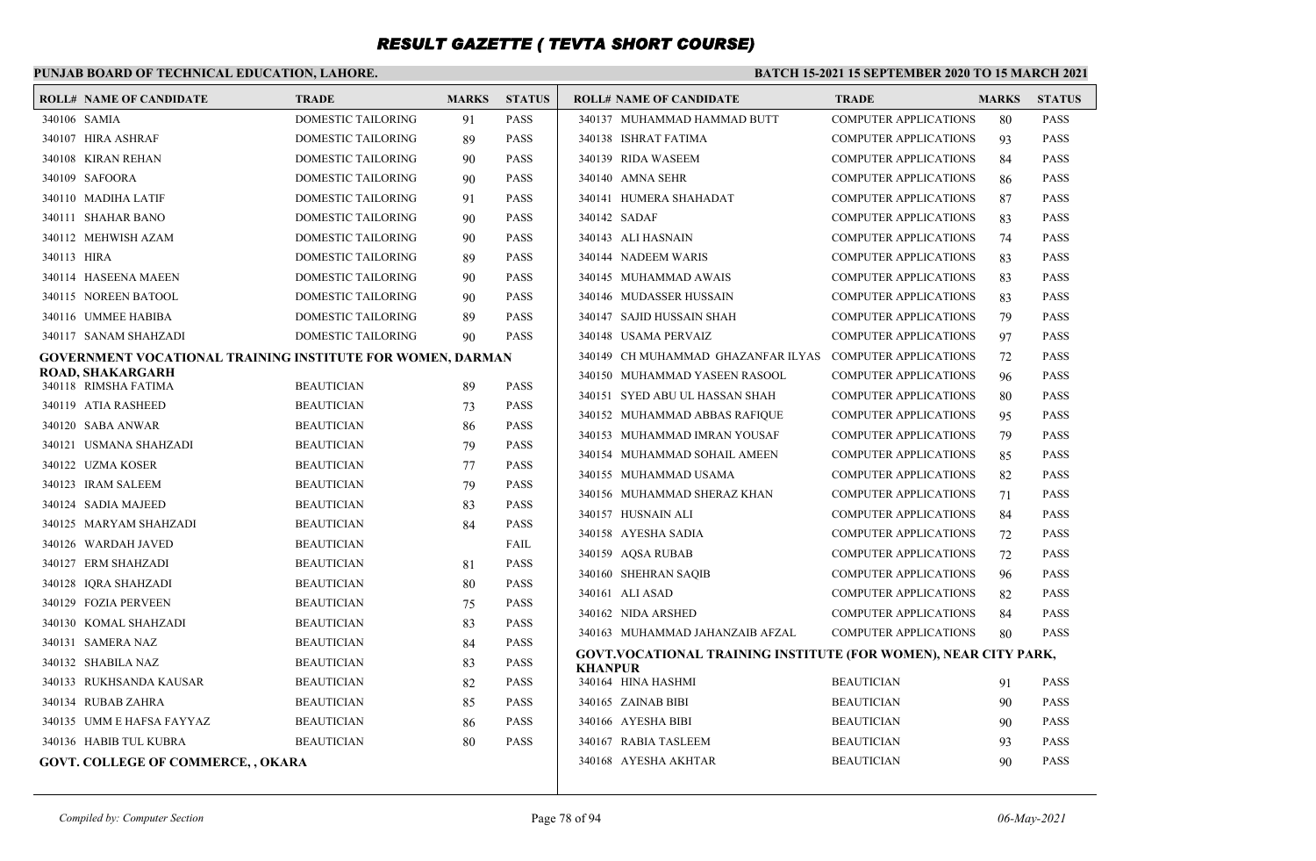### **PUNJAB BOARD OF TECHNICAL EDUCATION, LAHORE.**

| <b>ROLL# NAME OF CANDIDATE</b>                                    | <b>TRADE</b>              | <b>MARKS</b> | <b>STATUS</b>              | <b>ROLL# NAME OF CANDIDATE</b>                                         | <b>TRADE</b>                 | <b>MARKS</b> | <b>STATUS</b> |
|-------------------------------------------------------------------|---------------------------|--------------|----------------------------|------------------------------------------------------------------------|------------------------------|--------------|---------------|
| 340106 SAMIA                                                      | DOMESTIC TAILORING        | 91           | <b>PASS</b>                | 340137 MUHAMMAD HAMMAD BUTT                                            | <b>COMPUTER APPLICATIONS</b> | 80           | <b>PASS</b>   |
| 340107 HIRA ASHRAF                                                | DOMESTIC TAILORING        | 89           | <b>PASS</b>                | 340138 ISHRAT FATIMA                                                   | COMPUTER APPLICATIONS        | 93           | <b>PASS</b>   |
| 340108 KIRAN REHAN                                                | DOMESTIC TAILORING        | 90           | <b>PASS</b>                | 340139 RIDA WASEEM                                                     | COMPUTER APPLICATIONS        | 84           | <b>PASS</b>   |
| 340109 SAFOORA                                                    | DOMESTIC TAILORING        | 90           | <b>PASS</b>                | 340140 AMNA SEHR                                                       | <b>COMPUTER APPLICATIONS</b> | 86           | <b>PASS</b>   |
| 340110 MADIHA LATIF                                               | DOMESTIC TAILORING        | 91           | <b>PASS</b>                | 340141 HUMERA SHAHADAT                                                 | <b>COMPUTER APPLICATIONS</b> | 87           | <b>PASS</b>   |
| 340111 SHAHAR BANO                                                | <b>DOMESTIC TAILORING</b> | 90           | <b>PASS</b>                | 340142 SADAF                                                           | COMPUTER APPLICATIONS        | 83           | <b>PASS</b>   |
| 340112 MEHWISH AZAM                                               | DOMESTIC TAILORING        | 90           | <b>PASS</b>                | 340143 ALI HASNAIN                                                     | <b>COMPUTER APPLICATIONS</b> | 74           | <b>PASS</b>   |
| 340113 HIRA                                                       | DOMESTIC TAILORING        | 89           | <b>PASS</b>                | 340144 NADEEM WARIS                                                    | <b>COMPUTER APPLICATIONS</b> | 83           | <b>PASS</b>   |
| 340114 HASEENA MAEEN                                              | DOMESTIC TAILORING        | 90           | <b>PASS</b>                | 340145 MUHAMMAD AWAIS                                                  | COMPUTER APPLICATIONS        | 83           | <b>PASS</b>   |
| 340115 NOREEN BATOOL                                              | DOMESTIC TAILORING        | 90           | <b>PASS</b>                | 340146 MUDASSER HUSSAIN                                                | <b>COMPUTER APPLICATIONS</b> | 83           | <b>PASS</b>   |
| 340116 UMMEE HABIBA                                               | DOMESTIC TAILORING        | 89           | <b>PASS</b>                | 340147 SAJID HUSSAIN SHAH                                              | <b>COMPUTER APPLICATIONS</b> | 79           | <b>PASS</b>   |
| 340117 SANAM SHAHZADI                                             | DOMESTIC TAILORING        | 90           | <b>PASS</b>                | 340148 USAMA PERVAIZ                                                   | <b>COMPUTER APPLICATIONS</b> | 97           | <b>PASS</b>   |
| <b>GOVERNMENT VOCATIONAL TRAINING INSTITUTE FOR WOMEN, DARMAN</b> |                           |              |                            | 340149 CH MUHAMMAD GHAZANFAR ILYAS COMPUTER APPLICATIONS               |                              | 72           | <b>PASS</b>   |
| ROAD, SHAKARGARH<br>340118 RIMSHA FATIMA                          | <b>BEAUTICIAN</b>         | 89           | <b>PASS</b>                | 340150 MUHAMMAD YASEEN RASOOL                                          | <b>COMPUTER APPLICATIONS</b> | 96           | <b>PASS</b>   |
| 340119 ATIA RASHEED                                               | <b>BEAUTICIAN</b>         |              |                            | 340151 SYED ABU UL HASSAN SHAH                                         | <b>COMPUTER APPLICATIONS</b> | 80           | <b>PASS</b>   |
| 340120 SABA ANWAR                                                 | <b>BEAUTICIAN</b>         | 73           | <b>PASS</b><br><b>PASS</b> | 340152 MUHAMMAD ABBAS RAFIQUE                                          | <b>COMPUTER APPLICATIONS</b> | 95           | <b>PASS</b>   |
| 340121 USMANA SHAHZADI                                            | <b>BEAUTICIAN</b>         | 86<br>79     | <b>PASS</b>                | 340153 MUHAMMAD IMRAN YOUSAF                                           | COMPUTER APPLICATIONS        | 79           | <b>PASS</b>   |
| 340122 UZMA KOSER                                                 | <b>BEAUTICIAN</b>         | 77           | <b>PASS</b>                | 340154 MUHAMMAD SOHAIL AMEEN                                           | <b>COMPUTER APPLICATIONS</b> | 85           | <b>PASS</b>   |
| 340123 IRAM SALEEM                                                | <b>BEAUTICIAN</b>         | 79           | <b>PASS</b>                | 340155 MUHAMMAD USAMA                                                  | <b>COMPUTER APPLICATIONS</b> | 82           | <b>PASS</b>   |
| 340124 SADIA MAJEED                                               | <b>BEAUTICIAN</b>         | 83           | <b>PASS</b>                | 340156 MUHAMMAD SHERAZ KHAN                                            | <b>COMPUTER APPLICATIONS</b> | 71           | <b>PASS</b>   |
| 340125 MARYAM SHAHZADI                                            | <b>BEAUTICIAN</b>         |              | <b>PASS</b>                | 340157 HUSNAIN ALI                                                     | <b>COMPUTER APPLICATIONS</b> | 84           | <b>PASS</b>   |
| 340126 WARDAH JAVED                                               | <b>BEAUTICIAN</b>         | 84           | <b>FAIL</b>                | 340158 AYESHA SADIA                                                    | <b>COMPUTER APPLICATIONS</b> | 72           | <b>PASS</b>   |
| 340127 ERM SHAHZADI                                               | <b>BEAUTICIAN</b>         |              | <b>PASS</b>                | 340159 AQSA RUBAB                                                      | <b>COMPUTER APPLICATIONS</b> | 72           | <b>PASS</b>   |
| 340128 IORA SHAHZADI                                              | <b>BEAUTICIAN</b>         | 81<br>80     | <b>PASS</b>                | 340160 SHEHRAN SAQIB                                                   | <b>COMPUTER APPLICATIONS</b> | 96           | <b>PASS</b>   |
| 340129 FOZIA PERVEEN                                              | <b>BEAUTICIAN</b>         |              | <b>PASS</b>                | 340161 ALI ASAD                                                        | <b>COMPUTER APPLICATIONS</b> | 82           | <b>PASS</b>   |
|                                                                   |                           | 75           |                            | 340162 NIDA ARSHED                                                     | <b>COMPUTER APPLICATIONS</b> | 84           | <b>PASS</b>   |
| 340130 KOMAL SHAHZADI                                             | <b>BEAUTICIAN</b>         | 83           | <b>PASS</b><br><b>PASS</b> | 340163 MUHAMMAD JAHANZAIB AFZAL                                        | <b>COMPUTER APPLICATIONS</b> | 80           | <b>PASS</b>   |
| 340131 SAMERA NAZ                                                 | <b>BEAUTICIAN</b>         | 84           |                            | <b>GOVT.VOCATIONAL TRAINING INSTITUTE (FOR WOMEN), NEAR CITY PARK,</b> |                              |              |               |
| 340132 SHABILA NAZ                                                | <b>BEAUTICIAN</b>         | 83           | <b>PASS</b>                | <b>KHANPUR</b>                                                         |                              |              | <b>PASS</b>   |
| 340133 RUKHSANDA KAUSAR                                           | <b>BEAUTICIAN</b>         | 82           | <b>PASS</b>                | 340164 HINA HASHMI                                                     | <b>BEAUTICIAN</b>            | 91           |               |
| 340134 RUBAB ZAHRA                                                | <b>BEAUTICIAN</b>         | 85           | <b>PASS</b>                | 340165 ZAINAB BIBI                                                     | <b>BEAUTICIAN</b>            | 90           | <b>PASS</b>   |
| 340135 UMM E HAFSA FAYYAZ                                         | <b>BEAUTICIAN</b>         | 86           | <b>PASS</b>                | 340166 AYESHA BIBI                                                     | <b>BEAUTICIAN</b>            | 90           | <b>PASS</b>   |
| 340136 HABIB TUL KUBRA                                            | <b>BEAUTICIAN</b>         | 80           | <b>PASS</b>                | 340167 RABIA TASLEEM                                                   | <b>BEAUTICIAN</b>            | 93           | <b>PASS</b>   |
| <b>GOVT. COLLEGE OF COMMERCE,, OKARA</b>                          |                           |              |                            | 340168 AYESHA AKHTAR                                                   | <b>BEAUTICIAN</b>            | 90           | <b>PASS</b>   |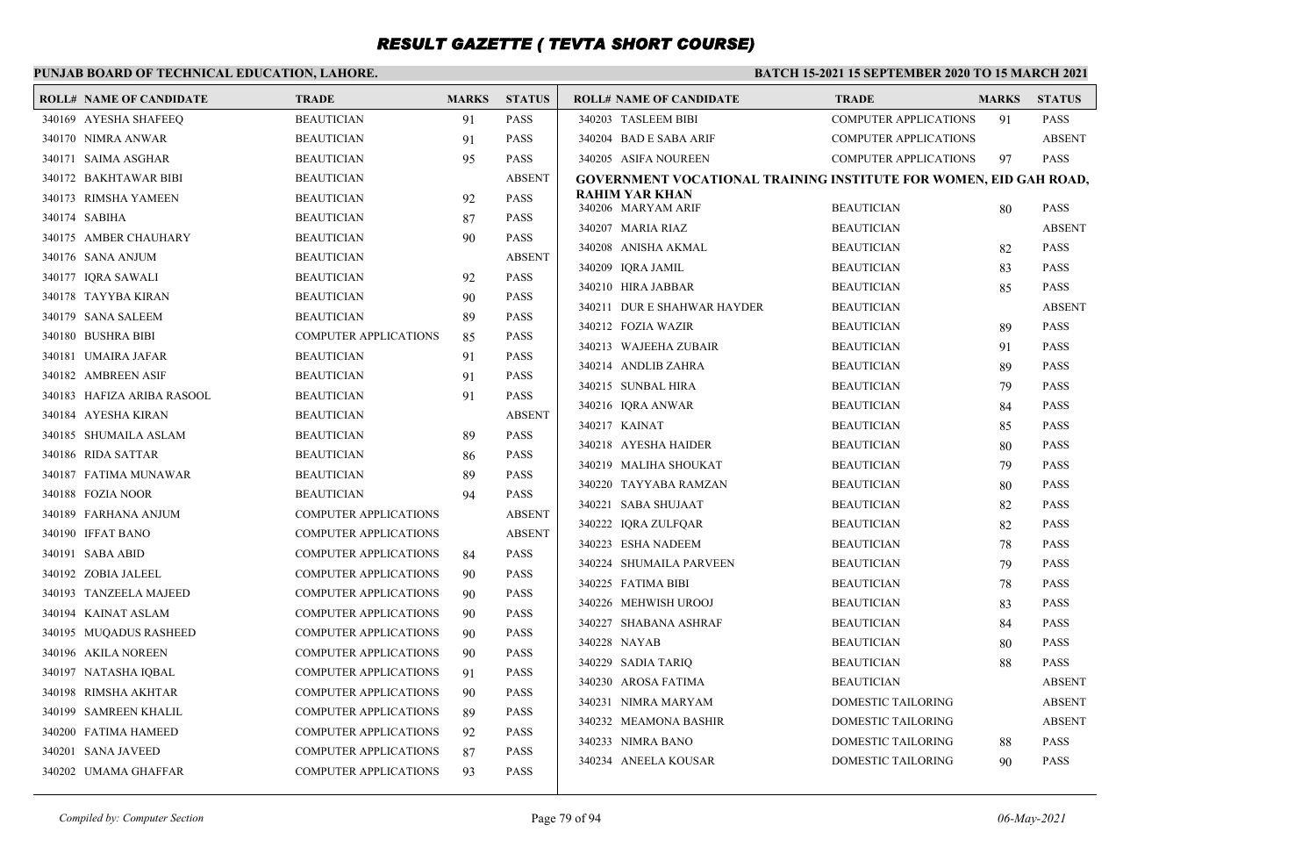### **PUNJAB BOARD OF TECHNICAL EDUCATION, LAHORE.**

| <b>ROLL# NAME OF CANDIDATE</b> | <b>TRADE</b>                 | <b>MARKS</b> | <b>STATUS</b> | <b>ROLL# NAME OF CANDIDATE</b>                                    | <b>TRADE</b>                 | <b>MARKS</b> | <b>STATUS</b> |
|--------------------------------|------------------------------|--------------|---------------|-------------------------------------------------------------------|------------------------------|--------------|---------------|
| 340169 AYESHA SHAFEEQ          | <b>BEAUTICIAN</b>            | 91           | <b>PASS</b>   | 340203 TASLEEM BIBI                                               | <b>COMPUTER APPLICATIONS</b> | 91           | <b>PASS</b>   |
| 340170 NIMRA ANWAR             | <b>BEAUTICIAN</b>            | 91           | <b>PASS</b>   | 340204 BAD E SABA ARIF                                            | <b>COMPUTER APPLICATIONS</b> |              | <b>ABSENT</b> |
| 340171 SAIMA ASGHAR            | <b>BEAUTICIAN</b>            | 95           | <b>PASS</b>   | 340205 ASIFA NOUREEN                                              | <b>COMPUTER APPLICATIONS</b> | 97           | <b>PASS</b>   |
| 340172 BAKHTAWAR BIBI          | <b>BEAUTICIAN</b>            |              | <b>ABSENT</b> | GOVERNMENT VOCATIONAL TRAINING INSTITUTE FOR WOMEN, EID GAH ROAD, |                              |              |               |
| 340173 RIMSHA YAMEEN           | <b>BEAUTICIAN</b>            | 92           | <b>PASS</b>   | <b>RAHIM YAR KHAN</b><br>340206 MARYAM ARIF                       | <b>BEAUTICIAN</b>            | 80           | <b>PASS</b>   |
| 340174 SABIHA                  | <b>BEAUTICIAN</b>            | 87           | <b>PASS</b>   | 340207 MARIA RIAZ                                                 | <b>BEAUTICIAN</b>            |              | <b>ABSENT</b> |
| 340175 AMBER CHAUHARY          | <b>BEAUTICIAN</b>            | 90           | <b>PASS</b>   | 340208 ANISHA AKMAL                                               | <b>BEAUTICIAN</b>            | 82           | <b>PASS</b>   |
| 340176 SANA ANJUM              | <b>BEAUTICIAN</b>            |              | <b>ABSENT</b> | 340209 IORA JAMIL                                                 | <b>BEAUTICIAN</b>            | 83           | <b>PASS</b>   |
| 340177 IORA SAWALI             | <b>BEAUTICIAN</b>            | 92           | <b>PASS</b>   | 340210 HIRA JABBAR                                                | <b>BEAUTICIAN</b>            | 85           | <b>PASS</b>   |
| 340178 TAYYBA KIRAN            | <b>BEAUTICIAN</b>            | 90           | <b>PASS</b>   | 340211 DUR E SHAHWAR HAYDER                                       | <b>BEAUTICIAN</b>            |              | <b>ABSENT</b> |
| 340179 SANA SALEEM             | <b>BEAUTICIAN</b>            | 89           | <b>PASS</b>   | 340212 FOZIA WAZIR                                                | <b>BEAUTICIAN</b>            | 89           | <b>PASS</b>   |
| 340180 BUSHRA BIBI             | <b>COMPUTER APPLICATIONS</b> | 85           | <b>PASS</b>   |                                                                   |                              |              | <b>PASS</b>   |
| 340181 UMAIRA JAFAR            | <b>BEAUTICIAN</b>            | 91           | <b>PASS</b>   | 340213 WAJEEHA ZUBAIR                                             | <b>BEAUTICIAN</b>            | 91           |               |
| 340182 AMBREEN ASIF            | <b>BEAUTICIAN</b>            | 91           | <b>PASS</b>   | 340214 ANDLIB ZAHRA<br>340215 SUNBAL HIRA                         | <b>BEAUTICIAN</b>            | 89           | <b>PASS</b>   |
| 340183 HAFIZA ARIBA RASOOL     | <b>BEAUTICIAN</b>            | 91           | <b>PASS</b>   |                                                                   | <b>BEAUTICIAN</b>            | 79           | <b>PASS</b>   |
| 340184 AYESHA KIRAN            | <b>BEAUTICIAN</b>            |              | <b>ABSENT</b> | 340216 IORA ANWAR                                                 | <b>BEAUTICIAN</b>            | 84           | <b>PASS</b>   |
| 340185 SHUMAILA ASLAM          | <b>BEAUTICIAN</b>            | 89           | <b>PASS</b>   | 340217 KAINAT<br>340218 AYESHA HAIDER                             | <b>BEAUTICIAN</b>            | 85           | <b>PASS</b>   |
| 340186 RIDA SATTAR             | <b>BEAUTICIAN</b>            | 86           | <b>PASS</b>   |                                                                   | <b>BEAUTICIAN</b>            | 80           | <b>PASS</b>   |
| 340187 FATIMA MUNAWAR          | <b>BEAUTICIAN</b>            | 89           | <b>PASS</b>   | 340219 MALIHA SHOUKAT                                             | <b>BEAUTICIAN</b>            | 79           | <b>PASS</b>   |
| 340188 FOZIA NOOR              | <b>BEAUTICIAN</b>            | 94           | <b>PASS</b>   | 340220 TAYYABA RAMZAN                                             | <b>BEAUTICIAN</b>            | 80           | <b>PASS</b>   |
| 340189 FARHANA ANJUM           | <b>COMPUTER APPLICATIONS</b> |              | <b>ABSENT</b> | 340221 SABA SHUJAAT                                               | <b>BEAUTICIAN</b>            | 82           | <b>PASS</b>   |
| 340190 IFFAT BANO              | <b>COMPUTER APPLICATIONS</b> |              | <b>ABSENT</b> | 340222 IQRA ZULFQAR                                               | <b>BEAUTICIAN</b>            | 82           | <b>PASS</b>   |
| 340191 SABA ABID               | <b>COMPUTER APPLICATIONS</b> | 84           | <b>PASS</b>   | 340223 ESHA NADEEM                                                | <b>BEAUTICIAN</b>            | 78           | <b>PASS</b>   |
| 340192 ZOBIA JALEEL            | <b>COMPUTER APPLICATIONS</b> | 90           | <b>PASS</b>   | 340224 SHUMAILA PARVEEN                                           | <b>BEAUTICIAN</b>            | 79           | <b>PASS</b>   |
| 340193 TANZEELA MAJEED         | <b>COMPUTER APPLICATIONS</b> | 90           | <b>PASS</b>   | 340225 FATIMA BIBI                                                | <b>BEAUTICIAN</b>            | 78           | <b>PASS</b>   |
| 340194 KAINAT ASLAM            | <b>COMPUTER APPLICATIONS</b> | 90           | <b>PASS</b>   | 340226 MEHWISH UROOJ                                              | <b>BEAUTICIAN</b>            | 83           | <b>PASS</b>   |
| 340195 MUQADUS RASHEED         | <b>COMPUTER APPLICATIONS</b> | 90           | <b>PASS</b>   | 340227 SHABANA ASHRAF                                             | <b>BEAUTICIAN</b>            | 84           | <b>PASS</b>   |
| 340196 AKILA NOREEN            | <b>COMPUTER APPLICATIONS</b> | 90           | <b>PASS</b>   | 340228 NAYAB                                                      | <b>BEAUTICIAN</b>            | 80           | <b>PASS</b>   |
| 340197 NATASHA IQBAL           | <b>COMPUTER APPLICATIONS</b> | 91           | <b>PASS</b>   | 340229 SADIA TARIQ                                                | <b>BEAUTICIAN</b>            | 88           | <b>PASS</b>   |
| 340198 RIMSHA AKHTAR           | <b>COMPUTER APPLICATIONS</b> | 90           | <b>PASS</b>   | 340230 AROSA FATIMA                                               | <b>BEAUTICIAN</b>            |              | <b>ABSENT</b> |
| 340199 SAMREEN KHALIL          | <b>COMPUTER APPLICATIONS</b> | 89           | <b>PASS</b>   | 340231 NIMRA MARYAM                                               | DOMESTIC TAILORING           |              | <b>ABSENT</b> |
| 340200 FATIMA HAMEED           | <b>COMPUTER APPLICATIONS</b> | 92           | <b>PASS</b>   | 340232 MEAMONA BASHIR                                             | DOMESTIC TAILORING           |              | <b>ABSENT</b> |
| 340201 SANA JAVEED             | <b>COMPUTER APPLICATIONS</b> | 87           | <b>PASS</b>   | 340233 NIMRA BANO                                                 | DOMESTIC TAILORING           | 88           | <b>PASS</b>   |
| 340202 UMAMA GHAFFAR           | <b>COMPUTER APPLICATIONS</b> | 93           | <b>PASS</b>   | 340234 ANEELA KOUSAR                                              | DOMESTIC TAILORING           | 90           | <b>PASS</b>   |
|                                |                              |              |               |                                                                   |                              |              |               |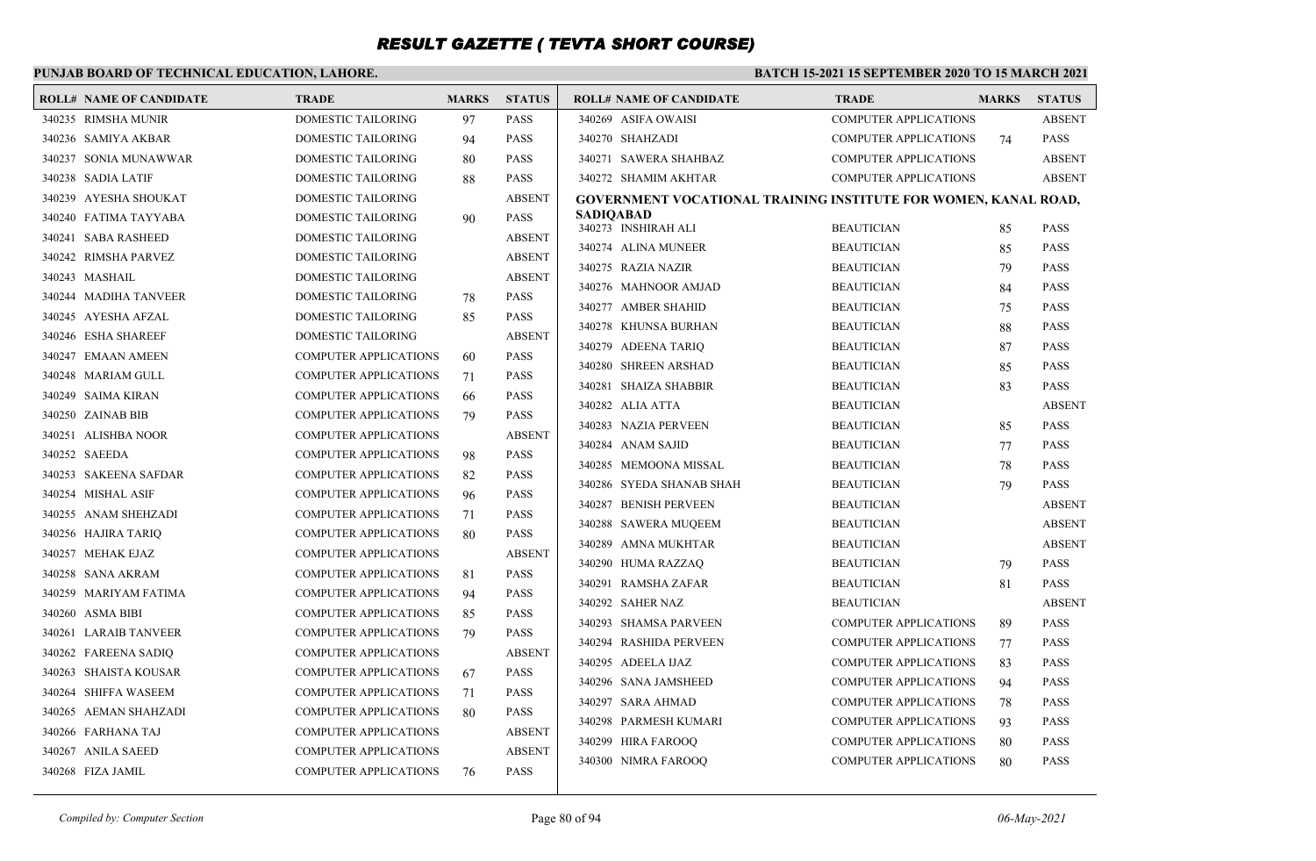### **PUNJAB BOARD OF TECHNICAL EDUCATION, LAHORE.**

| <b>ROLL# NAME OF CANDIDATE</b> | <b>TRADE</b>                 | <b>MARKS</b> | <b>STATUS</b> | <b>ROLL# NAME OF CANDIDATE</b>                                  | <b>TRADE</b>                           | <b>MARKS</b> | <b>STATUS</b>                  |
|--------------------------------|------------------------------|--------------|---------------|-----------------------------------------------------------------|----------------------------------------|--------------|--------------------------------|
| 340235 RIMSHA MUNIR            | DOMESTIC TAILORING           | 97           | <b>PASS</b>   | 340269 ASIFA OWAISI                                             | <b>COMPUTER APPLICATIONS</b>           |              | <b>ABSENT</b>                  |
| 340236 SAMIYA AKBAR            | <b>DOMESTIC TAILORING</b>    | 94           | <b>PASS</b>   | 340270 SHAHZADI                                                 | <b>COMPUTER APPLICATIONS</b>           | 74           | <b>PASS</b>                    |
| 340237 SONIA MUNAWWAR          | <b>DOMESTIC TAILORING</b>    | 80           | <b>PASS</b>   | 340271 SAWERA SHAHBAZ                                           | <b>COMPUTER APPLICATIONS</b>           |              | <b>ABSENT</b>                  |
| 340238 SADIA LATIF             | DOMESTIC TAILORING           | 88           | <b>PASS</b>   | 340272 SHAMIM AKHTAR                                            | <b>COMPUTER APPLICATIONS</b>           |              | <b>ABSENT</b>                  |
| 340239 AYESHA SHOUKAT          | DOMESTIC TAILORING           |              | <b>ABSENT</b> | GOVERNMENT VOCATIONAL TRAINING INSTITUTE FOR WOMEN, KANAL ROAD, |                                        |              |                                |
| 340240 FATIMA TAYYABA          | DOMESTIC TAILORING           | 90           | <b>PASS</b>   | <b>SADIOABAD</b><br>340273 INSHIRAH ALI                         | <b>BEAUTICIAN</b>                      | 85           | <b>PASS</b>                    |
| 340241 SABA RASHEED            | DOMESTIC TAILORING           |              | <b>ABSENT</b> | 340274 ALINA MUNEER                                             | <b>BEAUTICIAN</b>                      | 85           | <b>PASS</b>                    |
| 340242 RIMSHA PARVEZ           | <b>DOMESTIC TAILORING</b>    |              | <b>ABSENT</b> | 340275 RAZIA NAZIR                                              | <b>BEAUTICIAN</b>                      | 79           | <b>PASS</b>                    |
| 340243 MASHAIL                 | <b>DOMESTIC TAILORING</b>    |              | <b>ABSENT</b> | 340276 MAHNOOR AMJAD                                            | <b>BEAUTICIAN</b>                      | 84           | <b>PASS</b>                    |
| 340244 MADIHA TANVEER          | <b>DOMESTIC TAILORING</b>    | 78           | <b>PASS</b>   | 340277 AMBER SHAHID                                             | <b>BEAUTICIAN</b>                      | 75           | <b>PASS</b>                    |
| 340245 AYESHA AFZAL            | <b>DOMESTIC TAILORING</b>    | 85           | <b>PASS</b>   | 340278 KHUNSA BURHAN                                            | <b>BEAUTICIAN</b>                      | 88           | <b>PASS</b>                    |
| 340246 ESHA SHAREEF            | <b>DOMESTIC TAILORING</b>    |              | <b>ABSENT</b> | 340279 ADEENA TARIQ                                             | <b>BEAUTICIAN</b>                      |              | <b>PASS</b>                    |
| 340247 EMAAN AMEEN             | <b>COMPUTER APPLICATIONS</b> | 60           | <b>PASS</b>   |                                                                 |                                        | 87           | <b>PASS</b>                    |
| 340248 MARIAM GULL             | <b>COMPUTER APPLICATIONS</b> | 71           | <b>PASS</b>   | 340280 SHREEN ARSHAD<br>340281 SHAIZA SHABBIR                   | <b>BEAUTICIAN</b>                      | 85           | <b>PASS</b>                    |
| 340249 SAIMA KIRAN             | <b>COMPUTER APPLICATIONS</b> | 66           | <b>PASS</b>   | 340282 ALIA ATTA                                                | <b>BEAUTICIAN</b><br><b>BEAUTICIAN</b> | 83           | <b>ABSENT</b>                  |
| 340250 ZAINAB BIB              | <b>COMPUTER APPLICATIONS</b> | 79           | <b>PASS</b>   | 340283 NAZIA PERVEEN                                            | <b>BEAUTICIAN</b>                      |              | <b>PASS</b>                    |
| 340251 ALISHBA NOOR            | <b>COMPUTER APPLICATIONS</b> |              | <b>ABSENT</b> | 340284 ANAM SAJID                                               | <b>BEAUTICIAN</b>                      | 85           | <b>PASS</b>                    |
| 340252 SAEEDA                  | <b>COMPUTER APPLICATIONS</b> | 98           | <b>PASS</b>   |                                                                 |                                        | 77           |                                |
| 340253 SAKEENA SAFDAR          | <b>COMPUTER APPLICATIONS</b> | 82           | <b>PASS</b>   | 340285 MEMOONA MISSAL<br>340286 SYEDA SHANAB SHAH               | <b>BEAUTICIAN</b><br><b>BEAUTICIAN</b> | 78           | <b>PASS</b><br><b>PASS</b>     |
| 340254 MISHAL ASIF             | <b>COMPUTER APPLICATIONS</b> | 96           | <b>PASS</b>   |                                                                 |                                        | 79           |                                |
| 340255 ANAM SHEHZADI           | <b>COMPUTER APPLICATIONS</b> | 71           | <b>PASS</b>   | 340287 BENISH PERVEEN<br>340288 SAWERA MUQEEM                   | <b>BEAUTICIAN</b><br><b>BEAUTICIAN</b> |              | <b>ABSENT</b><br><b>ABSENT</b> |
| 340256 HAJIRA TARIO            | <b>COMPUTER APPLICATIONS</b> | 80           | <b>PASS</b>   |                                                                 |                                        |              |                                |
| 340257 MEHAK EJAZ              | <b>COMPUTER APPLICATIONS</b> |              | <b>ABSENT</b> | 340289 AMNA MUKHTAR                                             | <b>BEAUTICIAN</b>                      |              | <b>ABSENT</b>                  |
| 340258 SANA AKRAM              | <b>COMPUTER APPLICATIONS</b> | 81           | <b>PASS</b>   | 340290 HUMA RAZZAQ                                              | <b>BEAUTICIAN</b>                      | 79           | <b>PASS</b>                    |
| 340259 MARIYAM FATIMA          | <b>COMPUTER APPLICATIONS</b> | 94           | <b>PASS</b>   | 340291 RAMSHA ZAFAR                                             | <b>BEAUTICIAN</b>                      | 81           | <b>PASS</b>                    |
| 340260 ASMA BIBI               | <b>COMPUTER APPLICATIONS</b> | 85           | <b>PASS</b>   | 340292 SAHER NAZ                                                | <b>BEAUTICIAN</b>                      |              | <b>ABSENT</b>                  |
| 340261 LARAIB TANVEER          | <b>COMPUTER APPLICATIONS</b> | 79           | <b>PASS</b>   | 340293 SHAMSA PARVEEN                                           | <b>COMPUTER APPLICATIONS</b>           | 89           | <b>PASS</b>                    |
| 340262 FAREENA SADIQ           | <b>COMPUTER APPLICATIONS</b> |              | <b>ABSENT</b> | 340294 RASHIDA PERVEEN                                          | <b>COMPUTER APPLICATIONS</b>           | 77           | <b>PASS</b>                    |
| 340263 SHAISTA KOUSAR          | <b>COMPUTER APPLICATIONS</b> | 67           | <b>PASS</b>   | 340295 ADEELA IJAZ                                              | <b>COMPUTER APPLICATIONS</b>           | 83           | <b>PASS</b>                    |
| 340264 SHIFFA WASEEM           | <b>COMPUTER APPLICATIONS</b> | 71           | <b>PASS</b>   | 340296 SANA JAMSHEED                                            | <b>COMPUTER APPLICATIONS</b>           | 94           | <b>PASS</b>                    |
| 340265 AEMAN SHAHZADI          | <b>COMPUTER APPLICATIONS</b> | 80           | <b>PASS</b>   | 340297 SARA AHMAD                                               | <b>COMPUTER APPLICATIONS</b>           | 78           | <b>PASS</b>                    |
| 340266 FARHANA TAJ             | <b>COMPUTER APPLICATIONS</b> |              | <b>ABSENT</b> | 340298 PARMESH KUMARI                                           | <b>COMPUTER APPLICATIONS</b>           | 93           | <b>PASS</b>                    |
| 340267 ANILA SAEED             | <b>COMPUTER APPLICATIONS</b> |              | <b>ABSENT</b> | 340299 HIRA FAROOQ                                              | <b>COMPUTER APPLICATIONS</b>           | 80           | <b>PASS</b>                    |
| 340268 FIZA JAMIL              | <b>COMPUTER APPLICATIONS</b> | 76           | <b>PASS</b>   | 340300 NIMRA FAROOO                                             | <b>COMPUTER APPLICATIONS</b>           | 80           | <b>PASS</b>                    |
|                                |                              |              |               |                                                                 |                                        |              |                                |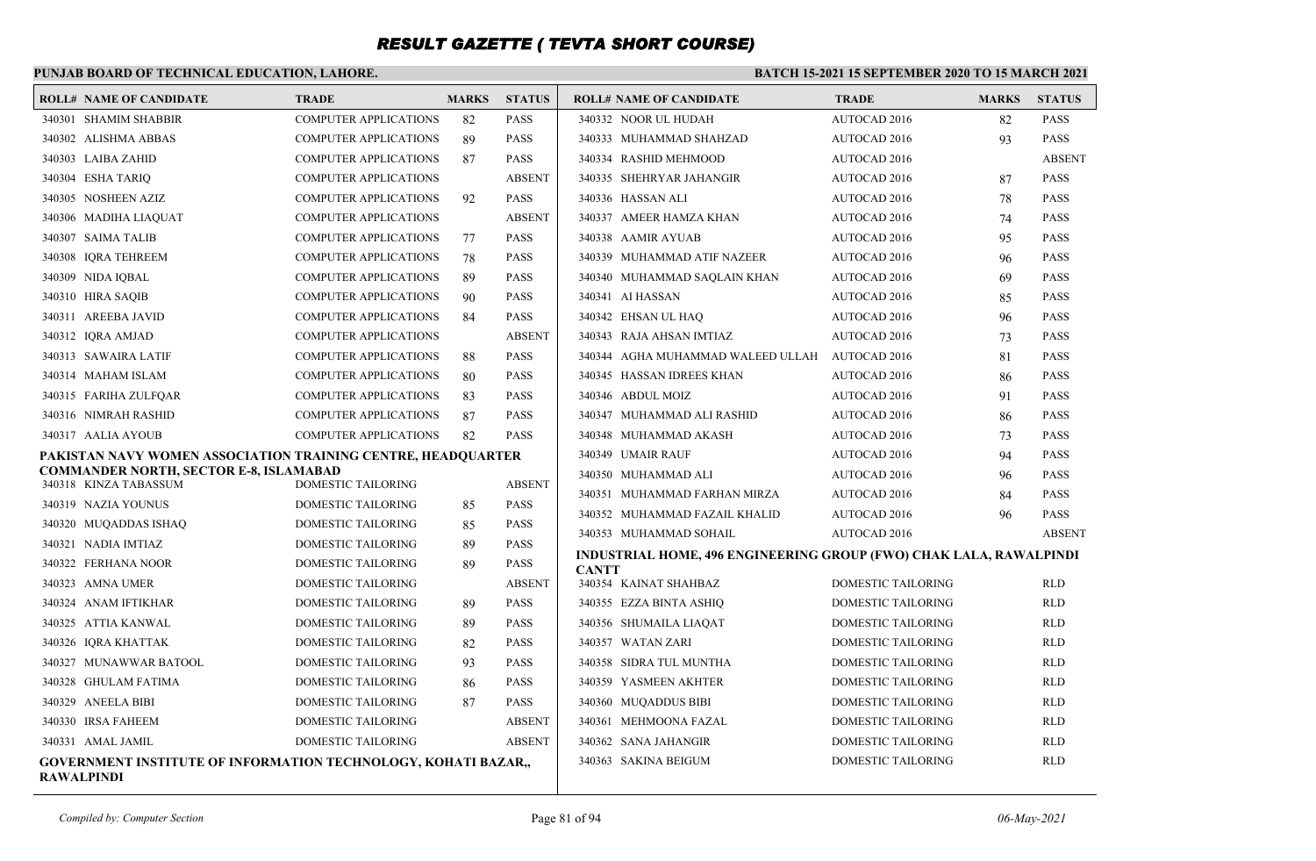### **PUNJAB BOARD OF TECHNICAL EDUCATION, LAHORE.**

| <b>ROLL# NAME OF CANDIDATE</b>                                                             | <b>TRADE</b>                             | <b>MARKS</b> | <b>STATUS</b>                | <b>ROLL# NAME OF CANDIDATE</b>                                            | <b>TRADE</b>                                           | <b>MARKS</b> | <b>STATUS</b>            |
|--------------------------------------------------------------------------------------------|------------------------------------------|--------------|------------------------------|---------------------------------------------------------------------------|--------------------------------------------------------|--------------|--------------------------|
| 340301 SHAMIM SHABBIR                                                                      | <b>COMPUTER APPLICATIONS</b>             | 82           | <b>PASS</b>                  | 340332 NOOR UL HUDAH                                                      | <b>AUTOCAD 2016</b>                                    | 82           | <b>PASS</b>              |
| 340302 ALISHMA ABBAS                                                                       | <b>COMPUTER APPLICATIONS</b>             | 89           | <b>PASS</b>                  | 340333 MUHAMMAD SHAHZAD                                                   | AUTOCAD 2016                                           | 93           | <b>PASS</b>              |
| 340303 LAIBA ZAHID                                                                         | <b>COMPUTER APPLICATIONS</b>             | 87           | <b>PASS</b>                  | 340334 RASHID MEHMOOD                                                     | AUTOCAD 2016                                           |              | <b>ABSENT</b>            |
| 340304 ESHA TARIO                                                                          | <b>COMPUTER APPLICATIONS</b>             |              | <b>ABSENT</b>                | 340335 SHEHRYAR JAHANGIR                                                  | AUTOCAD 2016                                           | 87           | <b>PASS</b>              |
| 340305 NOSHEEN AZIZ                                                                        | <b>COMPUTER APPLICATIONS</b>             | 92           | <b>PASS</b>                  | 340336 HASSAN ALI                                                         | AUTOCAD 2016                                           | 78           | <b>PASS</b>              |
| 340306 MADIHA LIAQUAT                                                                      | <b>COMPUTER APPLICATIONS</b>             |              | <b>ABSENT</b>                | 340337 AMEER HAMZA KHAN                                                   | AUTOCAD 2016                                           | 74           | <b>PASS</b>              |
| 340307 SAIMA TALIB                                                                         | <b>COMPUTER APPLICATIONS</b>             | 77           | <b>PASS</b>                  | 340338 AAMIR AYUAB                                                        | AUTOCAD 2016                                           | 95           | <b>PASS</b>              |
| 340308 IORA TEHREEM                                                                        | <b>COMPUTER APPLICATIONS</b>             | 78           | <b>PASS</b>                  | 340339 MUHAMMAD ATIF NAZEER                                               | AUTOCAD 2016                                           | 96           | <b>PASS</b>              |
| 340309 NIDA IOBAL                                                                          | <b>COMPUTER APPLICATIONS</b>             | -89          | <b>PASS</b>                  | 340340 MUHAMMAD SAQLAIN KHAN                                              | AUTOCAD 2016                                           | 69           | <b>PASS</b>              |
| 340310 HIRA SAOIB                                                                          | <b>COMPUTER APPLICATIONS</b>             | 90           | <b>PASS</b>                  | 340341 AI HASSAN                                                          | AUTOCAD 2016                                           | 85           | PASS                     |
| 340311 AREEBA JAVID                                                                        | <b>COMPUTER APPLICATIONS</b>             | 84           | <b>PASS</b>                  | 340342 EHSAN UL HAO                                                       | AUTOCAD 2016                                           | 96           | <b>PASS</b>              |
| 340312 IORA AMJAD                                                                          | <b>COMPUTER APPLICATIONS</b>             |              | <b>ABSENT</b>                | 340343 RAJA AHSAN IMTIAZ                                                  | AUTOCAD 2016                                           | 73           | <b>PASS</b>              |
| 340313 SAWAIRA LATIF                                                                       | <b>COMPUTER APPLICATIONS</b>             | 88           | <b>PASS</b>                  | 340344 AGHA MUHAMMAD WALEED ULLAH AUTOCAD 2016                            |                                                        | 81           | <b>PASS</b>              |
| 340314 MAHAM ISLAM                                                                         | <b>COMPUTER APPLICATIONS</b>             | 80           | <b>PASS</b>                  | 340345 HASSAN IDREES KHAN                                                 | AUTOCAD 2016                                           | 86           | <b>PASS</b>              |
| 340315 FARIHA ZULFQAR                                                                      | <b>COMPUTER APPLICATIONS</b>             | 83           | <b>PASS</b>                  | 340346 ABDUL MOIZ                                                         | AUTOCAD 2016                                           | 91           | <b>PASS</b>              |
| 340316 NIMRAH RASHID                                                                       | <b>COMPUTER APPLICATIONS</b>             | 87           | <b>PASS</b>                  | 340347 MUHAMMAD ALI RASHID                                                | AUTOCAD 2016                                           | 86           | <b>PASS</b>              |
| 340317 AALIA AYOUB                                                                         | <b>COMPUTER APPLICATIONS</b>             | 82           | <b>PASS</b>                  | 340348 MUHAMMAD AKASH                                                     | AUTOCAD 2016                                           | 73           | <b>PASS</b>              |
| PAKISTAN NAVY WOMEN ASSOCIATION TRAINING CENTRE, HEADQUARTER                               |                                          |              |                              | 340349 UMAIR RAUF                                                         | AUTOCAD 2016                                           | 94           | <b>PASS</b>              |
| <b>COMMANDER NORTH, SECTOR E-8, ISLAMABAD</b><br>340318 KINZA TABASSUM                     | DOMESTIC TAILORING                       |              | <b>ABSENT</b>                | 340350 MUHAMMAD ALI                                                       | AUTOCAD 2016                                           | 96           | <b>PASS</b>              |
| 340319 NAZIA YOUNUS                                                                        | DOMESTIC TAILORING                       |              | <b>PASS</b>                  | 340351 MUHAMMAD FARHAN MIRZA                                              | AUTOCAD 2016                                           | 84           | <b>PASS</b>              |
|                                                                                            | DOMESTIC TAILORING                       | 85           |                              | 340352 MUHAMMAD FAZAIL KHALID                                             | AUTOCAD 2016                                           | 96           | <b>PASS</b>              |
| 340320 MUQADDAS ISHAQ                                                                      |                                          | 85           | <b>PASS</b><br><b>PASS</b>   | 340353 MUHAMMAD SOHAIL                                                    | AUTOCAD 2016                                           |              | <b>ABSENT</b>            |
| 340321 NADIA IMTIAZ<br>340322 FERHANA NOOR                                                 | DOMESTIC TAILORING                       | 89           | <b>PASS</b>                  | <b>INDUSTRIAL HOME, 496 ENGINEERING GROUP (FWO) CHAK LALA, RAWALPINDI</b> |                                                        |              |                          |
|                                                                                            | DOMESTIC TAILORING                       | 89           |                              | <b>CANTT</b>                                                              |                                                        |              |                          |
| 340323 AMNA UMER<br>340324 ANAM IFTIKHAR                                                   | DOMESTIC TAILORING<br>DOMESTIC TAILORING |              | <b>ABSENT</b><br><b>PASS</b> | 340354 KAINAT SHAHBAZ<br>340355 EZZA BINTA ASHIO                          | <b>DOMESTIC TAILORING</b><br><b>DOMESTIC TAILORING</b> |              | <b>RLD</b><br><b>RLD</b> |
|                                                                                            |                                          | -89          |                              |                                                                           |                                                        |              |                          |
| 340325 ATTIA KANWAL<br>340326 IORA KHATTAK                                                 | DOMESTIC TAILORING<br>DOMESTIC TAILORING | 89           | <b>PASS</b><br><b>PASS</b>   | 340356 SHUMAILA LIAQAT<br>340357 WATAN ZARI                               | <b>DOMESTIC TAILORING</b><br><b>DOMESTIC TAILORING</b> |              | <b>RLD</b><br><b>RLD</b> |
| 340327 MUNAWWAR BATOOL                                                                     |                                          | 82           |                              |                                                                           |                                                        |              |                          |
| 340328 GHULAM FATIMA                                                                       | DOMESTIC TAILORING<br>DOMESTIC TAILORING | 93           | <b>PASS</b><br><b>PASS</b>   | 340358 SIDRA TUL MUNTHA<br>340359 YASMEEN AKHTER                          | <b>DOMESTIC TAILORING</b><br><b>DOMESTIC TAILORING</b> |              | <b>RLD</b><br><b>RLD</b> |
|                                                                                            |                                          | 86           |                              |                                                                           |                                                        |              | <b>RLD</b>               |
| 340329 ANEELA BIBI                                                                         | DOMESTIC TAILORING                       | 87           | <b>PASS</b>                  | 340360 MUQADDUS BIBI                                                      | <b>DOMESTIC TAILORING</b>                              |              |                          |
| 340330 IRSA FAHEEM                                                                         | DOMESTIC TAILORING                       |              | <b>ABSENT</b>                | 340361 MEHMOONA FAZAL                                                     | <b>DOMESTIC TAILORING</b>                              |              | <b>RLD</b>               |
| 340331 AMAL JAMIL                                                                          | DOMESTIC TAILORING                       |              | <b>ABSENT</b>                | 340362 SANA JAHANGIR                                                      | DOMESTIC TAILORING                                     |              | <b>RLD</b>               |
| <b>GOVERNMENT INSTITUTE OF INFORMATION TECHNOLOGY, KOHATI BAZAR,,</b><br><b>RAWALPINDI</b> |                                          |              |                              | 340363 SAKINA BEIGUM                                                      | <b>DOMESTIC TAILORING</b>                              |              | <b>RLD</b>               |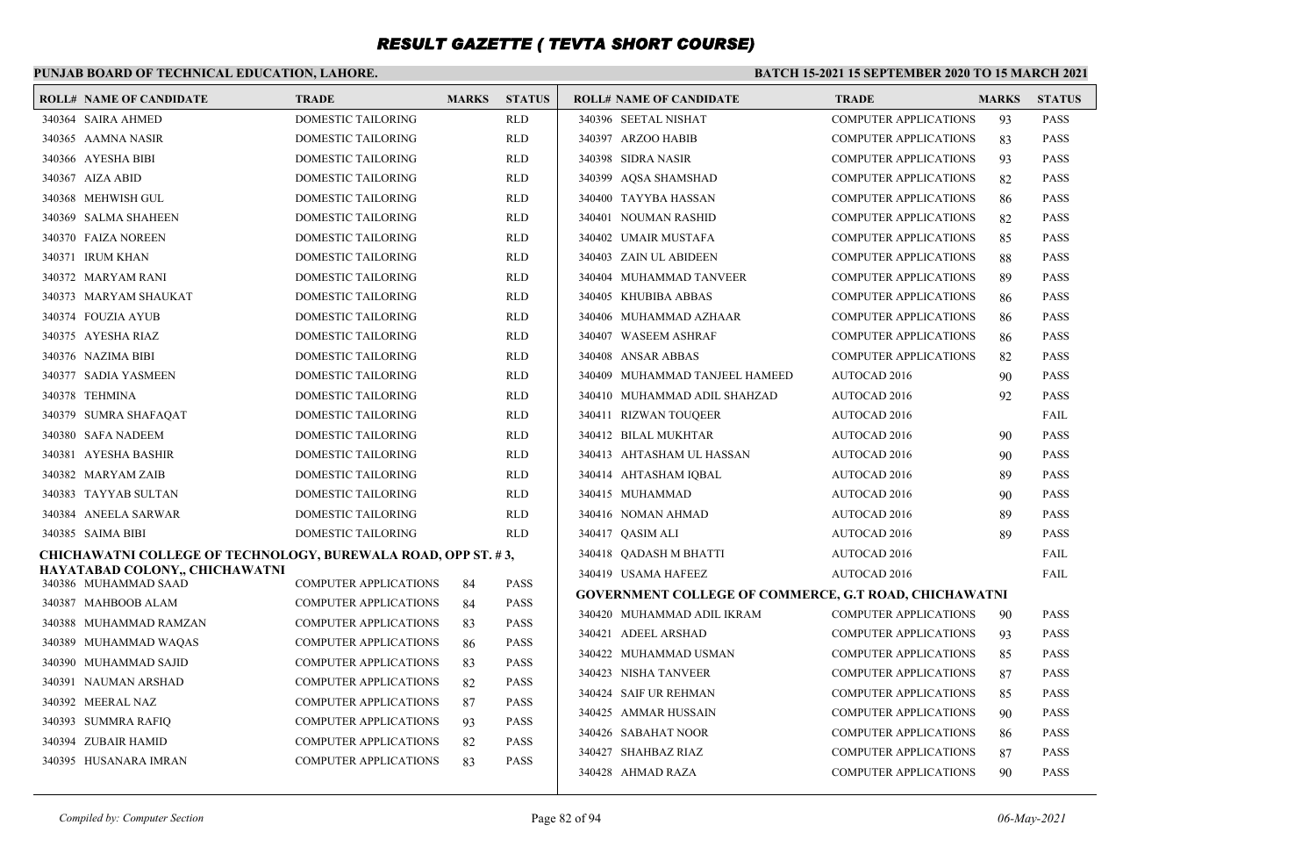### **PUNJAB BOARD OF TECHNICAL EDUCATION, LAHORE.**

| <b>ROLL# NAME OF CANDIDATE</b>                                       | <b>TRADE</b>                 | <b>MARKS</b> | <b>STATUS</b> | <b>ROLL# NAME OF CANDIDATE</b>                               | <b>TRADE</b>                 | <b>MARKS</b> | <b>STATUS</b> |
|----------------------------------------------------------------------|------------------------------|--------------|---------------|--------------------------------------------------------------|------------------------------|--------------|---------------|
| 340364 SAIRA AHMED                                                   | DOMESTIC TAILORING           |              | <b>RLD</b>    | 340396 SEETAL NISHAT                                         | <b>COMPUTER APPLICATIONS</b> | 93           | <b>PASS</b>   |
| 340365 AAMNA NASIR                                                   | DOMESTIC TAILORING           |              | <b>RLD</b>    | 340397 ARZOO HABIB                                           | <b>COMPUTER APPLICATIONS</b> | 83           | <b>PASS</b>   |
| 340366 AYESHA BIBI                                                   | DOMESTIC TAILORING           |              | <b>RLD</b>    | 340398 SIDRA NASIR                                           | <b>COMPUTER APPLICATIONS</b> | 93           | <b>PASS</b>   |
| 340367 AIZA ABID                                                     | <b>DOMESTIC TAILORING</b>    |              | <b>RLD</b>    | 340399 AOSA SHAMSHAD                                         | <b>COMPUTER APPLICATIONS</b> | 82           | <b>PASS</b>   |
| 340368 MEHWISH GUL                                                   | DOMESTIC TAILORING           |              | <b>RLD</b>    | 340400 TAYYBA HASSAN                                         | <b>COMPUTER APPLICATIONS</b> | 86           | <b>PASS</b>   |
| 340369 SALMA SHAHEEN                                                 | DOMESTIC TAILORING           |              | <b>RLD</b>    | 340401 NOUMAN RASHID                                         | <b>COMPUTER APPLICATIONS</b> | 82           | <b>PASS</b>   |
| 340370 FAIZA NOREEN                                                  | DOMESTIC TAILORING           |              | RLD           | 340402 UMAIR MUSTAFA                                         | <b>COMPUTER APPLICATIONS</b> | 85           | <b>PASS</b>   |
| 340371 IRUM KHAN                                                     | DOMESTIC TAILORING           |              | <b>RLD</b>    | 340403 ZAIN UL ABIDEEN                                       | <b>COMPUTER APPLICATIONS</b> | 88           | <b>PASS</b>   |
| 340372 MARYAM RANI                                                   | DOMESTIC TAILORING           |              | RLD           | 340404 MUHAMMAD TANVEER                                      | <b>COMPUTER APPLICATIONS</b> | 89           | <b>PASS</b>   |
| 340373 MARYAM SHAUKAT                                                | DOMESTIC TAILORING           |              | <b>RLD</b>    | 340405 KHUBIBA ABBAS                                         | <b>COMPUTER APPLICATIONS</b> | 86           | <b>PASS</b>   |
| 340374 FOUZIA AYUB                                                   | DOMESTIC TAILORING           |              | RLD           | 340406 MUHAMMAD AZHAAR                                       | <b>COMPUTER APPLICATIONS</b> | 86           | <b>PASS</b>   |
| 340375 AYESHA RIAZ                                                   | DOMESTIC TAILORING           |              | RLD           | 340407 WASEEM ASHRAF                                         | <b>COMPUTER APPLICATIONS</b> | 86           | <b>PASS</b>   |
| 340376 NAZIMA BIBI                                                   | DOMESTIC TAILORING           |              | <b>RLD</b>    | 340408 ANSAR ABBAS                                           | <b>COMPUTER APPLICATIONS</b> | 82           | <b>PASS</b>   |
| 340377 SADIA YASMEEN                                                 | DOMESTIC TAILORING           |              | RLD           | 340409 MUHAMMAD TANJEEL HAMEED                               | <b>AUTOCAD 2016</b>          | 90           | <b>PASS</b>   |
| 340378 TEHMINA                                                       | DOMESTIC TAILORING           |              | <b>RLD</b>    | 340410 MUHAMMAD ADIL SHAHZAD                                 | <b>AUTOCAD 2016</b>          | 92           | <b>PASS</b>   |
| 340379 SUMRA SHAFAQAT                                                | DOMESTIC TAILORING           |              | <b>RLD</b>    | 340411 RIZWAN TOUQEER                                        | AUTOCAD 2016                 |              | <b>FAIL</b>   |
| 340380 SAFA NADEEM                                                   | DOMESTIC TAILORING           |              | <b>RLD</b>    | 340412 BILAL MUKHTAR                                         | <b>AUTOCAD 2016</b>          | 90           | <b>PASS</b>   |
| 340381 AYESHA BASHIR                                                 | DOMESTIC TAILORING           |              | <b>RLD</b>    | 340413 AHTASHAM UL HASSAN                                    | <b>AUTOCAD 2016</b>          | 90           | <b>PASS</b>   |
| 340382 MARYAM ZAIB                                                   | DOMESTIC TAILORING           |              | <b>RLD</b>    | 340414 AHTASHAM IQBAL                                        | <b>AUTOCAD 2016</b>          | 89           | <b>PASS</b>   |
| 340383 TAYYAB SULTAN                                                 | DOMESTIC TAILORING           |              | RLD           | 340415 MUHAMMAD                                              | <b>AUTOCAD 2016</b>          | 90           | <b>PASS</b>   |
| 340384 ANEELA SARWAR                                                 | DOMESTIC TAILORING           |              | <b>RLD</b>    | 340416 NOMAN AHMAD                                           | <b>AUTOCAD 2016</b>          | 89           | <b>PASS</b>   |
| 340385 SAIMA BIBI                                                    | DOMESTIC TAILORING           |              | <b>RLD</b>    | 340417 QASIM ALI                                             | <b>AUTOCAD 2016</b>          | 89           | <b>PASS</b>   |
| <b>CHICHAWATNI COLLEGE OF TECHNOLOGY, BUREWALA ROAD, OPP ST. #3,</b> |                              |              |               | 340418 QADASH M BHATTI                                       | <b>AUTOCAD 2016</b>          |              | FAIL          |
| HAYATABAD COLONY., CHICHAWATNI<br>340386 MUHAMMAD SAAD               | <b>COMPUTER APPLICATIONS</b> | 84           | <b>PASS</b>   | 340419 USAMA HAFEEZ                                          | <b>AUTOCAD 2016</b>          |              | <b>FAIL</b>   |
| 340387 MAHBOOB ALAM                                                  | <b>COMPUTER APPLICATIONS</b> | 84           | <b>PASS</b>   | <b>GOVERNMENT COLLEGE OF COMMERCE, G.T ROAD, CHICHAWATNI</b> |                              |              |               |
| 340388 MUHAMMAD RAMZAN                                               | <b>COMPUTER APPLICATIONS</b> | 83           | <b>PASS</b>   | 340420 MUHAMMAD ADIL IKRAM                                   | <b>COMPUTER APPLICATIONS</b> | 90           | <b>PASS</b>   |
| 340389 MUHAMMAD WAQAS                                                | <b>COMPUTER APPLICATIONS</b> | 86           | <b>PASS</b>   | 340421 ADEEL ARSHAD                                          | <b>COMPUTER APPLICATIONS</b> | 93           | <b>PASS</b>   |
| 340390 MUHAMMAD SAJID                                                | <b>COMPUTER APPLICATIONS</b> | 83           | <b>PASS</b>   | 340422 MUHAMMAD USMAN                                        | <b>COMPUTER APPLICATIONS</b> | 85           | <b>PASS</b>   |
| 340391 NAUMAN ARSHAD                                                 | <b>COMPUTER APPLICATIONS</b> | 82           | <b>PASS</b>   | 340423 NISHA TANVEER                                         | <b>COMPUTER APPLICATIONS</b> | 87           | <b>PASS</b>   |
| 340392 MEERAL NAZ                                                    | <b>COMPUTER APPLICATIONS</b> | 87           | <b>PASS</b>   | 340424 SAIF UR REHMAN                                        | <b>COMPUTER APPLICATIONS</b> | 85           | <b>PASS</b>   |
| 340393 SUMMRA RAFIQ                                                  | <b>COMPUTER APPLICATIONS</b> | 93           | <b>PASS</b>   | 340425 AMMAR HUSSAIN                                         | <b>COMPUTER APPLICATIONS</b> | 90           | <b>PASS</b>   |
| 340394 ZUBAIR HAMID                                                  | <b>COMPUTER APPLICATIONS</b> | 82           | <b>PASS</b>   | 340426 SABAHAT NOOR                                          | <b>COMPUTER APPLICATIONS</b> | 86           | <b>PASS</b>   |
| 340395 HUSANARA IMRAN                                                | <b>COMPUTER APPLICATIONS</b> | 83           | <b>PASS</b>   | 340427 SHAHBAZ RIAZ                                          | <b>COMPUTER APPLICATIONS</b> | 87           | <b>PASS</b>   |
|                                                                      |                              |              |               | 340428 AHMAD RAZA                                            | <b>COMPUTER APPLICATIONS</b> | 90           | <b>PASS</b>   |
|                                                                      |                              |              |               |                                                              |                              |              |               |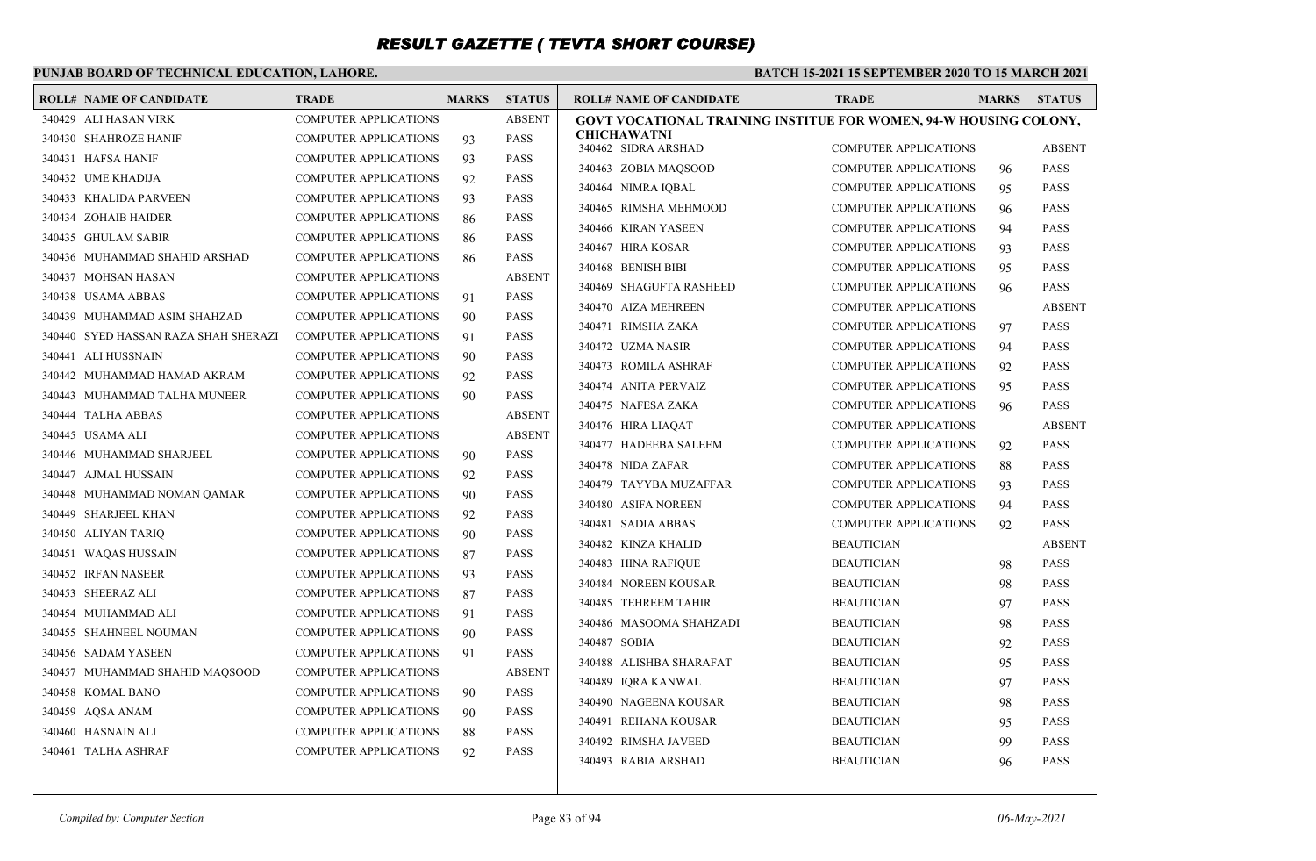### **PUNJAB BOARD OF TECHNICAL EDUCATION, LAHORE.**

| <b>ROLL# NAME OF CANDIDATE</b>       | <b>TRADE</b>                 | <b>MARKS</b> | <b>STATUS</b> | <b>ROLL# NAME OF CANDIDATE</b>                                    | <b>TRADE</b>                 | <b>MARKS</b> | <b>STATUS</b> |
|--------------------------------------|------------------------------|--------------|---------------|-------------------------------------------------------------------|------------------------------|--------------|---------------|
| 340429 ALI HASAN VIRK                | <b>COMPUTER APPLICATIONS</b> |              | <b>ABSENT</b> | GOVT VOCATIONAL TRAINING INSTITUE FOR WOMEN, 94-W HOUSING COLONY, |                              |              |               |
| 340430 SHAHROZE HANIF                | <b>COMPUTER APPLICATIONS</b> | 93           | <b>PASS</b>   | <b>CHICHAWATNI</b><br>340462 SIDRA ARSHAD                         | <b>COMPUTER APPLICATIONS</b> |              | <b>ABSENT</b> |
| 340431 HAFSA HANIF                   | COMPUTER APPLICATIONS        | 93           | <b>PASS</b>   |                                                                   |                              |              |               |
| 340432 UME KHADIJA                   | <b>COMPUTER APPLICATIONS</b> | 92           | <b>PASS</b>   | 340463 ZOBIA MAQSOOD                                              | <b>COMPUTER APPLICATIONS</b> | 96           | <b>PASS</b>   |
| 340433 KHALIDA PARVEEN               | <b>COMPUTER APPLICATIONS</b> | 93           | <b>PASS</b>   | 340464 NIMRA IQBAL                                                | <b>COMPUTER APPLICATIONS</b> | 95           | <b>PASS</b>   |
| 340434 ZOHAIB HAIDER                 | <b>COMPUTER APPLICATIONS</b> | 86           | <b>PASS</b>   | 340465 RIMSHA MEHMOOD                                             | <b>COMPUTER APPLICATIONS</b> | 96           | <b>PASS</b>   |
| 340435 GHULAM SABIR                  | <b>COMPUTER APPLICATIONS</b> | 86           | <b>PASS</b>   | 340466 KIRAN YASEEN                                               | <b>COMPUTER APPLICATIONS</b> | 94           | <b>PASS</b>   |
| 340436 MUHAMMAD SHAHID ARSHAD        | <b>COMPUTER APPLICATIONS</b> | 86           | <b>PASS</b>   | 340467 HIRA KOSAR                                                 | <b>COMPUTER APPLICATIONS</b> | 93           | <b>PASS</b>   |
| 340437 MOHSAN HASAN                  | <b>COMPUTER APPLICATIONS</b> |              | <b>ABSENT</b> | 340468 BENISH BIBI                                                | <b>COMPUTER APPLICATIONS</b> | 95           | <b>PASS</b>   |
| 340438 USAMA ABBAS                   | <b>COMPUTER APPLICATIONS</b> | 91           | <b>PASS</b>   | 340469 SHAGUFTA RASHEED                                           | <b>COMPUTER APPLICATIONS</b> | 96           | <b>PASS</b>   |
| 340439 MUHAMMAD ASIM SHAHZAD         | <b>COMPUTER APPLICATIONS</b> | 90           | <b>PASS</b>   | 340470 AIZA MEHREEN                                               | <b>COMPUTER APPLICATIONS</b> |              | <b>ABSENT</b> |
| 340440 SYED HASSAN RAZA SHAH SHERAZI | <b>COMPUTER APPLICATIONS</b> | 91           | <b>PASS</b>   | 340471 RIMSHA ZAKA                                                | <b>COMPUTER APPLICATIONS</b> | 97           | <b>PASS</b>   |
| 340441 ALI HUSSNAIN                  | <b>COMPUTER APPLICATIONS</b> | 90           | <b>PASS</b>   | 340472 UZMA NASIR                                                 | <b>COMPUTER APPLICATIONS</b> | 94           | <b>PASS</b>   |
| 340442 MUHAMMAD HAMAD AKRAM          | <b>COMPUTER APPLICATIONS</b> | 92           | <b>PASS</b>   | 340473 ROMILA ASHRAF                                              | <b>COMPUTER APPLICATIONS</b> | 92           | <b>PASS</b>   |
| 340443 MUHAMMAD TALHA MUNEER         | <b>COMPUTER APPLICATIONS</b> | 90           | <b>PASS</b>   | 340474 ANITA PERVAIZ                                              | <b>COMPUTER APPLICATIONS</b> | 95           | <b>PASS</b>   |
| 340444 TALHA ABBAS                   | <b>COMPUTER APPLICATIONS</b> |              | <b>ABSENT</b> | 340475 NAFESA ZAKA                                                | <b>COMPUTER APPLICATIONS</b> | 96           | <b>PASS</b>   |
| 340445 USAMA ALI                     | COMPUTER APPLICATIONS        |              | <b>ABSENT</b> | 340476 HIRA LIAQAT                                                | <b>COMPUTER APPLICATIONS</b> |              | <b>ABSENT</b> |
| 340446 MUHAMMAD SHARJEEL             | <b>COMPUTER APPLICATIONS</b> | 90           | <b>PASS</b>   | 340477 HADEEBA SALEEM                                             | <b>COMPUTER APPLICATIONS</b> | 92           | <b>PASS</b>   |
| 340447 AJMAL HUSSAIN                 | <b>COMPUTER APPLICATIONS</b> | 92           | <b>PASS</b>   | 340478 NIDA ZAFAR                                                 | <b>COMPUTER APPLICATIONS</b> | 88           | <b>PASS</b>   |
| 340448 MUHAMMAD NOMAN OAMAR          | <b>COMPUTER APPLICATIONS</b> | 90           | <b>PASS</b>   | 340479 TAYYBA MUZAFFAR                                            | <b>COMPUTER APPLICATIONS</b> | 93           | <b>PASS</b>   |
| 340449 SHARJEEL KHAN                 | <b>COMPUTER APPLICATIONS</b> | 92           | <b>PASS</b>   | 340480 ASIFA NOREEN                                               | <b>COMPUTER APPLICATIONS</b> | 94           | <b>PASS</b>   |
| 340450 ALIYAN TARIQ                  | <b>COMPUTER APPLICATIONS</b> | 90           | <b>PASS</b>   | 340481 SADIA ABBAS                                                | <b>COMPUTER APPLICATIONS</b> | 92           | <b>PASS</b>   |
| 340451 WAQAS HUSSAIN                 | <b>COMPUTER APPLICATIONS</b> | 87           | <b>PASS</b>   | 340482 KINZA KHALID                                               | <b>BEAUTICIAN</b>            |              | <b>ABSENT</b> |
| 340452 IRFAN NASEER                  | <b>COMPUTER APPLICATIONS</b> | 93           | <b>PASS</b>   | 340483 HINA RAFIQUE                                               | <b>BEAUTICIAN</b>            | 98           | <b>PASS</b>   |
| 340453 SHEERAZ ALI                   | <b>COMPUTER APPLICATIONS</b> | 87           | <b>PASS</b>   | 340484 NOREEN KOUSAR                                              | <b>BEAUTICIAN</b>            | 98           | <b>PASS</b>   |
| 340454 MUHAMMAD ALI                  | <b>COMPUTER APPLICATIONS</b> | 91           | <b>PASS</b>   | 340485 TEHREEM TAHIR                                              | <b>BEAUTICIAN</b>            | 97           | <b>PASS</b>   |
| 340455 SHAHNEEL NOUMAN               | <b>COMPUTER APPLICATIONS</b> | 90           | <b>PASS</b>   | 340486 MASOOMA SHAHZADI                                           | <b>BEAUTICIAN</b>            | 98           | <b>PASS</b>   |
| 340456 SADAM YASEEN                  | <b>COMPUTER APPLICATIONS</b> | 91           | <b>PASS</b>   | 340487 SOBIA                                                      | <b>BEAUTICIAN</b>            | 92           | <b>PASS</b>   |
| 340457 MUHAMMAD SHAHID MAOSOOD       | <b>COMPUTER APPLICATIONS</b> |              | ABSENT        | 340488 ALISHBA SHARAFAT                                           | <b>BEAUTICIAN</b>            | 95           | <b>PASS</b>   |
| 340458 KOMAL BANO                    | <b>COMPUTER APPLICATIONS</b> | 90           | <b>PASS</b>   | 340489 IORA KANWAL                                                | <b>BEAUTICIAN</b>            | 97           | <b>PASS</b>   |
| 340459 AQSA ANAM                     | <b>COMPUTER APPLICATIONS</b> | 90           | <b>PASS</b>   | 340490 NAGEENA KOUSAR                                             | <b>BEAUTICIAN</b>            | 98           | <b>PASS</b>   |
| 340460 HASNAIN ALI                   | <b>COMPUTER APPLICATIONS</b> | 88           | <b>PASS</b>   | 340491 REHANA KOUSAR                                              | <b>BEAUTICIAN</b>            | 95           | <b>PASS</b>   |
| 340461 TALHA ASHRAF                  | <b>COMPUTER APPLICATIONS</b> | 92           | <b>PASS</b>   | 340492 RIMSHA JAVEED                                              | <b>BEAUTICIAN</b>            | 99           | <b>PASS</b>   |
|                                      |                              |              |               | 340493 RABIA ARSHAD                                               | <b>BEAUTICIAN</b>            | 96           | <b>PASS</b>   |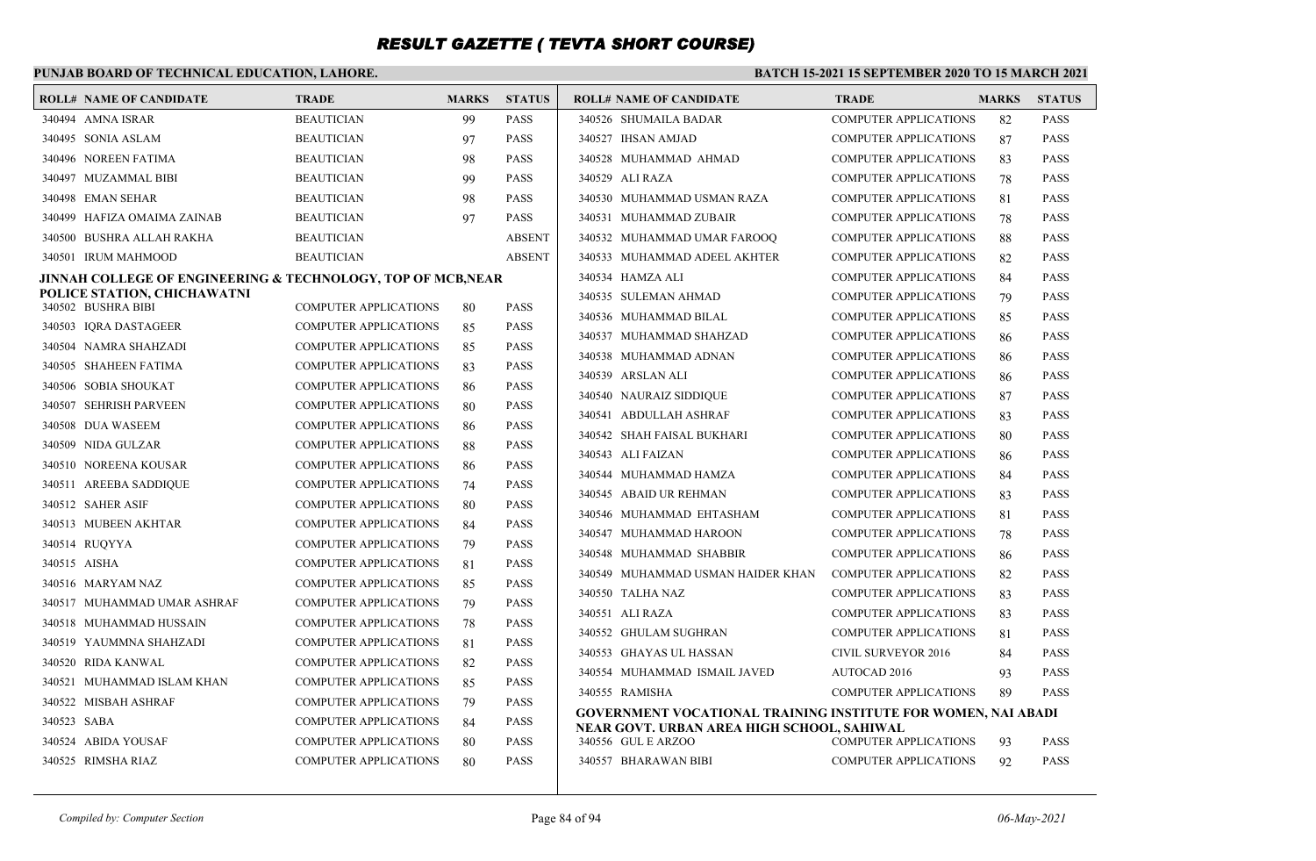### **PUNJAB BOARD OF TECHNICAL EDUCATION, LAHORE.**

| <b>ROLL# NAME OF CANDIDATE</b>                                          | <b>TRADE</b>                 | <b>MARKS</b> | <b>STATUS</b> | <b>ROLL# NAME OF CANDIDATE</b>                                   | <b>TRADE</b>                 | <b>MARKS</b> | <b>STATUS</b> |
|-------------------------------------------------------------------------|------------------------------|--------------|---------------|------------------------------------------------------------------|------------------------------|--------------|---------------|
| 340494 AMNA ISRAR                                                       | <b>BEAUTICIAN</b>            | 99           | <b>PASS</b>   | 340526 SHUMAILA BADAR                                            | <b>COMPUTER APPLICATIONS</b> | 82           | <b>PASS</b>   |
| 340495 SONIA ASLAM                                                      | <b>BEAUTICIAN</b>            | 97           | <b>PASS</b>   | 340527 IHSAN AMJAD                                               | <b>COMPUTER APPLICATIONS</b> | 87           | <b>PASS</b>   |
| 340496 NOREEN FATIMA                                                    | <b>BEAUTICIAN</b>            | 98           | <b>PASS</b>   | 340528 MUHAMMAD AHMAD                                            | <b>COMPUTER APPLICATIONS</b> | 83           | <b>PASS</b>   |
| 340497 MUZAMMAL BIBI                                                    | <b>BEAUTICIAN</b>            | 99           | <b>PASS</b>   | 340529 ALI RAZA                                                  | <b>COMPUTER APPLICATIONS</b> | 78           | <b>PASS</b>   |
| 340498 EMAN SEHAR                                                       | <b>BEAUTICIAN</b>            | 98           | <b>PASS</b>   | 340530 MUHAMMAD USMAN RAZA                                       | <b>COMPUTER APPLICATIONS</b> | 81           | <b>PASS</b>   |
| 340499 HAFIZA OMAIMA ZAINAB                                             | <b>BEAUTICIAN</b>            | 97           | <b>PASS</b>   | 340531 MUHAMMAD ZUBAIR                                           | <b>COMPUTER APPLICATIONS</b> | 78           | <b>PASS</b>   |
| 340500 BUSHRA ALLAH RAKHA                                               | <b>BEAUTICIAN</b>            |              | <b>ABSENT</b> | 340532 MUHAMMAD UMAR FAROOQ                                      | <b>COMPUTER APPLICATIONS</b> | 88           | <b>PASS</b>   |
| 340501 IRUM MAHMOOD                                                     | <b>BEAUTICIAN</b>            |              | <b>ABSENT</b> | 340533 MUHAMMAD ADEEL AKHTER                                     | <b>COMPUTER APPLICATIONS</b> | 82           | <b>PASS</b>   |
| <b>JINNAH COLLEGE OF ENGINEERING &amp; TECHNOLOGY, TOP OF MCB, NEAR</b> |                              |              |               | 340534 HAMZA ALI                                                 | <b>COMPUTER APPLICATIONS</b> | 84           | <b>PASS</b>   |
| POLICE STATION, CHICHAWATNI<br>340502 BUSHRA BIBI                       | <b>COMPUTER APPLICATIONS</b> |              | <b>PASS</b>   | 340535 SULEMAN AHMAD                                             | <b>COMPUTER APPLICATIONS</b> | 79           | <b>PASS</b>   |
| 340503 IORA DASTAGEER                                                   | <b>COMPUTER APPLICATIONS</b> | 80<br>85     | <b>PASS</b>   | 340536 MUHAMMAD BILAL                                            | <b>COMPUTER APPLICATIONS</b> | 85           | <b>PASS</b>   |
| 340504 NAMRA SHAHZADI                                                   | <b>COMPUTER APPLICATIONS</b> | 85           | <b>PASS</b>   | 340537 MUHAMMAD SHAHZAD                                          | <b>COMPUTER APPLICATIONS</b> | 86           | <b>PASS</b>   |
| 340505 SHAHEEN FATIMA                                                   | <b>COMPUTER APPLICATIONS</b> | 83           | <b>PASS</b>   | 340538 MUHAMMAD ADNAN                                            | <b>COMPUTER APPLICATIONS</b> | 86           | <b>PASS</b>   |
| 340506 SOBIA SHOUKAT                                                    | <b>COMPUTER APPLICATIONS</b> | 86           | <b>PASS</b>   | 340539 ARSLAN ALI                                                | <b>COMPUTER APPLICATIONS</b> | 86           | <b>PASS</b>   |
| 340507 SEHRISH PARVEEN                                                  | <b>COMPUTER APPLICATIONS</b> | 80           | <b>PASS</b>   | 340540 NAURAIZ SIDDIQUE                                          | <b>COMPUTER APPLICATIONS</b> | 87           | <b>PASS</b>   |
| 340508 DUA WASEEM                                                       | <b>COMPUTER APPLICATIONS</b> | 86           | <b>PASS</b>   | 340541 ABDULLAH ASHRAF                                           | <b>COMPUTER APPLICATIONS</b> | 83           | <b>PASS</b>   |
| 340509 NIDA GULZAR                                                      | <b>COMPUTER APPLICATIONS</b> | 88           | <b>PASS</b>   | 340542 SHAH FAISAL BUKHARI                                       | <b>COMPUTER APPLICATIONS</b> | 80           | <b>PASS</b>   |
| 340510 NOREENA KOUSAR                                                   | <b>COMPUTER APPLICATIONS</b> | 86           | <b>PASS</b>   | 340543 ALI FAIZAN                                                | <b>COMPUTER APPLICATIONS</b> | 86           | <b>PASS</b>   |
| 340511 AREEBA SADDIQUE                                                  | <b>COMPUTER APPLICATIONS</b> | 74           | <b>PASS</b>   | 340544 MUHAMMAD HAMZA                                            | <b>COMPUTER APPLICATIONS</b> | 84           | <b>PASS</b>   |
| 340512 SAHER ASIF                                                       | <b>COMPUTER APPLICATIONS</b> | 80           | <b>PASS</b>   | 340545 ABAID UR REHMAN                                           | <b>COMPUTER APPLICATIONS</b> | 83           | <b>PASS</b>   |
| 340513 MUBEEN AKHTAR                                                    | <b>COMPUTER APPLICATIONS</b> |              | <b>PASS</b>   | 340546 MUHAMMAD EHTASHAM                                         | <b>COMPUTER APPLICATIONS</b> | 81           | <b>PASS</b>   |
| 340514 RUOYYA                                                           | <b>COMPUTER APPLICATIONS</b> | 84<br>79     | <b>PASS</b>   | 340547 MUHAMMAD HAROON                                           | <b>COMPUTER APPLICATIONS</b> | 78           | <b>PASS</b>   |
| 340515 AISHA                                                            | <b>COMPUTER APPLICATIONS</b> | 81           | <b>PASS</b>   | 340548 MUHAMMAD SHABBIR                                          | <b>COMPUTER APPLICATIONS</b> | 86           | <b>PASS</b>   |
| 340516 MARYAM NAZ                                                       | <b>COMPUTER APPLICATIONS</b> | 85           | <b>PASS</b>   | 340549 MUHAMMAD USMAN HAIDER KHAN                                | <b>COMPUTER APPLICATIONS</b> | 82           | <b>PASS</b>   |
| 340517 MUHAMMAD UMAR ASHRAF                                             | <b>COMPUTER APPLICATIONS</b> | 79           | <b>PASS</b>   | 340550 TALHA NAZ                                                 | <b>COMPUTER APPLICATIONS</b> | 83           | <b>PASS</b>   |
| 340518 MUHAMMAD HUSSAIN                                                 | <b>COMPUTER APPLICATIONS</b> | 78           | <b>PASS</b>   | 340551 ALI RAZA                                                  | <b>COMPUTER APPLICATIONS</b> | 83           | <b>PASS</b>   |
| 340519 YAUMMNA SHAHZADI                                                 | <b>COMPUTER APPLICATIONS</b> | 81           | <b>PASS</b>   | 340552 GHULAM SUGHRAN                                            | <b>COMPUTER APPLICATIONS</b> | 81           | <b>PASS</b>   |
| 340520 RIDA KANWAL                                                      | <b>COMPUTER APPLICATIONS</b> | 82           | <b>PASS</b>   | 340553 GHAYAS UL HASSAN                                          | <b>CIVIL SURVEYOR 2016</b>   | 84           | <b>PASS</b>   |
| 340521 MUHAMMAD ISLAM KHAN                                              | <b>COMPUTER APPLICATIONS</b> | 85           | <b>PASS</b>   | 340554 MUHAMMAD ISMAIL JAVED                                     | <b>AUTOCAD 2016</b>          | 93           | <b>PASS</b>   |
| 340522 MISBAH ASHRAF                                                    | <b>COMPUTER APPLICATIONS</b> | 79           | <b>PASS</b>   | 340555 RAMISHA                                                   | <b>COMPUTER APPLICATIONS</b> | 89           | <b>PASS</b>   |
| 340523 SABA                                                             | <b>COMPUTER APPLICATIONS</b> | 84           | <b>PASS</b>   | GOVERNMENT VOCATIONAL TRAINING INSTITUTE FOR WOMEN, NAI ABADI    |                              |              |               |
| 340524 ABIDA YOUSAF                                                     | <b>COMPUTER APPLICATIONS</b> | 80           | <b>PASS</b>   | NEAR GOVT. URBAN AREA HIGH SCHOOL, SAHIWAL<br>340556 GUL E ARZOO | COMPUTER APPLICATIONS        | 93           | <b>PASS</b>   |
| 340525 RIMSHA RIAZ                                                      | <b>COMPUTER APPLICATIONS</b> | 80           | <b>PASS</b>   | 340557 BHARAWAN BIBI                                             | <b>COMPUTER APPLICATIONS</b> | 92           | <b>PASS</b>   |
|                                                                         |                              |              |               |                                                                  |                              |              |               |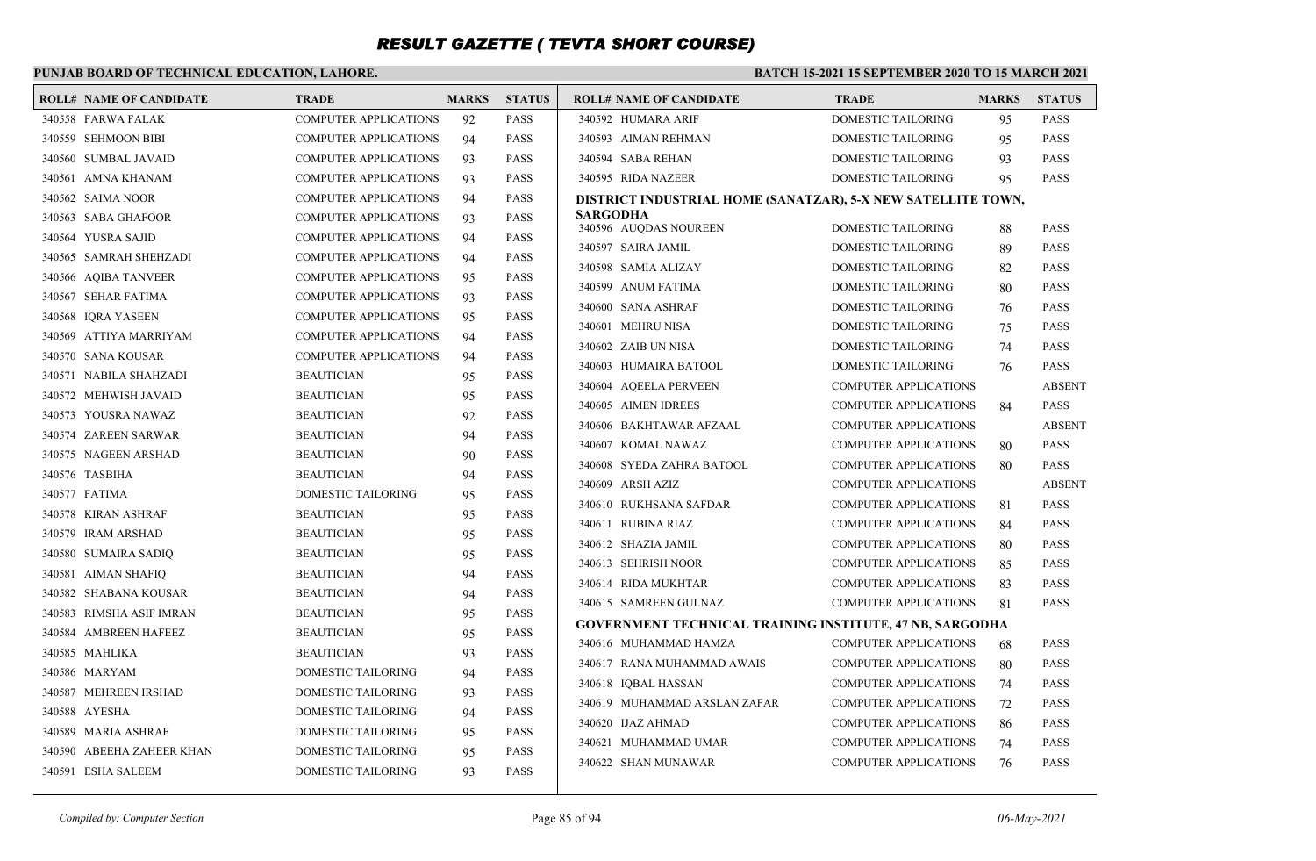### **PUNJAB BOARD OF TECHNICAL EDUCATION, LAHORE.**

| <b>ROLL# NAME OF CANDIDATE</b> | <b>TRADE</b>                 | <b>MARKS</b> | <b>STATUS</b> | <b>ROLL# NAME OF CANDIDATE</b>                                  | <b>TRADE</b>                 | <b>MARKS</b> | <b>STATUS</b>              |
|--------------------------------|------------------------------|--------------|---------------|-----------------------------------------------------------------|------------------------------|--------------|----------------------------|
| 340558 FARWA FALAK             | <b>COMPUTER APPLICATIONS</b> | 92           | <b>PASS</b>   | 340592 HUMARA ARIF                                              | <b>DOMESTIC TAILORING</b>    | 95           | <b>PASS</b>                |
| 340559 SEHMOON BIBI            | <b>COMPUTER APPLICATIONS</b> | 94           | <b>PASS</b>   | 340593 AIMAN REHMAN                                             | DOMESTIC TAILORING           | 95           | <b>PASS</b>                |
| 340560 SUMBAL JAVAID           | <b>COMPUTER APPLICATIONS</b> | 93           | <b>PASS</b>   | 340594 SABA REHAN                                               | DOMESTIC TAILORING           | 93           | <b>PASS</b>                |
| 340561 AMNA KHANAM             | <b>COMPUTER APPLICATIONS</b> | 93           | <b>PASS</b>   | 340595 RIDA NAZEER                                              | DOMESTIC TAILORING           | 95           | <b>PASS</b>                |
| 340562 SAIMA NOOR              | COMPUTER APPLICATIONS        | 94           | <b>PASS</b>   | DISTRICT INDUSTRIAL HOME (SANATZAR), 5-X NEW SATELLITE TOWN,    |                              |              |                            |
| 340563 SABA GHAFOOR            | <b>COMPUTER APPLICATIONS</b> | 93           | <b>PASS</b>   | SARGODHA<br>340596 AUQDAS NOUREEN                               | DOMESTIC TAILORING           | 88           | <b>PASS</b>                |
| 340564 YUSRA SAJID             | <b>COMPUTER APPLICATIONS</b> | 94           | <b>PASS</b>   | 340597 SAIRA JAMIL                                              | DOMESTIC TAILORING           | 89           | <b>PASS</b>                |
| 340565 SAMRAH SHEHZADI         | <b>COMPUTER APPLICATIONS</b> | 94           | <b>PASS</b>   | 340598 SAMIA ALIZAY                                             | DOMESTIC TAILORING           |              | <b>PASS</b>                |
| 340566 AQIBA TANVEER           | <b>COMPUTER APPLICATIONS</b> | 95           | <b>PASS</b>   | 340599 ANUM FATIMA                                              | DOMESTIC TAILORING           | 82           | <b>PASS</b>                |
| 340567 SEHAR FATIMA            | <b>COMPUTER APPLICATIONS</b> | 93           | <b>PASS</b>   | 340600 SANA ASHRAF                                              | DOMESTIC TAILORING           | 80           | <b>PASS</b>                |
| 340568 IORA YASEEN             | <b>COMPUTER APPLICATIONS</b> | 95           | <b>PASS</b>   |                                                                 |                              | 76           |                            |
| 340569 ATTIYA MARRIYAM         | <b>COMPUTER APPLICATIONS</b> | 94           | <b>PASS</b>   | 340601 MEHRU NISA                                               | DOMESTIC TAILORING           | 75           | <b>PASS</b><br><b>PASS</b> |
| 340570 SANA KOUSAR             | <b>COMPUTER APPLICATIONS</b> | 94           | <b>PASS</b>   | 340602 ZAIB UN NISA                                             | DOMESTIC TAILORING           | 74           |                            |
| 340571 NABILA SHAHZADI         | <b>BEAUTICIAN</b>            | 95           | <b>PASS</b>   | 340603 HUMAIRA BATOOL                                           | DOMESTIC TAILORING           | 76           | <b>PASS</b>                |
| 340572 MEHWISH JAVAID          | <b>BEAUTICIAN</b>            | 95           | <b>PASS</b>   | 340604 AQEELA PERVEEN                                           | <b>COMPUTER APPLICATIONS</b> |              | <b>ABSENT</b>              |
| 340573 YOUSRA NAWAZ            | <b>BEAUTICIAN</b>            | 92           | <b>PASS</b>   | 340605 AIMEN IDREES                                             | <b>COMPUTER APPLICATIONS</b> | 84           | <b>PASS</b>                |
| 340574 ZAREEN SARWAR           | <b>BEAUTICIAN</b>            | 94           | <b>PASS</b>   | 340606 BAKHTAWAR AFZAAL                                         | <b>COMPUTER APPLICATIONS</b> |              | <b>ABSENT</b>              |
| 340575 NAGEEN ARSHAD           | <b>BEAUTICIAN</b>            | 90           | <b>PASS</b>   | 340607 KOMAL NAWAZ                                              | <b>COMPUTER APPLICATIONS</b> | 80           | <b>PASS</b>                |
| 340576 TASBIHA                 | <b>BEAUTICIAN</b>            | 94           | <b>PASS</b>   | 340608 SYEDA ZAHRA BATOOL                                       | <b>COMPUTER APPLICATIONS</b> | 80           | <b>PASS</b>                |
| 340577 FATIMA                  | DOMESTIC TAILORING           | 95           | <b>PASS</b>   | 340609 ARSH AZIZ                                                | <b>COMPUTER APPLICATIONS</b> |              | <b>ABSENT</b>              |
| 340578 KIRAN ASHRAF            | <b>BEAUTICIAN</b>            | 95           | <b>PASS</b>   | 340610 RUKHSANA SAFDAR                                          | <b>COMPUTER APPLICATIONS</b> | 81           | <b>PASS</b>                |
| 340579 IRAM ARSHAD             | <b>BEAUTICIAN</b>            | 95           | <b>PASS</b>   | 340611 RUBINA RIAZ                                              | <b>COMPUTER APPLICATIONS</b> | 84           | <b>PASS</b>                |
| 340580 SUMAIRA SADIQ           | <b>BEAUTICIAN</b>            | 95           | <b>PASS</b>   | 340612 SHAZIA JAMIL                                             | <b>COMPUTER APPLICATIONS</b> | 80           | <b>PASS</b>                |
| 340581 AIMAN SHAFIQ            | <b>BEAUTICIAN</b>            | 94           | <b>PASS</b>   | 340613 SEHRISH NOOR                                             | <b>COMPUTER APPLICATIONS</b> | 85           | <b>PASS</b>                |
| 340582 SHABANA KOUSAR          | <b>BEAUTICIAN</b>            | 94           | <b>PASS</b>   | 340614 RIDA MUKHTAR                                             | <b>COMPUTER APPLICATIONS</b> | 83           | <b>PASS</b>                |
| 340583 RIMSHA ASIF IMRAN       | <b>BEAUTICIAN</b>            | 95           | <b>PASS</b>   | 340615 SAMREEN GULNAZ                                           | <b>COMPUTER APPLICATIONS</b> | 81           | <b>PASS</b>                |
| 340584 AMBREEN HAFEEZ          | <b>BEAUTICIAN</b>            | 95           | <b>PASS</b>   | <b>GOVERNMENT TECHNICAL TRAINING INSTITUTE, 47 NB, SARGODHA</b> |                              |              |                            |
| 340585 MAHLIKA                 | <b>BEAUTICIAN</b>            | 93           | <b>PASS</b>   | 340616 MUHAMMAD HAMZA                                           | <b>COMPUTER APPLICATIONS</b> | 68           | <b>PASS</b>                |
| 340586 MARYAM                  | DOMESTIC TAILORING           | 94           | <b>PASS</b>   | 340617 RANA MUHAMMAD AWAIS                                      | <b>COMPUTER APPLICATIONS</b> | 80           | <b>PASS</b>                |
| 340587 MEHREEN IRSHAD          | <b>DOMESTIC TAILORING</b>    | 93           | <b>PASS</b>   | 340618 IQBAL HASSAN                                             | <b>COMPUTER APPLICATIONS</b> | 74           | <b>PASS</b>                |
| 340588 AYESHA                  | DOMESTIC TAILORING           | 94           | <b>PASS</b>   | 340619 MUHAMMAD ARSLAN ZAFAR                                    | <b>COMPUTER APPLICATIONS</b> | 72           | <b>PASS</b>                |
| 340589 MARIA ASHRAF            | <b>DOMESTIC TAILORING</b>    | 95           | <b>PASS</b>   | 340620 IJAZ AHMAD                                               | <b>COMPUTER APPLICATIONS</b> | 86           | <b>PASS</b>                |
| 340590 ABEEHA ZAHEER KHAN      | DOMESTIC TAILORING           | 95           | <b>PASS</b>   | 340621 MUHAMMAD UMAR                                            | <b>COMPUTER APPLICATIONS</b> | 74           | <b>PASS</b>                |
| 340591 ESHA SALEEM             | DOMESTIC TAILORING           | 93           | <b>PASS</b>   | 340622 SHAN MUNAWAR                                             | <b>COMPUTER APPLICATIONS</b> | 76           | <b>PASS</b>                |
|                                |                              |              |               |                                                                 |                              |              |                            |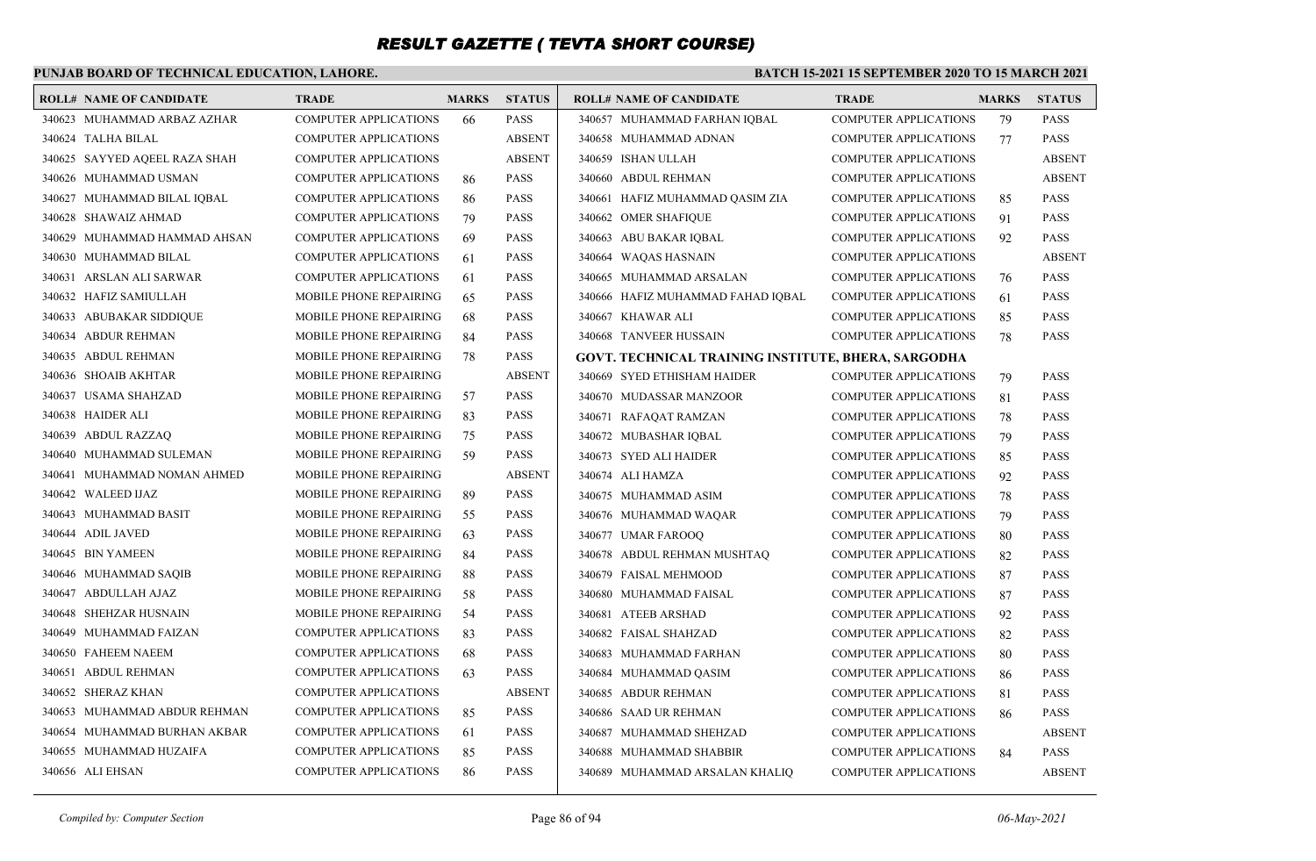### **PUNJAB BOARD OF TECHNICAL EDUCATION, LAHORE.**

| <b>ROLL# NAME OF CANDIDATE</b> | <b>TRADE</b>                  | <b>MARKS</b> | <b>STATUS</b> | <b>ROLL# NAME OF CANDIDATE</b>                      | <b>TRADE</b>                 | <b>MARKS</b> | <b>STATUS</b> |
|--------------------------------|-------------------------------|--------------|---------------|-----------------------------------------------------|------------------------------|--------------|---------------|
| 340623 MUHAMMAD ARBAZ AZHAR    | <b>COMPUTER APPLICATIONS</b>  | 66           | <b>PASS</b>   | 340657 MUHAMMAD FARHAN IOBAL                        | <b>COMPUTER APPLICATIONS</b> | 79           | <b>PASS</b>   |
| 340624 TALHA BILAL             | <b>COMPUTER APPLICATIONS</b>  |              | <b>ABSENT</b> | 340658 MUHAMMAD ADNAN                               | <b>COMPUTER APPLICATIONS</b> | 77           | <b>PASS</b>   |
| 340625 SAYYED AQEEL RAZA SHAH  | COMPUTER APPLICATIONS         |              | <b>ABSENT</b> | 340659 ISHAN ULLAH                                  | <b>COMPUTER APPLICATIONS</b> |              | <b>ABSENT</b> |
| 340626 MUHAMMAD USMAN          | <b>COMPUTER APPLICATIONS</b>  | 86           | <b>PASS</b>   | 340660 ABDUL REHMAN                                 | <b>COMPUTER APPLICATIONS</b> |              | <b>ABSENT</b> |
| 340627 MUHAMMAD BILAL IQBAL    | <b>COMPUTER APPLICATIONS</b>  | 86           | <b>PASS</b>   | 340661 HAFIZ MUHAMMAD QASIM ZIA                     | <b>COMPUTER APPLICATIONS</b> | 85           | <b>PASS</b>   |
| 340628 SHAWAIZ AHMAD           | <b>COMPUTER APPLICATIONS</b>  | 79           | <b>PASS</b>   | 340662 OMER SHAFIQUE                                | <b>COMPUTER APPLICATIONS</b> | 91           | <b>PASS</b>   |
| 340629 MUHAMMAD HAMMAD AHSAN   | <b>COMPUTER APPLICATIONS</b>  | 69           | <b>PASS</b>   | 340663 ABU BAKAR IQBAL                              | <b>COMPUTER APPLICATIONS</b> | 92           | <b>PASS</b>   |
| 340630 MUHAMMAD BILAL          | <b>COMPUTER APPLICATIONS</b>  | 61           | <b>PASS</b>   | 340664 WAQAS HASNAIN                                | <b>COMPUTER APPLICATIONS</b> |              | <b>ABSENT</b> |
| 340631 ARSLAN ALI SARWAR       | <b>COMPUTER APPLICATIONS</b>  | 61           | <b>PASS</b>   | 340665 MUHAMMAD ARSALAN                             | COMPUTER APPLICATIONS        | 76           | <b>PASS</b>   |
| 340632 HAFIZ SAMIULLAH         | <b>MOBILE PHONE REPAIRING</b> | 65           | <b>PASS</b>   | 340666 HAFIZ MUHAMMAD FAHAD IQBAL                   | <b>COMPUTER APPLICATIONS</b> | 61           | <b>PASS</b>   |
| 340633 ABUBAKAR SIDDIQUE       | MOBILE PHONE REPAIRING        | 68           | <b>PASS</b>   | 340667 KHAWAR ALI                                   | <b>COMPUTER APPLICATIONS</b> | 85           | <b>PASS</b>   |
| 340634 ABDUR REHMAN            | <b>MOBILE PHONE REPAIRING</b> | 84           | <b>PASS</b>   | 340668 TANVEER HUSSAIN                              | <b>COMPUTER APPLICATIONS</b> | 78           | <b>PASS</b>   |
| 340635 ABDUL REHMAN            | MOBILE PHONE REPAIRING        | 78           | <b>PASS</b>   | GOVT. TECHNICAL TRAINING INSTITUTE, BHERA, SARGODHA |                              |              |               |
| 340636 SHOAIB AKHTAR           | MOBILE PHONE REPAIRING        |              | <b>ABSENT</b> | 340669 SYED ETHISHAM HAIDER                         | <b>COMPUTER APPLICATIONS</b> | 79           | <b>PASS</b>   |
| 340637 USAMA SHAHZAD           | <b>MOBILE PHONE REPAIRING</b> | 57           | <b>PASS</b>   | 340670 MUDASSAR MANZOOR                             | <b>COMPUTER APPLICATIONS</b> | 81           | <b>PASS</b>   |
| 340638 HAIDER ALI              | MOBILE PHONE REPAIRING        | 83           | <b>PASS</b>   | 340671 RAFAQAT RAMZAN                               | <b>COMPUTER APPLICATIONS</b> | 78           | <b>PASS</b>   |
| 340639 ABDUL RAZZAO            | <b>MOBILE PHONE REPAIRING</b> | 75           | <b>PASS</b>   | 340672 MUBASHAR IQBAL                               | <b>COMPUTER APPLICATIONS</b> | 79           | <b>PASS</b>   |
| 340640 MUHAMMAD SULEMAN        | MOBILE PHONE REPAIRING        | 59           | <b>PASS</b>   | 340673 SYED ALI HAIDER                              | <b>COMPUTER APPLICATIONS</b> | 85           | <b>PASS</b>   |
| 340641 MUHAMMAD NOMAN AHMED    | <b>MOBILE PHONE REPAIRING</b> |              | <b>ABSENT</b> | 340674 ALI HAMZA                                    | <b>COMPUTER APPLICATIONS</b> | 92           | <b>PASS</b>   |
| 340642 WALEED IJAZ             | MOBILE PHONE REPAIRING        | 89           | <b>PASS</b>   | 340675 MUHAMMAD ASIM                                | <b>COMPUTER APPLICATIONS</b> | 78           | <b>PASS</b>   |
| 340643 MUHAMMAD BASIT          | MOBILE PHONE REPAIRING        | 55           | <b>PASS</b>   | 340676 MUHAMMAD WAQAR                               | <b>COMPUTER APPLICATIONS</b> | 79           | <b>PASS</b>   |
| 340644 ADIL JAVED              | <b>MOBILE PHONE REPAIRING</b> | 63           | <b>PASS</b>   | 340677 UMAR FAROOQ                                  | <b>COMPUTER APPLICATIONS</b> | 80           | <b>PASS</b>   |
| 340645 BIN YAMEEN              | MOBILE PHONE REPAIRING        | 84           | PASS          | 340678 ABDUL REHMAN MUSHTAQ                         | <b>COMPUTER APPLICATIONS</b> | 82           | <b>PASS</b>   |
| 340646 MUHAMMAD SAQIB          | <b>MOBILE PHONE REPAIRING</b> | 88           | <b>PASS</b>   | 340679 FAISAL MEHMOOD                               | <b>COMPUTER APPLICATIONS</b> | 87           | <b>PASS</b>   |
| 340647 ABDULLAH AJAZ           | MOBILE PHONE REPAIRING        | 58           | <b>PASS</b>   | 340680 MUHAMMAD FAISAL                              | COMPUTER APPLICATIONS        | 87           | <b>PASS</b>   |
| 340648 SHEHZAR HUSNAIN         | <b>MOBILE PHONE REPAIRING</b> | -54          | <b>PASS</b>   | 340681 ATEEB ARSHAD                                 | <b>COMPUTER APPLICATIONS</b> | 92           | <b>PASS</b>   |
| 340649 MUHAMMAD FAIZAN         | <b>COMPUTER APPLICATIONS</b>  | 83           | <b>PASS</b>   | 340682 FAISAL SHAHZAD                               | <b>COMPUTER APPLICATIONS</b> | 82           | <b>PASS</b>   |
| 340650 FAHEEM NAEEM            | <b>COMPUTER APPLICATIONS</b>  | 68           | <b>PASS</b>   | 340683 MUHAMMAD FARHAN                              | <b>COMPUTER APPLICATIONS</b> | 80           | <b>PASS</b>   |
| 340651 ABDUL REHMAN            | <b>COMPUTER APPLICATIONS</b>  | 63           | <b>PASS</b>   | 340684 MUHAMMAD QASIM                               | <b>COMPUTER APPLICATIONS</b> | 86           | <b>PASS</b>   |
| 340652 SHERAZ KHAN             | <b>COMPUTER APPLICATIONS</b>  |              | <b>ABSENT</b> | 340685 ABDUR REHMAN                                 | <b>COMPUTER APPLICATIONS</b> | 81           | <b>PASS</b>   |
| 340653 MUHAMMAD ABDUR REHMAN   | <b>COMPUTER APPLICATIONS</b>  | 85           | <b>PASS</b>   | 340686 SAAD UR REHMAN                               | <b>COMPUTER APPLICATIONS</b> | 86           | <b>PASS</b>   |
| 340654 MUHAMMAD BURHAN AKBAR   | <b>COMPUTER APPLICATIONS</b>  | 61           | <b>PASS</b>   | 340687 MUHAMMAD SHEHZAD                             | <b>COMPUTER APPLICATIONS</b> |              | <b>ABSENT</b> |
| 340655 MUHAMMAD HUZAIFA        | <b>COMPUTER APPLICATIONS</b>  | 85           | <b>PASS</b>   | 340688 MUHAMMAD SHABBIR                             | <b>COMPUTER APPLICATIONS</b> | 84           | <b>PASS</b>   |
| 340656 ALI EHSAN               | <b>COMPUTER APPLICATIONS</b>  | 86           | <b>PASS</b>   | 340689 MUHAMMAD ARSALAN KHALIQ                      | <b>COMPUTER APPLICATIONS</b> |              | <b>ABSENT</b> |
|                                |                               |              |               |                                                     |                              |              |               |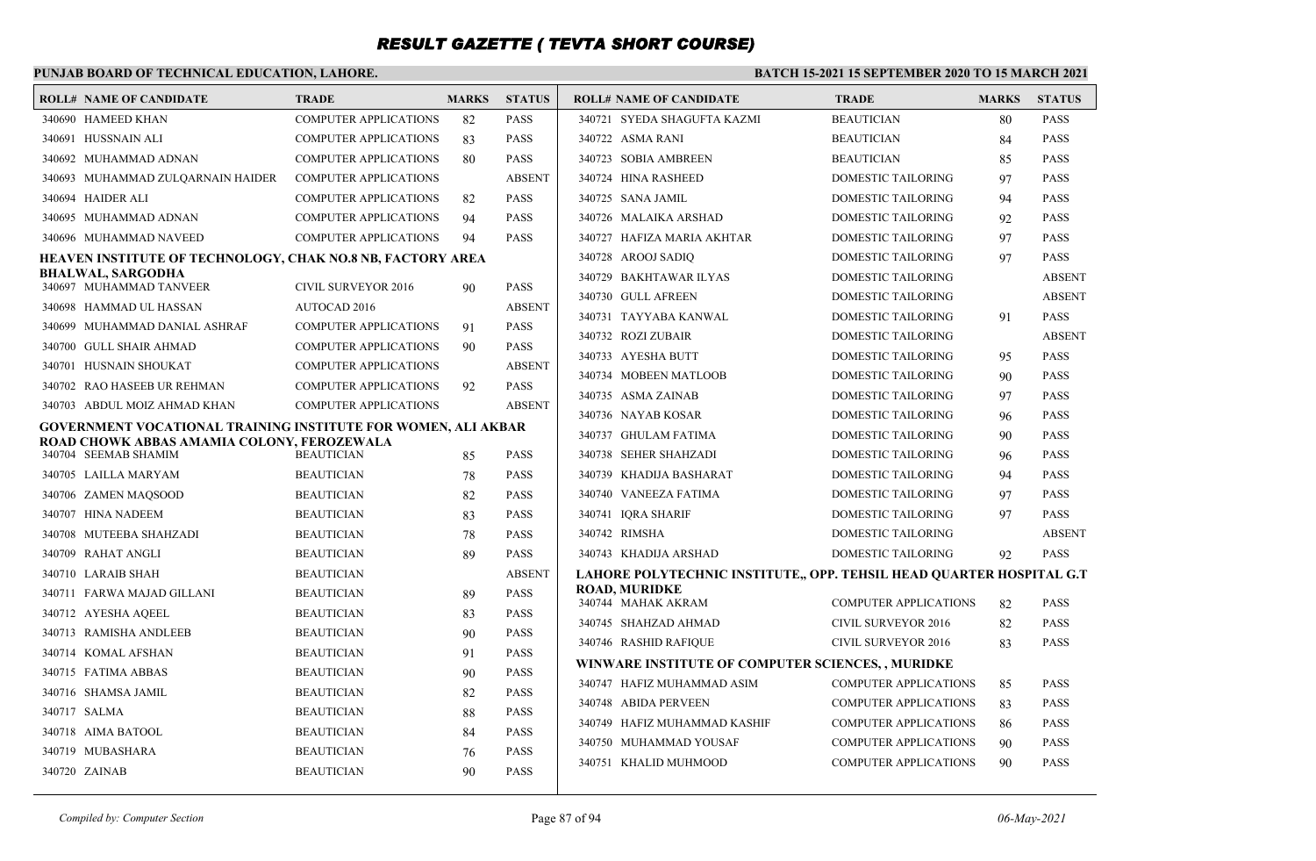### **PUNJAB BOARD OF TECHNICAL EDUCATION, LAHORE.**

| <b>ROLL# NAME OF CANDIDATE</b>                                | <b>TRADE</b>                 | <b>MARKS</b> | <b>STATUS</b> | <b>ROLL# NAME OF CANDIDATE</b>                                       | <b>TRADE</b>                 | <b>MARKS</b> | <b>STATUS</b> |
|---------------------------------------------------------------|------------------------------|--------------|---------------|----------------------------------------------------------------------|------------------------------|--------------|---------------|
| 340690 HAMEED KHAN                                            | <b>COMPUTER APPLICATIONS</b> | 82           | <b>PASS</b>   | 340721 SYEDA SHAGUFTA KAZMI                                          | <b>BEAUTICIAN</b>            | 80           | PASS          |
| 340691 HUSSNAIN ALI                                           | <b>COMPUTER APPLICATIONS</b> | 83           | <b>PASS</b>   | 340722 ASMA RANI                                                     | <b>BEAUTICIAN</b>            | 84           | <b>PASS</b>   |
| 340692 MUHAMMAD ADNAN                                         | <b>COMPUTER APPLICATIONS</b> | 80           | <b>PASS</b>   | 340723 SOBIA AMBREEN                                                 | <b>BEAUTICIAN</b>            | 85           | PASS          |
| 340693 MUHAMMAD ZULOARNAIN HAIDER                             | <b>COMPUTER APPLICATIONS</b> |              | <b>ABSENT</b> | 340724 HINA RASHEED                                                  | DOMESTIC TAILORING           | 97           | <b>PASS</b>   |
| 340694 HAIDER ALI                                             | <b>COMPUTER APPLICATIONS</b> | 82           | <b>PASS</b>   | 340725 SANA JAMIL                                                    | <b>DOMESTIC TAILORING</b>    | 94           | PASS          |
| 340695 MUHAMMAD ADNAN                                         | <b>COMPUTER APPLICATIONS</b> | 94           | <b>PASS</b>   | 340726 MALAIKA ARSHAD                                                | <b>DOMESTIC TAILORING</b>    | 92           | PASS          |
| 340696 MUHAMMAD NAVEED                                        | COMPUTER APPLICATIONS        | 94           | <b>PASS</b>   | 340727 HAFIZA MARIA AKHTAR                                           | <b>DOMESTIC TAILORING</b>    | 97           | PASS          |
| HEAVEN INSTITUTE OF TECHNOLOGY, CHAK NO.8 NB, FACTORY AREA    |                              |              |               | 340728 AROOJ SADIQ                                                   | DOMESTIC TAILORING           | 97           | PASS          |
| BHALWAL, SARGODHA<br>340697 MUHAMMAD TANVEER                  | <b>CIVIL SURVEYOR 2016</b>   | 90           | <b>PASS</b>   | 340729 BAKHTAWAR ILYAS                                               | <b>DOMESTIC TAILORING</b>    |              | <b>ABSENT</b> |
| 340698 HAMMAD UL HASSAN                                       | <b>AUTOCAD 2016</b>          |              | <b>ABSENT</b> | 340730 GULL AFREEN                                                   | <b>DOMESTIC TAILORING</b>    |              | <b>ABSENT</b> |
| 340699 MUHAMMAD DANIAL ASHRAF                                 | <b>COMPUTER APPLICATIONS</b> | 91           | <b>PASS</b>   | 340731 TAYYABA KANWAL                                                | <b>DOMESTIC TAILORING</b>    | 91           | <b>PASS</b>   |
| 340700 GULL SHAIR AHMAD                                       | <b>COMPUTER APPLICATIONS</b> | 90           | <b>PASS</b>   | 340732 ROZI ZUBAIR                                                   | DOMESTIC TAILORING           |              | <b>ABSENT</b> |
| 340701 HUSNAIN SHOUKAT                                        | <b>COMPUTER APPLICATIONS</b> |              | <b>ABSENT</b> | 340733 AYESHA BUTT                                                   | <b>DOMESTIC TAILORING</b>    | 95           | <b>PASS</b>   |
| 340702 RAO HASEEB UR REHMAN                                   | <b>COMPUTER APPLICATIONS</b> | 92           | <b>PASS</b>   | 340734 MOBEEN MATLOOB                                                | DOMESTIC TAILORING           | 90           | PASS          |
| 340703 ABDUL MOIZ AHMAD KHAN                                  | <b>COMPUTER APPLICATIONS</b> |              | <b>ABSENT</b> | 340735 ASMA ZAINAB                                                   | <b>DOMESTIC TAILORING</b>    | 97           | <b>PASS</b>   |
| GOVERNMENT VOCATIONAL TRAINING INSTITUTE FOR WOMEN, ALI AKBAR |                              |              |               | 340736 NAYAB KOSAR                                                   | <b>DOMESTIC TAILORING</b>    | 96           | PASS          |
| ROAD CHOWK ABBAS AMAMIA COLONY, FEROZEWALA                    |                              |              |               | 340737 GHULAM FATIMA                                                 | <b>DOMESTIC TAILORING</b>    | 90           | PASS          |
| 340704 SEEMAB SHAMIM                                          | <b>BEAUTICIAN</b>            | 85           | <b>PASS</b>   | 340738 SEHER SHAHZADI                                                | DOMESTIC TAILORING           | 96           | PASS          |
| 340705 LAILLA MARYAM                                          | <b>BEAUTICIAN</b>            | 78           | <b>PASS</b>   | 340739 KHADIJA BASHARAT                                              | DOMESTIC TAILORING           | 94           | PASS          |
| 340706 ZAMEN MAOSOOD                                          | <b>BEAUTICIAN</b>            | 82           | <b>PASS</b>   | 340740 VANEEZA FATIMA                                                | <b>DOMESTIC TAILORING</b>    | 97           | PASS          |
| 340707 HINA NADEEM                                            | <b>BEAUTICIAN</b>            | 83           | <b>PASS</b>   | 340741 IQRA SHARIF                                                   | DOMESTIC TAILORING           | 97           | <b>PASS</b>   |
| 340708 MUTEEBA SHAHZADI                                       | <b>BEAUTICIAN</b>            | 78           | <b>PASS</b>   | 340742 RIMSHA                                                        | <b>DOMESTIC TAILORING</b>    |              | <b>ABSENT</b> |
| 340709 RAHAT ANGLI                                            | <b>BEAUTICIAN</b>            | 89           | <b>PASS</b>   | 340743 KHADIJA ARSHAD                                                | <b>DOMESTIC TAILORING</b>    | 92           | PASS          |
| 340710 LARAIB SHAH                                            | <b>BEAUTICIAN</b>            |              | <b>ABSENT</b> | LAHORE POLYTECHNIC INSTITUTE,, OPP. TEHSIL HEAD QUARTER HOSPITAL G.T |                              |              |               |
| 340711 FARWA MAJAD GILLANI                                    | <b>BEAUTICIAN</b>            | 89           | <b>PASS</b>   | <b>ROAD, MURIDKE</b><br>340744 MAHAK AKRAM                           | <b>COMPUTER APPLICATIONS</b> | 82           | <b>PASS</b>   |
| 340712 AYESHA AQEEL                                           | <b>BEAUTICIAN</b>            | 83           | <b>PASS</b>   | 340745 SHAHZAD AHMAD                                                 | <b>CIVIL SURVEYOR 2016</b>   | 82           | PASS          |
| 340713 RAMISHA ANDLEEB                                        | <b>BEAUTICIAN</b>            | 90           | <b>PASS</b>   | 340746 RASHID RAFIQUE                                                | CIVIL SURVEYOR 2016          | 83           | PASS          |
| 340714 KOMAL AFSHAN                                           | <b>BEAUTICIAN</b>            | 91           | <b>PASS</b>   | WINWARE INSTITUTE OF COMPUTER SCIENCES, , MURIDKE                    |                              |              |               |
| 340715 FATIMA ABBAS                                           | <b>BEAUTICIAN</b>            | 90           | <b>PASS</b>   | 340747 HAFIZ MUHAMMAD ASIM                                           | <b>COMPUTER APPLICATIONS</b> | 85           | PASS          |
| 340716 SHAMSA JAMIL                                           | <b>BEAUTICIAN</b>            | 82           | <b>PASS</b>   | 340748 ABIDA PERVEEN                                                 | <b>COMPUTER APPLICATIONS</b> | 83           | PASS          |
| 340717 SALMA                                                  | <b>BEAUTICIAN</b>            | 88           | <b>PASS</b>   | 340749 HAFIZ MUHAMMAD KASHIF                                         | <b>COMPUTER APPLICATIONS</b> |              | <b>PASS</b>   |
| 340718 AIMA BATOOL                                            | <b>BEAUTICIAN</b>            | 84           | <b>PASS</b>   | 340750 MUHAMMAD YOUSAF                                               | <b>COMPUTER APPLICATIONS</b> | 86           | PASS          |
| 340719 MUBASHARA                                              | <b>BEAUTICIAN</b>            | 76           | <b>PASS</b>   |                                                                      |                              | 90           |               |
| 340720 ZAINAB                                                 | <b>BEAUTICIAN</b>            | 90           | <b>PASS</b>   | 340751 KHALID MUHMOOD                                                | <b>COMPUTER APPLICATIONS</b> | 90           | PASS          |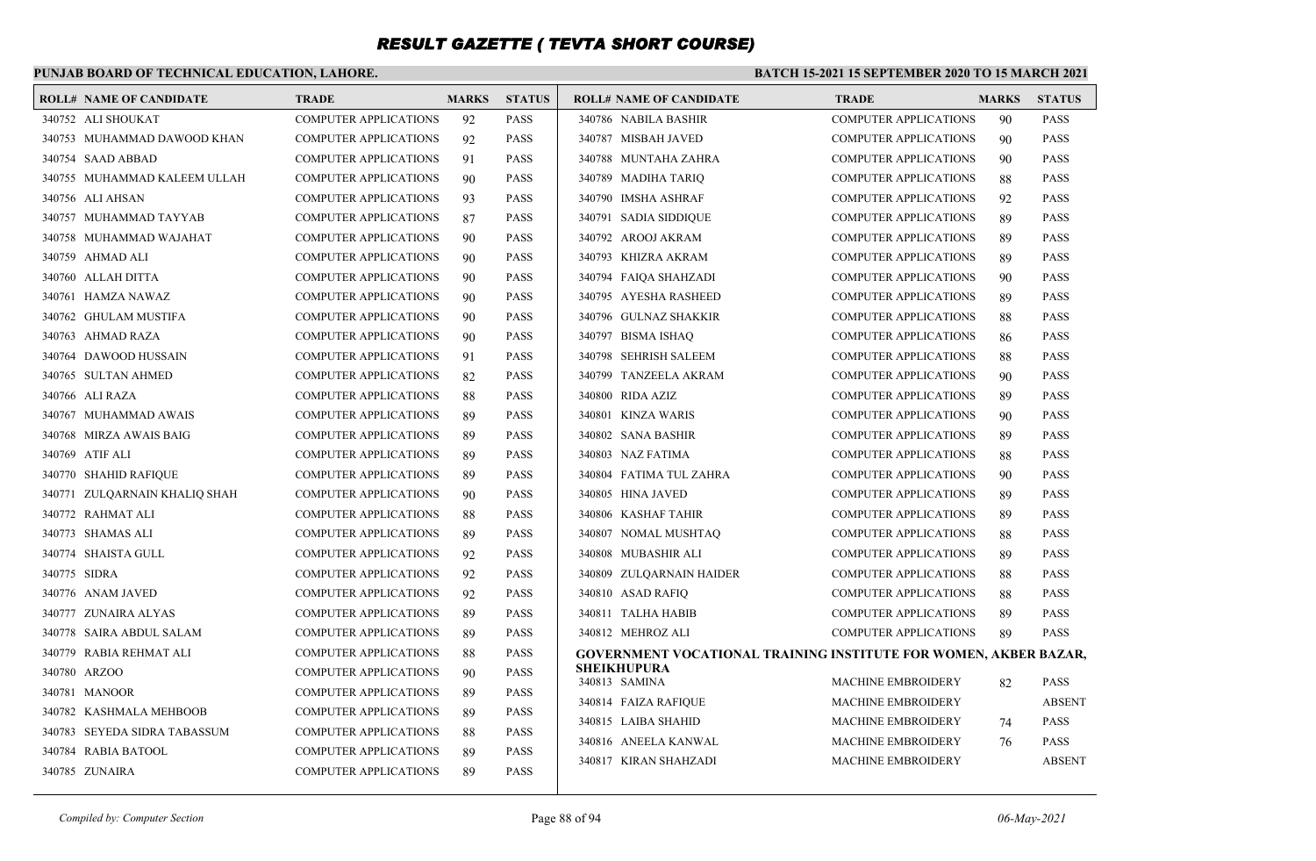### **PUNJAB BOARD OF TECHNICAL EDUCATION, LAHORE.**

#### **BATCH 15-2021 15 SEPTEMBER 2020 TO 15 MARCH 2021**

| <b>ROLL# NAME OF CANDIDATE</b> | <b>TRADE</b>                 | <b>MARKS</b> | <b>STATUS</b> | <b>ROLL# NAME OF CANDIDATE</b>                                          | <b>TRADE</b>                 | <b>MARKS</b> | <b>STATUS</b> |
|--------------------------------|------------------------------|--------------|---------------|-------------------------------------------------------------------------|------------------------------|--------------|---------------|
| 340752 ALI SHOUKAT             | <b>COMPUTER APPLICATIONS</b> | 92           | <b>PASS</b>   | 340786 NABILA BASHIR                                                    | <b>COMPUTER APPLICATIONS</b> | 90           | <b>PASS</b>   |
| 340753 MUHAMMAD DAWOOD KHAN    | <b>COMPUTER APPLICATIONS</b> | 92           | <b>PASS</b>   | 340787 MISBAH JAVED                                                     | <b>COMPUTER APPLICATIONS</b> | 90           | <b>PASS</b>   |
| 340754 SAAD ABBAD              | <b>COMPUTER APPLICATIONS</b> | 91           | <b>PASS</b>   | 340788 MUNTAHA ZAHRA                                                    | <b>COMPUTER APPLICATIONS</b> | 90           | <b>PASS</b>   |
| 340755 MUHAMMAD KALEEM ULLAH   | <b>COMPUTER APPLICATIONS</b> | 90           | <b>PASS</b>   | 340789 MADIHA TARIO                                                     | <b>COMPUTER APPLICATIONS</b> | 88           | <b>PASS</b>   |
| 340756 ALI AHSAN               | <b>COMPUTER APPLICATIONS</b> | 93           | <b>PASS</b>   | 340790 IMSHA ASHRAF                                                     | <b>COMPUTER APPLICATIONS</b> | 92           | <b>PASS</b>   |
| 340757 MUHAMMAD TAYYAB         | <b>COMPUTER APPLICATIONS</b> | 87           | <b>PASS</b>   | 340791 SADIA SIDDIQUE                                                   | <b>COMPUTER APPLICATIONS</b> | 89           | <b>PASS</b>   |
| 340758 MUHAMMAD WAJAHAT        | <b>COMPUTER APPLICATIONS</b> | 90           | <b>PASS</b>   | 340792 AROOJ AKRAM                                                      | <b>COMPUTER APPLICATIONS</b> | 89           | <b>PASS</b>   |
| 340759 AHMAD ALI               | <b>COMPUTER APPLICATIONS</b> | 90           | <b>PASS</b>   | 340793 KHIZRA AKRAM                                                     | <b>COMPUTER APPLICATIONS</b> | 89           | <b>PASS</b>   |
| 340760 ALLAH DITTA             | <b>COMPUTER APPLICATIONS</b> | 90           | <b>PASS</b>   | 340794 FAIQA SHAHZADI                                                   | <b>COMPUTER APPLICATIONS</b> | 90           | <b>PASS</b>   |
| 340761 HAMZA NAWAZ             | <b>COMPUTER APPLICATIONS</b> | 90           | <b>PASS</b>   | 340795 AYESHA RASHEED                                                   | <b>COMPUTER APPLICATIONS</b> | 89           | <b>PASS</b>   |
| 340762 GHULAM MUSTIFA          | <b>COMPUTER APPLICATIONS</b> | 90           | <b>PASS</b>   | 340796 GULNAZ SHAKKIR                                                   | <b>COMPUTER APPLICATIONS</b> | 88           | <b>PASS</b>   |
| 340763 AHMAD RAZA              | <b>COMPUTER APPLICATIONS</b> | 90           | <b>PASS</b>   | 340797 BISMA ISHAO                                                      | <b>COMPUTER APPLICATIONS</b> | 86           | <b>PASS</b>   |
| 340764 DAWOOD HUSSAIN          | <b>COMPUTER APPLICATIONS</b> | 91           | <b>PASS</b>   | 340798 SEHRISH SALEEM                                                   | <b>COMPUTER APPLICATIONS</b> | 88           | <b>PASS</b>   |
| 340765 SULTAN AHMED            | <b>COMPUTER APPLICATIONS</b> | 82           | <b>PASS</b>   | 340799 TANZEELA AKRAM                                                   | <b>COMPUTER APPLICATIONS</b> | 90           | <b>PASS</b>   |
| 340766 ALI RAZA                | <b>COMPUTER APPLICATIONS</b> | 88           | <b>PASS</b>   | 340800 RIDA AZIZ                                                        | <b>COMPUTER APPLICATIONS</b> | 89           | <b>PASS</b>   |
| 340767 MUHAMMAD AWAIS          | <b>COMPUTER APPLICATIONS</b> | 89           | <b>PASS</b>   | 340801 KINZA WARIS                                                      | <b>COMPUTER APPLICATIONS</b> | 90           | <b>PASS</b>   |
| 340768 MIRZA AWAIS BAIG        | <b>COMPUTER APPLICATIONS</b> | 89           | <b>PASS</b>   | 340802 SANA BASHIR                                                      | <b>COMPUTER APPLICATIONS</b> | 89           | <b>PASS</b>   |
| 340769 ATIF ALI                | <b>COMPUTER APPLICATIONS</b> | 89           | <b>PASS</b>   | 340803 NAZ FATIMA                                                       | <b>COMPUTER APPLICATIONS</b> | 88           | <b>PASS</b>   |
| 340770 SHAHID RAFIOUE          | <b>COMPUTER APPLICATIONS</b> | 89           | <b>PASS</b>   | 340804 FATIMA TUL ZAHRA                                                 | <b>COMPUTER APPLICATIONS</b> | 90           | <b>PASS</b>   |
| 340771 ZULQARNAIN KHALIQ SHAH  | <b>COMPUTER APPLICATIONS</b> | 90           | <b>PASS</b>   | 340805 HINA JAVED                                                       | <b>COMPUTER APPLICATIONS</b> | 89           | <b>PASS</b>   |
| 340772 RAHMAT ALI              | <b>COMPUTER APPLICATIONS</b> | 88           | <b>PASS</b>   | 340806 KASHAF TAHIR                                                     | <b>COMPUTER APPLICATIONS</b> | 89           | <b>PASS</b>   |
| 340773 SHAMAS ALI              | <b>COMPUTER APPLICATIONS</b> | 89           | <b>PASS</b>   | 340807 NOMAL MUSHTAO                                                    | <b>COMPUTER APPLICATIONS</b> | 88           | <b>PASS</b>   |
| 340774 SHAISTA GULL            | <b>COMPUTER APPLICATIONS</b> | 92           | <b>PASS</b>   | 340808 MUBASHIR ALI                                                     | <b>COMPUTER APPLICATIONS</b> | 89           | <b>PASS</b>   |
| 340775 SIDRA                   | <b>COMPUTER APPLICATIONS</b> | 92           | <b>PASS</b>   | 340809 ZULQARNAIN HAIDER                                                | <b>COMPUTER APPLICATIONS</b> | 88           | <b>PASS</b>   |
| 340776 ANAM JAVED              | <b>COMPUTER APPLICATIONS</b> | 92           | <b>PASS</b>   | 340810 ASAD RAFIQ                                                       | <b>COMPUTER APPLICATIONS</b> | 88           | <b>PASS</b>   |
| 340777 ZUNAIRA ALYAS           | <b>COMPUTER APPLICATIONS</b> | 89           | <b>PASS</b>   | 340811 TALHA HABIB                                                      | <b>COMPUTER APPLICATIONS</b> | 89           | <b>PASS</b>   |
| 340778 SAIRA ABDUL SALAM       | <b>COMPUTER APPLICATIONS</b> | 89           | <b>PASS</b>   | 340812 MEHROZ ALI                                                       | <b>COMPUTER APPLICATIONS</b> | 89           | <b>PASS</b>   |
| 340779 RABIA REHMAT ALI        | <b>COMPUTER APPLICATIONS</b> | 88           | <b>PASS</b>   | <b>GOVERNMENT VOCATIONAL TRAINING INSTITUTE FOR WOMEN, AKBER BAZAR,</b> |                              |              |               |
| 340780 ARZOO                   | <b>COMPUTER APPLICATIONS</b> | 90           | <b>PASS</b>   | <b>SHEIKHUPURA</b>                                                      |                              |              |               |
| 340781 MANOOR                  | <b>COMPUTER APPLICATIONS</b> | 89           | <b>PASS</b>   | 340813 SAMINA                                                           | <b>MACHINE EMBROIDERY</b>    | 82           | <b>PASS</b>   |
| 340782 KASHMALA MEHBOOB        | <b>COMPUTER APPLICATIONS</b> | 89           | <b>PASS</b>   | 340814 FAIZA RAFIQUE                                                    | <b>MACHINE EMBROIDERY</b>    |              | <b>ABSENT</b> |
| 340783 SEYEDA SIDRA TABASSUM   | <b>COMPUTER APPLICATIONS</b> | 88           | <b>PASS</b>   | 340815 LAIBA SHAHID                                                     | <b>MACHINE EMBROIDERY</b>    | 74           | <b>PASS</b>   |
| 340784 RABIA BATOOL            | <b>COMPUTER APPLICATIONS</b> | 89           | <b>PASS</b>   | 340816 ANEELA KANWAL                                                    | MACHINE EMBROIDERY           | 76           | <b>PASS</b>   |
| 340785 ZUNAIRA                 | <b>COMPUTER APPLICATIONS</b> | 89           | <b>PASS</b>   | 340817 KIRAN SHAHZADI                                                   | <b>MACHINE EMBROIDERY</b>    |              | <b>ABSENT</b> |

*Compiled by: Computer Section* Page 88 of 94 *06-May-2021*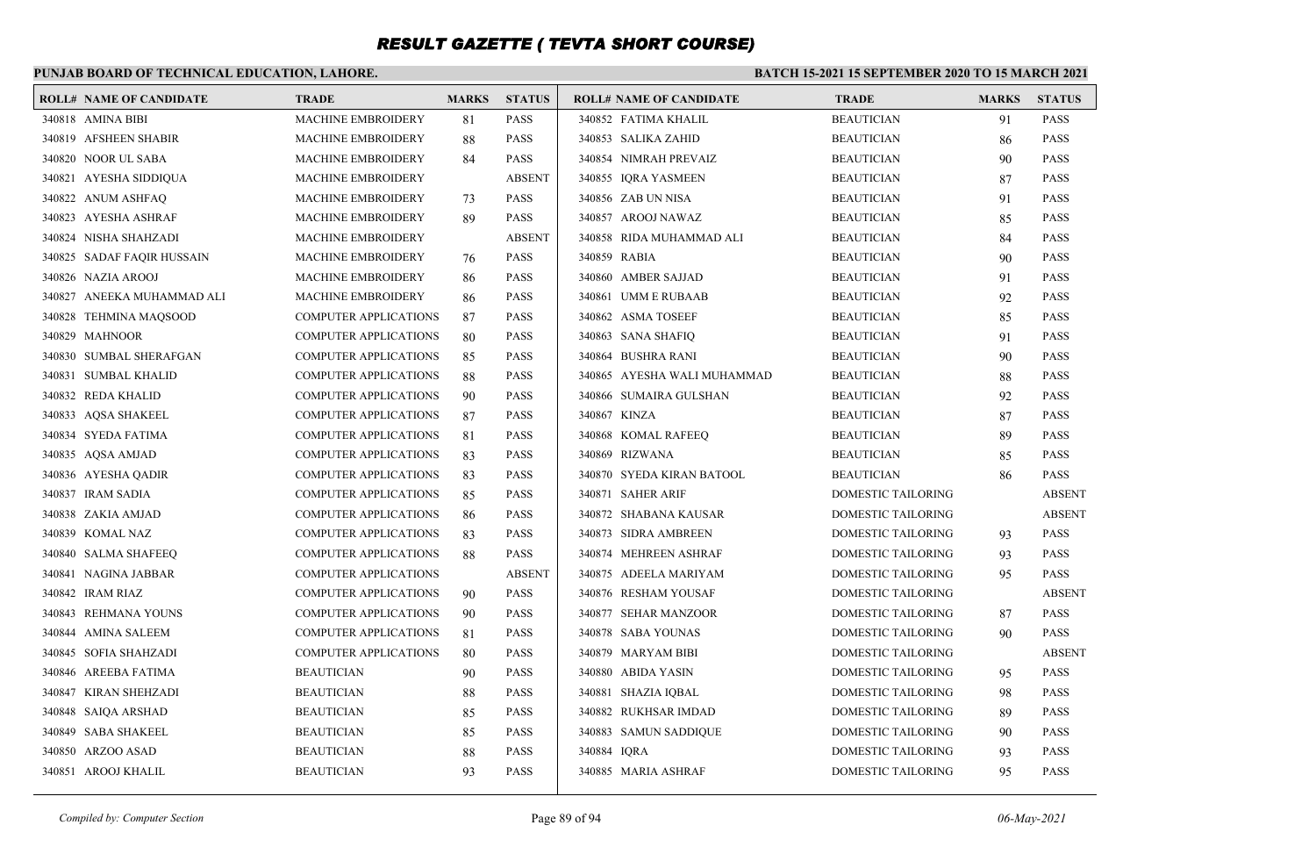### **PUNJAB BOARD OF TECHNICAL EDUCATION, LAHORE.**

| <b>ROLL# NAME OF CANDIDATE</b> | <b>TRADE</b>                 | <b>MARKS</b> | <b>STATUS</b> | <b>ROLL# NAME OF CANDIDATE</b> | <b>TRADE</b>              | <b>MARKS</b> | <b>STATUS</b> |
|--------------------------------|------------------------------|--------------|---------------|--------------------------------|---------------------------|--------------|---------------|
| 340818 AMINA BIBI              | <b>MACHINE EMBROIDERY</b>    | 81           | <b>PASS</b>   | 340852 FATIMA KHALIL           | <b>BEAUTICIAN</b>         | 91           | <b>PASS</b>   |
| 340819 AFSHEEN SHABIR          | <b>MACHINE EMBROIDERY</b>    | 88           | <b>PASS</b>   | 340853 SALIKA ZAHID            | <b>BEAUTICIAN</b>         | 86           | <b>PASS</b>   |
| 340820 NOOR UL SABA            | <b>MACHINE EMBROIDERY</b>    | 84           | <b>PASS</b>   | 340854 NIMRAH PREVAIZ          | <b>BEAUTICIAN</b>         | 90           | <b>PASS</b>   |
| 340821 AYESHA SIDDIQUA         | <b>MACHINE EMBROIDERY</b>    |              | <b>ABSENT</b> | 340855 IQRA YASMEEN            | <b>BEAUTICIAN</b>         | 87           | <b>PASS</b>   |
| 340822 ANUM ASHFAQ             | <b>MACHINE EMBROIDERY</b>    | 73           | <b>PASS</b>   | 340856 ZAB UN NISA             | <b>BEAUTICIAN</b>         | 91           | <b>PASS</b>   |
| 340823 AYESHA ASHRAF           | <b>MACHINE EMBROIDERY</b>    | 89           | <b>PASS</b>   | 340857 AROOJ NAWAZ             | <b>BEAUTICIAN</b>         | 85           | <b>PASS</b>   |
| 340824 NISHA SHAHZADI          | <b>MACHINE EMBROIDERY</b>    |              | <b>ABSENT</b> | 340858 RIDA MUHAMMAD ALI       | <b>BEAUTICIAN</b>         | 84           | <b>PASS</b>   |
| 340825 SADAF FAQIR HUSSAIN     | <b>MACHINE EMBROIDERY</b>    | 76           | <b>PASS</b>   | 340859 RABIA                   | <b>BEAUTICIAN</b>         | 90           | <b>PASS</b>   |
| 340826 NAZIA AROOJ             | <b>MACHINE EMBROIDERY</b>    | 86           | <b>PASS</b>   | 340860 AMBER SAJJAD            | <b>BEAUTICIAN</b>         | 91           | <b>PASS</b>   |
| 340827 ANEEKA MUHAMMAD ALI     | <b>MACHINE EMBROIDERY</b>    | 86           | <b>PASS</b>   | 340861 UMM E RUBAAB            | <b>BEAUTICIAN</b>         | 92           | <b>PASS</b>   |
| 340828 TEHMINA MAQSOOD         | <b>COMPUTER APPLICATIONS</b> | 87           | <b>PASS</b>   | 340862 ASMA TOSEEF             | <b>BEAUTICIAN</b>         | 85           | <b>PASS</b>   |
| 340829 MAHNOOR                 | <b>COMPUTER APPLICATIONS</b> | 80           | <b>PASS</b>   | 340863 SANA SHAFIQ             | <b>BEAUTICIAN</b>         | 91           | <b>PASS</b>   |
| 340830 SUMBAL SHERAFGAN        | COMPUTER APPLICATIONS        | 85           | PASS          | 340864 BUSHRA RANI             | <b>BEAUTICIAN</b>         | 90           | PASS          |
| 340831 SUMBAL KHALID           | <b>COMPUTER APPLICATIONS</b> | 88           | <b>PASS</b>   | 340865 AYESHA WALI MUHAMMAD    | <b>BEAUTICIAN</b>         | 88           | PASS          |
| 340832 REDA KHALID             | <b>COMPUTER APPLICATIONS</b> | 90           | <b>PASS</b>   | 340866 SUMAIRA GULSHAN         | <b>BEAUTICIAN</b>         | 92           | <b>PASS</b>   |
| 340833 AQSA SHAKEEL            | <b>COMPUTER APPLICATIONS</b> | 87           | <b>PASS</b>   | 340867 KINZA                   | <b>BEAUTICIAN</b>         | 87           | <b>PASS</b>   |
| 340834 SYEDA FATIMA            | <b>COMPUTER APPLICATIONS</b> | 81           | <b>PASS</b>   | 340868 KOMAL RAFEEQ            | <b>BEAUTICIAN</b>         | 89           | <b>PASS</b>   |
| 340835 AQSA AMJAD              | <b>COMPUTER APPLICATIONS</b> | 83           | <b>PASS</b>   | 340869 RIZWANA                 | <b>BEAUTICIAN</b>         | 85           | <b>PASS</b>   |
| 340836 AYESHA QADIR            | COMPUTER APPLICATIONS        | 83           | <b>PASS</b>   | 340870 SYEDA KIRAN BATOOL      | <b>BEAUTICIAN</b>         | 86           | <b>PASS</b>   |
| 340837 IRAM SADIA              | <b>COMPUTER APPLICATIONS</b> | 85           | <b>PASS</b>   | 340871 SAHER ARIF              | DOMESTIC TAILORING        |              | <b>ABSENT</b> |
| 340838 ZAKIA AMJAD             | <b>COMPUTER APPLICATIONS</b> | 86           | <b>PASS</b>   | 340872 SHABANA KAUSAR          | <b>DOMESTIC TAILORING</b> |              | <b>ABSENT</b> |
| 340839 KOMAL NAZ               | <b>COMPUTER APPLICATIONS</b> | 83           | <b>PASS</b>   | 340873 SIDRA AMBREEN           | DOMESTIC TAILORING        | 93           | <b>PASS</b>   |
| 340840 SALMA SHAFEEQ           | <b>COMPUTER APPLICATIONS</b> | 88           | <b>PASS</b>   | 340874 MEHREEN ASHRAF          | DOMESTIC TAILORING        | 93           | <b>PASS</b>   |
| 340841 NAGINA JABBAR           | <b>COMPUTER APPLICATIONS</b> |              | <b>ABSENT</b> | 340875 ADEELA MARIYAM          | DOMESTIC TAILORING        | 95           | <b>PASS</b>   |
| 340842 IRAM RIAZ               | <b>COMPUTER APPLICATIONS</b> | 90           | <b>PASS</b>   | 340876 RESHAM YOUSAF           | DOMESTIC TAILORING        |              | <b>ABSENT</b> |
| 340843 REHMANA YOUNS           | <b>COMPUTER APPLICATIONS</b> | 90           | <b>PASS</b>   | 340877 SEHAR MANZOOR           | <b>DOMESTIC TAILORING</b> | 87           | <b>PASS</b>   |
| 340844 AMINA SALEEM            | <b>COMPUTER APPLICATIONS</b> | 81           | <b>PASS</b>   | 340878 SABA YOUNAS             | <b>DOMESTIC TAILORING</b> | 90           | <b>PASS</b>   |
| 340845 SOFIA SHAHZADI          | <b>COMPUTER APPLICATIONS</b> | 80           | <b>PASS</b>   | 340879 MARYAM BIBI             | DOMESTIC TAILORING        |              | <b>ABSENT</b> |
| 340846 AREEBA FATIMA           | <b>BEAUTICIAN</b>            | 90           | <b>PASS</b>   | 340880 ABIDA YASIN             | DOMESTIC TAILORING        | 95           | <b>PASS</b>   |
| 340847 KIRAN SHEHZADI          | <b>BEAUTICIAN</b>            | 88           | <b>PASS</b>   | 340881 SHAZIA IQBAL            | DOMESTIC TAILORING        | 98           | <b>PASS</b>   |
| 340848 SAIQA ARSHAD            | <b>BEAUTICIAN</b>            | 85           | <b>PASS</b>   | 340882 RUKHSAR IMDAD           | DOMESTIC TAILORING        | 89           | <b>PASS</b>   |
| 340849 SABA SHAKEEL            | <b>BEAUTICIAN</b>            | 85           | <b>PASS</b>   | 340883 SAMUN SADDIQUE          | DOMESTIC TAILORING        | 90           | <b>PASS</b>   |
| 340850 ARZOO ASAD              | <b>BEAUTICIAN</b>            | 88           | <b>PASS</b>   | 340884 IQRA                    | DOMESTIC TAILORING        | 93           | <b>PASS</b>   |
| 340851 AROOJ KHALIL            | <b>BEAUTICIAN</b>            | 93           | <b>PASS</b>   | 340885 MARIA ASHRAF            | DOMESTIC TAILORING        | 95           | <b>PASS</b>   |
|                                |                              |              |               |                                |                           |              |               |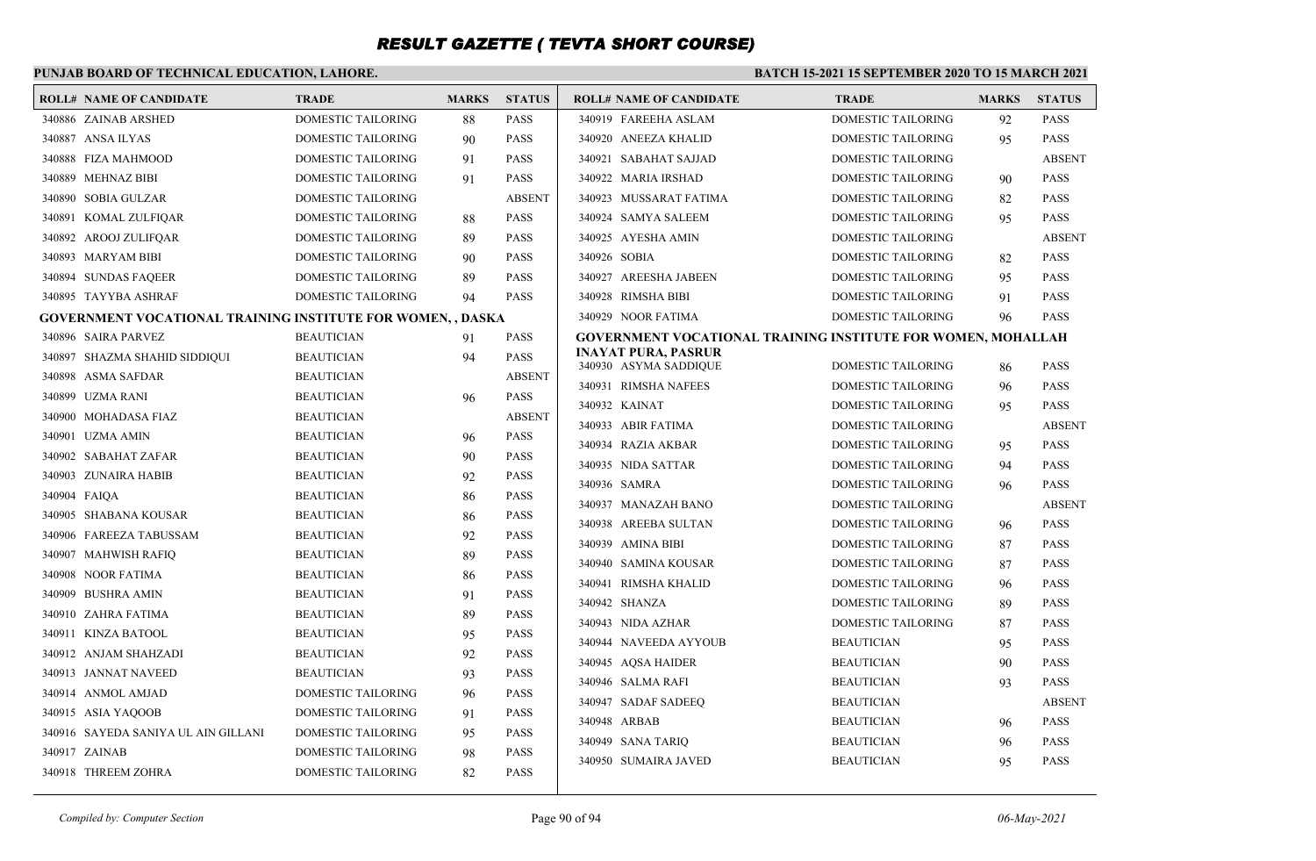| PUNJAB BOARD OF TECHNICAL EDUCATION, LAHORE. |                                                                    |                    |              | <b>BATCH 15-2021 15 SEPTEMBER 2020 TO 15 MARCH 2021</b> |                                                     |                                                                     |              |               |
|----------------------------------------------|--------------------------------------------------------------------|--------------------|--------------|---------------------------------------------------------|-----------------------------------------------------|---------------------------------------------------------------------|--------------|---------------|
|                                              | <b>ROLL# NAME OF CANDIDATE</b>                                     | <b>TRADE</b>       | <b>MARKS</b> | <b>STATUS</b>                                           | <b>ROLL# NAME OF CANDIDATE</b>                      | <b>TRADE</b>                                                        | <b>MARKS</b> | <b>STATUS</b> |
|                                              | 340886 ZAINAB ARSHED                                               | DOMESTIC TAILORING | 88           | <b>PASS</b>                                             | 340919 FAREEHA ASLAM                                | <b>DOMESTIC TAILORING</b>                                           | 92           | <b>PASS</b>   |
|                                              | 340887 ANSA ILYAS                                                  | DOMESTIC TAILORING | 90           | <b>PASS</b>                                             | 340920 ANEEZA KHALID                                | DOMESTIC TAILORING                                                  | 95           | <b>PASS</b>   |
|                                              | 340888 FIZA MAHMOOD                                                | DOMESTIC TAILORING | 91           | <b>PASS</b>                                             | 340921 SABAHAT SAJJAD                               | DOMESTIC TAILORING                                                  |              | <b>ABSENT</b> |
|                                              | 340889 MEHNAZ BIBI                                                 | DOMESTIC TAILORING | 91           | <b>PASS</b>                                             | 340922 MARIA IRSHAD                                 | DOMESTIC TAILORING                                                  | 90           | <b>PASS</b>   |
|                                              | 340890 SOBIA GULZAR                                                | DOMESTIC TAILORING |              | <b>ABSENT</b>                                           | 340923 MUSSARAT FATIMA                              | DOMESTIC TAILORING                                                  | 82           | <b>PASS</b>   |
|                                              | 340891 KOMAL ZULFIQAR                                              | DOMESTIC TAILORING | 88           | PASS                                                    | 340924 SAMYA SALEEM                                 | DOMESTIC TAILORING                                                  | 95           | <b>PASS</b>   |
|                                              | 340892 AROOJ ZULIFQAR                                              | DOMESTIC TAILORING | 89           | <b>PASS</b>                                             | 340925 AYESHA AMIN                                  | DOMESTIC TAILORING                                                  |              | <b>ABSENT</b> |
|                                              | 340893 MARYAM BIBI                                                 | DOMESTIC TAILORING | 90           | PASS                                                    | 340926 SOBIA                                        | DOMESTIC TAILORING                                                  | 82           | <b>PASS</b>   |
|                                              | 340894 SUNDAS FAQEER                                               | DOMESTIC TAILORING | 89           | <b>PASS</b>                                             | 340927 AREESHA JABEEN                               | DOMESTIC TAILORING                                                  | 95           | <b>PASS</b>   |
|                                              | 340895 TAYYBA ASHRAF                                               | DOMESTIC TAILORING | 94           | <b>PASS</b>                                             | 340928 RIMSHA BIBI                                  | DOMESTIC TAILORING                                                  | 91           | <b>PASS</b>   |
|                                              | <b>GOVERNMENT VOCATIONAL TRAINING INSTITUTE FOR WOMEN, , DASKA</b> |                    |              |                                                         | 340929 NOOR FATIMA                                  | DOMESTIC TAILORING                                                  | 96           | <b>PASS</b>   |
|                                              | 340896 SAIRA PARVEZ                                                | <b>BEAUTICIAN</b>  | 91           | <b>PASS</b>                                             |                                                     | <b>GOVERNMENT VOCATIONAL TRAINING INSTITUTE FOR WOMEN, MOHALLAH</b> |              |               |
|                                              | 340897 SHAZMA SHAHID SIDDIQUI                                      | <b>BEAUTICIAN</b>  | 94           | <b>PASS</b>                                             | <b>INAYAT PURA, PASRUR</b><br>340930 ASYMA SADDIQUE | DOMESTIC TAILORING                                                  | 86           | <b>PASS</b>   |
|                                              | 340898 ASMA SAFDAR                                                 | <b>BEAUTICIAN</b>  |              | <b>ABSENT</b>                                           | 340931 RIMSHA NAFEES                                | DOMESTIC TAILORING                                                  | 96           | <b>PASS</b>   |
|                                              | 340899 UZMA RANI                                                   | <b>BEAUTICIAN</b>  | 96           | <b>PASS</b>                                             | 340932 KAINAT                                       | DOMESTIC TAILORING                                                  | 95           | <b>PASS</b>   |
|                                              | 340900 MOHADASA FIAZ                                               | <b>BEAUTICIAN</b>  |              | <b>ABSENT</b>                                           | 340933 ABIR FATIMA                                  | DOMESTIC TAILORING                                                  |              | <b>ABSENT</b> |
|                                              | 340901 UZMA AMIN                                                   | <b>BEAUTICIAN</b>  | 96           | <b>PASS</b>                                             | 340934 RAZIA AKBAR                                  | DOMESTIC TAILORING                                                  | 95           | <b>PASS</b>   |
|                                              | 340902 SABAHAT ZAFAR                                               | <b>BEAUTICIAN</b>  | 90           | <b>PASS</b>                                             | 340935 NIDA SATTAR                                  | DOMESTIC TAILORING                                                  | 94           | <b>PASS</b>   |
|                                              | 340903 ZUNAIRA HABIB                                               | <b>BEAUTICIAN</b>  | 92           | <b>PASS</b>                                             | 340936 SAMRA                                        | DOMESTIC TAILORING                                                  | 96           | <b>PASS</b>   |
|                                              | 340904 FAIOA                                                       | <b>BEAUTICIAN</b>  | 86           | <b>PASS</b>                                             | 340937 MANAZAH BANO                                 | DOMESTIC TAILORING                                                  |              | <b>ABSENT</b> |
|                                              | 340905 SHABANA KOUSAR                                              | <b>BEAUTICIAN</b>  | 86           | PASS                                                    | 340938 AREEBA SULTAN                                | DOMESTIC TAILORING                                                  | 96           | <b>PASS</b>   |
|                                              | 340906 FAREEZA TABUSSAM                                            | <b>BEAUTICIAN</b>  | 92           | <b>PASS</b>                                             | 340939 AMINA BIBI                                   | DOMESTIC TAILORING                                                  | 87           | <b>PASS</b>   |
|                                              | 340907 MAHWISH RAFIQ                                               | <b>BEAUTICIAN</b>  | 89           | <b>PASS</b>                                             | 340940 SAMINA KOUSAR                                | DOMESTIC TAILORING                                                  | 87           | <b>PASS</b>   |
|                                              | 340908 NOOR FATIMA                                                 | <b>BEAUTICIAN</b>  | 86           | <b>PASS</b>                                             | 340941 RIMSHA KHALID                                | DOMESTIC TAILORING                                                  | 96           | <b>PASS</b>   |
|                                              | 340909 BUSHRA AMIN                                                 | <b>BEAUTICIAN</b>  | 91           | PASS                                                    | 340942 SHANZA                                       | DOMESTIC TAILORING                                                  | 89           | <b>PASS</b>   |
|                                              | 340910 ZAHRA FATIMA                                                | <b>BEAUTICIAN</b>  | 89           | <b>PASS</b>                                             | 340943 NIDA AZHAR                                   | DOMESTIC TAILORING                                                  | 87           | <b>PASS</b>   |
|                                              | 340911 KINZA BATOOL                                                | <b>BEAUTICIAN</b>  | 95           | <b>PASS</b>                                             | 340944 NAVEEDA AYYOUB                               | <b>BEAUTICIAN</b>                                                   | 95           | <b>PASS</b>   |
|                                              | 340912 ANJAM SHAHZADI                                              | <b>BEAUTICIAN</b>  | 92           | <b>PASS</b>                                             | 340945 AQSA HAIDER                                  | <b>BEAUTICIAN</b>                                                   | 90           | <b>PASS</b>   |
|                                              | 340913 JANNAT NAVEED                                               | <b>BEAUTICIAN</b>  | 93           | <b>PASS</b>                                             | 340946 SALMA RAFI                                   | <b>BEAUTICIAN</b>                                                   | 93           | <b>PASS</b>   |
|                                              | 340914 ANMOL AMJAD                                                 | DOMESTIC TAILORING | 96           | <b>PASS</b>                                             | 340947 SADAF SADEEQ                                 | <b>BEAUTICIAN</b>                                                   |              | <b>ABSENT</b> |
|                                              | 340915 ASIA YAOOOB                                                 | DOMESTIC TAILORING | 91           | <b>PASS</b>                                             | 340948 ARBAB                                        | <b>BEAUTICIAN</b>                                                   |              | <b>PASS</b>   |
|                                              | 340916 SAYEDA SANIYA UL AIN GILLANI                                | DOMESTIC TAILORING | 95           | <b>PASS</b>                                             | 340949 SANA TARIQ                                   | <b>BEAUTICIAN</b>                                                   | 96           | <b>PASS</b>   |
|                                              | 340917 ZAINAB                                                      | DOMESTIC TAILORING | 98           | <b>PASS</b>                                             | 340950 SUMAIRA JAVED                                | <b>BEAUTICIAN</b>                                                   | 96<br>95     | <b>PASS</b>   |
|                                              | 340918 THREEM ZOHRA                                                | DOMESTIC TAILORING | 82           | <b>PASS</b>                                             |                                                     |                                                                     |              |               |
|                                              |                                                                    |                    |              |                                                         |                                                     |                                                                     |              |               |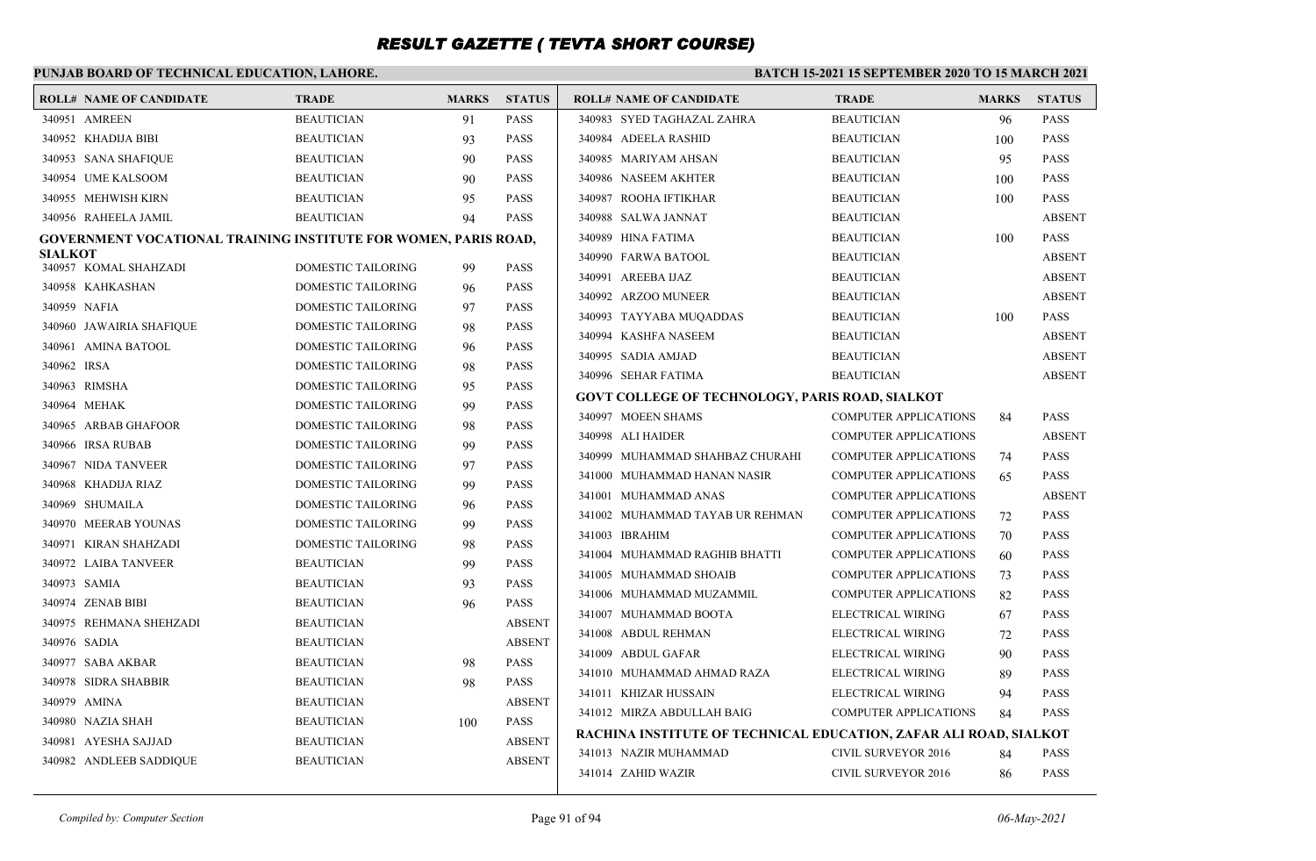|                | PUNJAB BOARD OF TECHNICAL EDUCATION, LAHORE.                           |                           |              |               | <b>BATCH 15-2021 15 SEPTEMBER 2020 TO 15 MARCH 2021</b>           |                              |              |               |  |
|----------------|------------------------------------------------------------------------|---------------------------|--------------|---------------|-------------------------------------------------------------------|------------------------------|--------------|---------------|--|
|                | <b>ROLL# NAME OF CANDIDATE</b>                                         | <b>TRADE</b>              | <b>MARKS</b> | <b>STATUS</b> | <b>ROLL# NAME OF CANDIDATE</b>                                    | <b>TRADE</b>                 | <b>MARKS</b> | <b>STATUS</b> |  |
|                | 340951 AMREEN                                                          | <b>BEAUTICIAN</b>         | 91           | <b>PASS</b>   | 340983 SYED TAGHAZAL ZAHRA                                        | <b>BEAUTICIAN</b>            | 96           | <b>PASS</b>   |  |
|                | 340952 KHADIJA BIBI                                                    | <b>BEAUTICIAN</b>         | 93           | <b>PASS</b>   | 340984 ADEELA RASHID                                              | <b>BEAUTICIAN</b>            | 100          | <b>PASS</b>   |  |
|                | 340953 SANA SHAFIQUE                                                   | <b>BEAUTICIAN</b>         | 90           | <b>PASS</b>   | 340985 MARIYAM AHSAN                                              | <b>BEAUTICIAN</b>            | 95           | <b>PASS</b>   |  |
|                | 340954 UME KALSOOM                                                     | <b>BEAUTICIAN</b>         | 90           | <b>PASS</b>   | 340986 NASEEM AKHTER                                              | <b>BEAUTICIAN</b>            | 100          | <b>PASS</b>   |  |
|                | 340955 MEHWISH KIRN                                                    | <b>BEAUTICIAN</b>         | 95           | <b>PASS</b>   | 340987 ROOHA IFTIKHAR                                             | <b>BEAUTICIAN</b>            | 100          | <b>PASS</b>   |  |
|                | 340956 RAHEELA JAMIL                                                   | <b>BEAUTICIAN</b>         | 94           | <b>PASS</b>   | 340988 SALWA JANNAT                                               | <b>BEAUTICIAN</b>            |              | <b>ABSENT</b> |  |
|                | <b>GOVERNMENT VOCATIONAL TRAINING INSTITUTE FOR WOMEN, PARIS ROAD,</b> |                           |              |               | 340989 HINA FATIMA                                                | <b>BEAUTICIAN</b>            | 100          | <b>PASS</b>   |  |
| <b>SIALKOT</b> |                                                                        | <b>DOMESTIC TAILORING</b> |              |               | 340990 FARWA BATOOL                                               | <b>BEAUTICIAN</b>            |              | <b>ABSENT</b> |  |
|                | 340957 KOMAL SHAHZADI                                                  |                           | 99           | <b>PASS</b>   | 340991 AREEBA IJAZ                                                | <b>BEAUTICIAN</b>            |              | <b>ABSENT</b> |  |
|                | 340958 KAHKASHAN                                                       | DOMESTIC TAILORING        | 96           | <b>PASS</b>   | 340992 ARZOO MUNEER                                               | <b>BEAUTICIAN</b>            |              | <b>ABSENT</b> |  |
|                | 340959 NAFIA                                                           | DOMESTIC TAILORING        | 97           | <b>PASS</b>   | 340993 TAYYABA MUQADDAS                                           | <b>BEAUTICIAN</b>            | 100          | <b>PASS</b>   |  |
|                | 340960 JAWAIRIA SHAFIQUE                                               | <b>DOMESTIC TAILORING</b> | 98           | <b>PASS</b>   | 340994 KASHFA NASEEM                                              | <b>BEAUTICIAN</b>            |              | <b>ABSENT</b> |  |
|                | 340961 AMINA BATOOL                                                    | DOMESTIC TAILORING        | 96           | <b>PASS</b>   | 340995 SADIA AMJAD                                                | <b>BEAUTICIAN</b>            |              | <b>ABSENT</b> |  |
| 340962 IRSA    |                                                                        | DOMESTIC TAILORING        | 98           | <b>PASS</b>   | 340996 SEHAR FATIMA                                               | <b>BEAUTICIAN</b>            |              | <b>ABSENT</b> |  |
|                | 340963 RIMSHA                                                          | DOMESTIC TAILORING        | 95           | <b>PASS</b>   | <b>GOVT COLLEGE OF TECHNOLOGY, PARIS ROAD, SIALKOT</b>            |                              |              |               |  |
|                | 340964 MEHAK                                                           | DOMESTIC TAILORING        | 99           | <b>PASS</b>   | 340997 MOEEN SHAMS                                                | <b>COMPUTER APPLICATIONS</b> | 84           | <b>PASS</b>   |  |
|                | 340965 ARBAB GHAFOOR                                                   | DOMESTIC TAILORING        | 98           | <b>PASS</b>   | 340998 ALI HAIDER                                                 | <b>COMPUTER APPLICATIONS</b> |              | <b>ABSENT</b> |  |
|                | 340966 IRSA RUBAB                                                      | DOMESTIC TAILORING        | 99           | <b>PASS</b>   | 340999 MUHAMMAD SHAHBAZ CHURAHI                                   | <b>COMPUTER APPLICATIONS</b> | 74           | <b>PASS</b>   |  |
|                | 340967 NIDA TANVEER                                                    | DOMESTIC TAILORING        | 97           | <b>PASS</b>   | 341000 MUHAMMAD HANAN NASIR                                       | <b>COMPUTER APPLICATIONS</b> | 65           | <b>PASS</b>   |  |
|                | 340968 KHADIJA RIAZ                                                    | <b>DOMESTIC TAILORING</b> | 99           | <b>PASS</b>   | 341001 MUHAMMAD ANAS                                              | <b>COMPUTER APPLICATIONS</b> |              | <b>ABSENT</b> |  |
|                | 340969 SHUMAILA                                                        | DOMESTIC TAILORING        | 96           | <b>PASS</b>   | 341002 MUHAMMAD TAYAB UR REHMAN                                   | <b>COMPUTER APPLICATIONS</b> | 72           | <b>PASS</b>   |  |
|                | 340970 MEERAB YOUNAS                                                   | DOMESTIC TAILORING        | 99           | <b>PASS</b>   | 341003 IBRAHIM                                                    | <b>COMPUTER APPLICATIONS</b> | 70           | <b>PASS</b>   |  |
|                | 340971 KIRAN SHAHZADI                                                  | DOMESTIC TAILORING        | 98           | <b>PASS</b>   | 341004 MUHAMMAD RAGHIB BHATTI                                     | <b>COMPUTER APPLICATIONS</b> | 60           | <b>PASS</b>   |  |
|                | 340972 LAIBA TANVEER                                                   | <b>BEAUTICIAN</b>         | 99           | <b>PASS</b>   | 341005 MUHAMMAD SHOAIB                                            | <b>COMPUTER APPLICATIONS</b> | 73           | <b>PASS</b>   |  |
|                | 340973 SAMIA                                                           | <b>BEAUTICIAN</b>         | 93           | <b>PASS</b>   | 341006 MUHAMMAD MUZAMMIL                                          | <b>COMPUTER APPLICATIONS</b> | 82           | <b>PASS</b>   |  |
|                | 340974 ZENAB BIBI                                                      | <b>BEAUTICIAN</b>         | 96           | <b>PASS</b>   | 341007 MUHAMMAD BOOTA                                             | ELECTRICAL WIRING            | 67           | <b>PASS</b>   |  |
|                | 340975 REHMANA SHEHZADI                                                | <b>BEAUTICIAN</b>         |              | <b>ABSENT</b> | 341008 ABDUL REHMAN                                               | ELECTRICAL WIRING            | 72           | <b>PASS</b>   |  |
|                | 340976 SADIA                                                           | <b>BEAUTICIAN</b>         |              | <b>ABSENT</b> | 341009 ABDUL GAFAR                                                | ELECTRICAL WIRING            | 90           | <b>PASS</b>   |  |
|                | 340977 SABA AKBAR                                                      | <b>BEAUTICIAN</b>         | 98           | <b>PASS</b>   | 341010 MUHAMMAD AHMAD RAZA                                        | ELECTRICAL WIRING            | 89           | <b>PASS</b>   |  |
|                | 340978 SIDRA SHABBIR                                                   | <b>BEAUTICIAN</b>         | 98           | <b>PASS</b>   | 341011 KHIZAR HUSSAIN                                             | ELECTRICAL WIRING            | 94           | <b>PASS</b>   |  |
|                | 340979 AMINA                                                           | <b>BEAUTICIAN</b>         |              | <b>ABSENT</b> | 341012 MIRZA ABDULLAH BAIG                                        | COMPUTER APPLICATIONS        | 84           | <b>PASS</b>   |  |
|                | 340980 NAZIA SHAH                                                      | <b>BEAUTICIAN</b>         | 100          | <b>PASS</b>   | RACHINA INSTITUTE OF TECHNICAL EDUCATION, ZAFAR ALI ROAD, SIALKOT |                              |              |               |  |
|                | 340981 AYESHA SAJJAD                                                   | <b>BEAUTICIAN</b>         |              | <b>ABSENT</b> | 341013 NAZIR MUHAMMAD                                             | <b>CIVIL SURVEYOR 2016</b>   | 84           | <b>PASS</b>   |  |
|                | 340982 ANDLEEB SADDIQUE                                                | <b>BEAUTICIAN</b>         |              | <b>ABSENT</b> | 341014 ZAHID WAZIR                                                | <b>CIVIL SURVEYOR 2016</b>   | 86           | <b>PASS</b>   |  |
|                |                                                                        |                           |              |               |                                                                   |                              |              |               |  |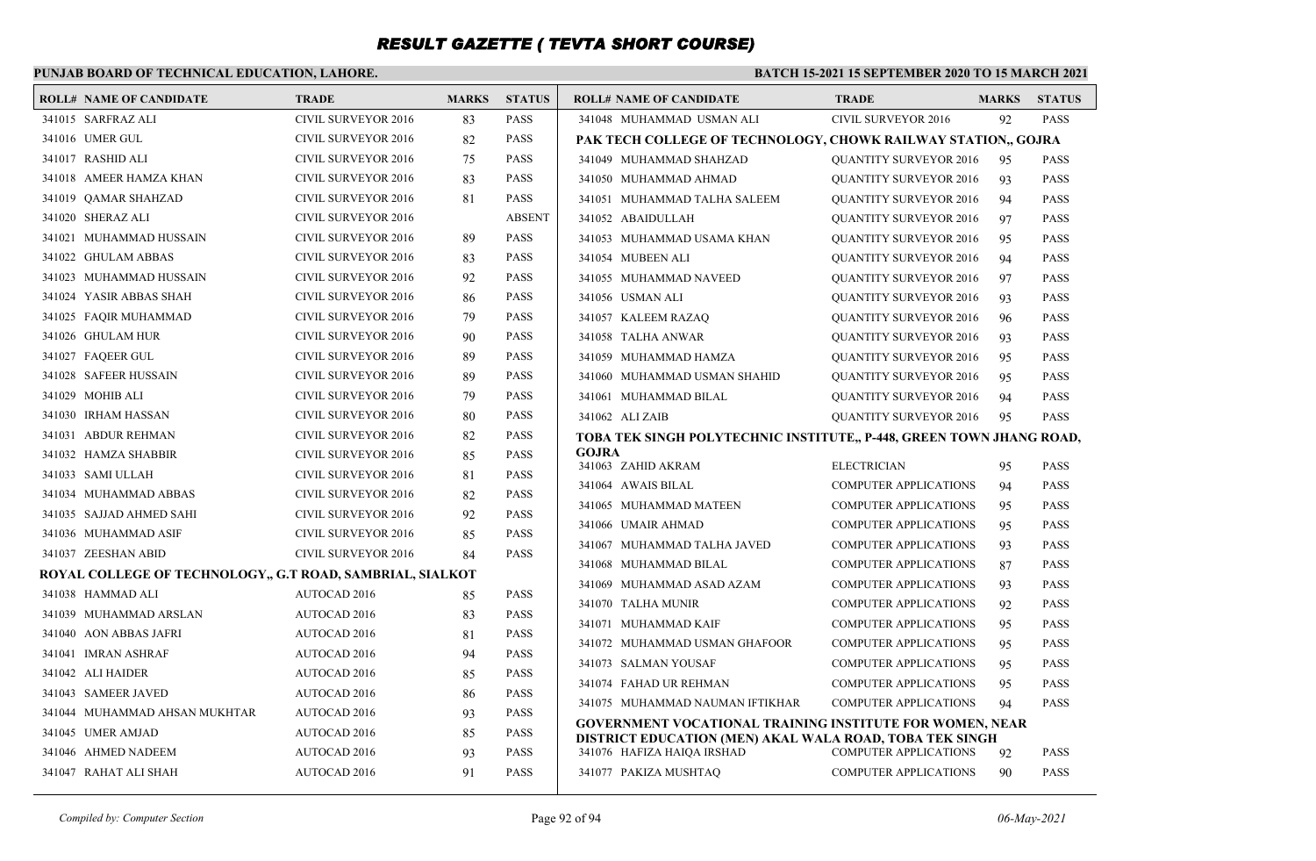### **PUNJAB BOARD OF TECHNICAL EDUCATION, LAHORE.**

| <b>ROLL# NAME OF CANDIDATE</b>                            | <b>TRADE</b>               | <b>MARKS</b> | <b>STATUS</b> | <b>ROLL# NAME OF CANDIDATE</b>                                                                                             | <b>TRADE</b>                                                 | <b>MARKS</b> | <b>STATUS</b> |
|-----------------------------------------------------------|----------------------------|--------------|---------------|----------------------------------------------------------------------------------------------------------------------------|--------------------------------------------------------------|--------------|---------------|
| 341015 SARFRAZ ALI                                        | <b>CIVIL SURVEYOR 2016</b> | 83           | <b>PASS</b>   | 341048 MUHAMMAD USMAN ALI                                                                                                  | <b>CIVIL SURVEYOR 2016</b>                                   | 92           | <b>PASS</b>   |
| 341016 UMER GUL                                           | <b>CIVIL SURVEYOR 2016</b> | 82           | <b>PASS</b>   | PAK TECH COLLEGE OF TECHNOLOGY, CHOWK RAILWAY STATION,, GOJRA                                                              |                                                              |              |               |
| 341017 RASHID ALI                                         | <b>CIVIL SURVEYOR 2016</b> | 75           | <b>PASS</b>   | 341049 MUHAMMAD SHAHZAD                                                                                                    | <b>QUANTITY SURVEYOR 2016</b>                                | 95           | <b>PASS</b>   |
| 341018 AMEER HAMZA KHAN                                   | <b>CIVIL SURVEYOR 2016</b> | 83           | <b>PASS</b>   | 341050 MUHAMMAD AHMAD                                                                                                      | <b>QUANTITY SURVEYOR 2016</b>                                | 93           | <b>PASS</b>   |
| 341019 QAMAR SHAHZAD                                      | <b>CIVIL SURVEYOR 2016</b> | 81           | <b>PASS</b>   | 341051 MUHAMMAD TALHA SALEEM                                                                                               | <b>QUANTITY SURVEYOR 2016</b>                                | 94           | <b>PASS</b>   |
| 341020 SHERAZ ALI                                         | <b>CIVIL SURVEYOR 2016</b> |              | <b>ABSENT</b> | 341052 ABAIDULLAH                                                                                                          | <b>QUANTITY SURVEYOR 2016</b>                                | 97           | <b>PASS</b>   |
| 341021 MUHAMMAD HUSSAIN                                   | <b>CIVIL SURVEYOR 2016</b> | 89           | <b>PASS</b>   | 341053 MUHAMMAD USAMA KHAN                                                                                                 | <b>QUANTITY SURVEYOR 2016</b>                                | 95           | <b>PASS</b>   |
| 341022 GHULAM ABBAS                                       | <b>CIVIL SURVEYOR 2016</b> | 83           | <b>PASS</b>   | 341054 MUBEEN ALI                                                                                                          | <b>QUANTITY SURVEYOR 2016</b>                                | 94           | <b>PASS</b>   |
| 341023 MUHAMMAD HUSSAIN                                   | <b>CIVIL SURVEYOR 2016</b> | 92           | <b>PASS</b>   | 341055 MUHAMMAD NAVEED                                                                                                     | <b>QUANTITY SURVEYOR 2016</b>                                | 97           | <b>PASS</b>   |
| 341024 YASIR ABBAS SHAH                                   | <b>CIVIL SURVEYOR 2016</b> | 86           | <b>PASS</b>   | 341056 USMAN ALI                                                                                                           | <b>QUANTITY SURVEYOR 2016</b>                                | 93           | <b>PASS</b>   |
| 341025 FAOIR MUHAMMAD                                     | <b>CIVIL SURVEYOR 2016</b> | 79           | <b>PASS</b>   | 341057 KALEEM RAZAQ                                                                                                        | <b>QUANTITY SURVEYOR 2016</b>                                | 96           | <b>PASS</b>   |
| 341026 GHULAM HUR                                         | <b>CIVIL SURVEYOR 2016</b> | 90           | <b>PASS</b>   | 341058 TALHA ANWAR                                                                                                         | <b>QUANTITY SURVEYOR 2016</b>                                | 93           | <b>PASS</b>   |
| 341027 FAQEER GUL                                         | <b>CIVIL SURVEYOR 2016</b> | 89           | <b>PASS</b>   | 341059 MUHAMMAD HAMZA                                                                                                      | <b>QUANTITY SURVEYOR 2016</b>                                | 95           | <b>PASS</b>   |
| 341028 SAFEER HUSSAIN                                     | <b>CIVIL SURVEYOR 2016</b> | 89           | <b>PASS</b>   | 341060 MUHAMMAD USMAN SHAHID                                                                                               | <b>QUANTITY SURVEYOR 2016</b>                                | 95           | <b>PASS</b>   |
| 341029 MOHIB ALI                                          | <b>CIVIL SURVEYOR 2016</b> | 79           | <b>PASS</b>   | 341061 MUHAMMAD BILAL                                                                                                      | <b>QUANTITY SURVEYOR 2016</b>                                | 94           | <b>PASS</b>   |
| 341030 IRHAM HASSAN                                       | <b>CIVIL SURVEYOR 2016</b> | 80           | <b>PASS</b>   | 341062 ALIZAIB                                                                                                             | <b>QUANTITY SURVEYOR 2016</b>                                | 95           | <b>PASS</b>   |
| 341031 ABDUR REHMAN                                       | <b>CIVIL SURVEYOR 2016</b> | 82           | <b>PASS</b>   | TOBA TEK SINGH POLYTECHNIC INSTITUTE,, P-448, GREEN TOWN JHANG ROAD,                                                       |                                                              |              |               |
| 341032 HAMZA SHABBIR                                      | <b>CIVIL SURVEYOR 2016</b> | 85           | <b>PASS</b>   | GOJRA<br>341063 ZAHID AKRAM                                                                                                | <b>ELECTRICIAN</b>                                           | 95           | <b>PASS</b>   |
| 341033 SAMI ULLAH                                         | <b>CIVIL SURVEYOR 2016</b> | 81           | <b>PASS</b>   | 341064 AWAIS BILAL                                                                                                         | <b>COMPUTER APPLICATIONS</b>                                 | 94           | <b>PASS</b>   |
| 341034 MUHAMMAD ABBAS                                     | <b>CIVIL SURVEYOR 2016</b> | 82           | <b>PASS</b>   | 341065 MUHAMMAD MATEEN                                                                                                     | <b>COMPUTER APPLICATIONS</b>                                 |              | <b>PASS</b>   |
| 341035 SAJJAD AHMED SAHI                                  | <b>CIVIL SURVEYOR 2016</b> | 92           | <b>PASS</b>   | 341066 UMAIR AHMAD                                                                                                         | <b>COMPUTER APPLICATIONS</b>                                 | 95           | <b>PASS</b>   |
| 341036 MUHAMMAD ASIF                                      | <b>CIVIL SURVEYOR 2016</b> | 85           | <b>PASS</b>   |                                                                                                                            |                                                              | 95           | <b>PASS</b>   |
| 341037 ZEESHAN ABID                                       | <b>CIVIL SURVEYOR 2016</b> | 84           | <b>PASS</b>   | 341067 MUHAMMAD TALHA JAVED<br>341068 MUHAMMAD BILAL                                                                       | <b>COMPUTER APPLICATIONS</b><br><b>COMPUTER APPLICATIONS</b> | 93<br>87     | <b>PASS</b>   |
| ROYAL COLLEGE OF TECHNOLOGY., G.T ROAD, SAMBRIAL, SIALKOT |                            |              |               | 341069 MUHAMMAD ASAD AZAM                                                                                                  | <b>COMPUTER APPLICATIONS</b>                                 | 93           | <b>PASS</b>   |
| 341038 HAMMAD ALI                                         | <b>AUTOCAD 2016</b>        | 85           | <b>PASS</b>   | 341070 TALHA MUNIR                                                                                                         | <b>COMPUTER APPLICATIONS</b>                                 | 92           | <b>PASS</b>   |
| 341039 MUHAMMAD ARSLAN                                    | <b>AUTOCAD 2016</b>        | 83           | <b>PASS</b>   | 341071 MUHAMMAD KAIF                                                                                                       | <b>COMPUTER APPLICATIONS</b>                                 | 95           | <b>PASS</b>   |
| 341040 AON ABBAS JAFRI                                    | AUTOCAD 2016               | 81           | <b>PASS</b>   | 341072 MUHAMMAD USMAN GHAFOOR                                                                                              | <b>COMPUTER APPLICATIONS</b>                                 | 95           | <b>PASS</b>   |
| 341041 IMRAN ASHRAF                                       | <b>AUTOCAD 2016</b>        | 94           | <b>PASS</b>   | 341073 SALMAN YOUSAF                                                                                                       | <b>COMPUTER APPLICATIONS</b>                                 | 95           | <b>PASS</b>   |
| 341042 ALI HAIDER                                         | <b>AUTOCAD 2016</b>        | 85           | <b>PASS</b>   | 341074 FAHAD UR REHMAN                                                                                                     | <b>COMPUTER APPLICATIONS</b>                                 | 95           | <b>PASS</b>   |
| 341043 SAMEER JAVED                                       | AUTOCAD 2016               | 86           | <b>PASS</b>   | 341075 MUHAMMAD NAUMAN IFTIKHAR                                                                                            | <b>COMPUTER APPLICATIONS</b>                                 | 94           | <b>PASS</b>   |
| 341044 MUHAMMAD AHSAN MUKHTAR                             | AUTOCAD 2016               | 93           | <b>PASS</b>   |                                                                                                                            |                                                              |              |               |
| 341045 UMER AMJAD                                         | AUTOCAD 2016               | 85           | <b>PASS</b>   | <b>GOVERNMENT VOCATIONAL TRAINING INSTITUTE FOR WOMEN, NEAR</b><br>DISTRICT EDUCATION (MEN) AKAL WALA ROAD, TOBA TEK SINGH |                                                              |              |               |
| 341046 AHMED NADEEM                                       | <b>AUTOCAD 2016</b>        | 93           | <b>PASS</b>   | 341076 HAFIZA HAIQA IRSHAD                                                                                                 | <b>COMPUTER APPLICATIONS</b>                                 | 92           | <b>PASS</b>   |
| 341047 RAHAT ALI SHAH                                     | <b>AUTOCAD 2016</b>        | 91           | <b>PASS</b>   | 341077 PAKIZA MUSHTAO                                                                                                      | <b>COMPUTER APPLICATIONS</b>                                 | 90           | <b>PASS</b>   |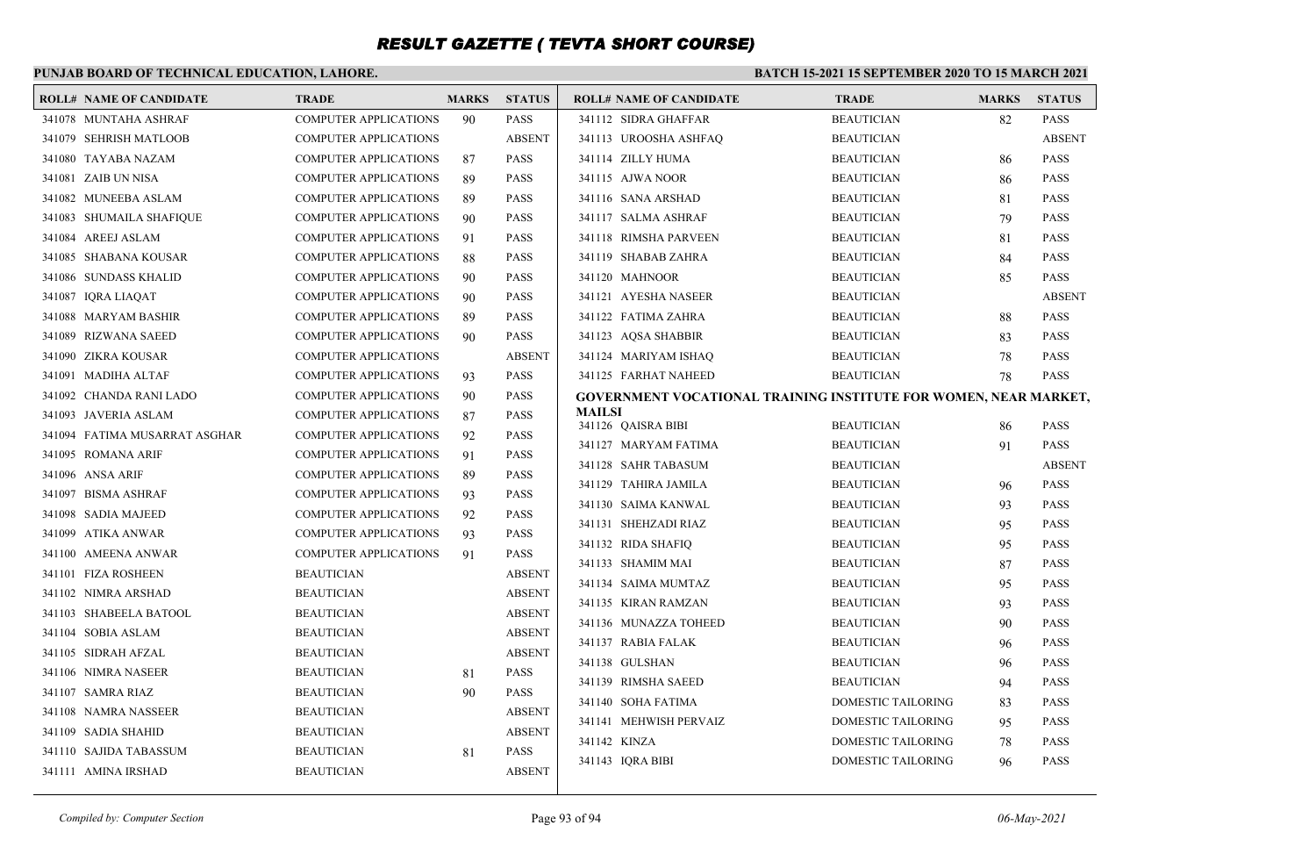#### **PUNJAB BOARD OF TECHNICAL EDUCATION, LAHORE. BATCH 15-2021 15 SEPTEMBER 2020 TO 15 MARCH 2021 ROLL# NAME OF CANDIDATE TRADE MARKS STATUS ROLL# NAME OF CANDIDATE TRADE MARKS STATUS** 341078 MUNTAHA ASHRAF COMPUTER APPLICATIONS 90 PASS 341079 SEHRISH MATLOOB COMPUTER APPLICATIONS ABSENT 341080 TAYABA NAZAM COMPUTER APPLICATIONS 87 PASS 341081 ZAIB UN NISA COMPUTER APPLICATIONS 89 PASS 341082 MUNEEBA ASLAM COMPUTER APPLICATIONS 89 PASS 341083 SHUMAILA SHAFIQUE COMPUTER APPLICATIONS 90 PASS 341084 AREEJ ASLAM COMPUTER APPLICATIONS 91 PASS 341085 SHABANA KOUSAR COMPUTER APPLICATIONS 88 PASS 341086 SUNDASS KHALID COMPUTER APPLICATIONS 90 PASS 341087 IQRA LIAQAT COMPUTER APPLICATIONS 90 PASS 341088 MARYAM BASHIR COMPUTER APPLICATIONS 89 PASS 341089 RIZWANA SAEED COMPUTER APPLICATIONS 90 PASS 341090 ZIKRA KOUSAR COMPUTER APPLICATIONS ABSENT 341091 MADIHA ALTAF COMPUTER APPLICATIONS 93 PASS 341092 CHANDA RANI LADO COMPUTER APPLICATIONS 90 PASS 341093 JAVERIA ASLAM COMPUTER APPLICATIONS 87 PASS 341094 FATIMA MUSARRAT ASGHAR COMPUTER APPLICATIONS 92 PASS 341095 ROMANA ARIF COMPUTER APPLICATIONS 91 PASS 341096 ANSA ARIF COMPUTER APPLICATIONS 89 PASS 341097 BISMA ASHRAF COMPUTER APPLICATIONS 93 PASS 341098 SADIA MAJEED COMPUTER APPLICATIONS 92 PASS 341099 ATIKA ANWAR COMPUTER APPLICATIONS 93 PASS 341100 AMEENA ANWAR COMPUTER APPLICATIONS 91 PASS 341101 FIZA ROSHEEN BEAUTICIAN ABSENT 341102 NIMRA ARSHAD BEAUTICIAN ABSENT 341103 SHABEELA BATOOL BEAUTICIAN ABSENT 341104 SOBIA ASLAM BEAUTICIAN ABSENT 341105 SIDRAH AFZAL BEAUTICIAN ABSENT 341106 NIMRA NASEER BEAUTICIAN 81 PASS 341107 SAMRA RIAZ BEAUTICIAN 90 PASS 341108 NAMRA NASSEER BEAUTICIAN ABSENT 341109 SADIA SHAHID BEAUTICIAN ABSENT 341110 SAJIDA TABASSUM BEAUTICIAN 81 PASS 341111 AMINA IRSHAD BEAUTICIAN ABSENT 341112 SIDRA GHAFFAR BEAUTICIAN 82 PASS 341113 UROOSHA ASHFAQ BEAUTICIAN ABSENT 341114 ZILLY HUMA BEAUTICIAN 86 PASS 341115 AJWA NOOR BEAUTICIAN 86 PASS 341116 SANA ARSHAD BEAUTICIAN 81 PASS 341117 SALMA ASHRAF BEAUTICIAN 79 PASS 341118 RIMSHA PARVEEN BEAUTICIAN 81 PASS 341119 SHABAB ZAHRA BEAUTICIAN 84 PASS 341120 MAHNOOR BEAUTICIAN 85 PASS 341121 AYESHA NASEER BEAUTICIAN ABSENT 341122 FATIMA ZAHRA BEAUTICIAN 88 PASS 341123 AQSA SHABBIR BEAUTICIAN 83 PASS 341124 MARIYAM ISHAQ BEAUTICIAN 78 PASS 341125 FARHAT NAHEED BEAUTICIAN 78 PASS **GOVERNMENT VOCATIONAL TRAINING INSTITUTE FOR WOMEN, NEAR MARKET, MAILSI** 341126 QAISRA BIBI BEAUTICIAN 86 PASS 341127 MARYAM FATIMA BEAUTICIAN 91 PASS 341128 SAHR TABASUM BEAUTICIAN ABSENT 341129 TAHIRA JAMILA BEAUTICIAN 96 PASS 341130 SAIMA KANWAL BEAUTICIAN 93 PASS 341131 SHEHZADI RIAZ BEAUTICIAN 95 PASS 341132 RIDA SHAFIO BEAUTICIAN 95 PASS 341133 SHAMIM MAI BEAUTICIAN 87 PASS 341134 SAIMA MUMTAZ BEAUTICIAN 95 PASS 341135 KIRAN RAMZAN BEAUTICIAN 93 PASS 341136 MUNAZZA TOHEED BEAUTICIAN 90 PASS 341137 RABIA FALAK BEAUTICIAN 96 PASS 341138 GULSHAN BEAUTICIAN 96 PASS 341139 RIMSHA SAEED BEAUTICIAN 94 PASS 341140 SOHA FATIMA DOMESTIC TAILORING 83 PASS 341141 MEHWISH PERVAIZ DOMESTIC TAILORING 95 PASS 341142 KINZA DOMESTIC TAILORING 78 PASS 341143 IORA BIBI DOMESTIC TAILORING 96 PASS